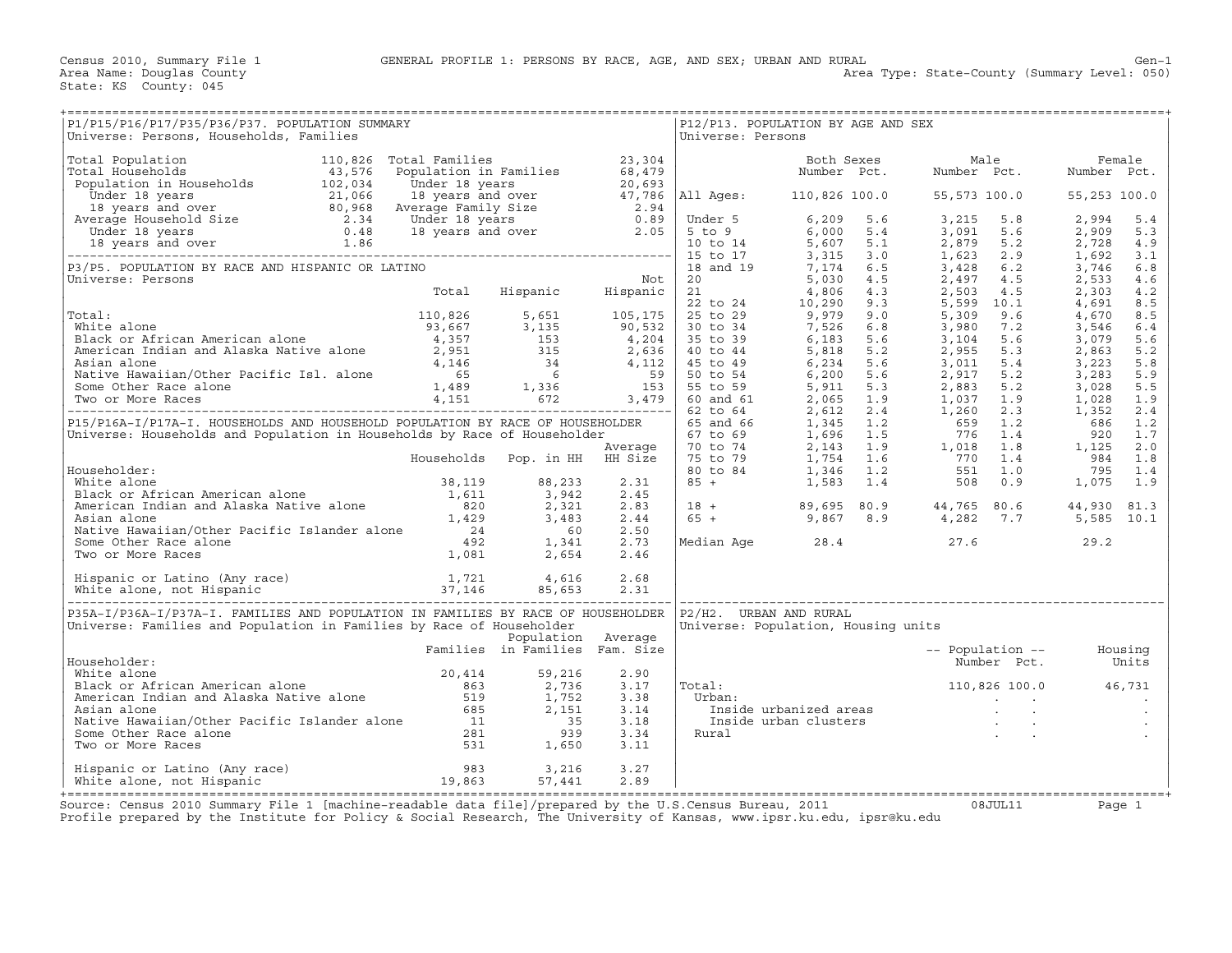Census 2010, Summary File 1 GENERAL PROFILE 1: PERSONS BY RACE, AGE, AND SEX; URBAN AND RURAL Gen−1<br>Area Name: Douglas County (Summary Level: 050)

State: KS County: 045

| P1/P15/P16/P17/P35/P36/P37. POPULATION SUMMARY<br>Universe: Persons, Households, Families                                                                                                                                                        |                    |      | Universe: Persons | P12/P13. POPULATION BY AGE AND SEX  |                                                                                                                                                                   |  |
|--------------------------------------------------------------------------------------------------------------------------------------------------------------------------------------------------------------------------------------------------|--------------------|------|-------------------|-------------------------------------|-------------------------------------------------------------------------------------------------------------------------------------------------------------------|--|
|                                                                                                                                                                                                                                                  |                    |      |                   |                                     |                                                                                                                                                                   |  |
|                                                                                                                                                                                                                                                  |                    |      |                   |                                     |                                                                                                                                                                   |  |
|                                                                                                                                                                                                                                                  |                    |      |                   |                                     |                                                                                                                                                                   |  |
|                                                                                                                                                                                                                                                  |                    |      |                   |                                     |                                                                                                                                                                   |  |
|                                                                                                                                                                                                                                                  |                    |      |                   |                                     |                                                                                                                                                                   |  |
|                                                                                                                                                                                                                                                  |                    |      |                   |                                     |                                                                                                                                                                   |  |
|                                                                                                                                                                                                                                                  |                    |      |                   |                                     |                                                                                                                                                                   |  |
|                                                                                                                                                                                                                                                  |                    |      |                   |                                     |                                                                                                                                                                   |  |
|                                                                                                                                                                                                                                                  |                    |      |                   |                                     |                                                                                                                                                                   |  |
|                                                                                                                                                                                                                                                  |                    |      |                   |                                     |                                                                                                                                                                   |  |
|                                                                                                                                                                                                                                                  |                    |      |                   |                                     |                                                                                                                                                                   |  |
|                                                                                                                                                                                                                                                  |                    |      |                   |                                     |                                                                                                                                                                   |  |
|                                                                                                                                                                                                                                                  |                    |      |                   |                                     |                                                                                                                                                                   |  |
|                                                                                                                                                                                                                                                  |                    |      |                   |                                     |                                                                                                                                                                   |  |
|                                                                                                                                                                                                                                                  |                    |      |                   |                                     |                                                                                                                                                                   |  |
|                                                                                                                                                                                                                                                  |                    |      |                   |                                     |                                                                                                                                                                   |  |
|                                                                                                                                                                                                                                                  |                    |      |                   |                                     |                                                                                                                                                                   |  |
|                                                                                                                                                                                                                                                  |                    |      |                   |                                     |                                                                                                                                                                   |  |
|                                                                                                                                                                                                                                                  |                    |      |                   |                                     |                                                                                                                                                                   |  |
|                                                                                                                                                                                                                                                  |                    |      |                   |                                     |                                                                                                                                                                   |  |
|                                                                                                                                                                                                                                                  |                    |      |                   |                                     |                                                                                                                                                                   |  |
|                                                                                                                                                                                                                                                  |                    |      |                   |                                     |                                                                                                                                                                   |  |
|                                                                                                                                                                                                                                                  |                    |      |                   |                                     |                                                                                                                                                                   |  |
|                                                                                                                                                                                                                                                  |                    |      |                   |                                     |                                                                                                                                                                   |  |
|                                                                                                                                                                                                                                                  |                    |      |                   |                                     |                                                                                                                                                                   |  |
|                                                                                                                                                                                                                                                  |                    |      |                   |                                     |                                                                                                                                                                   |  |
|                                                                                                                                                                                                                                                  |                    |      |                   |                                     |                                                                                                                                                                   |  |
|                                                                                                                                                                                                                                                  |                    |      |                   |                                     |                                                                                                                                                                   |  |
|                                                                                                                                                                                                                                                  |                    |      |                   |                                     |                                                                                                                                                                   |  |
|                                                                                                                                                                                                                                                  |                    |      |                   |                                     | $\begin{array}{cccccccc} 18 & + & & & 89,695 & 80.9 & & 44,765 & 80.6 & & 44,930 & 81.3 \\ 65 & + & & & 9,867 & 8.9 & & 4,282 & 7.7 & & 5,585 & 10.1 \end{array}$ |  |
|                                                                                                                                                                                                                                                  |                    |      |                   |                                     |                                                                                                                                                                   |  |
|                                                                                                                                                                                                                                                  |                    |      |                   |                                     | Median Age $28.4$ 27.6 29.2                                                                                                                                       |  |
|                                                                                                                                                                                                                                                  |                    |      |                   |                                     |                                                                                                                                                                   |  |
| Householder:<br>White alone<br>Black or African American alone<br>Black or African American alone<br>American Indian and Alaska Native alone<br>American Indian and Alaska Native alone<br>American Indian and Alaska Native alone<br>Asian      |                    |      |                   |                                     |                                                                                                                                                                   |  |
|                                                                                                                                                                                                                                                  |                    |      |                   |                                     |                                                                                                                                                                   |  |
|                                                                                                                                                                                                                                                  |                    |      |                   |                                     |                                                                                                                                                                   |  |
|                                                                                                                                                                                                                                                  |                    |      |                   |                                     |                                                                                                                                                                   |  |
| P35A-I/P36A-I/P37A-I. FAMILIES AND POPULATION IN FAMILIES BY RACE OF HOUSEHOLDER   P2/H2. URBAN AND RURAL                                                                                                                                        |                    |      |                   |                                     |                                                                                                                                                                   |  |
| Universe: Families and Population in Families by Race of Householder                                                                                                                                                                             |                    |      |                   | Universe: Population, Housing units |                                                                                                                                                                   |  |
|                                                                                                                                                                                                                                                  | Population Average |      |                   |                                     |                                                                                                                                                                   |  |
|                                                                                                                                                                                                                                                  |                    |      |                   |                                     |                                                                                                                                                                   |  |
| Families in Families Fam. Size<br>Householder:                                                                                                                                                                                                   |                    |      |                   |                                     | -- Population -- Housing<br>Number Pct. Units                                                                                                                     |  |
|                                                                                                                                                                                                                                                  |                    | 2.90 |                   |                                     |                                                                                                                                                                   |  |
|                                                                                                                                                                                                                                                  |                    | 3.17 | Total:            |                                     |                                                                                                                                                                   |  |
|                                                                                                                                                                                                                                                  |                    | 3.38 | Urban:            |                                     |                                                                                                                                                                   |  |
|                                                                                                                                                                                                                                                  |                    | 3.14 |                   |                                     |                                                                                                                                                                   |  |
|                                                                                                                                                                                                                                                  |                    | 3.18 |                   |                                     |                                                                                                                                                                   |  |
|                                                                                                                                                                                                                                                  |                    | 3.34 |                   |                                     |                                                                                                                                                                   |  |
| Equise the done<br>White alone<br>Black or African American alone<br>American Indian and Alaska Native alone<br>American Indian and Alaska Native alone<br>Signal alone<br>Some Other Race alone<br>Two or More Races<br>Two or More Races<br>Sa |                    | 3.11 |                   |                                     |                                                                                                                                                                   |  |
|                                                                                                                                                                                                                                                  |                    |      |                   |                                     |                                                                                                                                                                   |  |
| Hispanic or Latino (Any race) 57,216<br>White alone, not Hispanic 19,863 57,441                                                                                                                                                                  |                    | 3.27 |                   |                                     |                                                                                                                                                                   |  |
|                                                                                                                                                                                                                                                  | 57,441             | 2.89 |                   |                                     |                                                                                                                                                                   |  |
| Course: Consus 2010 Summary File 1 [magbine_readable data file]/prepared by the H S Census Bureau, 2011 (1997) 02 1111.11 (1996)                                                                                                                 |                    |      |                   |                                     |                                                                                                                                                                   |  |

Source: Census 2010 Summary File 1 [machine-readable data file]/prepared by the U.S.Census Bureau, 2011 Page 1<br>Profile prepared by the Institute for Policy & Social Research, The University of Kansas, www.ip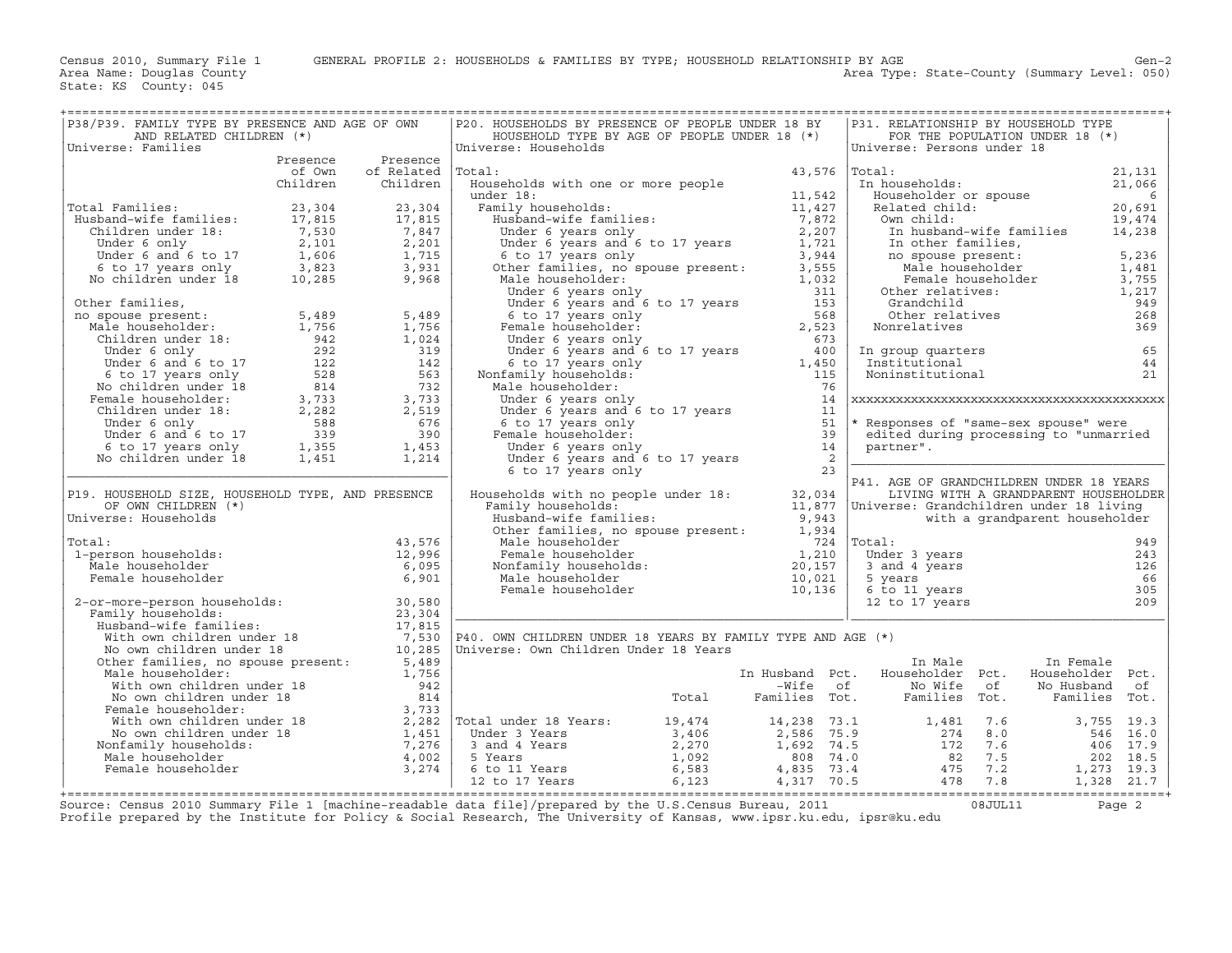Area Type: State-County (Summary Level: 050)

| P38/P39. FAMILY TYPE BY PRESENCE AND AGE OF OWN                                                                                                                                                                                                             |          |                   | P20. HOUSEHOLDS BY PRESENCE OF PEOPLE UNDER 18 BY                                                                                                                                                                                                       |  | P31. RELATIONSHIP BY HOUSEHOLD TYPE                                                                                                                                                                                                                                                                                                                                                                                                                                                                                               |                                       |     |
|-------------------------------------------------------------------------------------------------------------------------------------------------------------------------------------------------------------------------------------------------------------|----------|-------------------|---------------------------------------------------------------------------------------------------------------------------------------------------------------------------------------------------------------------------------------------------------|--|-----------------------------------------------------------------------------------------------------------------------------------------------------------------------------------------------------------------------------------------------------------------------------------------------------------------------------------------------------------------------------------------------------------------------------------------------------------------------------------------------------------------------------------|---------------------------------------|-----|
| AND RELATED CHILDREN (*)                                                                                                                                                                                                                                    |          |                   | HOUSEHOLD TYPE BY AGE OF PEOPLE UNDER 18 (*)                                                                                                                                                                                                            |  |                                                                                                                                                                                                                                                                                                                                                                                                                                                                                                                                   | FOR THE POPULATION UNDER 18 (*)       |     |
| Universe: Families                                                                                                                                                                                                                                          |          |                   | Universe: Households<br>Universe: Households<br>Maximum is from the second and the second and the second and the second and the second and the second and the second and the second and the second and the second and the second and the second and the |  | Universe: Persons under 18                                                                                                                                                                                                                                                                                                                                                                                                                                                                                                        |                                       |     |
|                                                                                                                                                                                                                                                             |          | Presence Presence |                                                                                                                                                                                                                                                         |  |                                                                                                                                                                                                                                                                                                                                                                                                                                                                                                                                   |                                       |     |
|                                                                                                                                                                                                                                                             |          | of Own of Related | Total:                                                                                                                                                                                                                                                  |  | $\begin{tabular}{ll} Total: & 21,131 \\ In householders or spouse & 21,066 \\ Related child: & 20,691 \\ Om child: & 19,474 \\ In husband-wife families & 14,238 \\ In other families, & 14,238 \\ In other families, & 14,238 \\ In other families, & 14,238 \\ In other families, & 14,238 \\ In other families, & 14,238 \\ In other families, & 284 \\ New Theale householder & 1,217 \\ Chem relatively 249 \\ Other relatives: & 1,217 \\ Grandchild & 949 \\ Other relatives & 268 \\ Nonrelatives & 369 \\ \end{tabular}$ |                                       |     |
|                                                                                                                                                                                                                                                             | Children | Children          |                                                                                                                                                                                                                                                         |  |                                                                                                                                                                                                                                                                                                                                                                                                                                                                                                                                   |                                       |     |
|                                                                                                                                                                                                                                                             |          |                   |                                                                                                                                                                                                                                                         |  |                                                                                                                                                                                                                                                                                                                                                                                                                                                                                                                                   |                                       |     |
|                                                                                                                                                                                                                                                             |          |                   |                                                                                                                                                                                                                                                         |  |                                                                                                                                                                                                                                                                                                                                                                                                                                                                                                                                   |                                       |     |
|                                                                                                                                                                                                                                                             |          |                   |                                                                                                                                                                                                                                                         |  |                                                                                                                                                                                                                                                                                                                                                                                                                                                                                                                                   |                                       |     |
|                                                                                                                                                                                                                                                             |          |                   |                                                                                                                                                                                                                                                         |  |                                                                                                                                                                                                                                                                                                                                                                                                                                                                                                                                   |                                       |     |
|                                                                                                                                                                                                                                                             |          |                   |                                                                                                                                                                                                                                                         |  |                                                                                                                                                                                                                                                                                                                                                                                                                                                                                                                                   |                                       |     |
|                                                                                                                                                                                                                                                             |          |                   |                                                                                                                                                                                                                                                         |  |                                                                                                                                                                                                                                                                                                                                                                                                                                                                                                                                   |                                       |     |
| Total Families:<br>Husband-wife families:<br>Children under 18:<br>Under 6 only 2,101 2,201<br>Under 6 and 6 to 17 1,606 1,715<br>6 to 17 years only 3,823 3,931<br>No children under 18 10,285 9,968                                                       |          |                   | Under 6 years and 6<br>6 to 17 years and 6<br>6 to 17 years only<br>Other families, no sp<br>Male householder:                                                                                                                                          |  |                                                                                                                                                                                                                                                                                                                                                                                                                                                                                                                                   |                                       |     |
|                                                                                                                                                                                                                                                             |          |                   |                                                                                                                                                                                                                                                         |  |                                                                                                                                                                                                                                                                                                                                                                                                                                                                                                                                   |                                       |     |
|                                                                                                                                                                                                                                                             |          |                   |                                                                                                                                                                                                                                                         |  |                                                                                                                                                                                                                                                                                                                                                                                                                                                                                                                                   |                                       |     |
|                                                                                                                                                                                                                                                             |          |                   |                                                                                                                                                                                                                                                         |  |                                                                                                                                                                                                                                                                                                                                                                                                                                                                                                                                   |                                       |     |
|                                                                                                                                                                                                                                                             |          |                   |                                                                                                                                                                                                                                                         |  |                                                                                                                                                                                                                                                                                                                                                                                                                                                                                                                                   |                                       |     |
|                                                                                                                                                                                                                                                             |          |                   |                                                                                                                                                                                                                                                         |  |                                                                                                                                                                                                                                                                                                                                                                                                                                                                                                                                   |                                       |     |
|                                                                                                                                                                                                                                                             |          |                   |                                                                                                                                                                                                                                                         |  |                                                                                                                                                                                                                                                                                                                                                                                                                                                                                                                                   |                                       | 65  |
|                                                                                                                                                                                                                                                             |          |                   |                                                                                                                                                                                                                                                         |  |                                                                                                                                                                                                                                                                                                                                                                                                                                                                                                                                   |                                       | 44  |
|                                                                                                                                                                                                                                                             |          |                   |                                                                                                                                                                                                                                                         |  |                                                                                                                                                                                                                                                                                                                                                                                                                                                                                                                                   |                                       | 21  |
|                                                                                                                                                                                                                                                             |          |                   |                                                                                                                                                                                                                                                         |  |                                                                                                                                                                                                                                                                                                                                                                                                                                                                                                                                   |                                       |     |
|                                                                                                                                                                                                                                                             |          |                   |                                                                                                                                                                                                                                                         |  |                                                                                                                                                                                                                                                                                                                                                                                                                                                                                                                                   |                                       |     |
|                                                                                                                                                                                                                                                             |          |                   |                                                                                                                                                                                                                                                         |  |                                                                                                                                                                                                                                                                                                                                                                                                                                                                                                                                   |                                       |     |
|                                                                                                                                                                                                                                                             |          |                   |                                                                                                                                                                                                                                                         |  |                                                                                                                                                                                                                                                                                                                                                                                                                                                                                                                                   |                                       |     |
|                                                                                                                                                                                                                                                             |          |                   |                                                                                                                                                                                                                                                         |  |                                                                                                                                                                                                                                                                                                                                                                                                                                                                                                                                   |                                       |     |
|                                                                                                                                                                                                                                                             |          |                   |                                                                                                                                                                                                                                                         |  |                                                                                                                                                                                                                                                                                                                                                                                                                                                                                                                                   |                                       |     |
| 0ther families,<br>no spouse present:<br>Male householder:<br>Male householder:<br>1,756<br>Children under 18:<br>Under 6 only<br>Under 6 only<br>292<br>1,024<br>Under 6 only<br>6 to 17 years only<br>Remale householder:<br>3,733<br>2,28<br>No children |          |                   |                                                                                                                                                                                                                                                         |  |                                                                                                                                                                                                                                                                                                                                                                                                                                                                                                                                   |                                       |     |
|                                                                                                                                                                                                                                                             |          |                   |                                                                                                                                                                                                                                                         |  |                                                                                                                                                                                                                                                                                                                                                                                                                                                                                                                                   |                                       |     |
| P19. HOUSEHOLD SIZE, HOUSEHOLD TYPE, AND PRESENCE                                                                                                                                                                                                           |          |                   |                                                                                                                                                                                                                                                         |  |                                                                                                                                                                                                                                                                                                                                                                                                                                                                                                                                   | LIVING WITH A GRANDPARENT HOUSEHOLDER |     |
| OF OWN CHILDREN (*)                                                                                                                                                                                                                                         |          |                   |                                                                                                                                                                                                                                                         |  |                                                                                                                                                                                                                                                                                                                                                                                                                                                                                                                                   |                                       |     |
| OF OWN CHILDREN (*)<br>Universe: Households<br>Total:<br>1-person households:<br>Male householder<br>Female householder<br>6,995<br>Female householder<br>6,991<br>Universe: Households                                                                     |          |                   |                                                                                                                                                                                                                                                         |  |                                                                                                                                                                                                                                                                                                                                                                                                                                                                                                                                   |                                       |     |
|                                                                                                                                                                                                                                                             |          |                   |                                                                                                                                                                                                                                                         |  |                                                                                                                                                                                                                                                                                                                                                                                                                                                                                                                                   |                                       |     |
| Total:                                                                                                                                                                                                                                                      |          |                   |                                                                                                                                                                                                                                                         |  |                                                                                                                                                                                                                                                                                                                                                                                                                                                                                                                                   |                                       | 949 |
|                                                                                                                                                                                                                                                             |          |                   |                                                                                                                                                                                                                                                         |  | Uotal:<br>Under 3 years<br>3 and 4 years<br>5 years<br>6 to 11 years<br>12 to 17 years                                                                                                                                                                                                                                                                                                                                                                                                                                            |                                       | 243 |
|                                                                                                                                                                                                                                                             |          |                   |                                                                                                                                                                                                                                                         |  |                                                                                                                                                                                                                                                                                                                                                                                                                                                                                                                                   |                                       | 126 |
|                                                                                                                                                                                                                                                             |          |                   |                                                                                                                                                                                                                                                         |  |                                                                                                                                                                                                                                                                                                                                                                                                                                                                                                                                   |                                       | 66  |
|                                                                                                                                                                                                                                                             |          |                   |                                                                                                                                                                                                                                                         |  |                                                                                                                                                                                                                                                                                                                                                                                                                                                                                                                                   |                                       | 305 |
|                                                                                                                                                                                                                                                             |          |                   |                                                                                                                                                                                                                                                         |  |                                                                                                                                                                                                                                                                                                                                                                                                                                                                                                                                   |                                       |     |
|                                                                                                                                                                                                                                                             |          |                   |                                                                                                                                                                                                                                                         |  |                                                                                                                                                                                                                                                                                                                                                                                                                                                                                                                                   |                                       |     |
|                                                                                                                                                                                                                                                             |          |                   |                                                                                                                                                                                                                                                         |  |                                                                                                                                                                                                                                                                                                                                                                                                                                                                                                                                   |                                       |     |
|                                                                                                                                                                                                                                                             |          |                   |                                                                                                                                                                                                                                                         |  |                                                                                                                                                                                                                                                                                                                                                                                                                                                                                                                                   |                                       |     |
|                                                                                                                                                                                                                                                             |          |                   |                                                                                                                                                                                                                                                         |  |                                                                                                                                                                                                                                                                                                                                                                                                                                                                                                                                   |                                       |     |
|                                                                                                                                                                                                                                                             |          |                   |                                                                                                                                                                                                                                                         |  |                                                                                                                                                                                                                                                                                                                                                                                                                                                                                                                                   |                                       |     |
|                                                                                                                                                                                                                                                             |          |                   |                                                                                                                                                                                                                                                         |  |                                                                                                                                                                                                                                                                                                                                                                                                                                                                                                                                   |                                       |     |
|                                                                                                                                                                                                                                                             |          |                   |                                                                                                                                                                                                                                                         |  |                                                                                                                                                                                                                                                                                                                                                                                                                                                                                                                                   |                                       |     |
|                                                                                                                                                                                                                                                             |          |                   |                                                                                                                                                                                                                                                         |  |                                                                                                                                                                                                                                                                                                                                                                                                                                                                                                                                   |                                       |     |
|                                                                                                                                                                                                                                                             |          |                   |                                                                                                                                                                                                                                                         |  |                                                                                                                                                                                                                                                                                                                                                                                                                                                                                                                                   |                                       |     |
|                                                                                                                                                                                                                                                             |          |                   |                                                                                                                                                                                                                                                         |  |                                                                                                                                                                                                                                                                                                                                                                                                                                                                                                                                   |                                       |     |
|                                                                                                                                                                                                                                                             |          |                   |                                                                                                                                                                                                                                                         |  |                                                                                                                                                                                                                                                                                                                                                                                                                                                                                                                                   |                                       |     |
|                                                                                                                                                                                                                                                             |          |                   |                                                                                                                                                                                                                                                         |  |                                                                                                                                                                                                                                                                                                                                                                                                                                                                                                                                   |                                       |     |
|                                                                                                                                                                                                                                                             |          |                   |                                                                                                                                                                                                                                                         |  |                                                                                                                                                                                                                                                                                                                                                                                                                                                                                                                                   |                                       |     |
|                                                                                                                                                                                                                                                             |          |                   |                                                                                                                                                                                                                                                         |  |                                                                                                                                                                                                                                                                                                                                                                                                                                                                                                                                   |                                       |     |
|                                                                                                                                                                                                                                                             |          |                   |                                                                                                                                                                                                                                                         |  |                                                                                                                                                                                                                                                                                                                                                                                                                                                                                                                                   |                                       |     |
| Source: Census 2010 Summary File 1 [machine-readable data file]/prepared by the U.S.Census Bureau, 2011 [10] 08JUL11 Page 2                                                                                                                                 |          |                   |                                                                                                                                                                                                                                                         |  |                                                                                                                                                                                                                                                                                                                                                                                                                                                                                                                                   |                                       |     |
| Profile prepared by the Institute for Policy & Social Research, The University of Kansas, www.ipsr.ku.edu, ipsr@ku.edu                                                                                                                                      |          |                   |                                                                                                                                                                                                                                                         |  |                                                                                                                                                                                                                                                                                                                                                                                                                                                                                                                                   |                                       |     |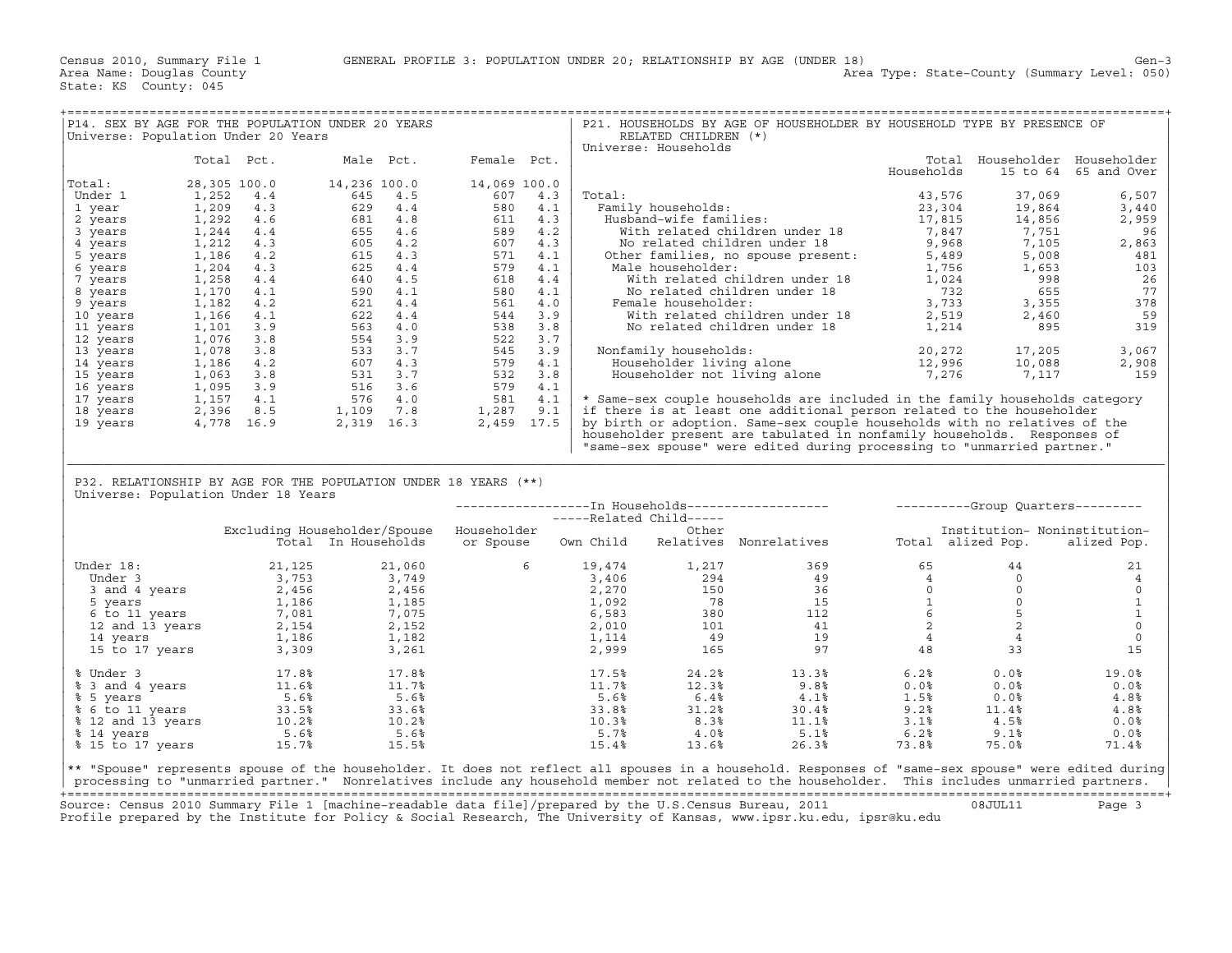| P14. SEX BY AGE FOR THE POPULATION UNDER 20 YEARS<br>Universe: Population Under 20 Years                                                                                                                                                                                                              |              |                                                                                                                                                                                                                                                                                                                                         |              |        | RELATED CHILDREN (*)              | P21. HOUSEHOLDS BY AGE OF HOUSEHOLDER BY HOUSEHOLD TYPE BY PRESENCE OF                                                                                                                                                                                                                                                      |                                                    |                              |                               |
|-------------------------------------------------------------------------------------------------------------------------------------------------------------------------------------------------------------------------------------------------------------------------------------------------------|--------------|-----------------------------------------------------------------------------------------------------------------------------------------------------------------------------------------------------------------------------------------------------------------------------------------------------------------------------------------|--------------|--------|-----------------------------------|-----------------------------------------------------------------------------------------------------------------------------------------------------------------------------------------------------------------------------------------------------------------------------------------------------------------------------|----------------------------------------------------|------------------------------|-------------------------------|
|                                                                                                                                                                                                                                                                                                       |              |                                                                                                                                                                                                                                                                                                                                         |              |        | Universe: Households              |                                                                                                                                                                                                                                                                                                                             |                                                    |                              |                               |
|                                                                                                                                                                                                                                                                                                       | Total Pct.   | Male Pct. Female Pct.                                                                                                                                                                                                                                                                                                                   |              |        |                                   |                                                                                                                                                                                                                                                                                                                             |                                                    |                              | Total Householder Householder |
|                                                                                                                                                                                                                                                                                                       |              |                                                                                                                                                                                                                                                                                                                                         |              |        |                                   |                                                                                                                                                                                                                                                                                                                             | Households                                         |                              | 15 to 64 65 and Over          |
| Total:                                                                                                                                                                                                                                                                                                | 28,305 100.0 | 14,236 100.0<br>$\begin{array}{cccccc} 28, 305 & 100.0 & & 14\,, 236 & 100.0 & & 14\,, 069 & 100.0 \\ 1, 252 & 4\cdot 4 & 645 & 4\cdot 5 & & 607 & 4\cdot 3 \\ 1, 299 & 4\cdot 3 & 629 & 4\cdot 4 & 580 & 4\cdot 1 \\ 1, 292 & 4\cdot 6 & 681 & 4\cdot 8 & 580 & 4\cdot 1 \\ 1, 214 & 4\cdot 4 & 655 & 4\cdot 6 & 589 & 4\cdot 2 \\ 1,$ | 14,069 100.0 |        |                                   |                                                                                                                                                                                                                                                                                                                             |                                                    |                              |                               |
| Under 1                                                                                                                                                                                                                                                                                               |              |                                                                                                                                                                                                                                                                                                                                         |              | Total: |                                   |                                                                                                                                                                                                                                                                                                                             | 43,576                                             | 37,069                       | 6,507                         |
| 1 year                                                                                                                                                                                                                                                                                                |              |                                                                                                                                                                                                                                                                                                                                         |              |        |                                   |                                                                                                                                                                                                                                                                                                                             |                                                    |                              | 3,440                         |
| 2 years                                                                                                                                                                                                                                                                                               |              |                                                                                                                                                                                                                                                                                                                                         |              |        |                                   |                                                                                                                                                                                                                                                                                                                             |                                                    |                              | 2,959                         |
| 3 years                                                                                                                                                                                                                                                                                               |              |                                                                                                                                                                                                                                                                                                                                         |              |        |                                   |                                                                                                                                                                                                                                                                                                                             |                                                    |                              | 96                            |
| 4 years                                                                                                                                                                                                                                                                                               |              |                                                                                                                                                                                                                                                                                                                                         |              |        |                                   |                                                                                                                                                                                                                                                                                                                             |                                                    |                              | 2,863                         |
| 5 years                                                                                                                                                                                                                                                                                               |              |                                                                                                                                                                                                                                                                                                                                         |              |        |                                   |                                                                                                                                                                                                                                                                                                                             |                                                    |                              | 481                           |
| 6 years                                                                                                                                                                                                                                                                                               |              |                                                                                                                                                                                                                                                                                                                                         |              |        |                                   |                                                                                                                                                                                                                                                                                                                             |                                                    |                              | 103                           |
| 7 years                                                                                                                                                                                                                                                                                               |              |                                                                                                                                                                                                                                                                                                                                         |              |        |                                   |                                                                                                                                                                                                                                                                                                                             |                                                    |                              | 26                            |
| 8 years                                                                                                                                                                                                                                                                                               |              |                                                                                                                                                                                                                                                                                                                                         |              |        |                                   |                                                                                                                                                                                                                                                                                                                             |                                                    |                              | 77                            |
| 9 years                                                                                                                                                                                                                                                                                               |              |                                                                                                                                                                                                                                                                                                                                         |              |        |                                   |                                                                                                                                                                                                                                                                                                                             |                                                    |                              | 378                           |
| 10 years                                                                                                                                                                                                                                                                                              |              |                                                                                                                                                                                                                                                                                                                                         |              |        |                                   |                                                                                                                                                                                                                                                                                                                             |                                                    |                              | 59                            |
| 11 years                                                                                                                                                                                                                                                                                              |              |                                                                                                                                                                                                                                                                                                                                         |              |        |                                   |                                                                                                                                                                                                                                                                                                                             |                                                    |                              | 319                           |
| 12 years                                                                                                                                                                                                                                                                                              |              |                                                                                                                                                                                                                                                                                                                                         |              |        |                                   |                                                                                                                                                                                                                                                                                                                             |                                                    |                              |                               |
| 13 years                                                                                                                                                                                                                                                                                              |              |                                                                                                                                                                                                                                                                                                                                         |              |        |                                   |                                                                                                                                                                                                                                                                                                                             |                                                    |                              | 3,067                         |
| 14 years                                                                                                                                                                                                                                                                                              |              |                                                                                                                                                                                                                                                                                                                                         |              |        |                                   |                                                                                                                                                                                                                                                                                                                             |                                                    |                              | 2,908                         |
| 15 years                                                                                                                                                                                                                                                                                              |              |                                                                                                                                                                                                                                                                                                                                         |              |        |                                   | Nonfamily households:<br>Householder living alone 12,996 10,088<br>Householder not living alone 7,276 7,117                                                                                                                                                                                                                 |                                                    |                              | 159                           |
| 16 years                                                                                                                                                                                                                                                                                              |              |                                                                                                                                                                                                                                                                                                                                         |              |        |                                   |                                                                                                                                                                                                                                                                                                                             |                                                    |                              |                               |
| 17 years                                                                                                                                                                                                                                                                                              |              |                                                                                                                                                                                                                                                                                                                                         |              |        |                                   | * Same-sex couple households are included in the family households category                                                                                                                                                                                                                                                 |                                                    |                              |                               |
| 18 years                                                                                                                                                                                                                                                                                              |              |                                                                                                                                                                                                                                                                                                                                         |              |        |                                   | if there is at least one additional person related to the householder                                                                                                                                                                                                                                                       |                                                    |                              |                               |
| 19 years                                                                                                                                                                                                                                                                                              |              |                                                                                                                                                                                                                                                                                                                                         |              |        |                                   | by birth or adoption. Same-sex couple households with no relatives of the                                                                                                                                                                                                                                                   |                                                    |                              |                               |
|                                                                                                                                                                                                                                                                                                       |              |                                                                                                                                                                                                                                                                                                                                         |              |        |                                   | householder present are tabulated in nonfamily households. Responses of                                                                                                                                                                                                                                                     |                                                    |                              |                               |
|                                                                                                                                                                                                                                                                                                       |              |                                                                                                                                                                                                                                                                                                                                         |              |        |                                   |                                                                                                                                                                                                                                                                                                                             |                                                    |                              |                               |
|                                                                                                                                                                                                                                                                                                       |              |                                                                                                                                                                                                                                                                                                                                         |              |        |                                   | "same-sex spouse" were edited during processing to "unmarried partner."                                                                                                                                                                                                                                                     |                                                    |                              |                               |
|                                                                                                                                                                                                                                                                                                       |              |                                                                                                                                                                                                                                                                                                                                         |              |        |                                   |                                                                                                                                                                                                                                                                                                                             |                                                    |                              |                               |
|                                                                                                                                                                                                                                                                                                       |              |                                                                                                                                                                                                                                                                                                                                         |              |        |                                   |                                                                                                                                                                                                                                                                                                                             |                                                    |                              |                               |
| P32. RELATIONSHIP BY AGE FOR THE POPULATION UNDER 18 YEARS (**)                                                                                                                                                                                                                                       |              |                                                                                                                                                                                                                                                                                                                                         |              |        |                                   |                                                                                                                                                                                                                                                                                                                             |                                                    |                              |                               |
| Universe: Population Under 18 Years                                                                                                                                                                                                                                                                   |              |                                                                                                                                                                                                                                                                                                                                         |              |        |                                   |                                                                                                                                                                                                                                                                                                                             |                                                    |                              |                               |
|                                                                                                                                                                                                                                                                                                       |              |                                                                                                                                                                                                                                                                                                                                         |              |        |                                   |                                                                                                                                                                                                                                                                                                                             |                                                    |                              |                               |
|                                                                                                                                                                                                                                                                                                       |              |                                                                                                                                                                                                                                                                                                                                         |              |        |                                   |                                                                                                                                                                                                                                                                                                                             |                                                    |                              |                               |
|                                                                                                                                                                                                                                                                                                       |              | Excluding Householder/Spouse Householder                                                                                                                                                                                                                                                                                                |              |        | ------Related Child-----<br>Other |                                                                                                                                                                                                                                                                                                                             |                                                    | Institution- Noninstitution- |                               |
|                                                                                                                                                                                                                                                                                                       |              |                                                                                                                                                                                                                                                                                                                                         |              |        |                                   | -ing housenoider/spouse housenoider<br>-Total In-Households or-Spouse Own-Child Relatives Nonrelatives – Total alized-Pop. alized-Pop.                                                                                                                                                                                      |                                                    |                              |                               |
|                                                                                                                                                                                                                                                                                                       |              |                                                                                                                                                                                                                                                                                                                                         |              |        |                                   |                                                                                                                                                                                                                                                                                                                             |                                                    |                              |                               |
| Under 18:                                                                                                                                                                                                                                                                                             |              |                                                                                                                                                                                                                                                                                                                                         |              |        |                                   |                                                                                                                                                                                                                                                                                                                             |                                                    |                              | 21                            |
|                                                                                                                                                                                                                                                                                                       |              |                                                                                                                                                                                                                                                                                                                                         |              |        |                                   |                                                                                                                                                                                                                                                                                                                             |                                                    |                              | $\overline{4}$                |
|                                                                                                                                                                                                                                                                                                       |              |                                                                                                                                                                                                                                                                                                                                         |              |        |                                   |                                                                                                                                                                                                                                                                                                                             |                                                    |                              | $\circ$                       |
|                                                                                                                                                                                                                                                                                                       |              |                                                                                                                                                                                                                                                                                                                                         |              |        |                                   |                                                                                                                                                                                                                                                                                                                             |                                                    |                              | $\mathbf{1}$                  |
|                                                                                                                                                                                                                                                                                                       |              |                                                                                                                                                                                                                                                                                                                                         |              |        |                                   |                                                                                                                                                                                                                                                                                                                             |                                                    |                              | $\,$ 1                        |
|                                                                                                                                                                                                                                                                                                       |              |                                                                                                                                                                                                                                                                                                                                         |              |        |                                   |                                                                                                                                                                                                                                                                                                                             |                                                    |                              | $\mathbb O$                   |
|                                                                                                                                                                                                                                                                                                       |              |                                                                                                                                                                                                                                                                                                                                         |              |        |                                   |                                                                                                                                                                                                                                                                                                                             |                                                    |                              | $\circ$                       |
|                                                                                                                                                                                                                                                                                                       |              |                                                                                                                                                                                                                                                                                                                                         |              |        |                                   |                                                                                                                                                                                                                                                                                                                             |                                                    |                              | 15                            |
| mder 18: 21,125 21,060<br>Under 3 3,753 3,749<br>3 and 4 years 2,456 2,456<br>5 years 1,186 1,185<br>12 and 13 years 2,454 7,075<br>12 and 13 years 2,154 2,152<br>14 years 1,186 1,182<br>15 to 17 years 3,309 3,261                                                                                 |              |                                                                                                                                                                                                                                                                                                                                         |              |        |                                   | $\begin{array}{cccccccc} 6 & & 19,474 & & 1,217 & & 369 & & 65 & & 44 \\ & 3,406 & & 294 & & 49 & & 4 & & 0 \\ & 2,270 & & 150 & & 36 & & 0 & & 0 \\ 1,092 & & 78 & & 15 & & 1 & & 0 \\ 6,583 & & 380 & & 112 & & 6 & 5 \\ 2,010 & & 301 & & 41 & & 2 & 2 \\ 1,114 & & 49 & & 19 & & 4 & & 4 \\ 2,999 & & 165 & & 97 & & 4$ |                                                    |                              |                               |
|                                                                                                                                                                                                                                                                                                       |              |                                                                                                                                                                                                                                                                                                                                         |              | 17.5%  |                                   |                                                                                                                                                                                                                                                                                                                             |                                                    |                              | 19.0%                         |
|                                                                                                                                                                                                                                                                                                       |              |                                                                                                                                                                                                                                                                                                                                         |              | 11.7%  |                                   | $\begin{array}{cccc} 24.2\% & \hspace{1.5cm} 13.3\% & \hspace{1.5cm} 6.2\% \\ 12.3\% & \hspace{1.5cm} 9.8\% & \hspace{1.5cm} 0.0\% \end{array}$                                                                                                                                                                             |                                                    | 0.0%<br>$0.0\%$              | 0.0%                          |
|                                                                                                                                                                                                                                                                                                       |              |                                                                                                                                                                                                                                                                                                                                         |              | 5.6%   |                                   |                                                                                                                                                                                                                                                                                                                             | 1.5%                                               | 0.0%                         | 4.8%                          |
|                                                                                                                                                                                                                                                                                                       |              |                                                                                                                                                                                                                                                                                                                                         |              | 33.8%  |                                   |                                                                                                                                                                                                                                                                                                                             |                                                    |                              | 4.8%                          |
|                                                                                                                                                                                                                                                                                                       |              |                                                                                                                                                                                                                                                                                                                                         |              | 10.3%  |                                   |                                                                                                                                                                                                                                                                                                                             |                                                    |                              | 0.0%                          |
|                                                                                                                                                                                                                                                                                                       |              |                                                                                                                                                                                                                                                                                                                                         |              | 5.7%   | 4.0%                              | $24.2%$<br>$12.3%$<br>$6.4%$<br>$31.2%$<br>$8.3%$<br>$11.1%$<br>$18.3%$<br>$11.1%$<br>$11.8%$<br>$11.1%$<br>5.1%                                                                                                                                                                                                            | $1.5%$ 0.0%<br>$9.2%$ 11.4%<br>$3.1%$ 4.5%<br>6.2% | 9.1%                         | $0.0\%$                       |
| % Under 3<br>% 3 and 4 years<br>% 5 years<br>% 5 years<br>% 5.6%<br>% 5.6%<br>% 12 and 13 years<br>% 14 years<br>% 14 years<br>% 14 years<br>% 5.6%<br>% 5.6%<br>.5.6%<br>.5.6%<br>.5.6%<br>.5.6%<br>.5.6%<br>.5.6%<br>.5.6%<br>% 15 to 17 years 15.7%                                                |              | 15.5%                                                                                                                                                                                                                                                                                                                                   |              | 15.4%  | 13.6%                             | 26.3%                                                                                                                                                                                                                                                                                                                       | 73.8%                                              | 75.0%                        | 71.4%                         |
|                                                                                                                                                                                                                                                                                                       |              |                                                                                                                                                                                                                                                                                                                                         |              |        |                                   |                                                                                                                                                                                                                                                                                                                             |                                                    |                              |                               |
| ** "Spouse" represents spouse of the householder. It does not reflect all spouses in a household. Responses of "same-sex spouse" were edited during<br>processing to "unmarried partner." Nonrelatives include any household member not related to the householder. This includes unmarried partners. |              |                                                                                                                                                                                                                                                                                                                                         |              |        |                                   |                                                                                                                                                                                                                                                                                                                             |                                                    |                              |                               |

+===================================================================================================================================================+ Source: Census 2010 Summary File 1 [machine−readable data file]/prepared by the U.S.Census Bureau, 2011 08JUL11 Page 3 Profile prepared by the Institute for Policy & Social Research, The University of Kansas, www.ipsr.ku.edu, ipsr@ku.edu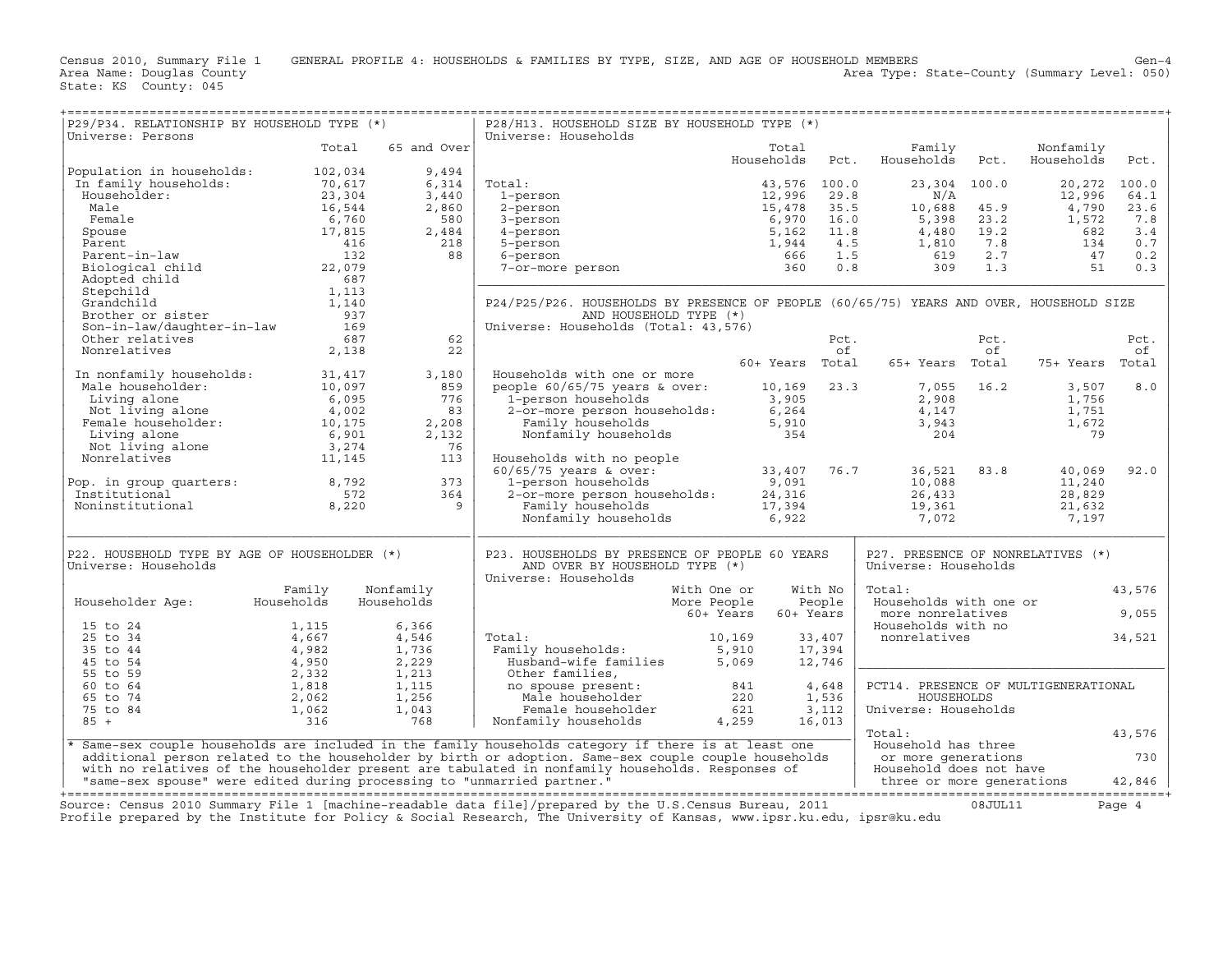| P29/P34. RELATIONSHIP BY HOUSEHOLD TYPE (*)                                                                                                                                                                                                                                                                                                                                                                                                                                                                                                    |        |                                                                                 | P28/H13. HOUSEHOLD SIZE BY HOUSEHOLD TYPE (*)                                                                                                                                                                                                                      |                          |         |                                                 |      |                         |        |
|------------------------------------------------------------------------------------------------------------------------------------------------------------------------------------------------------------------------------------------------------------------------------------------------------------------------------------------------------------------------------------------------------------------------------------------------------------------------------------------------------------------------------------------------|--------|---------------------------------------------------------------------------------|--------------------------------------------------------------------------------------------------------------------------------------------------------------------------------------------------------------------------------------------------------------------|--------------------------|---------|-------------------------------------------------|------|-------------------------|--------|
| Universe: Persons                                                                                                                                                                                                                                                                                                                                                                                                                                                                                                                              | Total  |                                                                                 | Universe: Households                                                                                                                                                                                                                                               |                          |         |                                                 |      |                         |        |
|                                                                                                                                                                                                                                                                                                                                                                                                                                                                                                                                                |        | 65 and Over                                                                     |                                                                                                                                                                                                                                                                    | Total<br>Households Pct. |         | Family<br>Households                            | Pct. | Nonfamily<br>Households | Pct.   |
| Population in households: 102,034<br>$\begin{tabular}{l l l l} \textbf{Population in households:} & \color{red}{102\,034} \\ \textbf{In family households:} & \color{red}{70\,617} \\ \textbf{Householder:} & \color{red}{23\,394} \\ \textbf{Male} & \color{red}{16\,544} \\ \textbf{Female} & \color{red}{6\,760} \\ \textbf{Spouse} & \color{red}{17\,815} \\ \textbf{Parent-in-law} & \color{red}{416} \\ \textbf{Brent-in-law} & \color{red}{132} \\ \textbf{Biological child} & \color{red}{22\,079} \\ \textbf{Adopted child} & \color$ |        | 9,494<br>6,314<br>3,440<br>2,860<br>2,484<br>218                                |                                                                                                                                                                                                                                                                    |                          |         |                                                 |      |                         |        |
|                                                                                                                                                                                                                                                                                                                                                                                                                                                                                                                                                |        |                                                                                 | Total:                                                                                                                                                                                                                                                             | 43,576 100.0             |         | 23,304 100.0                                    |      | 20,272 100.0            |        |
|                                                                                                                                                                                                                                                                                                                                                                                                                                                                                                                                                |        |                                                                                 |                                                                                                                                                                                                                                                                    |                          |         |                                                 |      |                         | 64.1   |
|                                                                                                                                                                                                                                                                                                                                                                                                                                                                                                                                                |        |                                                                                 |                                                                                                                                                                                                                                                                    |                          |         |                                                 |      |                         | 23.6   |
|                                                                                                                                                                                                                                                                                                                                                                                                                                                                                                                                                |        |                                                                                 | 6,314 Total:<br>3,440 1-person<br>2,860 2-person<br>3-person<br>3-person<br>580 3-person<br>3-person<br>560 3-person<br>560 3-person<br>5,162 11.8<br>5,162 11.8<br>5,162 11.8<br>4,480 19.2<br>5,398 23.2<br>5,398 23.2<br>5,398 23.2<br>1,572<br>6,970 16.0<br>5 |                          |         |                                                 |      |                         | 7.8    |
|                                                                                                                                                                                                                                                                                                                                                                                                                                                                                                                                                |        |                                                                                 |                                                                                                                                                                                                                                                                    |                          |         |                                                 |      |                         | 3.4    |
|                                                                                                                                                                                                                                                                                                                                                                                                                                                                                                                                                |        | 218                                                                             |                                                                                                                                                                                                                                                                    |                          |         |                                                 |      |                         | 0.7    |
|                                                                                                                                                                                                                                                                                                                                                                                                                                                                                                                                                |        |                                                                                 |                                                                                                                                                                                                                                                                    |                          |         |                                                 |      |                         | 0.2    |
|                                                                                                                                                                                                                                                                                                                                                                                                                                                                                                                                                |        |                                                                                 |                                                                                                                                                                                                                                                                    |                          |         |                                                 |      |                         | 0.3    |
|                                                                                                                                                                                                                                                                                                                                                                                                                                                                                                                                                |        |                                                                                 |                                                                                                                                                                                                                                                                    |                          |         |                                                 |      |                         |        |
|                                                                                                                                                                                                                                                                                                                                                                                                                                                                                                                                                |        |                                                                                 | P24/P25/P26. HOUSEHOLDS BY PRESENCE OF PEOPLE (60/65/75) YEARS AND OVER, HOUSEHOLD SIZE                                                                                                                                                                            |                          |         |                                                 |      |                         |        |
|                                                                                                                                                                                                                                                                                                                                                                                                                                                                                                                                                |        |                                                                                 | AND HOUSEHOLD TYPE (*)                                                                                                                                                                                                                                             |                          |         |                                                 |      |                         |        |
|                                                                                                                                                                                                                                                                                                                                                                                                                                                                                                                                                |        |                                                                                 | Universe: Households (Total: 43,576)                                                                                                                                                                                                                               |                          |         |                                                 |      |                         |        |
|                                                                                                                                                                                                                                                                                                                                                                                                                                                                                                                                                |        | 62                                                                              |                                                                                                                                                                                                                                                                    |                          |         |                                                 | Pct. |                         | Pct.   |
|                                                                                                                                                                                                                                                                                                                                                                                                                                                                                                                                                |        | 22                                                                              |                                                                                                                                                                                                                                                                    |                          | of      | Pct.                                            | of   |                         | оf     |
|                                                                                                                                                                                                                                                                                                                                                                                                                                                                                                                                                |        |                                                                                 |                                                                                                                                                                                                                                                                    |                          |         | 60+ Years Total 65+ Years Total 75+ Years Total |      |                         |        |
|                                                                                                                                                                                                                                                                                                                                                                                                                                                                                                                                                |        | 3,180                                                                           | Households with one or more                                                                                                                                                                                                                                        |                          |         |                                                 |      |                         |        |
|                                                                                                                                                                                                                                                                                                                                                                                                                                                                                                                                                |        | 859                                                                             |                                                                                                                                                                                                                                                                    |                          |         |                                                 |      |                         | 8.0    |
|                                                                                                                                                                                                                                                                                                                                                                                                                                                                                                                                                |        |                                                                                 |                                                                                                                                                                                                                                                                    |                          |         |                                                 |      |                         |        |
|                                                                                                                                                                                                                                                                                                                                                                                                                                                                                                                                                |        |                                                                                 |                                                                                                                                                                                                                                                                    |                          |         |                                                 |      |                         |        |
|                                                                                                                                                                                                                                                                                                                                                                                                                                                                                                                                                |        |                                                                                 | people 60/65/75 years & over:<br>10,169 23.3 7,055 16.2 3,507<br>1-person households 3,905 2,908 1,756<br>2-or-more person households: 6,264 4,147 1,751<br>Family households 5,910 3,943 1,672<br>Nonfamily households 354 79                                     |                          |         |                                                 |      |                         |        |
|                                                                                                                                                                                                                                                                                                                                                                                                                                                                                                                                                |        |                                                                                 |                                                                                                                                                                                                                                                                    |                          |         |                                                 |      |                         |        |
|                                                                                                                                                                                                                                                                                                                                                                                                                                                                                                                                                |        |                                                                                 |                                                                                                                                                                                                                                                                    |                          |         |                                                 |      |                         |        |
| 10 nonfamily households:<br>Male householder:<br>$10,097$<br>Living alone<br>Not living alone<br>$4,002$<br>Female householder:<br>Living alone<br>$10,175$<br>Living alone<br>$6,901$<br>Not living alone<br>$6,901$<br>Not living alone<br>$3,274$<br>Nonr                                                                                                                                                                                                                                                                                   |        | $\begin{array}{r} 7659 \\ 859 \\ 83 \\ 2,208 \\ 2,132 \\ 76 \\ 113 \end{array}$ |                                                                                                                                                                                                                                                                    |                          |         |                                                 |      |                         |        |
|                                                                                                                                                                                                                                                                                                                                                                                                                                                                                                                                                |        |                                                                                 |                                                                                                                                                                                                                                                                    |                          |         |                                                 |      | 40,069                  | 92.0   |
|                                                                                                                                                                                                                                                                                                                                                                                                                                                                                                                                                |        |                                                                                 |                                                                                                                                                                                                                                                                    |                          |         |                                                 |      |                         |        |
|                                                                                                                                                                                                                                                                                                                                                                                                                                                                                                                                                |        |                                                                                 |                                                                                                                                                                                                                                                                    |                          |         |                                                 |      |                         |        |
| Pop. in group quarters:<br>Institutional<br>Noninstitutional<br>9 8,220<br>19                                                                                                                                                                                                                                                                                                                                                                                                                                                                  |        |                                                                                 |                                                                                                                                                                                                                                                                    |                          |         |                                                 |      |                         |        |
|                                                                                                                                                                                                                                                                                                                                                                                                                                                                                                                                                |        |                                                                                 |                                                                                                                                                                                                                                                                    |                          |         |                                                 |      |                         |        |
| P22. HOUSEHOLD TYPE BY AGE OF HOUSEHOLDER (*)                                                                                                                                                                                                                                                                                                                                                                                                                                                                                                  |        |                                                                                 | P23. HOUSEHOLDS BY PRESENCE OF PEOPLE 60 YEARS                                                                                                                                                                                                                     |                          |         | P27. PRESENCE OF NONRELATIVES (*)               |      |                         |        |
| Universe: Households                                                                                                                                                                                                                                                                                                                                                                                                                                                                                                                           |        |                                                                                 | AND OVER BY HOUSEHOLD TYPE (*)                                                                                                                                                                                                                                     |                          |         | Universe: Households                            |      |                         |        |
|                                                                                                                                                                                                                                                                                                                                                                                                                                                                                                                                                |        |                                                                                 | Universe: Households                                                                                                                                                                                                                                               |                          |         |                                                 |      |                         |        |
|                                                                                                                                                                                                                                                                                                                                                                                                                                                                                                                                                | Family | Nonfamily                                                                       | With One or<br>More People                                                                                                                                                                                                                                         |                          | With No | Total:                                          |      |                         | 43,576 |
| Householder Age: Households                                                                                                                                                                                                                                                                                                                                                                                                                                                                                                                    |        | Households                                                                      |                                                                                                                                                                                                                                                                    | People                   |         | Households with one or                          |      |                         |        |
|                                                                                                                                                                                                                                                                                                                                                                                                                                                                                                                                                |        |                                                                                 |                                                                                                                                                                                                                                                                    | 60+ Years 60+ Years      |         | more nonrelatives                               |      |                         | 9,055  |
| $\begin{array}{cccc} 15&\text{to}&24&\text{ }&1,115&\text{ }&6,366\\ 25&\text{to}&34&\text{ }4,667&\text{ }4,546\\ 35&\text{to}&44&\text{ }4,982&\text{ }1,736\\ 45&\text{to}&54&\text{ }4,950&\text{ }2,229\\ 56&\text{to}&64&\text{ }1,818&\text{ }1,115\\ 65&\text{to}&74&\text{ }2,062&\text{ }1,256\\ 75&\text{to}&84&\text{ }316$                                                                                                                                                                                                        |        |                                                                                 | Total:<br>Family households:<br>Husband-wife families<br>Other families,<br>no spouse present:<br>Male householder<br>Male householder<br>Female householder<br>Male householder<br>(1990)<br>1,536<br>Female householder<br>(1990)<br>1,536<br>Female hou         |                          |         | Households with no                              |      |                         |        |
|                                                                                                                                                                                                                                                                                                                                                                                                                                                                                                                                                |        |                                                                                 |                                                                                                                                                                                                                                                                    |                          |         | nonrelatives                                    |      |                         | 34,521 |
|                                                                                                                                                                                                                                                                                                                                                                                                                                                                                                                                                |        |                                                                                 |                                                                                                                                                                                                                                                                    |                          |         |                                                 |      |                         |        |
|                                                                                                                                                                                                                                                                                                                                                                                                                                                                                                                                                |        |                                                                                 |                                                                                                                                                                                                                                                                    |                          |         |                                                 |      |                         |        |
|                                                                                                                                                                                                                                                                                                                                                                                                                                                                                                                                                |        |                                                                                 |                                                                                                                                                                                                                                                                    |                          |         |                                                 |      |                         |        |
|                                                                                                                                                                                                                                                                                                                                                                                                                                                                                                                                                |        |                                                                                 |                                                                                                                                                                                                                                                                    |                          |         | PCT14. PRESENCE OF MULTIGENERATIONAL            |      |                         |        |
|                                                                                                                                                                                                                                                                                                                                                                                                                                                                                                                                                |        |                                                                                 |                                                                                                                                                                                                                                                                    |                          |         | HOUSEHOLDS                                      |      |                         |        |
|                                                                                                                                                                                                                                                                                                                                                                                                                                                                                                                                                |        |                                                                                 |                                                                                                                                                                                                                                                                    |                          |         | Universe: Households                            |      |                         |        |
|                                                                                                                                                                                                                                                                                                                                                                                                                                                                                                                                                |        |                                                                                 |                                                                                                                                                                                                                                                                    |                          |         | Total:                                          |      |                         | 43,576 |
|                                                                                                                                                                                                                                                                                                                                                                                                                                                                                                                                                |        |                                                                                 |                                                                                                                                                                                                                                                                    |                          |         |                                                 |      |                         |        |
|                                                                                                                                                                                                                                                                                                                                                                                                                                                                                                                                                |        |                                                                                 | * Same-sex couple households are included in the family households category if there is at least one                                                                                                                                                               |                          |         | Household has three                             |      |                         |        |
|                                                                                                                                                                                                                                                                                                                                                                                                                                                                                                                                                |        |                                                                                 |                                                                                                                                                                                                                                                                    |                          |         |                                                 |      |                         |        |
|                                                                                                                                                                                                                                                                                                                                                                                                                                                                                                                                                |        |                                                                                 | and the tamily households category if there is at least one and the Household has three and the households are<br>additional person related to the householder by birth or adoption. Same-sex couple couple households with no r                                   |                          |         |                                                 |      |                         |        |
|                                                                                                                                                                                                                                                                                                                                                                                                                                                                                                                                                |        |                                                                                 |                                                                                                                                                                                                                                                                    |                          |         |                                                 |      |                         |        |
|                                                                                                                                                                                                                                                                                                                                                                                                                                                                                                                                                |        |                                                                                 | Cource: Census 2010 Summary File 1 [machine_readable data file]/prepared by the II S Census Bureau 2011 (18.IIII.11 08.IIII.11 Dage 4                                                                                                                              |                          |         |                                                 |      |                         |        |

Source: Census 2010 Summary File 1 [machine-readable data file]/prepared by the U.S.Census Bureau, 2011 Page 4<br>Profile prepared by the Institute for Policy & Social Research, The University of Kansas, www.ip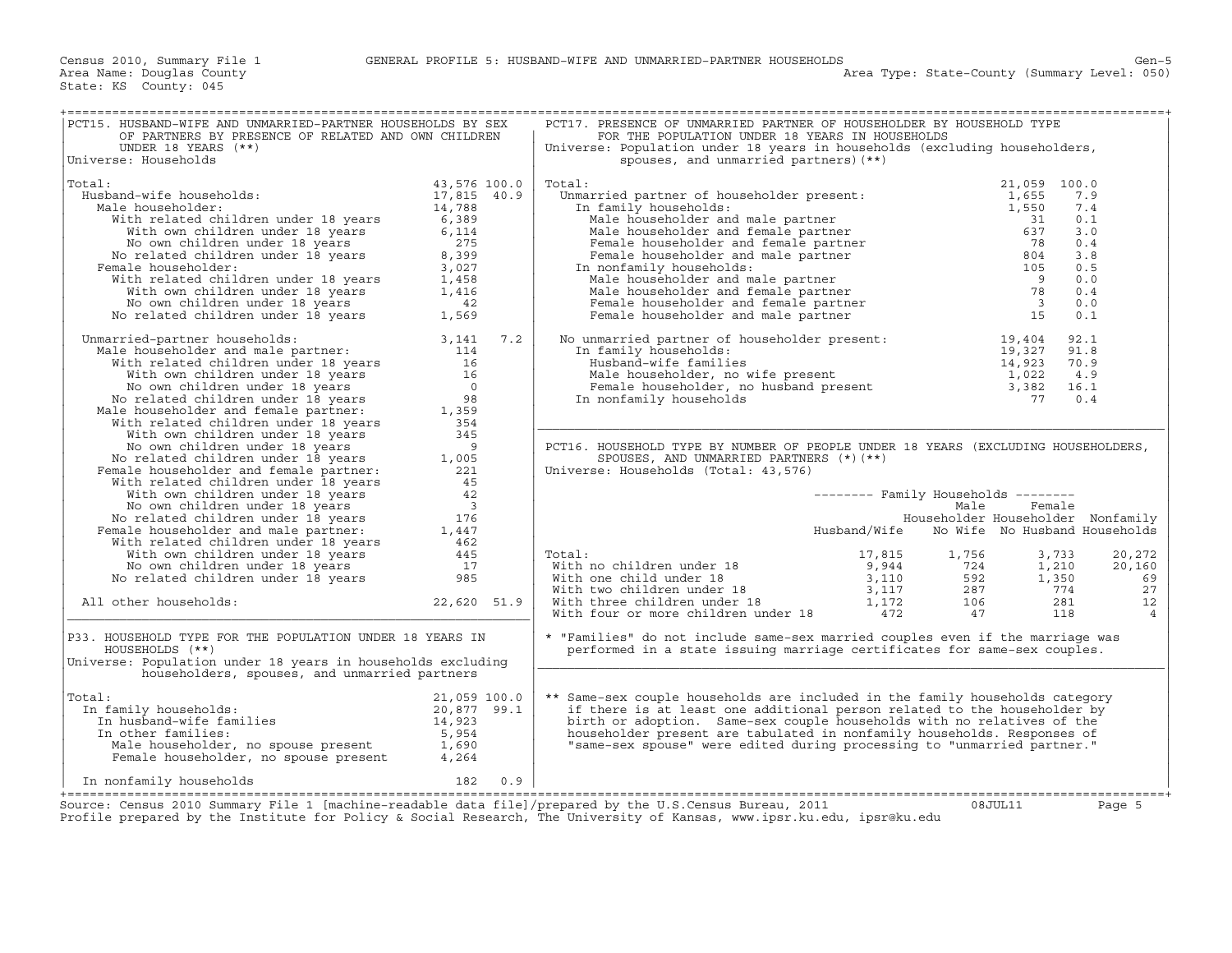| PCT15. HUSBAND-WIFE AND UNMARRIED-PARTNER HOUSEHOLDS BY SEX<br>OF PARTNERS BY PRESENCE OF RELATED AND OWN CHILDREN                                                                                                                                                        |                                              | PCT17. PRESENCE OF UNMARRIED PARTNER OF HOUSEHOLDER BY HOUSEHOLD TYPE<br>FOR THE POPULATION UNDER 18 YEARS IN HOUSEHOLDS                                                                                                                             |              |                                     |        |                |
|---------------------------------------------------------------------------------------------------------------------------------------------------------------------------------------------------------------------------------------------------------------------------|----------------------------------------------|------------------------------------------------------------------------------------------------------------------------------------------------------------------------------------------------------------------------------------------------------|--------------|-------------------------------------|--------|----------------|
| UNDER 18 YEARS $(**)$<br>Universe: Households                                                                                                                                                                                                                             |                                              | Universe: Population under 18 years in households (excluding householders,<br>spouses, and unmarried partners) (**)                                                                                                                                  |              |                                     |        |                |
| Total:<br>Husband-wife households:                                                                                                                                                                                                                                        | 43,576 100.0<br>17,815 40.9                  | Total:<br>%%"<br>"Otal: Unmarried partner of householder present: 1,655<br>In family households: 1,655<br>Male householder and male partner 31<br>Male householder and female partner 637<br>Female householder and female partner 78<br>Female hous |              | 21,059 100.0                        | 7.9    |                |
| ale householder: 14,788<br>With related children under 18 years 6,389<br>Male householder:                                                                                                                                                                                |                                              |                                                                                                                                                                                                                                                      |              |                                     | 7.4    |                |
|                                                                                                                                                                                                                                                                           |                                              |                                                                                                                                                                                                                                                      |              |                                     | 0.1    |                |
| With own children under 18 years                                                                                                                                                                                                                                          | 6,114                                        |                                                                                                                                                                                                                                                      |              |                                     | 3.0    |                |
| No own children under 18 years<br>No related children under 18 years                                                                                                                                                                                                      | 275                                          |                                                                                                                                                                                                                                                      |              |                                     | 0.4    |                |
|                                                                                                                                                                                                                                                                           | 8,399                                        |                                                                                                                                                                                                                                                      |              |                                     | 3.8    |                |
| Female householder:                                                                                                                                                                                                                                                       |                                              |                                                                                                                                                                                                                                                      |              |                                     | 0.5    |                |
|                                                                                                                                                                                                                                                                           |                                              |                                                                                                                                                                                                                                                      |              |                                     | 0.0    |                |
|                                                                                                                                                                                                                                                                           |                                              |                                                                                                                                                                                                                                                      |              |                                     | 0.4    |                |
|                                                                                                                                                                                                                                                                           |                                              |                                                                                                                                                                                                                                                      |              |                                     | 0.0    |                |
| France contract to year and a semi-<br>emale householder:<br>With related children under 18 years<br>1,458<br>With own children under 18 years<br>1,416<br>No wn children under 18 years<br>42<br>No related children under 18 years<br>1,569                             |                                              |                                                                                                                                                                                                                                                      |              |                                     | 0.1    |                |
| nmarried-partner households: 3,141 7.2<br>Male householder and male partner: 114<br>Unmarried-partner households:                                                                                                                                                         |                                              | No unmarried partner of householder present:<br>In family households:<br>Husband-wife families<br>Male householder, no wife present<br>Female householder, no husband present<br>In nonfamily households<br>The monfamily households<br>The          |              |                                     |        |                |
|                                                                                                                                                                                                                                                                           |                                              |                                                                                                                                                                                                                                                      |              |                                     |        |                |
| With related children under 18 years                                                                                                                                                                                                                                      | 16                                           |                                                                                                                                                                                                                                                      |              |                                     |        |                |
| With related children under 18 years<br>With own children under 18 years<br>No cown children under 18 years<br>No related children under 18 years<br>Male householder and female partner:<br>1,359                                                                        |                                              |                                                                                                                                                                                                                                                      |              |                                     |        |                |
|                                                                                                                                                                                                                                                                           |                                              |                                                                                                                                                                                                                                                      |              |                                     |        |                |
|                                                                                                                                                                                                                                                                           |                                              | In nonfamily households                                                                                                                                                                                                                              |              |                                     | 0.4    |                |
|                                                                                                                                                                                                                                                                           |                                              |                                                                                                                                                                                                                                                      |              |                                     |        |                |
| With related children under 18 years                                                                                                                                                                                                                                      | 354                                          |                                                                                                                                                                                                                                                      |              |                                     |        |                |
| With own children under 18 years                                                                                                                                                                                                                                          | 345                                          |                                                                                                                                                                                                                                                      |              |                                     |        |                |
| No own children under 18 years<br>9<br>Female householder and female partner: 1,005<br>With related children under 19 words and the state of the state of the state of the state of the state of the<br>With the state of the state of the state of the state of the stat | $\overline{q}$                               | PCT16. HOUSEHOLD TYPE BY NUMBER OF PEOPLE UNDER 18 YEARS (EXCLUDING HOUSEHOLDERS,                                                                                                                                                                    |              |                                     |        |                |
|                                                                                                                                                                                                                                                                           |                                              | SPOUSES, AND UNMARRIED PARTNERS $(*)$ (**)                                                                                                                                                                                                           |              |                                     |        |                |
|                                                                                                                                                                                                                                                                           |                                              | Universe: Households (Total: 43,576)                                                                                                                                                                                                                 |              |                                     |        |                |
|                                                                                                                                                                                                                                                                           | $\begin{array}{r} 45 \\ 42 \\ 3 \end{array}$ |                                                                                                                                                                                                                                                      |              |                                     |        |                |
| With own children under 18 years                                                                                                                                                                                                                                          |                                              |                                                                                                                                                                                                                                                      |              | -------- Family Households -------- |        |                |
| No own children under 18 years 3<br>No related children under 18 years 176<br>Female householder and male partner: 1,447<br>With related children under 18 years 462<br>462                                                                                               |                                              |                                                                                                                                                                                                                                                      |              | Male                                | Female |                |
|                                                                                                                                                                                                                                                                           |                                              |                                                                                                                                                                                                                                                      |              | Householder Householder Nonfamily   |        |                |
|                                                                                                                                                                                                                                                                           |                                              |                                                                                                                                                                                                                                                      | Husband/Wife | No Wife No Husband Households       |        |                |
|                                                                                                                                                                                                                                                                           |                                              |                                                                                                                                                                                                                                                      |              |                                     |        |                |
| With own children under 18 years<br>No own children under 18 years<br>No related children under 18 years<br>985                                                                                                                                                           |                                              | Total:                                                                                                                                                                                                                                               |              |                                     |        | 20,272         |
|                                                                                                                                                                                                                                                                           |                                              |                                                                                                                                                                                                                                                      |              |                                     |        | 20,160         |
|                                                                                                                                                                                                                                                                           |                                              |                                                                                                                                                                                                                                                      |              |                                     |        | 69             |
|                                                                                                                                                                                                                                                                           |                                              |                                                                                                                                                                                                                                                      |              |                                     |        | 27             |
| All other households:                                                                                                                                                                                                                                                     | 22,620 51.9                                  |                                                                                                                                                                                                                                                      |              |                                     |        | 12             |
|                                                                                                                                                                                                                                                                           |                                              |                                                                                                                                                                                                                                                      |              |                                     |        | $\overline{4}$ |
| P33. HOUSEHOLD TYPE FOR THE POPULATION UNDER 18 YEARS IN<br>HOUSEHOLDS (**)                                                                                                                                                                                               |                                              | * "Families" do not include same-sex married couples even if the marriage was<br>performed in a state issuing marriage certificates for same-sex couples.                                                                                            |              |                                     |        |                |
| Universe: Population under 18 years in households excluding                                                                                                                                                                                                               |                                              |                                                                                                                                                                                                                                                      |              |                                     |        |                |
| householders, spouses, and unmarried partners                                                                                                                                                                                                                             |                                              |                                                                                                                                                                                                                                                      |              |                                     |        |                |
| Total:                                                                                                                                                                                                                                                                    |                                              | ** Same-sex couple households are included in the family households category                                                                                                                                                                         |              |                                     |        |                |
| In family households:                                                                                                                                                                                                                                                     |                                              | if there is at least one additional person related to the householder by                                                                                                                                                                             |              |                                     |        |                |
|                                                                                                                                                                                                                                                                           |                                              | birth or adoption. Same-sex couple households with no relatives of the                                                                                                                                                                               |              |                                     |        |                |
|                                                                                                                                                                                                                                                                           |                                              | householder present are tabulated in nonfamily households. Responses of                                                                                                                                                                              |              |                                     |        |                |
| al:<br>and the mily households:<br>In husband-wife families<br>In other families:<br>Male householder, no spouse present<br>Female householder, no spouse present<br>$\begin{array}{l} 21,059 \ 100.0 \\ 14,923 \\ 5,954 \\ 1,690 \\ \end{array}$<br>Female household     |                                              | "same-sex spouse" were edited during processing to "unmarried partner."                                                                                                                                                                              |              |                                     |        |                |
| In nonfamily households                                                                                                                                                                                                                                                   | 182 0.9                                      |                                                                                                                                                                                                                                                      |              |                                     |        |                |
|                                                                                                                                                                                                                                                                           |                                              |                                                                                                                                                                                                                                                      |              |                                     |        |                |
| Source: Census 2010 Summary File 1 [machine-readable data file]/prepared by the U.S.Census Bureau, 2011<br>Profile prepared by the Institute for Policy & Social Research, The University of Kansas, www.ipsr.ku.edu, ipsr@ku.edu                                         |                                              |                                                                                                                                                                                                                                                      |              | 08JUL11                             |        | Page 5         |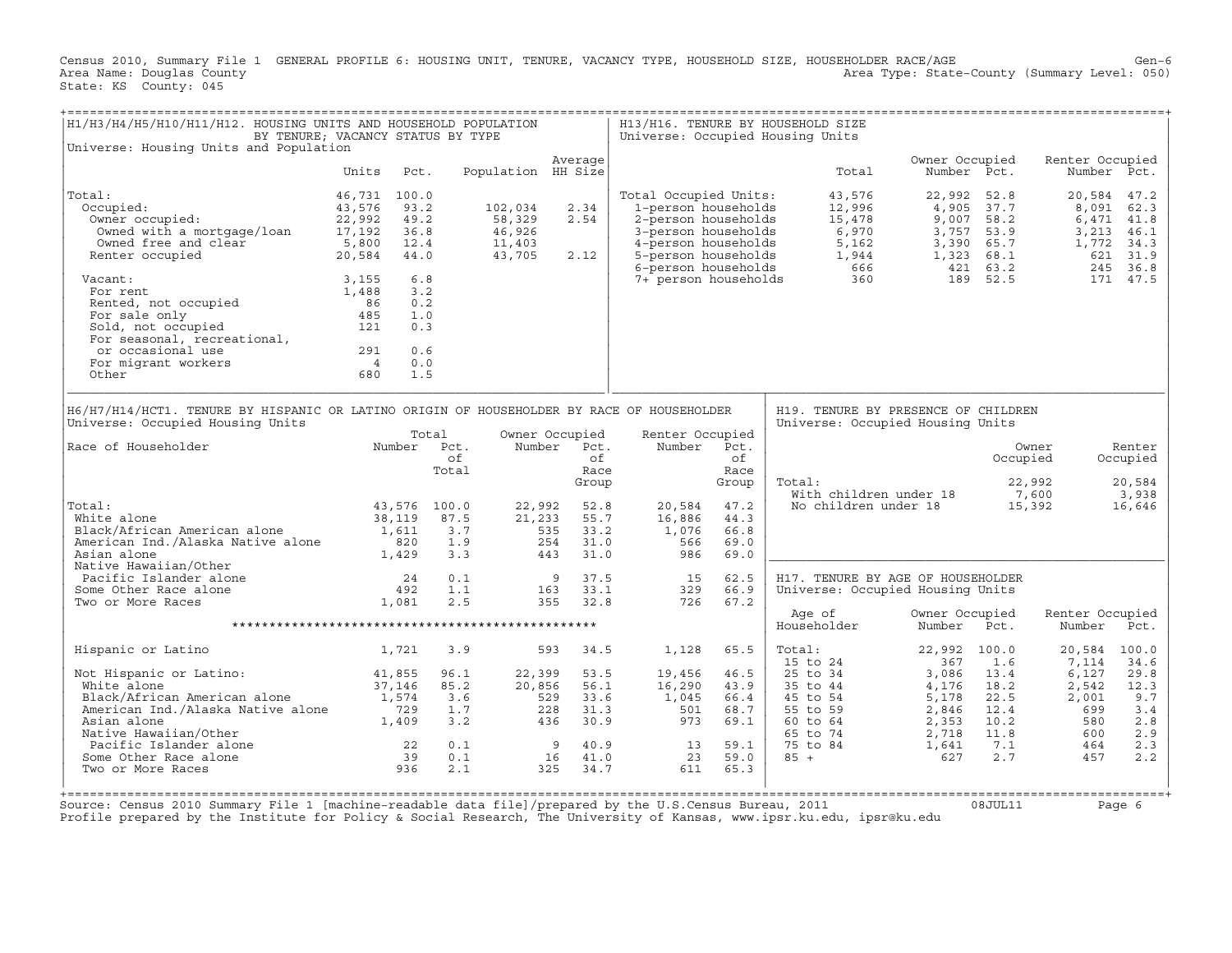Census 2010, Summary File 1 GENERAL PROFILE 6: HOUSING UNIT, TENURE, VACANCY TYPE, HOUSEHOLD SIZE, HOUSEHOLDER RACE/AGE Gen−6<br>Area Name: Douglas County Genel: 050) Area Type: State-County (Summary Level: 050) Area Type: State-County (Summary Level: 050) State: KS County: 045

| H1/H3/H4/H5/H10/H11/H12. HOUSING UNITS AND HOUSEHOLD POPULATION                                                                                                               | BY TENURE; VACANCY STATUS BY TYPE                                                                        |                                               |                                                 |                                                                        |                                                                                                                                          |                                              | H13/H16. TENURE BY HOUSEHOLD SIZE<br>Universe: Occupied Housing Units                |                                                             |                                                                      |                                                          |                                                 |
|-------------------------------------------------------------------------------------------------------------------------------------------------------------------------------|----------------------------------------------------------------------------------------------------------|-----------------------------------------------|-------------------------------------------------|------------------------------------------------------------------------|------------------------------------------------------------------------------------------------------------------------------------------|----------------------------------------------|--------------------------------------------------------------------------------------|-------------------------------------------------------------|----------------------------------------------------------------------|----------------------------------------------------------|-------------------------------------------------|
| Universe: Housing Units and Population                                                                                                                                        |                                                                                                          |                                               |                                                 |                                                                        |                                                                                                                                          |                                              |                                                                                      |                                                             |                                                                      |                                                          |                                                 |
|                                                                                                                                                                               | Units<br>Pct.                                                                                            |                                               | Population HH Size                              | Average                                                                |                                                                                                                                          |                                              | Total                                                                                | Owner Occupied<br>Number Pct.                               |                                                                      | Renter Occupied                                          | Number Pct.                                     |
| Total:<br>Occupied:<br>Owner occupied:<br>Owned with a mortgage/loan<br>Owned free and clear<br>Renter occupied                                                               | 46,731<br>100.0<br>93.2<br>43,576<br>22,992<br>49.2<br>17,192<br>36.8<br>5,800<br>12.4<br>20,584<br>44.0 |                                               | 102,034<br>58,329<br>46,926<br>11,403<br>43,705 | 2.34<br>2.54<br>2.12                                                   | Total Occupied Units:<br>1-person households<br>2-person households<br>3-person households<br>4-person households<br>5-person households |                                              | 43,576<br>12,996<br>15,478<br>6,970<br>5,162<br>1,944                                | 22,992<br>9,007                                             | 52.8<br>4,905 37.7<br>58.2<br>3,757 53.9<br>3,390 65.7<br>1,323 68.1 | 20,584<br>8,091<br>6,471<br>3,213<br>1,772<br>621<br>245 | 47.2<br>62.3<br>41.8<br>46.1<br>34.3<br>31.9    |
| Vacant:<br>For rent<br>Rented, not occupied<br>For sale only<br>Sold, not occupied<br>For seasonal, recreational,<br>or occasional use<br>For migrant workers<br>Other        | 3,155<br>1,488<br>86<br>1.0<br>485<br>121<br>291<br>$\overline{4}$<br>680                                | 6.8<br>3.2<br>0.2<br>0.3<br>0.6<br>0.0<br>1.5 |                                                 |                                                                        | 6-person households<br>7+ person households                                                                                              |                                              | 666<br>360                                                                           |                                                             | 421 63.2<br>189 52.5                                                 |                                                          | 36.8<br>171 47.5                                |
| H6/H7/H14/HCT1. TENURE BY HISPANIC OR LATINO ORIGIN OF HOUSEHOLDER BY RACE OF HOUSEHOLDER<br>Universe: Occupied Housing Units                                                 |                                                                                                          |                                               |                                                 |                                                                        |                                                                                                                                          |                                              | H19. TENURE BY PRESENCE OF CHILDREN<br>Universe: Occupied Housing Units              |                                                             |                                                                      |                                                          |                                                 |
| Race of Householder                                                                                                                                                           | Number                                                                                                   | Total<br>Pct.<br>of<br>Total                  | Number                                          | Owner Occupied<br>Pct.<br>of<br>Race<br>Group                          | Renter Occupied<br>Number                                                                                                                | Pct.<br>of<br>Race<br>Group                  | Total:<br>With children under 18                                                     |                                                             | Occupied                                                             | Owner<br>22,992<br>7,600                                 | Renter<br>Occupied<br>20,584<br>3,938           |
| Total:<br>White alone<br>Black/African American alone<br>American Ind./Alaska Native alone<br>Asian alone                                                                     | 38,119<br>1,611<br>820<br>1,429                                                                          | 43,576 100.0<br>87.5<br>3.7<br>1.9<br>3.3     | 22,992<br>21,233                                | 52.8<br>55.7<br>535<br>33.2<br>254<br>31.0<br>443<br>31.0              | 20,584<br>16,886<br>1,076<br>566<br>986                                                                                                  | 47.2<br>44.3<br>66.8<br>69.0<br>69.0         | No children under 18                                                                 |                                                             |                                                                      | 15,392                                                   | 16,646                                          |
| Native Hawaiian/Other<br>Pacific Islander alone<br>Some Other Race alone<br>Two or More Races                                                                                 | 24<br>492<br>1,081                                                                                       | 0.1<br>1.1<br>2.5                             |                                                 | 37.5<br>- 9<br>163<br>33.1<br>32.8<br>355                              | 15<br>329<br>726                                                                                                                         | 62.5<br>66.9<br>67.2                         | H17. TENURE BY AGE OF HOUSEHOLDER<br>Universe: Occupied Housing Units                |                                                             |                                                                      |                                                          |                                                 |
|                                                                                                                                                                               |                                                                                                          |                                               |                                                 |                                                                        |                                                                                                                                          |                                              | Age of<br>Householder                                                                | Owner Occupied<br>Number                                    | Pct.                                                                 | Renter Occupied<br>Number                                | Pct.                                            |
| Hispanic or Latino                                                                                                                                                            | 1,721                                                                                                    | 3.9                                           |                                                 | 593<br>34.5                                                            | 1,128                                                                                                                                    | 65.5                                         | Total:<br>15 to 24                                                                   | 22,992<br>367                                               | 100.0<br>1.6                                                         | 20,584<br>7,114                                          | 100.0<br>34.6                                   |
| Not Hispanic or Latino:<br>White alone<br>Black/African American alone<br>American Ind./Alaska Native alone<br>Asian alone<br>Native Hawaiian/Other<br>Pacific Islander alone | 41,855<br>37,146<br>1,574<br>729<br>1,409<br>22                                                          | 96.1<br>85.2<br>3.6<br>1.7<br>3.2<br>0.1      | 22,399<br>20,856                                | 53.5<br>56.1<br>529<br>33.6<br>228<br>31.3<br>436<br>30.9<br>40.9<br>9 | 19,456<br>16,290<br>1,045<br>501<br>973<br>13                                                                                            | 46.5<br>43.9<br>66.4<br>68.7<br>69.1<br>59.1 | $25$ to $34$<br>35 to 44<br>45 to 54<br>55 to 59<br>60 to 64<br>65 to 74<br>75 to 84 | 3,086<br>4,176<br>5,178<br>2,846<br>2,353<br>2,718<br>1,641 | 13.4<br>18.2<br>22.5<br>12.4<br>10.2<br>11.8<br>7.1                  | 6,127<br>2,542<br>2,001<br>699<br>580<br>600<br>464      | 29.8<br>12.3<br>9.7<br>3.4<br>2.8<br>2.9<br>2.3 |
| Some Other Race alone<br>Two or More Races                                                                                                                                    | 39<br>936                                                                                                | 0.1<br>2.1                                    |                                                 | 16<br>41.0<br>325<br>34.7                                              | 23<br>611                                                                                                                                | 59.0<br>65.3                                 | $85 +$                                                                               | 627                                                         | 2.7                                                                  | 457                                                      | 2.2                                             |

+===================================================================================================================================================+ Source: Census 2010 Summary File 1 [machine−readable data file]/prepared by the U.S.Census Bureau, 2011 08JUL11 Page 6 Profile prepared by the Institute for Policy & Social Research, The University of Kansas, www.ipsr.ku.edu, ipsr@ku.edu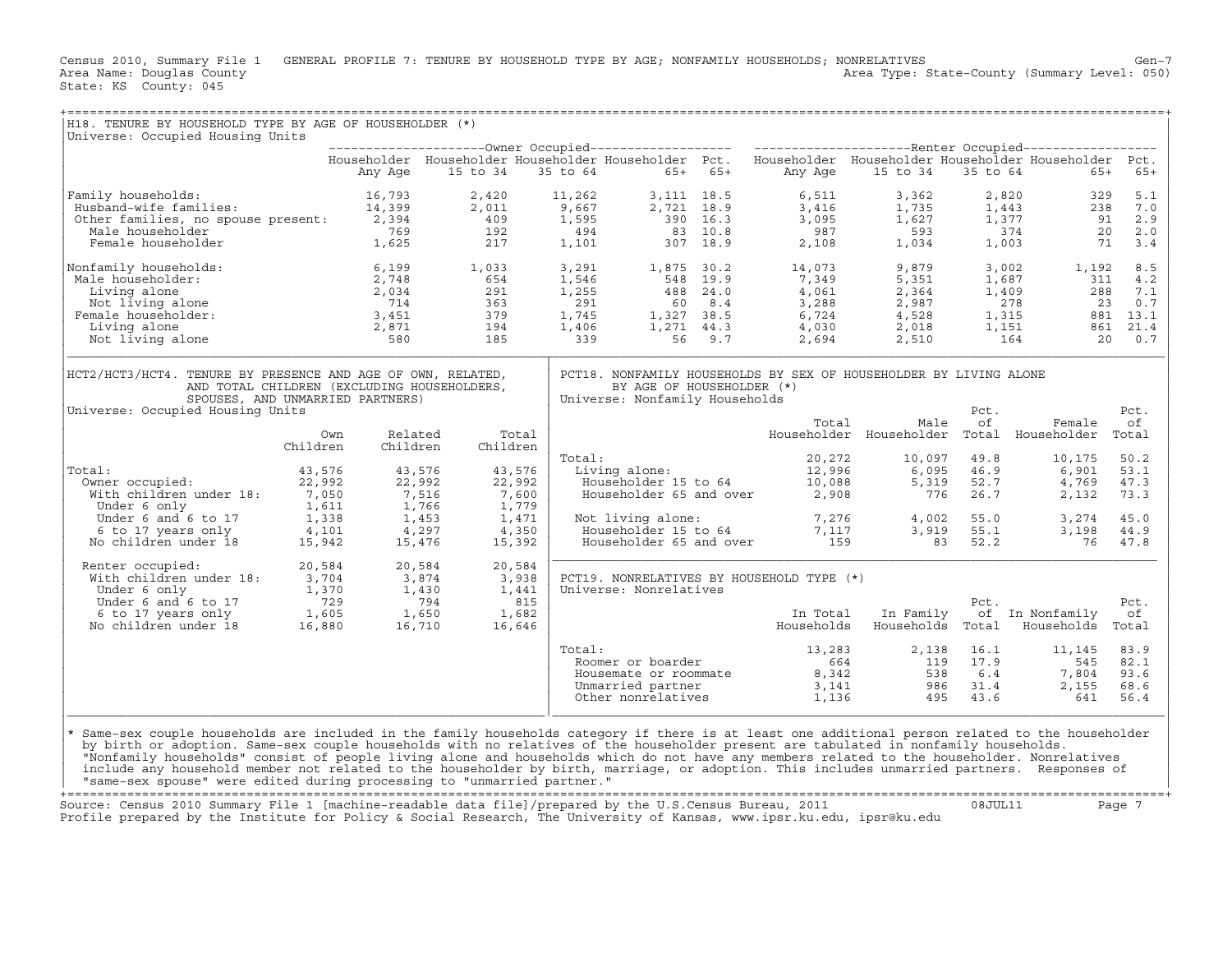Census 2010, Summary File 1 GENERAL PROFILE 7: TENURE BY HOUSEHOLD TYPE BY AGE; NONFAMILY HOUSEHOLDS; NONRELATIVES<br>Area Name: Douqlas County Level: 050) Area Type: State-County (Summary Level: 050) Area Type: State-County (Summary Level: 050) State: KS County: 045

| H18. TENURE BY HOUSEHOLD TYPE BY AGE OF HOUSEHOLDER (*)<br>Universe: Occupied Housing Units                                                                                                                                                                                                |          |                                                      |          |              |        |                                                             |  |                                                                                                                                                     |                                  |            |                                                                                                                                                                                                                                                                                                                             |             |
|--------------------------------------------------------------------------------------------------------------------------------------------------------------------------------------------------------------------------------------------------------------------------------------------|----------|------------------------------------------------------|----------|--------------|--------|-------------------------------------------------------------|--|-----------------------------------------------------------------------------------------------------------------------------------------------------|----------------------------------|------------|-----------------------------------------------------------------------------------------------------------------------------------------------------------------------------------------------------------------------------------------------------------------------------------------------------------------------------|-------------|
|                                                                                                                                                                                                                                                                                            |          |                                                      |          |              |        |                                                             |  |                                                                                                                                                     |                                  |            |                                                                                                                                                                                                                                                                                                                             |             |
|                                                                                                                                                                                                                                                                                            |          |                                                      |          |              |        |                                                             |  |                                                                                                                                                     |                                  |            | Householder Householder Householder Householder Pct. Householder Householder Householder Householder Pct.                                                                                                                                                                                                                   |             |
|                                                                                                                                                                                                                                                                                            |          | Any Age                                              | 15 to 34 |              |        | 35 to 64 65+ 65+                                            |  |                                                                                                                                                     | Any Age 15 to 34                 |            | 35 to 64 65+                                                                                                                                                                                                                                                                                                                | $65+$       |
| 93,111 18.5 6,511 18.5 6,511 3,362<br>Husband-wife families: 14,399 2,011 9,667 2,721 18.9 3,416 1,735<br>2,994 109 1,595 390 16.3 3,095 1,627 1,627 1,627<br>Male householder 1,625 1,625 2.17 1,101 307 18.9 2,108 1,034<br>2,108 1,<br>Family households:                               |          |                                                      |          |              |        |                                                             |  |                                                                                                                                                     |                                  |            | $\begin{array}{ccc} 2\, , 820 & \phantom{00} & 329 \\ 1\, , 443 & \phantom{00} & 238 \\ 1\, , 377 & \phantom{0} & 91 \\ 374 & \phantom{0} & 20 \\ 1\, , 003 & \phantom{0} & 71 \end{array}$                                                                                                                                 | 5.1         |
|                                                                                                                                                                                                                                                                                            |          |                                                      |          |              |        |                                                             |  |                                                                                                                                                     |                                  |            |                                                                                                                                                                                                                                                                                                                             | 238 7.0     |
|                                                                                                                                                                                                                                                                                            |          |                                                      |          |              |        |                                                             |  |                                                                                                                                                     |                                  |            |                                                                                                                                                                                                                                                                                                                             | 2.9         |
|                                                                                                                                                                                                                                                                                            |          |                                                      |          |              |        |                                                             |  |                                                                                                                                                     |                                  |            |                                                                                                                                                                                                                                                                                                                             | 2.0         |
|                                                                                                                                                                                                                                                                                            |          |                                                      |          |              |        |                                                             |  |                                                                                                                                                     |                                  |            |                                                                                                                                                                                                                                                                                                                             | 3.4         |
| Nonfamily households:<br>93. 1,033 1,291 1,875 30.2 14,073<br>2,748 1,546 548 19.9 7,349<br>1,033 3,291 1,875 30.2 14,073<br>2,748 654 1,546 548 19.9 7,349<br>2,034 291 1,255 488 24.0 4,061<br>Not living alone 714 363 291 60 8.4 3,288<br>emale householder: 3,                        |          |                                                      |          |              |        |                                                             |  |                                                                                                                                                     | 9,879<br>5,351<br>2,364<br>2,987 |            | $3,002$ $1,192$ $8.5$                                                                                                                                                                                                                                                                                                       |             |
| Male householder:                                                                                                                                                                                                                                                                          |          |                                                      |          |              |        |                                                             |  |                                                                                                                                                     |                                  |            | 1,687                                                                                                                                                                                                                                                                                                                       | $311$ 4.2   |
|                                                                                                                                                                                                                                                                                            |          |                                                      |          |              |        |                                                             |  |                                                                                                                                                     |                                  |            | 2, 364<br>2, 364<br>2, 987<br>2, 987<br>4, 528<br>3, 1, 409<br>288<br>2, 1, 409<br>288<br>2, 1, 1<br>3, 2<br>3, 0.7<br>4, 528<br>3, 1, 315<br>881<br>3, 1<br>3.1<br>2, 018<br>4, 528<br>4, 528<br>4, 528<br>4, 1, 51<br>561<br>4, 52<br>4, 52<br>561<br>4, 54<br>561<br>561<br>561<br>561<br>                               |             |
|                                                                                                                                                                                                                                                                                            |          |                                                      |          |              |        |                                                             |  |                                                                                                                                                     |                                  |            |                                                                                                                                                                                                                                                                                                                             |             |
| Female householder:                                                                                                                                                                                                                                                                        |          |                                                      |          |              |        |                                                             |  |                                                                                                                                                     |                                  |            |                                                                                                                                                                                                                                                                                                                             |             |
|                                                                                                                                                                                                                                                                                            |          |                                                      |          |              |        |                                                             |  |                                                                                                                                                     |                                  |            |                                                                                                                                                                                                                                                                                                                             |             |
|                                                                                                                                                                                                                                                                                            |          |                                                      |          |              |        |                                                             |  |                                                                                                                                                     |                                  |            |                                                                                                                                                                                                                                                                                                                             |             |
| HCT2/HCT3/HCT4. TENURE BY PRESENCE AND AGE OF OWN, RELATED,<br>AND TOTAL CHILDREN (EXCLUDING HOUSEHOLDERS,<br>SPOUSES, AND UNMARRIED PARTNERS)                                                                                                                                             |          |                                                      |          |              |        | BY AGE OF HOUSEHOLDER (*)<br>Universe: Nonfamily Households |  | PCT18. NONFAMILY HOUSEHOLDS BY SEX OF HOUSEHOLDER BY LIVING ALONE                                                                                   |                                  |            |                                                                                                                                                                                                                                                                                                                             |             |
| Universe: Occupied Housing Units                                                                                                                                                                                                                                                           |          |                                                      |          |              |        |                                                             |  |                                                                                                                                                     |                                  | Pct.       |                                                                                                                                                                                                                                                                                                                             | Pct.        |
|                                                                                                                                                                                                                                                                                            | Own      | Related                                              |          | Total        |        |                                                             |  | Total                                                                                                                                               | Male                             | of         | Female<br>Householder Householder Total Householder                                                                                                                                                                                                                                                                         | оf<br>Total |
|                                                                                                                                                                                                                                                                                            | Children | Children                                             |          | Children     |        |                                                             |  |                                                                                                                                                     |                                  |            |                                                                                                                                                                                                                                                                                                                             |             |
|                                                                                                                                                                                                                                                                                            |          |                                                      |          |              | Total: |                                                             |  | 0tal: $20,272$ 10,097 49.8<br>Living alone: $12,996$ 6,095 46.9<br>Householder 15 to 64 10,088 5,319 52.7<br>Householder 65 and over 2,908 776 26.7 |                                  |            | 10,175                                                                                                                                                                                                                                                                                                                      | 50.2        |
| Total:                                                                                                                                                                                                                                                                                     | 43,576   |                                                      | 43,576   | 43,576       |        |                                                             |  |                                                                                                                                                     |                                  |            | 6,901                                                                                                                                                                                                                                                                                                                       | 53.1        |
| Owner occupied: 22,992                                                                                                                                                                                                                                                                     |          |                                                      | 22,992   | 22,992       |        |                                                             |  |                                                                                                                                                     |                                  | 5,319 52.7 | 4,769                                                                                                                                                                                                                                                                                                                       | 47.3        |
| Wher occupied: --,<br>With children under 18: 7,050<br>The fonly 1,611                                                                                                                                                                                                                     |          |                                                      |          | 7,600        |        |                                                             |  |                                                                                                                                                     |                                  | 26.7       | 2,132                                                                                                                                                                                                                                                                                                                       | 73.3        |
|                                                                                                                                                                                                                                                                                            |          |                                                      |          | 1,779        |        |                                                             |  |                                                                                                                                                     |                                  |            |                                                                                                                                                                                                                                                                                                                             |             |
|                                                                                                                                                                                                                                                                                            |          | $7,516$<br>$1,766$<br>$1,453$<br>$4,297$<br>$15,476$ |          | 1,471        |        |                                                             |  |                                                                                                                                                     |                                  |            | 3,274                                                                                                                                                                                                                                                                                                                       | 45.0        |
|                                                                                                                                                                                                                                                                                            |          |                                                      | 4,350    |              |        |                                                             |  |                                                                                                                                                     |                                  |            | 3,198                                                                                                                                                                                                                                                                                                                       | 44.9        |
| Under 6 and 6 to 17 1, 338<br>6 to 17 years only 4, 101<br>No children under 18 15, 942                                                                                                                                                                                                    |          |                                                      | 15,476   | 15,392       |        |                                                             |  | Not living alone: 7,276 4,002 55.0<br>Householder 15 to 64 7,117 3,919 55.1<br>Householder 65 and over 159 83 52.2                                  |                                  |            | 76 47.8                                                                                                                                                                                                                                                                                                                     |             |
| Renter occupied:                                                                                                                                                                                                                                                                           | 20,584   |                                                      | 20,584   | 20,584       |        |                                                             |  |                                                                                                                                                     |                                  |            |                                                                                                                                                                                                                                                                                                                             |             |
|                                                                                                                                                                                                                                                                                            |          |                                                      |          | 3,938        |        |                                                             |  | PCT19. NONRELATIVES BY HOUSEHOLD TYPE (*)                                                                                                           |                                  |            |                                                                                                                                                                                                                                                                                                                             |             |
|                                                                                                                                                                                                                                                                                            |          |                                                      |          | 1,441<br>815 |        | Universe: Nonrelatives                                      |  |                                                                                                                                                     |                                  | Pct.       |                                                                                                                                                                                                                                                                                                                             | Pct.        |
|                                                                                                                                                                                                                                                                                            |          |                                                      |          | 1,682        |        |                                                             |  | In Total                                                                                                                                            | In Family                        |            | of In Nonfamily                                                                                                                                                                                                                                                                                                             | оf          |
|                                                                                                                                                                                                                                                                                            |          |                                                      |          | 16,646       |        |                                                             |  | Households                                                                                                                                          |                                  |            | Households Total Households                                                                                                                                                                                                                                                                                                 | Total       |
|                                                                                                                                                                                                                                                                                            |          |                                                      |          |              | Total: |                                                             |  |                                                                                                                                                     |                                  |            | 11,145                                                                                                                                                                                                                                                                                                                      | 83.9        |
|                                                                                                                                                                                                                                                                                            |          |                                                      |          |              |        | Roomer or boarder                                           |  |                                                                                                                                                     |                                  |            |                                                                                                                                                                                                                                                                                                                             | 82.1        |
|                                                                                                                                                                                                                                                                                            |          |                                                      |          |              |        | Housemate or roommate                                       |  |                                                                                                                                                     |                                  |            |                                                                                                                                                                                                                                                                                                                             | 93.6        |
|                                                                                                                                                                                                                                                                                            |          |                                                      |          |              |        | Unmarried partner                                           |  |                                                                                                                                                     |                                  |            |                                                                                                                                                                                                                                                                                                                             | 68.6        |
|                                                                                                                                                                                                                                                                                            |          |                                                      |          |              |        | Other nonrelatives                                          |  |                                                                                                                                                     |                                  |            | $\begin{array}{cccccc} 13\,,283 & \quad & 2\,,138 & \quad 16\,.1 & \quad & 11\,,145 \\ 664 & \quad & 119 & \quad 17\,.9 & \quad & 545 \\ 8\,,342 & \quad & 538 & \quad 6\,.4 & \quad & 7\,,804 \\ 3\,,141 & \quad & 986 & \quad 31\,.4 & \quad & 2\,,155 \\ 1\,,136 & \quad & 495 & \quad 43\,.6 & \quad & 641 \end{array}$ | 56.4        |
|                                                                                                                                                                                                                                                                                            |          |                                                      |          |              |        |                                                             |  |                                                                                                                                                     |                                  |            |                                                                                                                                                                                                                                                                                                                             |             |
| * Same-sex couple households are included in the family households category if there is at least one additional person related to the householder<br>by birth or adoption. Same-sex couple households with no relatives of the householder present are tabulated in nonfamily households.  |          |                                                      |          |              |        |                                                             |  |                                                                                                                                                     |                                  |            |                                                                                                                                                                                                                                                                                                                             |             |
| "Nonfamily households" consist of people living alone and households which do not have any members related to the householder. Nonrelatives<br>include any household member not related to the householder by birth, marriage, or adoption. This includes unmarried partners. Responses of |          |                                                      |          |              |        |                                                             |  |                                                                                                                                                     |                                  |            |                                                                                                                                                                                                                                                                                                                             |             |
| "same-sex spouse" were edited during processing to "unmarried partner."                                                                                                                                                                                                                    |          |                                                      |          |              |        |                                                             |  |                                                                                                                                                     |                                  |            |                                                                                                                                                                                                                                                                                                                             |             |

+===================================================================================================================================================+ Source: Census 2010 Summary File 1 [machine−readable data file]/prepared by the U.S.Census Bureau, 2011 08JUL11 Page 7 Profile prepared by the Institute for Policy & Social Research, The University of Kansas, www.ipsr.ku.edu, ipsr@ku.edu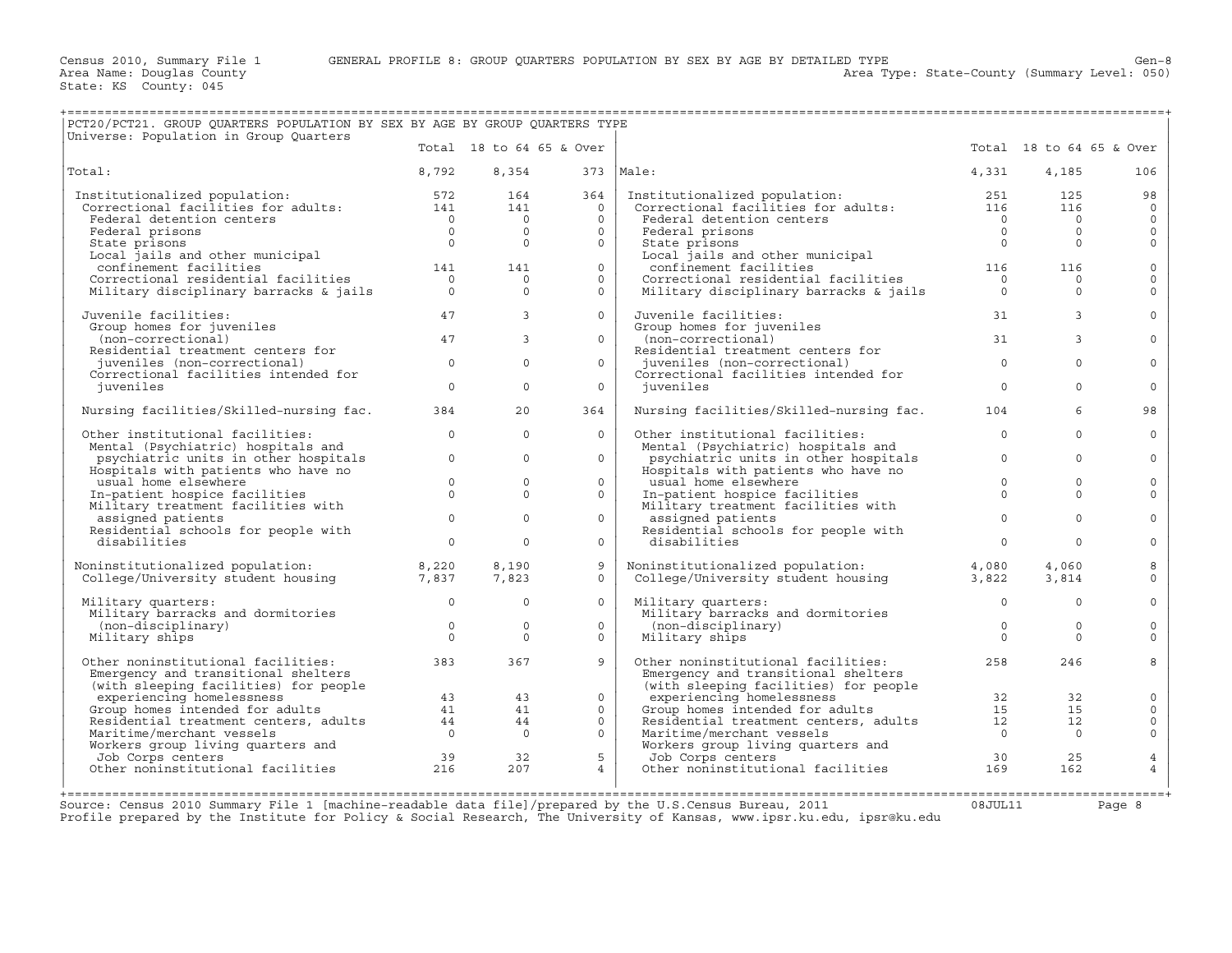Area Type: State-County (Summary Level: 050)

| PCT20/PCT21. GROUP QUARTERS POPULATION BY SEX BY AGE BY GROUP QUARTERS TYPE                                                                                                                                                                                             |                |                            |                          |                                                                                                                                                                                                                                             |                |                            |                     |
|-------------------------------------------------------------------------------------------------------------------------------------------------------------------------------------------------------------------------------------------------------------------------|----------------|----------------------------|--------------------------|---------------------------------------------------------------------------------------------------------------------------------------------------------------------------------------------------------------------------------------------|----------------|----------------------------|---------------------|
| Universe: Population in Group Quarters                                                                                                                                                                                                                                  |                |                            | Total 18 to 64 65 & Over |                                                                                                                                                                                                                                             |                | Total 18 to 64 65 & Over   |                     |
| Total:                                                                                                                                                                                                                                                                  | 8,792          |                            | 8,354 373   Male:        |                                                                                                                                                                                                                                             | 4,331          | 4,185                      | 106                 |
| Institutionalized population: 572 164 364<br>Correctional facilities for adults: 141 141 0                                                                                                                                                                              |                |                            | 364                      | 115 Institutionalized population: 151 251 251 255<br>Correctional facilities for adults: 116 116<br>Federal detention centers 0<br>Federal prisons 0<br>State prisons 0<br>0<br>0                                                           |                |                            | 98                  |
|                                                                                                                                                                                                                                                                         |                |                            |                          |                                                                                                                                                                                                                                             |                |                            | $\Omega$            |
|                                                                                                                                                                                                                                                                         |                |                            | $\circ$                  |                                                                                                                                                                                                                                             |                |                            | $\mathsf{O}$        |
|                                                                                                                                                                                                                                                                         |                |                            | $\circ$                  |                                                                                                                                                                                                                                             |                |                            | $\mathsf{O}$        |
|                                                                                                                                                                                                                                                                         |                |                            | $\Omega$                 |                                                                                                                                                                                                                                             |                |                            | $\Omega$            |
|                                                                                                                                                                                                                                                                         |                |                            | $0-1$                    |                                                                                                                                                                                                                                             |                |                            | $\mathbf 0$         |
|                                                                                                                                                                                                                                                                         |                |                            | $\circ$                  |                                                                                                                                                                                                                                             |                |                            | $\mathbf 0$         |
| Contextrumar ratificion centers<br>Federal detention centers<br>Federal prisons<br>State prisons<br>Local jails and other municipal<br>confinement facilities<br>Correctional residential facilities<br>Military disciplinary barracks & jai                            |                |                            | $\circ$                  |                                                                                                                                                                                                                                             |                |                            | $\mathbf 0$         |
| Juvenile facilities:<br>Group homes for juveniles<br>(non-correctional)<br>Residential treatment centers for<br>juveniles (non-correctional)<br>Correctional facilities intended for<br>$\frac{1}{2}$<br>$\frac{1}{2}$<br>$\frac{1}{2}$<br>$\frac{1}{2}$<br>$\frac{1}{$ | 47             | $\overline{3}$             | $\Omega$                 | Juvenile facilities:                                                                                                                                                                                                                        | 31             | $\mathbf{3}$               |                     |
|                                                                                                                                                                                                                                                                         |                |                            |                          | Group homes for juveniles                                                                                                                                                                                                                   |                |                            |                     |
|                                                                                                                                                                                                                                                                         |                | $\overline{3}$             | $\circ$                  |                                                                                                                                                                                                                                             |                | 3                          | $\Omega$            |
|                                                                                                                                                                                                                                                                         |                |                            |                          |                                                                                                                                                                                                                                             |                |                            |                     |
|                                                                                                                                                                                                                                                                         |                | $\Omega$                   | $\Omega$                 | (non-correctional) 31<br>Residential treatment centers for 31<br>juveniles (non-correctional) 31<br>of the correctional based on the set of the set of the set of the set of the set of the set of the set of the set of the set of the     |                | $\overline{0}$<br>$\Omega$ | $\Omega$            |
|                                                                                                                                                                                                                                                                         |                |                            |                          | Juveniles (non-correctional facilities intended for                                                                                                                                                                                         |                |                            |                     |
| juveniles                                                                                                                                                                                                                                                               |                | $\Omega$                   | $\Omega$                 | iuveniles                                                                                                                                                                                                                                   | $\Omega$       | $\Omega$                   | $\Omega$            |
| Nursing facilities/Skilled-nursing fac. 384                                                                                                                                                                                                                             |                | 20                         | 364                      | Nursing facilities/Skilled-nursing fac. 104                                                                                                                                                                                                 |                | 6                          | 98                  |
| Other institutional facilities:                                                                                                                                                                                                                                         | $\Omega$       | $\Omega$                   | $\Omega$                 | Other institutional facilities:                                                                                                                                                                                                             | $\overline{0}$ | $\Omega$                   | $\Omega$            |
| Mental (Psychiatric) hospitals and                                                                                                                                                                                                                                      |                |                            |                          | Mental (Psychiatric) hospitals and                                                                                                                                                                                                          |                |                            |                     |
| ental (Esychiatric) hospitals and<br>psychiatric units in other hospitals $\qquad \qquad 0$                                                                                                                                                                             |                | $\circ$                    | $\circ$                  | merical contract to the properties and positions of the position of the problem of the state of the state of the state of the state of the state of the state of the state of the state of the state of the state of the state              |                | $\circ$                    | $\Omega$            |
| Hospitals with patients who have no                                                                                                                                                                                                                                     |                |                            |                          |                                                                                                                                                                                                                                             |                |                            |                     |
| $\begin{array}{c} 0 \\ 0 \end{array}$<br>usual home elsewhere                                                                                                                                                                                                           |                | $\circ$<br>$\Omega$        | $\circ$                  | usual home elsewhere                                                                                                                                                                                                                        | $\overline{0}$ | $\mathbf 0$                | 0                   |
| In-patient hospice racilities<br>Military treatment facilities with                                                                                                                                                                                                     |                |                            | $\Omega$                 | In-patient hospice facilities<br>Military treatment facilities with<br>assigned patients                                                                                                                                                    | $\Omega$       | $\cap$                     | $\Omega$            |
|                                                                                                                                                                                                                                                                         |                | $\overline{0}$<br>$\Omega$ | $\circ$                  | assigned patients                                                                                                                                                                                                                           | $\Omega$       | $\Omega$                   | $\Omega$            |
| Residential schools for people with<br>displilities                                                                                                                                                                                                                     | $\overline{0}$ |                            |                          | Residential schools for people with<br>disabilities                                                                                                                                                                                         |                |                            |                     |
| disabilities                                                                                                                                                                                                                                                            |                | $\Omega$                   | $\circ$                  |                                                                                                                                                                                                                                             | $\overline{0}$ | $\Omega$                   | $\mathbf 0$         |
| Noninstitutionalized population: 8,220<br>College/University student housing 7,837                                                                                                                                                                                      |                | 8,190                      | 9                        | Noninstitutionalized population: 4,080<br>College/University student housing 3,822                                                                                                                                                          |                | 4,060                      | 8                   |
|                                                                                                                                                                                                                                                                         |                | 7,823                      | $\Omega$                 |                                                                                                                                                                                                                                             |                | 3,814                      | $\Omega$            |
| Military quarters:                                                                                                                                                                                                                                                      |                | $\overline{0}$<br>$\circ$  | $\circ$                  | Military quarters:                                                                                                                                                                                                                          | $\overline{0}$ | $\circ$                    | $\mathbf 0$         |
| Military barracks and dormitories<br>(non-disciplinary)<br>Military ships<br>0                                                                                                                                                                                          |                |                            |                          | minitary duarters:<br>Military barracks and dormitories<br>(non-disciplinary) 0<br>Military ships 0                                                                                                                                         |                |                            |                     |
|                                                                                                                                                                                                                                                                         |                | $\Omega$                   | $\Omega$                 |                                                                                                                                                                                                                                             | $\overline{0}$ | $\Omega$                   | $\Omega$            |
|                                                                                                                                                                                                                                                                         |                | $\Omega$                   | $\Omega$                 | Military ships                                                                                                                                                                                                                              |                | $\Omega$                   | $\Omega$            |
| Other noninstitutional facilities: 383                                                                                                                                                                                                                                  |                | 367                        | 9                        | Other noninstitutional facilities:                                                                                                                                                                                                          |                | 258<br>246                 | 8                   |
| Emergency and transitional shelters                                                                                                                                                                                                                                     |                |                            |                          |                                                                                                                                                                                                                                             |                |                            |                     |
|                                                                                                                                                                                                                                                                         |                |                            |                          |                                                                                                                                                                                                                                             |                |                            |                     |
|                                                                                                                                                                                                                                                                         |                |                            | $\Omega$                 |                                                                                                                                                                                                                                             |                |                            | $\mathbf 0$         |
|                                                                                                                                                                                                                                                                         |                |                            | $\circ$                  |                                                                                                                                                                                                                                             |                |                            | $\mathsf{O}\xspace$ |
| emery<br>experiencing facilities) for people<br>experiencing homelessness<br>Group homes intended for adults<br>Residential treatment centers, adults<br>$41$<br>$41$<br>Naritime/merchant vessels<br>Workers group living quarters and<br>Norkers group                |                |                            | $\overline{0}$           | Functional shallers<br>Emergency and transitional shelters<br>(with sleeping facilities) for people<br>experiencing homelessness<br>Group homes intended for adults<br>Residential treatment centers, adults<br>12 12<br>Continued marchant |                |                            | $\mathsf{O}$        |
|                                                                                                                                                                                                                                                                         |                |                            | $\circ$                  |                                                                                                                                                                                                                                             |                |                            | $\mathsf{O}\xspace$ |
|                                                                                                                                                                                                                                                                         |                |                            | 5 <sup>1</sup>           |                                                                                                                                                                                                                                             |                | 25                         | $\overline{4}$      |
| Maritime/merchant vessels<br>Waritime/merchant vessels<br>Workers group living quarters and<br>Job Corps centers<br>Other noninstitutional facilities<br>216 207                                                                                                        |                |                            | $4\overline{ }$          | Workers group living quarters and<br>Job Corps centers<br>Other noninstitutional facilities<br>169                                                                                                                                          |                | 162                        | $\overline{4}$      |
|                                                                                                                                                                                                                                                                         |                |                            |                          |                                                                                                                                                                                                                                             |                |                            |                     |
|                                                                                                                                                                                                                                                                         |                |                            |                          |                                                                                                                                                                                                                                             |                |                            |                     |

Source: Census 2010 Summary File 1 [machine-readable data file]/prepared by the U.S.Census Bureau, 2011 Page 8<br>Profile prepared by the Institute for Policy & Social Research, The University of Kansas, www.ip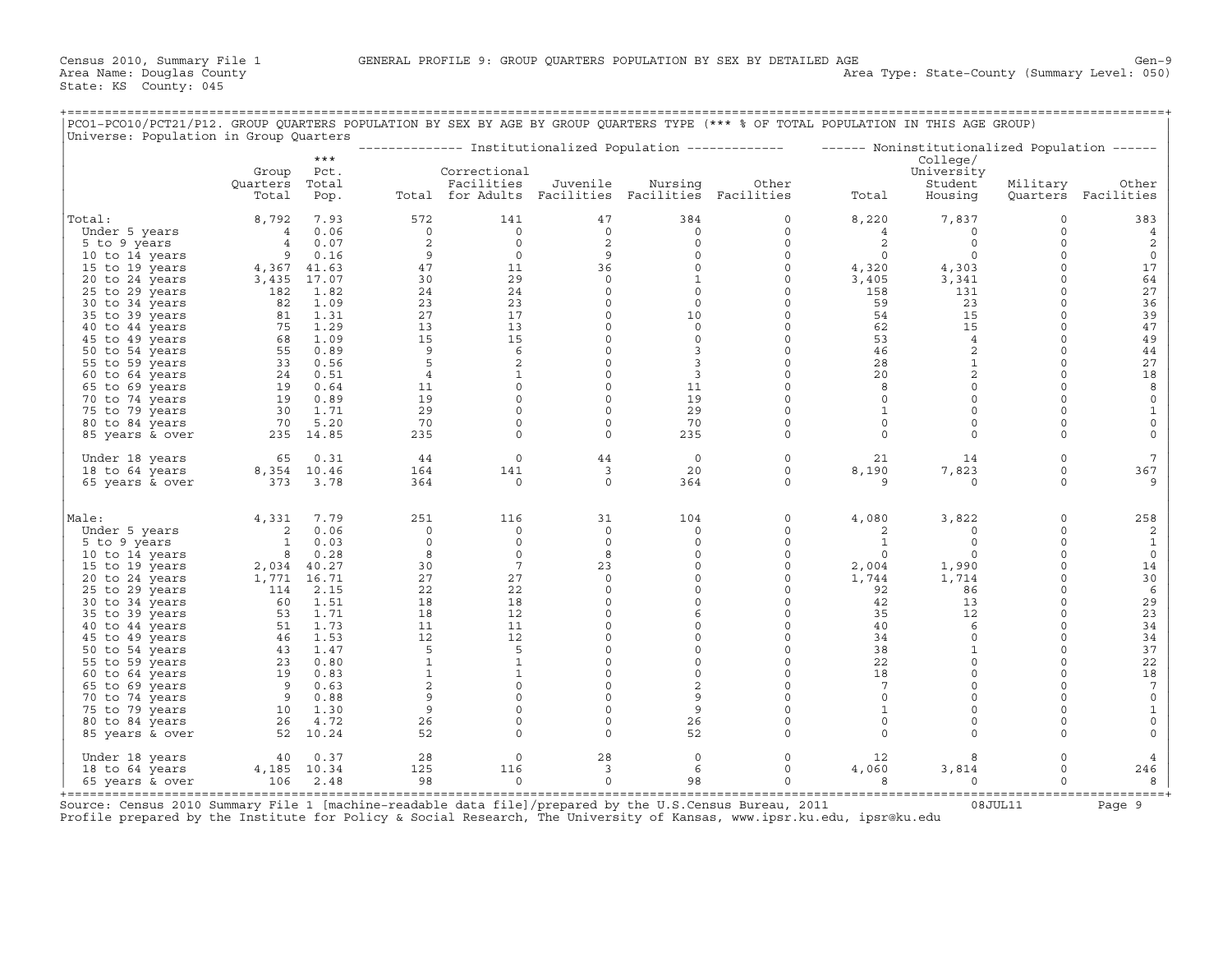+===================================================================================================================================================+

| PCO1-PCO10/PCT21/P12. GROUP QUARTERS POPULATION BY SEX BY AGE BY GROUP QUARTERS TYPE (*** % OF TOTAL POPULATION IN THIS AGE GROUP)<br>Universe: Population in Group Quarters |                |              |                |                                                   |                    |                         |                                                                                                            |                      |                   |                      |                     |
|------------------------------------------------------------------------------------------------------------------------------------------------------------------------------|----------------|--------------|----------------|---------------------------------------------------|--------------------|-------------------------|------------------------------------------------------------------------------------------------------------|----------------------|-------------------|----------------------|---------------------|
|                                                                                                                                                                              |                | $***$        |                |                                                   |                    |                         | --------------- Institutionalized Population ------------- - ------ Noninstitutionalized Population ------ |                      | College/          |                      |                     |
|                                                                                                                                                                              | Group          | Pct.         |                | Correctional                                      |                    |                         |                                                                                                            |                      | University        |                      |                     |
|                                                                                                                                                                              | Quarters       | Total        |                | Facilities                                        | Juvenile           | Nursing                 | Other                                                                                                      |                      | Student           | Military             | Other               |
|                                                                                                                                                                              | Total          | Pop.         |                | Total for Adults Facilities Facilities Facilities |                    |                         |                                                                                                            | Total                | Housing           |                      | Quarters Facilities |
| Total:                                                                                                                                                                       | 8,792          | 7.93         | 572            | 141                                               | 47                 | 384                     | 0                                                                                                          | 8,220                | 7,837             | $\circ$              | 383                 |
| Under 5 years                                                                                                                                                                | $\overline{4}$ | 0.06         | $\circ$        | $\circ$                                           | $\circ$            | $\circ$                 | $\mathbf 0$                                                                                                | $\overline{4}$       | $\circ$           | $\mathbf 0$          | $\overline{4}$      |
| 5 to 9 years                                                                                                                                                                 | 4              | 0.07         | 2              | $\mathbf 0$                                       | 2                  | $\mathbf 0$             | $\circ$                                                                                                    | 2                    | $\circ$           | $\Omega$             | 2                   |
| 10 to 14 years                                                                                                                                                               |                | 90.16        | 9<br>47        | $\circ$<br>11                                     | 9<br>36            | $\circ$<br>$\circ$      | $\mathbf 0$<br>$\circ$                                                                                     | $\mathbf 0$<br>4,320 | $\circ$<br>4,303  | $\Omega$<br>$\Omega$ | $\circ$<br>17       |
| 15 to 19 years<br>20 to 24 years                                                                                                                                             | 3,435 17.07    | 4,367 41.63  | 30             | 29                                                | $\circ$            | $\mathbf{1}$            | $\circ$                                                                                                    | 3,405                | 3,341             | $\Omega$             | 64                  |
| 25 to 29 years                                                                                                                                                               | 182            | 1.82         | 24             | 24                                                | $\circ$            | $\mathsf O$             | $\circ$                                                                                                    | 158                  | 131               | $\mathbf 0$          | 27                  |
| 30 to 34 years                                                                                                                                                               | 82             | 1.09         | 23             | 23                                                | $\circ$            | $\mathbb O$             | $\circ$                                                                                                    | 59                   | 23                | $\mathbf 0$          | 36                  |
| 35 to 39 years                                                                                                                                                               | 81             | 1.31         | 27             | 17                                                | $\circ$            | 10                      | $\circ$                                                                                                    | 54                   | 15                | $\Omega$             | 39                  |
| 40 to 44 years                                                                                                                                                               | 75             | 1.29         | 13             | 13                                                | $\mathbf 0$        | $\circ$                 | $\circ$                                                                                                    | 62                   | 15                | $\Omega$             | 47                  |
| 45 to 49 years                                                                                                                                                               | 68             | 1.09         | 15             | 15                                                | $\circ$            | $\mathsf O$             | 0                                                                                                          | 53                   | $\overline{4}$    | $\mathbf 0$          | 49                  |
| 50 to 54 years                                                                                                                                                               | 55             | 0.89         | 9              | 6                                                 | $\mathbf 0$        | 3                       | $\circ$                                                                                                    | 46                   | 2                 | $\mathbf 0$          | 44                  |
| 55 to 59 years                                                                                                                                                               | 33             | 0.56         | 5              | 2                                                 | $\circ$            | 3                       | $\mathbf 0$                                                                                                | 28                   | $\mathbf{1}$      | $\Omega$             | 27                  |
| 60 to 64 years                                                                                                                                                               | 24             | 0.51         | $\overline{4}$ | 1                                                 | $\circ$            | $\overline{\mathbf{3}}$ | $\mathbf 0$                                                                                                | 20                   | $\overline{c}$    | $\Omega$             | 18                  |
| 65 to 69 years                                                                                                                                                               |                | 19 0.64      | 11             | $\mathbf 0$                                       | $\mathbf 0$        | 11                      | $\circ$                                                                                                    | 8                    | $\circ$           | $\Omega$             | 8                   |
| 70 to 74 years                                                                                                                                                               |                | 19 0.89      | 19             | $\mathbf 0$                                       | $\mathbf 0$        | 19                      | $\circ$                                                                                                    | $\mathbf 0$          | $\mathbf 0$       | $\Omega$             | $\circ$             |
| 75 to 79 years                                                                                                                                                               | 30             | 1.71         | 29             | $\mathbf 0$                                       | $\mathbf 0$        | 29                      | $\circ$                                                                                                    | $\mathbf{1}$         | $\circ$           | $\mathbf 0$          | $\mathbf{1}$        |
| 80 to 84 years                                                                                                                                                               |                | 70 5.20      | 70             | $\circ$                                           | $\circ$            | 70                      | $\circ$                                                                                                    | $\circ$              | $\mathbf 0$       | $\mathbf 0$          | $\circ$             |
| 85 years & over                                                                                                                                                              |                | 235 14.85    | 235            | $\Omega$                                          | $\circ$            | 235                     | $\Omega$                                                                                                   | $\circ$              | $\mathbf 0$       | $\Omega$             | $\mathbf 0$         |
| Under 18 years                                                                                                                                                               | 65             | 0.31         | 44             | $\circ$                                           | 44                 | $\overline{0}$          | $\circ$                                                                                                    | 21                   | 14                | $\mathbf 0$          | $7\phantom{.0}$     |
| 18 to 64 years                                                                                                                                                               |                | 8,354 10.46  | 164<br>364     | 141<br>$\Omega$                                   | 3<br>$\Omega$      | 20                      | $\circ$<br>$\Omega$                                                                                        | 8,190<br>-9          | 7,823<br>$\Omega$ | 0<br>$\Omega$        | 367<br>9            |
| 65 years & over                                                                                                                                                              | 373 3.78       |              |                |                                                   |                    | 364                     |                                                                                                            |                      |                   |                      |                     |
| Male:                                                                                                                                                                        | 4,331          | 7.79         | 251            | 116                                               | 31                 | 104                     | $\mathbf 0$                                                                                                | 4,080                | 3,822             | $\mathbf 0$          | 258                 |
| Under 5 years                                                                                                                                                                | $2^{\circ}$    | 0.06         | $\circ$        | $\circ$                                           | $\circ$            | 0                       | 0                                                                                                          | 2                    | $\circ$           | $\mathbf 0$          | 2                   |
| 5 to 9 years                                                                                                                                                                 | $\mathbf{1}$   | 0.03         | $\Omega$       | $\Omega$                                          | $\Omega$           | $\mathbf 0$             | $\mathbf 0$                                                                                                | 1                    | $\mathbf 0$       | $\Omega$             | 1                   |
| 10 to 14 years                                                                                                                                                               | 8              | 0.28         | 8              | $\circ$                                           | 8                  | $\circ$                 | $\circ$                                                                                                    | $\circ$              | $\circ$           | $\mathbf 0$          | $\circ$             |
| 15 to 19 years                                                                                                                                                               |                | 2,034 40.27  | 30             | $7\phantom{.0}$                                   | 23                 | $\mathsf O$             | $\mathbf 0$                                                                                                | 2,004                | 1,990             | $\mathbf 0$          | 14                  |
| 20 to 24 years                                                                                                                                                               | 1,771 16.71    |              | 27             | 27                                                | $\circ$            | $\circ$                 | $\mathbf 0$                                                                                                | 1,744                | 1,714             | $\Omega$             | 30                  |
| 25 to 29 years                                                                                                                                                               | 114            | 2.15         | 22             | 22                                                | $\circ$            | $\circ$<br>$\mathbf 0$  | $\Omega$                                                                                                   | 92                   | 86                | $\Omega$<br>$\Omega$ | 6                   |
| 30 to 34 years                                                                                                                                                               | 60<br>53       | 1.51<br>1.71 | 18<br>18       | 18<br>12                                          | $\circ$<br>$\circ$ | 6                       | $\mathbf 0$<br>$\mathbf 0$                                                                                 | 42<br>35             | 13<br>12          | $\Omega$             | 29<br>23            |
| 35 to 39 years<br>40 to 44 years                                                                                                                                             | 51             | 1.73         | 11             | 11                                                | $\mathsf O$        | $\circ$                 | $\circ$                                                                                                    | 40                   | 6                 | $\mathbf 0$          | 34                  |
| 45 to 49 years                                                                                                                                                               | 46             | 1.53         | 12             | 12                                                | $\circ$            | $\mathbf 0$             | $\circ$                                                                                                    | 34                   | $\mathbb O$       | $\mathbf 0$          | 34                  |
| 50 to 54 years                                                                                                                                                               | 43             | 1.47         | 5              | 5                                                 | $\circ$            | $\Omega$                | $\Omega$                                                                                                   | 38                   | $\mathbf{1}$      | $\Omega$             | 37                  |
| 55 to 59 years                                                                                                                                                               | 23             | 0.80         | $\mathbf{1}$   | $\mathbf{1}$                                      | $\circ$            | $\circ$                 | $\mathbf 0$                                                                                                | 22                   | $\circ$           | $\mathbf 0$          | 22                  |
| 60 to 64 years                                                                                                                                                               | 19             | 0.83         | $\mathbf{1}$   | $\mathbf{1}$                                      | 0                  | $\mathsf O$             | $\mathbf 0$                                                                                                | 18                   | $\mathbb O$       | $\mathbf 0$          | 18                  |
| 65 to 69 years                                                                                                                                                               | 9              | 0.63         | 2              | $\circ$                                           | $\circ$            | 2                       | $\circ$                                                                                                    | 7                    | $\mathbf 0$       | $\Omega$             | $7\phantom{.0}$     |
| 70 to 74 years                                                                                                                                                               | 9              | 0.88         | 9              | $\mathbf 0$                                       | $\circ$            | 9                       | $\circ$                                                                                                    | $\mathbf 0$          | $\circ$           | $\Omega$             | $\mathbf 0$         |
| 75 to 79 years                                                                                                                                                               | 10             | 1.30         | 9              | $\circ$                                           | $\circ$            | 9                       | $\Omega$                                                                                                   | $\mathbf{1}$         | $\circ$           | $\Omega$             | $\mathbf{1}$        |
| 80 to 84 years                                                                                                                                                               |                | 26 4.72      | 26             | $\circ$                                           | $\circ$            | 26                      | $\circ$                                                                                                    | $\circ$              | $\mathsf O$       | $\Omega$             | $\circ$             |
| 85 years & over                                                                                                                                                              |                | 52 10.24     | 52             | $\circ$                                           | $\circ$            | 52                      | $\circ$                                                                                                    | $\circ$              | $\mathbf 0$       | $\mathbf 0$          | $\mathbf 0$         |
| Under 18 years                                                                                                                                                               | 40             | 0.37         | 28             | $\circ$                                           | 28                 | $\circ$                 | 0                                                                                                          | 12                   | 8                 | $\Omega$             | $\overline{4}$      |
| 18 to 64 years                                                                                                                                                               |                | 4,185 10.34  | 125            | 116                                               | $\overline{3}$     | 6                       | $\circ$                                                                                                    | 4,060                | 3,814             | $\mathbf 0$          | 246                 |
| 65 years & over                                                                                                                                                              |                | 106 2.48     | 98             | $\circ$                                           | $\circ$            | 98                      | $\circ$                                                                                                    | 8                    | $\circ$           | $\Omega$             | 8                   |

+===================================================================================================================================================+ Source: Census 2010 Summary File 1 [machine-readable data file]/prepared by the U.S.Census Bureau, 2011 Page 9<br>Profile prepared by the Institute for Policy & Social Research, The University of Kansas, www.ip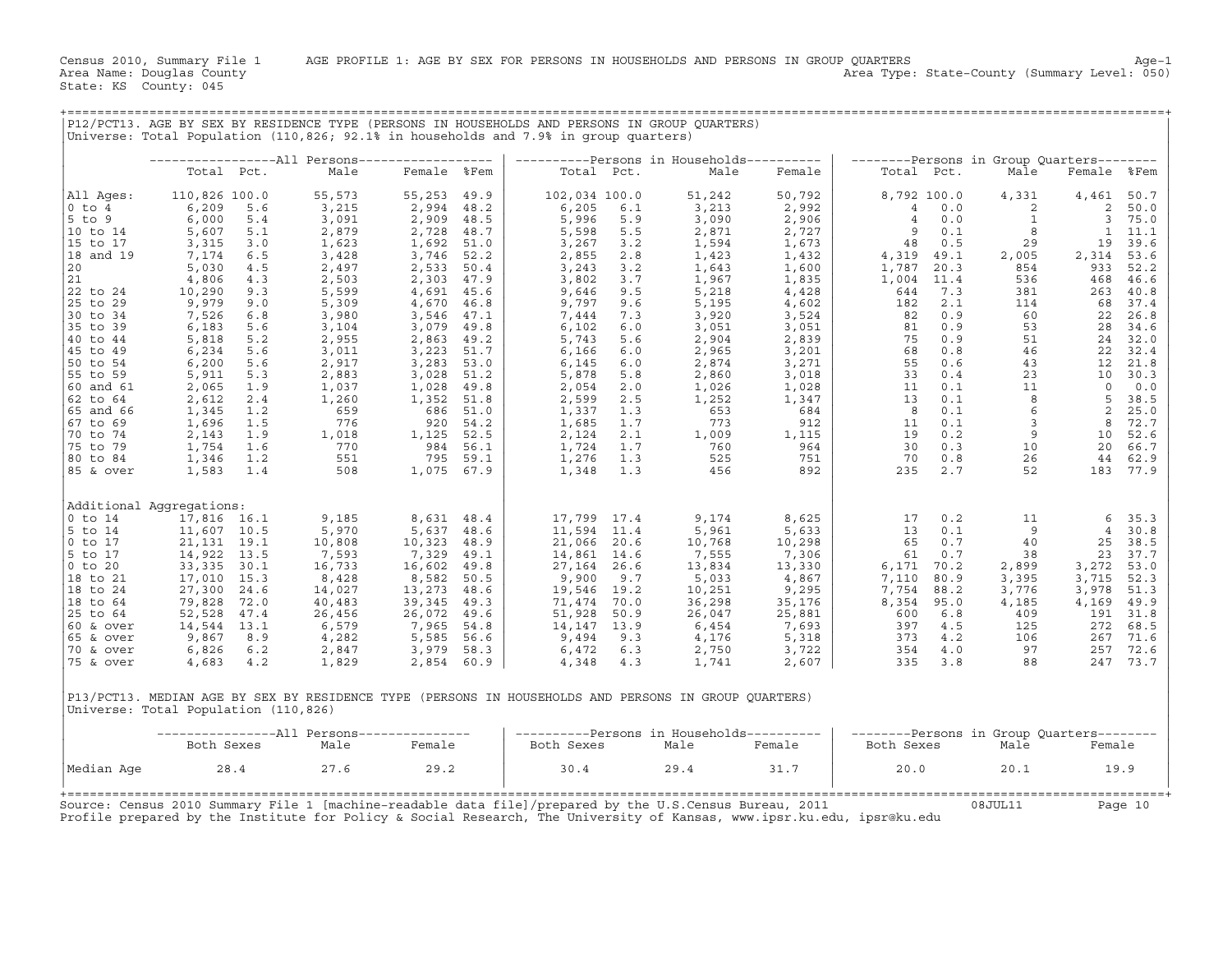|                       |                                      |              |                                                |                           |          |                                                                                      |            | P12/PCT13. AGE BY SEX BY RESIDENCE TYPE (PERSONS IN HOUSEHOLDS AND PERSONS IN GROUP OUARTERS)        |                |                                           |              |                                                                                                              |                |                        |
|-----------------------|--------------------------------------|--------------|------------------------------------------------|---------------------------|----------|--------------------------------------------------------------------------------------|------------|------------------------------------------------------------------------------------------------------|----------------|-------------------------------------------|--------------|--------------------------------------------------------------------------------------------------------------|----------------|------------------------|
|                       |                                      |              |                                                |                           |          | Universe: Total Population (110,826; 92.1% in households and 7.9% in group quarters) |            |                                                                                                      |                |                                           |              |                                                                                                              |                |                        |
|                       |                                      |              | -----------------All Persons------------------ |                           |          |                                                                                      |            | ----------Persons in Households----------                                                            |                | --------Persons in Group Quarters-------- |              |                                                                                                              |                |                        |
|                       |                                      | Total Pct.   | Male                                           | Female %Fem               |          |                                                                                      | Total Pct. | Male                                                                                                 | Female         | Total Pct.                                |              | Male                                                                                                         | Female %Fem    |                        |
| All Ages:             | 110,826 100.0                        |              | 55,573                                         | 55,253                    | 49.9     | 102,034 100.0                                                                        |            | 51,242                                                                                               | 50,792         |                                           | 8,792 100.0  | 4,331                                                                                                        | 4,461          | 50.7                   |
| $0$ to $4$            | 6,209                                | 5.6          | 3,215                                          | 2,994 48.2                |          | 6,205                                                                                | 6.1        | 3,213                                                                                                | 2,992          | $\overline{4}$                            | 0.0          | 2                                                                                                            | 2              | 50.0                   |
| $5$ to $9$            | 6,000                                | 5.4          | 3,091                                          | 2,909 48.5                |          | 5,996                                                                                | 5.9        | 3,090                                                                                                | 2,906          | $\overline{4}$                            | 0.0          | $\mathbf{1}$                                                                                                 |                | 3, 75.0                |
| 10 to 14<br>15 to 17  | 5,607<br>3,315                       | 5.1<br>3.0   | 2,879<br>1,623                                 | 2,728 48.7<br>1,692 51.0  |          | 5,598<br>3,267                                                                       | 5.5<br>3.2 | 2,871<br>1,594                                                                                       | 2,727<br>1,673 | 9<br>48                                   | 0.1<br>0.5   | 8<br>29                                                                                                      | 19             | $1 \quad 11.1$<br>39.6 |
| 18 and 19             | 7,174                                | 6.5          | 3,428                                          | 3,746 52.2                |          | 2,855                                                                                | 2.8        | 1,423                                                                                                | 1,432          | 4,319                                     | 49.1         | 2,005                                                                                                        | 2,314          | 53.6                   |
| 20                    | 5,030                                | 4.5          | 2,497                                          | 2,533 50.4                |          | 3,243                                                                                | 3.2        | 1,643                                                                                                | 1,600          | 1,787                                     | 20.3         | 854                                                                                                          | 933            | 52.2                   |
| 21                    | 4,806                                | 4.3          | 2,503                                          | 2,303 47.9                |          | 3,802                                                                                | 3.7        | 1,967                                                                                                | 1,835          | 1,004                                     | 11.4         | 536                                                                                                          | 468            | 46.6                   |
| 22 to 24              | 10,290                               | 9.3          | 5,599                                          | 4,691 45.6                |          | 9,646                                                                                | 9.5        | 5,218                                                                                                | 4,428          | 644                                       | 7.3          | 381                                                                                                          | 263            | 40.8                   |
| 25 to 29              | 9,979                                | 9.0          | 5,309                                          | 4,670                     | 46.8     | 9,797                                                                                | 9.6        | 5,195                                                                                                | 4,602          | 182                                       | 2.1          | 114                                                                                                          | 68             | 37.4                   |
| 30 to 34<br>35 to 39  | 7,526<br>6,183                       | 6.8<br>5.6   | 3,980<br>3,104                                 | 3,546 47.1<br>3,079 49.8  |          | 7,444<br>6,102                                                                       | 7.3<br>6.0 | 3,920<br>3,051                                                                                       | 3,524<br>3,051 | 82<br>81                                  | 0.9<br>0.9   | 60                                                                                                           | 22<br>28       | 26.8<br>34.6           |
| 40 to 44              | 5,818                                | 5.2          | 2,955                                          | 2,863 49.2                |          | 5,743                                                                                | 5.6        | 2,904                                                                                                | 2,839          | 75                                        | 0.9          |                                                                                                              | 24             | 32.0                   |
| 45 to 49              | 6,234                                | 5.6          | 3,011                                          | 3,223 51.7                |          | 6,166                                                                                | 6.0        | 2,965                                                                                                | 3,201          | 68                                        | 0.8          |                                                                                                              | 22             | 32.4                   |
| 50 to 54              | 6,200                                | 5.6          | 2,917                                          | $3,283$ 53.0              |          | 6,145                                                                                | 6.0        | 2,874                                                                                                | 3,271          | 55                                        | 0.6          |                                                                                                              | 12             | 21.8                   |
| 55 to 59              | 5,911                                | 5.3          | 2,883                                          | 3,028 51.2                |          | 5,878                                                                                | 5.8        | 2,860                                                                                                | 3,018          | 33                                        | 0.4          |                                                                                                              |                | 10 30.3                |
| 60 and 61             | 2,065                                | 1.9          | 1,037                                          | 1,028                     | 49.8     | 2,054                                                                                | 2.0        | 1,026                                                                                                | 1,028          | 11                                        | 0.1          |                                                                                                              | $\Omega$       | 0.0                    |
| 62 to 64              | 2,612                                | 2.4          | 1,260                                          | 1,352 51.8                |          | 2,599                                                                                | 2.5        | 1,252                                                                                                | 1,347          | 13<br>$\overline{8}$                      | 0.1<br>0.1   | 8 <sup>8</sup>                                                                                               | 5<br>2         | 38.5<br>25.0           |
| 65 and 66<br>67 to 69 | 1,345<br>1,696                       | 1.2<br>1.5   | 659<br>776                                     | 686 51.0                  | 920 54.2 | 1,337<br>1,685                                                                       | 1.3<br>1.7 | 653<br>773                                                                                           | 684<br>912     | 11                                        | 0.1          | $\begin{array}{r} 0.33 \\ 0.51 \\ 0.46 \\ 0.33 \\ 0.11 \\ 0.6 \\ 0.3 \end{array}$<br>$\overline{\mathbf{3}}$ |                | 8 72.7                 |
| 70 to 74              | 2,143                                | 1.9          | 1,018                                          | 1,125 52.5                |          | 2,124                                                                                | 2.1        | 1,009                                                                                                | 1,115          | 19                                        | 0.2          | 9                                                                                                            | 10             | 52.6                   |
| 75 to 79              | 1,754                                | 1.6          | 770                                            | 984 56.1                  |          | 1,724                                                                                | 1.7        | 760                                                                                                  | 964            | 30                                        | 0.3          | 10                                                                                                           | 20             | 66.7                   |
| 80 to 84              | 1,346                                | 1.2          | 770<br>551                                     |                           | 795 59.1 |                                                                                      | 1,276 1.3  | 525                                                                                                  | 751            | 70                                        | 0.8          | 26                                                                                                           | 44             | 62.9                   |
| 85 & over             | 1,583                                | 1.4          | 508                                            | 1,075 67.9                |          | 1,348                                                                                | 1.3        | 456                                                                                                  | 892            | 235                                       | 2.7          | 52                                                                                                           |                | 183 77.9               |
|                       | Additional Aqqreqations:             |              |                                                |                           |          |                                                                                      |            |                                                                                                      |                |                                           |              |                                                                                                              |                |                        |
| $0$ to $14$           | 17,816 16.1                          |              | 9,185                                          | 8,631 48.4                |          | 17,799 17.4                                                                          |            | 9,174                                                                                                | 8,625          | 17                                        | 0.2          | 11                                                                                                           |                | 6, 35.3                |
| 5 to 14               | 11,607 10.5                          |              | 5,970                                          | 5,637                     | 48.6     | 11,594 11.4                                                                          |            | 5,961                                                                                                | 5,633          | 13                                        | 0.1          | $\overline{9}$                                                                                               | $\overline{4}$ | 30.8                   |
| $0$ to $17$           | 21, 131 19.1                         |              | 10,808                                         | 10,323 48.9               |          | 21,066 20.6                                                                          |            | 10,768                                                                                               | 10,298         | 65                                        | 0.7          | 40                                                                                                           | 25             | 38.5                   |
| 5 to 17               | 14,922                               | 13.5         | 7,593                                          | 7,329                     | 49.1     | 14,861 14.6                                                                          |            | 7,555                                                                                                | 7,306          | 61                                        | 0.7          | 38                                                                                                           | 23             | 37.7                   |
| $0$ to $20$           | 33,335                               | 30.1         | 16,733                                         | 16,602 49.8               |          | 27, 164 26.6                                                                         |            | 13,834                                                                                               | 13,330         | 6,171                                     | 70.2         | 2,899                                                                                                        | 3,272          | 53.0                   |
| 18 to 21<br>18 to 24  | 17,010<br>27,300                     | 15.3<br>24.6 | 8,428<br>14,027                                | 8,582 50.5<br>13,273 48.6 |          | 9,900<br>19,546 19.2                                                                 | 9.7        | 5,033<br>10,251                                                                                      | 4,867<br>9,295 | 7,110<br>7,754                            | 80.9<br>88.2 | 3,395<br>3,776                                                                                               | 3,715<br>3,978 | 52.3<br>51.3           |
| 18 to 64              | 79,828                               | 72.0         | 40,483                                         | 39,345                    | 49.3     | 71,474 70.0                                                                          |            | 36,298                                                                                               | 35,176         | 8,354                                     | 95.0         | 4,185                                                                                                        | 4,169          | 49.9                   |
| 25 to 64              | 52,528                               | 47.4         | 26,456                                         | 26,072                    | 49.6     | 51,928 50.9                                                                          |            | 26,047                                                                                               | 25,881         | 600                                       | 6.8          | 409                                                                                                          | 191            | 31.8                   |
| $60$ & over           | 14,544                               | 13.1         | 6,579                                          | 7,965                     | 54.8     | 14, 147 13.9                                                                         |            | 6,454                                                                                                | 7,693          | 397                                       | 4.5          | 125                                                                                                          | 272            | 68.5                   |
| 65 & over             | 9,867                                | 8.9          | 4,282                                          | 5,585 56.6                |          | 9,494                                                                                | 9.3        | 4,176                                                                                                | 5,318          |                                           | 373 4.2      | 106                                                                                                          | 267            | 71.6                   |
| 70 & over             | 6,826                                | 6.2          | 2,847                                          | 3,979 58.3                |          | 6,472                                                                                | 6.3        | 2,750                                                                                                | 3,722          |                                           | 354 4.0      | $\begin{array}{c} 97 \\ 88 \end{array}$                                                                      | 257            | 72.6                   |
| 75 & over             | 4,683                                | 4.2          | 1,829                                          | 2,854 60.9                |          | 4,348                                                                                | 4.3        | 1,741                                                                                                | 2,607          | 335                                       | 3.8          |                                                                                                              |                | 247 73.7               |
|                       | Universe: Total Population (110,826) |              |                                                |                           |          |                                                                                      |            | P13/PCT13. MEDIAN AGE BY SEX BY RESIDENCE TYPE (PERSONS IN HOUSEHOLDS AND PERSONS IN GROUP OUARTERS) |                |                                           |              |                                                                                                              |                |                        |
|                       |                                      |              | ----------------All Persons---------------     |                           |          |                                                                                      |            | ----------Persons in Households----------                                                            |                | --------Persons in Group Quarters-------- |              |                                                                                                              |                |                        |
|                       | Both Sexes                           |              | Male                                           | Female                    |          | Both Sexes                                                                           |            | Male                                                                                                 | Female         | Both Sexes                                |              | Male                                                                                                         | Female         |                        |
| Median Age            | 28.4                                 |              | 27.6                                           | 29.2                      |          | 30.4                                                                                 |            | 29.4                                                                                                 | 31.7           | 20.0                                      |              | 20.1                                                                                                         | 19.9           |                        |

|            | Both Sexes                                                                                                                                                                                                                        | Male | Female | ----------Persons in housenolas----------<br>Both Sexes | Male | Female | --------Persons in Group Ouarters--------<br>Both Sexes | Male    | Female  |
|------------|-----------------------------------------------------------------------------------------------------------------------------------------------------------------------------------------------------------------------------------|------|--------|---------------------------------------------------------|------|--------|---------------------------------------------------------|---------|---------|
| Median Age | 28.4                                                                                                                                                                                                                              | 27.6 | 29.2   | 30.4                                                    | 29.4 | 31.7   | 20.0                                                    | 20.1    | 19.9    |
|            | Source: Census 2010 Summary File 1 [machine-readable data file]/prepared by the U.S.Census Bureau, 2011<br>Profile prepared by the Institute for Policy & Social Research, The University of Kansas, www.ipsr.ku.edu, ipsr@ku.edu |      |        |                                                         |      |        |                                                         | 08JUL11 | Page 10 |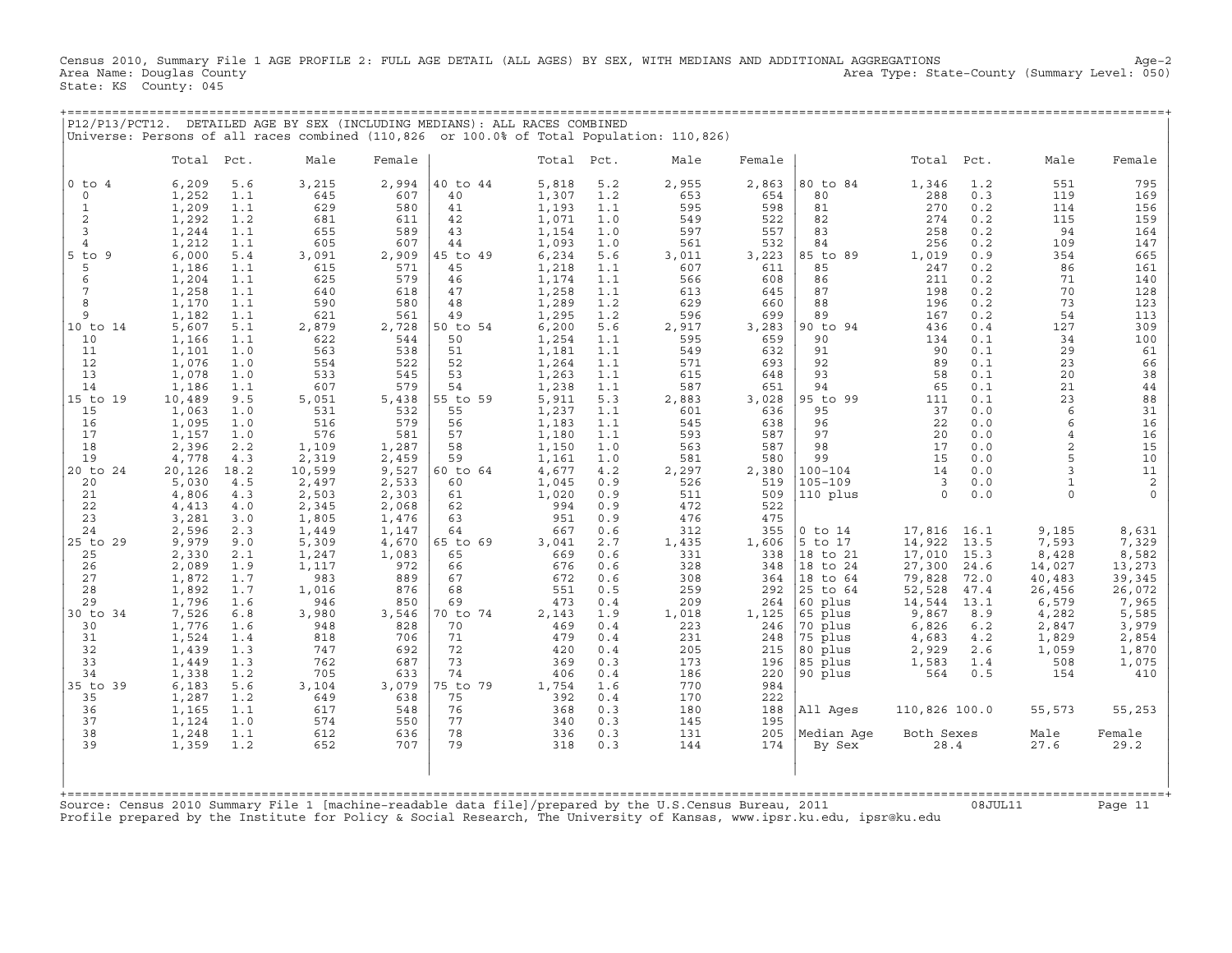Census 2010, Summary File 1 AGE PROFILE 2: FULL AGE DETAIL (ALL AGES) BY SEX, WITH MEDIANS AND ADDITIONAL AGGREGATIONS Age−2 Area Name: Douglas County Area Type: State−County (Summary Level: 050) State: KS County: 045

| P12/P13/PCT12. DETAILED AGE BY SEX (INCLUDING MEDIANS): ALL RACES COMBINED<br>Universe: Persons of all races combined (110,826 or 100.0% of Total Population: 110,826)<br>Male<br>Male<br>Total<br>Pct.<br>Female<br>Total<br>Pct.<br>Male<br>Female<br>Total<br>Pct.<br>Female<br>551<br>$0$ to $4$<br>6,209<br>5.6<br>3,215<br>2,994<br>40 to 44<br>5,818<br>5.2<br>2,955<br>2,863<br>80 to 84<br>1,346<br>1.2<br>795<br>654<br>1,252<br>645<br>607<br>40<br>1,307<br>1.2<br>653<br>80<br>288<br>0.3<br>119<br>169<br>$\mathbf 0$<br>1.1<br>1,209<br>629<br>580<br>41<br>598<br>81<br>270<br>0.2<br>114<br>156<br>1<br>1.1<br>1,193<br>1.1<br>595<br>$\overline{c}$<br>1,292<br>1,071<br>522<br>82<br>274<br>0.2<br>115<br>159<br>1.2<br>681<br>611<br>42<br>1.0<br>549<br>3<br>655<br>589<br>43<br>597<br>557<br>83<br>258<br>94<br>164<br>1,244<br>1.1<br>1,154<br>1.0<br>0.2<br>1,212<br>1.1<br>607<br>1,093<br>1.0<br>561<br>256<br>0.2<br>109<br>147<br>$\overline{4}$<br>605<br>44<br>532<br>84<br>$5$ to<br>9<br>2,909<br>85 to 89<br>1,019<br>0.9<br>354<br>665<br>6.000<br>5.4<br>3,091<br>45 to 49<br>6,234<br>5.6<br>3,011<br>3,223<br>1.1<br>571<br>85<br>0.2<br>86<br>5<br>1,186<br>615<br>45<br>1,218<br>1.1<br>607<br>611<br>247<br>161<br>579<br>6<br>1,204<br>1.1<br>625<br>46<br>608<br>86<br>211<br>0.2<br>71<br>140<br>1,174<br>1.1<br>566<br>70<br>128<br>7<br>1,258<br>1.1<br>640<br>618<br>47<br>1,258<br>1.1<br>613<br>645<br>87<br>198<br>0.2<br>8<br>1,170<br>590<br>580<br>48<br>1,289<br>629<br>88<br>196<br>0.2<br>73<br>123<br>1.1<br>1.2<br>660<br>89<br>9<br>1,182<br>1.1<br>621<br>561<br>49<br>1,295<br>1.2<br>596<br>699<br>167<br>0.2<br>54<br>113<br>10 to 14<br>5,607<br>5.1<br>2,879<br>2,728<br>6,200<br>5.6<br>2,917<br>3,283<br>90 to 94<br>436<br>0.4<br>127<br>309<br>50 to 54<br>10<br>1,166<br>1.1<br>622<br>50<br>595<br>659<br>90<br>0.1<br>34<br>100<br>544<br>1,254<br>1.1<br>134<br>563<br>538<br>51<br>549<br>632<br>91<br>90<br>0.1<br>29<br>61<br>11<br>1,101<br>1.0<br>1,181<br>1.1<br>12<br>1,076<br>522<br>52<br>693<br>92<br>89<br>23<br>66<br>1.0<br>554<br>1,264<br>1.1<br>571<br>0.1<br>13<br>1,078<br>533<br>545<br>53<br>93<br>58<br>0.1<br>20<br>38<br>1.0<br>1,263<br>1.1<br>615<br>648<br>579<br>14<br>1,186<br>1.1<br>607<br>54<br>1,238<br>1.1<br>587<br>651<br>94<br>65<br>0.1<br>21<br>44<br>5,438<br>5.3<br>95 to 99<br>0.1<br>23<br>15 to 19<br>10,489<br>9.5<br>5,051<br>55 to 59<br>5,911<br>2,883<br>3,028<br>111<br>88<br>55<br>31<br>15<br>1,063<br>1.0<br>531<br>532<br>1,237<br>1.1<br>601<br>636<br>95<br>37<br>0.0<br>6<br>16<br>1,095<br>579<br>56<br>0.0<br>6<br>16<br>1.0<br>516<br>1,183<br>1.1<br>545<br>638<br>96<br>22<br>17<br>576<br>581<br>57<br>1,157<br>593<br>587<br>97<br>20<br>0.0<br>16<br>1.0<br>1,180<br>1.1<br>$\overline{4}$<br>18<br>58<br>98<br>15<br>2,396<br>2.2<br>1,109<br>1,287<br>1,150<br>563<br>587<br>17<br>0.0<br>$\overline{2}$<br>1.0<br>10<br>19<br>4,778<br>2,319<br>2,459<br>59<br>581<br>580<br>99<br>15<br>0.0<br>5<br>4.3<br>1,161<br>1.0<br>20 to 24<br>20,126<br>18.2<br>10,599<br>9,527<br>4,677<br>4.2<br>2,297<br>2,380<br>$100 - 104$<br>14<br>0.0<br>$\mathbf{z}$<br>11<br>60 to 64<br>$\overline{2}$<br>60<br>519<br>$105 - 109$<br>3<br>0.0<br>20<br>5,030<br>4.5<br>2,497<br>2,533<br>1,045<br>0.9<br>526<br>$\mathbf{1}$<br>21<br>4,806<br>2,503<br>2,303<br>61<br>1,020<br>0.9<br>511<br>509<br>110 plus<br>$\Omega$<br>0.0<br>4.3<br>$\cap$<br>62<br>522<br>22<br>4,413<br>4.0<br>2,345<br>2,068<br>994<br>0.9<br>472<br>23<br>3,281<br>951<br>476<br>475<br>3.0<br>1,805<br>1,476<br>63<br>0.9<br>355<br>24<br>2,596<br>2.3<br>1,449<br>1,147<br>64<br>667<br>312<br>$0$ to $14$<br>17,816<br>16.1<br>9,185<br>8,631<br>0.6<br>5,309<br>1,606<br>5 to 17<br>14,922<br>7,593<br>25 to 29<br>9,979<br>9.0<br>4,670<br>65 to 69<br>3,041<br>2.7<br>1,435<br>13.5<br>7,329<br>25<br>2,330<br>2.1<br>1,247<br>1,083<br>65<br>0.6<br>331<br>338<br>18 to 21<br>17,010<br>15.3<br>8,428<br>8,582<br>669<br>972<br>26<br>2,089<br>1.9<br>1,117<br>66<br>676<br>0.6<br>328<br>348<br>18 to 24<br>27,300<br>24.6<br>14,027<br>13,273<br>27<br>1,872<br>1.7<br>983<br>889<br>67<br>672<br>0.6<br>308<br>364<br>18 to 64<br>79,828<br>72.0<br>40,483<br>39,345<br>28<br>1,892<br>876<br>68<br>259<br>292<br>1.7<br>1,016<br>551<br>0.5<br>25 to 64<br>52,528<br>47.4<br>26,456<br>26,072<br>209<br>29<br>1,796<br>946<br>850<br>69<br>473<br>264<br>60 plus<br>13.1<br>6,579<br>7,965<br>1.6<br>0.4<br>14,544<br>30 to 34<br>7,526<br>3,980<br>3,546<br>70 to 74<br>1,125<br>65 plus<br>4,282<br>5,585<br>6.8<br>2,143<br>1.9<br>1,018<br>9,867<br>8.9<br>70 plus<br>3,979<br>30<br>1,776<br>1.6<br>948<br>828<br>70<br>469<br>0.4<br>223<br>246<br>6,826<br>6.2<br>2,847<br>1,524<br>706<br>71<br>75 plus<br>1,829<br>2,854<br>31<br>1.4<br>818<br>479<br>0.4<br>231<br>248<br>4,683<br>4.2<br>32<br>1,439<br>747<br>692<br>72<br>420<br>205<br>1.3<br>0.4<br>215<br>80 plus<br>2,929<br>2.6<br>1,059<br>1,870<br>33<br>687<br>73<br>1,075<br>1,449<br>1.3<br>762<br>369<br>0.3<br>173<br>196<br>85 plus<br>1,583<br>1.4<br>508<br>1,338<br>705<br>633<br>74<br>186<br>220<br>90 plus<br>0.5<br>154<br>34<br>1.2<br>406<br>0.4<br>564<br>410<br>3,079<br>770<br>35 to 39<br>6,183<br>5.6<br>3,104<br>75 to 79<br>1,754<br>1.6<br>984<br>75<br>222<br>35<br>1,287<br>1.2<br>649<br>638<br>392<br>0.4<br>170<br>76<br>36<br>1,165<br>1.1<br>617<br>548<br>0.3<br>188<br>All Ages<br>110,826 100.0<br>55,253<br>368<br>180<br>55,573<br>37<br>1,124<br>1.0<br>574<br>550<br>77<br>340<br>0.3<br>145<br>195<br>78<br>38<br>612<br>636<br>336<br>131<br>205<br>Median Age<br>Both Sexes<br>Male<br>Female<br>1,248<br>1.1<br>0.3 |    |       |     |     |     |    |     |     |     |     |        |      |      |      |
|-----------------------------------------------------------------------------------------------------------------------------------------------------------------------------------------------------------------------------------------------------------------------------------------------------------------------------------------------------------------------------------------------------------------------------------------------------------------------------------------------------------------------------------------------------------------------------------------------------------------------------------------------------------------------------------------------------------------------------------------------------------------------------------------------------------------------------------------------------------------------------------------------------------------------------------------------------------------------------------------------------------------------------------------------------------------------------------------------------------------------------------------------------------------------------------------------------------------------------------------------------------------------------------------------------------------------------------------------------------------------------------------------------------------------------------------------------------------------------------------------------------------------------------------------------------------------------------------------------------------------------------------------------------------------------------------------------------------------------------------------------------------------------------------------------------------------------------------------------------------------------------------------------------------------------------------------------------------------------------------------------------------------------------------------------------------------------------------------------------------------------------------------------------------------------------------------------------------------------------------------------------------------------------------------------------------------------------------------------------------------------------------------------------------------------------------------------------------------------------------------------------------------------------------------------------------------------------------------------------------------------------------------------------------------------------------------------------------------------------------------------------------------------------------------------------------------------------------------------------------------------------------------------------------------------------------------------------------------------------------------------------------------------------------------------------------------------------------------------------------------------------------------------------------------------------------------------------------------------------------------------------------------------------------------------------------------------------------------------------------------------------------------------------------------------------------------------------------------------------------------------------------------------------------------------------------------------------------------------------------------------------------------------------------------------------------------------------------------------------------------------------------------------------------------------------------------------------------------------------------------------------------------------------------------------------------------------------------------------------------------------------------------------------------------------------------------------------------------------------------------------------------------------------------------------------------------------------------------------------------------------------------------------------------------------------------------------------------------------------------------------------------------------------------------------------------------------------------------------------------------------------------------------------------------------------------------------------------------------------------------------------------------------------------------------------------------------------------------------------------------------------------------------------------------------------------------------------------------------------------------------------------------------------------------------------------------------------------------------------------------------------------------------------------------------------------------------------------------------------------------------------------------------------------------------------------------------------------------------------------------------------------------------------------------------------------------------------------------------------------------------------------------------------------------------------------------------------------------------------------------------------------------------------------------------------------------------------------------------------------------------------------------------------------------------------------------------------------------------------------------------------|----|-------|-----|-----|-----|----|-----|-----|-----|-----|--------|------|------|------|
|                                                                                                                                                                                                                                                                                                                                                                                                                                                                                                                                                                                                                                                                                                                                                                                                                                                                                                                                                                                                                                                                                                                                                                                                                                                                                                                                                                                                                                                                                                                                                                                                                                                                                                                                                                                                                                                                                                                                                                                                                                                                                                                                                                                                                                                                                                                                                                                                                                                                                                                                                                                                                                                                                                                                                                                                                                                                                                                                                                                                                                                                                                                                                                                                                                                                                                                                                                                                                                                                                                                                                                                                                                                                                                                                                                                                                                                                                                                                                                                                                                                                                                                                                                                                                                                                                                                                                                                                                                                                                                                                                                                                                                                                                                                                                                                                                                                                                                                                                                                                                                                                                                                                                                                                                                                                                                                                                                                                                                                                                                                                                                                                                                                                                                                                                           |    |       |     |     |     |    |     |     |     |     |        |      |      |      |
|                                                                                                                                                                                                                                                                                                                                                                                                                                                                                                                                                                                                                                                                                                                                                                                                                                                                                                                                                                                                                                                                                                                                                                                                                                                                                                                                                                                                                                                                                                                                                                                                                                                                                                                                                                                                                                                                                                                                                                                                                                                                                                                                                                                                                                                                                                                                                                                                                                                                                                                                                                                                                                                                                                                                                                                                                                                                                                                                                                                                                                                                                                                                                                                                                                                                                                                                                                                                                                                                                                                                                                                                                                                                                                                                                                                                                                                                                                                                                                                                                                                                                                                                                                                                                                                                                                                                                                                                                                                                                                                                                                                                                                                                                                                                                                                                                                                                                                                                                                                                                                                                                                                                                                                                                                                                                                                                                                                                                                                                                                                                                                                                                                                                                                                                                           |    |       |     |     |     |    |     |     |     |     |        |      |      |      |
|                                                                                                                                                                                                                                                                                                                                                                                                                                                                                                                                                                                                                                                                                                                                                                                                                                                                                                                                                                                                                                                                                                                                                                                                                                                                                                                                                                                                                                                                                                                                                                                                                                                                                                                                                                                                                                                                                                                                                                                                                                                                                                                                                                                                                                                                                                                                                                                                                                                                                                                                                                                                                                                                                                                                                                                                                                                                                                                                                                                                                                                                                                                                                                                                                                                                                                                                                                                                                                                                                                                                                                                                                                                                                                                                                                                                                                                                                                                                                                                                                                                                                                                                                                                                                                                                                                                                                                                                                                                                                                                                                                                                                                                                                                                                                                                                                                                                                                                                                                                                                                                                                                                                                                                                                                                                                                                                                                                                                                                                                                                                                                                                                                                                                                                                                           |    |       |     |     |     |    |     |     |     |     |        |      |      |      |
|                                                                                                                                                                                                                                                                                                                                                                                                                                                                                                                                                                                                                                                                                                                                                                                                                                                                                                                                                                                                                                                                                                                                                                                                                                                                                                                                                                                                                                                                                                                                                                                                                                                                                                                                                                                                                                                                                                                                                                                                                                                                                                                                                                                                                                                                                                                                                                                                                                                                                                                                                                                                                                                                                                                                                                                                                                                                                                                                                                                                                                                                                                                                                                                                                                                                                                                                                                                                                                                                                                                                                                                                                                                                                                                                                                                                                                                                                                                                                                                                                                                                                                                                                                                                                                                                                                                                                                                                                                                                                                                                                                                                                                                                                                                                                                                                                                                                                                                                                                                                                                                                                                                                                                                                                                                                                                                                                                                                                                                                                                                                                                                                                                                                                                                                                           |    |       |     |     |     |    |     |     |     |     |        |      |      |      |
|                                                                                                                                                                                                                                                                                                                                                                                                                                                                                                                                                                                                                                                                                                                                                                                                                                                                                                                                                                                                                                                                                                                                                                                                                                                                                                                                                                                                                                                                                                                                                                                                                                                                                                                                                                                                                                                                                                                                                                                                                                                                                                                                                                                                                                                                                                                                                                                                                                                                                                                                                                                                                                                                                                                                                                                                                                                                                                                                                                                                                                                                                                                                                                                                                                                                                                                                                                                                                                                                                                                                                                                                                                                                                                                                                                                                                                                                                                                                                                                                                                                                                                                                                                                                                                                                                                                                                                                                                                                                                                                                                                                                                                                                                                                                                                                                                                                                                                                                                                                                                                                                                                                                                                                                                                                                                                                                                                                                                                                                                                                                                                                                                                                                                                                                                           |    |       |     |     |     |    |     |     |     |     |        |      |      |      |
|                                                                                                                                                                                                                                                                                                                                                                                                                                                                                                                                                                                                                                                                                                                                                                                                                                                                                                                                                                                                                                                                                                                                                                                                                                                                                                                                                                                                                                                                                                                                                                                                                                                                                                                                                                                                                                                                                                                                                                                                                                                                                                                                                                                                                                                                                                                                                                                                                                                                                                                                                                                                                                                                                                                                                                                                                                                                                                                                                                                                                                                                                                                                                                                                                                                                                                                                                                                                                                                                                                                                                                                                                                                                                                                                                                                                                                                                                                                                                                                                                                                                                                                                                                                                                                                                                                                                                                                                                                                                                                                                                                                                                                                                                                                                                                                                                                                                                                                                                                                                                                                                                                                                                                                                                                                                                                                                                                                                                                                                                                                                                                                                                                                                                                                                                           |    |       |     |     |     |    |     |     |     |     |        |      |      |      |
|                                                                                                                                                                                                                                                                                                                                                                                                                                                                                                                                                                                                                                                                                                                                                                                                                                                                                                                                                                                                                                                                                                                                                                                                                                                                                                                                                                                                                                                                                                                                                                                                                                                                                                                                                                                                                                                                                                                                                                                                                                                                                                                                                                                                                                                                                                                                                                                                                                                                                                                                                                                                                                                                                                                                                                                                                                                                                                                                                                                                                                                                                                                                                                                                                                                                                                                                                                                                                                                                                                                                                                                                                                                                                                                                                                                                                                                                                                                                                                                                                                                                                                                                                                                                                                                                                                                                                                                                                                                                                                                                                                                                                                                                                                                                                                                                                                                                                                                                                                                                                                                                                                                                                                                                                                                                                                                                                                                                                                                                                                                                                                                                                                                                                                                                                           |    |       |     |     |     |    |     |     |     |     |        |      |      |      |
|                                                                                                                                                                                                                                                                                                                                                                                                                                                                                                                                                                                                                                                                                                                                                                                                                                                                                                                                                                                                                                                                                                                                                                                                                                                                                                                                                                                                                                                                                                                                                                                                                                                                                                                                                                                                                                                                                                                                                                                                                                                                                                                                                                                                                                                                                                                                                                                                                                                                                                                                                                                                                                                                                                                                                                                                                                                                                                                                                                                                                                                                                                                                                                                                                                                                                                                                                                                                                                                                                                                                                                                                                                                                                                                                                                                                                                                                                                                                                                                                                                                                                                                                                                                                                                                                                                                                                                                                                                                                                                                                                                                                                                                                                                                                                                                                                                                                                                                                                                                                                                                                                                                                                                                                                                                                                                                                                                                                                                                                                                                                                                                                                                                                                                                                                           |    |       |     |     |     |    |     |     |     |     |        |      |      |      |
|                                                                                                                                                                                                                                                                                                                                                                                                                                                                                                                                                                                                                                                                                                                                                                                                                                                                                                                                                                                                                                                                                                                                                                                                                                                                                                                                                                                                                                                                                                                                                                                                                                                                                                                                                                                                                                                                                                                                                                                                                                                                                                                                                                                                                                                                                                                                                                                                                                                                                                                                                                                                                                                                                                                                                                                                                                                                                                                                                                                                                                                                                                                                                                                                                                                                                                                                                                                                                                                                                                                                                                                                                                                                                                                                                                                                                                                                                                                                                                                                                                                                                                                                                                                                                                                                                                                                                                                                                                                                                                                                                                                                                                                                                                                                                                                                                                                                                                                                                                                                                                                                                                                                                                                                                                                                                                                                                                                                                                                                                                                                                                                                                                                                                                                                                           |    |       |     |     |     |    |     |     |     |     |        |      |      |      |
|                                                                                                                                                                                                                                                                                                                                                                                                                                                                                                                                                                                                                                                                                                                                                                                                                                                                                                                                                                                                                                                                                                                                                                                                                                                                                                                                                                                                                                                                                                                                                                                                                                                                                                                                                                                                                                                                                                                                                                                                                                                                                                                                                                                                                                                                                                                                                                                                                                                                                                                                                                                                                                                                                                                                                                                                                                                                                                                                                                                                                                                                                                                                                                                                                                                                                                                                                                                                                                                                                                                                                                                                                                                                                                                                                                                                                                                                                                                                                                                                                                                                                                                                                                                                                                                                                                                                                                                                                                                                                                                                                                                                                                                                                                                                                                                                                                                                                                                                                                                                                                                                                                                                                                                                                                                                                                                                                                                                                                                                                                                                                                                                                                                                                                                                                           |    |       |     |     |     |    |     |     |     |     |        |      |      |      |
|                                                                                                                                                                                                                                                                                                                                                                                                                                                                                                                                                                                                                                                                                                                                                                                                                                                                                                                                                                                                                                                                                                                                                                                                                                                                                                                                                                                                                                                                                                                                                                                                                                                                                                                                                                                                                                                                                                                                                                                                                                                                                                                                                                                                                                                                                                                                                                                                                                                                                                                                                                                                                                                                                                                                                                                                                                                                                                                                                                                                                                                                                                                                                                                                                                                                                                                                                                                                                                                                                                                                                                                                                                                                                                                                                                                                                                                                                                                                                                                                                                                                                                                                                                                                                                                                                                                                                                                                                                                                                                                                                                                                                                                                                                                                                                                                                                                                                                                                                                                                                                                                                                                                                                                                                                                                                                                                                                                                                                                                                                                                                                                                                                                                                                                                                           |    |       |     |     |     |    |     |     |     |     |        |      |      |      |
|                                                                                                                                                                                                                                                                                                                                                                                                                                                                                                                                                                                                                                                                                                                                                                                                                                                                                                                                                                                                                                                                                                                                                                                                                                                                                                                                                                                                                                                                                                                                                                                                                                                                                                                                                                                                                                                                                                                                                                                                                                                                                                                                                                                                                                                                                                                                                                                                                                                                                                                                                                                                                                                                                                                                                                                                                                                                                                                                                                                                                                                                                                                                                                                                                                                                                                                                                                                                                                                                                                                                                                                                                                                                                                                                                                                                                                                                                                                                                                                                                                                                                                                                                                                                                                                                                                                                                                                                                                                                                                                                                                                                                                                                                                                                                                                                                                                                                                                                                                                                                                                                                                                                                                                                                                                                                                                                                                                                                                                                                                                                                                                                                                                                                                                                                           |    |       |     |     |     |    |     |     |     |     |        |      |      |      |
|                                                                                                                                                                                                                                                                                                                                                                                                                                                                                                                                                                                                                                                                                                                                                                                                                                                                                                                                                                                                                                                                                                                                                                                                                                                                                                                                                                                                                                                                                                                                                                                                                                                                                                                                                                                                                                                                                                                                                                                                                                                                                                                                                                                                                                                                                                                                                                                                                                                                                                                                                                                                                                                                                                                                                                                                                                                                                                                                                                                                                                                                                                                                                                                                                                                                                                                                                                                                                                                                                                                                                                                                                                                                                                                                                                                                                                                                                                                                                                                                                                                                                                                                                                                                                                                                                                                                                                                                                                                                                                                                                                                                                                                                                                                                                                                                                                                                                                                                                                                                                                                                                                                                                                                                                                                                                                                                                                                                                                                                                                                                                                                                                                                                                                                                                           |    |       |     |     |     |    |     |     |     |     |        |      |      |      |
|                                                                                                                                                                                                                                                                                                                                                                                                                                                                                                                                                                                                                                                                                                                                                                                                                                                                                                                                                                                                                                                                                                                                                                                                                                                                                                                                                                                                                                                                                                                                                                                                                                                                                                                                                                                                                                                                                                                                                                                                                                                                                                                                                                                                                                                                                                                                                                                                                                                                                                                                                                                                                                                                                                                                                                                                                                                                                                                                                                                                                                                                                                                                                                                                                                                                                                                                                                                                                                                                                                                                                                                                                                                                                                                                                                                                                                                                                                                                                                                                                                                                                                                                                                                                                                                                                                                                                                                                                                                                                                                                                                                                                                                                                                                                                                                                                                                                                                                                                                                                                                                                                                                                                                                                                                                                                                                                                                                                                                                                                                                                                                                                                                                                                                                                                           |    |       |     |     |     |    |     |     |     |     |        |      |      |      |
|                                                                                                                                                                                                                                                                                                                                                                                                                                                                                                                                                                                                                                                                                                                                                                                                                                                                                                                                                                                                                                                                                                                                                                                                                                                                                                                                                                                                                                                                                                                                                                                                                                                                                                                                                                                                                                                                                                                                                                                                                                                                                                                                                                                                                                                                                                                                                                                                                                                                                                                                                                                                                                                                                                                                                                                                                                                                                                                                                                                                                                                                                                                                                                                                                                                                                                                                                                                                                                                                                                                                                                                                                                                                                                                                                                                                                                                                                                                                                                                                                                                                                                                                                                                                                                                                                                                                                                                                                                                                                                                                                                                                                                                                                                                                                                                                                                                                                                                                                                                                                                                                                                                                                                                                                                                                                                                                                                                                                                                                                                                                                                                                                                                                                                                                                           |    |       |     |     |     |    |     |     |     |     |        |      |      |      |
|                                                                                                                                                                                                                                                                                                                                                                                                                                                                                                                                                                                                                                                                                                                                                                                                                                                                                                                                                                                                                                                                                                                                                                                                                                                                                                                                                                                                                                                                                                                                                                                                                                                                                                                                                                                                                                                                                                                                                                                                                                                                                                                                                                                                                                                                                                                                                                                                                                                                                                                                                                                                                                                                                                                                                                                                                                                                                                                                                                                                                                                                                                                                                                                                                                                                                                                                                                                                                                                                                                                                                                                                                                                                                                                                                                                                                                                                                                                                                                                                                                                                                                                                                                                                                                                                                                                                                                                                                                                                                                                                                                                                                                                                                                                                                                                                                                                                                                                                                                                                                                                                                                                                                                                                                                                                                                                                                                                                                                                                                                                                                                                                                                                                                                                                                           |    |       |     |     |     |    |     |     |     |     |        |      |      |      |
|                                                                                                                                                                                                                                                                                                                                                                                                                                                                                                                                                                                                                                                                                                                                                                                                                                                                                                                                                                                                                                                                                                                                                                                                                                                                                                                                                                                                                                                                                                                                                                                                                                                                                                                                                                                                                                                                                                                                                                                                                                                                                                                                                                                                                                                                                                                                                                                                                                                                                                                                                                                                                                                                                                                                                                                                                                                                                                                                                                                                                                                                                                                                                                                                                                                                                                                                                                                                                                                                                                                                                                                                                                                                                                                                                                                                                                                                                                                                                                                                                                                                                                                                                                                                                                                                                                                                                                                                                                                                                                                                                                                                                                                                                                                                                                                                                                                                                                                                                                                                                                                                                                                                                                                                                                                                                                                                                                                                                                                                                                                                                                                                                                                                                                                                                           |    |       |     |     |     |    |     |     |     |     |        |      |      |      |
|                                                                                                                                                                                                                                                                                                                                                                                                                                                                                                                                                                                                                                                                                                                                                                                                                                                                                                                                                                                                                                                                                                                                                                                                                                                                                                                                                                                                                                                                                                                                                                                                                                                                                                                                                                                                                                                                                                                                                                                                                                                                                                                                                                                                                                                                                                                                                                                                                                                                                                                                                                                                                                                                                                                                                                                                                                                                                                                                                                                                                                                                                                                                                                                                                                                                                                                                                                                                                                                                                                                                                                                                                                                                                                                                                                                                                                                                                                                                                                                                                                                                                                                                                                                                                                                                                                                                                                                                                                                                                                                                                                                                                                                                                                                                                                                                                                                                                                                                                                                                                                                                                                                                                                                                                                                                                                                                                                                                                                                                                                                                                                                                                                                                                                                                                           |    |       |     |     |     |    |     |     |     |     |        |      |      |      |
|                                                                                                                                                                                                                                                                                                                                                                                                                                                                                                                                                                                                                                                                                                                                                                                                                                                                                                                                                                                                                                                                                                                                                                                                                                                                                                                                                                                                                                                                                                                                                                                                                                                                                                                                                                                                                                                                                                                                                                                                                                                                                                                                                                                                                                                                                                                                                                                                                                                                                                                                                                                                                                                                                                                                                                                                                                                                                                                                                                                                                                                                                                                                                                                                                                                                                                                                                                                                                                                                                                                                                                                                                                                                                                                                                                                                                                                                                                                                                                                                                                                                                                                                                                                                                                                                                                                                                                                                                                                                                                                                                                                                                                                                                                                                                                                                                                                                                                                                                                                                                                                                                                                                                                                                                                                                                                                                                                                                                                                                                                                                                                                                                                                                                                                                                           |    |       |     |     |     |    |     |     |     |     |        |      |      |      |
|                                                                                                                                                                                                                                                                                                                                                                                                                                                                                                                                                                                                                                                                                                                                                                                                                                                                                                                                                                                                                                                                                                                                                                                                                                                                                                                                                                                                                                                                                                                                                                                                                                                                                                                                                                                                                                                                                                                                                                                                                                                                                                                                                                                                                                                                                                                                                                                                                                                                                                                                                                                                                                                                                                                                                                                                                                                                                                                                                                                                                                                                                                                                                                                                                                                                                                                                                                                                                                                                                                                                                                                                                                                                                                                                                                                                                                                                                                                                                                                                                                                                                                                                                                                                                                                                                                                                                                                                                                                                                                                                                                                                                                                                                                                                                                                                                                                                                                                                                                                                                                                                                                                                                                                                                                                                                                                                                                                                                                                                                                                                                                                                                                                                                                                                                           |    |       |     |     |     |    |     |     |     |     |        |      |      |      |
|                                                                                                                                                                                                                                                                                                                                                                                                                                                                                                                                                                                                                                                                                                                                                                                                                                                                                                                                                                                                                                                                                                                                                                                                                                                                                                                                                                                                                                                                                                                                                                                                                                                                                                                                                                                                                                                                                                                                                                                                                                                                                                                                                                                                                                                                                                                                                                                                                                                                                                                                                                                                                                                                                                                                                                                                                                                                                                                                                                                                                                                                                                                                                                                                                                                                                                                                                                                                                                                                                                                                                                                                                                                                                                                                                                                                                                                                                                                                                                                                                                                                                                                                                                                                                                                                                                                                                                                                                                                                                                                                                                                                                                                                                                                                                                                                                                                                                                                                                                                                                                                                                                                                                                                                                                                                                                                                                                                                                                                                                                                                                                                                                                                                                                                                                           |    |       |     |     |     |    |     |     |     |     |        |      |      |      |
|                                                                                                                                                                                                                                                                                                                                                                                                                                                                                                                                                                                                                                                                                                                                                                                                                                                                                                                                                                                                                                                                                                                                                                                                                                                                                                                                                                                                                                                                                                                                                                                                                                                                                                                                                                                                                                                                                                                                                                                                                                                                                                                                                                                                                                                                                                                                                                                                                                                                                                                                                                                                                                                                                                                                                                                                                                                                                                                                                                                                                                                                                                                                                                                                                                                                                                                                                                                                                                                                                                                                                                                                                                                                                                                                                                                                                                                                                                                                                                                                                                                                                                                                                                                                                                                                                                                                                                                                                                                                                                                                                                                                                                                                                                                                                                                                                                                                                                                                                                                                                                                                                                                                                                                                                                                                                                                                                                                                                                                                                                                                                                                                                                                                                                                                                           |    |       |     |     |     |    |     |     |     |     |        |      |      |      |
|                                                                                                                                                                                                                                                                                                                                                                                                                                                                                                                                                                                                                                                                                                                                                                                                                                                                                                                                                                                                                                                                                                                                                                                                                                                                                                                                                                                                                                                                                                                                                                                                                                                                                                                                                                                                                                                                                                                                                                                                                                                                                                                                                                                                                                                                                                                                                                                                                                                                                                                                                                                                                                                                                                                                                                                                                                                                                                                                                                                                                                                                                                                                                                                                                                                                                                                                                                                                                                                                                                                                                                                                                                                                                                                                                                                                                                                                                                                                                                                                                                                                                                                                                                                                                                                                                                                                                                                                                                                                                                                                                                                                                                                                                                                                                                                                                                                                                                                                                                                                                                                                                                                                                                                                                                                                                                                                                                                                                                                                                                                                                                                                                                                                                                                                                           |    |       |     |     |     |    |     |     |     |     |        |      |      |      |
|                                                                                                                                                                                                                                                                                                                                                                                                                                                                                                                                                                                                                                                                                                                                                                                                                                                                                                                                                                                                                                                                                                                                                                                                                                                                                                                                                                                                                                                                                                                                                                                                                                                                                                                                                                                                                                                                                                                                                                                                                                                                                                                                                                                                                                                                                                                                                                                                                                                                                                                                                                                                                                                                                                                                                                                                                                                                                                                                                                                                                                                                                                                                                                                                                                                                                                                                                                                                                                                                                                                                                                                                                                                                                                                                                                                                                                                                                                                                                                                                                                                                                                                                                                                                                                                                                                                                                                                                                                                                                                                                                                                                                                                                                                                                                                                                                                                                                                                                                                                                                                                                                                                                                                                                                                                                                                                                                                                                                                                                                                                                                                                                                                                                                                                                                           |    |       |     |     |     |    |     |     |     |     |        |      |      |      |
|                                                                                                                                                                                                                                                                                                                                                                                                                                                                                                                                                                                                                                                                                                                                                                                                                                                                                                                                                                                                                                                                                                                                                                                                                                                                                                                                                                                                                                                                                                                                                                                                                                                                                                                                                                                                                                                                                                                                                                                                                                                                                                                                                                                                                                                                                                                                                                                                                                                                                                                                                                                                                                                                                                                                                                                                                                                                                                                                                                                                                                                                                                                                                                                                                                                                                                                                                                                                                                                                                                                                                                                                                                                                                                                                                                                                                                                                                                                                                                                                                                                                                                                                                                                                                                                                                                                                                                                                                                                                                                                                                                                                                                                                                                                                                                                                                                                                                                                                                                                                                                                                                                                                                                                                                                                                                                                                                                                                                                                                                                                                                                                                                                                                                                                                                           |    |       |     |     |     |    |     |     |     |     |        |      |      |      |
|                                                                                                                                                                                                                                                                                                                                                                                                                                                                                                                                                                                                                                                                                                                                                                                                                                                                                                                                                                                                                                                                                                                                                                                                                                                                                                                                                                                                                                                                                                                                                                                                                                                                                                                                                                                                                                                                                                                                                                                                                                                                                                                                                                                                                                                                                                                                                                                                                                                                                                                                                                                                                                                                                                                                                                                                                                                                                                                                                                                                                                                                                                                                                                                                                                                                                                                                                                                                                                                                                                                                                                                                                                                                                                                                                                                                                                                                                                                                                                                                                                                                                                                                                                                                                                                                                                                                                                                                                                                                                                                                                                                                                                                                                                                                                                                                                                                                                                                                                                                                                                                                                                                                                                                                                                                                                                                                                                                                                                                                                                                                                                                                                                                                                                                                                           |    |       |     |     |     |    |     |     |     |     |        |      |      |      |
|                                                                                                                                                                                                                                                                                                                                                                                                                                                                                                                                                                                                                                                                                                                                                                                                                                                                                                                                                                                                                                                                                                                                                                                                                                                                                                                                                                                                                                                                                                                                                                                                                                                                                                                                                                                                                                                                                                                                                                                                                                                                                                                                                                                                                                                                                                                                                                                                                                                                                                                                                                                                                                                                                                                                                                                                                                                                                                                                                                                                                                                                                                                                                                                                                                                                                                                                                                                                                                                                                                                                                                                                                                                                                                                                                                                                                                                                                                                                                                                                                                                                                                                                                                                                                                                                                                                                                                                                                                                                                                                                                                                                                                                                                                                                                                                                                                                                                                                                                                                                                                                                                                                                                                                                                                                                                                                                                                                                                                                                                                                                                                                                                                                                                                                                                           |    |       |     |     |     |    |     |     |     |     |        |      |      |      |
|                                                                                                                                                                                                                                                                                                                                                                                                                                                                                                                                                                                                                                                                                                                                                                                                                                                                                                                                                                                                                                                                                                                                                                                                                                                                                                                                                                                                                                                                                                                                                                                                                                                                                                                                                                                                                                                                                                                                                                                                                                                                                                                                                                                                                                                                                                                                                                                                                                                                                                                                                                                                                                                                                                                                                                                                                                                                                                                                                                                                                                                                                                                                                                                                                                                                                                                                                                                                                                                                                                                                                                                                                                                                                                                                                                                                                                                                                                                                                                                                                                                                                                                                                                                                                                                                                                                                                                                                                                                                                                                                                                                                                                                                                                                                                                                                                                                                                                                                                                                                                                                                                                                                                                                                                                                                                                                                                                                                                                                                                                                                                                                                                                                                                                                                                           |    |       |     |     |     |    |     |     |     |     |        |      |      |      |
|                                                                                                                                                                                                                                                                                                                                                                                                                                                                                                                                                                                                                                                                                                                                                                                                                                                                                                                                                                                                                                                                                                                                                                                                                                                                                                                                                                                                                                                                                                                                                                                                                                                                                                                                                                                                                                                                                                                                                                                                                                                                                                                                                                                                                                                                                                                                                                                                                                                                                                                                                                                                                                                                                                                                                                                                                                                                                                                                                                                                                                                                                                                                                                                                                                                                                                                                                                                                                                                                                                                                                                                                                                                                                                                                                                                                                                                                                                                                                                                                                                                                                                                                                                                                                                                                                                                                                                                                                                                                                                                                                                                                                                                                                                                                                                                                                                                                                                                                                                                                                                                                                                                                                                                                                                                                                                                                                                                                                                                                                                                                                                                                                                                                                                                                                           |    |       |     |     |     |    |     |     |     |     |        |      |      |      |
|                                                                                                                                                                                                                                                                                                                                                                                                                                                                                                                                                                                                                                                                                                                                                                                                                                                                                                                                                                                                                                                                                                                                                                                                                                                                                                                                                                                                                                                                                                                                                                                                                                                                                                                                                                                                                                                                                                                                                                                                                                                                                                                                                                                                                                                                                                                                                                                                                                                                                                                                                                                                                                                                                                                                                                                                                                                                                                                                                                                                                                                                                                                                                                                                                                                                                                                                                                                                                                                                                                                                                                                                                                                                                                                                                                                                                                                                                                                                                                                                                                                                                                                                                                                                                                                                                                                                                                                                                                                                                                                                                                                                                                                                                                                                                                                                                                                                                                                                                                                                                                                                                                                                                                                                                                                                                                                                                                                                                                                                                                                                                                                                                                                                                                                                                           |    |       |     |     |     |    |     |     |     |     |        |      |      |      |
|                                                                                                                                                                                                                                                                                                                                                                                                                                                                                                                                                                                                                                                                                                                                                                                                                                                                                                                                                                                                                                                                                                                                                                                                                                                                                                                                                                                                                                                                                                                                                                                                                                                                                                                                                                                                                                                                                                                                                                                                                                                                                                                                                                                                                                                                                                                                                                                                                                                                                                                                                                                                                                                                                                                                                                                                                                                                                                                                                                                                                                                                                                                                                                                                                                                                                                                                                                                                                                                                                                                                                                                                                                                                                                                                                                                                                                                                                                                                                                                                                                                                                                                                                                                                                                                                                                                                                                                                                                                                                                                                                                                                                                                                                                                                                                                                                                                                                                                                                                                                                                                                                                                                                                                                                                                                                                                                                                                                                                                                                                                                                                                                                                                                                                                                                           |    |       |     |     |     |    |     |     |     |     |        |      |      |      |
|                                                                                                                                                                                                                                                                                                                                                                                                                                                                                                                                                                                                                                                                                                                                                                                                                                                                                                                                                                                                                                                                                                                                                                                                                                                                                                                                                                                                                                                                                                                                                                                                                                                                                                                                                                                                                                                                                                                                                                                                                                                                                                                                                                                                                                                                                                                                                                                                                                                                                                                                                                                                                                                                                                                                                                                                                                                                                                                                                                                                                                                                                                                                                                                                                                                                                                                                                                                                                                                                                                                                                                                                                                                                                                                                                                                                                                                                                                                                                                                                                                                                                                                                                                                                                                                                                                                                                                                                                                                                                                                                                                                                                                                                                                                                                                                                                                                                                                                                                                                                                                                                                                                                                                                                                                                                                                                                                                                                                                                                                                                                                                                                                                                                                                                                                           |    |       |     |     |     |    |     |     |     |     |        |      |      |      |
|                                                                                                                                                                                                                                                                                                                                                                                                                                                                                                                                                                                                                                                                                                                                                                                                                                                                                                                                                                                                                                                                                                                                                                                                                                                                                                                                                                                                                                                                                                                                                                                                                                                                                                                                                                                                                                                                                                                                                                                                                                                                                                                                                                                                                                                                                                                                                                                                                                                                                                                                                                                                                                                                                                                                                                                                                                                                                                                                                                                                                                                                                                                                                                                                                                                                                                                                                                                                                                                                                                                                                                                                                                                                                                                                                                                                                                                                                                                                                                                                                                                                                                                                                                                                                                                                                                                                                                                                                                                                                                                                                                                                                                                                                                                                                                                                                                                                                                                                                                                                                                                                                                                                                                                                                                                                                                                                                                                                                                                                                                                                                                                                                                                                                                                                                           |    |       |     |     |     |    |     |     |     |     |        |      |      |      |
|                                                                                                                                                                                                                                                                                                                                                                                                                                                                                                                                                                                                                                                                                                                                                                                                                                                                                                                                                                                                                                                                                                                                                                                                                                                                                                                                                                                                                                                                                                                                                                                                                                                                                                                                                                                                                                                                                                                                                                                                                                                                                                                                                                                                                                                                                                                                                                                                                                                                                                                                                                                                                                                                                                                                                                                                                                                                                                                                                                                                                                                                                                                                                                                                                                                                                                                                                                                                                                                                                                                                                                                                                                                                                                                                                                                                                                                                                                                                                                                                                                                                                                                                                                                                                                                                                                                                                                                                                                                                                                                                                                                                                                                                                                                                                                                                                                                                                                                                                                                                                                                                                                                                                                                                                                                                                                                                                                                                                                                                                                                                                                                                                                                                                                                                                           |    |       |     |     |     |    |     |     |     |     |        |      |      |      |
|                                                                                                                                                                                                                                                                                                                                                                                                                                                                                                                                                                                                                                                                                                                                                                                                                                                                                                                                                                                                                                                                                                                                                                                                                                                                                                                                                                                                                                                                                                                                                                                                                                                                                                                                                                                                                                                                                                                                                                                                                                                                                                                                                                                                                                                                                                                                                                                                                                                                                                                                                                                                                                                                                                                                                                                                                                                                                                                                                                                                                                                                                                                                                                                                                                                                                                                                                                                                                                                                                                                                                                                                                                                                                                                                                                                                                                                                                                                                                                                                                                                                                                                                                                                                                                                                                                                                                                                                                                                                                                                                                                                                                                                                                                                                                                                                                                                                                                                                                                                                                                                                                                                                                                                                                                                                                                                                                                                                                                                                                                                                                                                                                                                                                                                                                           |    |       |     |     |     |    |     |     |     |     |        |      |      |      |
|                                                                                                                                                                                                                                                                                                                                                                                                                                                                                                                                                                                                                                                                                                                                                                                                                                                                                                                                                                                                                                                                                                                                                                                                                                                                                                                                                                                                                                                                                                                                                                                                                                                                                                                                                                                                                                                                                                                                                                                                                                                                                                                                                                                                                                                                                                                                                                                                                                                                                                                                                                                                                                                                                                                                                                                                                                                                                                                                                                                                                                                                                                                                                                                                                                                                                                                                                                                                                                                                                                                                                                                                                                                                                                                                                                                                                                                                                                                                                                                                                                                                                                                                                                                                                                                                                                                                                                                                                                                                                                                                                                                                                                                                                                                                                                                                                                                                                                                                                                                                                                                                                                                                                                                                                                                                                                                                                                                                                                                                                                                                                                                                                                                                                                                                                           |    |       |     |     |     |    |     |     |     |     |        |      |      |      |
|                                                                                                                                                                                                                                                                                                                                                                                                                                                                                                                                                                                                                                                                                                                                                                                                                                                                                                                                                                                                                                                                                                                                                                                                                                                                                                                                                                                                                                                                                                                                                                                                                                                                                                                                                                                                                                                                                                                                                                                                                                                                                                                                                                                                                                                                                                                                                                                                                                                                                                                                                                                                                                                                                                                                                                                                                                                                                                                                                                                                                                                                                                                                                                                                                                                                                                                                                                                                                                                                                                                                                                                                                                                                                                                                                                                                                                                                                                                                                                                                                                                                                                                                                                                                                                                                                                                                                                                                                                                                                                                                                                                                                                                                                                                                                                                                                                                                                                                                                                                                                                                                                                                                                                                                                                                                                                                                                                                                                                                                                                                                                                                                                                                                                                                                                           |    |       |     |     |     |    |     |     |     |     |        |      |      |      |
|                                                                                                                                                                                                                                                                                                                                                                                                                                                                                                                                                                                                                                                                                                                                                                                                                                                                                                                                                                                                                                                                                                                                                                                                                                                                                                                                                                                                                                                                                                                                                                                                                                                                                                                                                                                                                                                                                                                                                                                                                                                                                                                                                                                                                                                                                                                                                                                                                                                                                                                                                                                                                                                                                                                                                                                                                                                                                                                                                                                                                                                                                                                                                                                                                                                                                                                                                                                                                                                                                                                                                                                                                                                                                                                                                                                                                                                                                                                                                                                                                                                                                                                                                                                                                                                                                                                                                                                                                                                                                                                                                                                                                                                                                                                                                                                                                                                                                                                                                                                                                                                                                                                                                                                                                                                                                                                                                                                                                                                                                                                                                                                                                                                                                                                                                           |    |       |     |     |     |    |     |     |     |     |        |      |      |      |
|                                                                                                                                                                                                                                                                                                                                                                                                                                                                                                                                                                                                                                                                                                                                                                                                                                                                                                                                                                                                                                                                                                                                                                                                                                                                                                                                                                                                                                                                                                                                                                                                                                                                                                                                                                                                                                                                                                                                                                                                                                                                                                                                                                                                                                                                                                                                                                                                                                                                                                                                                                                                                                                                                                                                                                                                                                                                                                                                                                                                                                                                                                                                                                                                                                                                                                                                                                                                                                                                                                                                                                                                                                                                                                                                                                                                                                                                                                                                                                                                                                                                                                                                                                                                                                                                                                                                                                                                                                                                                                                                                                                                                                                                                                                                                                                                                                                                                                                                                                                                                                                                                                                                                                                                                                                                                                                                                                                                                                                                                                                                                                                                                                                                                                                                                           |    |       |     |     |     |    |     |     |     |     |        |      |      |      |
|                                                                                                                                                                                                                                                                                                                                                                                                                                                                                                                                                                                                                                                                                                                                                                                                                                                                                                                                                                                                                                                                                                                                                                                                                                                                                                                                                                                                                                                                                                                                                                                                                                                                                                                                                                                                                                                                                                                                                                                                                                                                                                                                                                                                                                                                                                                                                                                                                                                                                                                                                                                                                                                                                                                                                                                                                                                                                                                                                                                                                                                                                                                                                                                                                                                                                                                                                                                                                                                                                                                                                                                                                                                                                                                                                                                                                                                                                                                                                                                                                                                                                                                                                                                                                                                                                                                                                                                                                                                                                                                                                                                                                                                                                                                                                                                                                                                                                                                                                                                                                                                                                                                                                                                                                                                                                                                                                                                                                                                                                                                                                                                                                                                                                                                                                           |    |       |     |     |     |    |     |     |     |     |        |      |      |      |
|                                                                                                                                                                                                                                                                                                                                                                                                                                                                                                                                                                                                                                                                                                                                                                                                                                                                                                                                                                                                                                                                                                                                                                                                                                                                                                                                                                                                                                                                                                                                                                                                                                                                                                                                                                                                                                                                                                                                                                                                                                                                                                                                                                                                                                                                                                                                                                                                                                                                                                                                                                                                                                                                                                                                                                                                                                                                                                                                                                                                                                                                                                                                                                                                                                                                                                                                                                                                                                                                                                                                                                                                                                                                                                                                                                                                                                                                                                                                                                                                                                                                                                                                                                                                                                                                                                                                                                                                                                                                                                                                                                                                                                                                                                                                                                                                                                                                                                                                                                                                                                                                                                                                                                                                                                                                                                                                                                                                                                                                                                                                                                                                                                                                                                                                                           |    |       |     |     |     |    |     |     |     |     |        |      |      |      |
|                                                                                                                                                                                                                                                                                                                                                                                                                                                                                                                                                                                                                                                                                                                                                                                                                                                                                                                                                                                                                                                                                                                                                                                                                                                                                                                                                                                                                                                                                                                                                                                                                                                                                                                                                                                                                                                                                                                                                                                                                                                                                                                                                                                                                                                                                                                                                                                                                                                                                                                                                                                                                                                                                                                                                                                                                                                                                                                                                                                                                                                                                                                                                                                                                                                                                                                                                                                                                                                                                                                                                                                                                                                                                                                                                                                                                                                                                                                                                                                                                                                                                                                                                                                                                                                                                                                                                                                                                                                                                                                                                                                                                                                                                                                                                                                                                                                                                                                                                                                                                                                                                                                                                                                                                                                                                                                                                                                                                                                                                                                                                                                                                                                                                                                                                           |    |       |     |     |     |    |     |     |     |     |        |      |      |      |
|                                                                                                                                                                                                                                                                                                                                                                                                                                                                                                                                                                                                                                                                                                                                                                                                                                                                                                                                                                                                                                                                                                                                                                                                                                                                                                                                                                                                                                                                                                                                                                                                                                                                                                                                                                                                                                                                                                                                                                                                                                                                                                                                                                                                                                                                                                                                                                                                                                                                                                                                                                                                                                                                                                                                                                                                                                                                                                                                                                                                                                                                                                                                                                                                                                                                                                                                                                                                                                                                                                                                                                                                                                                                                                                                                                                                                                                                                                                                                                                                                                                                                                                                                                                                                                                                                                                                                                                                                                                                                                                                                                                                                                                                                                                                                                                                                                                                                                                                                                                                                                                                                                                                                                                                                                                                                                                                                                                                                                                                                                                                                                                                                                                                                                                                                           |    |       |     |     |     |    |     |     |     |     |        |      |      |      |
|                                                                                                                                                                                                                                                                                                                                                                                                                                                                                                                                                                                                                                                                                                                                                                                                                                                                                                                                                                                                                                                                                                                                                                                                                                                                                                                                                                                                                                                                                                                                                                                                                                                                                                                                                                                                                                                                                                                                                                                                                                                                                                                                                                                                                                                                                                                                                                                                                                                                                                                                                                                                                                                                                                                                                                                                                                                                                                                                                                                                                                                                                                                                                                                                                                                                                                                                                                                                                                                                                                                                                                                                                                                                                                                                                                                                                                                                                                                                                                                                                                                                                                                                                                                                                                                                                                                                                                                                                                                                                                                                                                                                                                                                                                                                                                                                                                                                                                                                                                                                                                                                                                                                                                                                                                                                                                                                                                                                                                                                                                                                                                                                                                                                                                                                                           |    |       |     |     |     |    |     |     |     |     |        |      |      |      |
|                                                                                                                                                                                                                                                                                                                                                                                                                                                                                                                                                                                                                                                                                                                                                                                                                                                                                                                                                                                                                                                                                                                                                                                                                                                                                                                                                                                                                                                                                                                                                                                                                                                                                                                                                                                                                                                                                                                                                                                                                                                                                                                                                                                                                                                                                                                                                                                                                                                                                                                                                                                                                                                                                                                                                                                                                                                                                                                                                                                                                                                                                                                                                                                                                                                                                                                                                                                                                                                                                                                                                                                                                                                                                                                                                                                                                                                                                                                                                                                                                                                                                                                                                                                                                                                                                                                                                                                                                                                                                                                                                                                                                                                                                                                                                                                                                                                                                                                                                                                                                                                                                                                                                                                                                                                                                                                                                                                                                                                                                                                                                                                                                                                                                                                                                           |    |       |     |     |     |    |     |     |     |     |        |      |      |      |
|                                                                                                                                                                                                                                                                                                                                                                                                                                                                                                                                                                                                                                                                                                                                                                                                                                                                                                                                                                                                                                                                                                                                                                                                                                                                                                                                                                                                                                                                                                                                                                                                                                                                                                                                                                                                                                                                                                                                                                                                                                                                                                                                                                                                                                                                                                                                                                                                                                                                                                                                                                                                                                                                                                                                                                                                                                                                                                                                                                                                                                                                                                                                                                                                                                                                                                                                                                                                                                                                                                                                                                                                                                                                                                                                                                                                                                                                                                                                                                                                                                                                                                                                                                                                                                                                                                                                                                                                                                                                                                                                                                                                                                                                                                                                                                                                                                                                                                                                                                                                                                                                                                                                                                                                                                                                                                                                                                                                                                                                                                                                                                                                                                                                                                                                                           |    |       |     |     |     |    |     |     |     |     |        |      |      |      |
|                                                                                                                                                                                                                                                                                                                                                                                                                                                                                                                                                                                                                                                                                                                                                                                                                                                                                                                                                                                                                                                                                                                                                                                                                                                                                                                                                                                                                                                                                                                                                                                                                                                                                                                                                                                                                                                                                                                                                                                                                                                                                                                                                                                                                                                                                                                                                                                                                                                                                                                                                                                                                                                                                                                                                                                                                                                                                                                                                                                                                                                                                                                                                                                                                                                                                                                                                                                                                                                                                                                                                                                                                                                                                                                                                                                                                                                                                                                                                                                                                                                                                                                                                                                                                                                                                                                                                                                                                                                                                                                                                                                                                                                                                                                                                                                                                                                                                                                                                                                                                                                                                                                                                                                                                                                                                                                                                                                                                                                                                                                                                                                                                                                                                                                                                           |    |       |     |     |     |    |     |     |     |     |        |      |      |      |
|                                                                                                                                                                                                                                                                                                                                                                                                                                                                                                                                                                                                                                                                                                                                                                                                                                                                                                                                                                                                                                                                                                                                                                                                                                                                                                                                                                                                                                                                                                                                                                                                                                                                                                                                                                                                                                                                                                                                                                                                                                                                                                                                                                                                                                                                                                                                                                                                                                                                                                                                                                                                                                                                                                                                                                                                                                                                                                                                                                                                                                                                                                                                                                                                                                                                                                                                                                                                                                                                                                                                                                                                                                                                                                                                                                                                                                                                                                                                                                                                                                                                                                                                                                                                                                                                                                                                                                                                                                                                                                                                                                                                                                                                                                                                                                                                                                                                                                                                                                                                                                                                                                                                                                                                                                                                                                                                                                                                                                                                                                                                                                                                                                                                                                                                                           |    |       |     |     |     |    |     |     |     |     |        |      |      |      |
|                                                                                                                                                                                                                                                                                                                                                                                                                                                                                                                                                                                                                                                                                                                                                                                                                                                                                                                                                                                                                                                                                                                                                                                                                                                                                                                                                                                                                                                                                                                                                                                                                                                                                                                                                                                                                                                                                                                                                                                                                                                                                                                                                                                                                                                                                                                                                                                                                                                                                                                                                                                                                                                                                                                                                                                                                                                                                                                                                                                                                                                                                                                                                                                                                                                                                                                                                                                                                                                                                                                                                                                                                                                                                                                                                                                                                                                                                                                                                                                                                                                                                                                                                                                                                                                                                                                                                                                                                                                                                                                                                                                                                                                                                                                                                                                                                                                                                                                                                                                                                                                                                                                                                                                                                                                                                                                                                                                                                                                                                                                                                                                                                                                                                                                                                           | 39 | 1,359 | 1.2 | 652 | 707 | 79 | 318 | 0.3 | 144 | 174 | By Sex | 28.4 | 27.6 | 29.2 |
|                                                                                                                                                                                                                                                                                                                                                                                                                                                                                                                                                                                                                                                                                                                                                                                                                                                                                                                                                                                                                                                                                                                                                                                                                                                                                                                                                                                                                                                                                                                                                                                                                                                                                                                                                                                                                                                                                                                                                                                                                                                                                                                                                                                                                                                                                                                                                                                                                                                                                                                                                                                                                                                                                                                                                                                                                                                                                                                                                                                                                                                                                                                                                                                                                                                                                                                                                                                                                                                                                                                                                                                                                                                                                                                                                                                                                                                                                                                                                                                                                                                                                                                                                                                                                                                                                                                                                                                                                                                                                                                                                                                                                                                                                                                                                                                                                                                                                                                                                                                                                                                                                                                                                                                                                                                                                                                                                                                                                                                                                                                                                                                                                                                                                                                                                           |    |       |     |     |     |    |     |     |     |     |        |      |      |      |
|                                                                                                                                                                                                                                                                                                                                                                                                                                                                                                                                                                                                                                                                                                                                                                                                                                                                                                                                                                                                                                                                                                                                                                                                                                                                                                                                                                                                                                                                                                                                                                                                                                                                                                                                                                                                                                                                                                                                                                                                                                                                                                                                                                                                                                                                                                                                                                                                                                                                                                                                                                                                                                                                                                                                                                                                                                                                                                                                                                                                                                                                                                                                                                                                                                                                                                                                                                                                                                                                                                                                                                                                                                                                                                                                                                                                                                                                                                                                                                                                                                                                                                                                                                                                                                                                                                                                                                                                                                                                                                                                                                                                                                                                                                                                                                                                                                                                                                                                                                                                                                                                                                                                                                                                                                                                                                                                                                                                                                                                                                                                                                                                                                                                                                                                                           |    |       |     |     |     |    |     |     |     |     |        |      |      |      |
|                                                                                                                                                                                                                                                                                                                                                                                                                                                                                                                                                                                                                                                                                                                                                                                                                                                                                                                                                                                                                                                                                                                                                                                                                                                                                                                                                                                                                                                                                                                                                                                                                                                                                                                                                                                                                                                                                                                                                                                                                                                                                                                                                                                                                                                                                                                                                                                                                                                                                                                                                                                                                                                                                                                                                                                                                                                                                                                                                                                                                                                                                                                                                                                                                                                                                                                                                                                                                                                                                                                                                                                                                                                                                                                                                                                                                                                                                                                                                                                                                                                                                                                                                                                                                                                                                                                                                                                                                                                                                                                                                                                                                                                                                                                                                                                                                                                                                                                                                                                                                                                                                                                                                                                                                                                                                                                                                                                                                                                                                                                                                                                                                                                                                                                                                           |    |       |     |     |     |    |     |     |     |     |        |      |      |      |
|                                                                                                                                                                                                                                                                                                                                                                                                                                                                                                                                                                                                                                                                                                                                                                                                                                                                                                                                                                                                                                                                                                                                                                                                                                                                                                                                                                                                                                                                                                                                                                                                                                                                                                                                                                                                                                                                                                                                                                                                                                                                                                                                                                                                                                                                                                                                                                                                                                                                                                                                                                                                                                                                                                                                                                                                                                                                                                                                                                                                                                                                                                                                                                                                                                                                                                                                                                                                                                                                                                                                                                                                                                                                                                                                                                                                                                                                                                                                                                                                                                                                                                                                                                                                                                                                                                                                                                                                                                                                                                                                                                                                                                                                                                                                                                                                                                                                                                                                                                                                                                                                                                                                                                                                                                                                                                                                                                                                                                                                                                                                                                                                                                                                                                                                                           |    |       |     |     |     |    |     |     |     |     |        |      |      |      |

Source: Census 2010 Summary File 1 [machine−readable data file]/prepared by the U.S.Census Bureau, 2011 08JUL11 Page 11 Profile prepared by the Institute for Policy & Social Research, The University of Kansas, www.ipsr.ku.edu, ipsr@ku.edu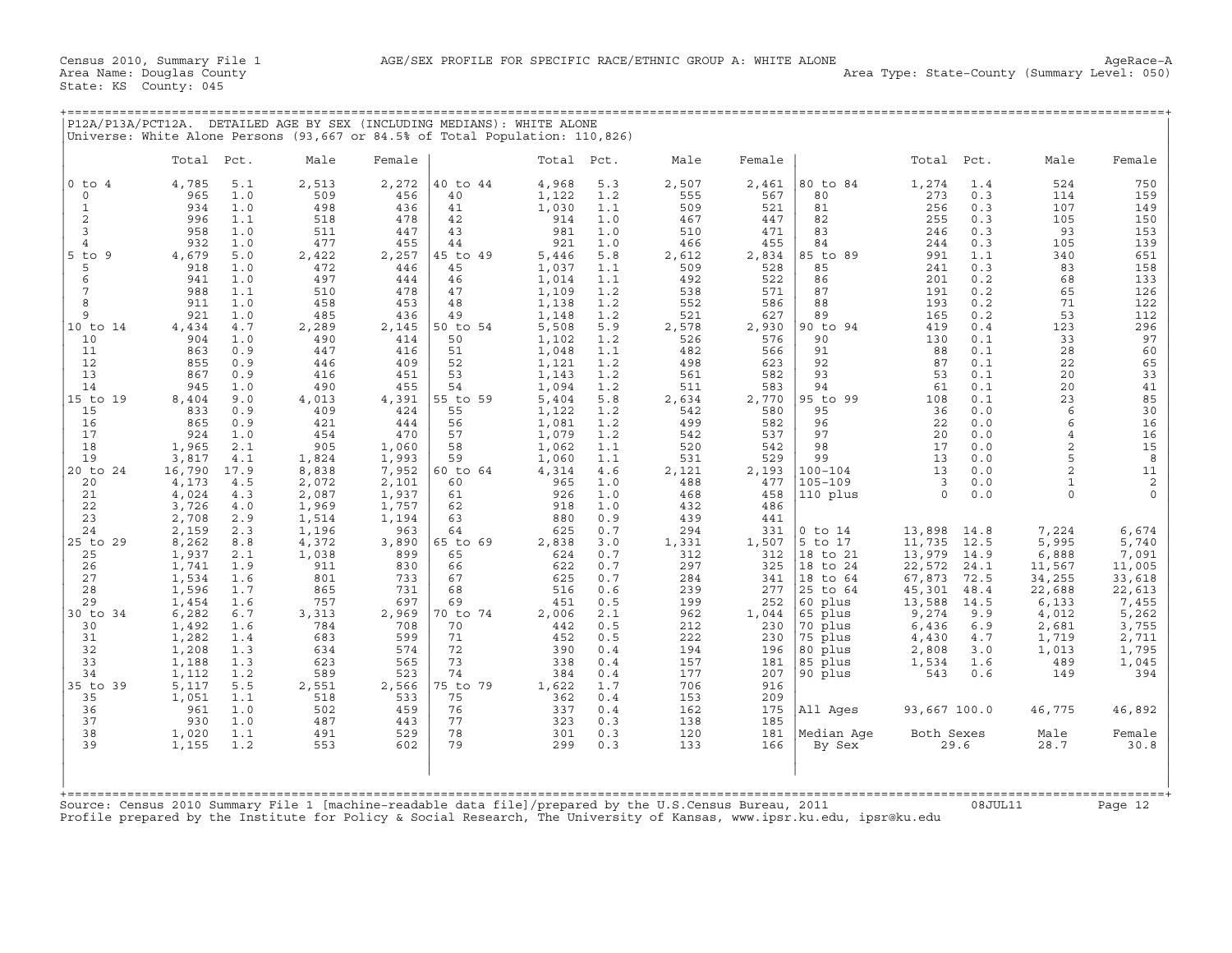+===================================================================================================================================================+

State: KS County: 045

|                                                                       | P12A/P13A/PCT12A. DETAILED AGE BY SEX (INCLUDING MEDIANS): WHITE ALONE<br>Universe: White Alone Persons (93,667 or 84.5% of Total Population: 110,826)                                                                                            |                                                   |                                                   |                                                    |                                                             |                                               |                                                   |                                                   |                                                                    |                                                          |                                               |                                                                   |                                                       |
|-----------------------------------------------------------------------|---------------------------------------------------------------------------------------------------------------------------------------------------------------------------------------------------------------------------------------------------|---------------------------------------------------|---------------------------------------------------|----------------------------------------------------|-------------------------------------------------------------|-----------------------------------------------|---------------------------------------------------|---------------------------------------------------|--------------------------------------------------------------------|----------------------------------------------------------|-----------------------------------------------|-------------------------------------------------------------------|-------------------------------------------------------|
|                                                                       | Total<br>Pct.                                                                                                                                                                                                                                     | Male                                              | Female                                            |                                                    | Total                                                       | Pct.                                          | Male                                              | Female                                            |                                                                    | Total                                                    | Pct.                                          | Male                                                              | Female                                                |
| $0$ to $4$<br>$\mathbf 0$<br>$\mathbf{1}$<br>2<br>3<br>$\overline{4}$ | 4,785<br>5.1<br>1.0<br>965<br>934<br>1.0<br>996<br>1.1<br>958<br>1.0<br>932<br>1.0                                                                                                                                                                | 2,513<br>509<br>498<br>518<br>511<br>477          | 2,272<br>456<br>436<br>478<br>447<br>455          | 40 to 44<br>40<br>41<br>42<br>43<br>44             | 4,968<br>1,122<br>1,030<br>914<br>981<br>921                | 5.3<br>1.2<br>1.1<br>1.0<br>1.0<br>1.0        | 2,507<br>555<br>509<br>467<br>510<br>466          | 2,461<br>567<br>521<br>447<br>471<br>455          | 80 to 84<br>80<br>81<br>82<br>83<br>84                             | 1,274<br>273<br>256<br>255<br>246<br>244                 | 1.4<br>0.3<br>0.3<br>0.3<br>0.3<br>0.3        | 524<br>114<br>107<br>105<br>93<br>105                             | 750<br>159<br>149<br>150<br>153<br>139                |
| $5$ to<br>9<br>5<br>6<br>7<br>8<br>9                                  | 4,679<br>5.0<br>918<br>1.0<br>941<br>1.0<br>988<br>1.1<br>911<br>1.0<br>921<br>1.0                                                                                                                                                                | 2,422<br>472<br>497<br>510<br>458<br>485          | 2,257<br>446<br>444<br>478<br>453<br>436          | 45 to 49<br>45<br>46<br>47<br>48<br>49             | 5,446<br>1,037<br>1,014<br>1,109<br>1,138<br>1,148          | $5.8$<br>1.1<br>1.1<br>1.2<br>1.2<br>1.2      | 2,612<br>509<br>492<br>538<br>552<br>521          | 2,834<br>528<br>522<br>571<br>586<br>627          | 89<br>85 to<br>85<br>86<br>87<br>88<br>89                          | 991<br>241<br>201<br>191<br>193<br>165                   | 1.1<br>0.3<br>0.2<br>0.2<br>0.2<br>0.2        | 340<br>83<br>68<br>65<br>71<br>53                                 | 651<br>158<br>133<br>126<br>122<br>112                |
| 10 to 14<br>10<br>11<br>12<br>13<br>14<br>15 to 19                    | 4,434<br>4.7<br>904<br>1.0<br>863<br>0.9<br>855<br>0.9<br>867<br>0.9<br>945<br>1.0<br>8,404<br>9.0                                                                                                                                                | 2,289<br>490<br>447<br>446<br>416<br>490<br>4,013 | 2,145<br>414<br>416<br>409<br>451<br>455<br>4,391 | 50 to 54<br>50<br>51<br>52<br>53<br>54<br>55 to 59 | 5,508<br>1,102<br>1,048<br>1,121<br>1,143<br>1,094<br>5,404 | 5.9<br>1.2<br>1.1<br>1.2<br>1.2<br>1.2<br>5.8 | 2,578<br>526<br>482<br>498<br>561<br>511<br>2,634 | 2,930<br>576<br>566<br>623<br>582<br>583<br>2,770 | 90 to 94<br>90<br>91<br>92<br>93<br>94<br>95 to 99                 | 419<br>130<br>88<br>87<br>53<br>61<br>108                | 0.4<br>0.1<br>0.1<br>0.1<br>0.1<br>0.1<br>0.1 | 123<br>33<br>28<br>22<br>20<br>20<br>23                           | 296<br>97<br>60<br>65<br>33<br>41<br>85               |
| 15<br>16<br>17<br>18<br>19<br>20 to 24                                | 833<br>0.9<br>865<br>0.9<br>924<br>1.0<br>1,965<br>2.1<br>3,817<br>4.1<br>16,790<br>17.9                                                                                                                                                          | 409<br>421<br>454<br>905<br>1,824<br>8,838        | 424<br>444<br>470<br>1,060<br>1,993<br>7,952      | 55<br>56<br>57<br>58<br>59<br>60 to 64             | 1,122<br>1,081<br>1,079<br>1,062<br>1,060<br>4,314          | 1.2<br>1.2<br>1.2<br>1.1<br>1.1<br>4.6        | 542<br>499<br>542<br>520<br>531<br>2,121          | 580<br>582<br>537<br>542<br>529<br>2,193          | 95<br>96<br>97<br>98<br>99<br>$100 - 104$                          | 36<br>22<br>20<br>17<br>13<br>13                         | 0.0<br>0.0<br>0.0<br>0.0<br>0.0<br>0.0        | 6<br>6<br>$\overline{4}$<br>$\overline{c}$<br>5<br>$\overline{2}$ | 30<br>16<br>16<br>15<br>8<br>11                       |
| 20<br>21<br>22<br>23<br>24                                            | 4,173<br>4.5<br>4,024<br>4.3<br>3,726<br>4.0<br>2,708<br>2.9<br>2,159<br>2.3                                                                                                                                                                      | 2,072<br>2,087<br>1,969<br>1,514<br>1,196         | 2,101<br>1,937<br>1,757<br>1,194<br>963           | 60<br>61<br>62<br>63<br>64                         | 965<br>926<br>918<br>880<br>625                             | 1.0<br>1.0<br>1.0<br>0.9<br>0.7               | 488<br>468<br>432<br>439<br>294                   | 477<br>458<br>486<br>441<br>331                   | $105 - 109$<br>110 plus<br>$0$ to $14$                             | $\overline{3}$<br>$\circ$<br>13,898                      | 0.0<br>0.0<br>14.8                            | $\mathbf{1}$<br>$\circ$<br>7,224                                  | $\overline{c}$<br>$\mathsf{O}\xspace$<br>6,674        |
| 25 to 29<br>25<br>26<br>27<br>28<br>29                                | 8,262<br>8.8<br>1,937<br>2.1<br>1,741<br>1.9<br>1,534<br>1.6<br>1,596<br>1.7<br>1,454<br>1.6                                                                                                                                                      | 4,372<br>1,038<br>911<br>801<br>865<br>757        | 3,890<br>899<br>830<br>733<br>731<br>697          | 65 to 69<br>65<br>66<br>67<br>68<br>69             | 2,838<br>624<br>622<br>625<br>516<br>451                    | 3.0<br>0.7<br>0.7<br>0.7<br>0.6<br>0.5        | 1,331<br>312<br>297<br>284<br>239<br>199          | 1,507<br>312<br>325<br>341<br>277<br>252          | 5 to 17<br>18 to 21<br>18 to 24<br>18 to 64<br>25 to 64<br>60 plus | 11,735<br>13,979<br>22,572<br>67,873<br>45,301<br>13,588 | 12.5<br>14.9<br>24.1<br>72.5<br>48.4<br>14.5  | 5,995<br>6,888<br>11,567<br>34,255<br>22,688<br>6,133             | 5,740<br>7,091<br>11,005<br>33,618<br>22,613<br>7,455 |
| 30 to 34<br>30<br>31<br>32<br>33<br>34                                | 6,282<br>6.7<br>1,492<br>1.6<br>1,282<br>1.4<br>1,208<br>1.3<br>1,188<br>1.3<br>1.2<br>1,112                                                                                                                                                      | 3,313<br>784<br>683<br>634<br>623<br>589          | 2,969<br>708<br>599<br>574<br>565<br>523          | 70 to 74<br>70<br>71<br>72<br>73<br>74             | 2,006<br>442<br>452<br>390<br>338<br>384                    | 2.1<br>0.5<br>0.5<br>0.4<br>0.4<br>0.4        | 962<br>212<br>222<br>194<br>157<br>177            | 1,044<br>230<br>230<br>196<br>181<br>207          | 65 plus<br>70 plus<br>75 plus<br>80 plus<br>85 plus<br>90 plus     | 9,274<br>6,436<br>4,430<br>2,808<br>1,534<br>543         | 9.9<br>6.9<br>$4.7$<br>3.0<br>1.6<br>0.6      | 4,012<br>2,681<br>1,719<br>1,013<br>489<br>149                    | 5,262<br>3,755<br>2,711<br>1,795<br>1,045<br>394      |
| 35 to 39<br>35<br>36<br>37<br>38                                      | 5,117<br>5.5<br>1,051<br>1.1<br>961<br>1.0<br>930<br>1.0<br>1,020<br>1.1                                                                                                                                                                          | 2,551<br>518<br>502<br>487<br>491                 | 2,566<br>533<br>459<br>443<br>529                 | 75 to 79<br>75<br>76<br>77<br>78                   | 1,622<br>362<br>337<br>323<br>301                           | 1.7<br>0.4<br>0.4<br>0.3<br>0.3               | 706<br>153<br>162<br>138<br>120                   | 916<br>209<br>175<br>185<br>181                   | All Ages<br>Median Aqe                                             | 93,667 100.0<br>Both Sexes                               |                                               | 46,775<br>Male                                                    | 46,892<br>Female                                      |
| 39                                                                    | 1,155<br>1.2<br>Source: Census 2010 Summary File 1 [machine-readable data file]/prepared by the U.S.Census Bureau, 2011<br>Profile prepared by the Institute for Policy & Social Research, The University of Kansas, www.ipsr.ku.edu, ipsr@ku.edu | 553                                               | 602                                               | 79                                                 | 299                                                         | 0.3                                           | 133                                               | 166                                               | By Sex                                                             |                                                          | 29.6<br>08JUL11                               | 28.7                                                              | 30.8<br>Page 12                                       |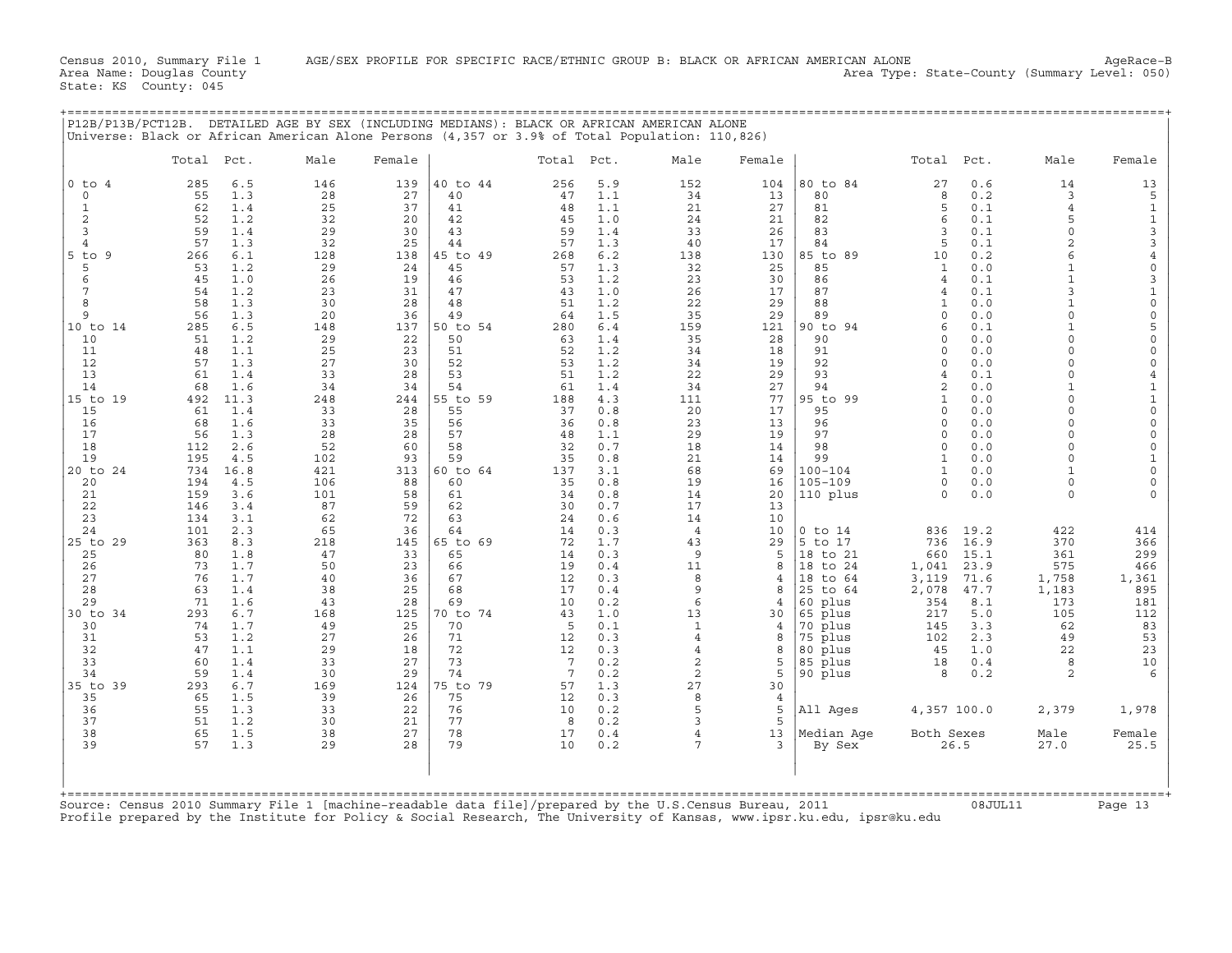|                          | Total Pct. |            | Male       | Female    |                | Total           | Pct.       | Male               | Female         |                    | Total                | Pct.       | Male                 | Female               |
|--------------------------|------------|------------|------------|-----------|----------------|-----------------|------------|--------------------|----------------|--------------------|----------------------|------------|----------------------|----------------------|
| $0$ to<br>$\overline{4}$ | 285        | 6.5        | 146        | 139       | 40 to 44       | 256             | 5.9        | 152                | 104            | 80 to 84           | 27                   | 0.6        | 14                   | 13                   |
| $\mathbf 0$              | 55         | 1.3        | 28         | 27        | 40             | 47              | 1.1        | 34                 | 13             | 80                 | 8                    | 0.2        | 3                    | 5                    |
| 1                        | 62         | 1.4        | 25         | 37        | 41             | 48              | 1.1        | 21                 | 27             | 81                 | 5                    | 0.1        | $\overline{4}$       | $\mathbf{1}$         |
| 2<br>3                   | 52<br>59   | 1.2<br>1.4 | 32<br>29   | 20<br>30  | 42<br>43       | 45<br>59        | 1.0<br>1.4 | 24<br>33           | 21<br>26       | 82<br>83           | 6<br>3               | 0.1<br>0.1 | 5<br>$\Omega$        | $1\,$<br>3           |
| 4                        | 57         | 1.3        | 32         | 25        | 44             | 57              | 1.3        | 40                 | 17             | 84                 | 5                    | 0.1        | $\overline{c}$       | $\overline{3}$       |
| $5$ to<br>- 9            | 266        | 6.1        | 128        | 138       | 45 to 49       | 268             | 6.2        | 138                | 130            | 85 to 89           | 10                   | 0.2        | 6                    | $\overline{4}$       |
| 5                        | 53         | 1.2        | 29         | 24        | 45             | 57              | 1.3        | 32                 | 25             | 85                 | 1                    | 0.0        | $\mathbf{1}$         | $\circ$              |
| 6                        | 45         | 1.0        | 26         | 19        | 46             | 53              | 1.2        | 23                 | 30             | 86                 | $\overline{4}$       | 0.1        | $\mathbf{1}$         | 3                    |
| 7                        | 54         | 1.2        | 23         | 31        | 47             | 43              | 1.0        | 26                 | 17             | 87                 | $\overline{4}$       | 0.1        | 3                    | $\mathbf{1}$         |
| 8                        | 58         | 1.3        | 30         | 28        | 48             | 51              | 1.2        | 22                 | 29             | 88                 | 1                    | 0.0        | $\mathbf{1}$         | $\mathbf 0$          |
| 9                        | 56         | 1.3        | 20         | 36        | 49             | 64              | 1.5        | 35                 | 29             | 89                 | $\Omega$             | 0.0        | $\Omega$             | $\mathbf 0$          |
| 10 to 14                 | 285        | 6.5        | 148        | 137       | 50 to 54       | 280             | 6.4        | 159                | 121            | 90 to<br>94        | 6                    | 0.1        | $\mathbf{1}$         | 5                    |
| 10                       | 51         | 1.2        | 29         | 22        | 50             | 63              | 1.4        | 35                 | 28             | 90                 | $\Omega$             | 0.0        | $\Omega$             | $\circ$              |
| 11<br>12                 | 48<br>57   | 1.1<br>1.3 | 25<br>27   | 23<br>30  | 51<br>52       | 52<br>53        | 1.2<br>1.2 | 34<br>34           | 18<br>19       | 91<br>92           | $\Omega$<br>$\Omega$ | 0.0<br>0.0 | $\Omega$<br>$\Omega$ | $\circ$<br>$\Omega$  |
| 13                       | 61         | 1.4        | 33         | 28        | 53             | 51              | 1.2        | 22                 | 29             | 93                 | $\overline{4}$       | 0.1        | $\Omega$             | $\overline{4}$       |
| 14                       | 68         | 1.6        | 34         | 34        | 54             | 61              | 1.4        | 34                 | 27             | 94                 | $\overline{2}$       | 0.0        | $\mathbf{1}$         | $\mathbf{1}$         |
| $15$ to<br>19            | 492        | 11.3       | 248        | 244       | 55 to 59       | 188             | 4.3        | 111                | 77             | 95 to<br>99        | $\mathbf{1}$         | 0.0        | $\Omega$             | $\mathbf{1}$         |
| 15                       | 61         | 1.4        | 33         | 28        | 55             | 37              | 0.8        | 20                 | 17             | 95                 | $\mathbf 0$          | 0.0        | $\Omega$             | $\circ$              |
| 16                       | 68         | 1.6        | 33         | 35        | 56             | 36              | 0.8        | 23                 | 13             | 96                 | $\Omega$             | 0.0        | $\Omega$             | $\mathbf 0$          |
| 17                       | 56         | 1.3        | 28         | 28        | 57             | 48              | 1.1        | 29                 | 19             | 97                 | $\Omega$             | 0.0        | $\Omega$             | $\circ$              |
| 18                       | 112        | 2.6        | 52         | 60        | 58             | 32              | 0.7        | 18                 | 14             | 98                 | $\circ$              | 0.0        | $\Omega$             | $\Omega$             |
| 19                       | 195        | 4.5        | 102        | 93        | 59             | 35              | 0.8        | 21                 | 14             | 99                 | $\mathbf{1}$         | 0.0        | $\Omega$             | $\mathbf{1}$         |
| 20 to 24                 | 734        | 16.8       | 421        | 313       | 60 to 64       | 137             | 3.1        | 68                 | 69             | $100 - 104$        | $\mathbf{1}$         | 0.0        |                      | $\circ$              |
| 20<br>21                 | 194<br>159 | 4.5<br>3.6 | 106<br>101 | 88<br>58  | 60<br>61       | 35<br>34        | 0.8<br>0.8 | 19<br>14           | 16<br>20       | $105 - 109$        | $\Omega$<br>$\Omega$ | 0.0<br>0.0 | $\Omega$<br>$\Omega$ | $\Omega$<br>$\Omega$ |
| 22                       | 146        | 3.4        | 87         | 59        | 62             | 30              | 0.7        | 17                 | 13             | 110 plus           |                      |            |                      |                      |
| 23                       | 134        | 3.1        | 62         | 72        | 63             | 24              | 0.6        | 14                 | 10             |                    |                      |            |                      |                      |
| 24                       | 101        | 2.3        | 65         | 36        | 64             | 14              | 0.3        | $\overline{4}$     | 10             | $0$ to $14$        | 836                  | 19.2       | 422                  | 414                  |
| 25 to 29                 | 363        | 8.3        | 218        | 145       | 65 to 69       | 72              | 1.7        | 43                 | 29             | 5 to 17            | 736                  | 16.9       | 370                  | 366                  |
| 25                       | 80         | 1.8        | 47         | 33        | 65             | 14              | 0.3        | 9                  | 5              | 18 to 21           | 660                  | 15.1       | 361                  | 299                  |
| 26                       | 73         | 1.7        | 50         | 23        | 66             | 19              | 0.4        | 11                 | 8              | 18 to 24           | 1,041                | 23.9       | 575                  | 466                  |
| 27                       | 76         | 1.7        | 40         | 36        | 67             | 12              | 0.3        | 8                  | $\overline{4}$ | 18 to 64           | 3,119                | 71.6       | 1,758                | 1,361                |
| 28                       | 63         | 1.4        | 38         | 25        | 68             | 17              | 0.4        | 9                  | 8              | 25 to 64           | 2,078                | 47.7       | 1,183                | 895                  |
| 29                       | 71         | 1.6        | 43         | 28        | 69             | 10              | 0.2        | 6                  | 4              | 60 plus            | 354                  | 8.1        | 173                  | 181                  |
| 30 to 34<br>30           | 293<br>74  | 6.7<br>1.7 | 168<br>49  | 125<br>25 | 70 to 74<br>70 | 43<br>5         | 1.0<br>0.1 | 13<br>$\mathbf{1}$ | 30<br>4        | 65 plus<br>70 plus | 217<br>145           | 5.0<br>3.3 | 105<br>62            | 112<br>83            |
| 31                       | 53         | 1.2        | 27         | 26        | 71             | 12              | 0.3        | $\overline{4}$     | 8              | 75 plus            | 102                  | 2.3        | 49                   | 53                   |
| 32                       | 47         | 1.1        | 29         | 18        | 72             | 12              | 0.3        | $\overline{4}$     | 8              | 80 plus            | 45                   | 1.0        | 22                   | 23                   |
| 33                       | 60         | 1.4        | 33         | 27        | 73             | $7\phantom{.0}$ | 0.2        | $\overline{c}$     | 5              | 85 plus            | 18                   | 0.4        | 8                    | 10                   |
| 34                       | 59         | 1.4        | 30         | 29        | 74             | 7               | 0.2        | $\overline{c}$     | 5              | 90 plus            | 8                    | 0.2        | $\overline{2}$       | $\epsilon$           |
| 35 to<br>39              | 293        | 6.7        | 169        | 124       | 75 to 79       | 57              | 1.3        | 27                 | 30             |                    |                      |            |                      |                      |
| 35                       | 65         | 1.5        | 39         | 26        | 75             | 12              | 0.3        | 8                  | $\overline{4}$ |                    |                      |            |                      |                      |
| 36                       | 55         | 1.3        | 33         | 22        | 76             | 10              | 0.2        | 5                  | 5              | All Ages           | 4,357 100.0          |            | 2,379                | 1,978                |
| 37                       | 51         | 1.2        | 30         | 21        | 77             | 8               | 0.2        | 3                  | 5              |                    |                      |            |                      |                      |
| 38                       | 65         | 1.5        | 38         | 27        | 78             | 17              | 0.4        | $\overline{4}$     | 13             | Median Age         | Both Sexes           |            | Male                 | Female               |
| 39                       | 57         | 1.3        | 29         | 28        | 79             | 10              | 0.2        | 7                  | 3              | By Sex             |                      | 26.5       | 27.0                 | 25.5                 |

+===================================================================================================================================================+

Source: Census 2010 Summary File 1 [machine−readable data file]/prepared by the U.S.Census Bureau, 2011 08JUL11 Page 13 Profile prepared by the Institute for Policy & Social Research, The University of Kansas, www.ipsr.ku.edu, ipsr@ku.edu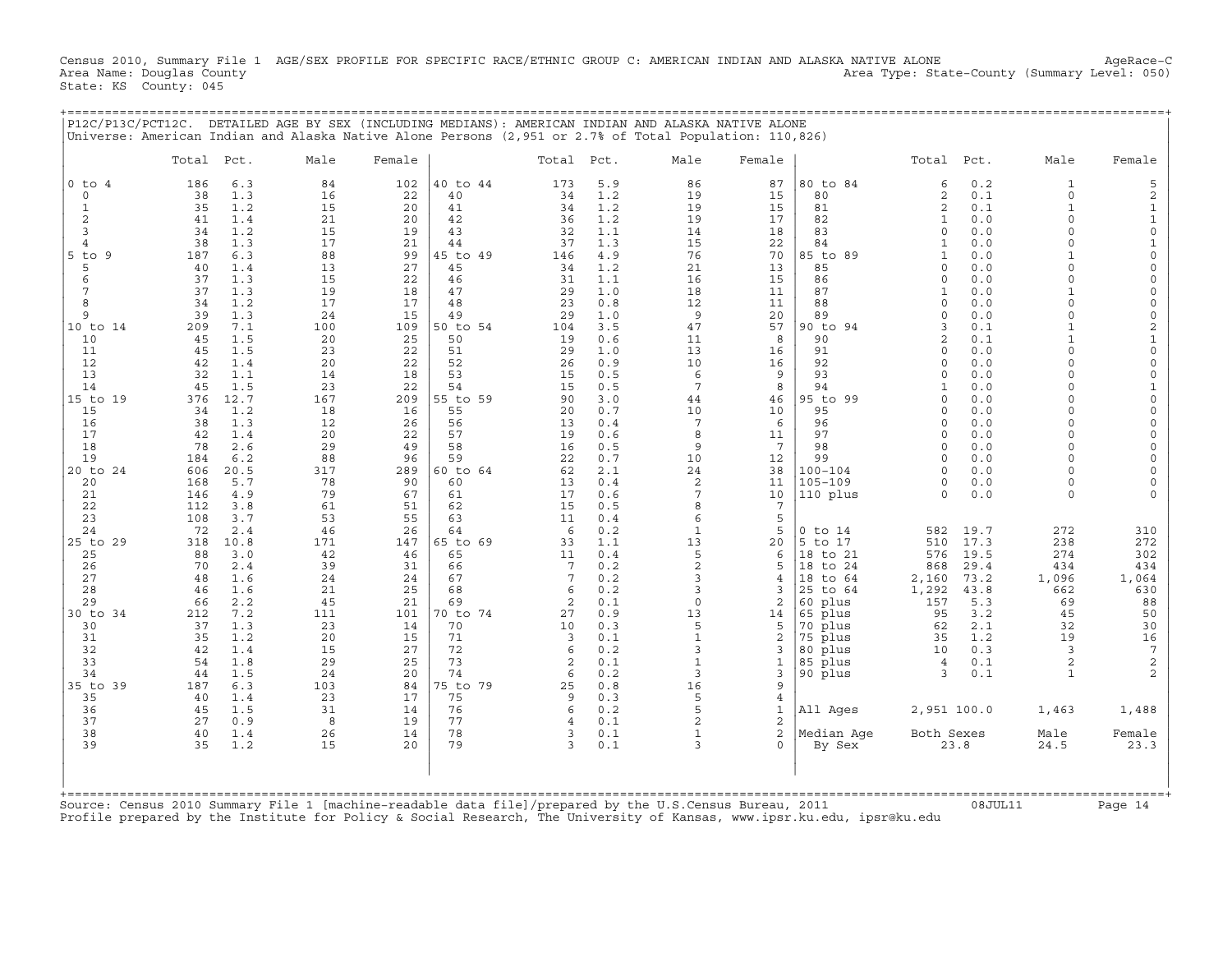Census 2010, Summary File 1 AGE/SEX PROFILE FOR SPECIFIC RACE/ETHNIC GROUP C: AMERICAN INDIAN AND ALASKA NATIVE ALONE AgeRace-C<br>Area Name: Douglas County (summary Level: 050) Area Type: State-County (Summary Level: 050) Area Type: State-County (Summary Level: 050) State: KS County: 045

+===================================================================================================================================================+

|                                                                                                                                                                                                                                                                                                                                                   | P12C/P13C/PCT12C.                                                                                                                                                                                                                                                                 |                                                                                                                                                                                                                                                                                                                     | DETAILED AGE BY SEX (INCLUDING MEDIANS): AMERICAN INDIAN AND ALASKA NATIVE ALONE<br>Universe: American Indian and Alaska Native Alone Persons (2,951 or 2.7% of Total Population: 110,826)                                                                                 |                                                                                                                                                                                                                                                                            |                                                                                                                                                                                                                                                                                                                      |                                                                                                                                                                                                                                                               |                                                                                                                                                                                                                                                                                                                  |                                                                                                                                                                                                                                                                                                     |                                                                                                                                                                                                                                                                                                                      |                                                                                                                                                                                                                                                                                                                                                                                   |                                                                                                                                                                                                                                                                                                                                                                            |                                                                                                                                                                                                                                                                                            |                                                                                                                                                                  |                                                                                                                                                                                                                                                                                                                                                                                                               |
|---------------------------------------------------------------------------------------------------------------------------------------------------------------------------------------------------------------------------------------------------------------------------------------------------------------------------------------------------|-----------------------------------------------------------------------------------------------------------------------------------------------------------------------------------------------------------------------------------------------------------------------------------|---------------------------------------------------------------------------------------------------------------------------------------------------------------------------------------------------------------------------------------------------------------------------------------------------------------------|----------------------------------------------------------------------------------------------------------------------------------------------------------------------------------------------------------------------------------------------------------------------------|----------------------------------------------------------------------------------------------------------------------------------------------------------------------------------------------------------------------------------------------------------------------------|----------------------------------------------------------------------------------------------------------------------------------------------------------------------------------------------------------------------------------------------------------------------------------------------------------------------|---------------------------------------------------------------------------------------------------------------------------------------------------------------------------------------------------------------------------------------------------------------|------------------------------------------------------------------------------------------------------------------------------------------------------------------------------------------------------------------------------------------------------------------------------------------------------------------|-----------------------------------------------------------------------------------------------------------------------------------------------------------------------------------------------------------------------------------------------------------------------------------------------------|----------------------------------------------------------------------------------------------------------------------------------------------------------------------------------------------------------------------------------------------------------------------------------------------------------------------|-----------------------------------------------------------------------------------------------------------------------------------------------------------------------------------------------------------------------------------------------------------------------------------------------------------------------------------------------------------------------------------|----------------------------------------------------------------------------------------------------------------------------------------------------------------------------------------------------------------------------------------------------------------------------------------------------------------------------------------------------------------------------|--------------------------------------------------------------------------------------------------------------------------------------------------------------------------------------------------------------------------------------------------------------------------------------------|------------------------------------------------------------------------------------------------------------------------------------------------------------------|---------------------------------------------------------------------------------------------------------------------------------------------------------------------------------------------------------------------------------------------------------------------------------------------------------------------------------------------------------------------------------------------------------------|
|                                                                                                                                                                                                                                                                                                                                                   | Total                                                                                                                                                                                                                                                                             | Pct.                                                                                                                                                                                                                                                                                                                | Male                                                                                                                                                                                                                                                                       | Female                                                                                                                                                                                                                                                                     |                                                                                                                                                                                                                                                                                                                      | Total Pct.                                                                                                                                                                                                                                                    |                                                                                                                                                                                                                                                                                                                  | Male                                                                                                                                                                                                                                                                                                | Female                                                                                                                                                                                                                                                                                                               |                                                                                                                                                                                                                                                                                                                                                                                   | Total                                                                                                                                                                                                                                                                                                                                                                      | Pct.                                                                                                                                                                                                                                                                                       | Male                                                                                                                                                             | Female                                                                                                                                                                                                                                                                                                                                                                                                        |
| $0$ to $4$<br>0<br>$\mathbf{1}$<br>$\overline{2}$<br>3<br>4<br>$5$ to $9$<br>5<br>6<br>7<br>8<br>$\mathsf{Q}$<br>10 to 14<br>10<br>11<br>12<br>13<br>14<br>15 to 19<br>15<br>16<br>17<br>18<br>19<br>20 to 24<br>20<br>21<br>22<br>23<br>24<br>25 to 29<br>25<br>26<br>27<br>28<br>29<br>30 to 34<br>30<br>31<br>32<br>33<br>34<br>35 to 39<br>35 | 186<br>38<br>35<br>41<br>34<br>38<br>187<br>40<br>37<br>37<br>34<br>39<br>209<br>45<br>45<br>42<br>32<br>45<br>376<br>34<br>38<br>42<br>78<br>184<br>606<br>168<br>146<br>112<br>108<br>72<br>318<br>88<br>70<br>48<br>46<br>66<br>212<br>37<br>35<br>42<br>54<br>44<br>187<br>40 | 6.3<br>1.3<br>1.2<br>1.4<br>1.2<br>1.3<br>6.3<br>1.4<br>1.3<br>1.3<br>1.2<br>1.3<br>7.1<br>1.5<br>1.5<br>1.4<br>1.1<br>1.5<br>12.7<br>1.2<br>1.3<br>1.4<br>2.6<br>6.2<br>20.5<br>5.7<br>4.9<br>3.8<br>3.7<br>2.4<br>10.8<br>3.0<br>2.4<br>1.6<br>1.6<br>2.2<br>7.2<br>1.3<br>1.2<br>1.4<br>1.8<br>1.5<br>6.3<br>1.4 | 84<br>16<br>15<br>21<br>15<br>17<br>88<br>13<br>15<br>19<br>17<br>24<br>100<br>20<br>23<br>20<br>14<br>23<br>167<br>18<br>12<br>20<br>29<br>88<br>317<br>78<br>79<br>61<br>53<br>46<br>171<br>42<br>39<br>24<br>21<br>45<br>111<br>23<br>20<br>15<br>29<br>24<br>103<br>23 | 102<br>22<br>20<br>20<br>19<br>21<br>99<br>27<br>22<br>18<br>17<br>15<br>109<br>25<br>22<br>22<br>18<br>22<br>209<br>16<br>26<br>22<br>49<br>96<br>289<br>90<br>67<br>51<br>55<br>26<br>147<br>46<br>31<br>24<br>25<br>21<br>101<br>14<br>15<br>27<br>25<br>20<br>84<br>17 | 40 to 44<br>40<br>41<br>42<br>43<br>44<br>45 to 49<br>45<br>46<br>47<br>48<br>49<br>50 to 54<br>50<br>51<br>52<br>53<br>54<br>55 to 59<br>55<br>56<br>57<br>58<br>59<br>60 to 64<br>60<br>61<br>62<br>63<br>64<br>65 to 69<br>65<br>66<br>67<br>68<br>69<br>70 to 74<br>70<br>71<br>72<br>73<br>74<br>75 to 79<br>75 | 173<br>34<br>34<br>36<br>32<br>37<br>146<br>34<br>31<br>29<br>23<br>29<br>104<br>19<br>29<br>26<br>15<br>15<br>90<br>20<br>13<br>19<br>16<br>22<br>62<br>13<br>17<br>15<br>11<br>6<br>33<br>11<br>7<br>7<br>6<br>2<br>27<br>10<br>3<br>6<br>2<br>6<br>25<br>9 | 5.9<br>1.2<br>1.2<br>1.2<br>1.1<br>1.3<br>4.9<br>1.2<br>1.1<br>1.0<br>0.8<br>1.0<br>3.5<br>0.6<br>1.0<br>0.9<br>0.5<br>0.5<br>3.0<br>0.7<br>0.4<br>0.6<br>0.5<br>0.7<br>2.1<br>0.4<br>0.6<br>0.5<br>0.4<br>0.2<br>1.1<br>0.4<br>0.2<br>0.2<br>0.2<br>0.1<br>0.9<br>0.3<br>0.1<br>0.2<br>0.1<br>0.2<br>0.8<br>0.3 | 86<br>19<br>19<br>19<br>14<br>15<br>76<br>21<br>16<br>18<br>12<br>9<br>47<br>11<br>13<br>10<br>6<br>7<br>44<br>10<br>7<br>8<br>9<br>10<br>24<br>2<br>7<br>8<br>6<br>$\mathbf{1}$<br>13<br>5<br>$\overline{a}$<br>3<br>3<br>$\Omega$<br>13<br>5<br>$\mathbf{1}$<br>3<br>$\mathbf{1}$<br>3<br>16<br>5 | 87<br>15<br>15<br>17<br>18<br>22<br>70<br>13<br>15<br>11<br>11<br>20<br>57<br>8<br>16<br>16<br>9<br>8<br>46<br>10<br>6<br>11<br>$7\phantom{.0}$<br>$12 \overline{ }$<br>38<br>11<br>10<br>7<br>5<br>5<br>20<br>6<br>5<br>4<br>3<br>$\mathfrak{D}$<br>14<br>5<br>$\overline{a}$<br>3<br>1<br>3<br>9<br>$\overline{4}$ | 80 to 84<br>80<br>81<br>82<br>83<br>84<br>85 to 89<br>85<br>86<br>87<br>88<br>89<br>90 to 94<br>90<br>91<br>92<br>93<br>94<br>95 to 99<br>95<br>96<br>97<br>98<br>99<br>$100 - 104$<br>$105 - 109$<br>110 plus<br>$0$ to $14$<br>5 to 17<br>18 to 21<br>to 24<br>18<br>18<br>to 64<br>25<br>to 64<br>60 plus<br>65 plus<br>70 plus<br>75<br>plus<br>80 plus<br>85 plus<br>90 plus | 6<br>$\overline{a}$<br>$\overline{2}$<br>$\mathbf{1}$<br>$\Omega$<br>1<br>1<br>$\Omega$<br>1<br>$\Omega$<br>$\Omega$<br>3<br>2<br>$\Omega$<br>$\Omega$<br>$\Omega$<br>1<br>$\Omega$<br>$\Omega$<br>$\Omega$<br>$\Omega$<br>$\Omega$<br>$\Omega$<br>$\Omega$<br>$\Omega$<br>$\Omega$<br>582<br>510<br>576<br>868<br>2,160<br>1,292<br>157<br>95<br>62<br>35<br>10<br>4<br>3 | 0.2<br>0.1<br>0.1<br>0.0<br>0.0<br>0.0<br>0.0<br>0.0<br>0.0<br>0.0<br>0.0<br>0.0<br>0.1<br>0.1<br>0.0<br>0.0<br>0.0<br>0.0<br>0.0<br>0.0<br>0.0<br>0.0<br>0.0<br>0.0<br>0.0<br>0.0<br>0.0<br>19.7<br>17.3<br>19.5<br>29.4<br>73.2<br>43.8<br>5.3<br>3.2<br>2.1<br>1.2<br>0.3<br>0.1<br>0.1 | 1<br>$\mathbf 0$<br>$\mathbf{1}$<br>$\cap$<br>$\Omega$<br>$\Omega$<br>272<br>238<br>274<br>434<br>1,096<br>662<br>69<br>45<br>32<br>19<br>3<br>2<br>$\mathbf{1}$ | 5<br>$\mathbf 2$<br>$\mathbf{1}$<br>$\mathbf 1$<br>$\circ$<br>1<br>$\circ$<br>$\Omega$<br>$\mathbf 0$<br>$\mathbf 0$<br>$\Omega$<br>$\circ$<br>$\overline{2}$<br>$\mathbf{1}$<br>$\circ$<br>$\mathbf 0$<br>$\mathbf 0$<br>$\mathbf{1}$<br>$\circ$<br>$\mathbf 0$<br>$\Omega$<br>$\Omega$<br>$\Omega$<br>310<br>272<br>302<br>434<br>1,064<br>630<br>88<br>50<br>30<br>16<br>$7\phantom{.0}$<br>$\overline{c}$ |
| 36<br>37<br>38                                                                                                                                                                                                                                                                                                                                    | 45<br>27<br>40                                                                                                                                                                                                                                                                    | 1.5<br>0.9<br>1.4                                                                                                                                                                                                                                                                                                   | 31<br>8<br>26                                                                                                                                                                                                                                                              | 14<br>19<br>14                                                                                                                                                                                                                                                             | 76<br>77<br>78                                                                                                                                                                                                                                                                                                       | 6<br>4<br>3                                                                                                                                                                                                                                                   | 0.2<br>0.1<br>0.1                                                                                                                                                                                                                                                                                                | 5<br>$\overline{a}$<br>$\mathbf{1}$                                                                                                                                                                                                                                                                 | $\mathbf{1}$<br>2<br>2                                                                                                                                                                                                                                                                                               | All Ages<br>Median Age                                                                                                                                                                                                                                                                                                                                                            | 2,951 100.0<br>Both Sexes                                                                                                                                                                                                                                                                                                                                                  |                                                                                                                                                                                                                                                                                            | 1,463<br>Male                                                                                                                                                    | 1,488<br>Female                                                                                                                                                                                                                                                                                                                                                                                               |
| 39                                                                                                                                                                                                                                                                                                                                                | 35                                                                                                                                                                                                                                                                                | 1.2                                                                                                                                                                                                                                                                                                                 | 15                                                                                                                                                                                                                                                                         | 20                                                                                                                                                                                                                                                                         | 79                                                                                                                                                                                                                                                                                                                   | ς                                                                                                                                                                                                                                                             | 0.1                                                                                                                                                                                                                                                                                                              | 3                                                                                                                                                                                                                                                                                                   | $\Omega$                                                                                                                                                                                                                                                                                                             | By Sex                                                                                                                                                                                                                                                                                                                                                                            |                                                                                                                                                                                                                                                                                                                                                                            | 23.8                                                                                                                                                                                                                                                                                       | 24.5                                                                                                                                                             | 23.3                                                                                                                                                                                                                                                                                                                                                                                                          |
|                                                                                                                                                                                                                                                                                                                                                   |                                                                                                                                                                                                                                                                                   |                                                                                                                                                                                                                                                                                                                     | Source: Census 2010 Summary File 1 [machine-readable data file]/prepared by the U.S.Census Bureau, 2011                                                                                                                                                                    |                                                                                                                                                                                                                                                                            |                                                                                                                                                                                                                                                                                                                      |                                                                                                                                                                                                                                                               |                                                                                                                                                                                                                                                                                                                  |                                                                                                                                                                                                                                                                                                     |                                                                                                                                                                                                                                                                                                                      | Profile prepared by the Institute for Policy & Social Research, The University of Kansas, www.ipsr.ku.edu, ipsr@ku.edu                                                                                                                                                                                                                                                            |                                                                                                                                                                                                                                                                                                                                                                            | 08JUL11                                                                                                                                                                                                                                                                                    |                                                                                                                                                                  | Page 14                                                                                                                                                                                                                                                                                                                                                                                                       |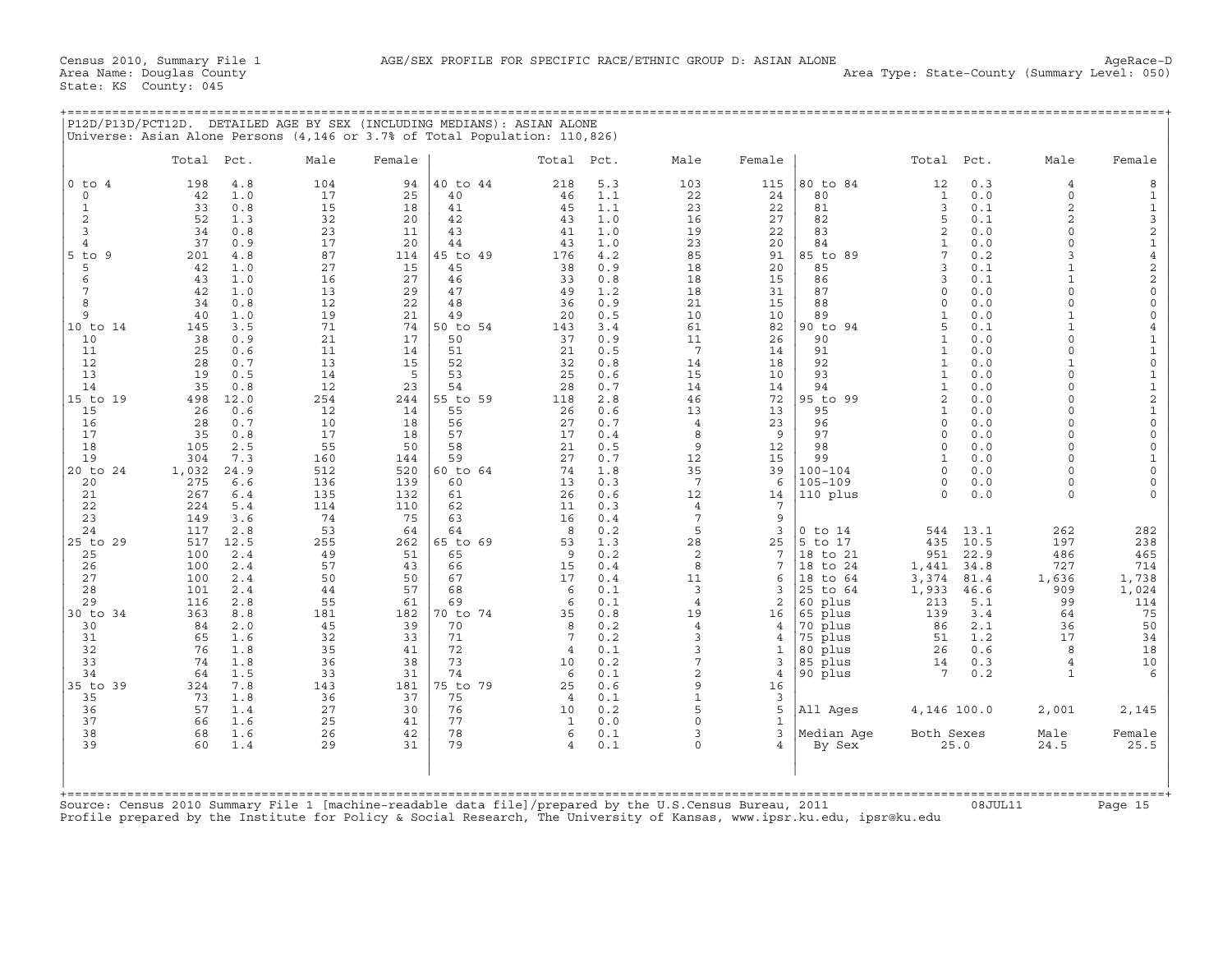+===================================================================================================================================================+

State: KS County: 045

|                                                                                                         | Total Pct.                  | Male       | Female     |                | Total               | Pct.       | Male                  | Female            |                            | Total Pct.                   |              | Male                             | Female                                          |
|---------------------------------------------------------------------------------------------------------|-----------------------------|------------|------------|----------------|---------------------|------------|-----------------------|-------------------|----------------------------|------------------------------|--------------|----------------------------------|-------------------------------------------------|
| $0$ to $4$                                                                                              | 198<br>4.8                  | 104        | 94         | 40 to 44       | 218                 | 5.3        | 103                   | 115               | 80 to 84                   | 12                           | 0.3          | $\overline{4}$                   | 8                                               |
| $\circ$                                                                                                 | 42<br>1.0                   | 17         | 25         | 40             | 46                  | 1.1        | 22                    | 24                | 80                         | $\mathbf{1}$                 | 0.0          | $\Omega$                         | $\mathbf{1}$                                    |
| $\mathbf 1$<br>$\overline{c}$                                                                           | 33<br>0.8<br>52<br>1.3      | 15<br>32   | 18<br>20   | 41             | 45                  | 1.1<br>1.0 | 23<br>16              | 22                | 81<br>82                   | 3                            | 0.1<br>0.1   | $\overline{2}$<br>$\overline{a}$ | $\mathbf 1$                                     |
| 3                                                                                                       | 34<br>0.8                   | 23         | 11         | 42<br>43       | 43<br>41            | 1.0        | 19                    | 27<br>22          | 83                         | 5<br>2                       | 0.0          | $\Omega$                         |                                                 |
| $\overline{4}$                                                                                          | 37<br>0.9                   | 17         | 20         | 44             | 43                  | 1.0        | 23                    | 20                | 84                         | $\mathbf{1}$                 | 0.0          | $\Omega$                         |                                                 |
| $5$ to<br>-9                                                                                            | 201<br>4.8                  | 87         | 114        | 45 to 49       | 176                 | 4.2        | 85                    | 91                | 85 to 89                   | 7                            | 0.2          | $\mathbf{z}$                     |                                                 |
| 5                                                                                                       | 42<br>1.0                   | 27         | 15         | 45             | 38                  | 0.9        | 18                    | 20                | 85                         | 3                            | $0.1$        | $\mathbf{1}$                     | 321422                                          |
| 6                                                                                                       | 43<br>1.0                   | 16         | 27         | 46             | 33                  | 0.8        | 18                    | 15                | 86                         | 3                            | 0.1          |                                  |                                                 |
| 7                                                                                                       | 42<br>1.0                   | 13         | 29         | 47             | 49                  | 1.2        | 18                    | 31                | 87<br>88                   | $\Omega$                     | 0.0          | $\Omega$<br>$\Omega$             | $\mathsf{O}\xspace$                             |
| 8<br>9                                                                                                  | 34<br>0.8<br>40<br>1.0      | 12<br>19   | 22<br>21   | 48<br>49       | 36<br>20            | 0.9<br>0.5 | 21<br>10              | 15<br>10          | 89                         | $\Omega$<br>$\mathbf{1}$     | 0.0<br>0.0   | $\mathbf{1}$                     | $\mathsf{O}\xspace$<br>$\mathsf{O}\xspace$      |
| 10 to 14                                                                                                | 145<br>3.5                  | 71         | 74         | 50 to 54       | 143                 | 3.4        | 61                    | 82                | 90 to 94                   | 5                            | 0.1          | $\mathbf{1}$                     | $\overline{4}$                                  |
| 10                                                                                                      | 38<br>0.9                   | 21         | 17         | 50             | 37                  | 0.9        | 11                    | 26                | 90                         | $\mathbf{1}$                 | 0.0          | $\Omega$                         |                                                 |
| 11                                                                                                      | 25<br>0.6                   | 11         | 14         | 51             | 21                  | 0.5        | $7\overline{ }$       | 14                | 91                         | $\mathbf{1}$                 | 0.0          | $\Omega$                         | $\begin{array}{c} 1 \\ 1 \\ 0 \end{array}$      |
| 12                                                                                                      | 28<br>0.7                   | 13         | 15         | 52             | 32                  | 0.8        | 14                    | 18                | 92                         | $\mathbf{1}$                 | 0.0          | $\mathbf{1}$                     |                                                 |
| 13                                                                                                      | 19<br>0.5                   | 14         | 5          | 53             | 25                  | 0.6        | 15                    | 10                | 93                         | $\mathbf{1}$                 | 0.0          | $\Omega$<br>$\Omega$             | $\begin{array}{c} 1 \\ 1 \\ 2 \\ 1 \end{array}$ |
| 14<br>15 to 19                                                                                          | 35<br>0.8<br>12.0<br>498    | 12<br>254  | 23<br>244  | 54<br>55 to 59 | 28<br>118           | 0.7<br>2.8 | 14<br>46              | 14<br>72          | 94<br>95 to 99             | $\mathbf{1}$<br>$\mathbf{2}$ | 0.0<br>0.0   | $\Omega$                         |                                                 |
| 15                                                                                                      | 26<br>0.6                   | 12         | 14         | 55             | 26                  | 0.6        | 13                    | 13                | 95                         | $\mathbf{1}$                 | 0.0          | $\Omega$                         |                                                 |
| 16                                                                                                      | 28<br>0.7                   | 10         | 18         | 56             | 27                  | 0.7        | $\overline{4}$        | 23                | 96                         | $\Omega$                     | 0.0          | $\Omega$                         | $\mathsf{O}\xspace$                             |
| 17                                                                                                      | 35<br>0.8                   | 17         | 18         | 57             | 17                  | 0.4        | 8                     | 9                 | 97                         | $\circ$                      | 0.0          | $\Omega$                         | $\mathsf{O}\xspace$                             |
| 18                                                                                                      | 105<br>2.5                  | 55         | 50         | 58             | 21                  | 0.5        | 9                     | 12                | 98                         | $\Omega$                     | 0.0          | $\Omega$                         | $\mathsf{O}\xspace$                             |
| 19                                                                                                      | 304<br>7.3                  | 160        | 144        | 59             | 27                  | 0.7        | 12                    | 15                | 99                         | $\mathbf{1}$                 | 0.0          | $\Omega$                         | $\mathbf 1$                                     |
| 20 to 24<br>20                                                                                          | 1,032<br>24.9<br>275<br>6.6 | 512<br>136 | 520<br>139 | 60 to 64<br>60 | 74<br>13            | 1.8<br>0.3 | 35<br>$7\phantom{.0}$ | 39<br>6           | $100 - 104$<br>$105 - 109$ | $\cap$<br>$\Omega$           | 0.0<br>0.0   | $\cap$<br>$\Omega$               | $\mathsf{O}\xspace$<br>$\mathsf{O}\xspace$      |
| 21                                                                                                      | 267<br>6.4                  | 135        | 132        | 61             | 26                  | 0.6        | 12                    | 14                | 110 plus                   | $\Omega$                     | 0.0          | $\Omega$                         | $\Omega$                                        |
| 22                                                                                                      | 224<br>5.4                  | 114        | 110        | 62             | 11                  | 0.3        | 4                     | 7                 |                            |                              |              |                                  |                                                 |
| 23                                                                                                      | 149<br>3.6                  | 74         | 75         | 63             | 16                  | 0.4        | 7                     | 9                 |                            |                              |              |                                  |                                                 |
| 24                                                                                                      | 117<br>2.8                  | 53         | 64         | 64             | 8                   | 0.2        | 5                     | 3                 | $0$ to $14$                | 544                          | 13.1         | 262                              | 282                                             |
| 25 to 29                                                                                                | 12.5<br>517                 | 255        | 262        | 65 to 69       | 53                  | 1.3        | 28                    | 25                | to 17<br>5                 | 435                          | 10.5         | 197                              | 238                                             |
| 25<br>26                                                                                                | 100<br>2.4<br>100<br>2.4    | 49<br>57   | 51<br>43   | 65<br>66       | 9<br>15             | 0.2<br>0.4 | $\overline{2}$<br>8   | 7<br>7            | 18 to 21<br>18<br>to 24    | 951                          | 22.9<br>34.8 | 486<br>727                       | 465<br>714                                      |
| 27                                                                                                      | 100<br>2.4                  | 50         | 50         | 67             | 17                  | 0.4        | 11                    | 6                 | 18<br>to 64                | 1,441<br>3,374               | 81.4         | 1,636                            | 1,738                                           |
| 28                                                                                                      | 101<br>2.4                  | 44         | 57         | 68             | 6                   | 0.1        | 3                     | 3                 | 25<br>to 64                | 1,933                        | 46.6         | 909                              | 1,024                                           |
| 29                                                                                                      | 116<br>2.8                  | 55         | 61         | 69             | 6                   | 0.1        | $\overline{4}$        | 2                 | plus<br>60                 | 213                          | 5.1          | 99                               | 114                                             |
| 30 to 34                                                                                                | 363<br>8.8                  | 181        | 182        | 70 to 74       | 35                  | 0.8        | 19                    | 16                | 65 plus                    | 139                          | 3.4          | 64                               | 75                                              |
| 30                                                                                                      | 84<br>2.0                   | 45         | 39         | 70             | 8                   | 0.2        | $\overline{4}$        | 4                 | 70 plus                    | 86                           | 2.1          | 36                               | 50                                              |
| 31<br>32                                                                                                | 65<br>1.6<br>76<br>1.8      | 32<br>35   | 33<br>41   | 71<br>72       | 7<br>$\overline{4}$ | 0.2<br>0.1 | 3<br>3                | 4<br>1            | 75 plus<br>80 plus         | 51<br>26                     | 1.2<br>0.6   | 17<br>8                          | 34<br>18                                        |
| 33                                                                                                      | 74<br>1.8                   | 36         | 38         | 73             | 10                  | 0.2        | 7                     | 3                 | 85 plus                    | 14                           | 0.3          | $\overline{4}$                   | 10                                              |
| 34                                                                                                      | 64<br>1.5                   | 33         | 31         | 74             | 6                   | 0.1        | $\overline{a}$        | $\overline{4}$    | 90 plus                    | $7\phantom{.0}$              | 0.2          | $\mathbf{1}$                     | $\epsilon$                                      |
| 35 to 39                                                                                                | 7.8<br>324                  | 143        | 181        | 75 to 79       | 25                  | 0.6        | 9                     | 16                |                            |                              |              |                                  |                                                 |
| 35                                                                                                      | 73<br>1.8                   | 36         | 37         | 75             | $\overline{4}$      | 0.1        | $\mathbf{1}$          | 3                 |                            |                              |              |                                  |                                                 |
| 36                                                                                                      | 57<br>1.4                   | 27         | 30         | 76             | 10                  | 0.2        | 5                     | 5                 | All Ages                   | 4,146 100.0                  |              | 2,001                            | 2,145                                           |
| 37<br>38                                                                                                | 66<br>1.6<br>68<br>1.6      | 25<br>26   | 41<br>42   | 77<br>78       | 1<br>6              | 0.0<br>0.1 | $\Omega$<br>3         | $\mathbf{1}$<br>3 |                            | Both Sexes                   |              | Male                             |                                                 |
| 39                                                                                                      | 60<br>1.4                   | 29         | 31         | 79             | $\overline{4}$      | 0.1        | $\Omega$              | $\overline{4}$    | Median Age<br>By Sex       |                              | 25.0         | 24.5                             | Female<br>25.5                                  |
|                                                                                                         |                             |            |            |                |                     |            |                       |                   |                            |                              |              |                                  |                                                 |
| Source: Census 2010 Summary File 1 [machine-readable data file]/prepared by the U.S.Census Bureau, 2011 |                             |            |            |                |                     |            |                       |                   |                            |                              |              |                                  |                                                 |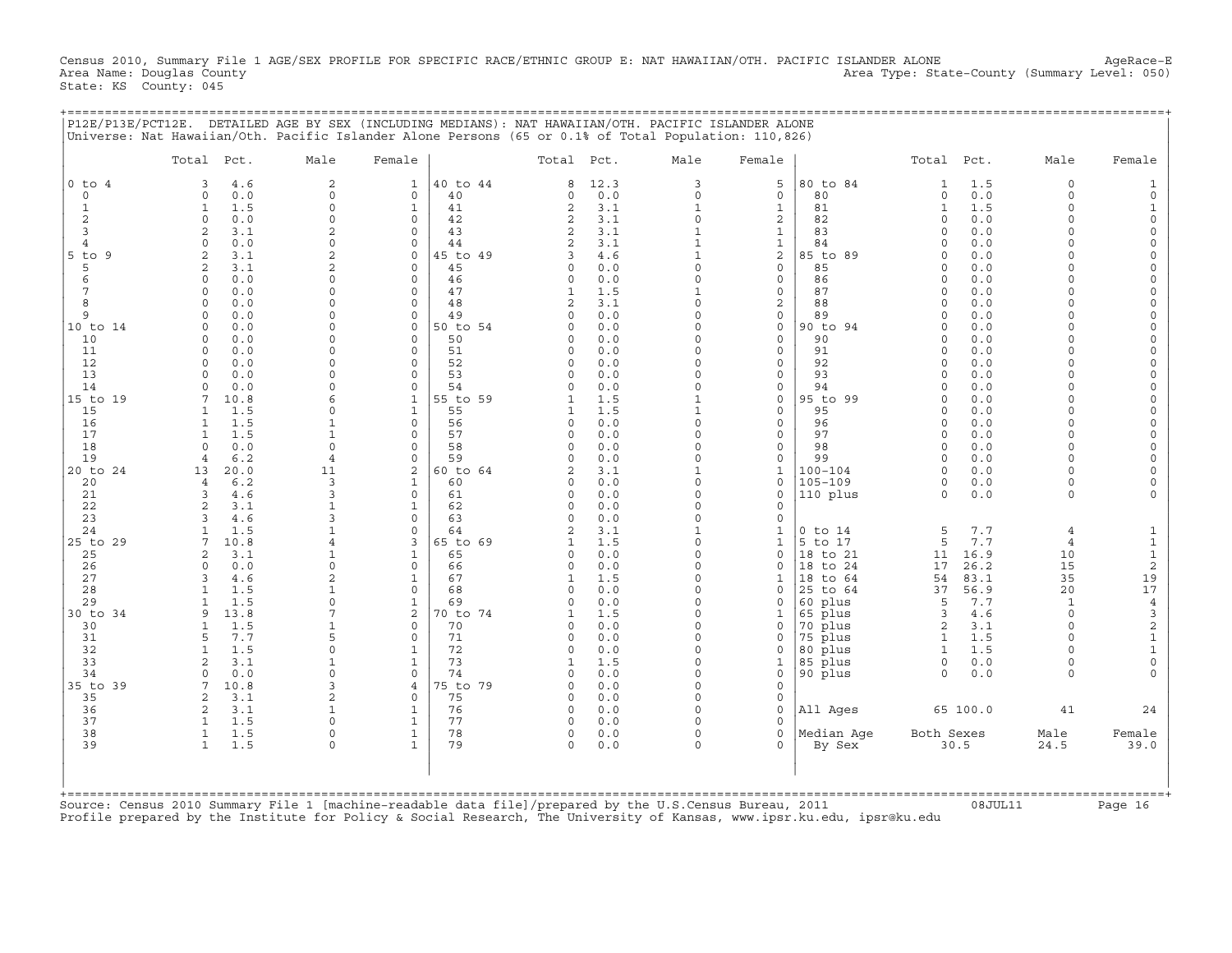Census 2010, Summary File 1 AGE/SEX PROFILE FOR SPECIFIC RACE/ETHNIC GROUP E: NAT HAWAIIAN/OTH. PACIFIC ISLANDER ALONE AgeRace-E<br>Area Name: Douqlas County 1 AgeRace-E Area Type: State-County (Summary Level: 050) State: KS County: 045

+===================================================================================================================================================+

|                | Total Pct.                                  | Male                       | Female                   |                | Total Pct.           |            | Male                     | Female                       |                      | Total Pct.           |             | Male                 | Female                          |
|----------------|---------------------------------------------|----------------------------|--------------------------|----------------|----------------------|------------|--------------------------|------------------------------|----------------------|----------------------|-------------|----------------------|---------------------------------|
| $0$ to $4$     | 3<br>4.6                                    | $\overline{a}$             | $\mathbf{1}$             | 40 to 44       | 8                    | 12.3       | 3                        | 5                            | 80 to 84             | $\mathbf{1}$         | 1.5         | $\Omega$             |                                 |
| $\circ$        | $\mathbf 0$<br>0.0                          | $\Omega$                   | $\Omega$                 | 40             | $\Omega$             | 0.0        | $\Omega$                 | $\mathbf{0}$                 | 80                   | $\circ$              | 0.0         | $\Omega$             |                                 |
| $\mathbf{1}$   | 1.5<br>$\mathbf{1}$                         | $\Omega$                   | $\mathbf{1}$             | 41             | $\mathbf{2}$         | 3.1        | $\mathbf{1}$             | $\mathbf{1}$                 | 81                   | $\mathbf{1}$         | 1.5         | $\Omega$             |                                 |
| 2<br>3         | $\mathbf 0$<br>0.0<br>$\overline{2}$<br>3.1 | $\Omega$<br>$\overline{c}$ | $\Omega$<br>$\Omega$     | 42<br>43       | 2<br>2               | 3.1<br>3.1 | $\Omega$<br>$\mathbf{1}$ | 2<br>$\mathbf{1}$            | 82<br>83             | $\Omega$<br>$\Omega$ | 0.0<br>0.0  | $\Omega$<br>$\Omega$ | $\Omega$<br>$\Omega$            |
| $\overline{4}$ | $\Omega$<br>0.0                             | $\Omega$                   | $\Omega$                 | 44             | $\overline{c}$       | 3.1        | $\mathbf{1}$             | $\mathbf{1}$                 | 84                   | $\Omega$             | 0.0         |                      | $\Omega$                        |
| $5$ to<br>9    | $\overline{2}$<br>3.1                       | $\mathfrak{D}$             | $\Omega$                 | 5 to 49        | 3                    | 4.6        | $\mathbf{1}$             | 2                            | 85 to 89             | $\cap$               | 0.0         |                      | $\Omega$                        |
| 5              | $\overline{a}$<br>3.1                       | 2                          | $\Omega$                 | 45             | $\Omega$             | 0.0        | $\Omega$                 | $\mathbf{0}$                 | 85                   | $\Omega$             | 0.0         | $\Omega$             | $\Omega$                        |
| 6              | 0.0<br>$\Omega$                             |                            | $\Omega$                 | 46             | $\Omega$             | 0.0        | $\Omega$                 | 0                            | 86                   | $\cap$               | 0.0         | $\cap$               | $\Omega$                        |
|                | 0.0<br>$\mathbf 0$                          | $\cap$                     | $\mathbf 0$              | 47             |                      | 1.5        |                          | $\circ$                      | 87                   | $\Omega$             | 0.0         | $\Omega$             | $\Omega$                        |
| 8              | 0.0<br>$\Omega$                             |                            | $\Omega$                 | 48             | 2                    | 3.1        | $\Omega$                 | 2                            | 88                   | $\Omega$             | 0.0         |                      |                                 |
| 9              | 0.0<br>$\mathbf 0$                          | $\Omega$                   | $\mathbf 0$              | 49             | $\Omega$             | 0.0        | $\Omega$                 | 0                            | 89                   | $\Omega$             | 0.0         | $\Omega$             |                                 |
| 10 to 14<br>10 | 0.0<br>$\mathbf 0$<br>0.0<br>$\Omega$       | $\Omega$                   | $\Omega$<br>$\Omega$     | 50 to 54<br>50 | $\Omega$             | 0.0<br>0.0 | $\Omega$                 | $\circ$<br>$\mathbf{0}$      | 90 to 94<br>90       | $\Omega$<br>$\cap$   | 0.0<br>0.0  | $\Omega$             | $\Omega$                        |
| 11             | $\Omega$<br>0.0                             |                            | $\Omega$                 | 51             | $\Omega$             | 0.0        | $\Omega$                 | $\mathbf{0}$                 | 91                   | $\Omega$             | 0.0         |                      |                                 |
| 12             | 0.0<br>$\Omega$                             |                            | $\Omega$                 | 52             | $\Omega$             | 0.0        | $\Omega$                 | $\mathbf{0}$                 | 92                   | $\Omega$             | 0.0         | $\Omega$             |                                 |
| 13             | 0.0<br>$\Omega$                             | $\cap$                     | $\Omega$                 | 53             | $\Omega$             | 0.0        |                          | $\mathbf 0$                  | 93                   | $\Omega$             | 0.0         |                      | $\Omega$                        |
| 14             | $\Omega$<br>0.0                             |                            | $\Omega$                 | 54             |                      | 0.0        |                          | $\Omega$                     | 94                   | $\Omega$             | 0.0         |                      |                                 |
| 15 to 19       | 7<br>10.8                                   | 6                          | $\mathbf{1}$             | 55 to 59       |                      | 1.5        |                          | 0                            | 95 to 99             | $\mathbf 0$          | 0.0         | $\cap$               | $\Omega$                        |
| 15             | 1.5<br>$\mathbf{1}$                         | $\Omega$                   | $\mathbf{1}$             | 55             |                      | 1.5        | 1                        | $\mathbf 0$                  | 95                   | $\Omega$             | 0.0         | $\Omega$             | $\Omega$                        |
| 16             | 1.5<br>$\mathbf{1}$                         |                            | $\Omega$                 | 56             | $\Omega$             | 0.0        | $\Omega$                 | 0                            | 96                   | $\Omega$             | 0.0         | $\Omega$             |                                 |
| 17<br>18       | $\mathbf{1}$<br>1.5<br>0.0<br>$\Omega$      | $\mathbf{1}$<br>$\Omega$   | $\Omega$<br>$\Omega$     | 57<br>58       | $\Omega$<br>$\Omega$ | 0.0<br>0.0 | $\Omega$<br>$\Omega$     | $\mathbf{0}$<br>$\mathbf{0}$ | 97<br>98             | $\Omega$<br>$\Omega$ | 0.0<br>0.0  | $\Omega$<br>$\Omega$ | $\Omega$                        |
| 19             | 6.2<br>$\overline{4}$                       | $\overline{4}$             | $\Omega$                 | 59             | $\Omega$             | 0.0        | $\Omega$                 | $\mathbf{0}$                 | 99                   | $\Omega$             | 0.0         | $\Omega$             | $\Omega$                        |
| 20 to 24       | 20.0<br>13                                  | 11                         | 2                        | 60 to 64       | 2                    | 3.1        |                          | $\mathbf{1}$                 | $100 - 104$          | $\Omega$             | 0.0         | $\Omega$             |                                 |
| 20             | 6.2<br>$\overline{4}$                       | 3                          | $\mathbf 1$              | 60             | $\Omega$             | 0.0        | $\Omega$                 | 0                            | $105 - 109$          | 0                    | 0.0         | $\Omega$             |                                 |
| 21             | $\overline{3}$<br>4.6                       | 3                          | $\Omega$                 | 61             | $\Omega$             | 0.0        | $\Omega$                 | $\mathbf 0$                  | 110 plus             | $\Omega$             | 0.0         | $\Omega$             |                                 |
| 22             | 2<br>3.1                                    |                            | $\mathbf 1$              | 62             | $\Omega$             | 0.0        |                          | 0                            |                      |                      |             |                      |                                 |
| 23             | $\mathcal{R}$<br>4.6                        |                            | $\Omega$                 | 63             | $\cap$               | 0.0        | $\Omega$                 | $\mathbf 0$                  |                      |                      |             |                      |                                 |
| 24             | 1.5<br>1                                    |                            | $\Omega$                 | 64             | $\mathbf{Z}$         | 3.1        | $\mathbf{1}$             | 1                            | $0$ to $14$          | 5                    | 7.7         | $\overline{4}$       | 1                               |
| 25 to 29       | 10.8<br>7<br>2<br>3.1                       | $\overline{4}$             | 3<br>$\mathbf{1}$        | 65 to 69<br>65 | $\Omega$             | 1.5<br>0.0 | $\Omega$<br>$\Omega$     | $\mathbf{1}$<br>$\circ$      | 5 to 17              | 5                    | 7.7<br>16.9 | $\overline{4}$<br>10 | $\mathbf{1}$                    |
| 25<br>26       | $\mathbf 0$<br>0.0                          | $\Omega$                   | $\mathbf 0$              | 66             | $\Omega$             | 0.0        | $\Omega$                 | $\Omega$                     | 18 to 21<br>18 to 24 | 11<br>17             | 26.2        | 15                   | $\mathbf 1$<br>$\boldsymbol{2}$ |
| 27             | 3<br>4.6                                    | $\overline{c}$             | $\mathbf{1}$             | 67             | 1                    | 1.5        | $\Omega$                 | 1                            | 18 to 64             | 54                   | 83.1        | 35                   | 19                              |
| 28             | $\mathbf{1}$<br>1.5                         |                            | $\mathbf 0$              | 68             | $\Omega$             | 0.0        | $\Omega$                 | 0                            | 25 to 64             | 37                   | 56.9        | 20                   | 17                              |
| 29             | 1.5                                         |                            | $\mathbf{1}$             | 69             | $\Omega$             | 0.0        | $\Omega$                 | $\Omega$                     | 60 plus              | 5                    | 7.7         | $\mathbf{1}$         | $\ensuremath{4}$                |
| 30 to 34       | 13.8<br>9                                   |                            | $\overline{c}$           | 0 to 74        |                      | 1.5        | $\Omega$                 | 1                            | 65 plus              | 3                    | 4.6         | $\Omega$             | $\ensuremath{\mathsf{3}}$       |
| 30             | 1.5<br>$\mathbf{1}$                         |                            | $\Omega$                 | 70             |                      | 0.0        | $\Omega$                 | 0                            | 70 plus              | 2                    | 3.1         | $\Omega$             | $\sqrt{2}$                      |
| 31             | 5<br>7.7                                    | 5                          | $\Omega$                 | 71             | $\cap$               | 0.0        | $\Omega$                 | 0                            | 75 plus              | $\mathbf{1}$         | 1.5         |                      | $\mathbf 1$                     |
| 32             | $\mathbf{1}$<br>1.5                         | $\Omega$                   | $\mathbf{1}$             | 72<br>73       | $\Omega$<br>-1       | 0.0        | $\Omega$<br>$\Omega$     | $\Omega$                     | 80 plus              | $\mathbf{1}$         | 1.5         | $\Omega$             | $\mathbf{1}$<br>$\mathbf 0$     |
| 33<br>34       | 2<br>3.1<br>$\mathbf 0$<br>0.0              | $\Omega$                   | $\mathbf{1}$<br>$\Omega$ | 74             | $\Omega$             | 1.5<br>0.0 | $\Omega$                 | 1<br>$\Omega$                | 85 plus<br>90 plus   | 0<br>$\Omega$        | 0.0<br>0.0  | $\cap$               |                                 |
| 35 to 39       | 7<br>10.8                                   | 3                          | 4                        | 75 to 79       | $\Omega$             | 0.0        | $\Omega$                 | 0                            |                      |                      |             |                      |                                 |
| 35             | 2<br>3.1                                    |                            | $\Omega$                 | 75             | $\Omega$             | 0.0        | $\Omega$                 | $\mathbf 0$                  |                      |                      |             |                      |                                 |
| 36             | 2<br>3.1                                    |                            | $\mathbf{1}$             | 76             | $\Omega$             | 0.0        | $\Omega$                 | $\mathbf 0$                  | All Ages             |                      | 65 100.0    | 41                   | 24                              |
| 37             | 1.5<br>$\mathbf{1}$                         |                            | $\mathbf{1}$             | 77             |                      | 0.0        |                          | $\Omega$                     |                      |                      |             |                      |                                 |
| 38             | $\mathbf{1}$<br>1.5                         | $\Omega$                   | $\mathbf{1}$             | 78             | 0                    | 0.0        | $\Omega$                 | $\mathbf{0}$                 | Median Aqe           | Both Sexes           |             | Male                 | Female                          |
| 39             | $\mathbf{1}$<br>1.5                         | $\Omega$                   | $\mathbf{1}$             | 79             | $\Omega$             | 0.0        | $\Omega$                 | 0                            | By Sex               |                      | 30.5        | 24.5                 | 39.0                            |
| +=========     |                                             |                            |                          |                |                      |            |                          |                              |                      |                      |             |                      |                                 |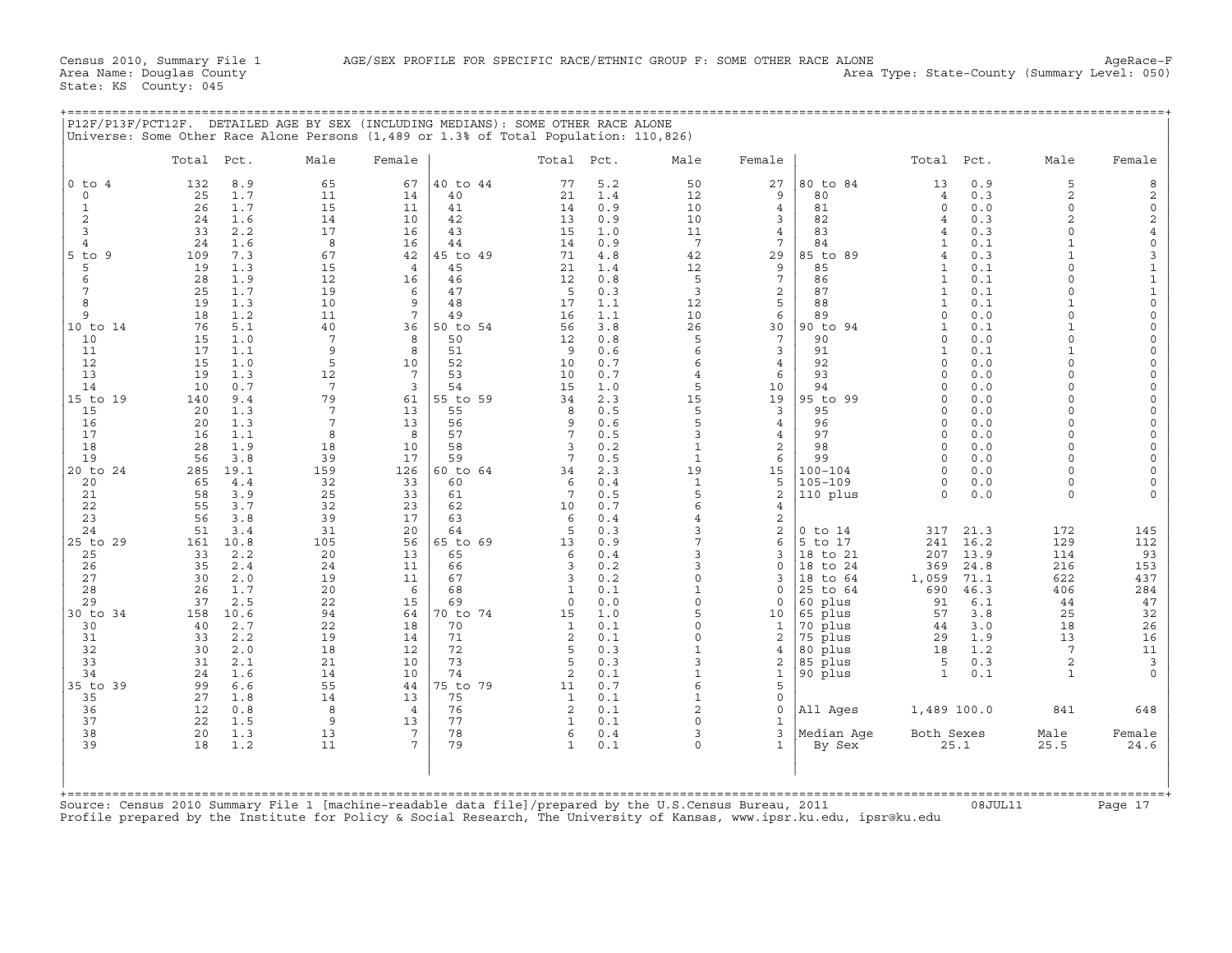+===================================================================================================================================================+

State: KS County: 045

Census 2010, Summary File 1 AGE/SEX PROFILE FOR SPECIFIC RACE/ETHNIC GROUP F: SOME OTHER RACE ALONE AgeRace−F Area Type: State-County (Summary Level: 050)

|                     | Total Pct.              | Male                  | Female               |                | Total Pct.           |            | Male              | Female              |                         | Total Pct.               |              | Male                 | Female                                          |
|---------------------|-------------------------|-----------------------|----------------------|----------------|----------------------|------------|-------------------|---------------------|-------------------------|--------------------------|--------------|----------------------|-------------------------------------------------|
| $0$ to $4$          | 8.9<br>132              | 65                    | 67                   | 40 to 44       | 77                   | 5.2        | 50                | 27                  | 80 to 84                | 13                       | 0.9          | 5                    | 8                                               |
| $\circ$             | 25<br>1.7               | 11                    | 14                   | 40             | 21                   | 1.4        | 12                | 9                   | 80                      | $\overline{4}$           | 0.3          | 2                    | $_0^2$                                          |
| $\mathbf{1}$        | 26<br>1.7               | 15                    | 11                   | 41             | 14                   | 0.9        | 10                | $\overline{4}$      | 81                      | $\circ$                  | 0.0          | $\circ$              |                                                 |
| 2<br>$\overline{3}$ | 24<br>1.6<br>33<br>2.2  | 14<br>17              | 10<br>16             | 42<br>43       | 13<br>15             | 0.9<br>1.0 | 10<br>11          | 3<br>$\overline{4}$ | 82<br>83                | $\overline{4}$<br>4      | 0.3<br>0.3   | 2<br>$\Omega$        | $\frac{2}{4}$                                   |
| $\overline{4}$      | 24<br>1.6               | 8                     | 16                   | 44             | 14                   | 0.9        | $7\phantom{.0}$   | 7                   | 84                      | $\mathbf{1}$             | 0.1          | 1                    | $\mathsf{O}\xspace$                             |
| $5$ to $9$          | 109<br>7.3              | 67                    | 42                   | 45 to 49       | 71                   | 4.8        | 42                | 29                  | 85 to 89                | 4                        | 0.3          | 1                    | 3                                               |
| 5                   | 1.3<br>19               | 15                    | $\overline{4}$       | 45             | 21                   | 1.4        | 12                | 9                   | 85                      | 1                        | 0.1          | $\Omega$             |                                                 |
| 6                   | 28<br>1.9               | 12                    | 16                   | 46             | 12                   | 0.8        | 5                 | $\overline{7}$      | 86                      | $\mathbf{1}$             | 0.1          | $\Omega$             |                                                 |
| 7                   | 25<br>1.7               | 19                    | 6                    | 47             | 5                    | 0.3        | $\overline{3}$    | 2                   | 87                      | $\mathbf{1}$             | 0.1          | $\cap$               | $\begin{array}{c} 1 \\ 1 \\ 1 \\ 0 \end{array}$ |
| 8<br>9              | 19<br>1.3               | 10                    | 9<br>$7\phantom{.0}$ | 48<br>49       | 17<br>16             | 1.1        | 12                | 5                   | 88<br>89                | $\mathbf{1}$<br>$\circ$  | 0.1          | 1<br>$\Omega$        |                                                 |
| 10 to 14            | 18<br>1.2<br>76<br>5.1  | 11<br>40              | 36                   | 50 to 54       | 56                   | 1.1<br>3.8 | 10<br>26          | 6<br>30             | 90 to 94                | 1                        | 0.0<br>0.1   | $\mathbf{1}$         | $\mathsf{O}\xspace$<br>$\mathsf{O}\xspace$      |
| 10                  | 15<br>1.0               | $7\phantom{.0}$       | 8                    | 50             | 12                   | 0.8        | 5                 | 7                   | 90                      | $\Omega$                 | 0.0          | $\Omega$             | $\mathsf{O}\xspace$                             |
| 11                  | 17<br>1.1               | 9                     | 8                    | 51             | 9                    | 0.6        | 6                 | $\mathbf{3}$        | 91                      | $\mathbf{1}$             | 0.1          | $\mathbf{1}$         | $\mathsf{O}\xspace$                             |
| 12                  | 15<br>1.0               | 5                     | 10                   | 52             | 10                   | 0.7        | 6                 | $\overline{4}$      | 92                      | $\Omega$                 | 0.0          | $\cap$               | $\mathsf{O}\xspace$                             |
| 13                  | 19<br>1.3               | 12                    | $7\phantom{.0}$      | 53             | 10                   | 0.7        | $\overline{4}$    | 6                   | 93                      | 0                        | 0.0          | $\Omega$             | $\mathsf{O}\xspace$                             |
| 14                  | 10<br>0.7               | $7\phantom{.0}$       | $\overline{3}$       | 54             | 15                   | 1.0        | 5                 | 10                  | 94                      | $\Omega$                 | 0.0          | $\Omega$<br>$\Omega$ | $\mathsf{O}\xspace$                             |
| 15 to 19<br>15      | 140<br>9.4<br>20<br>1.3 | 79<br>$7\phantom{.0}$ | 61<br>13             | 55 to 59<br>55 | 34<br>8              | 2.3<br>0.5 | 15<br>5           | 19<br>3             | 95 to 99<br>95          | $\Omega$<br><sup>o</sup> | 0.0<br>0.0   | $\Omega$             | $\mathsf{O}\xspace$<br>$\mathsf{O}\xspace$      |
| 16                  | 20<br>1.3               | 7                     | 13                   | 56             | 9                    | 0.6        | $\overline{5}$    | $\overline{4}$      | 96                      | $\cap$                   | 0.0          | $\cap$               | $\mathsf{O}\xspace$                             |
| 17                  | 16<br>1.1               | 8                     | 8                    | 57             | 7                    | 0.5        | 3                 | $\overline{4}$      | 97                      | $\circ$                  | 0.0          | $\cap$               | $\mathsf{O}\xspace$                             |
| 18                  | 28<br>1.9               | 18                    | 10                   | 58             | 3                    | 0.2        | $\mathbf{1}$      | 2                   | 98                      | $\Omega$                 | 0.0          | $\Omega$             | $\mathsf{O}\xspace$                             |
| 19                  | 56<br>3.8               | 39                    | 17                   | 59             | 7                    | 0.5        | $\mathbf{1}$      | 6                   | 99                      | O                        | 0.0          | $\Omega$             | $\mathsf{O}\xspace$                             |
| 20 to 24            | 285<br>19.1             | 159                   | 126                  | 60 to 64       | 34                   | 2.3        | 19                | 15                  | 100-104                 | $\cap$                   | 0.0          | $\cap$               | $\mathsf{O}\xspace$                             |
| 20<br>21            | 65<br>4.4<br>58<br>3.9  | 32<br>25              | 33<br>33             | 60<br>61       | 6<br>$7\phantom{.0}$ | 0.4<br>0.5 | $\mathbf{1}$<br>5 | 5<br>$\overline{a}$ | $105 - 109$<br>110 plus | $\Omega$<br>$\Omega$     | 0.0<br>0.0   | $\Omega$<br>$\circ$  | $\mathsf{O}\xspace$<br>$\Omega$                 |
| 22                  | 55<br>3.7               | 32                    | 23                   | 62             | 10                   | 0.7        | 6                 | 4                   |                         |                          |              |                      |                                                 |
| 23                  | 56<br>3.8               | 39                    | 17                   | 63             | 6                    | 0.4        | $\overline{4}$    | 2                   |                         |                          |              |                      |                                                 |
| 24                  | 51<br>3.4               | 31                    | 20                   | 64             | 5                    | 0.3        | 3                 | 2                   | $0$ to $14$             | 317                      | 21.3         | 172                  | 145                                             |
| 25 to 29            | 161<br>10.8             | 105                   | 56                   | 65 to 69       | 13                   | 0.9        | 7                 | 6                   | to 17<br>5              | 241                      | 16.2         | 129                  | 112                                             |
| 25                  | 2.2<br>33               | 20                    | 13                   | 65             | 6                    | 0.4        | $\mathbf{z}$      | 3                   | 18 to 21                | 207                      | 13.9         | 114                  | 93                                              |
| 26                  | 35<br>2.4               | 24                    | 11                   | 66             | 3                    | 0.2        | 3<br>$\Omega$     | $\circ$             | to 24<br>18             | 369                      | 24.8         | 216                  | 153                                             |
| 27<br>28            | 30<br>2.0<br>26<br>1.7  | 19<br>20              | 11<br>6              | 67<br>68       | 3<br>$\mathbf{1}$    | 0.2<br>0.1 | $\mathbf{1}$      | 3<br>$\Omega$       | to 64<br>18<br>25 to 64 | 1,059<br>690             | 71.1<br>46.3 | 622<br>406           | 437<br>284                                      |
| 29                  | 2.5<br>37               | 22                    | 15                   | 69             | $\Omega$             | 0.0        | $\Omega$          | $\Omega$            | 60 plus                 | 91                       | 6.1          | 44                   | 47                                              |
| 30 to 34            | 158<br>10.6             | 94                    | 64                   | 70 to 74       | 15                   | 1.0        | 5                 | 10                  | 65 plus                 | 57                       | 3.8          | 25                   | 32                                              |
| 30                  | 2.7<br>40               | 22                    | 18                   | 70             | $\mathbf{1}$         | 0.1        | $\Omega$          | $\mathbf{1}$        | 70 plus                 | 44                       | 3.0          | 18                   | 26                                              |
| 31                  | 33<br>2.2               | 19                    | 14                   | 71             | 2                    | 0.1        | $\Omega$          | 2                   | 75 plus                 | 29                       | 1.9          | 13                   | 16                                              |
| 32                  | 30<br>2.0               | 18                    | 12                   | 72             | 5                    | 0.3        | $\mathbf{1}$      | 4                   | 80 plus                 | 18                       | 1.2          | 7                    | 11                                              |
| 33<br>34            | 31<br>2.1<br>1.6        | 21<br>14              | 10<br>10             | 73<br>74       | 5<br>2               | 0.3<br>0.1 | 3<br>$\mathbf{1}$ | 2                   | 85 plus                 | 5<br>$\mathbf{1}$        | 0.3<br>0.1   | 2<br>$\mathbf{1}$    | $\mathbf{3}$<br>$\Omega$                        |
| 35 to 39            | 24<br>99<br>6.6         | 55                    | 44                   | 75 to 79       | 11                   | 0.7        | 6                 | $\mathbf{1}$<br>5   | 90 plus                 |                          |              |                      |                                                 |
| 35                  | 27<br>1.8               | 14                    | 13                   | 75             | $\mathbf{1}$         | 0.1        | $\mathbf{1}$      | $\mathbf{0}$        |                         |                          |              |                      |                                                 |
| 36                  | 12<br>0.8               | 8                     | $\overline{4}$       | 76             | 2                    | 0.1        | 2                 | $\mathbf{0}$        | All Ages                | 1,489 100.0              |              | 841                  | 648                                             |
| 37                  | 22<br>1.5               | 9                     | 13                   | 77             | $\mathbf{1}$         | 0.1        | $\Omega$          | 1                   |                         |                          |              |                      |                                                 |
| 38                  | 20<br>1.3               | 13                    | $7\phantom{.0}$      | 78             | 6                    | 0.4        | 3                 | 3                   | Median Age              | Both Sexes               |              | Male                 | Female                                          |
| 39                  | 18<br>1.2               | 11                    | $\overline{7}$       | 79             | 1                    | 0.1        | $\Omega$          | 1                   | By Sex                  |                          | 25.1         | 25.5                 | 24.6                                            |
|                     |                         |                       |                      |                |                      |            |                   |                     |                         |                          |              |                      |                                                 |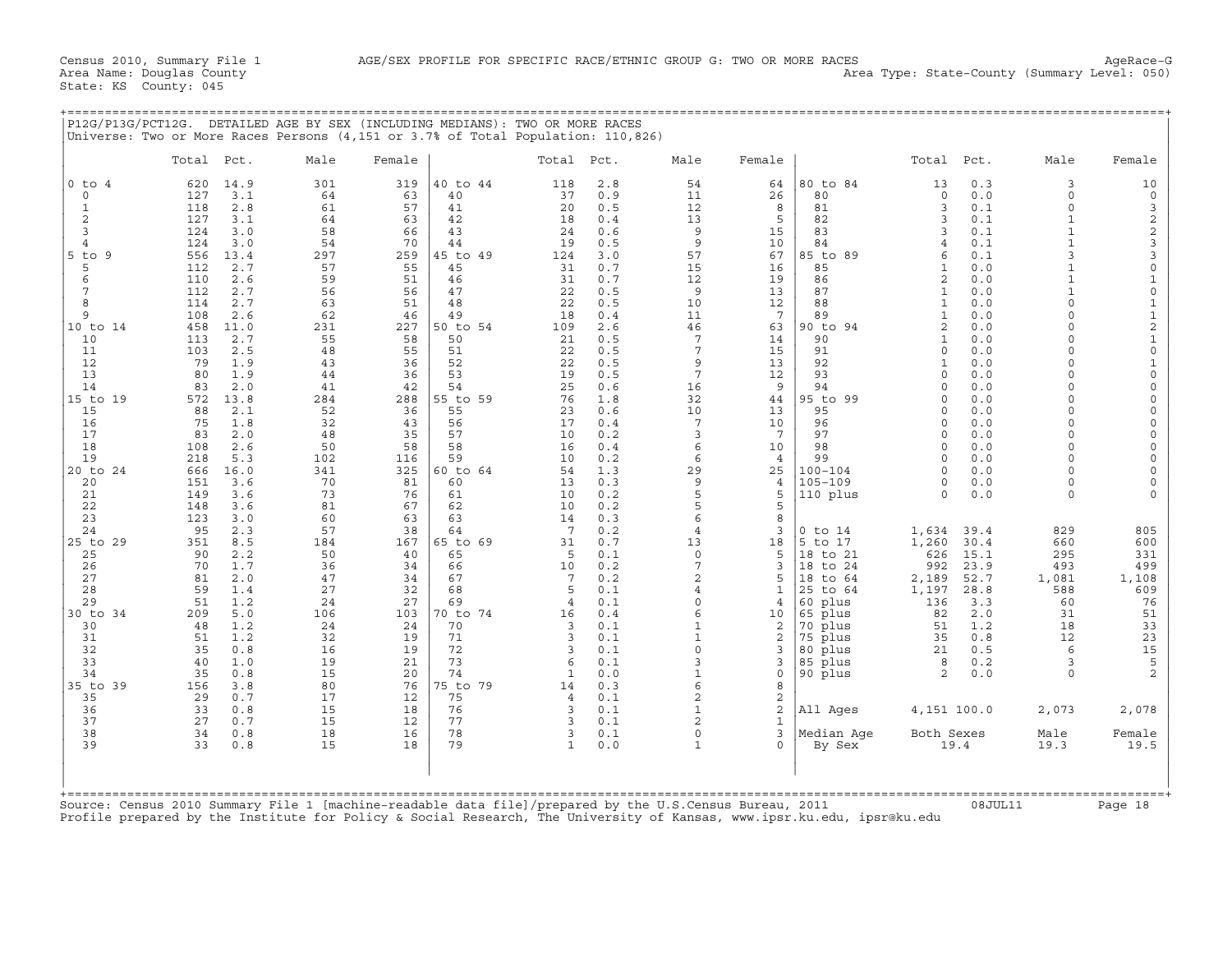| P12G/P13G/PCT12G.                                                                                                                                                                                                                                                                                     |                                                                                                                                                                                                                                                                       |                                                                                                                                                                                                                                                                                           | DETAILED AGE BY SEX (INCLUDING MEDIANS): TWO OR MORE RACES<br>Universe: Two or More Races Persons (4,151 or 3.7% of Total Population: 110,826)                                                                                                       |                                                                                                                                                                                                                                                      |                                                                                                                                                                                                                                                                                        |                                                                                                                                                                                                                                                      |                                                                                                                                                                                                                                                                                      |                                                                                                                                                                                                                                                                                                                                      |                                                                                                                                                                                                                                                      |                                                                                                                                                                                                                                                                                                                                                 |                                                                                                                                                                                                                                                                                                                                                                                                        |                                                                                                                                                                                                                                                                              |                                                                                                                                                                                                                                                                                                                                                    |                                                                                                                                                                                                                                                                                                                                                                                                                                                                |
|-------------------------------------------------------------------------------------------------------------------------------------------------------------------------------------------------------------------------------------------------------------------------------------------------------|-----------------------------------------------------------------------------------------------------------------------------------------------------------------------------------------------------------------------------------------------------------------------|-------------------------------------------------------------------------------------------------------------------------------------------------------------------------------------------------------------------------------------------------------------------------------------------|------------------------------------------------------------------------------------------------------------------------------------------------------------------------------------------------------------------------------------------------------|------------------------------------------------------------------------------------------------------------------------------------------------------------------------------------------------------------------------------------------------------|----------------------------------------------------------------------------------------------------------------------------------------------------------------------------------------------------------------------------------------------------------------------------------------|------------------------------------------------------------------------------------------------------------------------------------------------------------------------------------------------------------------------------------------------------|--------------------------------------------------------------------------------------------------------------------------------------------------------------------------------------------------------------------------------------------------------------------------------------|--------------------------------------------------------------------------------------------------------------------------------------------------------------------------------------------------------------------------------------------------------------------------------------------------------------------------------------|------------------------------------------------------------------------------------------------------------------------------------------------------------------------------------------------------------------------------------------------------|-------------------------------------------------------------------------------------------------------------------------------------------------------------------------------------------------------------------------------------------------------------------------------------------------------------------------------------------------|--------------------------------------------------------------------------------------------------------------------------------------------------------------------------------------------------------------------------------------------------------------------------------------------------------------------------------------------------------------------------------------------------------|------------------------------------------------------------------------------------------------------------------------------------------------------------------------------------------------------------------------------------------------------------------------------|----------------------------------------------------------------------------------------------------------------------------------------------------------------------------------------------------------------------------------------------------------------------------------------------------------------------------------------------------|----------------------------------------------------------------------------------------------------------------------------------------------------------------------------------------------------------------------------------------------------------------------------------------------------------------------------------------------------------------------------------------------------------------------------------------------------------------|
|                                                                                                                                                                                                                                                                                                       | Total Pct.                                                                                                                                                                                                                                                            |                                                                                                                                                                                                                                                                                           | Male                                                                                                                                                                                                                                                 | Female                                                                                                                                                                                                                                               |                                                                                                                                                                                                                                                                                        | Total Pct.                                                                                                                                                                                                                                           |                                                                                                                                                                                                                                                                                      | Male                                                                                                                                                                                                                                                                                                                                 | Female                                                                                                                                                                                                                                               |                                                                                                                                                                                                                                                                                                                                                 | Total                                                                                                                                                                                                                                                                                                                                                                                                  | Pct.                                                                                                                                                                                                                                                                         | Male                                                                                                                                                                                                                                                                                                                                               | Female                                                                                                                                                                                                                                                                                                                                                                                                                                                         |
| $0$ to $4$<br>$\mathbf 0$<br>$\mathbf{1}$<br>2<br>3<br>4<br>$5$ to $9$<br>5<br>6<br>7<br>8<br>9<br>10 to 14<br>10<br>11<br>12<br>13<br>14<br>15 to 19<br>15<br>16<br>17<br>18<br>19<br>20 to 24<br>20<br>21<br>22<br>23<br>24<br>25 to 29<br>25<br>26<br>27<br>28<br>29<br>30 to 34<br>30<br>31<br>32 | 620<br>127<br>118<br>127<br>124<br>124<br>556<br>112<br>110<br>112<br>114<br>108<br>458<br>113<br>103<br>79<br>80<br>83<br>572<br>88<br>75<br>83<br>108<br>218<br>666<br>151<br>149<br>148<br>123<br>95<br>351<br>90<br>70<br>81<br>59<br>51<br>209<br>48<br>51<br>35 | 14.9<br>3.1<br>2.8<br>3.1<br>3.0<br>3.0<br>13.4<br>2.7<br>2.6<br>2.7<br>2.7<br>2.6<br>11.0<br>2.7<br>2.5<br>1.9<br>1.9<br>2.0<br>13.8<br>2.1<br>1.8<br>2.0<br>2.6<br>5.3<br>16.0<br>3.6<br>3.6<br>3.6<br>3.0<br>2.3<br>8.5<br>2.2<br>1.7<br>2.0<br>1.4<br>1.2<br>5.0<br>1.2<br>1.2<br>0.8 | 301<br>64<br>61<br>64<br>58<br>54<br>297<br>57<br>59<br>56<br>63<br>62<br>231<br>55<br>48<br>43<br>44<br>41<br>284<br>52<br>32<br>48<br>50<br>102<br>341<br>70<br>73<br>81<br>60<br>57<br>184<br>50<br>36<br>47<br>27<br>24<br>106<br>24<br>32<br>16 | 319<br>63<br>57<br>63<br>66<br>70<br>259<br>55<br>51<br>56<br>51<br>46<br>227<br>58<br>55<br>36<br>36<br>42<br>288<br>36<br>43<br>35<br>58<br>116<br>325<br>81<br>76<br>67<br>63<br>38<br>167<br>40<br>34<br>34<br>32<br>27<br>103<br>24<br>19<br>19 | 40 to 44<br>40<br>41<br>42<br>43<br>44<br>45 to 49<br>45<br>46<br>47<br>48<br>49<br>50 to 54<br>50<br>51<br>52<br>53<br>54<br>55 to 59<br>55<br>56<br>57<br>58<br>59<br>60 to 64<br>60<br>61<br>62<br>63<br>64<br>65 to 69<br>65<br>66<br>67<br>68<br>69<br>70 to 74<br>70<br>71<br>72 | 118<br>37<br>20<br>18<br>24<br>19<br>124<br>31<br>31<br>22<br>22<br>18<br>109<br>21<br>22<br>22<br>19<br>25<br>76<br>23<br>17<br>10<br>16<br>10<br>54<br>13<br>10<br>10<br>14<br>7<br>31<br>5<br>10<br>7<br>5<br>$\overline{4}$<br>16<br>3<br>3<br>3 | 2.8<br>0.9<br>0.5<br>0.4<br>0.6<br>0.5<br>3.0<br>0.7<br>0.7<br>0.5<br>0.5<br>0.4<br>2.6<br>0.5<br>0.5<br>0.5<br>0.5<br>0.6<br>1.8<br>0.6<br>0.4<br>0.2<br>0.4<br>0.2<br>1.3<br>0.3<br>0.2<br>0.2<br>0.3<br>0.2<br>0.7<br>0.1<br>0.2<br>0.2<br>0.1<br>0.1<br>0.4<br>0.1<br>0.1<br>0.1 | 54<br>11<br>12<br>13<br>9<br>9<br>57<br>15<br>12<br>9<br>10<br>11<br>46<br>$7\phantom{.0}$<br>7<br>9<br>$7\phantom{.0}$<br>16<br>32<br>10<br>7<br>3<br>6<br>6<br>29<br>9<br>5<br>5<br>6<br>$\overline{4}$<br>13<br>$\mathbf 0$<br>7<br>$\overline{a}$<br>$\overline{4}$<br>$\Omega$<br>6<br>$\mathbf{1}$<br>$\mathbf{1}$<br>$\Omega$ | 64<br>26<br>8<br>5<br>15<br>10<br>67<br>16<br>19<br>13<br>12<br>$7\phantom{.0}$<br>63<br>14<br>15<br>13<br>12<br>9<br>44<br>13<br>10<br>7<br>10<br>$\overline{4}$<br>25<br>4<br>5<br>5<br>8<br>3<br>18<br>5<br>3<br>5<br>1<br>4<br>10<br>2<br>2<br>3 | 80 to 84<br>80<br>81<br>82<br>83<br>84<br>85 to 89<br>85<br>86<br>87<br>88<br>89<br>90 to 94<br>90<br>91<br>92<br>93<br>94<br>95 to 99<br>95<br>96<br>97<br>98<br>99<br>$100 - 104$<br>$105 - 109$<br>110 plus<br>$0$ to $14$<br>5 to 17<br>18 to 21<br>18 to 24<br>18 to 64<br>25 to 64<br>60 plus<br>65 plus<br>70 plus<br>75 plus<br>80 plus | 13<br>$\mathbf 0$<br>3<br>3<br>3<br>$\overline{4}$<br>6<br>1<br>2<br>$\mathbf{1}$<br>$\mathbf{1}$<br>$\mathbf{1}$<br>$\overline{2}$<br>$\mathbf{1}$<br>$\Omega$<br>$\mathbf{1}$<br>$\Omega$<br>$\Omega$<br>$\Omega$<br>$\Omega$<br>$\mathbf 0$<br>$\Omega$<br>$\Omega$<br>$\Omega$<br>$\Omega$<br>$\circ$<br>$\Omega$<br>1,634<br>1,260<br>626<br>992<br>2,189<br>1,197<br>136<br>82<br>51<br>35<br>21 | 0.3<br>0.0<br>0.1<br>0.1<br>0.1<br>0.1<br>0.1<br>0.0<br>0.0<br>0.0<br>0.0<br>0.0<br>0.0<br>0.0<br>0.0<br>0.0<br>0.0<br>0.0<br>0.0<br>0.0<br>0.0<br>0.0<br>0.0<br>0.0<br>0.0<br>0.0<br>0.0<br>39.4<br>30.4<br>15.1<br>23.9<br>52.7<br>28.8<br>3.3<br>2.0<br>1.2<br>0.8<br>0.5 | 3<br>$\circ$<br>$\Omega$<br>$\mathbf{1}$<br>ς<br>$\mathbf{1}$<br>$\Omega$<br>$\Omega$<br>$\Omega$<br>$\Omega$<br>$\Omega$<br>$\Omega$<br>$\Omega$<br>$\Omega$<br>$\Omega$<br>$\Omega$<br>$\Omega$<br>$\Omega$<br>$\Omega$<br>$\Omega$<br>$\Omega$<br>$\Omega$<br>$\Omega$<br>829<br>660<br>295<br>493<br>1,081<br>588<br>60<br>31<br>18<br>12<br>6 | 10<br>$\mathbb O$<br>3<br>$\overline{c}$<br>$\mathbf 2$<br>3<br>3<br>$\mathbf 0$<br>$\mathbf{1}$<br>$\mathsf O$<br>$\mathbf{1}$<br>$\frac{1}{2}$<br>$\mathbf 1$<br>$\mathsf{O}\xspace$<br>$\mathbf 1$<br>$\mathsf{O}\xspace$<br>$\mathsf{O}\xspace$<br>$\mathbf 0$<br>0<br>$\mathsf{O}$<br>0<br>$\mathbf 0$<br>$\mathsf{O}\xspace$<br>$\mathsf O$<br>$\mathsf{O}\xspace$<br>$\Omega$<br>805<br>600<br>331<br>499<br>1,108<br>609<br>76<br>51<br>33<br>23<br>15 |
| 33<br>34<br>35 to 39<br>35<br>36<br>37                                                                                                                                                                                                                                                                | 40<br>35<br>156<br>29<br>33<br>27                                                                                                                                                                                                                                     | 1.0<br>0.8<br>3.8<br>0.7<br>0.8<br>0.7                                                                                                                                                                                                                                                    | 19<br>15<br>80<br>17<br>15<br>15                                                                                                                                                                                                                     | 21<br>20<br>76<br>12<br>18                                                                                                                                                                                                                           | 73<br>74<br>75 to 79<br>75<br>76<br>77                                                                                                                                                                                                                                                 | 6<br>$\mathbf{1}$<br>14<br>$\overline{4}$<br>3<br>3                                                                                                                                                                                                  | 0.1<br>0.0<br>0.3<br>0.1<br>0.1<br>0.1                                                                                                                                                                                                                                               | 3<br>6<br>2<br>$\mathbf{1}$<br>$\overline{a}$                                                                                                                                                                                                                                                                                        | 3<br>$\mathbf 0$<br>8<br>$\overline{c}$<br>2                                                                                                                                                                                                         | 85 plus<br>90 plus<br>All Ages                                                                                                                                                                                                                                                                                                                  | 8<br>2<br>4,151 100.0                                                                                                                                                                                                                                                                                                                                                                                  | 0.2<br>0.0                                                                                                                                                                                                                                                                   | 3<br>$\Omega$<br>2,073                                                                                                                                                                                                                                                                                                                             | 5<br>2<br>2,078                                                                                                                                                                                                                                                                                                                                                                                                                                                |
| 38<br>39                                                                                                                                                                                                                                                                                              | 34<br>33                                                                                                                                                                                                                                                              | 0.8<br>0.8                                                                                                                                                                                                                                                                                | 18<br>15<br>$F_1 \rceil$ $\alpha$ $\beta$                                                                                                                                                                                                            | 12<br>16<br>18                                                                                                                                                                                                                                       | 78<br>79<br>[machine-readable data file]/prepared by the II S                                                                                                                                                                                                                          | 3<br>$\mathbf{1}$                                                                                                                                                                                                                                    | 0.1<br>0.0                                                                                                                                                                                                                                                                           | $\mathbf 0$<br>$\mathbf{1}$                                                                                                                                                                                                                                                                                                          | 1<br>3<br>$\Omega$<br>Census Bureau                                                                                                                                                                                                                  | Median Aqe<br>By Sex<br>$2011$                                                                                                                                                                                                                                                                                                                  | Both Sexes                                                                                                                                                                                                                                                                                                                                                                                             | 19.4<br>$0.8$ .TITT.11                                                                                                                                                                                                                                                       | Male<br>19.3                                                                                                                                                                                                                                                                                                                                       | Female<br>19.5<br>$P = 18$                                                                                                                                                                                                                                                                                                                                                                                                                                     |

Source: Census 2010 Summary File 1 [machine−readable data file]/prepared by the U.S.Census Bureau, 2011 08JUL11 Page 18 Profile prepared by the Institute for Policy & Social Research, The University of Kansas, www.ipsr.ku.edu, ipsr@ku.edu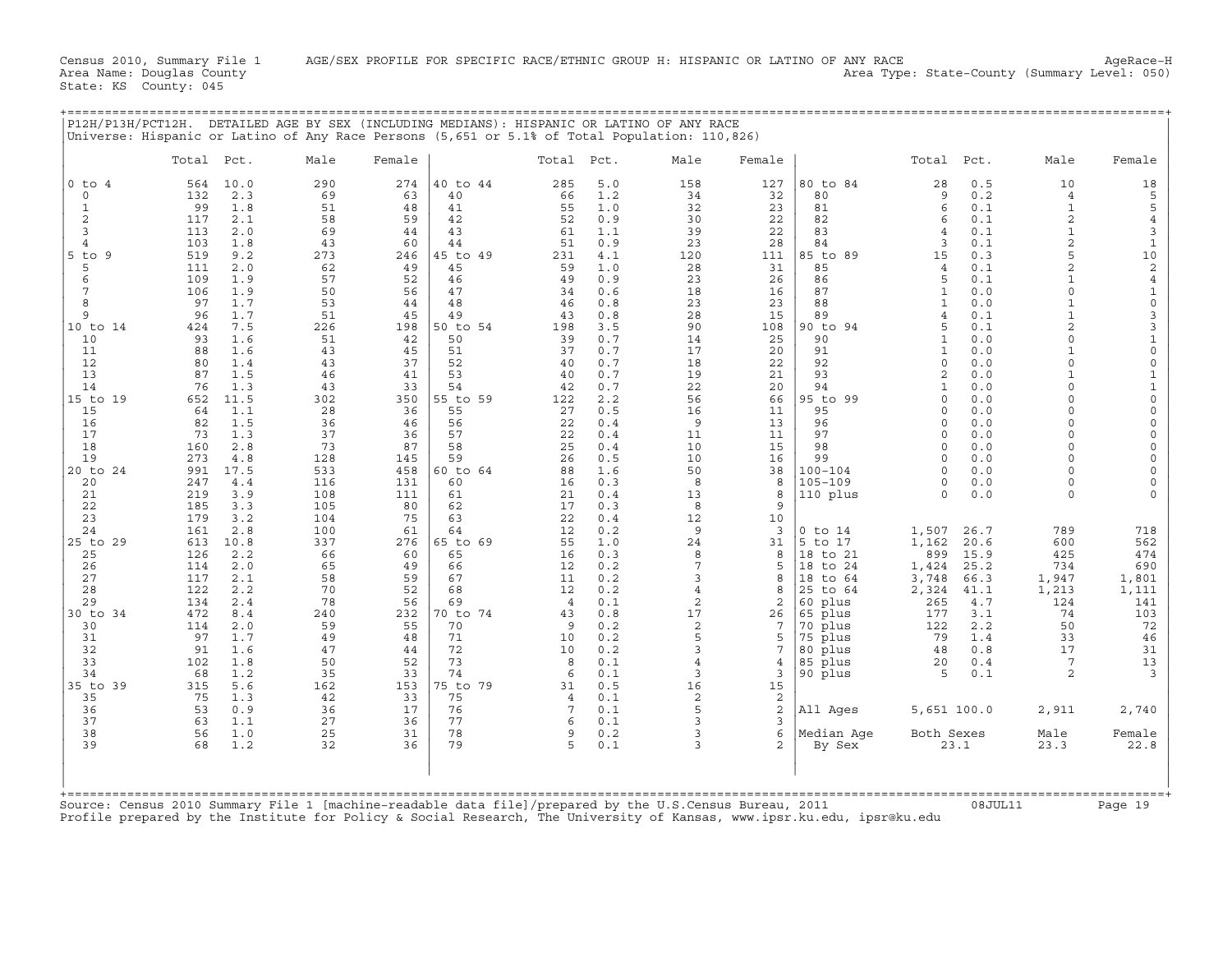| P12H/P13H/PCT12H. DETAILED AGE BY SEX (INCLUDING MEDIANS): HISPANIC OR LATINO OF ANY RACE<br>Universe: Hispanic or Latino of Any Race Persons (5,651 or 5.1% of Total Population: 110,826)                                                                                                                                                                                                                                                                                                                                                                                                      |                                                                                                                                                                                                                                                                                                                                                  |                                                                                                                                                                                              |                                                                                                                                                                    |                                                                                                                                                                                           |                                                                                                                                                                |                                                                                                                                                                 |                                                                                                                                                                                                            |                                                                                                                                                                                                                                                                                          |                                                                                                                                                                                           |                                                                                                                                                                                                                                                                                                                  |                                                                                                                                                                                                                                                                                                                                                                                                                          |
|-------------------------------------------------------------------------------------------------------------------------------------------------------------------------------------------------------------------------------------------------------------------------------------------------------------------------------------------------------------------------------------------------------------------------------------------------------------------------------------------------------------------------------------------------------------------------------------------------|--------------------------------------------------------------------------------------------------------------------------------------------------------------------------------------------------------------------------------------------------------------------------------------------------------------------------------------------------|----------------------------------------------------------------------------------------------------------------------------------------------------------------------------------------------|--------------------------------------------------------------------------------------------------------------------------------------------------------------------|-------------------------------------------------------------------------------------------------------------------------------------------------------------------------------------------|----------------------------------------------------------------------------------------------------------------------------------------------------------------|-----------------------------------------------------------------------------------------------------------------------------------------------------------------|------------------------------------------------------------------------------------------------------------------------------------------------------------------------------------------------------------|------------------------------------------------------------------------------------------------------------------------------------------------------------------------------------------------------------------------------------------------------------------------------------------|-------------------------------------------------------------------------------------------------------------------------------------------------------------------------------------------|------------------------------------------------------------------------------------------------------------------------------------------------------------------------------------------------------------------------------------------------------------------------------------------------------------------|--------------------------------------------------------------------------------------------------------------------------------------------------------------------------------------------------------------------------------------------------------------------------------------------------------------------------------------------------------------------------------------------------------------------------|
| Pct.<br>Total                                                                                                                                                                                                                                                                                                                                                                                                                                                                                                                                                                                   | Male<br>Female                                                                                                                                                                                                                                                                                                                                   |                                                                                                                                                                                              | Total Pct.                                                                                                                                                         |                                                                                                                                                                                           | Male                                                                                                                                                           | Female                                                                                                                                                          |                                                                                                                                                                                                            | Total                                                                                                                                                                                                                                                                                    | Pct.                                                                                                                                                                                      | Male                                                                                                                                                                                                                                                                                                             | Female                                                                                                                                                                                                                                                                                                                                                                                                                   |
| $0$ to $4$<br>564<br>10.0<br>132<br>2.3<br>$\mathbf 0$<br>99<br>1.8<br>1<br>2<br>2.1<br>117<br>3<br>113<br>2.0<br>103<br>1.8<br>$\overline{4}$<br>519<br>$5$ to $9$<br>9.2<br>5<br>2.0<br>111<br>6<br>109<br>1.9<br>7<br>106<br>1.9<br>8<br>97<br>1.7<br>1.7<br>9<br>96<br>10 to 14<br>424<br>7.5<br>93<br>1.6<br>10<br>11<br>88<br>1.6<br>12<br>80<br>1.4<br>13<br>87<br>1.5<br>14<br>76<br>1.3<br>15 to 19<br>11.5<br>652<br>15<br>64<br>1.1<br>1.5<br>16<br>82<br>17<br>73<br>1.3<br>18<br>2.8<br>160<br>19<br>273<br>4.8<br>20 to 24<br>991<br>17.5<br>20<br>247<br>4.4<br>21<br>219<br>3.9 | 290<br>274<br>69<br>63<br>51<br>48<br>58<br>59<br>69<br>44<br>43<br>60<br>273<br>246<br>62<br>49<br>57<br>52<br>50<br>56<br>53<br>44<br>51<br>45<br>226<br>198<br>51<br>42<br>43<br>45<br>43<br>37<br>46<br>41<br>43<br>33<br>302<br>350<br>28<br>36<br>36<br>46<br>37<br>36<br>73<br>87<br>128<br>145<br>533<br>458<br>116<br>131<br>108<br>111 | 40 to 44<br>40<br>41<br>42<br>43<br>44<br>45 to 49<br>45<br>46<br>47<br>48<br>49<br>50 to 54<br>50<br>51<br>52<br>53<br>54<br>55 to 59<br>55<br>56<br>57<br>58<br>59<br>60 to 64<br>60<br>61 | 285<br>66<br>55<br>52<br>61<br>51<br>231<br>59<br>49<br>34<br>46<br>43<br>198<br>39<br>37<br>40<br>40<br>42<br>122<br>27<br>22<br>22<br>25<br>26<br>88<br>16<br>21 | 5.0<br>1.2<br>1.0<br>0.9<br>1.1<br>0.9<br>4.1<br>1.0<br>0.9<br>0.6<br>0.8<br>0.8<br>3.5<br>0.7<br>0.7<br>0.7<br>0.7<br>0.7<br>2.2<br>0.5<br>0.4<br>0.4<br>0.4<br>0.5<br>1.6<br>0.3<br>0.4 | 158<br>34<br>32<br>30<br>39<br>23<br>120<br>28<br>23<br>18<br>23<br>28<br>90<br>14<br>17<br>18<br>19<br>22<br>56<br>16<br>9<br>11<br>10<br>10<br>50<br>8<br>13 | 127<br>32<br>23<br>22<br>22<br>28<br>111<br>31<br>26<br>16<br>23<br>15<br>108<br>25<br>20<br>22<br>21<br>20<br>66<br>11<br>13<br>11<br>15<br>16<br>38<br>8<br>8 | 80 to 84<br>80<br>81<br>82<br>83<br>84<br>85 to 89<br>85<br>86<br>87<br>88<br>89<br>90 to 94<br>90<br>91<br>92<br>93<br>94<br>95 to 99<br>95<br>96<br>97<br>98<br>99<br>$100 - 104$<br>105-109<br>110 plus | 28<br>9<br>6<br>6<br>$\overline{4}$<br>3<br>15<br>$\overline{4}$<br>5<br>$\mathbf{1}$<br>1<br>$\overline{4}$<br>5<br>$\mathbf{1}$<br>$\mathbf{1}$<br>$\circ$<br>$\overline{c}$<br>1<br>$\Omega$<br>$\Omega$<br>$\Omega$<br>$\Omega$<br>$\Omega$<br>$\Omega$<br>$\Omega$<br>0<br>$\Omega$ | 0.5<br>0.2<br>0.1<br>0.1<br>0.1<br>0.1<br>0.3<br>0.1<br>0.1<br>0.0<br>0.0<br>0.1<br>0.1<br>0.0<br>0.0<br>0.0<br>0.0<br>0.0<br>0.0<br>0.0<br>0.0<br>0.0<br>0.0<br>0.0<br>0.0<br>0.0<br>0.0 | 10<br>$\overline{4}$<br>$\mathbf{1}$<br>2<br>$\mathbf{1}$<br>$\overline{a}$<br>5<br>$\overline{2}$<br>$\mathbf{1}$<br>$\Omega$<br>$\mathbf{1}$<br>$\overline{a}$<br>$\Omega$<br>$\Omega$<br>$\Omega$<br>$\Omega$<br>$\Omega$<br>$\Omega$<br>$\Omega$<br>$\Omega$<br>$\Omega$<br>$\Omega$<br>$\Omega$<br>$\Omega$ | 18<br>$\mathsf S$<br>5<br>$\overline{4}$<br>3<br>$\mathbf 1$<br>10<br>$\sqrt{2}$<br>$\bf{4}$<br>$\mathbf{1}$<br>$\mathsf{O}\xspace$<br>$\ensuremath{\mathsf{3}}$<br>3<br>$\mathbf 1$<br>$\mathsf{O}\xspace$<br>$\mathbb O$<br>$\mathbf{1}$<br>$1\,$<br>$\mathsf{O}\xspace$<br>$\mathbb O$<br>$\mathsf{O}\xspace$<br>$\mathbf 0$<br>$\mathsf{O}\xspace$<br>$\mathsf{O}$<br>$\mathsf{O}\xspace$<br>$\mathbf 0$<br>$\Omega$ |
| 22<br>185<br>3.3<br>23<br>179<br>3.2<br>24<br>161<br>2.8<br>25 to 29<br>10.8<br>613<br>126<br>2.2<br>25<br>26<br>2.0<br>114<br>27<br>117<br>2.1<br>28<br>122<br>2.2<br>29<br>134<br>2.4<br>30 to 34<br>472<br>8.4<br>30<br>114<br>2.0<br>31<br>97<br>1.7<br>32<br>91<br>1.6<br>33<br>102<br>1.8<br>34<br>68<br>1.2<br>35 to 39<br>5.6<br>315<br>35<br>75<br>1.3<br>36<br>53<br>0.9<br>37<br>63<br>1.1                                                                                                                                                                                           | 105<br>80<br>104<br>75<br>100<br>61<br>337<br>276<br>66<br>60<br>65<br>49<br>58<br>59<br>70<br>52<br>78<br>56<br>240<br>232<br>59<br>55<br>49<br>48<br>47<br>44<br>50<br>52<br>35<br>33<br>162<br>153<br>42<br>33<br>36<br>17<br>27<br>36                                                                                                        | 62<br>63<br>64<br>65 to 69<br>65<br>66<br>67<br>68<br>69<br>70 to 74<br>70<br>71<br>72<br>73<br>74<br>75 to 79<br>75<br>76<br>77                                                             | 17<br>22<br>12<br>55<br>16<br>12<br>11<br>12<br>$\overline{4}$<br>43<br>9<br>10<br>10<br>8<br>6<br>31<br>$\overline{4}$<br>7<br>6                                  | 0.3<br>0.4<br>0.2<br>1.0<br>0.3<br>0.2<br>0.2<br>0.2<br>0.1<br>0.8<br>0.2<br>0.2<br>0.2<br>0.1<br>0.1<br>0.5<br>0.1<br>0.1<br>0.1                                                         | 8<br>12<br>9<br>24<br>8<br>$7\phantom{.0}$<br>3<br>$\overline{4}$<br>2<br>17<br>2<br>5<br>3<br>$\overline{4}$<br>3<br>16<br>2<br>5<br>3                        | 9<br>10<br>3<br>31<br>8<br>5<br>8<br>$\mathsf{R}$<br>2<br>26<br>7<br>5<br>7<br>4<br>3<br>15<br>2<br>2<br>3                                                      | $0$ to $14$<br>5 to 17<br>18 to 21<br>18 to 24<br>18 to 64<br>25 to 64<br>60 plus<br>65 plus<br>70 plus<br>75 plus<br>80 plus<br>85 plus<br>90 plus<br>All Ages                                            | 1,507<br>1,162<br>899<br>1,424<br>3,748<br>2,324<br>265<br>177<br>122<br>79<br>48<br>20<br>5<br>5,651 100.0                                                                                                                                                                              | 26.7<br>20.6<br>15.9<br>25.2<br>66.3<br>41.1<br>4.7<br>3.1<br>2.2<br>1.4<br>0.8<br>0.4<br>0.1                                                                                             | 789<br>600<br>425<br>734<br>1,947<br>1,213<br>124<br>74<br>50<br>33<br>17<br>7<br>$\overline{2}$<br>2,911                                                                                                                                                                                                        | 718<br>562<br>474<br>690<br>1,801<br>1,111<br>141<br>103<br>72<br>46<br>31<br>13<br>3<br>2,740                                                                                                                                                                                                                                                                                                                           |
| 38<br>56<br>1.0<br>39<br>68<br>1.2<br>Source: Census 2010 Summary File 1 [machine-readable data file]/prepared by the U.S.Census Bureau, 2011                                                                                                                                                                                                                                                                                                                                                                                                                                                   | 25<br>31<br>32<br>36                                                                                                                                                                                                                                                                                                                             | 78<br>79                                                                                                                                                                                     | 9<br>5                                                                                                                                                             | 0.2<br>0.1                                                                                                                                                                                | 3<br>3                                                                                                                                                         | 6<br>$\overline{2}$                                                                                                                                             | Median Aqe<br>By Sex                                                                                                                                                                                       | Both Sexes<br>23.1                                                                                                                                                                                                                                                                       |                                                                                                                                                                                           | Male<br>23.3                                                                                                                                                                                                                                                                                                     | Female<br>22.8                                                                                                                                                                                                                                                                                                                                                                                                           |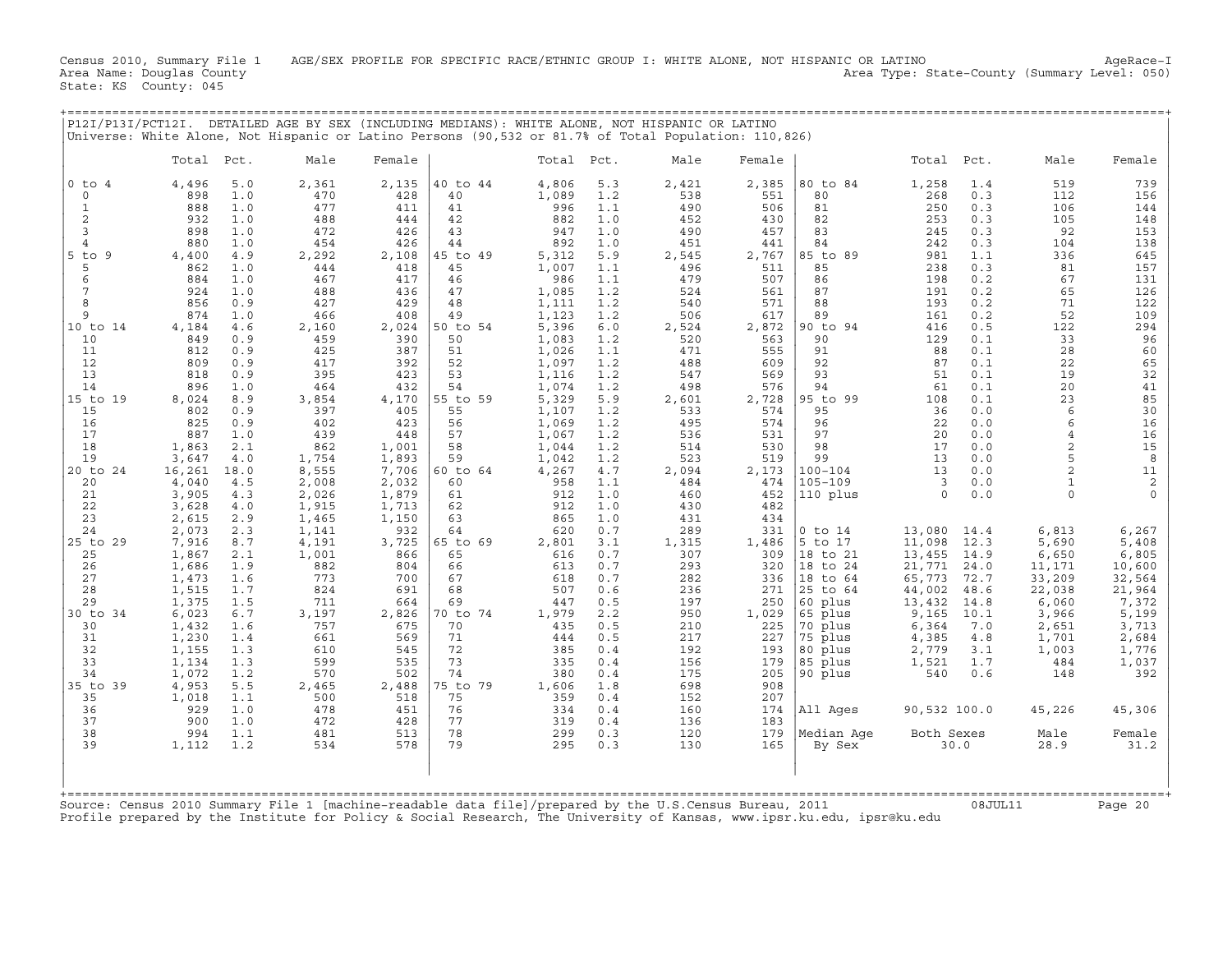Census 2010, Summary File 1 AGE/SEX PROFILE FOR SPECIFIC RACE/ETHNIC GROUP I: WHITE ALONE, NOT HISPANIC OR LATINO AgeRace-I<br>Area Name: Douglas County (summary Level: 050) Area Type: State-County (Summary Level: 050) State: KS County: 045

+===================================================================================================================================================+

| Total<br>$0$ to $4$<br>4,496<br>898<br>$\mathbf 0$<br>888<br>$\mathbf{1}$<br>$\overline{c}$<br>932<br>3<br>898<br>$\overline{4}$<br>880<br>$5$ to<br>9<br>4,400<br>862<br>5<br>6<br>884<br>$\overline{7}$<br>924<br>8<br>856<br>9<br>874<br>10 to 14<br>4,184<br>10<br>849<br>11<br>812<br>12<br>809<br>13<br>818<br>14<br>896<br>15 to 19<br>8,024<br>15<br>802<br>16<br>825<br>17<br>887<br>18<br>1,863<br>19<br>3,647<br>20 to 24<br>16,261<br>4,040<br>20<br>21<br>3,905<br>22<br>3,628<br>23<br>2,615<br>24<br>2,073<br>7,916<br>25 to 29<br>25<br>1,867 | Male<br>Pct.<br>5.0<br>2,361<br>470<br>1.0<br>1.0<br>477<br>1.0<br>488<br>472<br>1.0<br>1.0<br>454<br>4.9<br>2,292<br>1.0<br>444<br>1.0<br>467<br>1.0<br>488<br>0.9<br>427<br>1.0<br>466<br>2,160<br>4.6<br>0.9<br>459<br>0.9<br>425<br>417 | Female<br>2,135<br>428<br>411<br>444<br>426<br>426<br>2,108<br>418<br>417<br>436<br>429<br>408 | 40 to 44<br>40<br>41<br>42<br>43<br>44<br>5 to 49<br>45<br>46<br>47<br>48 | Total Pct.<br>4,806<br>1,089<br>996<br>882<br>947<br>892<br>5,312<br>1,007<br>986 | 5.3<br>1.2<br>1.1<br>1.0<br>1.0<br>1.0<br>5.9<br>1.1 | Male<br>2,421<br>538<br>490<br>452<br>490<br>451<br>2,545 | Female<br>2,385<br>551<br>506<br>430<br>457<br>441 | 80 to 84<br>80<br>81<br>82<br>83<br>84 | Total Pct.<br>1,258<br>268<br>250<br>253<br>245<br>242 | 1.4<br>0.3<br>0.3<br>0.3<br>0.3<br>0.3 | Male<br>519<br>112<br>106<br>105<br>92 | Female<br>739<br>156<br>144<br>148 |
|---------------------------------------------------------------------------------------------------------------------------------------------------------------------------------------------------------------------------------------------------------------------------------------------------------------------------------------------------------------------------------------------------------------------------------------------------------------------------------------------------------------------------------------------------------------|---------------------------------------------------------------------------------------------------------------------------------------------------------------------------------------------------------------------------------------------|------------------------------------------------------------------------------------------------|---------------------------------------------------------------------------|-----------------------------------------------------------------------------------|------------------------------------------------------|-----------------------------------------------------------|----------------------------------------------------|----------------------------------------|--------------------------------------------------------|----------------------------------------|----------------------------------------|------------------------------------|
|                                                                                                                                                                                                                                                                                                                                                                                                                                                                                                                                                               |                                                                                                                                                                                                                                             |                                                                                                |                                                                           |                                                                                   |                                                      |                                                           |                                                    |                                        |                                                        |                                        |                                        |                                    |
|                                                                                                                                                                                                                                                                                                                                                                                                                                                                                                                                                               |                                                                                                                                                                                                                                             |                                                                                                |                                                                           |                                                                                   |                                                      |                                                           |                                                    |                                        |                                                        |                                        |                                        |                                    |
|                                                                                                                                                                                                                                                                                                                                                                                                                                                                                                                                                               |                                                                                                                                                                                                                                             |                                                                                                |                                                                           |                                                                                   |                                                      |                                                           |                                                    |                                        |                                                        |                                        |                                        |                                    |
|                                                                                                                                                                                                                                                                                                                                                                                                                                                                                                                                                               |                                                                                                                                                                                                                                             |                                                                                                |                                                                           |                                                                                   |                                                      |                                                           |                                                    |                                        |                                                        |                                        |                                        |                                    |
|                                                                                                                                                                                                                                                                                                                                                                                                                                                                                                                                                               |                                                                                                                                                                                                                                             |                                                                                                |                                                                           |                                                                                   |                                                      |                                                           |                                                    |                                        |                                                        |                                        |                                        | 153                                |
|                                                                                                                                                                                                                                                                                                                                                                                                                                                                                                                                                               |                                                                                                                                                                                                                                             |                                                                                                |                                                                           |                                                                                   |                                                      |                                                           |                                                    |                                        |                                                        |                                        | 104                                    | 138                                |
|                                                                                                                                                                                                                                                                                                                                                                                                                                                                                                                                                               |                                                                                                                                                                                                                                             |                                                                                                |                                                                           |                                                                                   |                                                      |                                                           | 2,767                                              | 85 to 89                               | 981                                                    | 1.1                                    | 336                                    | 645                                |
|                                                                                                                                                                                                                                                                                                                                                                                                                                                                                                                                                               |                                                                                                                                                                                                                                             |                                                                                                |                                                                           |                                                                                   |                                                      | 496                                                       | 511                                                | 85                                     | 238                                                    | 0.3                                    | 81                                     | 157                                |
|                                                                                                                                                                                                                                                                                                                                                                                                                                                                                                                                                               |                                                                                                                                                                                                                                             |                                                                                                |                                                                           |                                                                                   | 1.1<br>1.2                                           | 479                                                       | 507<br>561                                         | 86<br>87                               | 198<br>191                                             | 0.2<br>0.2                             | 67<br>65                               | 131                                |
|                                                                                                                                                                                                                                                                                                                                                                                                                                                                                                                                                               |                                                                                                                                                                                                                                             |                                                                                                |                                                                           | 1,085<br>1,111                                                                    | 1.2                                                  | 524<br>540                                                | 571                                                | 88                                     | 193                                                    | 0.2                                    | 71                                     | 126<br>122                         |
|                                                                                                                                                                                                                                                                                                                                                                                                                                                                                                                                                               |                                                                                                                                                                                                                                             |                                                                                                | 49                                                                        | 1,123                                                                             | 1.2                                                  | 506                                                       | 617                                                | 89                                     | 161                                                    | 0.2                                    | 52                                     | 109                                |
|                                                                                                                                                                                                                                                                                                                                                                                                                                                                                                                                                               |                                                                                                                                                                                                                                             | 2,024                                                                                          | 50 to 54                                                                  | 5,396                                                                             | 6.0                                                  | 2,524                                                     | 2,872                                              | 90 to 94                               | 416                                                    | 0.5                                    | 122                                    | 294                                |
|                                                                                                                                                                                                                                                                                                                                                                                                                                                                                                                                                               |                                                                                                                                                                                                                                             | 390                                                                                            | 50                                                                        | 1,083                                                                             | 1.2                                                  | 520                                                       | 563                                                | 90                                     | 129                                                    | 0.1                                    | 33                                     | 96                                 |
|                                                                                                                                                                                                                                                                                                                                                                                                                                                                                                                                                               |                                                                                                                                                                                                                                             | 387                                                                                            | 51                                                                        | 1,026                                                                             | 1.1                                                  | 471                                                       | 555                                                | 91<br>92                               | 88                                                     | 0.1                                    | 28                                     | 60                                 |
|                                                                                                                                                                                                                                                                                                                                                                                                                                                                                                                                                               | 0.9<br>395<br>0.9                                                                                                                                                                                                                           | 392<br>423                                                                                     | 52<br>53                                                                  | 1,097<br>1,116                                                                    | 1.2<br>1.2                                           | 488<br>547                                                | 609<br>569                                         | 93                                     | 87<br>51                                               | 0.1<br>0.1                             | 22<br>19                               | 65<br>32                           |
|                                                                                                                                                                                                                                                                                                                                                                                                                                                                                                                                                               | 1.0<br>464                                                                                                                                                                                                                                  | 432                                                                                            | 54                                                                        | 1,074                                                                             | 1.2                                                  | 498                                                       | 576                                                | 94                                     | 61                                                     | 0.1                                    | 20                                     | 41                                 |
|                                                                                                                                                                                                                                                                                                                                                                                                                                                                                                                                                               | 8.9<br>3,854                                                                                                                                                                                                                                | 4,170                                                                                          | 55 to 59                                                                  | 5,329                                                                             | 5.9                                                  | 2,601                                                     | 2,728                                              | 95 to<br>99                            | 108                                                    | 0.1                                    | 23                                     | 85                                 |
|                                                                                                                                                                                                                                                                                                                                                                                                                                                                                                                                                               | 0.9<br>397                                                                                                                                                                                                                                  | 405                                                                                            | 55                                                                        | 1,107                                                                             | 1.2                                                  | 533                                                       | 574                                                | 95                                     | 36                                                     | 0.0                                    | 6                                      | 30                                 |
|                                                                                                                                                                                                                                                                                                                                                                                                                                                                                                                                                               | 0.9<br>402                                                                                                                                                                                                                                  | 423                                                                                            | 56                                                                        | 1,069                                                                             | 1.2                                                  | 495                                                       | 574                                                | 96                                     | 22                                                     | 0.0                                    | 6                                      | 16                                 |
|                                                                                                                                                                                                                                                                                                                                                                                                                                                                                                                                                               | 1.0<br>439<br>2.1<br>862                                                                                                                                                                                                                    | 448<br>1,001                                                                                   | 57<br>58                                                                  | 1,067                                                                             | 1.2                                                  | 536<br>514                                                | 531<br>530                                         | 97<br>98                               | 20<br>17                                               | 0.0<br>0.0                             | $\overline{4}$<br>$\overline{a}$       | 16<br>15                           |
|                                                                                                                                                                                                                                                                                                                                                                                                                                                                                                                                                               | 4.0<br>1,754                                                                                                                                                                                                                                | 1,893                                                                                          | 59                                                                        | 1,044<br>1,042                                                                    | 1.2<br>1.2                                           | 523                                                       | 519                                                | 99                                     | 13                                                     | 0.0                                    | 5                                      | 8                                  |
|                                                                                                                                                                                                                                                                                                                                                                                                                                                                                                                                                               | 8,555<br>18.0                                                                                                                                                                                                                               | 7,706                                                                                          | 60 to 64                                                                  | 4,267                                                                             | 4.7                                                  | 2,094                                                     | 2,173                                              | $100 - 104$                            | 13                                                     | 0.0                                    | $\overline{a}$                         | $11\,$                             |
|                                                                                                                                                                                                                                                                                                                                                                                                                                                                                                                                                               | 4.5<br>2,008                                                                                                                                                                                                                                | 2,032                                                                                          | 60                                                                        | 958                                                                               | 1.1                                                  | 484                                                       | 474                                                | 105-109                                | 3                                                      | 0.0                                    | $\mathbf{1}$                           | $\sqrt{2}$                         |
|                                                                                                                                                                                                                                                                                                                                                                                                                                                                                                                                                               | 2,026<br>4.3                                                                                                                                                                                                                                | 1,879                                                                                          | 61                                                                        | 912                                                                               | 1.0                                                  | 460                                                       | 452                                                | 110 plus                               | $\mathbf 0$                                            | 0.0                                    | $\Omega$                               | $\Omega$                           |
|                                                                                                                                                                                                                                                                                                                                                                                                                                                                                                                                                               | 1,915<br>4.0                                                                                                                                                                                                                                | 1,713                                                                                          | 62                                                                        | 912                                                                               | 1.0                                                  | 430                                                       | 482                                                |                                        |                                                        |                                        |                                        |                                    |
|                                                                                                                                                                                                                                                                                                                                                                                                                                                                                                                                                               | 1,465<br>2.9<br>2.3<br>1,141                                                                                                                                                                                                                | 1,150<br>932                                                                                   | 63<br>64                                                                  | 865<br>620                                                                        | 1.0<br>0.7                                           | 431<br>289                                                | 434<br>331                                         | $0$ to $14$                            | 13,080                                                 | 14.4                                   | 6,813                                  | 6,267                              |
|                                                                                                                                                                                                                                                                                                                                                                                                                                                                                                                                                               | 8.7<br>4,191                                                                                                                                                                                                                                | 3,725                                                                                          | 65 to 69                                                                  | 2,801                                                                             | 3.1                                                  | 1,315                                                     | 1,486                                              | 5 to 17                                | 11,098                                                 | 12.3                                   | 5,690                                  | 5,408                              |
|                                                                                                                                                                                                                                                                                                                                                                                                                                                                                                                                                               | 2.1<br>1,001                                                                                                                                                                                                                                | 866                                                                                            | 65                                                                        | 616                                                                               | 0.7                                                  | 307                                                       | 309                                                | 18 to 21                               | 13,455                                                 | 14.9                                   | 6,650                                  | 6,805                              |
| 1,686<br>26                                                                                                                                                                                                                                                                                                                                                                                                                                                                                                                                                   | 1.9<br>882                                                                                                                                                                                                                                  | 804                                                                                            | 66                                                                        | 613                                                                               | 0.7                                                  | 293                                                       | 320                                                | 18 to 24                               | 21,771                                                 | 24.0                                   | 11,171                                 | 10,600                             |
| 27<br>1,473                                                                                                                                                                                                                                                                                                                                                                                                                                                                                                                                                   | 773<br>1.6                                                                                                                                                                                                                                  | 700                                                                                            | 67                                                                        | 618                                                                               | 0.7                                                  | 282                                                       | 336                                                | 18 to 64                               | 65,773                                                 | 72.7                                   | 33,209                                 | 32,564                             |
| 28<br>1,515<br>29                                                                                                                                                                                                                                                                                                                                                                                                                                                                                                                                             | 824<br>1.7                                                                                                                                                                                                                                  | 691                                                                                            | 68<br>69                                                                  | 507<br>447                                                                        | 0.6<br>0.5                                           | 236<br>197                                                | 271                                                | 25 to 64                               | 44,002                                                 | 48.6                                   | 22,038                                 | 21,964                             |
| 1,375<br>30 to 34<br>6,023                                                                                                                                                                                                                                                                                                                                                                                                                                                                                                                                    | 1.5<br>711<br>3,197<br>6.7                                                                                                                                                                                                                  | 664<br>2,826                                                                                   | 0 to 74                                                                   | 1,979                                                                             | 2.2                                                  | 950                                                       | 250<br>1,029                                       | 60 plus<br>65 plus                     | 13,432<br>9,165                                        | 14.8<br>10.1                           | 6,060<br>3,966                         | 7,372<br>5,199                     |
| 1,432<br>30                                                                                                                                                                                                                                                                                                                                                                                                                                                                                                                                                   | 757<br>1.6                                                                                                                                                                                                                                  | 675                                                                                            | 70                                                                        | 435                                                                               | 0.5                                                  | 210                                                       | 225                                                | 70 plus                                | 6,364                                                  | 7.0                                    | 2,651                                  | 3,713                              |
| 31<br>1,230                                                                                                                                                                                                                                                                                                                                                                                                                                                                                                                                                   | 1.4<br>661                                                                                                                                                                                                                                  | 569                                                                                            | 71                                                                        | 444                                                                               | 0.5                                                  | 217                                                       | 227                                                | 75 plus                                | 4,385                                                  | 4.8                                    | 1,701                                  | 2,684                              |
| 32<br>1,155                                                                                                                                                                                                                                                                                                                                                                                                                                                                                                                                                   | 610<br>1.3                                                                                                                                                                                                                                  | 545                                                                                            | 72                                                                        | 385                                                                               | 0.4                                                  | 192                                                       | 193                                                | 80 plus                                | 2,779                                                  | 3.1                                    | 1,003                                  | 1,776                              |
| 33<br>1,134                                                                                                                                                                                                                                                                                                                                                                                                                                                                                                                                                   | 599<br>1.3                                                                                                                                                                                                                                  | 535                                                                                            | 73                                                                        | 335                                                                               | 0.4                                                  | 156                                                       | 179                                                | 85 plus                                | 1,521                                                  | 1.7                                    | 484                                    | 1,037                              |
| 34<br>1,072<br>35 to 39<br>4,953                                                                                                                                                                                                                                                                                                                                                                                                                                                                                                                              | 1.2<br>570<br>5.5<br>2,465                                                                                                                                                                                                                  | 502<br>2,488                                                                                   | 74<br>75 to 79                                                            | 380<br>1,606                                                                      | 0.4<br>1.8                                           | 175<br>698                                                | 205<br>908                                         | 90 plus                                | 540                                                    | 0.6                                    | 148                                    | 392                                |
| 35<br>1,018                                                                                                                                                                                                                                                                                                                                                                                                                                                                                                                                                   | 1.1<br>500                                                                                                                                                                                                                                  | 518                                                                                            | 75                                                                        | 359                                                                               | 0.4                                                  | 152                                                       | 207                                                |                                        |                                                        |                                        |                                        |                                    |
| 36<br>929                                                                                                                                                                                                                                                                                                                                                                                                                                                                                                                                                     | 1.0<br>478                                                                                                                                                                                                                                  | 451                                                                                            | 76                                                                        | 334                                                                               | 0.4                                                  | 160                                                       | 174                                                | All Ages                               | 90,532 100.0                                           |                                        | 45,226                                 | 45,306                             |
| 37<br>900                                                                                                                                                                                                                                                                                                                                                                                                                                                                                                                                                     | 472<br>1.0                                                                                                                                                                                                                                  | 428                                                                                            | 77                                                                        | 319                                                                               | 0.4                                                  | 136                                                       | 183                                                |                                        |                                                        |                                        |                                        |                                    |
| 38<br>994                                                                                                                                                                                                                                                                                                                                                                                                                                                                                                                                                     | 1.1<br>481                                                                                                                                                                                                                                  | 513                                                                                            | 78                                                                        | 299                                                                               | 0.3                                                  | 120                                                       | 179                                                | Median Aqe                             | Both Sexes                                             |                                        | Male                                   | Female                             |
| 39<br>1,112                                                                                                                                                                                                                                                                                                                                                                                                                                                                                                                                                   | 1.2<br>534                                                                                                                                                                                                                                  | 578                                                                                            | 79                                                                        | 295                                                                               | 0.3                                                  | 130                                                       | 165                                                | By Sex                                 |                                                        | 30.0                                   | 28.9                                   | 31.2                               |
| Source: Census 2010 Summary File 1 [machine-readable data file]/prepared by the U.S.Census Bureau, 2011                                                                                                                                                                                                                                                                                                                                                                                                                                                       |                                                                                                                                                                                                                                             |                                                                                                |                                                                           |                                                                                   |                                                      |                                                           |                                                    |                                        |                                                        | 08JUL11                                |                                        | Page 20                            |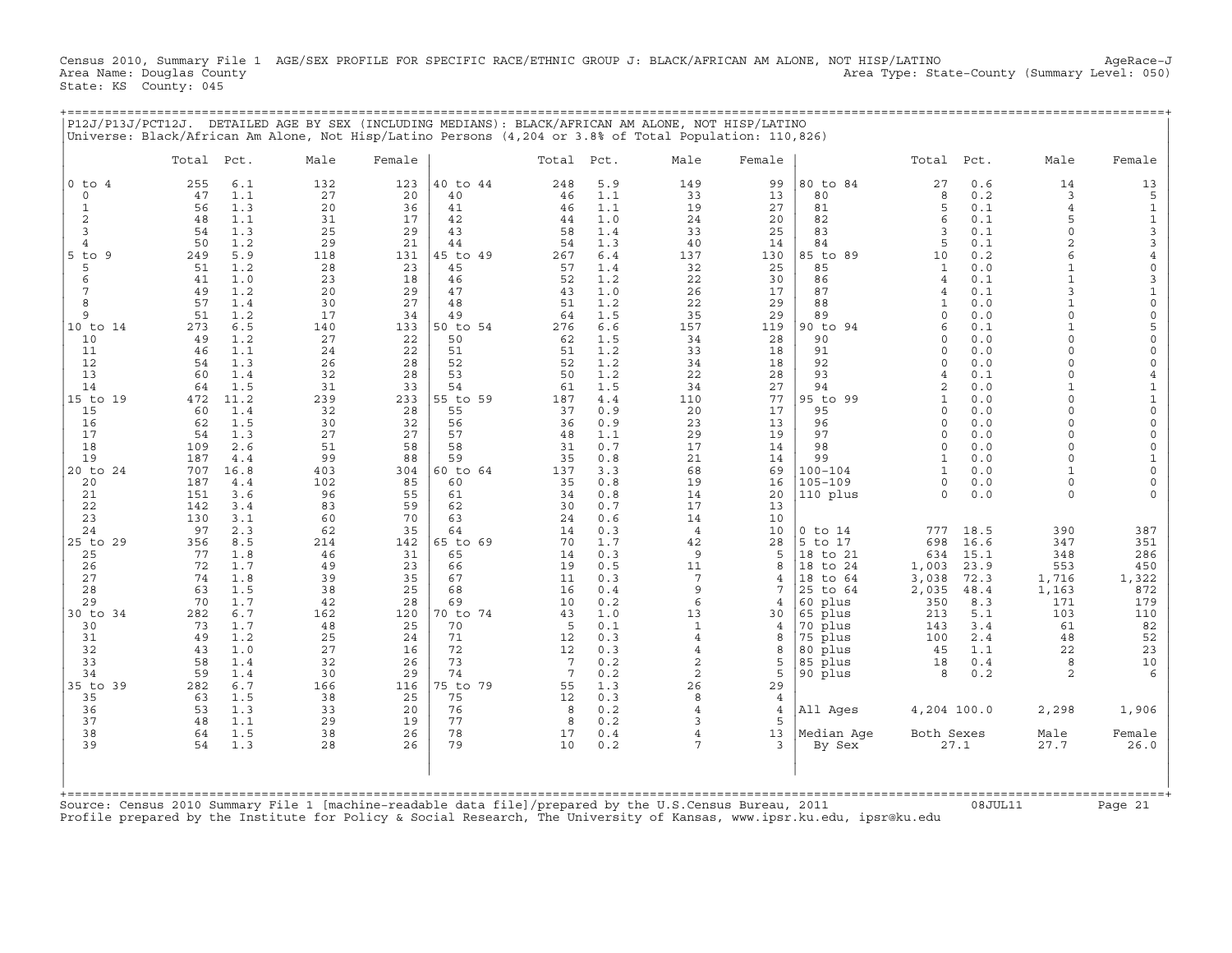Census 2010, Summary File 1 AGE/SEX PROFILE FOR SPECIFIC RACE/ETHNIC GROUP J: BLACK/AFRICAN AM ALONE, NOT HISP/LATINO AgeRace-J<br>Area Name: Douglas County (summary Level: 050) Area Type: State-County (Summary Level: 050) State: KS County: 045

|                       | Total Pct. |             | Universe: Black/African Am Alone, Not Hisp/Latino Persons (4,204 or 3.8% of Total Population: 110,826)<br>Male | Female    |                | Total Pct. |            | Male                             | Female         |                       | Total               | Pct.         | Male                     | Female                |
|-----------------------|------------|-------------|----------------------------------------------------------------------------------------------------------------|-----------|----------------|------------|------------|----------------------------------|----------------|-----------------------|---------------------|--------------|--------------------------|-----------------------|
|                       |            |             |                                                                                                                |           |                |            |            |                                  |                |                       |                     |              |                          |                       |
| $0$ to $4$<br>$\circ$ | 255        | 6.1<br>1.1  | 132<br>27                                                                                                      | 123<br>20 | 40 to 44<br>40 | 248<br>46  | 5.9<br>1.1 | 149<br>33                        | 99<br>13       | 80 to 84<br>80        | 27<br>8             | 0.6<br>0.2   | 14<br>3                  | 13<br>5               |
| 1                     | 47<br>56   | 1.3         | 20                                                                                                             | 36        | 41             | 46         | 1.1        | 19                               | 27             | 81                    | 5                   | 0.1          | $\overline{4}$           | $\mathbf{1}$          |
| 2                     | 48         | 1.1         | 31                                                                                                             | 17        | 42             | 44         | 1.0        | 24                               | 20             | 82                    | 6                   | 0.1          | 5                        | $\mathbf{1}$          |
| 3                     | 54         | 1.3         | 25                                                                                                             | 29        | 43             | 58         | 1.4        | 33                               | 25             | 83                    | 3                   | 0.1          | $\circ$                  | $\mathsf{3}$          |
| $\overline{4}$        | 50         | 1.2         | 29                                                                                                             | 21        | 44             | 54         | 1.3        | 40                               | 14             | 84                    | 5                   | 0.1          | $\overline{c}$           | 3                     |
| $5$ to $9$            | 249        | 5.9         | 118                                                                                                            | 131       | 45 to 49       | 267        | 6.4        | 137                              | 130            | 85 to 89              | 10                  | 0.2          | 6                        | $\overline{4}$        |
| 5                     | 51         | 1.2         | 28                                                                                                             | 23        | 45             | 57         | 1.4        | 32                               | 25             | 85                    | $\mathbf{1}$        | 0.0          | $\mathbf{1}$             | 0                     |
| 6<br>7                | 41<br>49   | 1.0<br>1.2  | 23<br>20                                                                                                       | 18<br>29  | 46<br>47       | 52<br>43   | 1.2<br>1.0 | 22<br>26                         | 30<br>17       | 86<br>87              | $\overline{4}$<br>4 | 0.1<br>0.1   | $\mathbf{1}$<br>3        | 3                     |
| 8                     | 57         | 1.4         | 30                                                                                                             | 27        | 48             | 51         | 1.2        | 22                               | 29             | 88                    | 1                   | 0.0          | $\mathbf{1}$             | $1\,$<br>$\mathsf{O}$ |
| 9                     | 51         | 1.2         | 17                                                                                                             | 34        | 49             | 64         | 1.5        | 35                               | 29             | 89                    | $\Omega$            | 0.0          | $\Omega$                 | 0                     |
| 10 to 14              | 273        | 6.5         | 140                                                                                                            | 133       | 50 to 54       | 276        | 6.6        | 157                              | 119            | 90 to 94              | 6                   | 0.1          | $\mathbf{1}$             | 5                     |
| 10                    | 49         | 1.2         | 27                                                                                                             | 22        | 50             | 62         | 1.5        | 34                               | 28             | 90                    | $\Omega$            | 0.0          | $\Omega$                 | $\mathsf{O}$          |
| 11                    | 46         | 1.1         | 24                                                                                                             | 22        | 51             | 51         | 1.2        | 33                               | 18             | 91                    | $\Omega$            | 0.0          | $\Omega$                 | 0                     |
| 12<br>13              | 54         | 1.3         | 26<br>32                                                                                                       | 28<br>28  | 52<br>53       | 52<br>50   | 1.2        | 34<br>22                         | 18<br>28       | 92<br>93              | $\Omega$<br>4       | 0.0          | $\Omega$<br>$\Omega$     | 0                     |
| 14                    | 60<br>64   | 1.4<br>1.5  | 31                                                                                                             | 33        | 54             | 61         | 1.2<br>1.5 | 34                               | 27             | 94                    | $\overline{2}$      | 0.1<br>0.0   | $\mathbf{1}$             | 4<br>$\mathbf 1$      |
| 15 to 19              | 472        | 11.2        | 239                                                                                                            | 233       | 55 to 59       | 187        | 4.4        | 110                              | 77             | 95 to 99              | $\mathbf{1}$        | 0.0          | $\Omega$                 | $\mathbf 1$           |
| 15                    | 60         | 1.4         | 32                                                                                                             | 28        | 55             | 37         | 0.9        | 20                               | 17             | 95                    | 0                   | 0.0          | $\Omega$                 | $\mathsf{O}$          |
| 16                    | 62         | 1.5         | 30                                                                                                             | 32        | 56             | 36         | 0.9        | 23                               | 13             | 96                    | $\Omega$            | 0.0          | $\Omega$                 | 0                     |
| 17                    | 54         | 1.3         | 27                                                                                                             | 27        | 57             | 48         | 1.1        | 29                               | 19             | 97                    | $\Omega$            | 0.0          | $\Omega$                 | 0                     |
| 18                    | 109        | 2.6         | 51                                                                                                             | 58        | 58             | 31         | 0.7        | 17                               | 14             | 98                    | $\Omega$            | 0.0          | $\Omega$                 | 0                     |
| 19<br>20 to 24        | 187<br>707 | 4.4<br>16.8 | 99<br>403                                                                                                      | 88<br>304 | 59<br>60 to 64 | 35<br>137  | 0.8<br>3.3 | 21<br>68                         | 14<br>69       | 99<br>$100 - 104$     | 1<br>$\mathbf{1}$   | 0.0<br>0.0   | $\Omega$<br>$\mathbf{1}$ | $\mathbf{1}$<br>0     |
| 20                    | 187        | 4.4         | 102                                                                                                            | 85        | 60             | 35         | 0.8        | 19                               | 16             | $105 - 109$           | 0                   | 0.0          | $\Omega$                 | 0                     |
| 21                    | 151        | 3.6         | 96                                                                                                             | 55        | 61             | 34         | 0.8        | 14                               | 20             | 110 plus              | $\Omega$            | 0.0          | $\Omega$                 | $\Omega$              |
| 22                    | 142        | 3.4         | 83                                                                                                             | 59        | 62             | 30         | 0.7        | 17                               | 13             |                       |                     |              |                          |                       |
| 23                    | 130        | 3.1         | 60                                                                                                             | 70        | 63             | 24         | 0.6        | 14                               | 10             |                       |                     |              |                          |                       |
| 24                    | 97         | 2.3         | 62                                                                                                             | 35        | 64             | 14         | 0.3        | $\overline{4}$                   | 10             | $0$ to $14$           | 777                 | 18.5         | 390                      | 387                   |
| 25 to 29              | 356        | 8.5         | 214                                                                                                            | 142       | 65 to 69       | 70         | 1.7        | 42                               | 28             | 5 to 17               | 698                 | 16.6         | 347                      | 351                   |
| 25<br>26              | 77<br>72   | 1.8<br>1.7  | 46<br>49                                                                                                       | 31<br>23  | 65<br>66       | 14<br>19   | 0.3<br>0.5 | 9<br>11                          | 5<br>8         | 18 to 21<br>18 to 24  | 634<br>1,003        | 15.1<br>23.9 | 348<br>553               | 286<br>450            |
| 27                    | 74         | 1.8         | 39                                                                                                             | 35        | 67             | 11         | 0.3        | 7                                | $\overline{4}$ | 18 to 64              | 3,038               | 72.3         | 1,716                    | 1,322                 |
| 28                    | 63         | 1.5         | 38                                                                                                             | 25        | 68             | 16         | 0.4        | 9                                | 7              | 25 to 64              | 2,035               | 48.4         | 1,163                    | 872                   |
| 29                    | 70         | 1.7         | 42                                                                                                             | 28        | 69             | 10         | 0.2        | 6                                | $\overline{4}$ | 60 plus               | 350                 | 8.3          | 171                      | 179                   |
| 30 to 34              | 282        | 6.7         | 162                                                                                                            | 120       | 70 to 74       | 43         | 1.0        | 13                               | 30             | 65<br>plus            | 213                 | 5.1          | 103                      | 110                   |
| 30                    | 73         | 1.7         | 48                                                                                                             | 25        | 70             | 5          | 0.1        | $\mathbf{1}$                     | 4              | 70<br>plus            | 143                 | 3.4          | 61                       | 82                    |
| 31<br>32              | 49<br>43   | 1.2<br>1.0  | 25<br>27                                                                                                       | 24<br>16  | 71<br>72       | 12<br>12   | 0.3<br>0.3 | $\overline{4}$<br>$\overline{4}$ | 8<br>8         | 75 plus<br>80<br>plus | 100<br>45           | 2.4<br>1.1   | 48<br>22                 | 52<br>23              |
| 33                    | 58         | 1.4         | 32                                                                                                             | 26        | 73             | 7          | 0.2        | 2                                | 5              | 85<br>plus            | 18                  | 0.4          | 8                        | 10                    |
| 34                    | 59         | 1.4         | 30                                                                                                             | 29        | 74             | 7          | 0.2        | 2                                | 5              | 90 plus               | 8                   | 0.2          | $\mathfrak{D}$           | 6                     |
| 35 to 39              | 282        | 6.7         | 166                                                                                                            | 116       | 75 to 79       | 55         | 1.3        | 26                               | 29             |                       |                     |              |                          |                       |
| 35                    | 63         | 1.5         | 38                                                                                                             | 25        | 75             | 12         | 0.3        | 8                                | $\overline{4}$ |                       |                     |              |                          |                       |
| 36                    | 53         | 1.3         | 33                                                                                                             | 20        | 76             | 8          | 0.2        | $\overline{4}$                   | $\overline{4}$ | All Ages              | 4,204 100.0         |              | 2,298                    | 1,906                 |
| 37<br>38              | 48<br>64   | 1.1<br>1.5  | 29<br>38                                                                                                       | 19<br>26  | 77<br>78       | 8<br>17    | 0.2<br>0.4 | 3<br>4                           | 5<br>13        |                       | Both Sexes          |              | Male                     | Female                |
| 39                    | 54         | 1.3         | 28                                                                                                             | 26        | 79             | 10         | 0.2        | 7                                | 3              | Median Age<br>By Sex  |                     | 27.1         | 27.7                     | 26.0                  |
|                       |            |             |                                                                                                                |           |                |            |            |                                  |                |                       |                     |              |                          |                       |
|                       |            |             |                                                                                                                |           |                |            |            |                                  |                |                       |                     |              |                          |                       |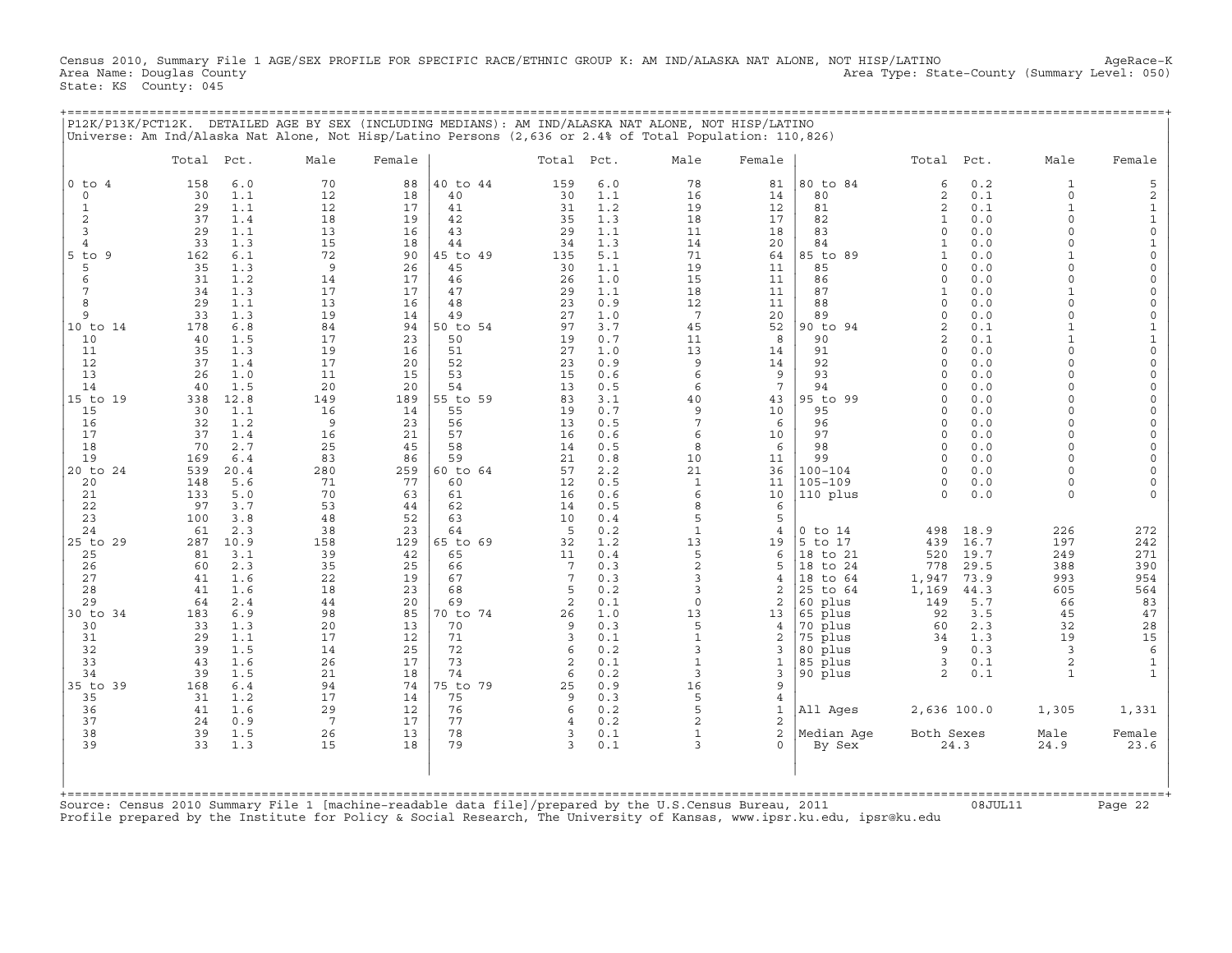Census 2010, Summary File 1 AGE/SEX PROFILE FOR SPECIFIC RACE/ETHNIC GROUP K: AM IND/ALASKA NAT ALONE, NOT HISP/LATINO AgeRace-K<br>Area Name: Douglas County (summary Level: 050) Area Type: State-County (Summary Level: 050 Area Type: State-County (Summary Level: 050) State: KS County: 045

+===================================================================================================================================================+

| P12K/P13K/PCT12K.                                                                                                                                                                                                                                    | Universe: Am Ind/Alaska Nat Alone, Not Hisp/Latino Persons (2,636 or 2.4% of Total Population: 110,826)                                                                                                                                                                                                                                                                            |                                                                                                                                                                      |                                                                                                                                                                        |                                                                                                                                                                                                    |                                                                                                                                                                        |                                                                                                                                                                                                  | DETAILED AGE BY SEX (INCLUDING MEDIANS): AM IND/ALASKA NAT ALONE, NOT HISP/LATINO                                                                                       |                                                                                                                                                                |                                                                                                                                                                                                                   |                                                                                                                                                                                                                                                                                                                                            |                                                                                                                                                                                           |                                                                                                                                                                                                                                                                                                       |                                                                                                                                                                                                                                                                                                                                                            |
|------------------------------------------------------------------------------------------------------------------------------------------------------------------------------------------------------------------------------------------------------|------------------------------------------------------------------------------------------------------------------------------------------------------------------------------------------------------------------------------------------------------------------------------------------------------------------------------------------------------------------------------------|----------------------------------------------------------------------------------------------------------------------------------------------------------------------|------------------------------------------------------------------------------------------------------------------------------------------------------------------------|----------------------------------------------------------------------------------------------------------------------------------------------------------------------------------------------------|------------------------------------------------------------------------------------------------------------------------------------------------------------------------|--------------------------------------------------------------------------------------------------------------------------------------------------------------------------------------------------|-------------------------------------------------------------------------------------------------------------------------------------------------------------------------|----------------------------------------------------------------------------------------------------------------------------------------------------------------|-------------------------------------------------------------------------------------------------------------------------------------------------------------------------------------------------------------------|--------------------------------------------------------------------------------------------------------------------------------------------------------------------------------------------------------------------------------------------------------------------------------------------------------------------------------------------|-------------------------------------------------------------------------------------------------------------------------------------------------------------------------------------------|-------------------------------------------------------------------------------------------------------------------------------------------------------------------------------------------------------------------------------------------------------------------------------------------------------|------------------------------------------------------------------------------------------------------------------------------------------------------------------------------------------------------------------------------------------------------------------------------------------------------------------------------------------------------------|
|                                                                                                                                                                                                                                                      | Total<br>Pct.                                                                                                                                                                                                                                                                                                                                                                      | Male                                                                                                                                                                 | Female                                                                                                                                                                 |                                                                                                                                                                                                    | Total                                                                                                                                                                  | Pct.                                                                                                                                                                                             | Male                                                                                                                                                                    | Female                                                                                                                                                         |                                                                                                                                                                                                                   | Total Pct.                                                                                                                                                                                                                                                                                                                                 |                                                                                                                                                                                           | Male                                                                                                                                                                                                                                                                                                  | Female                                                                                                                                                                                                                                                                                                                                                     |
| $0$ to<br>$\overline{4}$<br>$\circ$<br>$\mathbf{1}$<br>$\mathbf{2}$<br>3<br>$\overline{4}$<br>$5$ to<br>9<br>5<br>6<br>7<br>8<br>9<br>10 to 14<br>10<br>11<br>12<br>13<br>14<br>15 to 19<br>15<br>16<br>17<br>18<br>19<br>20 to 24<br>20<br>21<br>22 | 158<br>6.0<br>1.1<br>30<br>29<br>1.1<br>37<br>1.4<br>1.1<br>29<br>1.3<br>33<br>6.1<br>162<br>35<br>1.3<br>31<br>1.2<br>34<br>1.3<br>29<br>1.1<br>33<br>1.3<br>178<br>6.8<br>1.5<br>40<br>1.3<br>35<br>37<br>1.4<br>26<br>1.0<br>40<br>1.5<br>12.8<br>338<br>1.1<br>30<br>32<br>1.2<br>37<br>1.4<br>70<br>2.7<br>169<br>6.4<br>539<br>20.4<br>148<br>5.6<br>133<br>5.0<br>97<br>3.7 | 70<br>12<br>12<br>18<br>13<br>15<br>72<br>9<br>14<br>17<br>13<br>19<br>84<br>17<br>19<br>17<br>11<br>20<br>149<br>16<br>9<br>16<br>25<br>83<br>280<br>71<br>70<br>53 | 88<br>18<br>17<br>19<br>16<br>18<br>90<br>26<br>17<br>17<br>16<br>14<br>94<br>23<br>16<br>20<br>15<br>20<br>189<br>14<br>23<br>21<br>45<br>86<br>259<br>77<br>63<br>44 | 40 to 44<br>40<br>41<br>42<br>43<br>44<br>45 to 49<br>45<br>46<br>47<br>48<br>49<br>50 to 54<br>50<br>51<br>52<br>53<br>54<br>55 to 59<br>55<br>56<br>57<br>58<br>59<br>60 to 64<br>60<br>61<br>62 | 159<br>30<br>31<br>35<br>29<br>34<br>135<br>30<br>26<br>29<br>23<br>27<br>97<br>19<br>27<br>23<br>15<br>13<br>83<br>19<br>13<br>16<br>14<br>21<br>57<br>12<br>16<br>14 | 6.0<br>1.1<br>1.2<br>1.3<br>1.1<br>1.3<br>5.1<br>1.1<br>1.0<br>1.1<br>0.9<br>1.0<br>3.7<br>0.7<br>1.0<br>0.9<br>0.6<br>0.5<br>3.1<br>0.7<br>0.5<br>0.6<br>0.5<br>0.8<br>2.2<br>0.5<br>0.6<br>0.5 | 78<br>16<br>19<br>18<br>11<br>14<br>71<br>19<br>15<br>18<br>12<br>$7\phantom{.0}$<br>45<br>11<br>13<br>9<br>6<br>6<br>40<br>9<br>7<br>6<br>8<br>10<br>21<br>1<br>6<br>8 | 81<br>14<br>12<br>17<br>18<br>20<br>64<br>11<br>11<br>11<br>11<br>20<br>52<br>8<br>14<br>14<br>9<br>7<br>43<br>10<br>6<br>10<br>6<br>11<br>36<br>11<br>10<br>6 | 80 to 84<br>80<br>81<br>82<br>83<br>84<br>85 to<br>89<br>85<br>86<br>87<br>88<br>89<br>90 to 94<br>90<br>91<br>92<br>93<br>94<br>95 to 99<br>95<br>96<br>97<br>98<br>99<br>$100 - 104$<br>$105 - 109$<br>110 plus | 6<br>$\sqrt{2}$<br>2<br>$\mathbf{1}$<br>$\Omega$<br>$\mathbf{1}$<br>$\mathbf{1}$<br>$\Omega$<br>$\Omega$<br>$\mathbf{1}$<br>$\Omega$<br>$\Omega$<br>$\mathfrak{D}$<br>$\mathfrak{D}$<br>$\Omega$<br>$\Omega$<br>$\cap$<br>$\Omega$<br>$\Omega$<br>$\Omega$<br>$\cap$<br>$\Omega$<br>$\Omega$<br>$\Omega$<br>$\cap$<br>$\Omega$<br>$\Omega$ | 0.2<br>0.1<br>0.1<br>0.0<br>0.0<br>0.0<br>0.0<br>0.0<br>0.0<br>0.0<br>0.0<br>0.0<br>0.1<br>0.1<br>0.0<br>0.0<br>0.0<br>0.0<br>0.0<br>0.0<br>0.0<br>0.0<br>0.0<br>0.0<br>0.0<br>0.0<br>0.0 | 1<br>$\Omega$<br>$\mathbf{1}$<br>$\Omega$<br>$\Omega$<br>$\Omega$<br>$\mathbf{1}$<br>$\cap$<br>$\Omega$<br>$\Omega$<br>$\Omega$<br>$\mathbf{1}$<br>$\Omega$<br>$\Omega$<br>$\Omega$<br>$\Omega$<br>$\Omega$<br>$\Omega$<br>$\Omega$<br>$\Omega$<br>$\cap$<br>$\cap$<br>$\cap$<br>$\Omega$<br>$\Omega$ | 5<br>$\sqrt{2}$<br>$\mathbf 1$<br>$\mathbf 1$<br>$\mathsf{O}\xspace$<br>$\mathbf{1}$<br>$\Omega$<br>$\circ$<br>$\Omega$<br>$\mathbf 0$<br>$\mathbf 0$<br>$\mathsf{O}\xspace$<br>$\mathbf{1}$<br>$\mathbf{1}$<br>$\mathsf{O}\xspace$<br>$\circ$<br>$\Omega$<br>$\Omega$<br>$\Omega$<br>$\Omega$<br>$\Omega$<br>$\Omega$<br>$\Omega$<br>$\Omega$<br>$\Omega$ |
| 23<br>24<br>25 to 29<br>25<br>26<br>27<br>28<br>29<br>30 to 34<br>30<br>31<br>32<br>33<br>34<br>35 to 39<br>35<br>36<br>37<br>38<br>39                                                                                                               | 100<br>3.8<br>61<br>2.3<br>10.9<br>287<br>3.1<br>81<br>2.3<br>60<br>1.6<br>41<br>41<br>1.6<br>64<br>2.4<br>6.9<br>183<br>33<br>1.3<br>29<br>1.1<br>39<br>1.5<br>43<br>1.6<br>39<br>1.5<br>168<br>6.4<br>1.2<br>31<br>41<br>1.6<br>24<br>0.9<br>39<br>1.5<br>33<br>1.3                                                                                                              | 48<br>38<br>158<br>39<br>35<br>22<br>18<br>44<br>98<br>20<br>17<br>14<br>26<br>21<br>94<br>17<br>29<br>7<br>26<br>15                                                 | 52<br>23<br>129<br>42<br>25<br>19<br>23<br>20<br>85<br>13<br>12<br>25<br>17<br>18<br>74<br>14<br>12<br>17<br>13<br>18                                                  | 63<br>64<br>65 to 69<br>65<br>66<br>67<br>68<br>69<br>70 to 74<br>70<br>71<br>72<br>73<br>74<br>75 to 79<br>75<br>76<br>77<br>78<br>79                                                             | 10<br>5<br>32<br>11<br>7<br>7<br>5<br>$\overline{2}$<br>26<br>9<br>3<br>6<br>2<br>6<br>25<br>9<br>6<br>4<br>3<br>3                                                     | 0.4<br>0.2<br>1.2<br>0.4<br>0.3<br>0.3<br>0.2<br>0.1<br>1.0<br>0.3<br>0.1<br>0.2<br>0.1<br>0.2<br>0.9<br>0.3<br>0.2<br>0.2<br>0.1<br>0.1                                                         | 5<br>$1\,$<br>13<br>5<br>$\overline{c}$<br>3<br>3<br>$\circ$<br>13<br>5<br>$\mathbf{1}$<br>3<br>$\mathbf{1}$<br>3<br>16<br>5<br>5<br>2<br>1<br>$\mathbf{z}$             | 5<br>4<br>19<br>6<br>5<br>4<br>2<br>2<br>13<br>4<br>2<br>3<br>$\mathbf{1}$<br>3<br>9<br>4<br>$\mathbf{1}$<br>2<br>$\overline{2}$<br>$\Omega$                   | $0$ to $14$<br>5<br>to 17<br>18<br>to 21<br>18<br>to 24<br>18<br>to 64<br>25 to 64<br>60 plus<br>65 plus<br>70 plus<br>75 plus<br>80 plus<br>85 plus<br>90 plus<br>All Ages<br>Median Age<br>By Sex               | 498<br>439<br>520<br>778<br>1,947<br>1,169<br>149<br>92<br>60<br>34<br>9<br>3<br>2<br>2,636 100.0<br>Both Sexes<br>24.3                                                                                                                                                                                                                    | 18.9<br>16.7<br>19.7<br>29.5<br>73.9<br>44.3<br>5.7<br>3.5<br>2.3<br>1.3<br>0.3<br>0.1<br>0.1                                                                                             | 226<br>197<br>249<br>388<br>993<br>605<br>66<br>45<br>32<br>19<br>3<br>$\overline{2}$<br>$\mathbf{1}$<br>1,305<br>Male<br>24.9                                                                                                                                                                        | 272<br>242<br>271<br>390<br>954<br>564<br>83<br>47<br>28<br>15<br>$\epsilon$<br>$\mathbf{1}$<br>1,331<br>Female<br>23.6                                                                                                                                                                                                                                    |
|                                                                                                                                                                                                                                                      | Source: Census 2010 Summary File 1 [machine-readable data file]/prepared by the U.S.Census Bureau, 2011<br>Profile prepared by the Institute for Policy & Social Research, The University of Kansas, www.ipsr.ku.edu, ipsr@ku.edu                                                                                                                                                  |                                                                                                                                                                      |                                                                                                                                                                        |                                                                                                                                                                                                    |                                                                                                                                                                        |                                                                                                                                                                                                  |                                                                                                                                                                         |                                                                                                                                                                |                                                                                                                                                                                                                   |                                                                                                                                                                                                                                                                                                                                            | 08JUL11                                                                                                                                                                                   |                                                                                                                                                                                                                                                                                                       | Page 22                                                                                                                                                                                                                                                                                                                                                    |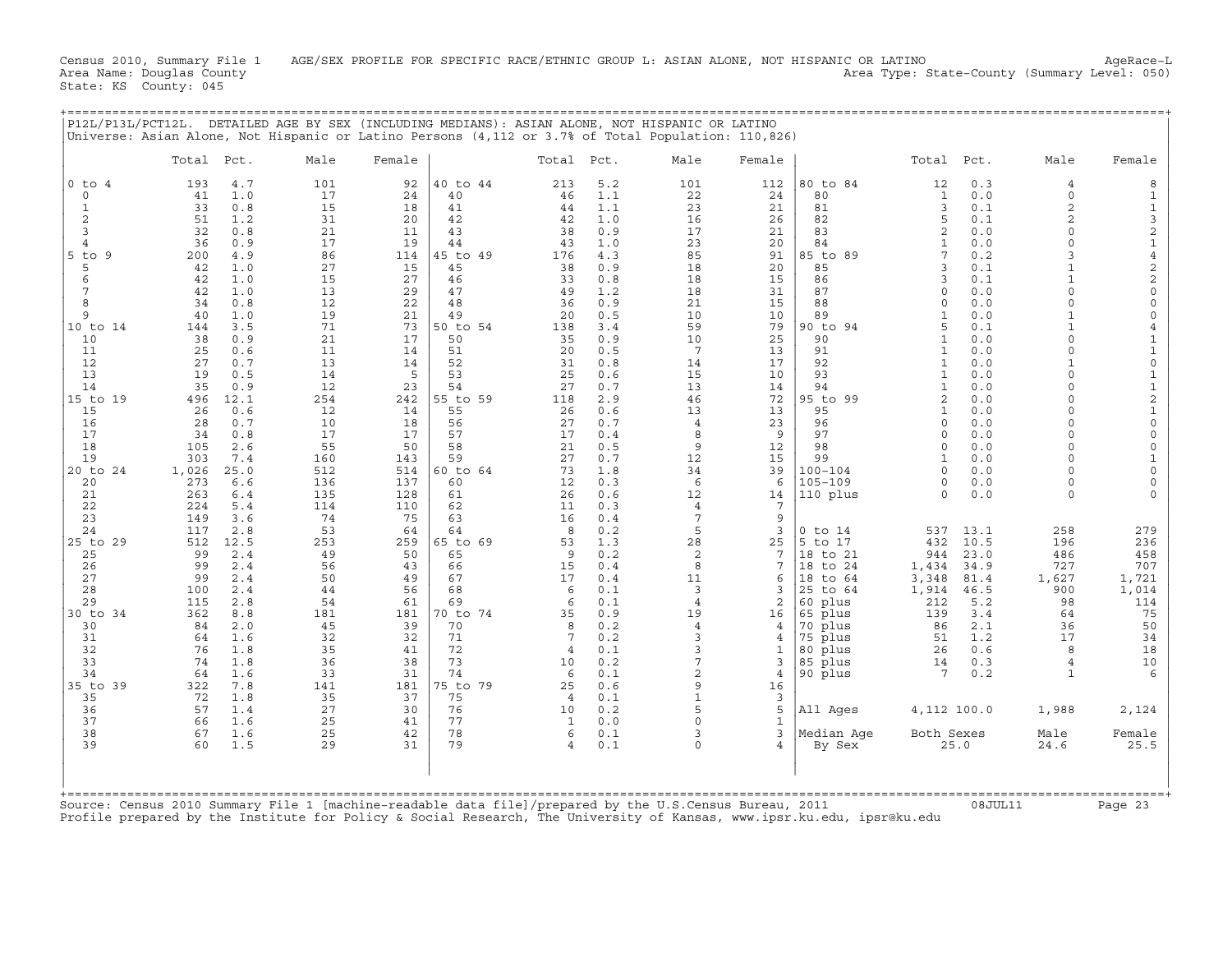Census 2010, Summary File 1 AGE/SEX PROFILE FOR SPECIFIC RACE/ETHNIC GROUP L: ASIAN ALONE, NOT HISPANIC OR LATINO AgeRace-L<br>Area Name: Douglas County (summary Level: 050) Area Type: State-County (Summary Level: 050) Area Type: State-County (Summary Level: 050) State: KS County: 045

+===================================================================================================================================================+

|                          | Total      | Pct.        | Male       | Female     |                | Total                | Pct.       | Male                 | Female            |                     | Total Pct.               |             | Male                       | Female                                  |
|--------------------------|------------|-------------|------------|------------|----------------|----------------------|------------|----------------------|-------------------|---------------------|--------------------------|-------------|----------------------------|-----------------------------------------|
| $0$ to<br>$\overline{4}$ | 193        | 4.7         | 101        | 92         | 40 to 44       | 213                  | 5.2        | 101                  | 112               | 80 to 84            | 12                       | 0.3         | $\overline{4}$             | 8                                       |
| $\mathbf 0$              | 41         | 1.0         | 17         | 24         | 40             | 46                   | 1.1        | 22                   | 24                | 80                  | $\mathbf{1}$             | 0.0         | $\mathbf 0$                | 1                                       |
| $\mathbf{1}$             | 33         | 0.8         | 15         | 18         | 41             | 44                   | 1.1        | 23                   | 21                | 81                  | 3                        | 0.1         | $\overline{a}$             | $\mathbf{1}$                            |
| $\overline{c}$<br>3      | 51<br>32   | 1.2<br>0.8  | 31<br>21   | 20<br>11   | 42<br>43       | 42<br>38             | 1.0<br>0.9 | 16<br>17             | 26<br>21          | 82<br>83            | 5<br>$\overline{c}$      | 0.1<br>0.0  | $\overline{2}$<br>$\Omega$ | $\ensuremath{\mathsf{3}}$<br>$\sqrt{2}$ |
| $\overline{4}$           | 36         | 0.9         | 17         | 19         | 44             | 43                   | 1.0        | 23                   | 20                | 84                  | 1                        | 0.0         | $\Omega$                   | $\mathbf{1}$                            |
| $5$ to<br>9              | 200        | 4.9         | 86         | 114        | 45 to 49       | 176                  | 4.3        | 85                   | 91                | 85 to<br>89         | 7                        | 0.2         | 3                          | $\,4$                                   |
| 5                        | 42         | 1.0         | 27         | 15         | 45             | 38                   | 0.9        | 18                   | 20                | 85                  | 3                        | 0.1         | $\mathbf{1}$               | $\mathbf 2$                             |
| 6                        | 42         | 1.0         | 15         | 27         | 46             | 33                   | 0.8        | 18                   | 15                | 86                  | 3                        | 0.1         |                            | $\sqrt{2}$                              |
| 7                        | 42         | 1.0         | 13         | 29         | 47             | 49                   | 1.2        | 18                   | 31                | 87                  | $\circ$                  | 0.0         | $\Omega$                   | $\mathbf 0$                             |
| 8<br>9                   | 34         | 0.8         | 12         | 22         | 48             | 36                   | 0.9        | 21                   | 15                | 88                  | $\Omega$<br>$\mathbf{1}$ | 0.0         | $\Omega$<br>$\mathbf{1}$   | $\mathbf 0$                             |
| 10 to 14                 | 40<br>144  | 1.0<br>3.5  | 19<br>71   | 21<br>73   | 49<br>50 to 54 | 20<br>138            | 0.5<br>3.4 | 10<br>59             | 10<br>79          | 89<br>90 to<br>94   | 5                        | 0.0<br>0.1  | $\mathbf{1}$               | $\mathsf O$<br>$\overline{4}$           |
| 10                       | 38         | 0.9         | 21         | 17         | 50             | 35                   | 0.9        | 10                   | 25                | 90                  | $\mathbf{1}$             | $0.0$       | $\Omega$                   | $\mathbf{1}$                            |
| 11                       | 25         | 0.6         | 11         | 14         | 51             | 20                   | 0.5        | $7\phantom{.0}$      | 13                | 91                  | 1                        | 0.0         | $\Omega$                   | $\mathbf 1$                             |
| 12                       | 27         | 0.7         | 13         | 14         | 52             | 31                   | 0.8        | 14                   | 17                | 92                  | 1                        | 0.0         | $\mathbf{1}$               | $\mathsf{O}\xspace$                     |
| 13                       | 19         | 0.5         | 14         | 5          | 53             | 25                   | 0.6        | 15                   | 10                | 93                  | $\mathbf{1}$             | 0.0         | $\Omega$                   | $\mathbf{1}$                            |
| 14                       | 35         | 0.9         | 12         | 23         | 54             | 27                   | 0.7        | 13                   | 14                | 94                  | $\mathbf{1}$             | 0.0         | $\Omega$                   | $\mathbf 1$                             |
| 15 to 19<br>15           | 496<br>26  | 12.1<br>0.6 | 254<br>12  | 242<br>14  | 55 to 59<br>55 | 118<br>26            | 2.9<br>0.6 | 46<br>13             | 72<br>13          | 95 to 99<br>95      | 2<br>$\mathbf{1}$        | 0.0<br>0.0  | $\Omega$<br>$\Omega$       | $\sqrt{2}$<br>$\mathbf 1$               |
| 16                       | 28         | 0.7         | 10         | 18         | 56             | 27                   | 0.7        | $\overline{4}$       | 23                | 96                  | $\Omega$                 | 0.0         | $\Omega$                   | $\mathsf{O}\xspace$                     |
| 17                       | 34         | 0.8         | 17         | 17         | 57             | 17                   | 0.4        | 8                    | 9                 | 97                  | $\circ$                  | 0.0         | $\Omega$                   | $\mathsf O$                             |
| 18                       | 105        | 2.6         | 55         | 50         | 58             | 21                   | 0.5        | 9                    | $12 \overline{ }$ | 98                  | $\Omega$                 | 0.0         | $\Omega$                   | $\circ$                                 |
| 19                       | 303        | 7.4         | 160        | 143        | 59             | 27                   | 0.7        | 12                   | 15                | 99                  | $\mathbf{1}$             | 0.0         | $\Omega$                   | $\mathbf{1}$                            |
| 20 to 24                 | 1,026      | 25.0        | 512        | 514        | 60 to 64       | 73                   | 1.8        | 34                   | 39                | $100 - 104$         | $\Omega$                 | 0.0         | $\Omega$                   | $\mathsf{O}\xspace$                     |
| 20                       | 273        | 6.6         | 136        | 137        | 60             | 12                   | 0.3        | 6                    | 6                 | $105 - 109$         | $\cap$                   | 0.0         | $\cap$                     | $\Omega$                                |
| 21<br>22                 | 263<br>224 | 6.4<br>5.4  | 135<br>114 | 128<br>110 | 61<br>62       | 26<br>11             | 0.6<br>0.3 | 12<br>$\overline{4}$ | 14<br>7           | 110 plus            | $\Omega$                 | 0.0         | $\Omega$                   |                                         |
| 23                       | 149        | 3.6         | 74         | 75         | 63             | 16                   | 0.4        | 7                    | 9                 |                     |                          |             |                            |                                         |
| 24                       | 117        | 2.8         | 53         | 64         | 64             | 8                    | 0.2        | 5                    | 3                 | $0$ to $14$         | 537                      | 13.1        | 258                        | 279                                     |
| 25 to 29                 | 512        | 12.5        | 253        | 259        | 65 to 69       | 53                   | 1.3        | 28                   | 25                | 5 to 17             | 432                      | 10.5        | 196                        | 236                                     |
| 25                       | 99         | 2.4         | 49         | 50         | 65             | 9                    | 0.2        | 2                    | 7                 | 18 to 21            | 944                      | 23.0        | 486                        | 458                                     |
| 26                       | 99         | 2.4         | 56         | 43         | 66             | 15                   | 0.4        | 8                    | 7                 | 18 to 24            | 1,434                    | 34.9        | 727                        | 707                                     |
| 27                       | 99         | 2.4         | 50         | 49         | 67             | 17                   | 0.4        | 11                   | 6                 | 18 to 64            | 3,348                    | 81.4        | 1,627                      | 1,721                                   |
| 28<br>29                 | 100<br>115 | 2.4<br>2.8  | 44<br>54   | 56<br>61   | 68<br>69       | 6<br>6               | 0.1<br>0.1 | 3<br>$\overline{4}$  | 3<br>2            | 25 to 64<br>60 plus | 1,914<br>212             | 46.5<br>5.2 | 900<br>98                  | 1,014<br>114                            |
| $30$ to<br>-34           | 362        | 8.8         | 181        | 181        | 70 to 74       | 35                   | 0.9        | 19                   | 16                | 65 plus             | 139                      | 3.4         | 64                         | 75                                      |
| 30                       | 84         | 2.0         | 45         | 39         | 70             | 8                    | 0.2        | $\overline{4}$       | 4                 | 70 plus             | 86                       | 2.1         | 36                         | 50                                      |
| 31                       | 64         | 1.6         | 32         | 32         | 71             | 7                    | 0.2        | 3                    | 4                 | 75 plus             | 51                       | 1.2         | 17                         | 34                                      |
| 32                       | 76         | 1.8         | 35         | 41         | 72             | 4                    | 0.1        | 3                    | 1                 | 80 plus             | 26                       | 0.6         | 8                          | 18                                      |
| 33                       | 74         | 1.8         | 36         | 38         | 73             | 10                   | 0.2        | 7                    | 3                 | 85 plus             | 14                       | 0.3         | $\overline{4}$             | 10                                      |
| 34                       | 64         | 1.6         | 33         | 31         | 74             | 6                    | 0.1        | 2                    | 4                 | 90 plus             | 7                        | 0.2         | $\mathbf{1}$               | 6                                       |
| 35 to 39<br>35           | 322<br>72  | 7.8<br>1.8  | 141<br>35  | 181<br>37  | 75 to 79<br>75 | 25<br>$\overline{4}$ | 0.6<br>0.1 | 9<br>$\mathbf{1}$    | 16<br>3           |                     |                          |             |                            |                                         |
| 36                       | 57         | 1.4         | 27         | 30         | 76             | 10                   | 0.2        | 5                    | 5                 | All Ages            | 4,112 100.0              |             | 1,988                      | 2,124                                   |
| 37                       | 66         | 1.6         | 25         | 41         | 77             | 1                    | 0.0        | $\Omega$             | 1                 |                     |                          |             |                            |                                         |
| 38                       | 67         | 1.6         | 25         | 42         | 78             | 6                    | 0.1        | 3                    | 3                 | Median Age          | Both Sexes               |             | Male                       | Female                                  |
| 39                       | 60         | 1.5         | 29         | 31         | 79             | $\overline{4}$       | 0.1        | $\circ$              | $\overline{4}$    | By Sex              |                          | 25.0        | 24.6                       | 25.5                                    |
|                          |            |             |            |            |                |                      |            |                      |                   |                     |                          |             |                            |                                         |
|                          |            |             |            |            |                |                      |            |                      |                   |                     |                          |             |                            |                                         |

Source: Census 2010 Summary File 1 [machine−readable data file]/prepared by the U.S.Census Bureau, 2011 08JUL11 Page 23 Profile prepared by the Institute for Policy & Social Research, The University of Kansas, www.ipsr.ku.edu, ipsr@ku.edu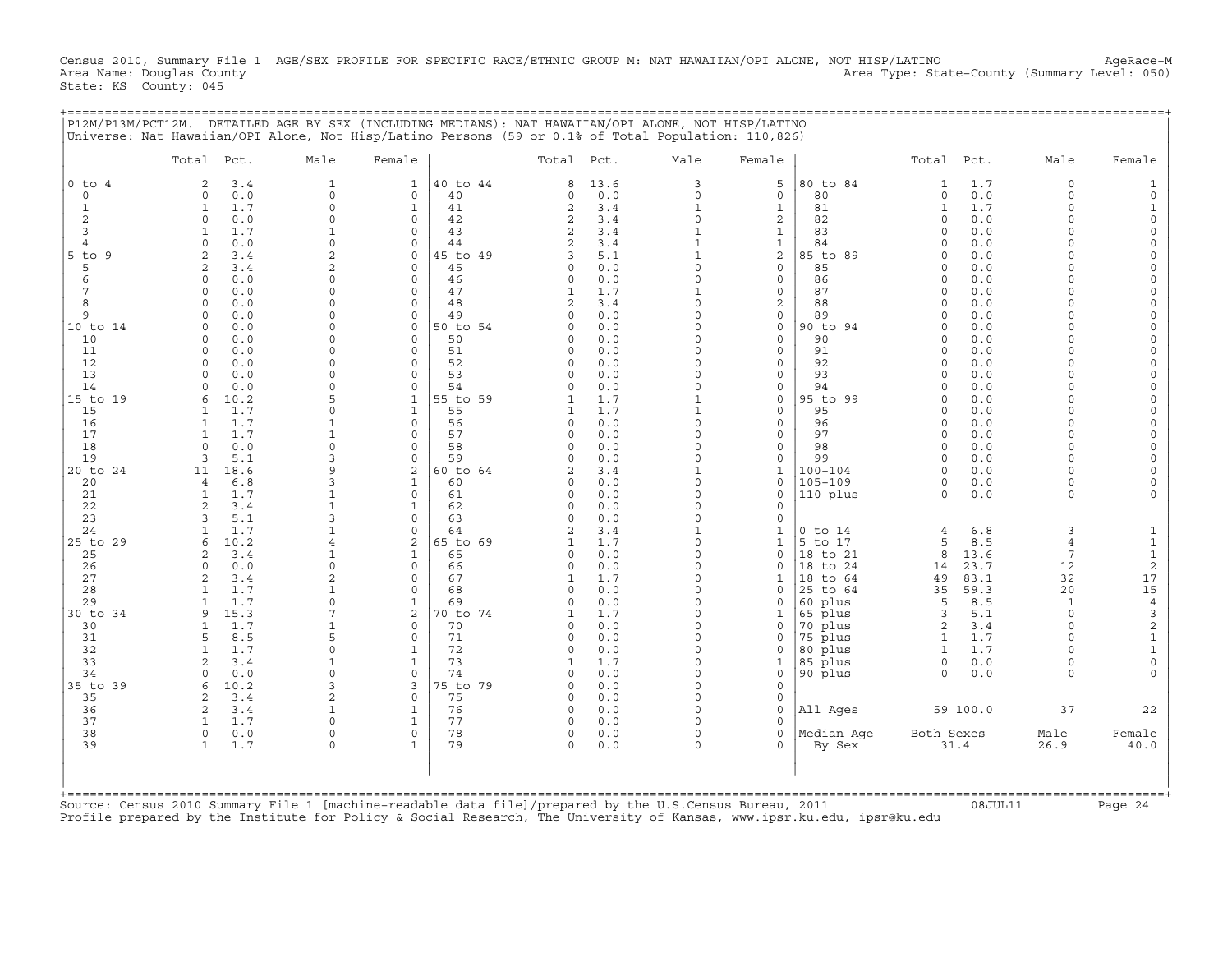Census 2010, Summary File 1 AGE/SEX PROFILE FOR SPECIFIC RACE/ETHNIC GROUP M: NAT HAWAIIAN/OPI ALONE, NOT HISP/LATINO AgeRace-M<br>Area Name: Douglas County (summary Level: 050) Area Name: Douglas County Area Type: State-County (Summary Level: 050) State: KS County: 045

| P12M/P13M/PCT12M. DETAILED AGE BY SEX (INCLUDING MEDIANS): NAT HAWAIIAN/OPI ALONE, NOT HISP/LATINO<br>Universe: Nat Hawaiian/OPI Alone, Not Hisp/Latino Persons (59 or 0.1% of Total Population: 110,826) |   |                                                          |  |   |  |  |
|-----------------------------------------------------------------------------------------------------------------------------------------------------------------------------------------------------------|---|----------------------------------------------------------|--|---|--|--|
|                                                                                                                                                                                                           | . | الحاجب ويدع والمحاجب الحاجب والمنافرة والمنافذة والمتحدث |  | . |  |  |

| $0$ to $4$<br>$\Omega$       |                                    |                                |                      |                | Total Pct.           |            | Male                         | Female                         |                            |                      |              |                | Female                    |
|------------------------------|------------------------------------|--------------------------------|----------------------|----------------|----------------------|------------|------------------------------|--------------------------------|----------------------------|----------------------|--------------|----------------|---------------------------|
|                              | $\overline{a}$<br>3.4              | $\mathbf{1}$                   | $\mathbf{1}$         | 40 to 44       | 8                    | 13.6       | 3                            | 5                              | 80 to 84                   | $\mathbf{1}$         | 1.7          | $\mathbf 0$    | 1                         |
|                              | 0.0<br>$\Omega$                    | $\mathbf{0}$                   | $\Omega$             | 40             | $\Omega$             | 0.0        | $\Omega$                     | $\mathbf 0$                    | 80                         | $\mathbf 0$          | 0.0          | $\Omega$       |                           |
| $\mathbf{1}$                 | 1.7<br>$\mathbf{1}$                | $\Omega$                       | $\mathbf 1$          | 41             | $\overline{c}$       | 3.4        | $1\,$                        | $\mathbf{1}$                   | 81                         | $\mathbf{1}$         | 1.7          | $\Omega$       | 1                         |
| 2                            | 0.0<br>0                           | $\Omega$                       | $\Omega$             | 42             | $\overline{a}$       | 3.4        | $\circ$                      | 2                              | 82                         | $\Omega$             | 0.0          | $\Omega$       | $\circ$                   |
| 3                            | 1.7<br>$\mathbf{1}$                | $\mathbf{1}$                   | $\Omega$             | 43             | $\overline{a}$       | 3.4        | $\mathbf{1}$                 | $\mathbf{1}$                   | 83                         | $\Omega$             | 0.0          |                | $\circ$                   |
| $\overline{4}$<br>$5$ to $9$ | 0.0<br>O<br>$\overline{a}$<br>3.4  | $\Omega$<br>$\overline{a}$     | $\Omega$<br>$\Omega$ | 44<br>45 to 49 | $\overline{a}$<br>ς  | 3.4<br>5.1 | $\mathbf{1}$<br>$\mathbf{1}$ | $\mathbf{1}$<br>$\overline{a}$ | 84<br>85 to 89             | $\Omega$<br>$\Omega$ | 0.0<br>0.0   |                | $\Omega$<br>$\Omega$      |
| 5                            | 3.4<br>$\overline{a}$              | $\overline{2}$                 | $\Omega$             | 45             | $\circ$              | 0.0        | $\circ$                      | $\mathbf 0$                    | 85                         | $\Omega$             | 0.0          |                | $\Omega$                  |
| 6                            | $\Omega$<br>0.0                    | $\Omega$                       | $\Omega$             | 46             | $\circ$              | 0.0        | $\Omega$                     | $\mathbf 0$                    | 86                         | $\Omega$             | 0.0          | $\cap$         | $\Omega$                  |
| 7                            | 0.0<br>$\circ$                     | $\Omega$                       | $\circ$              | 47             | $\mathbf{1}$         | 1.7        | $\mathbf{1}$                 | $\mathsf{O}\xspace$            | 87                         | $\Omega$             | 0.0          | $\cap$         | $\Omega$                  |
| 8                            | 0.0<br>$\Omega$                    | $\Omega$                       | $\Omega$             | 48             | 2                    | 3.4        | $\Omega$                     | 2                              | 88                         | $\Omega$             | 0.0          |                | $\Omega$                  |
| 9                            | 0.0<br>$\Omega$                    | $\Omega$                       | 0                    | 49             | 0                    | 0.0        | $\circ$                      | $\mathsf{O}\xspace$            | 89                         | $\Omega$             | 0.0          |                | $\mathbf 0$               |
| 10 to 14                     | 0.0<br>$\Omega$                    | $\Omega$                       | 0                    | 50 to 54       | $\Omega$             | 0.0        | $\Omega$                     | $\mathsf{O}\xspace$            | 90 to 94                   | $\Omega$             | 0.0          |                | $\Omega$                  |
| 10                           | 0.0<br>$\Omega$                    | $\Omega$                       | $\Omega$             | 50             | $\Omega$             | 0.0        | $\cap$                       | $\Omega$                       | 90                         | $\Omega$             | 0.0          |                |                           |
| 11<br>12                     | $\Omega$<br>0.0<br>$\cap$<br>0.0   | $\Omega$<br>$\Omega$           | $\Omega$<br>$\Omega$ | 51<br>52       | $\Omega$<br>$\Omega$ | 0.0<br>0.0 | $\Omega$<br>$\Omega$         | $\mathbf 0$<br>$\mathbf 0$     | 91<br>92                   | $\Omega$<br>$\Omega$ | 0.0<br>0.0   |                |                           |
| 13                           | 0.0<br>U                           | $\Omega$                       | $\Omega$             | 53             | $\Omega$             | 0.0        | $\Omega$                     | $\circ$                        | 93                         | $\Omega$             | 0.0          |                | $\Omega$                  |
| 14                           | 0.0                                | $\Omega$                       | $\Omega$             | 54             | $\Omega$             | 0.0        | $\Omega$                     | $\mathbf 0$                    | 94                         |                      | 0.0          |                | $\Omega$                  |
| 15 to 19                     | 10.2<br>6                          | 5                              | 1                    | 55 to 59       | 1                    | 1.7        | $\mathbf{1}$                 | $\mathsf{O}\xspace$            | 95 to 99                   | $\Omega$             | 0.0          | $\cap$         | $\Omega$                  |
| 15                           | 1.7                                | $\Omega$                       | 1                    | 55             | 1                    | 1.7        | $\mathbf{1}$                 | $\mathbf 0$                    | 95                         | $\Omega$             | 0.0          | $\cap$         | $\Omega$                  |
| 16                           | 1.7<br>$\mathbf{1}$                | $\mathbf{1}$                   | $\Omega$             | 56             | $\circ$              | 0.0        | $\Omega$                     | $\mathbf 0$                    | 96                         | $\Omega$             | 0.0          | $\Omega$       | $\Omega$                  |
| 17                           | 1.7<br>$\mathbf{1}$                | $\mathbf{1}$                   | $\cap$               | 57             | $\circ$              | 0.0        | $\Omega$                     | $\mathbf 0$                    | 97                         | $\Omega$             | 0.0          | $\cap$         | $\Omega$                  |
| 18                           | 0.0<br>$\Omega$                    | $\Omega$                       | $\Omega$             | 58             | $\Omega$             | 0.0        | $\circ$                      | $\mathbf 0$                    | 98                         | $\Omega$             | 0.0          | $\Omega$       | $\Omega$                  |
| 19                           | 5.1<br>$\mathcal{F}$               | 3<br>9                         | $\Omega$             | 59             | $\Omega$             | 0.0        | $\Omega$                     | $\mathbf 0$                    | 99                         | $\Omega$             | 0.0          | $\cap$         | $\Omega$                  |
| 20 to 24<br>20               | 18.6<br>11<br>6.8<br>4             | 3                              | $\overline{a}$<br>1  | 60 to 64<br>60 | 2<br>0               | 3.4<br>0.0 | $\mathbf{1}$<br>$\Omega$     | $\mathbf{1}$<br>$\mathbf 0$    | $100 - 104$<br>$105 - 109$ | $\Omega$<br>$\Omega$ | 0.0<br>0.0   | $\Omega$       |                           |
| 21                           | 1.7<br>$\mathbf{1}$                | $\mathbf{1}$                   | $\Omega$             | 61             | $\circ$              | 0.0        | $\Omega$                     | $\mathbf 0$                    | 110 plus                   | $\Omega$             | 0.0          | $\Omega$       |                           |
| 22                           | 3.4<br>$\mathfrak{D}$              | $\mathbf{1}$                   | 1                    | 62             | $\Omega$             | 0.0        | $\Omega$                     | $\mathbf 0$                    |                            |                      |              |                |                           |
| 23                           | κ<br>5.1                           | $\mathbf{3}$                   | $\Omega$             | 63             | $\Omega$             | 0.0        | $\cap$                       | $\Omega$                       |                            |                      |              |                |                           |
| 24                           | 1.7<br>$\mathbf{1}$                | $\mathbf{1}$                   | $\Omega$             | 64             | $\mathbf{Z}$         | 3.4        | $\mathbf{1}$                 | $\mathbf{1}$                   | $0$ to $14$                | $\overline{4}$       | 6.8          | 3              | 1                         |
| 25 to 29                     | 10.2<br>6                          | 4                              | $\overline{2}$       | 65 to 69       | $\mathbf{1}$         | 1.7        | $\Omega$                     | $\mathbf{1}$                   | 5 to 17                    | 5                    | 8.5          | $\overline{4}$ | $\mathbf{1}$              |
| 25                           | $\overline{2}$<br>3.4              | $\mathbf{1}$                   | $\mathbf{1}$         | 65             | $\circ$              | 0.0        | $\Omega$                     | $\mathbf 0$                    | 18 to 21                   | 8                    | 13.6         | 7              | $\mathbf 1$               |
| 26                           | $\Omega$<br>0.0                    | $\Omega$                       | $\Omega$             | 66             | 0                    | 0.0        | $\Omega$                     | $\mathbf 0$                    | 18 to 24                   | 14                   | 23.7         | 12             | $\sqrt{2}$                |
| 27<br>28                     | 2<br>3.4<br>1.7                    | $\overline{2}$<br>$\mathbf{1}$ | 0<br>$\Omega$        | 67<br>68       | 1<br>$\circ$         | 1.7<br>0.0 | $\circ$<br>$\Omega$          | $\mathbf{1}$<br>$\mathbf 0$    | 18 to 64<br>25 to 64       | 49<br>35             | 83.1<br>59.3 | 32<br>20       | 17<br>15                  |
| 29                           | 1.7                                | $\Omega$                       | $\mathbf 1$          | 69             | $\Omega$             | 0.0        | $\Omega$                     | $\mathbf 0$                    | 60 plus                    | 5                    | 8.5          | $\mathbf{1}$   | $\ensuremath{4}$          |
| 30 to 34                     | 15.3<br>9                          | 7                              | $\overline{2}$       | 70 to 74       | 1                    | 1.7        | $\Omega$                     | $\mathbf{1}$                   | 65 plus                    | 3                    | 5.1          | $\Omega$       | $\ensuremath{\mathsf{3}}$ |
| 30                           | 1.7<br>$\mathbf{1}$                | $\mathbf{1}$                   | $\Omega$             | 70             | $\Omega$             | 0.0        | $\Omega$                     | $\mathbf 0$                    | 70 plus                    | $\overline{2}$       | 3.4          | $\Omega$       | $\mathbf 2$               |
| 31                           | 8.5<br>5                           | 5                              | $\Omega$             | 71             | $\Omega$             | 0.0        | $\cap$                       | $\Omega$                       | 75 plus                    | $\mathbf{1}$         | 1.7          |                | $\mathbf 1$               |
| 32                           | 1.7<br>$\mathbf{1}$                | $\Omega$                       | $\mathbf 1$          | 72             | $\Omega$             | 0.0        | $\Omega$                     | $\Omega$                       | 80 plus                    | $\mathbf{1}$         | 1.7          | $\cap$         | $\mathbf 1$               |
| 33                           | $\mathfrak{D}$<br>3.4              | $\mathbf{1}$                   | $\mathbf{1}$         | 73             | $\mathbf{1}$         | 1.7        | $\Omega$                     | $\mathbf{1}$                   | 85 plus                    | 0                    | $0.0$        | $\Omega$       | $\mathbf 0$               |
| 34                           | 0.0<br>$\cap$                      | $\Omega$                       | $\Omega$             | 74             | $\Omega$             | 0.0        | $\Omega$                     | $\mathbf 0$                    | 90 plus                    | $\Omega$             | 0.0          | $\Omega$       |                           |
| 35 to 39<br>35               | 10.2<br>6<br>$\overline{a}$<br>3.4 | 3<br>$\overline{a}$            | 3<br>$\Omega$        | 75 to 79<br>75 | 0<br>$\Omega$        | 0.0<br>0.0 | $\Omega$<br>$\cap$           | $\mathbf 0$<br>$\mathbf 0$     |                            |                      |              |                |                           |
| 36                           | $\overline{a}$<br>3.4              | $\mathbf 1$                    | $\mathbf{1}$         | 76             | $\circ$              | 0.0        | $\Omega$                     | $\mathbf 0$                    | All Ages                   |                      | 59 100.0     | 37             | 22                        |
| 37                           | 1.7<br>$\mathbf{1}$                | $\Omega$                       | $\mathbf{1}$         | 77             | $\Omega$             | 0.0        | $\cap$                       | $\Omega$                       |                            |                      |              |                |                           |
| 38                           | $\circ$<br>0.0                     | 0                              | 0                    | 78             | $\circ$              | 0.0        | $\Omega$                     | $\mathbf 0$                    | Median Aqe                 | Both Sexes           |              | Male           | Female                    |
| 39                           | 1<br>1.7                           | $\Omega$                       | $\mathbf{1}$         | 79             | $\Omega$             | 0.0        | $\Omega$                     | $\Omega$                       | By Sex                     | 31.4                 |              | 26.9           | 40.0                      |
|                              |                                    |                                |                      |                |                      |            |                              |                                |                            |                      |              |                |                           |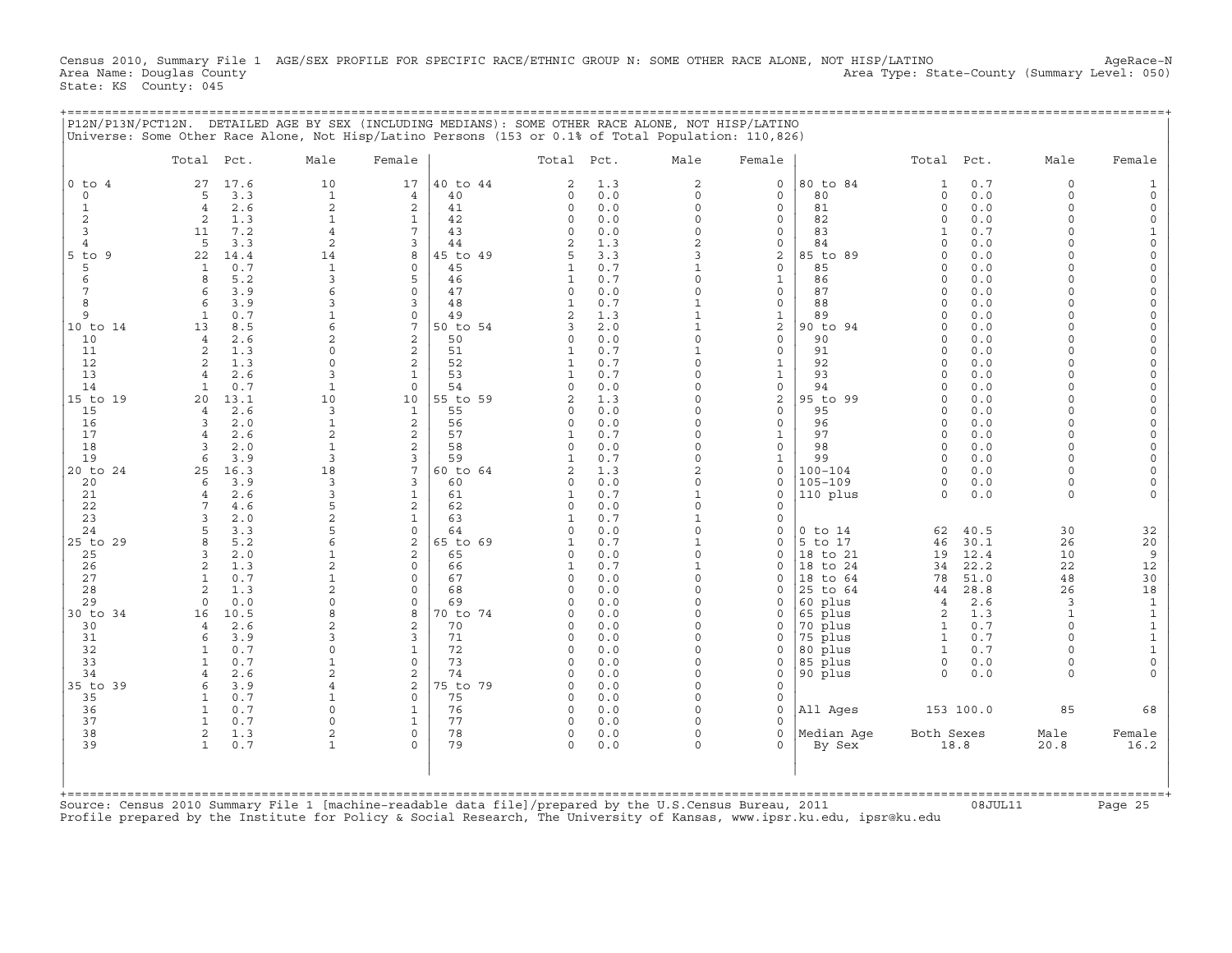Census 2010, Summary File 1 AGE/SEX PROFILE FOR SPECIFIC RACE/ETHNIC GROUP N: SOME OTHER RACE ALONE, NOT HISP/LATINO AgeRace-N<br>Area Name: Douglas County (summary Level: 050) Area Type: State-County (Summary Level: 050) Area Type: State-County (Summary Level: 050) State: KS County: 045

+===================================================================================================================================================+

|                | Total Pct.                          | Male                           | Female                          |                | Total Pct.                 |            | Male                         | Female                       |                      | Total Pct.           |              | Male               | Female               |
|----------------|-------------------------------------|--------------------------------|---------------------------------|----------------|----------------------------|------------|------------------------------|------------------------------|----------------------|----------------------|--------------|--------------------|----------------------|
| $0$ to $4$     | 27<br>17.6                          | 10                             | 17                              | 40 to 44       | 2                          | 1.3        | $\overline{2}$               | $\mathbf 0$                  | 80 to 84             | $\mathbf{1}$         | 0.7          | $\Omega$           |                      |
| $\Omega$       | 3.3<br>5                            | $\mathbf{1}$                   | $\overline{4}$                  | 40             | 0                          | 0.0        | $\Omega$                     | $\mathbf 0$                  | 80                   | $\circ$              | 0.0          | $\Omega$           |                      |
| $\mathbf{1}$   | 2.6<br>$\overline{4}$               | $\overline{2}$                 | 2                               | 41             | $\circ$                    | 0.0        | $\circ$                      | $\mathbf 0$                  | 81                   | $\Omega$             | 0.0          | $\Omega$           |                      |
| 2<br>3         | 2<br>1.3<br>7.2<br>11               | $\mathbf{1}$<br>$\overline{4}$ | $\mathbf{1}$<br>$7\phantom{.0}$ | 42<br>43       | 0<br>0                     | 0.0<br>0.0 | O<br>$\circ$                 | 0<br>$\mathbf 0$             | 82<br>83             | $\Omega$<br>1        | 0.0<br>0.7   | $\Omega$<br>$\cap$ | $\Omega$<br>1        |
| 4              | 5<br>3.3                            | 2                              | 3                               | 44             | $\overline{a}$             | 1.3        | $\overline{c}$               | 0                            | 84                   | $\Omega$             | 0.0          |                    | $\Omega$             |
| $5$ to<br>-9   | 22<br>14.4                          | 14                             | 8                               | 45 to 49       | 5                          | 3.3        | 3                            | 2                            | 85 to 89             | $\Omega$             | 0.0          |                    | $\Omega$             |
| 5              | 0.7<br>$\mathbf{1}$                 | $\mathbf{1}$                   | $\mathbf 0$                     | 45             | $\mathbf{1}$               | 0.7        | $\mathbf{1}$                 | $\mathbf 0$                  | 85                   | $\Omega$             | 0.0          | $\cap$             |                      |
| 6              | 5.2<br>$\mathsf{R}$                 | 3                              | 5                               | 46             | $\mathbf{1}$               | 0.7        | O                            | $\mathbf{1}$                 | 86                   | $\Omega$             | 0.0          |                    | $\Omega$             |
|                | 3.9<br>6                            | 6                              | $\Omega$                        | 47             | 0                          | 0.0        | $\Omega$                     | $\circ$                      | 87                   | $\Omega$             | 0.0          | $\cap$             |                      |
| 8              | 3.9<br>6                            | 3                              | 3                               | 48             | 1                          | 0.7        | 1                            | 0                            | 88                   | $\Omega$<br>$\Omega$ | 0.0          | $\cap$<br>$\cap$   |                      |
| 9<br>10 to 14  | 0.7<br>$\mathbf{1}$<br>13<br>8.5    | 6                              | $\mathbf 0$<br>7                | 49<br>50 to 54 | 2<br>3                     | 1.3<br>2.0 | $\mathbf{1}$<br>$\mathbf{1}$ | $\mathbf{1}$<br>$\mathbf{2}$ | 89<br>90 to 94       | $\Omega$             | 0.0<br>0.0   | $\Omega$           | $\Omega$             |
| 10             | 2.6<br>$\overline{4}$               | $\overline{a}$                 | 2                               | 50             | $\Omega$                   | 0.0        | $\Omega$                     | $\mathbf 0$                  | 90                   | $\Omega$             | 0.0          |                    |                      |
| 11             | 1.3<br>$\overline{a}$               | $\Omega$                       | 2                               | 51             | 1                          | 0.7        |                              | $\circ$                      | 91                   | $\Omega$             | 0.0          |                    |                      |
| 12             | 1.3<br>2                            | $\cap$                         | 2                               | 52             | $\mathbf{1}$               | 0.7        | $\Omega$                     | $\mathbf{1}$                 | 92                   | $\Omega$             | 0.0          |                    |                      |
| 13             | 2.6                                 | 3                              | $\mathbf{1}$                    | 53             | $\mathbf{1}$               | 0.7        | $\cap$                       | $\mathtt 1$                  | 93                   | $\Omega$             | 0.0          |                    | $\Omega$             |
| 14             | 0.7<br>$\mathbf{1}$                 | $\mathbf{1}$                   | $\Omega$                        | 54             | $\Omega$                   | 0.0        | O                            | $\mathbf{0}$                 | 94                   | $\Omega$             | 0.0          |                    |                      |
| 15 to 19<br>15 | 20<br>13.1<br>2.6<br>$\overline{4}$ | 10<br>3                        | 10<br>$\mathbf{1}$              | 55 to 59<br>55 | $\overline{a}$<br>$\Omega$ | 1.3<br>0.0 | 0<br>O                       | 2<br>0                       | 95 to 99<br>95       | $\Omega$<br>$\Omega$ | 0.0<br>0.0   | $\cap$<br>$\cap$   | $\Omega$<br>$\Omega$ |
| 16             | 2.0<br>3                            | $\mathbf{1}$                   | 2                               | 56             | $\circ$                    | 0.0        | O                            | $\circ$                      | 96                   | $\Omega$             | 0.0          | $\Omega$           |                      |
| 17             | 2.6                                 | $\overline{a}$                 | $\mathbf{2}$                    | 57             | $\mathbf{1}$               | 0.7        | O                            | $\mathbf{1}$                 | 97                   | $\Omega$             | 0.0          | $\cap$             |                      |
| 18             | 2.0<br>$\mathbf{z}$                 | $\mathbf{1}$                   | 2                               | 58             | $\circ$                    | 0.0        | $\Omega$                     | $\circ$                      | 98                   | $\Omega$             | 0.0          | $\Omega$           |                      |
| 19             | 3.9<br>6                            | $\mathcal{R}$                  | 3                               | 59             | $\mathbf{1}$               | 0.7        | $\Omega$                     | $\mathbf{1}$                 | 99                   | $\Omega$             | 0.0          | $\cap$             | $\Omega$             |
| 20 to 24       | 16.3<br>25                          | 18                             | 7                               | 60 to 64       | $\overline{2}$             | 1.3        | $\overline{2}$               | $\mathbf 0$                  | $100 - 104$          | $\Omega$             | 0.0          | $\Omega$           |                      |
| 20             | 3.9<br>6                            | 3                              | 3                               | 60             | 0                          | 0.0        | $\circ$                      | $\mathbf 0$                  | $105 - 109$          | 0                    | 0.0          | $\Omega$           |                      |
| 21<br>22       | 2.6<br>$\overline{4}$<br>4.6        | 3<br>5                         | $\mathbf{1}$<br>$\mathbf{2}$    | 61<br>62       | $\mathbf{1}$<br>$\circ$    | 0.7<br>0.0 | $\mathbf{1}$<br>0            | $\mathbf 0$<br>$\mathbf 0$   | 110 plus             | $\Omega$             | 0.0          | $\Omega$           |                      |
| 23             | 2.0<br>$\mathbf{z}$                 | $\overline{a}$                 | $\mathbf{1}$                    | 63             | $\mathbf{1}$               | 0.7        | $\mathbf{1}$                 | $\mathbf 0$                  |                      |                      |              |                    |                      |
| 24             | 3.3                                 | 5                              | $\circ$                         | 64             | $\Omega$                   | 0.0        | $\circ$                      | 0                            | $0$ to $14$          | 62                   | 40.5         | 30                 | 32                   |
| 25 to 29       | 5.2<br>$\mathsf{R}$                 | 6                              | 2                               | 65 to 69       | $\mathbf{1}$               | 0.7        | $\mathbf{1}$                 | $\mathbf 0$                  | 5 to 17              | 46                   | 30.1         | 26                 | 20                   |
| 25             | 2.0<br>3                            |                                | $\overline{2}$                  | 65             | $\Omega$                   | 0.0        | $\Omega$                     | $\mathbf 0$                  | 18 to 21             | 19                   | 12.4         | 10                 | $\overline{9}$       |
| 26             | 1.3<br>$\mathfrak{D}$               | $\overline{a}$                 | $\mathbf 0$                     | 66             | 1                          | 0.7        | 1                            | $\mathbf 0$                  | 18 to 24             | 34                   | 22.2         | 22                 | 12                   |
| 27<br>28       | 0.7<br>1<br>1.3<br>$\overline{a}$   | 1<br>$\overline{a}$            | $\mathbf 0$<br>$\mathbf 0$      | 67<br>68       | 0<br>$\Omega$              | 0.0<br>0.0 | $\circ$<br>O                 | 0<br>0                       | 18 to 64<br>25 to 64 | 78<br>44             | 51.0<br>28.8 | 48<br>26           | 30<br>18             |
| 29             | 0.0<br>$\Omega$                     | $\Omega$                       | $\mathbf 0$                     | 69             | $\Omega$                   | 0.0        | O                            | $\mathbf 0$                  | 60 plus              | $\overline{4}$       | 2.6          | 3                  | $\mathbf 1$          |
| 30 to 34       | 10.5<br>16                          | $\mathsf{R}$                   | 8                               | 70 to 74       | $\Omega$                   | 0.0        | O                            | $\Omega$                     | 65 plus              | 2                    | 1.3          | $\mathbf{1}$       | $\mathbf 1$          |
| 30             | 2.6<br>$\overline{4}$               | 2                              | 2                               | 70             | $\Omega$                   | 0.0        | O                            | $\Omega$                     | 70 plus              | 1                    | 0.7          | $\Omega$           | $\mathbf 1$          |
| 31             | 3.9<br>6                            | 3                              | 3                               | 71             | $\Omega$                   | 0.0        | O                            | $\Omega$                     | 75 plus              | $\mathbf{1}$         | 0.7          |                    | $\mathbf 1$          |
| 32             | 0.7                                 | $\Omega$                       | $\mathbf{1}$                    | 72             | $\Omega$                   | 0.0        | O                            | $\Omega$                     | 80 plus              | $\mathbf{1}$         | 0.7          |                    | $\mathbf{1}$         |
| 33             | 0.7<br>-1                           | -1                             | $\mathbf 0$                     | 73             | $\Omega$                   | 0.0        | $\Omega$<br>O                | 0                            | 85 plus              | 0                    | 0.0          | $\Omega$<br>$\cap$ | $\mathbf 0$          |
| 34<br>35 to 39 | 2.6<br>$\overline{4}$<br>3.9<br>6   | $\overline{2}$<br>4            | 2<br>2                          | 74<br>75 to 79 | $\circ$<br>$\Omega$        | 0.0<br>0.0 | O                            | $\circ$<br>$\circ$           | 90 plus              | $\Omega$             | 0.0          |                    |                      |
| 35             | 0.7<br>1                            |                                | $\Omega$                        | 75             | $\circ$                    | 0.0        | O                            | $\circ$                      |                      |                      |              |                    |                      |
| 36             | $\mathbf{1}$<br>0.7                 | $\cap$                         | $\mathbf{1}$                    | 76             | $\circ$                    | 0.0        | O                            | $\mathbf{0}$                 | All Ages             |                      | 153 100.0    | 85                 | 68                   |
| 37             | 0.7                                 | $\Omega$                       | $\mathbf{1}$                    | 77             | $\Omega$                   | 0.0        | $\cap$                       | $\Omega$                     |                      |                      |              |                    |                      |
| 38             | 1.3<br>2                            | $\overline{2}$                 | $\mathbf 0$                     | 78             | 0                          | 0.0        | 0                            | $\circ$                      | Median Aqe           | Both Sexes           |              | Male               | Female               |
| 39             | 0.7<br>$\mathbf{1}$                 |                                | $\Omega$                        | 79             | $\Omega$                   | 0.0        | O                            | $\Omega$                     | By Sex               |                      | 18.8         | 20.8               | 16.2                 |
|                |                                     |                                |                                 |                |                            |            |                              |                              |                      |                      |              |                    |                      |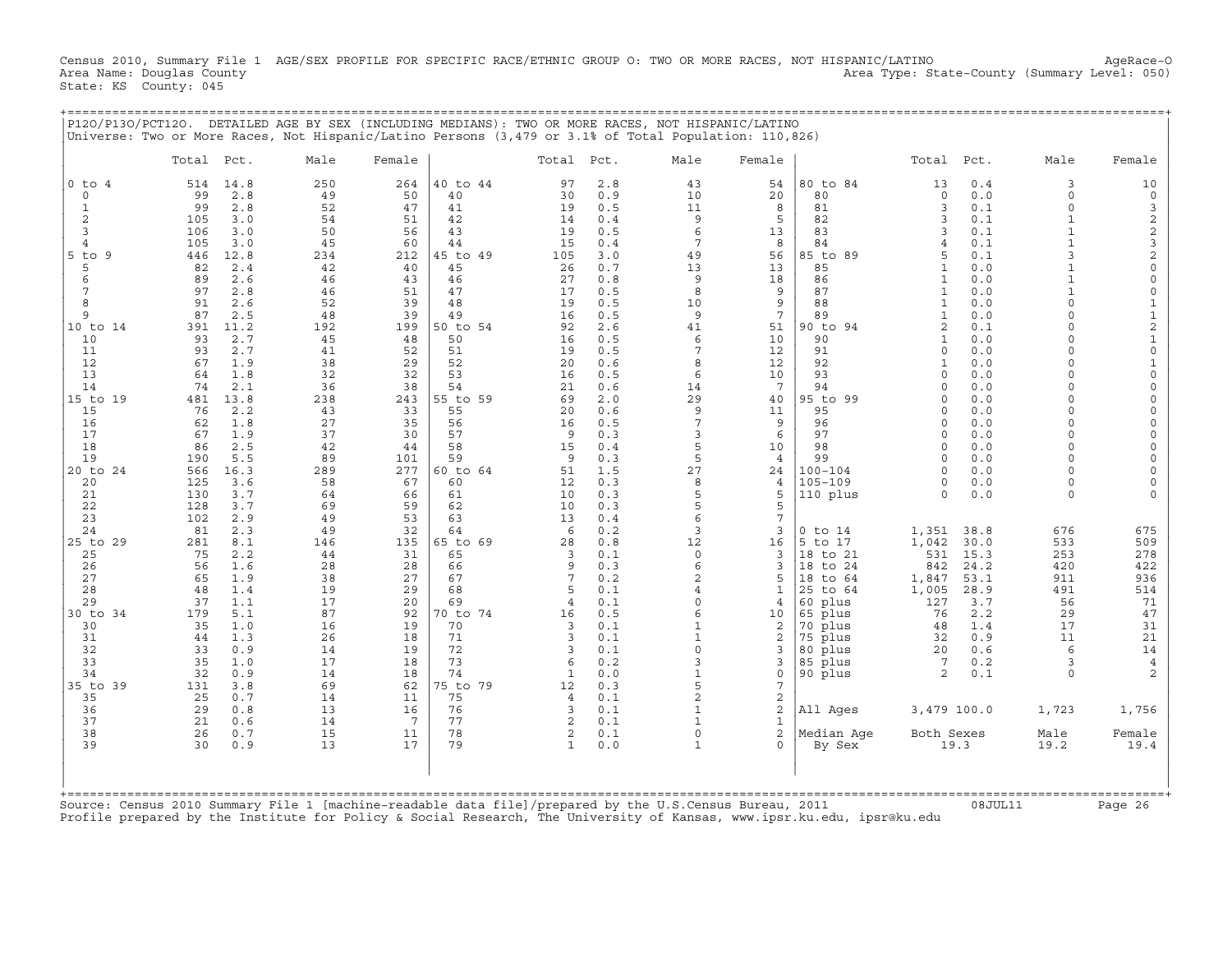Census 2010, Summary File 1 AGE/SEX PROFILE FOR SPECIFIC RACE/ETHNIC GROUP O: TWO OR MORE RACES, NOT HISPANIC/LATINO AgeRace-O<br>Area Name: Douglas County (summary Level: 050) Area Type: State-County (Summary Level: 050) State: KS County: 045

+===================================================================================================================================================+

|                                                                                                                                                                                                                              |                                                                                                                                                                                                                                                                                                                                                                                           |                                                                                                                                                                           | Universe: Two or More Races, Not Hispanic/Latino Persons (3,479 or 3.1% of Total Population: 110,826)                                                                                                                                                                                                                                                                            |                                                                                                                                                                     |                                                                                                                                                                                                  |                                                                                                                                                                                          |                                                                                                                                                         |                                                                                                                                                                                                                |                                                                                                                                                                                                                                                                                                                    |                                                                                                                                                                                             |                                                                                                                                                                                                                                                                                 |                                                                                                                                                                                                                                                                                                                                                              |
|------------------------------------------------------------------------------------------------------------------------------------------------------------------------------------------------------------------------------|-------------------------------------------------------------------------------------------------------------------------------------------------------------------------------------------------------------------------------------------------------------------------------------------------------------------------------------------------------------------------------------------|---------------------------------------------------------------------------------------------------------------------------------------------------------------------------|----------------------------------------------------------------------------------------------------------------------------------------------------------------------------------------------------------------------------------------------------------------------------------------------------------------------------------------------------------------------------------|---------------------------------------------------------------------------------------------------------------------------------------------------------------------|--------------------------------------------------------------------------------------------------------------------------------------------------------------------------------------------------|------------------------------------------------------------------------------------------------------------------------------------------------------------------------------------------|---------------------------------------------------------------------------------------------------------------------------------------------------------|----------------------------------------------------------------------------------------------------------------------------------------------------------------------------------------------------------------|--------------------------------------------------------------------------------------------------------------------------------------------------------------------------------------------------------------------------------------------------------------------------------------------------------------------|---------------------------------------------------------------------------------------------------------------------------------------------------------------------------------------------|---------------------------------------------------------------------------------------------------------------------------------------------------------------------------------------------------------------------------------------------------------------------------------|--------------------------------------------------------------------------------------------------------------------------------------------------------------------------------------------------------------------------------------------------------------------------------------------------------------------------------------------------------------|
|                                                                                                                                                                                                                              | Total Pct.                                                                                                                                                                                                                                                                                                                                                                                | Male                                                                                                                                                                      | Female                                                                                                                                                                                                                                                                                                                                                                           |                                                                                                                                                                     | Total Pct.                                                                                                                                                                                       | Male                                                                                                                                                                                     | Female                                                                                                                                                  |                                                                                                                                                                                                                | Total Pct.                                                                                                                                                                                                                                                                                                         |                                                                                                                                                                                             | Male                                                                                                                                                                                                                                                                            | Female                                                                                                                                                                                                                                                                                                                                                       |
| 0 to<br>$\overline{4}$<br>$\circ$<br>1<br>2<br>3<br>$\overline{4}$<br>$5$ to<br>9<br>5<br>6<br>7<br>8<br>9<br>10 to 14<br>10<br>11<br>12<br>13<br>14<br>15 to 19<br>15<br>16<br>17<br>18<br>19<br>20 to 24<br>20<br>21<br>22 | 514<br>14.8<br>99<br>2.8<br>99<br>2.8<br>3.0<br>105<br>106<br>3.0<br>105<br>3.0<br>446<br>12.8<br>2.4<br>82<br>89<br>2.6<br>97<br>2.8<br>91<br>2.6<br>87<br>2.5<br>11.2<br>391<br>2.7<br>93<br>93<br>2.7<br>67<br>1.9<br>64<br>1.8<br>74<br>2.1<br>481<br>13.8<br>76<br>2.2<br>62<br>1.8<br>67<br>1.9<br>86<br>2.5<br>190<br>5.5<br>16.3<br>566<br>125<br>3.6<br>3.7<br>130<br>128<br>3.7 | 250<br>49<br>52<br>54<br>50<br>45<br>234<br>42<br>46<br>46<br>52<br>48<br>192<br>45<br>41<br>38<br>32<br>36<br>238<br>43<br>27<br>37<br>42<br>89<br>289<br>58<br>64<br>69 | 40 to 44<br>264<br>50<br>40<br>47<br>41<br>51<br>42<br>56<br>43<br>60<br>44<br>45 to 49<br>212<br>40<br>45<br>43<br>46<br>51<br>47<br>39<br>48<br>39<br>49<br>199<br>50 to 54<br>50<br>48<br>52<br>51<br>52<br>29<br>32<br>53<br>38<br>54<br>243<br>55 to 59<br>33<br>55<br>35<br>56<br>30<br>57<br>58<br>44<br>59<br>101<br>277<br>60 to 64<br>67<br>60<br>66<br>61<br>59<br>62 | 97<br>30<br>19<br>14<br>19<br>15<br>105<br>26<br>27<br>17<br>19<br>16<br>92<br>16<br>19<br>20<br>16<br>21<br>69<br>20<br>16<br>9<br>15<br>9<br>51<br>12<br>10<br>10 | 2.8<br>0.9<br>0.5<br>0.4<br>0.5<br>0.4<br>3.0<br>0.7<br>0.8<br>0.5<br>0.5<br>0.5<br>2.6<br>0.5<br>0.5<br>0.6<br>0.5<br>0.6<br>2.0<br>0.6<br>0.5<br>0.3<br>0.4<br>0.3<br>1.5<br>0.3<br>0.3<br>0.3 | 43<br>10<br>11<br>9<br>6<br>7<br>49<br>13<br>9<br>8<br>10<br>9<br>41<br>6<br>7<br>8<br>6<br>14<br>29<br>9<br>7<br>3<br>5<br>5<br>27<br>8<br>5<br>5                                       | 54<br>20<br>8<br>5<br>13<br>8<br>56<br>13<br>18<br>9<br>9<br>7<br>51<br>10<br>12<br>12<br>10<br>7<br>40<br>11<br>9<br>6<br>10<br>4<br>24<br>4<br>5<br>5 | 80 to 84<br>80<br>81<br>82<br>83<br>84<br>85 to 89<br>85<br>86<br>87<br>88<br>89<br>90 to 94<br>90<br>91<br>92<br>93<br>94<br>95 to 99<br>95<br>96<br>97<br>98<br>99<br>$100 - 104$<br>$105 - 109$<br>110 plus | 13<br>$\circ$<br>3<br>3<br>3<br>4<br>5<br>$\mathbf{1}$<br>$\mathbf{1}$<br>$\mathbf{1}$<br>$\mathbf{1}$<br>$\mathbf{1}$<br>$\overline{2}$<br>$\mathbf{1}$<br>$\Omega$<br>$\mathbf{1}$<br>$\Omega$<br>$\cap$<br>$\Omega$<br>$\cap$<br>$\Omega$<br>$\Omega$<br>$\Omega$<br>$\Omega$<br>$\cap$<br>$\Omega$<br>$\Omega$ | 0.4<br>0.0<br>0.1<br>0.1<br>0.1<br>0.1<br>0.1<br>0.0<br>0.0<br>0.0<br>0.0<br>0.0<br>0.1<br>0.0<br>0.0<br>$0.0$<br>0.0<br>0.0<br>0.0<br>0.0<br>0.0<br>0.0<br>0.0<br>0.0<br>0.0<br>0.0<br>0.0 | 3<br>$\Omega$<br>$\Omega$<br>$\mathbf{1}$<br>$\mathbf{1}$<br>$\mathbf{z}$<br>$\Omega$<br>$\Omega$<br>$\Omega$<br>$\Omega$<br>$\Omega$<br>$\Omega$<br>$\cap$<br>$\cap$<br>$\Omega$<br>$\cap$<br>$\Omega$<br>$\Omega$<br>$\Omega$<br>$\Omega$<br>$\Omega$<br>$\Omega$<br>$\Omega$ | 10<br>$\mathsf O$<br>3<br>$\begin{array}{c}\n2 \\ 2 \\ 3 \\ 2\n\end{array}$<br>$\mathsf{O}\xspace$<br>$\mathsf{O}\xspace$<br>$\mathsf{O}\xspace$<br>$1\,$<br>$\mathbf 1$<br>$\sqrt{2}$<br>$\mathbf 1$<br>$\mathsf{O}\xspace$<br>$\mathbf 1$<br>$\mathsf{O}\xspace$<br>$\mathbf 0$<br>$\Omega$<br>$\Omega$<br>$\Omega$<br>$\Omega$<br>$\mathbf 0$<br>$\Omega$ |
| 23<br>24<br>25 to 29<br>25<br>26<br>27<br>28<br>29<br>30 to 34<br>30<br>31<br>32<br>33<br>34<br>35 to 39<br>35<br>36<br>37<br>38<br>39                                                                                       | 102<br>2.9<br>81<br>2.3<br>281<br>8.1<br>75<br>2.2<br>56<br>1.6<br>65<br>1.9<br>48<br>1.4<br>37<br>1.1<br>179<br>5.1<br>35<br>1.0<br>44<br>1.3<br>33<br>0.9<br>35<br>1.0<br>32<br>0.9<br>131<br>3.8<br>25<br>0.7<br>29<br>0.8<br>21<br>0.6<br>26<br>0.7<br>30<br>0.9                                                                                                                      | 49<br>49<br>146<br>44<br>28<br>38<br>19<br>17<br>87<br>16<br>26<br>14<br>17<br>14<br>69<br>14<br>13<br>14<br>15<br>13                                                     | 53<br>63<br>32<br>64<br>135<br>65 to 69<br>31<br>65<br>28<br>66<br>27<br>67<br>29<br>68<br>20<br>69<br>92<br>70 to 74<br>19<br>70<br>18<br>71<br>19<br>72<br>73<br>18<br>18<br>74<br>62<br>75 to 79<br>11<br>75<br>16<br>76<br>77<br>7<br>78<br>11<br>79<br>17                                                                                                                   | 13<br>6<br>28<br>3<br>$\mathsf{Q}$<br>7<br>5<br>4<br>16<br>3<br>3<br>3<br>6<br>1<br>12<br>$\overline{4}$<br>3<br>$\overline{2}$<br>2<br>$\mathbf{1}$                | 0.4<br>0.2<br>0.8<br>0.1<br>0.3<br>0.2<br>0.1<br>0.1<br>0.5<br>0.1<br>0.1<br>0.1<br>0.2<br>0.0<br>0.3<br>0.1<br>0.1<br>0.1<br>0.1<br>0.0                                                         | 6<br>3<br>12<br>$\circ$<br>6<br>$\overline{a}$<br>4<br>$\Omega$<br>6<br>$\mathbf{1}$<br>$\mathbf{1}$<br>$\Omega$<br>3<br>$\mathbf{1}$<br>5<br>$\overline{2}$<br>$\mathbf{1}$<br>$\Omega$ | 7<br>3<br>16<br>3<br>3<br>5<br>$\mathbf{1}$<br>4<br>10<br>2<br>2<br>3<br>3<br>0<br>7<br>2<br>$\overline{a}$<br>1<br>$\overline{a}$<br>$\mathbf{0}$      | $0$ to $14$<br>to 17<br>5<br>18 to 21<br>18<br>to 24<br>18 to 64<br>to 64<br>25<br>60 plus<br>65 plus<br>70 plus<br>75 plus<br>80 plus<br>85 plus<br>90 plus<br>All Ages<br>Median Age<br>By Sex               | 1,351<br>1,042<br>531<br>842<br>1,847<br>1,005<br>127<br>76<br>48<br>32<br>20 <sub>o</sub><br>7<br>2<br>3,479 100.0<br>Both Sexes<br>19.3                                                                                                                                                                          | 38.8<br>30.0<br>15.3<br>24.2<br>53.1<br>28.9<br>3.7<br>2.2<br>1.4<br>0.9<br>0.6<br>0.2<br>0.1                                                                                               | 676<br>533<br>253<br>420<br>911<br>491<br>56<br>29<br>17<br>11<br>$\epsilon$<br>3<br>$\Omega$<br>1,723<br>Male<br>19.2                                                                                                                                                          | 675<br>509<br>278<br>422<br>936<br>514<br>71<br>47<br>31<br>21<br>14<br>$\overline{4}$<br>1,756<br>Female<br>19.4                                                                                                                                                                                                                                            |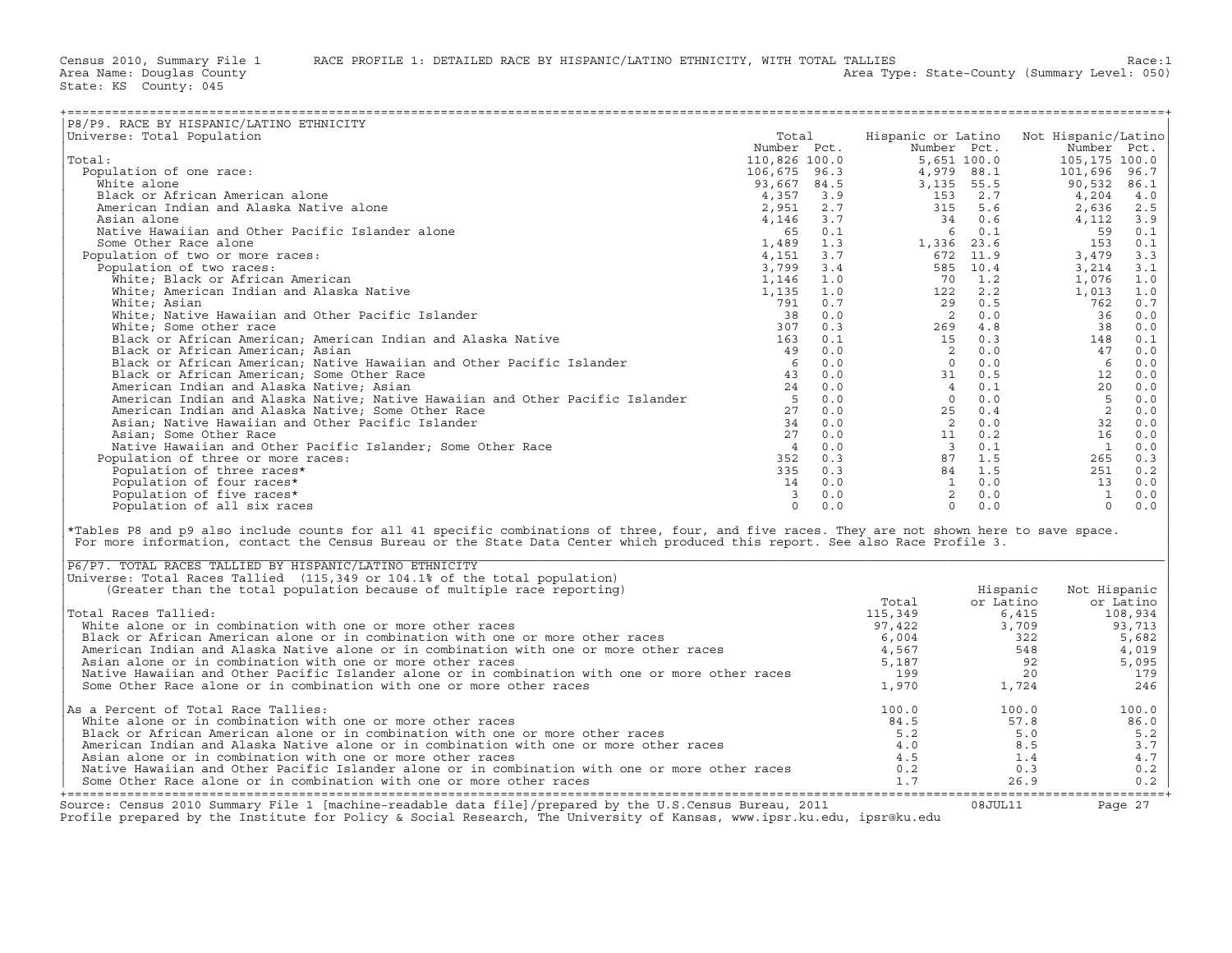| P8/P9. RACE BY HISPANIC/LATINO ETHNICITY                                                                                                                                                                                                                                                                                                  |          |       |                                                                                                             |          |                |           |
|-------------------------------------------------------------------------------------------------------------------------------------------------------------------------------------------------------------------------------------------------------------------------------------------------------------------------------------------|----------|-------|-------------------------------------------------------------------------------------------------------------|----------|----------------|-----------|
| Universe: Total Population                                                                                                                                                                                                                                                                                                                |          | Total | Hispanic or Latino Not Hispanic/Latino                                                                      |          |                |           |
|                                                                                                                                                                                                                                                                                                                                           |          |       |                                                                                                             |          |                |           |
| Total:                                                                                                                                                                                                                                                                                                                                    |          |       |                                                                                                             |          |                |           |
| Population of one race:                                                                                                                                                                                                                                                                                                                   |          |       |                                                                                                             |          |                |           |
|                                                                                                                                                                                                                                                                                                                                           |          |       |                                                                                                             |          |                |           |
| White alone                                                                                                                                                                                                                                                                                                                               |          |       |                                                                                                             |          |                |           |
| Black or African American alone                                                                                                                                                                                                                                                                                                           |          |       |                                                                                                             |          |                |           |
| American Indian and Alaska Native alone                                                                                                                                                                                                                                                                                                   |          |       |                                                                                                             |          |                |           |
| Asian alone                                                                                                                                                                                                                                                                                                                               |          |       |                                                                                                             |          |                |           |
| Native Hawaiian and Other Pacific Islander alone                                                                                                                                                                                                                                                                                          |          |       |                                                                                                             |          |                |           |
| Some Other Race alone                                                                                                                                                                                                                                                                                                                     |          |       |                                                                                                             |          |                |           |
| Population of two or more races:                                                                                                                                                                                                                                                                                                          |          |       |                                                                                                             |          |                |           |
| Population of two races:                                                                                                                                                                                                                                                                                                                  |          |       |                                                                                                             |          |                |           |
|                                                                                                                                                                                                                                                                                                                                           |          |       |                                                                                                             |          |                |           |
|                                                                                                                                                                                                                                                                                                                                           |          |       |                                                                                                             |          |                |           |
|                                                                                                                                                                                                                                                                                                                                           |          |       |                                                                                                             |          |                |           |
|                                                                                                                                                                                                                                                                                                                                           |          |       |                                                                                                             |          |                |           |
|                                                                                                                                                                                                                                                                                                                                           |          |       |                                                                                                             |          |                |           |
|                                                                                                                                                                                                                                                                                                                                           |          |       |                                                                                                             |          |                |           |
|                                                                                                                                                                                                                                                                                                                                           |          |       |                                                                                                             |          |                |           |
|                                                                                                                                                                                                                                                                                                                                           |          |       |                                                                                                             |          |                |           |
|                                                                                                                                                                                                                                                                                                                                           |          |       |                                                                                                             |          |                |           |
|                                                                                                                                                                                                                                                                                                                                           |          |       |                                                                                                             |          |                |           |
|                                                                                                                                                                                                                                                                                                                                           |          |       |                                                                                                             |          |                |           |
|                                                                                                                                                                                                                                                                                                                                           |          |       |                                                                                                             |          |                |           |
|                                                                                                                                                                                                                                                                                                                                           |          |       |                                                                                                             |          |                |           |
|                                                                                                                                                                                                                                                                                                                                           |          |       |                                                                                                             |          |                |           |
|                                                                                                                                                                                                                                                                                                                                           |          |       |                                                                                                             |          |                |           |
|                                                                                                                                                                                                                                                                                                                                           |          |       |                                                                                                             |          |                |           |
| Population of three or more races:                                                                                                                                                                                                                                                                                                        |          |       |                                                                                                             |          |                |           |
|                                                                                                                                                                                                                                                                                                                                           |          |       |                                                                                                             |          |                |           |
|                                                                                                                                                                                                                                                                                                                                           |          |       |                                                                                                             |          |                |           |
|                                                                                                                                                                                                                                                                                                                                           |          |       |                                                                                                             |          |                |           |
|                                                                                                                                                                                                                                                                                                                                           |          |       |                                                                                                             |          |                |           |
| 3. ARCE DY INSPARING CARRIER IN CHAIN CONTENT (1994)<br>The Same Content of Content of Content of Content of Content of Content of Content of Content of Content of Content of Content of Content of Content of Content of Cont<br>Population of all six races                                                                            | $\Omega$ | 0.0   | $\Omega$                                                                                                    | 0.0      | $\overline{0}$ | 0.0       |
| *Tables P8 and p9 also include counts for all 41 specific combinations of three, four, and five races. They are not shown here to save space.<br>For more information, contact the Census Bureau or the State Data Center which produced this report. See also Race Profile 3.<br>P6/P7. TOTAL RACES TALLIED BY HISPANIC/LATINO ETHNICITY |          |       |                                                                                                             |          |                |           |
| Universe: Total Races Tallied (115,349 or 104.1% of the total population)                                                                                                                                                                                                                                                                 |          |       |                                                                                                             |          |                |           |
| (Greater than the total population because of multiple race reporting)                                                                                                                                                                                                                                                                    |          |       |                                                                                                             | Hispanic | Not Hispanic   |           |
|                                                                                                                                                                                                                                                                                                                                           |          |       |                                                                                                             |          |                | or Latino |
|                                                                                                                                                                                                                                                                                                                                           |          |       |                                                                                                             |          |                |           |
| Total Races Tallied:                                                                                                                                                                                                                                                                                                                      |          |       |                                                                                                             |          |                | 108,934   |
| White alone or in combination with one or more other races                                                                                                                                                                                                                                                                                |          |       |                                                                                                             |          |                | 93,713    |
| Black or African American alone or in combination with one or more other races<br>American Indian and Alaska Native alone or in combination with one or more other races<br>Agion alone or in combination with one or more other rac                                                                                                      |          |       |                                                                                                             |          |                | 5,682     |
|                                                                                                                                                                                                                                                                                                                                           |          |       |                                                                                                             |          |                | 4,019     |
| Asian alone or in combination with one or more other races                                                                                                                                                                                                                                                                                |          |       |                                                                                                             |          |                | 5,095     |
| Native Hawaiian and Other Pacific Islander alone or in combination with one or more other races                                                                                                                                                                                                                                           |          |       |                                                                                                             |          |                | 179       |
| Some Other Race alone or in combination with one or more other races                                                                                                                                                                                                                                                                      |          |       | Hispanic<br>115,349<br>97,422<br>6,415<br>97,422<br>6,004<br>7.557<br>5187<br>199<br>7.92<br>1,970<br>1,724 |          |                | 246       |
|                                                                                                                                                                                                                                                                                                                                           |          |       |                                                                                                             |          |                |           |
| As a Percent of Total Race Tallies:                                                                                                                                                                                                                                                                                                       |          |       | 100.0                                                                                                       | 100.0    |                | 100.0     |
| White alone or in combination with one or more other races                                                                                                                                                                                                                                                                                |          |       | 84.5                                                                                                        | 57.8     |                | 86.0      |
| Black or African American alone or in combination with one or more other races                                                                                                                                                                                                                                                            |          |       | 5.2                                                                                                         | 5.0      |                | 5.2       |
| American Indian and Alaska Native alone or in combination with one or more other races                                                                                                                                                                                                                                                    |          |       | 4.0                                                                                                         | 8.5      |                | 3.7       |
| Asian alone or in combination with one or more other races                                                                                                                                                                                                                                                                                |          |       | 4.5                                                                                                         | 1.4      |                | 4.7       |
| Native Hawaiian and Other Pacific Islander alone or in combination with one or more other races                                                                                                                                                                                                                                           |          |       | 0.2                                                                                                         | 0.3      |                | 0.2       |
| Some Other Race alone or in combination with one or more other races                                                                                                                                                                                                                                                                      |          |       | 1.7                                                                                                         | 26.9     |                | 0.2       |

| P6/P7. TOTAL RACES TALLIED BY HISPANIC/LATINO ETHNICITY                                                                                                                                                                           |         |           |              |
|-----------------------------------------------------------------------------------------------------------------------------------------------------------------------------------------------------------------------------------|---------|-----------|--------------|
| Universe: Total Races Tallied (115,349 or 104.1% of the total population)                                                                                                                                                         |         |           |              |
| (Greater than the total population because of multiple race reporting)                                                                                                                                                            |         | Hispanic  | Not Hispanic |
|                                                                                                                                                                                                                                   | Total   | or Latino | or Latino    |
| Total Races Tallied:                                                                                                                                                                                                              | 115,349 | 6,415     | 108,934      |
| White alone or in combination with one or more other races                                                                                                                                                                        | 97,422  | 3,709     | 93,713       |
| Black or African American alone or in combination with one or more other races                                                                                                                                                    | 6,004   | 322       | 5,682        |
| American Indian and Alaska Native alone or in combination with one or more other races                                                                                                                                            | 4,567   | 548       | 4,019        |
| Asian alone or in combination with one or more other races                                                                                                                                                                        | 5,187   | 92        | 5,095        |
| Native Hawaiian and Other Pacific Islander alone or in combination with one or more other races                                                                                                                                   | 199     | 20        | 179          |
| Some Other Race alone or in combination with one or more other races                                                                                                                                                              | 1,970   | 1,724     | 246          |
| As a Percent of Total Race Tallies:                                                                                                                                                                                               | 100.0   | 100.0     | 100.0        |
| White alone or in combination with one or more other races                                                                                                                                                                        | 84.5    | 57.8      | 86.0         |
| Black or African American alone or in combination with one or more other races                                                                                                                                                    | 5.2     | 5.0       | 5.2          |
| American Indian and Alaska Native alone or in combination with one or more other races                                                                                                                                            | 4.0     | 8.5       | 3.7          |
| Asian alone or in combination with one or more other races                                                                                                                                                                        | 4.5     | 1.4       | 4.7          |
| Native Hawaiian and Other Pacific Islander alone or in combination with one or more other races                                                                                                                                   | 0.2     | 0.3       | 0.2          |
| Some Other Race alone or in combination with one or more other races                                                                                                                                                              |         | 26.9      | 0.2          |
| Source: Census 2010 Summary File 1 [machine-readable data file]/prepared by the U.S.Census Bureau, 2011<br>Profile prepared by the Institute for Policy & Social Research, The University of Kansas, www.ipsr.ku.edu, ipsr@ku.edu |         | 08JUL11   | Page 27      |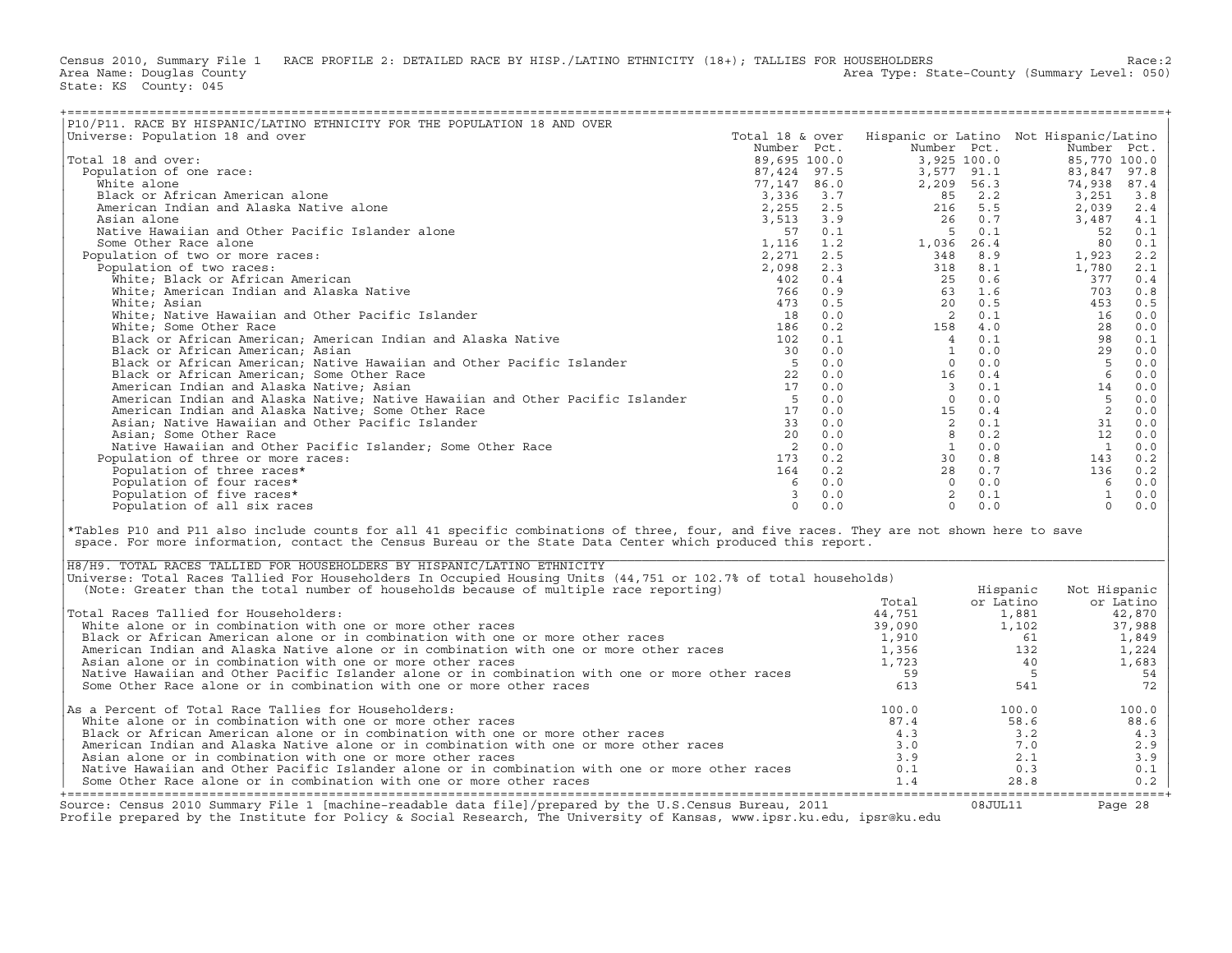Census 2010, Summary File 1 RACE PROFILE 2: DETAILED RACE BY HISP./LATINO ETHNICITY (18+); TALLIES FOR HOUSEHOLDERS<br>Area Name: Douglas County (summary Level: 050) Area Type: State-County (Summary Level: 050) State: KS County: 045

| P10/P11. RACE BY HISPANIC/LATINO ETHNICITY FOR THE POPULATION 18 AND OVER                                                                                                                                                                               |                 |     |                                                                                                                                                                                                                                                                                                                               |                                                                  |              |           |
|---------------------------------------------------------------------------------------------------------------------------------------------------------------------------------------------------------------------------------------------------------|-----------------|-----|-------------------------------------------------------------------------------------------------------------------------------------------------------------------------------------------------------------------------------------------------------------------------------------------------------------------------------|------------------------------------------------------------------|--------------|-----------|
| Universe: Population 18 and over                                                                                                                                                                                                                        | Total 18 & over |     | Hispanic or Latino Not Hispanic/Latino                                                                                                                                                                                                                                                                                        |                                                                  |              |           |
|                                                                                                                                                                                                                                                         | Number Pct.     |     |                                                                                                                                                                                                                                                                                                                               | Number Pct.                                                      | Number Pct.  |           |
| Total 18 and over:                                                                                                                                                                                                                                      |                 |     |                                                                                                                                                                                                                                                                                                                               | Number Pct.<br>3,925 100.0<br>3,577 91.1<br>2,209 56.3<br>85 2.2 |              |           |
| Population of one race:                                                                                                                                                                                                                                 |                 |     |                                                                                                                                                                                                                                                                                                                               |                                                                  |              |           |
| White alone                                                                                                                                                                                                                                             |                 |     |                                                                                                                                                                                                                                                                                                                               |                                                                  |              |           |
| Black or African American alone                                                                                                                                                                                                                         |                 |     |                                                                                                                                                                                                                                                                                                                               |                                                                  |              |           |
|                                                                                                                                                                                                                                                         |                 |     |                                                                                                                                                                                                                                                                                                                               |                                                                  |              |           |
| American Indian and Alaska Native alone                                                                                                                                                                                                                 |                 |     |                                                                                                                                                                                                                                                                                                                               |                                                                  |              |           |
| Asian alone                                                                                                                                                                                                                                             |                 |     |                                                                                                                                                                                                                                                                                                                               |                                                                  |              |           |
| Native Hawaiian and Other Pacific Islander alone                                                                                                                                                                                                        |                 |     |                                                                                                                                                                                                                                                                                                                               |                                                                  |              |           |
| Some Other Race alone                                                                                                                                                                                                                                   |                 |     |                                                                                                                                                                                                                                                                                                                               |                                                                  |              |           |
| Population of two or more races:                                                                                                                                                                                                                        |                 |     |                                                                                                                                                                                                                                                                                                                               |                                                                  |              |           |
| Population of two races:                                                                                                                                                                                                                                |                 |     |                                                                                                                                                                                                                                                                                                                               |                                                                  |              |           |
| White; Black or African American                                                                                                                                                                                                                        |                 |     |                                                                                                                                                                                                                                                                                                                               |                                                                  |              |           |
| White; American Indian and Alaska Native                                                                                                                                                                                                                |                 |     |                                                                                                                                                                                                                                                                                                                               |                                                                  |              |           |
| White; Asian                                                                                                                                                                                                                                            |                 |     |                                                                                                                                                                                                                                                                                                                               |                                                                  |              |           |
| White; Native Hawaiian and Other Pacific Islander                                                                                                                                                                                                       |                 |     |                                                                                                                                                                                                                                                                                                                               |                                                                  |              |           |
| White; Some Other Race                                                                                                                                                                                                                                  |                 |     |                                                                                                                                                                                                                                                                                                                               |                                                                  |              |           |
| Black or African American; American Indian and Alaska Native                                                                                                                                                                                            |                 |     |                                                                                                                                                                                                                                                                                                                               |                                                                  |              |           |
| Black or African American; Asian                                                                                                                                                                                                                        |                 |     |                                                                                                                                                                                                                                                                                                                               |                                                                  |              |           |
| Black or African American; Native Hawaiian and Other Pacific Islander                                                                                                                                                                                   |                 |     |                                                                                                                                                                                                                                                                                                                               |                                                                  |              |           |
|                                                                                                                                                                                                                                                         |                 |     |                                                                                                                                                                                                                                                                                                                               |                                                                  |              |           |
| Black or African American; Some Other Race                                                                                                                                                                                                              |                 |     |                                                                                                                                                                                                                                                                                                                               |                                                                  |              |           |
| American Indian and Alaska Native; Asian<br>American Indian and Alaska Native; Native Hawaiian and Other Pacific Islander 5 0.0<br>17 0.0                                                                                                               |                 |     |                                                                                                                                                                                                                                                                                                                               |                                                                  |              |           |
|                                                                                                                                                                                                                                                         |                 |     |                                                                                                                                                                                                                                                                                                                               |                                                                  |              |           |
|                                                                                                                                                                                                                                                         |                 |     |                                                                                                                                                                                                                                                                                                                               |                                                                  |              |           |
| Asian; Native Hawaiian and Other Pacific Islander                                                                                                                                                                                                       |                 |     |                                                                                                                                                                                                                                                                                                                               |                                                                  |              |           |
| Asian; Some Other Race                                                                                                                                                                                                                                  |                 |     |                                                                                                                                                                                                                                                                                                                               |                                                                  |              |           |
| Native Hawaiian and Other Pacific Islander; Some Other Race                                                                                                                                                                                             |                 |     |                                                                                                                                                                                                                                                                                                                               |                                                                  |              |           |
| Population of three or more races:                                                                                                                                                                                                                      |                 |     |                                                                                                                                                                                                                                                                                                                               |                                                                  |              |           |
| Population of three races*                                                                                                                                                                                                                              |                 |     |                                                                                                                                                                                                                                                                                                                               |                                                                  |              |           |
| Population of four races*                                                                                                                                                                                                                               |                 |     |                                                                                                                                                                                                                                                                                                                               |                                                                  |              |           |
| Population of five races*                                                                                                                                                                                                                               |                 |     |                                                                                                                                                                                                                                                                                                                               |                                                                  |              |           |
| Population of all six races                                                                                                                                                                                                                             |                 | 0.0 | $\circ$                                                                                                                                                                                                                                                                                                                       | 0.0                                                              |              | 0.0       |
|                                                                                                                                                                                                                                                         |                 |     | $\begin{array}{l cccc} \text{Number} & \text{Pct.} & \text{Number} & \text{Pct.} & \text{Note: } \text{Number Pct.} \\ \text{89, 695 100.0} & 3, 925 100.0 & 85, 770 100.0 \\ \text{87, 424 97.5} & 3, 527 91.1 & 83, 847 97.8 \\ \text{77, 147 86.0} & 2, 209 56.3 & 74, 938 87.4 \\ \text{73, 336 3.7} & 3, 577 91.1 & 83,$ |                                                                  |              |           |
| *Tables P10 and P11 also include counts for all 41 specific combinations of three, four, and five races. They are not shown here to save<br>space. For more information, contact the Census Bureau or the State Data Center which produced this report. |                 |     |                                                                                                                                                                                                                                                                                                                               |                                                                  |              |           |
| H8/H9. TOTAL RACES TALLIED FOR HOUSEHOLDERS BY HISPANIC/LATINO ETHNICITY                                                                                                                                                                                |                 |     |                                                                                                                                                                                                                                                                                                                               |                                                                  |              |           |
| Universe: Total Races Tallied For Householders In Occupied Housing Units (44,751 or 102.7% of total households)                                                                                                                                         |                 |     |                                                                                                                                                                                                                                                                                                                               |                                                                  |              |           |
| (Note: Greater than the total number of households because of multiple race reporting)                                                                                                                                                                  |                 |     |                                                                                                                                                                                                                                                                                                                               | Hispanic                                                         | Not Hispanic |           |
|                                                                                                                                                                                                                                                         |                 |     | Total                                                                                                                                                                                                                                                                                                                         | or Latino                                                        |              | or Latino |
| Total Races Tallied for Householders:                                                                                                                                                                                                                   |                 |     |                                                                                                                                                                                                                                                                                                                               | 1,881                                                            |              | 42,870    |
| White alone or in combination with one or more other races                                                                                                                                                                                              |                 |     |                                                                                                                                                                                                                                                                                                                               | 1,102                                                            |              | 37,988    |
| Black or African American alone or in combination with one or more other races<br>American Indian and Alaska Native alone or in combination with one or more other races                                                                                |                 |     |                                                                                                                                                                                                                                                                                                                               | 61                                                               |              | 1,849     |
|                                                                                                                                                                                                                                                         |                 |     |                                                                                                                                                                                                                                                                                                                               |                                                                  | 132          | 1,224     |
| Asian alone or in combination with one or more other races                                                                                                                                                                                              |                 |     |                                                                                                                                                                                                                                                                                                                               |                                                                  | 40           | 1,683     |
| Native Hawaiian and Other Pacific Islander alone or in combination with one or more other races                                                                                                                                                         |                 |     |                                                                                                                                                                                                                                                                                                                               |                                                                  | $5^{\circ}$  | 54        |
| Some Other Race alone or in combination with one or more other races                                                                                                                                                                                    |                 |     | $\begin{array}{ccc}\n 44,751 \\  39,090 \\  1,910 \\  1,356 \\  1,723 \\  59 \\  613\n \end{array}$                                                                                                                                                                                                                           |                                                                  | 541          | 72        |
| As a Percent of Total Race Tallies for Householders:                                                                                                                                                                                                    |                 |     | 100.0                                                                                                                                                                                                                                                                                                                         | 100.0                                                            |              | 100.0     |
| White alone or in combination with one or more other races                                                                                                                                                                                              |                 |     | 87.4                                                                                                                                                                                                                                                                                                                          |                                                                  | 58.6         | 88.6      |
| Black or African American alone or in combination with one or more other races                                                                                                                                                                          |                 |     | 4.3                                                                                                                                                                                                                                                                                                                           |                                                                  | 3.2          |           |
|                                                                                                                                                                                                                                                         |                 |     |                                                                                                                                                                                                                                                                                                                               |                                                                  |              | 4.3       |
| American Indian and Alaska Native alone or in combination with one or more other races                                                                                                                                                                  |                 |     | 3.0                                                                                                                                                                                                                                                                                                                           |                                                                  | 7.0          | 2.9       |
| Asian alone or in combination with one or more other races                                                                                                                                                                                              |                 |     | 3.9                                                                                                                                                                                                                                                                                                                           |                                                                  | 2.1          | 3.9       |
| Native Hawaiian and Other Pacific Islander alone or in combination with one or more other races                                                                                                                                                         |                 |     | 0.1                                                                                                                                                                                                                                                                                                                           |                                                                  | 0.3          | 0.1       |
| Some Other Race alone or in combination with one or more other races                                                                                                                                                                                    |                 |     | 1.4                                                                                                                                                                                                                                                                                                                           | 28.8                                                             |              | 0.2       |

| H8/H9. TOTAL RACES TALLIED FOR HOUSEHOLDERS BY HISPANIC/LATINO ETHNICITY                                               |        |           |              |
|------------------------------------------------------------------------------------------------------------------------|--------|-----------|--------------|
| Universe: Total Races Tallied For Householders In Occupied Housing Units (44,751 or 102.7% of total households)        |        |           |              |
| (Note: Greater than the total number of households because of multiple race reporting)                                 |        | Hispanic  | Not Hispanic |
|                                                                                                                        | Total  | or Latino | or Latino    |
| Total Races Tallied for Householders:                                                                                  | 44,751 | 1,881     | 42,870       |
| White alone or in combination with one or more other races                                                             | 39,090 | 1,102     | 37,988       |
| Black or African American alone or in combination with one or more other races                                         | 1,910  | -61       | 1,849        |
| American Indian and Alaska Native alone or in combination with one or more other races                                 | 1,356  | 132       | 1,224        |
| Asian alone or in combination with one or more other races                                                             | 1,723  | 40        | 1,683        |
| Native Hawaiian and Other Pacific Islander alone or in combination with one or more other races                        | 59     |           | 54           |
| Some Other Race alone or in combination with one or more other races                                                   | 613    | 541       | 72           |
| $\Delta s$ a Percent of Total Race Tallies for Householders:                                                           | 100.0  | 100.0     | 100.0        |
| White alone or in combination with one or more other races                                                             | 87.4   | 58.6      | 88.6         |
| Black or African American alone or in combination with one or more other races                                         | 4.3    | 3.2       | 4.3          |
| American Indian and Alaska Native alone or in combination with one or more other races                                 | 3.0    | 7.0       | 2.9          |
| Asian alone or in combination with one or more other races                                                             | 3.9    | 2.1       | 3.9          |
| Native Hawaiian and Other Pacific Islander alone or in combination with one or more other races                        | 0.1    | 0.3       | 0.1          |
| Some Other Race alone or in combination with one or more other races                                                   | 1.4    | 28.8      | 0.2          |
|                                                                                                                        |        |           |              |
| Source: Census 2010 Summary File 1 [machine-readable data file]/prepared by the U.S.Census Bureau, 2011                |        | 08JUL11   | Page 28      |
| Profile prepared by the Institute for Policy & Social Research, The University of Kansas, www.ipsr.ku.edu, ipsr@ku.edu |        |           |              |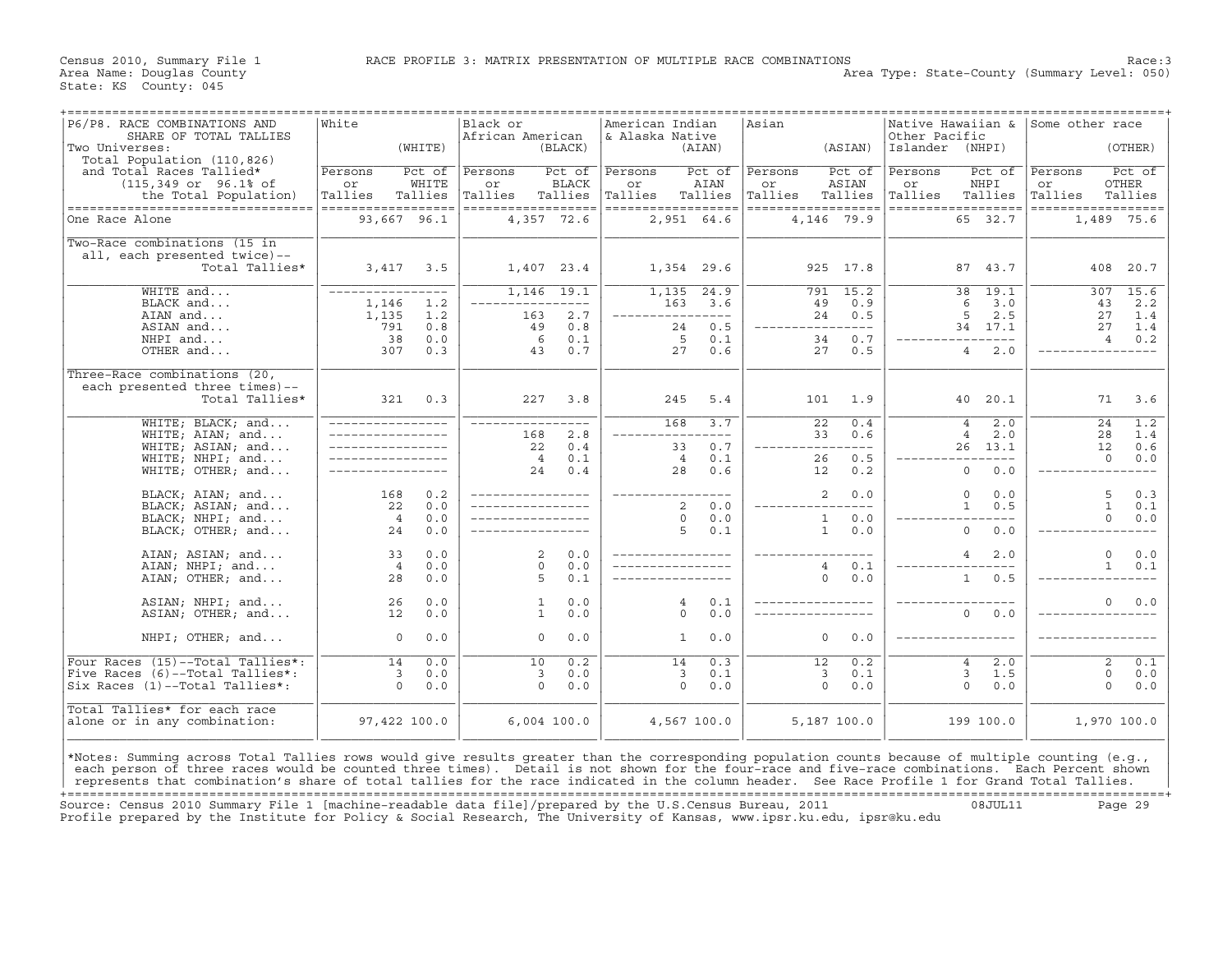Census 2010, Summary File 1 RACE PROFILE 3: MATRIX PRESENTATION OF MULTIPLE RACE COMBINATIONS Race: 3<br>Area Name: Douglas County Level: 050) Area Type: State-County (Summary Level: 050) Area Type: State-County (Summary Level: 050)

| (WHITE)<br>(BLACK)<br>(ASIAN)<br>Islander (NHPI)<br>(OTHER)<br>(AIAN)<br>Total Population (110,826)<br>and Total Races Tallied*<br>Pct of<br>Persons<br>Pct of<br>Persons<br>Pct of<br>Persons<br>Persons<br>Pct of<br>Pct of<br>Persons<br>Pct of<br>Persons<br>$(115, 349 \text{ or } 96.18 \text{ of }$<br>WHITE<br><b>BLACK</b><br>AIAN<br>ASIAN<br>NHPI<br>OTHER<br>or<br>or<br>or<br>or<br>or<br>or<br>Tallies<br>Tallies<br>Tallies<br>Tallies<br>Tallies<br>Tallies<br>Tallies<br>Tallies<br>Tallies<br>Tallies<br>Tallies<br>Tallies<br>the Total Population)<br>------------------<br>------------------<br>----------------------------------<br>==================<br>==================<br>==================<br>==================<br>93,667 96.1<br>4,357 72.6<br>2,951 64.6<br>4,146 79.9<br>65 32.7<br>1,489 75.6<br>Two-Race combinations (15 in<br>all, each presented twice)--<br>Total Tallies*<br>3,417<br>3.5<br>1,407 23.4<br>1,354 29.6<br>925 17.8<br>87 43.7<br>408<br>20.7<br>$1,146$ 19.1<br>15.2<br>19.1<br>307<br>15.6<br>WHITE and<br>1,135<br>24.9<br>791<br>38<br>-----------------<br>6<br>2.2<br>BLACK and<br>1,146<br>1.2<br>163<br>3.6<br>49<br>0.9<br>3.0<br>43<br>$- - - -$<br>2.7<br>5<br>2.5<br>AIAN and<br>1,135<br>1.2<br>0.5<br>27<br>1.4<br>163<br>24<br>$- - - -$<br>-------<br>791<br>0.5<br>ASIAN and<br>0.8<br>49<br>0.8<br>24<br>34 17.1<br>27<br>1.4<br>$---$<br>0.7<br>0.0<br>0.1<br>5<br>0.1<br>34<br>0.2<br>NHPI and<br>38<br>6<br>$\overline{4}$<br>$- - - -$<br>OTHER and<br>307<br>0.3<br>0.7<br>27<br>0.6<br>27<br>0.5<br>$\overline{4}$<br>2.0<br>43<br>Three-Race combinations (20,<br>each presented three times)--<br>Total Tallies*<br>321<br>0.3<br>227<br>3.8<br>5.4<br>20.1<br>245<br>101<br>1.9<br>40<br>71<br>3.6<br>WHITE; BLACK; and<br>168<br>$\overline{22}$<br>0.4<br>2.0<br>1.2<br>3.7<br>$\overline{4}$<br>24<br>2.8<br>WHITE; AIAN; and<br>0.6<br>$\overline{4}$<br>2.0<br>1.4<br>168<br>33<br>28<br>$\frac{1}{2}$<br>WHITE; ASIAN; and<br>22<br>0.4<br>0.7<br>13.1<br>12<br>0.6<br>33<br>26<br>$---$<br>WHITE; NHPI; and<br>$\overline{4}$<br>0.1<br>$\overline{4}$<br>26<br>0.5<br>$\mathbf 0$<br>0.0<br>0.1<br>0.4<br>28<br>0.6<br>$\mathsf{O}\xspace$<br>WHITE; OTHER; and<br>24<br>0.2<br>0.0<br>12<br>$- - - -$<br>BLACK; AIAN; and<br>168<br>0.2<br>2<br>0.0<br>$\circ$<br>0.0<br>5<br>0.3<br>22<br>0.0<br>$\overline{2}$<br>0.0<br>$\mathbf{1}$<br>0.5<br>$\mathbf{1}$<br>BLACK; ASIAN; and<br>0.1<br>0.0<br>BLACK; NHPI; and<br>$\overline{4}$<br>0.0<br>$\Omega$<br>0.0<br>$\mathbf{1}$<br>$\Omega$<br>0.0<br>5<br>$\mathbf{1}$<br>$\Omega$<br>BLACK; OTHER; and<br>24<br>0.0<br>0.1<br>0.0<br>0.0<br>0.0<br>2<br>0.0<br>AIAN; ASIAN; and<br>2.0<br>$\mathbf 0$<br>0.0<br>33<br>4<br>$\Omega$<br>0.0<br>0.0<br>0.1<br>AIAN; NHPI; and<br>$\overline{4}$<br>$\overline{4}$<br>$\mathbf{1}$<br>0.1<br>$\mathbf{1}$<br>28<br>0.0<br>5<br>0.1<br>0.0<br>0.5<br>AIAN; OTHER; and<br>0<br>0.0<br>ASIAN; NHPI; and<br>0.0<br>0.1<br>0.0<br>26<br>1<br>4<br>$\Omega$<br>ASIAN; OTHER; and<br>12<br>0.0<br>$\mathbf{1}$<br>0.0<br>$\Omega$<br>0.0<br>$\mathbf{0}$<br>0.0<br>NHPI; OTHER; and<br>0.0<br>$\mathbf 0$<br>0.0<br>0.0<br>$\mathbf 0$<br>0.0<br>0<br>1<br>Four Races (15)--Total Tallies*:<br>0.0<br>0.2<br>0.3<br>2.0<br>14<br>10<br>14<br>12<br>0.2<br>$\overline{2}$<br>0.1<br>$\overline{4}$<br>Five Races (6)--Total Tallies*:<br>0.1<br>3<br>3<br>0.0<br>3<br>0.0<br>3<br>3<br>0.1<br>1.5<br>0<br>0.0<br>$\Omega$<br>$\Omega$<br>$\Omega$<br>$\Omega$<br>$\Omega$<br>Six Races (1)--Total Tallies*:<br>$\Omega$<br>0.0<br>0.0<br>0.0<br>0.0<br>0.0<br>0.0<br>Total Tallies* for each race<br>alone or in any combination:<br>97,422 100.0<br>1,970 100.0<br>$6,004$ 100.0<br>4,567 100.0<br>5,187 100.0<br>199 100.0<br>*Notes: Summing across Total Tallies rows would give results greater than the corresponding population counts because of multiple counting (e.g.,<br>each person of three races would be counted three times). Detail is not shown for the four-race and five-race combinations. Each Percent shown<br>represents that combination's share of total tallies for the race indicated in the column header. See Race Profile 1 for Grand Total Tallies. | P6/P8. RACE COMBINATIONS AND<br>SHARE OF TOTAL TALLIES | White | Black or<br>African American | American Indian<br>& Alaska Native | Asian | Other Pacific | Native Hawaiian & | Some other race |  |
|----------------------------------------------------------------------------------------------------------------------------------------------------------------------------------------------------------------------------------------------------------------------------------------------------------------------------------------------------------------------------------------------------------------------------------------------------------------------------------------------------------------------------------------------------------------------------------------------------------------------------------------------------------------------------------------------------------------------------------------------------------------------------------------------------------------------------------------------------------------------------------------------------------------------------------------------------------------------------------------------------------------------------------------------------------------------------------------------------------------------------------------------------------------------------------------------------------------------------------------------------------------------------------------------------------------------------------------------------------------------------------------------------------------------------------------------------------------------------------------------------------------------------------------------------------------------------------------------------------------------------------------------------------------------------------------------------------------------------------------------------------------------------------------------------------------------------------------------------------------------------------------------------------------------------------------------------------------------------------------------------------------------------------------------------------------------------------------------------------------------------------------------------------------------------------------------------------------------------------------------------------------------------------------------------------------------------------------------------------------------------------------------------------------------------------------------------------------------------------------------------------------------------------------------------------------------------------------------------------------------------------------------------------------------------------------------------------------------------------------------------------------------------------------------------------------------------------------------------------------------------------------------------------------------------------------------------------------------------------------------------------------------------------------------------------------------------------------------------------------------------------------------------------------------------------------------------------------------------------------------------------------------------------------------------------------------------------------------------------------------------------------------------------------------------------------------------------------------------------------------------------------------------------------------------------------------------------------------------------------------------------------------------------------------------------------------------------------------------------------------------------------------------------------------------------------------------------------------------------------------------------------------------------------------------------------------------------------------------------------------------------------------------------------------------------------------------------------------------------------------------------------------------------------------------------------------------------------------------------------------------------------------------|--------------------------------------------------------|-------|------------------------------|------------------------------------|-------|---------------|-------------------|-----------------|--|
|                                                                                                                                                                                                                                                                                                                                                                                                                                                                                                                                                                                                                                                                                                                                                                                                                                                                                                                                                                                                                                                                                                                                                                                                                                                                                                                                                                                                                                                                                                                                                                                                                                                                                                                                                                                                                                                                                                                                                                                                                                                                                                                                                                                                                                                                                                                                                                                                                                                                                                                                                                                                                                                                                                                                                                                                                                                                                                                                                                                                                                                                                                                                                                                                                                                                                                                                                                                                                                                                                                                                                                                                                                                                                                                                                                                                                                                                                                                                                                                                                                                                                                                                                                                                                                                                            | Two Universes:                                         |       |                              |                                    |       |               |                   |                 |  |
|                                                                                                                                                                                                                                                                                                                                                                                                                                                                                                                                                                                                                                                                                                                                                                                                                                                                                                                                                                                                                                                                                                                                                                                                                                                                                                                                                                                                                                                                                                                                                                                                                                                                                                                                                                                                                                                                                                                                                                                                                                                                                                                                                                                                                                                                                                                                                                                                                                                                                                                                                                                                                                                                                                                                                                                                                                                                                                                                                                                                                                                                                                                                                                                                                                                                                                                                                                                                                                                                                                                                                                                                                                                                                                                                                                                                                                                                                                                                                                                                                                                                                                                                                                                                                                                                            |                                                        |       |                              |                                    |       |               |                   |                 |  |
|                                                                                                                                                                                                                                                                                                                                                                                                                                                                                                                                                                                                                                                                                                                                                                                                                                                                                                                                                                                                                                                                                                                                                                                                                                                                                                                                                                                                                                                                                                                                                                                                                                                                                                                                                                                                                                                                                                                                                                                                                                                                                                                                                                                                                                                                                                                                                                                                                                                                                                                                                                                                                                                                                                                                                                                                                                                                                                                                                                                                                                                                                                                                                                                                                                                                                                                                                                                                                                                                                                                                                                                                                                                                                                                                                                                                                                                                                                                                                                                                                                                                                                                                                                                                                                                                            |                                                        |       |                              |                                    |       |               |                   |                 |  |
|                                                                                                                                                                                                                                                                                                                                                                                                                                                                                                                                                                                                                                                                                                                                                                                                                                                                                                                                                                                                                                                                                                                                                                                                                                                                                                                                                                                                                                                                                                                                                                                                                                                                                                                                                                                                                                                                                                                                                                                                                                                                                                                                                                                                                                                                                                                                                                                                                                                                                                                                                                                                                                                                                                                                                                                                                                                                                                                                                                                                                                                                                                                                                                                                                                                                                                                                                                                                                                                                                                                                                                                                                                                                                                                                                                                                                                                                                                                                                                                                                                                                                                                                                                                                                                                                            |                                                        |       |                              |                                    |       |               |                   |                 |  |
|                                                                                                                                                                                                                                                                                                                                                                                                                                                                                                                                                                                                                                                                                                                                                                                                                                                                                                                                                                                                                                                                                                                                                                                                                                                                                                                                                                                                                                                                                                                                                                                                                                                                                                                                                                                                                                                                                                                                                                                                                                                                                                                                                                                                                                                                                                                                                                                                                                                                                                                                                                                                                                                                                                                                                                                                                                                                                                                                                                                                                                                                                                                                                                                                                                                                                                                                                                                                                                                                                                                                                                                                                                                                                                                                                                                                                                                                                                                                                                                                                                                                                                                                                                                                                                                                            | One Race Alone                                         |       |                              |                                    |       |               |                   |                 |  |
|                                                                                                                                                                                                                                                                                                                                                                                                                                                                                                                                                                                                                                                                                                                                                                                                                                                                                                                                                                                                                                                                                                                                                                                                                                                                                                                                                                                                                                                                                                                                                                                                                                                                                                                                                                                                                                                                                                                                                                                                                                                                                                                                                                                                                                                                                                                                                                                                                                                                                                                                                                                                                                                                                                                                                                                                                                                                                                                                                                                                                                                                                                                                                                                                                                                                                                                                                                                                                                                                                                                                                                                                                                                                                                                                                                                                                                                                                                                                                                                                                                                                                                                                                                                                                                                                            |                                                        |       |                              |                                    |       |               |                   |                 |  |
|                                                                                                                                                                                                                                                                                                                                                                                                                                                                                                                                                                                                                                                                                                                                                                                                                                                                                                                                                                                                                                                                                                                                                                                                                                                                                                                                                                                                                                                                                                                                                                                                                                                                                                                                                                                                                                                                                                                                                                                                                                                                                                                                                                                                                                                                                                                                                                                                                                                                                                                                                                                                                                                                                                                                                                                                                                                                                                                                                                                                                                                                                                                                                                                                                                                                                                                                                                                                                                                                                                                                                                                                                                                                                                                                                                                                                                                                                                                                                                                                                                                                                                                                                                                                                                                                            |                                                        |       |                              |                                    |       |               |                   |                 |  |
|                                                                                                                                                                                                                                                                                                                                                                                                                                                                                                                                                                                                                                                                                                                                                                                                                                                                                                                                                                                                                                                                                                                                                                                                                                                                                                                                                                                                                                                                                                                                                                                                                                                                                                                                                                                                                                                                                                                                                                                                                                                                                                                                                                                                                                                                                                                                                                                                                                                                                                                                                                                                                                                                                                                                                                                                                                                                                                                                                                                                                                                                                                                                                                                                                                                                                                                                                                                                                                                                                                                                                                                                                                                                                                                                                                                                                                                                                                                                                                                                                                                                                                                                                                                                                                                                            |                                                        |       |                              |                                    |       |               |                   |                 |  |
|                                                                                                                                                                                                                                                                                                                                                                                                                                                                                                                                                                                                                                                                                                                                                                                                                                                                                                                                                                                                                                                                                                                                                                                                                                                                                                                                                                                                                                                                                                                                                                                                                                                                                                                                                                                                                                                                                                                                                                                                                                                                                                                                                                                                                                                                                                                                                                                                                                                                                                                                                                                                                                                                                                                                                                                                                                                                                                                                                                                                                                                                                                                                                                                                                                                                                                                                                                                                                                                                                                                                                                                                                                                                                                                                                                                                                                                                                                                                                                                                                                                                                                                                                                                                                                                                            |                                                        |       |                              |                                    |       |               |                   |                 |  |
|                                                                                                                                                                                                                                                                                                                                                                                                                                                                                                                                                                                                                                                                                                                                                                                                                                                                                                                                                                                                                                                                                                                                                                                                                                                                                                                                                                                                                                                                                                                                                                                                                                                                                                                                                                                                                                                                                                                                                                                                                                                                                                                                                                                                                                                                                                                                                                                                                                                                                                                                                                                                                                                                                                                                                                                                                                                                                                                                                                                                                                                                                                                                                                                                                                                                                                                                                                                                                                                                                                                                                                                                                                                                                                                                                                                                                                                                                                                                                                                                                                                                                                                                                                                                                                                                            |                                                        |       |                              |                                    |       |               |                   |                 |  |
|                                                                                                                                                                                                                                                                                                                                                                                                                                                                                                                                                                                                                                                                                                                                                                                                                                                                                                                                                                                                                                                                                                                                                                                                                                                                                                                                                                                                                                                                                                                                                                                                                                                                                                                                                                                                                                                                                                                                                                                                                                                                                                                                                                                                                                                                                                                                                                                                                                                                                                                                                                                                                                                                                                                                                                                                                                                                                                                                                                                                                                                                                                                                                                                                                                                                                                                                                                                                                                                                                                                                                                                                                                                                                                                                                                                                                                                                                                                                                                                                                                                                                                                                                                                                                                                                            |                                                        |       |                              |                                    |       |               |                   |                 |  |
|                                                                                                                                                                                                                                                                                                                                                                                                                                                                                                                                                                                                                                                                                                                                                                                                                                                                                                                                                                                                                                                                                                                                                                                                                                                                                                                                                                                                                                                                                                                                                                                                                                                                                                                                                                                                                                                                                                                                                                                                                                                                                                                                                                                                                                                                                                                                                                                                                                                                                                                                                                                                                                                                                                                                                                                                                                                                                                                                                                                                                                                                                                                                                                                                                                                                                                                                                                                                                                                                                                                                                                                                                                                                                                                                                                                                                                                                                                                                                                                                                                                                                                                                                                                                                                                                            |                                                        |       |                              |                                    |       |               |                   |                 |  |
|                                                                                                                                                                                                                                                                                                                                                                                                                                                                                                                                                                                                                                                                                                                                                                                                                                                                                                                                                                                                                                                                                                                                                                                                                                                                                                                                                                                                                                                                                                                                                                                                                                                                                                                                                                                                                                                                                                                                                                                                                                                                                                                                                                                                                                                                                                                                                                                                                                                                                                                                                                                                                                                                                                                                                                                                                                                                                                                                                                                                                                                                                                                                                                                                                                                                                                                                                                                                                                                                                                                                                                                                                                                                                                                                                                                                                                                                                                                                                                                                                                                                                                                                                                                                                                                                            |                                                        |       |                              |                                    |       |               |                   |                 |  |
|                                                                                                                                                                                                                                                                                                                                                                                                                                                                                                                                                                                                                                                                                                                                                                                                                                                                                                                                                                                                                                                                                                                                                                                                                                                                                                                                                                                                                                                                                                                                                                                                                                                                                                                                                                                                                                                                                                                                                                                                                                                                                                                                                                                                                                                                                                                                                                                                                                                                                                                                                                                                                                                                                                                                                                                                                                                                                                                                                                                                                                                                                                                                                                                                                                                                                                                                                                                                                                                                                                                                                                                                                                                                                                                                                                                                                                                                                                                                                                                                                                                                                                                                                                                                                                                                            |                                                        |       |                              |                                    |       |               |                   |                 |  |
|                                                                                                                                                                                                                                                                                                                                                                                                                                                                                                                                                                                                                                                                                                                                                                                                                                                                                                                                                                                                                                                                                                                                                                                                                                                                                                                                                                                                                                                                                                                                                                                                                                                                                                                                                                                                                                                                                                                                                                                                                                                                                                                                                                                                                                                                                                                                                                                                                                                                                                                                                                                                                                                                                                                                                                                                                                                                                                                                                                                                                                                                                                                                                                                                                                                                                                                                                                                                                                                                                                                                                                                                                                                                                                                                                                                                                                                                                                                                                                                                                                                                                                                                                                                                                                                                            |                                                        |       |                              |                                    |       |               |                   |                 |  |
|                                                                                                                                                                                                                                                                                                                                                                                                                                                                                                                                                                                                                                                                                                                                                                                                                                                                                                                                                                                                                                                                                                                                                                                                                                                                                                                                                                                                                                                                                                                                                                                                                                                                                                                                                                                                                                                                                                                                                                                                                                                                                                                                                                                                                                                                                                                                                                                                                                                                                                                                                                                                                                                                                                                                                                                                                                                                                                                                                                                                                                                                                                                                                                                                                                                                                                                                                                                                                                                                                                                                                                                                                                                                                                                                                                                                                                                                                                                                                                                                                                                                                                                                                                                                                                                                            |                                                        |       |                              |                                    |       |               |                   |                 |  |
|                                                                                                                                                                                                                                                                                                                                                                                                                                                                                                                                                                                                                                                                                                                                                                                                                                                                                                                                                                                                                                                                                                                                                                                                                                                                                                                                                                                                                                                                                                                                                                                                                                                                                                                                                                                                                                                                                                                                                                                                                                                                                                                                                                                                                                                                                                                                                                                                                                                                                                                                                                                                                                                                                                                                                                                                                                                                                                                                                                                                                                                                                                                                                                                                                                                                                                                                                                                                                                                                                                                                                                                                                                                                                                                                                                                                                                                                                                                                                                                                                                                                                                                                                                                                                                                                            |                                                        |       |                              |                                    |       |               |                   |                 |  |
|                                                                                                                                                                                                                                                                                                                                                                                                                                                                                                                                                                                                                                                                                                                                                                                                                                                                                                                                                                                                                                                                                                                                                                                                                                                                                                                                                                                                                                                                                                                                                                                                                                                                                                                                                                                                                                                                                                                                                                                                                                                                                                                                                                                                                                                                                                                                                                                                                                                                                                                                                                                                                                                                                                                                                                                                                                                                                                                                                                                                                                                                                                                                                                                                                                                                                                                                                                                                                                                                                                                                                                                                                                                                                                                                                                                                                                                                                                                                                                                                                                                                                                                                                                                                                                                                            |                                                        |       |                              |                                    |       |               |                   |                 |  |
|                                                                                                                                                                                                                                                                                                                                                                                                                                                                                                                                                                                                                                                                                                                                                                                                                                                                                                                                                                                                                                                                                                                                                                                                                                                                                                                                                                                                                                                                                                                                                                                                                                                                                                                                                                                                                                                                                                                                                                                                                                                                                                                                                                                                                                                                                                                                                                                                                                                                                                                                                                                                                                                                                                                                                                                                                                                                                                                                                                                                                                                                                                                                                                                                                                                                                                                                                                                                                                                                                                                                                                                                                                                                                                                                                                                                                                                                                                                                                                                                                                                                                                                                                                                                                                                                            |                                                        |       |                              |                                    |       |               |                   |                 |  |
|                                                                                                                                                                                                                                                                                                                                                                                                                                                                                                                                                                                                                                                                                                                                                                                                                                                                                                                                                                                                                                                                                                                                                                                                                                                                                                                                                                                                                                                                                                                                                                                                                                                                                                                                                                                                                                                                                                                                                                                                                                                                                                                                                                                                                                                                                                                                                                                                                                                                                                                                                                                                                                                                                                                                                                                                                                                                                                                                                                                                                                                                                                                                                                                                                                                                                                                                                                                                                                                                                                                                                                                                                                                                                                                                                                                                                                                                                                                                                                                                                                                                                                                                                                                                                                                                            |                                                        |       |                              |                                    |       |               |                   |                 |  |
|                                                                                                                                                                                                                                                                                                                                                                                                                                                                                                                                                                                                                                                                                                                                                                                                                                                                                                                                                                                                                                                                                                                                                                                                                                                                                                                                                                                                                                                                                                                                                                                                                                                                                                                                                                                                                                                                                                                                                                                                                                                                                                                                                                                                                                                                                                                                                                                                                                                                                                                                                                                                                                                                                                                                                                                                                                                                                                                                                                                                                                                                                                                                                                                                                                                                                                                                                                                                                                                                                                                                                                                                                                                                                                                                                                                                                                                                                                                                                                                                                                                                                                                                                                                                                                                                            |                                                        |       |                              |                                    |       |               |                   |                 |  |
|                                                                                                                                                                                                                                                                                                                                                                                                                                                                                                                                                                                                                                                                                                                                                                                                                                                                                                                                                                                                                                                                                                                                                                                                                                                                                                                                                                                                                                                                                                                                                                                                                                                                                                                                                                                                                                                                                                                                                                                                                                                                                                                                                                                                                                                                                                                                                                                                                                                                                                                                                                                                                                                                                                                                                                                                                                                                                                                                                                                                                                                                                                                                                                                                                                                                                                                                                                                                                                                                                                                                                                                                                                                                                                                                                                                                                                                                                                                                                                                                                                                                                                                                                                                                                                                                            |                                                        |       |                              |                                    |       |               |                   |                 |  |
|                                                                                                                                                                                                                                                                                                                                                                                                                                                                                                                                                                                                                                                                                                                                                                                                                                                                                                                                                                                                                                                                                                                                                                                                                                                                                                                                                                                                                                                                                                                                                                                                                                                                                                                                                                                                                                                                                                                                                                                                                                                                                                                                                                                                                                                                                                                                                                                                                                                                                                                                                                                                                                                                                                                                                                                                                                                                                                                                                                                                                                                                                                                                                                                                                                                                                                                                                                                                                                                                                                                                                                                                                                                                                                                                                                                                                                                                                                                                                                                                                                                                                                                                                                                                                                                                            |                                                        |       |                              |                                    |       |               |                   |                 |  |
|                                                                                                                                                                                                                                                                                                                                                                                                                                                                                                                                                                                                                                                                                                                                                                                                                                                                                                                                                                                                                                                                                                                                                                                                                                                                                                                                                                                                                                                                                                                                                                                                                                                                                                                                                                                                                                                                                                                                                                                                                                                                                                                                                                                                                                                                                                                                                                                                                                                                                                                                                                                                                                                                                                                                                                                                                                                                                                                                                                                                                                                                                                                                                                                                                                                                                                                                                                                                                                                                                                                                                                                                                                                                                                                                                                                                                                                                                                                                                                                                                                                                                                                                                                                                                                                                            |                                                        |       |                              |                                    |       |               |                   |                 |  |
|                                                                                                                                                                                                                                                                                                                                                                                                                                                                                                                                                                                                                                                                                                                                                                                                                                                                                                                                                                                                                                                                                                                                                                                                                                                                                                                                                                                                                                                                                                                                                                                                                                                                                                                                                                                                                                                                                                                                                                                                                                                                                                                                                                                                                                                                                                                                                                                                                                                                                                                                                                                                                                                                                                                                                                                                                                                                                                                                                                                                                                                                                                                                                                                                                                                                                                                                                                                                                                                                                                                                                                                                                                                                                                                                                                                                                                                                                                                                                                                                                                                                                                                                                                                                                                                                            |                                                        |       |                              |                                    |       |               |                   |                 |  |
|                                                                                                                                                                                                                                                                                                                                                                                                                                                                                                                                                                                                                                                                                                                                                                                                                                                                                                                                                                                                                                                                                                                                                                                                                                                                                                                                                                                                                                                                                                                                                                                                                                                                                                                                                                                                                                                                                                                                                                                                                                                                                                                                                                                                                                                                                                                                                                                                                                                                                                                                                                                                                                                                                                                                                                                                                                                                                                                                                                                                                                                                                                                                                                                                                                                                                                                                                                                                                                                                                                                                                                                                                                                                                                                                                                                                                                                                                                                                                                                                                                                                                                                                                                                                                                                                            |                                                        |       |                              |                                    |       |               |                   |                 |  |
|                                                                                                                                                                                                                                                                                                                                                                                                                                                                                                                                                                                                                                                                                                                                                                                                                                                                                                                                                                                                                                                                                                                                                                                                                                                                                                                                                                                                                                                                                                                                                                                                                                                                                                                                                                                                                                                                                                                                                                                                                                                                                                                                                                                                                                                                                                                                                                                                                                                                                                                                                                                                                                                                                                                                                                                                                                                                                                                                                                                                                                                                                                                                                                                                                                                                                                                                                                                                                                                                                                                                                                                                                                                                                                                                                                                                                                                                                                                                                                                                                                                                                                                                                                                                                                                                            |                                                        |       |                              |                                    |       |               |                   |                 |  |
|                                                                                                                                                                                                                                                                                                                                                                                                                                                                                                                                                                                                                                                                                                                                                                                                                                                                                                                                                                                                                                                                                                                                                                                                                                                                                                                                                                                                                                                                                                                                                                                                                                                                                                                                                                                                                                                                                                                                                                                                                                                                                                                                                                                                                                                                                                                                                                                                                                                                                                                                                                                                                                                                                                                                                                                                                                                                                                                                                                                                                                                                                                                                                                                                                                                                                                                                                                                                                                                                                                                                                                                                                                                                                                                                                                                                                                                                                                                                                                                                                                                                                                                                                                                                                                                                            |                                                        |       |                              |                                    |       |               |                   |                 |  |
|                                                                                                                                                                                                                                                                                                                                                                                                                                                                                                                                                                                                                                                                                                                                                                                                                                                                                                                                                                                                                                                                                                                                                                                                                                                                                                                                                                                                                                                                                                                                                                                                                                                                                                                                                                                                                                                                                                                                                                                                                                                                                                                                                                                                                                                                                                                                                                                                                                                                                                                                                                                                                                                                                                                                                                                                                                                                                                                                                                                                                                                                                                                                                                                                                                                                                                                                                                                                                                                                                                                                                                                                                                                                                                                                                                                                                                                                                                                                                                                                                                                                                                                                                                                                                                                                            |                                                        |       |                              |                                    |       |               |                   |                 |  |
|                                                                                                                                                                                                                                                                                                                                                                                                                                                                                                                                                                                                                                                                                                                                                                                                                                                                                                                                                                                                                                                                                                                                                                                                                                                                                                                                                                                                                                                                                                                                                                                                                                                                                                                                                                                                                                                                                                                                                                                                                                                                                                                                                                                                                                                                                                                                                                                                                                                                                                                                                                                                                                                                                                                                                                                                                                                                                                                                                                                                                                                                                                                                                                                                                                                                                                                                                                                                                                                                                                                                                                                                                                                                                                                                                                                                                                                                                                                                                                                                                                                                                                                                                                                                                                                                            |                                                        |       |                              |                                    |       |               |                   |                 |  |
|                                                                                                                                                                                                                                                                                                                                                                                                                                                                                                                                                                                                                                                                                                                                                                                                                                                                                                                                                                                                                                                                                                                                                                                                                                                                                                                                                                                                                                                                                                                                                                                                                                                                                                                                                                                                                                                                                                                                                                                                                                                                                                                                                                                                                                                                                                                                                                                                                                                                                                                                                                                                                                                                                                                                                                                                                                                                                                                                                                                                                                                                                                                                                                                                                                                                                                                                                                                                                                                                                                                                                                                                                                                                                                                                                                                                                                                                                                                                                                                                                                                                                                                                                                                                                                                                            |                                                        |       |                              |                                    |       |               |                   |                 |  |
|                                                                                                                                                                                                                                                                                                                                                                                                                                                                                                                                                                                                                                                                                                                                                                                                                                                                                                                                                                                                                                                                                                                                                                                                                                                                                                                                                                                                                                                                                                                                                                                                                                                                                                                                                                                                                                                                                                                                                                                                                                                                                                                                                                                                                                                                                                                                                                                                                                                                                                                                                                                                                                                                                                                                                                                                                                                                                                                                                                                                                                                                                                                                                                                                                                                                                                                                                                                                                                                                                                                                                                                                                                                                                                                                                                                                                                                                                                                                                                                                                                                                                                                                                                                                                                                                            |                                                        |       |                              |                                    |       |               |                   |                 |  |
|                                                                                                                                                                                                                                                                                                                                                                                                                                                                                                                                                                                                                                                                                                                                                                                                                                                                                                                                                                                                                                                                                                                                                                                                                                                                                                                                                                                                                                                                                                                                                                                                                                                                                                                                                                                                                                                                                                                                                                                                                                                                                                                                                                                                                                                                                                                                                                                                                                                                                                                                                                                                                                                                                                                                                                                                                                                                                                                                                                                                                                                                                                                                                                                                                                                                                                                                                                                                                                                                                                                                                                                                                                                                                                                                                                                                                                                                                                                                                                                                                                                                                                                                                                                                                                                                            |                                                        |       |                              |                                    |       |               |                   |                 |  |
|                                                                                                                                                                                                                                                                                                                                                                                                                                                                                                                                                                                                                                                                                                                                                                                                                                                                                                                                                                                                                                                                                                                                                                                                                                                                                                                                                                                                                                                                                                                                                                                                                                                                                                                                                                                                                                                                                                                                                                                                                                                                                                                                                                                                                                                                                                                                                                                                                                                                                                                                                                                                                                                                                                                                                                                                                                                                                                                                                                                                                                                                                                                                                                                                                                                                                                                                                                                                                                                                                                                                                                                                                                                                                                                                                                                                                                                                                                                                                                                                                                                                                                                                                                                                                                                                            |                                                        |       |                              |                                    |       |               |                   |                 |  |
|                                                                                                                                                                                                                                                                                                                                                                                                                                                                                                                                                                                                                                                                                                                                                                                                                                                                                                                                                                                                                                                                                                                                                                                                                                                                                                                                                                                                                                                                                                                                                                                                                                                                                                                                                                                                                                                                                                                                                                                                                                                                                                                                                                                                                                                                                                                                                                                                                                                                                                                                                                                                                                                                                                                                                                                                                                                                                                                                                                                                                                                                                                                                                                                                                                                                                                                                                                                                                                                                                                                                                                                                                                                                                                                                                                                                                                                                                                                                                                                                                                                                                                                                                                                                                                                                            |                                                        |       |                              |                                    |       |               |                   |                 |  |
|                                                                                                                                                                                                                                                                                                                                                                                                                                                                                                                                                                                                                                                                                                                                                                                                                                                                                                                                                                                                                                                                                                                                                                                                                                                                                                                                                                                                                                                                                                                                                                                                                                                                                                                                                                                                                                                                                                                                                                                                                                                                                                                                                                                                                                                                                                                                                                                                                                                                                                                                                                                                                                                                                                                                                                                                                                                                                                                                                                                                                                                                                                                                                                                                                                                                                                                                                                                                                                                                                                                                                                                                                                                                                                                                                                                                                                                                                                                                                                                                                                                                                                                                                                                                                                                                            |                                                        |       |                              |                                    |       |               |                   |                 |  |
|                                                                                                                                                                                                                                                                                                                                                                                                                                                                                                                                                                                                                                                                                                                                                                                                                                                                                                                                                                                                                                                                                                                                                                                                                                                                                                                                                                                                                                                                                                                                                                                                                                                                                                                                                                                                                                                                                                                                                                                                                                                                                                                                                                                                                                                                                                                                                                                                                                                                                                                                                                                                                                                                                                                                                                                                                                                                                                                                                                                                                                                                                                                                                                                                                                                                                                                                                                                                                                                                                                                                                                                                                                                                                                                                                                                                                                                                                                                                                                                                                                                                                                                                                                                                                                                                            |                                                        |       |                              |                                    |       |               |                   |                 |  |
|                                                                                                                                                                                                                                                                                                                                                                                                                                                                                                                                                                                                                                                                                                                                                                                                                                                                                                                                                                                                                                                                                                                                                                                                                                                                                                                                                                                                                                                                                                                                                                                                                                                                                                                                                                                                                                                                                                                                                                                                                                                                                                                                                                                                                                                                                                                                                                                                                                                                                                                                                                                                                                                                                                                                                                                                                                                                                                                                                                                                                                                                                                                                                                                                                                                                                                                                                                                                                                                                                                                                                                                                                                                                                                                                                                                                                                                                                                                                                                                                                                                                                                                                                                                                                                                                            |                                                        |       |                              |                                    |       |               |                   |                 |  |
|                                                                                                                                                                                                                                                                                                                                                                                                                                                                                                                                                                                                                                                                                                                                                                                                                                                                                                                                                                                                                                                                                                                                                                                                                                                                                                                                                                                                                                                                                                                                                                                                                                                                                                                                                                                                                                                                                                                                                                                                                                                                                                                                                                                                                                                                                                                                                                                                                                                                                                                                                                                                                                                                                                                                                                                                                                                                                                                                                                                                                                                                                                                                                                                                                                                                                                                                                                                                                                                                                                                                                                                                                                                                                                                                                                                                                                                                                                                                                                                                                                                                                                                                                                                                                                                                            |                                                        |       |                              |                                    |       |               |                   |                 |  |
|                                                                                                                                                                                                                                                                                                                                                                                                                                                                                                                                                                                                                                                                                                                                                                                                                                                                                                                                                                                                                                                                                                                                                                                                                                                                                                                                                                                                                                                                                                                                                                                                                                                                                                                                                                                                                                                                                                                                                                                                                                                                                                                                                                                                                                                                                                                                                                                                                                                                                                                                                                                                                                                                                                                                                                                                                                                                                                                                                                                                                                                                                                                                                                                                                                                                                                                                                                                                                                                                                                                                                                                                                                                                                                                                                                                                                                                                                                                                                                                                                                                                                                                                                                                                                                                                            |                                                        |       |                              |                                    |       |               |                   |                 |  |
|                                                                                                                                                                                                                                                                                                                                                                                                                                                                                                                                                                                                                                                                                                                                                                                                                                                                                                                                                                                                                                                                                                                                                                                                                                                                                                                                                                                                                                                                                                                                                                                                                                                                                                                                                                                                                                                                                                                                                                                                                                                                                                                                                                                                                                                                                                                                                                                                                                                                                                                                                                                                                                                                                                                                                                                                                                                                                                                                                                                                                                                                                                                                                                                                                                                                                                                                                                                                                                                                                                                                                                                                                                                                                                                                                                                                                                                                                                                                                                                                                                                                                                                                                                                                                                                                            |                                                        |       |                              |                                    |       |               |                   |                 |  |
|                                                                                                                                                                                                                                                                                                                                                                                                                                                                                                                                                                                                                                                                                                                                                                                                                                                                                                                                                                                                                                                                                                                                                                                                                                                                                                                                                                                                                                                                                                                                                                                                                                                                                                                                                                                                                                                                                                                                                                                                                                                                                                                                                                                                                                                                                                                                                                                                                                                                                                                                                                                                                                                                                                                                                                                                                                                                                                                                                                                                                                                                                                                                                                                                                                                                                                                                                                                                                                                                                                                                                                                                                                                                                                                                                                                                                                                                                                                                                                                                                                                                                                                                                                                                                                                                            |                                                        |       |                              |                                    |       |               |                   |                 |  |

+===================================================================================================================================================+ Source: Census 2010 Summary File 1 [machine−readable data file]/prepared by the U.S.Census Bureau, 2011 08JUL11 Page 29 Profile prepared by the Institute for Policy & Social Research, The University of Kansas, www.ipsr.ku.edu, ipsr@ku.edu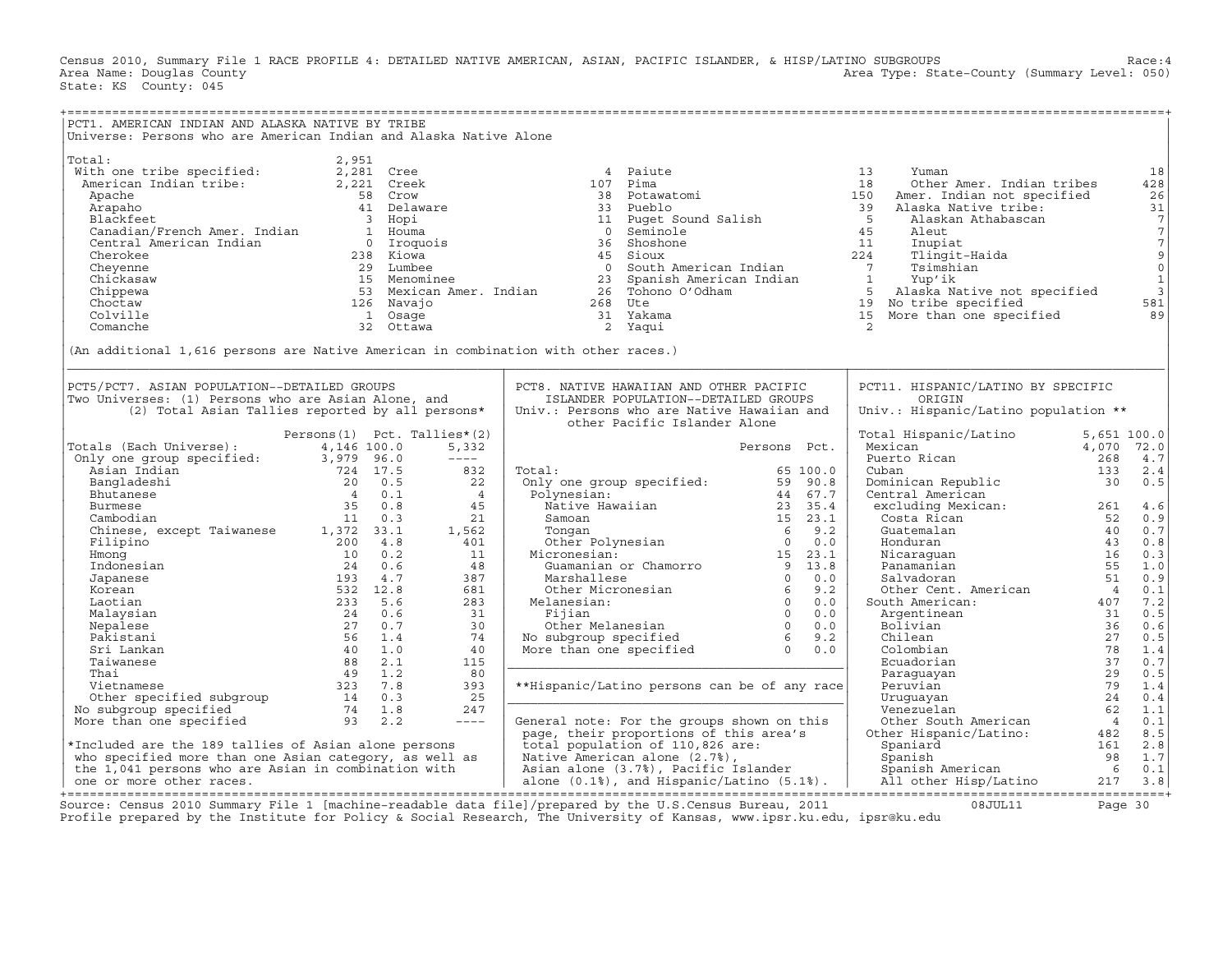Census 2010, Summary File 1 RACE PROFILE 4: DETAILED NATIVE AMERICAN, ASIAN, PACIFIC ISLANDER, & HISP/LATINO SUBGROUPS Race:4<br>Area Name: Douglas County (summary Level: 050) Area Type: State-County (Summary Level: 050) State: KS County: 045

| PCT1. AMERICAN INDIAN AND ALASKA NATIVE BY TRIBE                                           |                                   |                                                 |                                                                                                                                                                                                                                                                                                                                                                                                                                                                                         |              |                                                                                                                                                       |    |
|--------------------------------------------------------------------------------------------|-----------------------------------|-------------------------------------------------|-----------------------------------------------------------------------------------------------------------------------------------------------------------------------------------------------------------------------------------------------------------------------------------------------------------------------------------------------------------------------------------------------------------------------------------------------------------------------------------------|--------------|-------------------------------------------------------------------------------------------------------------------------------------------------------|----|
| Universe: Persons who are American Indian and Alaska Native Alone                          |                                   |                                                 |                                                                                                                                                                                                                                                                                                                                                                                                                                                                                         |              |                                                                                                                                                       |    |
|                                                                                            |                                   |                                                 |                                                                                                                                                                                                                                                                                                                                                                                                                                                                                         |              |                                                                                                                                                       |    |
| Total:                                                                                     | 2,951                             |                                                 |                                                                                                                                                                                                                                                                                                                                                                                                                                                                                         |              |                                                                                                                                                       |    |
| Vietnamental contracts:<br>With one tribe specified:<br>American Indian tribe: 2,221 Creek |                                   |                                                 | 4 Paiute                                                                                                                                                                                                                                                                                                                                                                                                                                                                                | 13           | Yuman                                                                                                                                                 | 18 |
|                                                                                            |                                   |                                                 |                                                                                                                                                                                                                                                                                                                                                                                                                                                                                         |              |                                                                                                                                                       |    |
|                                                                                            |                                   |                                                 |                                                                                                                                                                                                                                                                                                                                                                                                                                                                                         |              |                                                                                                                                                       |    |
|                                                                                            |                                   |                                                 |                                                                                                                                                                                                                                                                                                                                                                                                                                                                                         |              |                                                                                                                                                       |    |
|                                                                                            |                                   |                                                 |                                                                                                                                                                                                                                                                                                                                                                                                                                                                                         |              |                                                                                                                                                       |    |
|                                                                                            |                                   |                                                 |                                                                                                                                                                                                                                                                                                                                                                                                                                                                                         |              |                                                                                                                                                       |    |
|                                                                                            |                                   |                                                 |                                                                                                                                                                                                                                                                                                                                                                                                                                                                                         |              |                                                                                                                                                       |    |
|                                                                                            |                                   |                                                 |                                                                                                                                                                                                                                                                                                                                                                                                                                                                                         |              |                                                                                                                                                       |    |
|                                                                                            |                                   |                                                 |                                                                                                                                                                                                                                                                                                                                                                                                                                                                                         |              |                                                                                                                                                       |    |
|                                                                                            |                                   |                                                 |                                                                                                                                                                                                                                                                                                                                                                                                                                                                                         |              |                                                                                                                                                       |    |
|                                                                                            |                                   |                                                 |                                                                                                                                                                                                                                                                                                                                                                                                                                                                                         |              |                                                                                                                                                       |    |
|                                                                                            |                                   |                                                 |                                                                                                                                                                                                                                                                                                                                                                                                                                                                                         |              |                                                                                                                                                       |    |
|                                                                                            |                                   |                                                 |                                                                                                                                                                                                                                                                                                                                                                                                                                                                                         |              |                                                                                                                                                       |    |
|                                                                                            |                                   |                                                 |                                                                                                                                                                                                                                                                                                                                                                                                                                                                                         |              |                                                                                                                                                       |    |
|                                                                                            |                                   |                                                 |                                                                                                                                                                                                                                                                                                                                                                                                                                                                                         |              |                                                                                                                                                       |    |
| (An additional 1,616 persons are Native American in combination with other races.)         |                                   |                                                 |                                                                                                                                                                                                                                                                                                                                                                                                                                                                                         |              |                                                                                                                                                       |    |
|                                                                                            |                                   |                                                 |                                                                                                                                                                                                                                                                                                                                                                                                                                                                                         |              |                                                                                                                                                       |    |
|                                                                                            |                                   |                                                 |                                                                                                                                                                                                                                                                                                                                                                                                                                                                                         |              |                                                                                                                                                       |    |
| PCT5/PCT7. ASIAN POPULATION--DETAILED GROUPS                                               |                                   |                                                 | PCT8. NATIVE HAWAIIAN AND OTHER PACIFIC                                                                                                                                                                                                                                                                                                                                                                                                                                                 |              | PCT11. HISPANIC/LATINO BY SPECIFIC                                                                                                                    |    |
| Two Universes: (1) Persons who are Asian Alone, and                                        |                                   |                                                 | ISLANDER POPULATION--DETAILED GROUPS                                                                                                                                                                                                                                                                                                                                                                                                                                                    |              | ORIGIN                                                                                                                                                |    |
| (2) Total Asian Tallies reported by all persons*                                           |                                   |                                                 | Univ.: Persons who are Native Hawaiian and                                                                                                                                                                                                                                                                                                                                                                                                                                              |              | Univ.: Hispanic/Latino population **                                                                                                                  |    |
|                                                                                            |                                   |                                                 | other Pacific Islander Alone                                                                                                                                                                                                                                                                                                                                                                                                                                                            |              |                                                                                                                                                       |    |
|                                                                                            | Persons $(1)$ Pct. Tallies* $(2)$ |                                                 |                                                                                                                                                                                                                                                                                                                                                                                                                                                                                         |              |                                                                                                                                                       |    |
|                                                                                            |                                   | 5,332                                           |                                                                                                                                                                                                                                                                                                                                                                                                                                                                                         | Persons Pct. |                                                                                                                                                       |    |
|                                                                                            |                                   | $---$                                           |                                                                                                                                                                                                                                                                                                                                                                                                                                                                                         |              | Total Hispanic/Latino 5,651 100.0<br>Mexican 4,070 72.0<br>Puerto Rican 16,070 72.0<br>Cuban 133 2.4<br>Dominican Republic 30 0.5<br>Central American |    |
|                                                                                            |                                   | 832<br>$\begin{array}{c} 832 \\ 22 \end{array}$ |                                                                                                                                                                                                                                                                                                                                                                                                                                                                                         |              |                                                                                                                                                       |    |
|                                                                                            |                                   |                                                 |                                                                                                                                                                                                                                                                                                                                                                                                                                                                                         |              |                                                                                                                                                       |    |
|                                                                                            |                                   |                                                 |                                                                                                                                                                                                                                                                                                                                                                                                                                                                                         |              |                                                                                                                                                       |    |
|                                                                                            |                                   |                                                 |                                                                                                                                                                                                                                                                                                                                                                                                                                                                                         |              |                                                                                                                                                       |    |
|                                                                                            |                                   |                                                 |                                                                                                                                                                                                                                                                                                                                                                                                                                                                                         |              |                                                                                                                                                       |    |
|                                                                                            |                                   |                                                 |                                                                                                                                                                                                                                                                                                                                                                                                                                                                                         |              |                                                                                                                                                       |    |
|                                                                                            |                                   |                                                 |                                                                                                                                                                                                                                                                                                                                                                                                                                                                                         |              |                                                                                                                                                       |    |
|                                                                                            |                                   |                                                 |                                                                                                                                                                                                                                                                                                                                                                                                                                                                                         |              |                                                                                                                                                       |    |
|                                                                                            |                                   |                                                 |                                                                                                                                                                                                                                                                                                                                                                                                                                                                                         |              |                                                                                                                                                       |    |
|                                                                                            |                                   |                                                 |                                                                                                                                                                                                                                                                                                                                                                                                                                                                                         |              |                                                                                                                                                       |    |
|                                                                                            |                                   |                                                 |                                                                                                                                                                                                                                                                                                                                                                                                                                                                                         |              |                                                                                                                                                       |    |
|                                                                                            |                                   |                                                 |                                                                                                                                                                                                                                                                                                                                                                                                                                                                                         |              |                                                                                                                                                       |    |
|                                                                                            |                                   |                                                 |                                                                                                                                                                                                                                                                                                                                                                                                                                                                                         |              |                                                                                                                                                       |    |
|                                                                                            |                                   |                                                 | $\begin{tabular}{llllllllll} \multicolumn{3}{l} {\text{Total:}} & \multicolumn{3}{l} {\begin{tabular}{l} \multicolumn{3}{l}{} \multicolumn{3}{l}{} & \multicolumn{3}{l}{} & \multicolumn{3}{l}{} & \multicolumn{3}{l}{} & \multicolumn{3}{l}{} & \multicolumn{3}{l}{} & \multicolumn{3}{l}{} & \multicolumn{3}{l}{} & \multicolumn{3}{l}{} & \multicolumn{3}{l}{} & \multicolumn{3}{l}{} & \multicolumn{3}{l}{} & \multicolumn{3}{l}{} & \multicolumn{3}{l}{} & \multicolumn{3}{l}{} &$ |              |                                                                                                                                                       |    |
|                                                                                            |                                   |                                                 |                                                                                                                                                                                                                                                                                                                                                                                                                                                                                         |              |                                                                                                                                                       |    |
|                                                                                            |                                   |                                                 |                                                                                                                                                                                                                                                                                                                                                                                                                                                                                         |              |                                                                                                                                                       |    |
|                                                                                            |                                   |                                                 |                                                                                                                                                                                                                                                                                                                                                                                                                                                                                         |              |                                                                                                                                                       |    |
|                                                                                            |                                   |                                                 |                                                                                                                                                                                                                                                                                                                                                                                                                                                                                         |              |                                                                                                                                                       |    |
|                                                                                            |                                   |                                                 |                                                                                                                                                                                                                                                                                                                                                                                                                                                                                         |              |                                                                                                                                                       |    |
|                                                                                            |                                   |                                                 |                                                                                                                                                                                                                                                                                                                                                                                                                                                                                         |              |                                                                                                                                                       |    |
|                                                                                            |                                   |                                                 |                                                                                                                                                                                                                                                                                                                                                                                                                                                                                         |              |                                                                                                                                                       |    |
|                                                                                            |                                   |                                                 |                                                                                                                                                                                                                                                                                                                                                                                                                                                                                         |              |                                                                                                                                                       |    |
|                                                                                            |                                   |                                                 |                                                                                                                                                                                                                                                                                                                                                                                                                                                                                         |              |                                                                                                                                                       |    |
|                                                                                            |                                   |                                                 |                                                                                                                                                                                                                                                                                                                                                                                                                                                                                         |              |                                                                                                                                                       |    |
|                                                                                            |                                   |                                                 |                                                                                                                                                                                                                                                                                                                                                                                                                                                                                         |              |                                                                                                                                                       |    |
|                                                                                            |                                   |                                                 |                                                                                                                                                                                                                                                                                                                                                                                                                                                                                         |              |                                                                                                                                                       |    |
|                                                                                            |                                   |                                                 |                                                                                                                                                                                                                                                                                                                                                                                                                                                                                         |              |                                                                                                                                                       |    |
|                                                                                            |                                   |                                                 |                                                                                                                                                                                                                                                                                                                                                                                                                                                                                         |              |                                                                                                                                                       |    |

Source: Census 2010 Summary File 1 [machine−readable data file]/prepared by the U.S.Census Bureau, 2011 08JUL11 Page 30 Profile prepared by the Institute for Policy & Social Research, The University of Kansas, www.ipsr.ku.edu, ipsr@ku.edu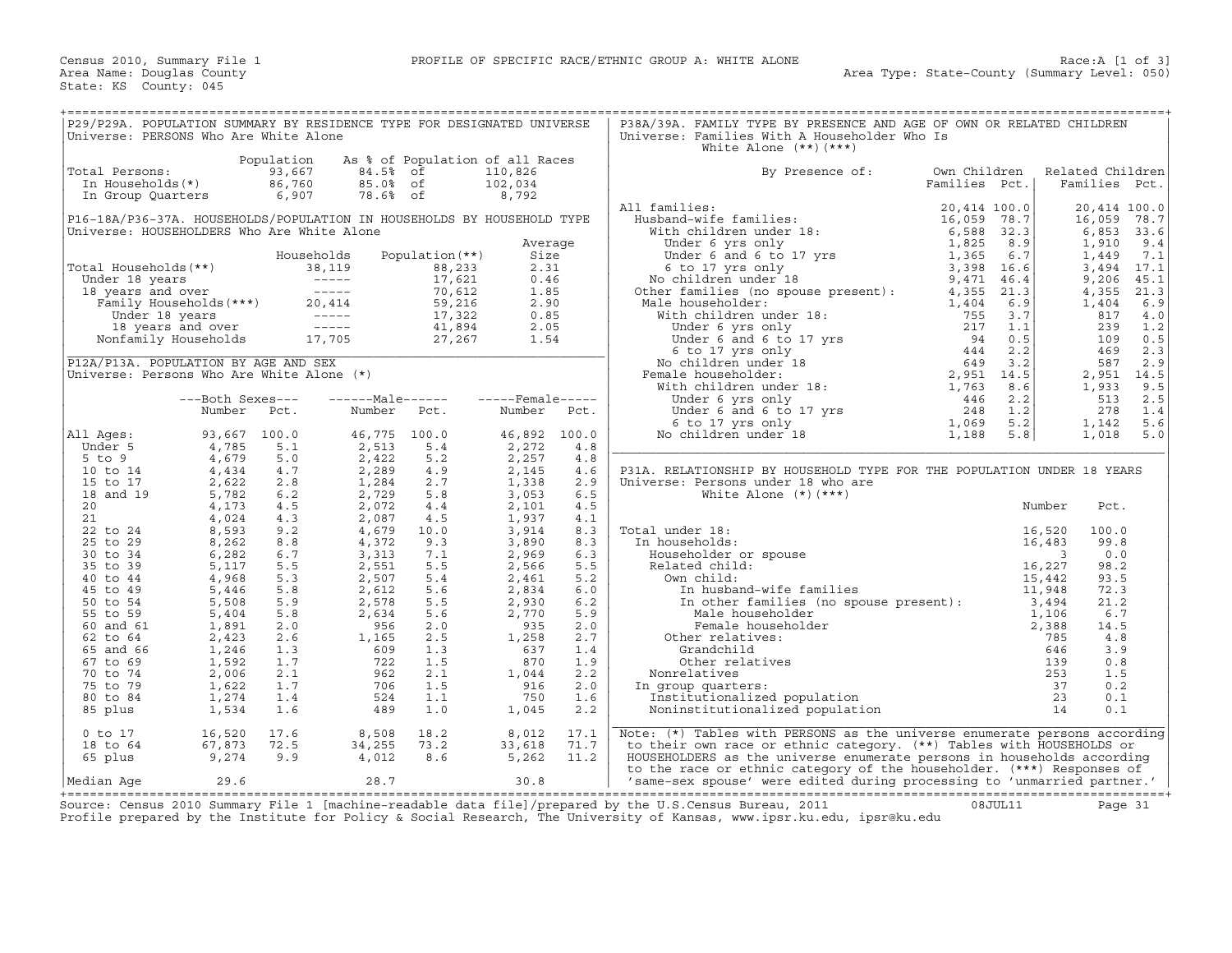| P29/P29A. POPULATION SUMMARY BY RESIDENCE TYPE FOR DESIGNATED UNIVERSE<br>Universe: PERSONS Who Are White Alone                                                                                                               |                                  |                                         |                                                                                              |                                                                     |                                                                         |                          | P38A/39A. FAMILY TYPE BY PRESENCE AND AGE OF OWN OR RELATED CHILDREN<br>Universe: Families With A Householder Who Is<br>White Alone $(**)$ $(***)$                                                                            |                                                 |                            |                                                                         |                                                                    |
|-------------------------------------------------------------------------------------------------------------------------------------------------------------------------------------------------------------------------------|----------------------------------|-----------------------------------------|----------------------------------------------------------------------------------------------|---------------------------------------------------------------------|-------------------------------------------------------------------------|--------------------------|-------------------------------------------------------------------------------------------------------------------------------------------------------------------------------------------------------------------------------|-------------------------------------------------|----------------------------|-------------------------------------------------------------------------|--------------------------------------------------------------------|
| Total Persons:<br>In Households(*)<br>In Group Quarters                                                                                                                                                                       |                                  | Population<br>93,667<br>86,760<br>6,907 | 84.5%<br>85.0% of<br>78.6% of                                                                | As % of Population of all Races<br>of                               | 110,826<br>102,034<br>8,792                                             |                          | By Presence of:                                                                                                                                                                                                               | Own Children<br>Families Pct.                   |                            | Related Children<br>Families Pct.                                       |                                                                    |
| P16-18A/P36-37A. HOUSEHOLDS/POPULATION IN HOUSEHOLDS BY HOUSEHOLD TYPE<br>Universe: HOUSEHOLDERS Who Are White Alone                                                                                                          |                                  |                                         |                                                                                              |                                                                     |                                                                         |                          | All families:                                                                                                                                                                                                                 | 20,414 100.0<br>16,059 78.7                     | 32.3                       | 20,414 100.0<br>16,059<br>6,853                                         | 78.7<br>33.6                                                       |
| Total Households (**)<br>Under 18 years<br>18 years<br>18 years<br>18 years<br>18 years<br>Tamily Households (***)<br>20,414<br>19 years<br>18 years<br>19 years<br>19 years<br>19 years<br>20,414<br>19 Households<br>17,705 |                                  |                                         | Households<br>38,119<br>$\begin{array}{ccc}\n & - & - & - \\ 20,414 & & 59,216\n\end{array}$ | Population $(**)$<br>88,233<br>17,621<br>17,322<br>41,894<br>27,267 | Average<br>Size<br>2.31<br>0.46<br>1.85<br>2.90<br>0.85<br>2.05<br>1.54 |                          | Male householder:                                                                                                                                                                                                             | 3,398 16.6<br>9,471 46.4                        | 8.9<br>$6.7$<br>21.3       | 1,910<br>1,449<br>3,494<br>9,206<br>4,355<br>1,404<br>817<br>239<br>109 | 9.4<br>7.1<br>17.1<br>45.1<br>21.3<br>6.9<br>$4\,.0$<br>1.2<br>0.5 |
| P12A/P13A. POPULATION BY AGE AND SEX<br>Universe: Persons Who Are White Alone (*)                                                                                                                                             |                                  |                                         |                                                                                              |                                                                     |                                                                         |                          | Female householder:                                                                                                                                                                                                           |                                                 |                            | 469<br>587<br>2,951<br>1,933                                            | 2.3<br>2.9<br>14.5<br>9.5                                          |
|                                                                                                                                                                                                                               | ---Both Sexes---<br>Number       | Pct.                                    | ------Male------ -----Female-----<br>Number                                                  | Pct.                                                                | Number                                                                  | Pct.                     |                                                                                                                                                                                                                               |                                                 |                            | 513<br>278<br>1,142                                                     | 2.5<br>1.4<br>5.6                                                  |
| All Ages:<br>Under 5<br>$5$ to $9$                                                                                                                                                                                            | 93,667<br>4,785<br>4,679         | 100.0<br>5.1<br>5.0                     | 46,775<br>2,513<br>2,422                                                                     | 100.0<br>5.4<br>5.2                                                 | 46,892<br>2,272<br>2,257                                                | 100.0<br>4.8<br>4.8      |                                                                                                                                                                                                                               |                                                 |                            | 1,018                                                                   | 5.0                                                                |
| 10 to 14<br>15 to 17<br>18 and 19<br>20                                                                                                                                                                                       | 4,434<br>2,622<br>5,782<br>4,173 | 4.7<br>2.8<br>6.2<br>4.5                | 2,289<br>1,284<br>2,729<br>2,072                                                             | 4.9<br>2.7<br>5.8<br>4.4                                            | 2,145<br>1,338<br>3,053<br>2,101                                        | 4.6<br>2.9<br>6.5<br>4.5 | P31A. RELATIONSHIP BY HOUSEHOLD TYPE FOR THE POPULATION UNDER 18 YEARS<br>Universe: Persons under 18 who are<br>White Alone $(*)$ $(***)$                                                                                     |                                                 | Number                     | Pct.                                                                    |                                                                    |
| 21<br>22 to 24<br>25 to 29<br>30 to 34                                                                                                                                                                                        | 4,024<br>8,593<br>8,262<br>6,282 | 4.3<br>9.2<br>8.8<br>6.7                | 2,087<br>4,679<br>4,372<br>3,313                                                             | 4.5<br>10.0<br>9.3<br>7.1                                           | 1,937<br>3,914<br>3,890<br>2,969                                        | 4.1<br>8.3<br>8.3<br>6.3 | Total under 18:<br>In households:<br>Householder or spouse                                                                                                                                                                    |                                                 | 16,520<br>16,483<br>3      | 100.0<br>99.8<br>0.0                                                    |                                                                    |
| 35 to 39<br>40 to 44<br>45 to 49                                                                                                                                                                                              | 5,117<br>4,968<br>5,446          | 5.5<br>5.3<br>5.8                       | 2,551<br>2,507<br>2,612                                                                      | 5.5<br>5.4<br>5.6                                                   | 2,566<br>2,461<br>2,834                                                 | 5.5<br>5.2<br>6.0        | Related child:<br>Own child:<br>In husband-wife families                                                                                                                                                                      |                                                 | 16,227<br>15,442<br>11,948 | 98.2<br>93.5<br>72.3                                                    |                                                                    |
| 50 to 54<br>55 to 59<br>60 and 61<br>62 to 64                                                                                                                                                                                 | 5,508<br>5,404<br>1,891<br>2,423 | 5.9<br>5.8<br>2.0<br>2.6                | 2,578<br>2,634<br>956<br>1,165                                                               | 5.5<br>5.6<br>2.0<br>2.5                                            | 2,930<br>2,770<br>935<br>1,258                                          | 6.2<br>5.9<br>2.0<br>2.7 | In other families (no spouse present): 3,494<br>Male householder<br>Female householder<br>Other relatives:                                                                                                                    |                                                 | 1,106<br>2,388<br>785      | 21.2<br>6.7<br>14.5<br>4.8                                              |                                                                    |
| 65 and 66<br>67 to 69<br>70 to 74                                                                                                                                                                                             | 1,246<br>1,592<br>2,006          | 1.3<br>1.7<br>2.1                       | 609<br>722<br>962                                                                            | 1.3<br>1.5<br>2.1                                                   | 637<br>870<br>1,044                                                     | 1.4<br>1.9<br>2.2        | Grandchild<br>Other relatives<br>Nonrelatives                                                                                                                                                                                 | no spouse present):<br>rr<br>.ation<br>pulation | 646<br>139<br>253          | 3.9<br>0.8<br>1.5                                                       |                                                                    |
| 75 to 79<br>80 to 84<br>85 plus                                                                                                                                                                                               | 1,622<br>1,274<br>1,534          | 1.7<br>1.4<br>1.6                       | 706<br>524<br>489                                                                            | 1.5<br>1.1<br>1.0                                                   | 916<br>750<br>1,045                                                     | 2.0<br>1.6<br>2.2        | In group quarters:<br>Institutionalized population<br>Noninstitutionalized population                                                                                                                                         |                                                 | 37<br>23<br>14             | 0.2<br>0.1<br>0.1                                                       |                                                                    |
| $0$ to $17$<br>18 to 64<br>65 plus                                                                                                                                                                                            | 16,520<br>67,873<br>9,274        | 17.6<br>72.5<br>9.9                     | 8,508<br>34,255<br>4,012                                                                     | 18.2<br>73.2<br>8.6                                                 | 8,012<br>33,618<br>5,262                                                | 17.1<br>71.7<br>11.2     | Note: $(*)$ Tables with PERSONS as the universe enumerate persons according<br>to their own race or ethnic category. (**) Tables with HOUSEHOLDS or<br>HOUSEHOLDERS as the universe enumerate persons in households according |                                                 |                            |                                                                         |                                                                    |
| Median Aqe                                                                                                                                                                                                                    | 29.6                             |                                         | 28.7                                                                                         |                                                                     | 30.8                                                                    |                          | to the race or ethnic category of the householder. (***) Responses of<br>'same-sex spouse' were edited during processing to 'unmarried partner.'                                                                              |                                                 |                            |                                                                         |                                                                    |

+===================================================================================================================================================+ Source: Census 2010 Summary File 1 [machine−readable data file]/prepared by the U.S.Census Bureau, 2011 08JUL11 Page 31 Profile prepared by the Institute for Policy & Social Research, The University of Kansas, www.ipsr.ku.edu, ipsr@ku.edu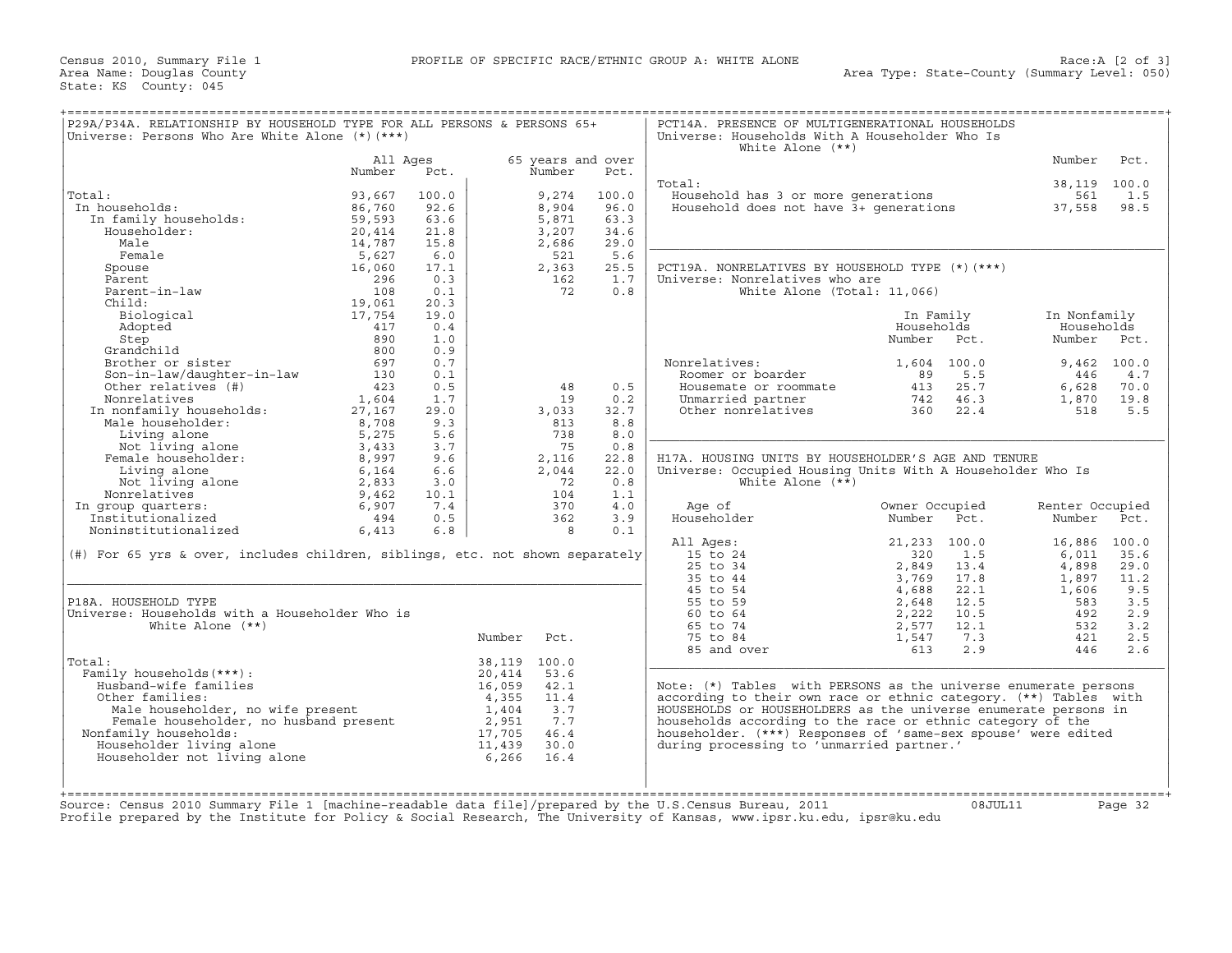| P29A/P34A. RELATIONSHIP BY HOUSEHOLD TYPE FOR ALL PERSONS & PERSONS 65+<br>Universe: Persons Who Are White Alone $(*)$ $(***)$                                                                                                       |                    |            |              |                | PCT14A. PRESENCE OF MULTIGENERATIONAL HOUSEHOLDS<br>Universe: Households With A Householder Who Is<br>White Alone $(**)$ |                                                                                     |                                                                         |                 |            |
|--------------------------------------------------------------------------------------------------------------------------------------------------------------------------------------------------------------------------------------|--------------------|------------|--------------|----------------|--------------------------------------------------------------------------------------------------------------------------|-------------------------------------------------------------------------------------|-------------------------------------------------------------------------|-----------------|------------|
|                                                                                                                                                                                                                                      | All Aqes<br>Number | Pct.       |              | Number         | 65 years and over<br>Pct.                                                                                                |                                                                                     |                                                                         | Number          | Pct.       |
| Al:<br>. households:<br>In family households:<br>Householder:                                                                                                                                                                        |                    |            |              |                |                                                                                                                          | Total:                                                                              |                                                                         | 38,119 100.0    |            |
| Total:                                                                                                                                                                                                                               | 93,667             | 100.0      |              | 9,274          | 100.0                                                                                                                    | Household has 3 or more generations                                                 |                                                                         | 561             | 1.5        |
| In households:                                                                                                                                                                                                                       | 86,760             | 92.6       |              | 8,904          | 96.0                                                                                                                     | Household does not have $3+$ generations 37,558                                     |                                                                         |                 | 98.5       |
|                                                                                                                                                                                                                                      | 59,593             | 63.6       |              | 5,871          | 63.3                                                                                                                     |                                                                                     |                                                                         |                 |            |
|                                                                                                                                                                                                                                      | 20,414             | 21.8       |              | 3,207          | 34.6                                                                                                                     |                                                                                     |                                                                         |                 |            |
|                                                                                                                                                                                                                                      | 14,787             | 15.8       |              | 2,686          | 29.0                                                                                                                     |                                                                                     |                                                                         |                 |            |
| Female<br>Pemale<br>Spouse<br>Parent – in-law<br>Thild:<br>Thild:<br>Thild:<br>Thild:<br>Thild:<br>Thild:<br>20061<br>19,061<br>19,061<br>19,754<br>417<br>890                                                                       |                    | 6.0        |              | 521            | 5.6                                                                                                                      |                                                                                     |                                                                         |                 |            |
|                                                                                                                                                                                                                                      |                    | 17.1       |              | 2,363          | 25.5                                                                                                                     | PCT19A. NONRELATIVES BY HOUSEHOLD TYPE (*) (***)                                    |                                                                         |                 |            |
|                                                                                                                                                                                                                                      |                    | 0.3<br>0.1 |              | 162<br>72      | 1.7<br>0.8                                                                                                               | Universe: Nonrelatives who are                                                      |                                                                         |                 |            |
|                                                                                                                                                                                                                                      |                    | 20.3       |              |                |                                                                                                                          | White Alone (Total: 11,066)                                                         |                                                                         |                 |            |
|                                                                                                                                                                                                                                      |                    | 19.0       |              |                |                                                                                                                          |                                                                                     | In Family                                                               | In Nonfamily    |            |
|                                                                                                                                                                                                                                      |                    | 0.4        |              |                |                                                                                                                          |                                                                                     | Households                                                              | Households      |            |
| Step                                                                                                                                                                                                                                 |                    | 1.0        |              |                |                                                                                                                          |                                                                                     | Number Pct.                                                             | Number Pct.     |            |
| Grandchild                                                                                                                                                                                                                           | 800                | 0.9        |              |                |                                                                                                                          |                                                                                     |                                                                         |                 |            |
| Brother or sister                                                                                                                                                                                                                    | 697                | 0.7        |              |                |                                                                                                                          | Nonrelatives:                                                                       | 1,604 100.0                                                             | $9,462$ 100.0   |            |
| Son-in-law/daughter-in-law                                                                                                                                                                                                           | 130                | 0.1        |              |                |                                                                                                                          | Roomer or boarder                                                                   | 5.5<br>89                                                               | 446             | 4.7        |
| Other relatives (#)                                                                                                                                                                                                                  | 423                | 0.5        |              | 48             | 0.5                                                                                                                      | Housemate or roommate                                                               |                                                                         | 6,628           | 70.0       |
| Nonrelatives                                                                                                                                                                                                                         | 1,604              | 1.7        |              | 19             | 0.2                                                                                                                      | Unmarried partner                                                                   | $\begin{array}{ccc} 413 & 25.7 \\ 742 & 46.3 \\ 360 & 22.4 \end{array}$ | 1,870           | 19.8       |
| Nonrelatives<br>In nonfamily households:                                                                                                                                                                                             | 27,167             | 29.0       |              | 3,033          | 32.7                                                                                                                     | Unmarried partner<br>Other nonrelatives                                             |                                                                         | 518             | 5.5        |
| Male householder:                                                                                                                                                                                                                    | 8,708              | 9.3        |              | 813            | 8.8                                                                                                                      |                                                                                     |                                                                         |                 |            |
|                                                                                                                                                                                                                                      | 5,275              | 5.6        |              | 738            | 8.0                                                                                                                      |                                                                                     |                                                                         |                 |            |
|                                                                                                                                                                                                                                      | 3,433              | 3.7        |              | 75             | 0.8                                                                                                                      |                                                                                     |                                                                         |                 |            |
|                                                                                                                                                                                                                                      | 8,997              | 9.6        |              | 2,116          | 22.8                                                                                                                     | H17A. HOUSING UNITS BY HOUSEHOLDER'S AGE AND TENURE                                 |                                                                         |                 |            |
|                                                                                                                                                                                                                                      | 6,164              | 6.6        |              | 2,044          | 22.0                                                                                                                     | Universe: Occupied Housing Units With A Householder Who Is                          |                                                                         |                 |            |
|                                                                                                                                                                                                                                      | 2,833              | 3.0        |              | 72             | 0.8                                                                                                                      | White Alone $(*\check*)$                                                            |                                                                         |                 |            |
|                                                                                                                                                                                                                                      | 9,462              | 10.1       |              | 104            | 1.1                                                                                                                      |                                                                                     |                                                                         |                 |            |
|                                                                                                                                                                                                                                      | 6,907              | 7.4        |              | 370            | 4.0                                                                                                                      | Age of                                                                              | Owner Occupied                                                          | Renter Occupied |            |
|                                                                                                                                                                                                                                      | 494                | 0.5        |              | 362            | 3.9                                                                                                                      | Householder                                                                         | Number<br>Pct.                                                          | Number          | Pct.       |
| Not living alone<br>Not living alone<br>Not living alone<br>Female householder:<br>Living alone<br>Not living alone<br>Nonrelatives<br>In group quarters:<br>Institutionalized<br>Noninstitutionalized                               | 6,413              | 6.8        |              | 8 <sup>8</sup> | 0.1                                                                                                                      |                                                                                     |                                                                         |                 |            |
|                                                                                                                                                                                                                                      |                    |            |              |                |                                                                                                                          | All Ages:                                                                           | 21,233<br>100.0                                                         | 16,886 100.0    |            |
| (#) For 65 yrs & over, includes children, siblings, etc. not shown separately                                                                                                                                                        |                    |            |              |                |                                                                                                                          | $15$ to $24$                                                                        | 320<br>1.5                                                              | $6,011$ 35.6    |            |
|                                                                                                                                                                                                                                      |                    |            |              |                |                                                                                                                          | $25$ to $34$<br>35 to 44                                                            | 2,849<br>13.4                                                           | 4,898           | 29.0       |
|                                                                                                                                                                                                                                      |                    |            |              |                |                                                                                                                          | 45 to 54                                                                            | 3,769<br>17.8                                                           | 1,897           | 11.2       |
| P18A. HOUSEHOLD TYPE                                                                                                                                                                                                                 |                    |            |              |                |                                                                                                                          | 55 to 59                                                                            | 4,688<br>22.1<br>12.5                                                   | 1,606<br>583    | 9.5<br>3.5 |
| Universe: Households with a Householder Who is                                                                                                                                                                                       |                    |            |              |                |                                                                                                                          | 60 to 64                                                                            | 2,648<br>2,222<br>10.5                                                  | 492             | 2.9        |
| White Alone $(**)$                                                                                                                                                                                                                   |                    |            |              |                |                                                                                                                          | 65 to 74                                                                            | 2,577<br>12.1                                                           | 532             | 3.2        |
|                                                                                                                                                                                                                                      |                    |            | Number       | Pct.           |                                                                                                                          | 75 to 84                                                                            | 7.3<br>1,547                                                            | 421             | 2.5        |
|                                                                                                                                                                                                                                      |                    |            |              |                |                                                                                                                          | 85 and over                                                                         | 613<br>2.9                                                              | 446             | 2.6        |
| Total:                                                                                                                                                                                                                               |                    |            | 38,119 100.0 |                |                                                                                                                          |                                                                                     |                                                                         |                 |            |
| Family households (***) :                                                                                                                                                                                                            |                    |            | 20,414       | 53.6           |                                                                                                                          |                                                                                     |                                                                         |                 |            |
| Husband-wife families                                                                                                                                                                                                                |                    |            | 16,059       | 42.1           |                                                                                                                          | Note: $(*)$ Tables with PERSONS as the universe enumerate persons                   |                                                                         |                 |            |
| Other families:                                                                                                                                                                                                                      |                    |            | 4,355        | 11.4           |                                                                                                                          | according to their own race or ethnic category. (**) Tables with                    |                                                                         |                 |            |
|                                                                                                                                                                                                                                      |                    |            |              | 3.7            |                                                                                                                          | HOUSEHOLDS or HOUSEHOLDERS as the universe enumerate persons in                     |                                                                         |                 |            |
|                                                                                                                                                                                                                                      |                    |            |              | 7.7            |                                                                                                                          | households according to the race or ethnic category of the                          |                                                                         |                 |            |
| Nonfamily households:                                                                                                                                                                                                                |                    |            |              | 46.4           |                                                                                                                          | householder. (***) Responses of 'same-sex spouse' were edited                       |                                                                         |                 |            |
|                                                                                                                                                                                                                                      |                    |            |              | 30.0           |                                                                                                                          | during processing to 'unmarried partner.'                                           |                                                                         |                 |            |
| Other families:<br>Male householder, no wife present<br>Female householder, no husband present<br>of the set of the set of the set of the set of the set of the set of the set of the set of the set of the set of the set of the se |                    |            |              | 16.4           |                                                                                                                          |                                                                                     |                                                                         |                 |            |
|                                                                                                                                                                                                                                      |                    |            |              |                |                                                                                                                          |                                                                                     |                                                                         |                 |            |
|                                                                                                                                                                                                                                      |                    |            |              |                |                                                                                                                          |                                                                                     |                                                                         |                 |            |
|                                                                                                                                                                                                                                      |                    |            |              |                |                                                                                                                          |                                                                                     |                                                                         |                 |            |
| Course, Congus                                                                                                                                                                                                                       |                    |            |              |                |                                                                                                                          | Cummary File 1 [magbine readable data file] (propared by the H C Congue Bureau 2011 |                                                                         |                 | $D = 20$   |

Source: Census 2010 Summary File 1 [machine−readable data file]/prepared by the U.S.Census Bureau, 2011 08JUL11 Page 32 Profile prepared by the Institute for Policy & Social Research, The University of Kansas, www.ipsr.ku.edu, ipsr@ku.edu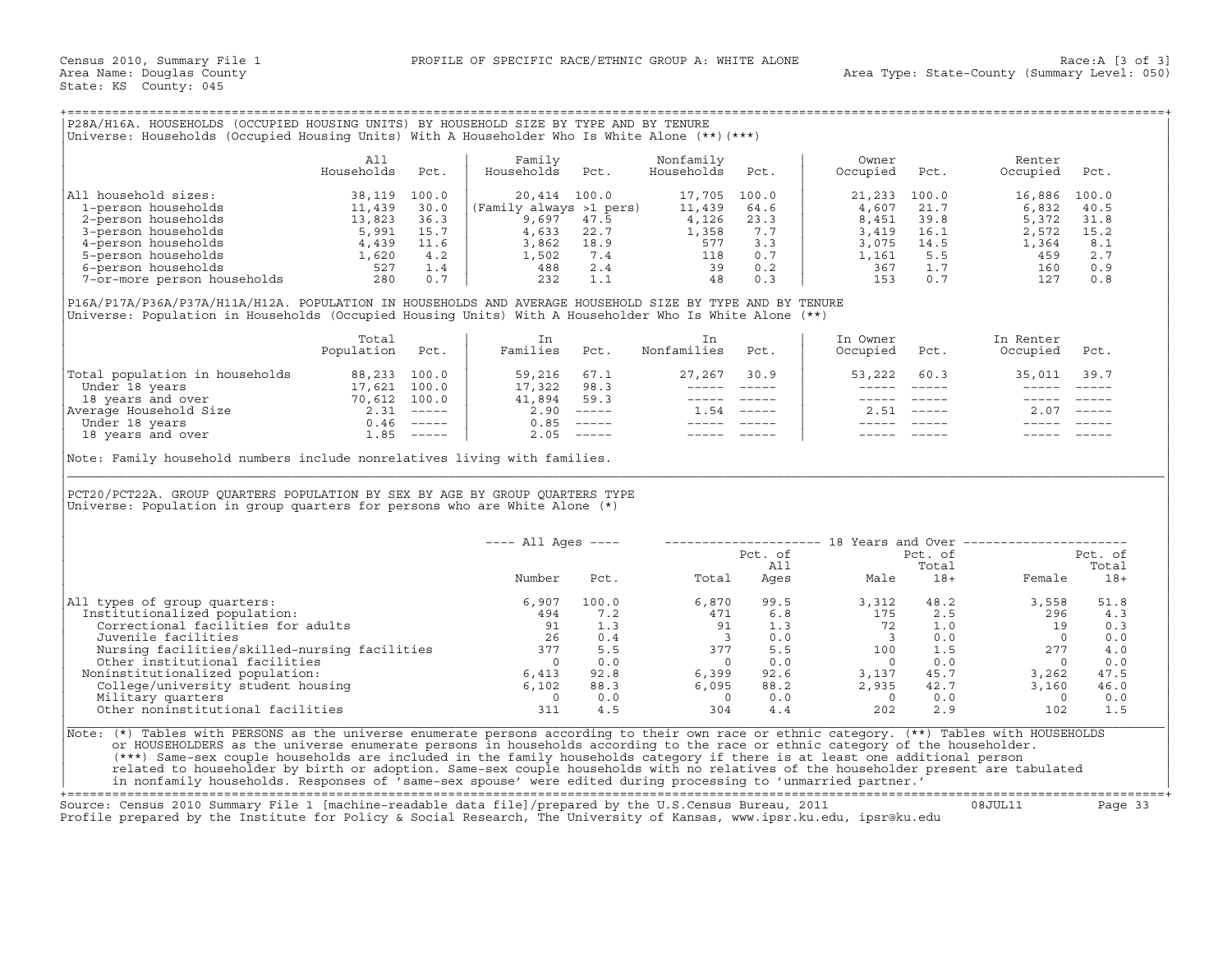| P28A/H16A.<br>HOUSEHOLDS (OCCUPIED HOUSING UNITS) BY HOUSEHOLD SIZE BY TYPE AND BY TENURE           |  |
|-----------------------------------------------------------------------------------------------------|--|
| : Households (Occupied Housing Units) With A Householder Who Is White Alone (**) (***)<br>Universe: |  |

|                             | All<br>Households | Pct.  | Family<br>Households    | Pct. | Nonfamily<br>Households | Pct.  | Owner<br>Occupied | Pct.  | Renter<br>Occupied | Pct.  |
|-----------------------------|-------------------|-------|-------------------------|------|-------------------------|-------|-------------------|-------|--------------------|-------|
| All household sizes:        | 38,119            | 100.0 | 20,414 100.0            |      | 17,705                  | 100.0 | 21,233            | 100.0 | 16,886             | 100.0 |
| 1-person households         | 11,439            | 30.0  | (Family always >1 pers) |      | 11,439                  | 64.6  | 4,607             | 21.7  | 6,832              | 40.5  |
| 2-person households         | 13,823            | 36.3  | 9,697                   | 47.5 | 4,126                   | 23.3  | 8,451             | 39.8  | 5,372              | 31.8  |
| 3-person households         | 5,991             | 15.7  | 4,633                   | 22.7 | 1,358                   | 7.7   | 3,419             | 16.1  | 2,572              | 15.2  |
| 4-person households         | 4,439             | 11.6  | 3,862                   | 18.9 | 577                     | 3.3   | 3,075             | 14.5  | 1,364              | 8.1   |
| 5-person households         | 1,620             | 4.2   | 1,502                   | 7.4  | 118                     | 0.7   | 1,161             | 5.5   | 459                | 2.7   |
| 6-person households         | 527               | 1.4   | 488                     | 2.4  | 39                      | 0.2   | 367               |       | 160                | 0.9   |
| 7-or-more person households | 280               |       | 232                     |      | 48                      | 0.3   | 153               | 0.7   | 127                | 0.8   |

|                                | Total<br>Population | Pct.                      | Families | Pct.                      | Nonfamilies | Pct.                      | In Owner<br>Occupied | Pct.          | In Renter<br>Occupied | Pct.                      |
|--------------------------------|---------------------|---------------------------|----------|---------------------------|-------------|---------------------------|----------------------|---------------|-----------------------|---------------------------|
| Total population in households | 88,233              | 100.0                     | 59,216   | 67.1                      | 27,267      | 30.9                      | 53,222               | 60.3          | 35,011                | 39.7                      |
| Under 18 years                 | 17,621              | 100.0                     | 17,322   | 98.3                      |             |                           |                      |               |                       |                           |
| 18 years and over              | 70,612              | 100.0                     | 41,894   | 59.3                      |             |                           |                      |               |                       |                           |
| Average Household Size         | 2.31                | $------$                  | 2.90     |                           | .54         | $\qquad \qquad - - - - -$ | 2.51                 | $\frac{1}{2}$ | 2.07                  | $\qquad \qquad - - - - -$ |
| Under 18 years                 | 0.46                | $\qquad \qquad - - - - -$ | 0.85     |                           |             |                           |                      |               |                       |                           |
| 18 years and over              | .85                 | $------$                  | 2.05     | $\qquad \qquad - - - - -$ |             |                           |                      |               |                       |                           |

| P28A/H16A. HOUSEHOLDS (OCCUPIED HOUSING UNITS) BY HOUSEHOLD SIZE BY TYPE AND BY TENURE<br>Universe: Households (Occupied Housing Units) With A Householder Who Is White Alone (**) (***)                                                                                                                                                                                                                                                                                                                                                                                                                                                                         |                   |       |                         |              |                                               |                                                                                                              |                                                                                                                                                                                                                                                                                                                                                                                              |               |                                                               |                     |
|------------------------------------------------------------------------------------------------------------------------------------------------------------------------------------------------------------------------------------------------------------------------------------------------------------------------------------------------------------------------------------------------------------------------------------------------------------------------------------------------------------------------------------------------------------------------------------------------------------------------------------------------------------------|-------------------|-------|-------------------------|--------------|-----------------------------------------------|--------------------------------------------------------------------------------------------------------------|----------------------------------------------------------------------------------------------------------------------------------------------------------------------------------------------------------------------------------------------------------------------------------------------------------------------------------------------------------------------------------------------|---------------|---------------------------------------------------------------|---------------------|
|                                                                                                                                                                                                                                                                                                                                                                                                                                                                                                                                                                                                                                                                  | All<br>Households | Pct.  | Family<br>Households    | Pct.         | Nonfamily<br>Households                       | Pct.                                                                                                         | Owner<br>Occupied                                                                                                                                                                                                                                                                                                                                                                            | Pct.          | Renter<br>Occupied                                            | Pct.                |
| All household sizes:<br>$\begin{tabular}{ll} 11 \; \textit{household} \; \textit{sizes}: & \; 38,119 \\ 1-\textit{person} \; \textit{households} & \; 11,439 \\ 2-\textit{person} \; \textit{households} & \; 13,823 \\ 3-\textit{person} \; \textit{households} & \; 5,991 \\ 4,439 \\ 5-\textit{person} \; \textit{households} & \; 1,620 \\ 6-\textit{person} \; \textit{households} & \; 527 \\ 7-\textit{or}-\textit{more} \; \textit{person} \; \textit{households} & \; 280 \\$                                                                                                                                                                           |                   | 100.0 |                         | 20,414 100.0 | 17,705 100.0                                  |                                                                                                              | 21,233                                                                                                                                                                                                                                                                                                                                                                                       | 100.0         | 16,886 100.0                                                  |                     |
|                                                                                                                                                                                                                                                                                                                                                                                                                                                                                                                                                                                                                                                                  |                   | 30.0  | (Family always >1 pers) |              | 11,439                                        | 64.6                                                                                                         | 4,607                                                                                                                                                                                                                                                                                                                                                                                        | 21.7          | 6,832                                                         | 40.5                |
|                                                                                                                                                                                                                                                                                                                                                                                                                                                                                                                                                                                                                                                                  |                   | 36.3  | 9,697 47.5              |              | $\begin{array}{c} 4,126 \\ 1,358 \end{array}$ | 23.3                                                                                                         | 8,451                                                                                                                                                                                                                                                                                                                                                                                        | 39.8          | 5,372                                                         | 31.8                |
|                                                                                                                                                                                                                                                                                                                                                                                                                                                                                                                                                                                                                                                                  |                   | 15.7  | $4,633$ 22.7            |              |                                               | 7.7                                                                                                          | 3,419                                                                                                                                                                                                                                                                                                                                                                                        |               | 2,572<br>$2,572$<br>14.5 1,364<br>5.5 1,364                   | 15.2                |
|                                                                                                                                                                                                                                                                                                                                                                                                                                                                                                                                                                                                                                                                  |                   |       |                         |              |                                               |                                                                                                              | 3,075                                                                                                                                                                                                                                                                                                                                                                                        |               |                                                               | 8.1                 |
|                                                                                                                                                                                                                                                                                                                                                                                                                                                                                                                                                                                                                                                                  |                   |       |                         |              |                                               |                                                                                                              | 1,161                                                                                                                                                                                                                                                                                                                                                                                        |               |                                                               | 2.7                 |
|                                                                                                                                                                                                                                                                                                                                                                                                                                                                                                                                                                                                                                                                  |                   |       |                         |              |                                               |                                                                                                              | 367                                                                                                                                                                                                                                                                                                                                                                                          | 1.7           | 160                                                           | 0.9                 |
|                                                                                                                                                                                                                                                                                                                                                                                                                                                                                                                                                                                                                                                                  |                   |       |                         |              |                                               |                                                                                                              | 153                                                                                                                                                                                                                                                                                                                                                                                          | 0.7           | 127                                                           | 0.8                 |
| P16A/P17A/P36A/P37A/H11A/H12A. POPULATION IN HOUSEHOLDS AND AVERAGE HOUSEHOLD SIZE BY TYPE AND BY TENURE<br>Universe: Population in Households (Occupied Housing Units) With A Householder Who Is White Alone (**)                                                                                                                                                                                                                                                                                                                                                                                                                                               |                   |       |                         |              |                                               |                                                                                                              |                                                                                                                                                                                                                                                                                                                                                                                              |               |                                                               |                     |
|                                                                                                                                                                                                                                                                                                                                                                                                                                                                                                                                                                                                                                                                  | Total             |       | In                      |              | In                                            |                                                                                                              | In Owner                                                                                                                                                                                                                                                                                                                                                                                     |               | In Renter                                                     |                     |
|                                                                                                                                                                                                                                                                                                                                                                                                                                                                                                                                                                                                                                                                  | Population Pct.   |       | Families Pct.           |              | Nonfamilies Pct.                              |                                                                                                              | Occupied Pct.                                                                                                                                                                                                                                                                                                                                                                                |               | Occupied Pct.                                                 |                     |
|                                                                                                                                                                                                                                                                                                                                                                                                                                                                                                                                                                                                                                                                  |                   |       |                         |              |                                               | $27,267$ 30.9                                                                                                | 53,222                                                                                                                                                                                                                                                                                                                                                                                       | 60.3          | 35,011 39.7                                                   |                     |
|                                                                                                                                                                                                                                                                                                                                                                                                                                                                                                                                                                                                                                                                  |                   |       |                         |              |                                               |                                                                                                              | $\frac{1}{2} \frac{1}{2} \frac{1}{2} \frac{1}{2} \frac{1}{2} \frac{1}{2} \frac{1}{2} \frac{1}{2} \frac{1}{2} \frac{1}{2} \frac{1}{2} \frac{1}{2} \frac{1}{2} \frac{1}{2} \frac{1}{2} \frac{1}{2} \frac{1}{2} \frac{1}{2} \frac{1}{2} \frac{1}{2} \frac{1}{2} \frac{1}{2} \frac{1}{2} \frac{1}{2} \frac{1}{2} \frac{1}{2} \frac{1}{2} \frac{1}{2} \frac{1}{2} \frac{1}{2} \frac{1}{2} \frac{$ | $\frac{1}{2}$ |                                                               |                     |
|                                                                                                                                                                                                                                                                                                                                                                                                                                                                                                                                                                                                                                                                  |                   |       |                         |              |                                               | $\begin{array}{cccccc} - & - & - & - & - & - & - \\ & - & - & - & - & - \\ & & - & - & - & - \\ \end{array}$ |                                                                                                                                                                                                                                                                                                                                                                                              | ----- -----   |                                                               |                     |
|                                                                                                                                                                                                                                                                                                                                                                                                                                                                                                                                                                                                                                                                  |                   |       |                         |              |                                               | $1.54$ -----                                                                                                 |                                                                                                                                                                                                                                                                                                                                                                                              | $2.51$ -----  | $2.07$ -----                                                  |                     |
|                                                                                                                                                                                                                                                                                                                                                                                                                                                                                                                                                                                                                                                                  |                   |       |                         |              |                                               |                                                                                                              |                                                                                                                                                                                                                                                                                                                                                                                              |               |                                                               |                     |
|                                                                                                                                                                                                                                                                                                                                                                                                                                                                                                                                                                                                                                                                  |                   |       |                         |              |                                               |                                                                                                              |                                                                                                                                                                                                                                                                                                                                                                                              |               |                                                               |                     |
| PCT20/PCT22A. GROUP QUARTERS POPULATION BY SEX BY AGE BY GROUP QUARTERS TYPE<br>Universe: Population in group quarters for persons who are White Alone $(*)$                                                                                                                                                                                                                                                                                                                                                                                                                                                                                                     |                   |       |                         |              |                                               |                                                                                                              |                                                                                                                                                                                                                                                                                                                                                                                              |               |                                                               |                     |
|                                                                                                                                                                                                                                                                                                                                                                                                                                                                                                                                                                                                                                                                  |                   |       | ---- All Ages ----      |              |                                               |                                                                                                              |                                                                                                                                                                                                                                                                                                                                                                                              |               |                                                               |                     |
|                                                                                                                                                                                                                                                                                                                                                                                                                                                                                                                                                                                                                                                                  |                   |       |                         |              |                                               | Pct. of                                                                                                      |                                                                                                                                                                                                                                                                                                                                                                                              | Pct. of       |                                                               | Pct. of             |
|                                                                                                                                                                                                                                                                                                                                                                                                                                                                                                                                                                                                                                                                  |                   |       | Number                  |              | Total<br>Pct.                                 | All                                                                                                          |                                                                                                                                                                                                                                                                                                                                                                                              | Total         |                                                               | Total<br>Female 18+ |
| All types of group quarters:                                                                                                                                                                                                                                                                                                                                                                                                                                                                                                                                                                                                                                     |                   |       | 6,907                   |              | Pcu.<br>100.0 6, 8, 0<br>7 2 471<br>91<br>3   | 99.5                                                                                                         |                                                                                                                                                                                                                                                                                                                                                                                              | 48.2          | 3,558                                                         | 51.8                |
| Institutionalized population:                                                                                                                                                                                                                                                                                                                                                                                                                                                                                                                                                                                                                                    |                   |       | 494                     |              |                                               | 6.8                                                                                                          | $3,312$<br>$175$                                                                                                                                                                                                                                                                                                                                                                             | 2.5           |                                                               | 296 4.3             |
| Correctional facilities for adults                                                                                                                                                                                                                                                                                                                                                                                                                                                                                                                                                                                                                               |                   |       | 91                      |              |                                               | 1.3                                                                                                          | 72                                                                                                                                                                                                                                                                                                                                                                                           | 1.0           |                                                               | 19 0.3              |
| Juvenile facilities                                                                                                                                                                                                                                                                                                                                                                                                                                                                                                                                                                                                                                              |                   |       | 26                      | 0.4          | $\overline{\phantom{a}}$ 3                    |                                                                                                              | $\begin{array}{ccc} 1.3 & & \ddots \\ 0.0 & & 3 \\ 5.5 & & 100 \\ & & 0 \end{array}$<br>$\overline{\mathbf{3}}$                                                                                                                                                                                                                                                                              |               | $\begin{array}{ccc}\n. & 5 \\ 1.0 \\ 0.0 \\ 7.5\n\end{array}$ | $0 \qquad 0.0$      |
|                                                                                                                                                                                                                                                                                                                                                                                                                                                                                                                                                                                                                                                                  |                   |       |                         |              |                                               |                                                                                                              |                                                                                                                                                                                                                                                                                                                                                                                              | 1.5           |                                                               | 277 4.0             |
| ouvenile lacilities<br>Nursing facilities/skilled-nursing facilities $377$ 5.5<br>Other institutional facilities $0$ 0.0                                                                                                                                                                                                                                                                                                                                                                                                                                                                                                                                         |                   |       |                         |              | $\begin{array}{c} 377 \\ 0 \end{array}$       | 0.0                                                                                                          | $\overline{0}$                                                                                                                                                                                                                                                                                                                                                                               | 0.0           |                                                               | $0 \qquad 0.0$      |
| Noninstitutionalized population:                                                                                                                                                                                                                                                                                                                                                                                                                                                                                                                                                                                                                                 |                   |       |                         |              |                                               |                                                                                                              | 3,137                                                                                                                                                                                                                                                                                                                                                                                        | 45.7          | 3,262                                                         | 47.5                |
|                                                                                                                                                                                                                                                                                                                                                                                                                                                                                                                                                                                                                                                                  |                   |       |                         |              | 92.8 6,399<br>88.3 6,095                      |                                                                                                              | $92.6$<br>$88.2$<br>2,935                                                                                                                                                                                                                                                                                                                                                                    | 42.7          | 3,160                                                         | 46.0                |
| 0<br>College/university student housing 6,413<br>Military quarters<br>Military quarters<br>Other noningtiture.                                                                                                                                                                                                                                                                                                                                                                                                                                                                                                                                                   |                   |       |                         | 0.0          | $\overline{0}$                                | 0.0                                                                                                          | $\overline{0}$                                                                                                                                                                                                                                                                                                                                                                               | 0.0           | $\overline{0}$                                                | 0.0                 |
| Other noninstitutional facilities                                                                                                                                                                                                                                                                                                                                                                                                                                                                                                                                                                                                                                |                   |       | 311                     | 4.5          | 304                                           | 4.4                                                                                                          | 202                                                                                                                                                                                                                                                                                                                                                                                          | 2.9           | 102                                                           | 1.5                 |
| Note: (*) Tables with PERSONS as the universe enumerate persons according to their own race or ethnic category. (**) Tables with HOUSEHOLDS<br>or HOUSEHOLDERS as the universe enumerate persons in households according to the race or ethnic category of the householder.<br>(***) Same-sex couple households are included in the family households category if there is at least one additional person<br>related to householder by birth or adoption. Same-sex couple households with no relatives of the householder present are tabulated<br>in nonfamily households. Responses of 'same-sex spouse' were edited during processing to 'unmarried partner.' |                   |       |                         |              |                                               |                                                                                                              |                                                                                                                                                                                                                                                                                                                                                                                              |               |                                                               |                     |

+===================================================================================================================================================+

Source: Census 2010 Summary File 1 [machine−readable data file]/prepared by the U.S.Census Bureau, 2011 08JUL11 Page 33 Profile prepared by the Institute for Policy & Social Research, The University of Kansas, www.ipsr.ku.edu, ipsr@ku.edu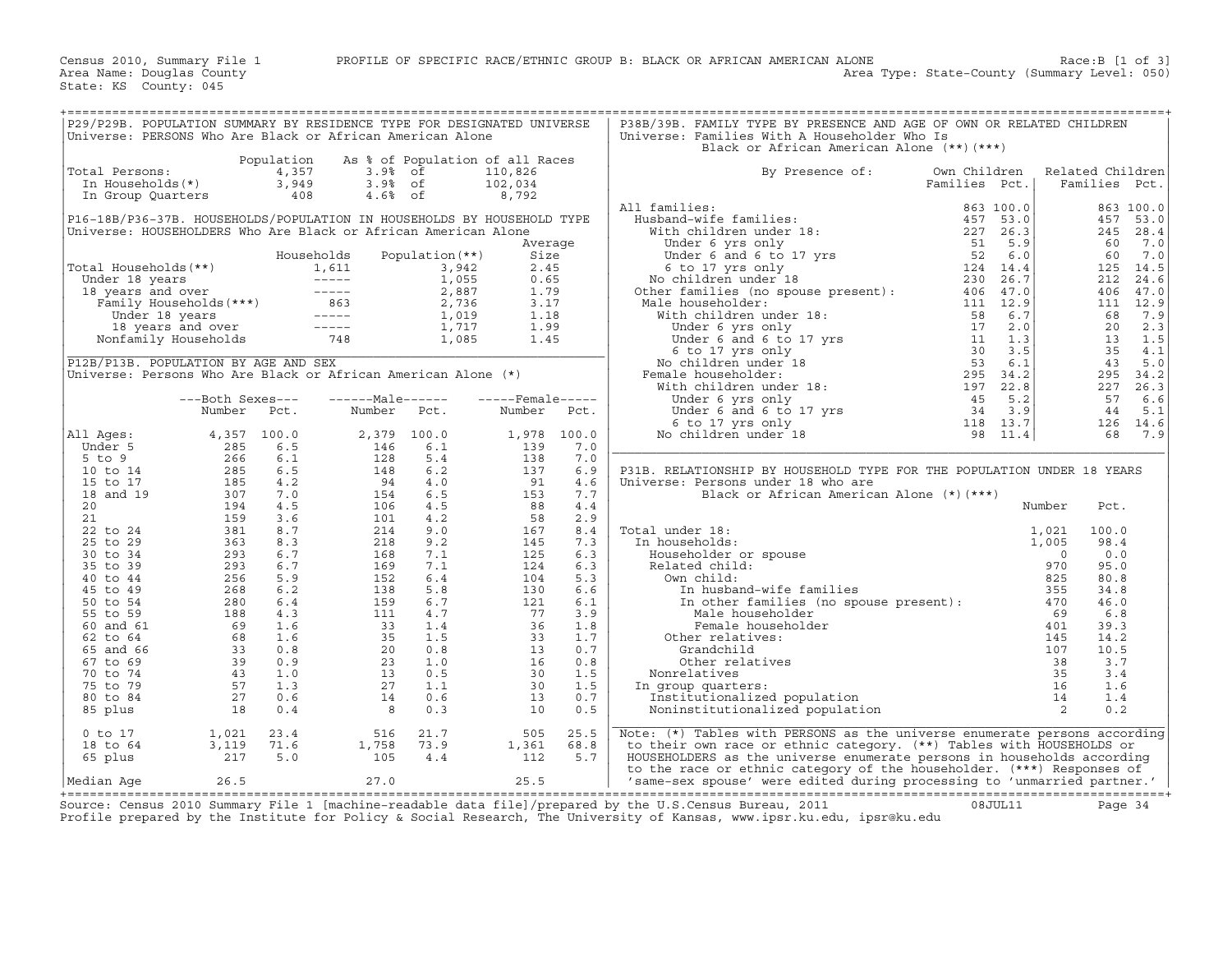| P29/P29B. POPULATION SUMMARY BY RESIDENCE TYPE FOR DESIGNATED UNIVERSE<br>P38B/39B. FAMILY TYPE BY PRESENCE AND AGE OF OWN OR RELATED CHILDREN<br>Universe: PERSONS Who Are Black or African American Alone<br>Universe: Families With A Householder Who Is<br>Black or African American Alone (**)(***)<br>Population<br>As % of Population of all Races<br>4,357<br>110,826<br>Related Children<br>Total Persons:<br>3.9% of<br>3.9% of<br>4.6% of<br>By Presence of:<br>Own Children<br>3,949<br>In Households(*)<br>102,034<br>Families Pct.<br>Families Pct.<br>408<br>8,792<br>In Group Quarters<br>All families:<br>863 100.0<br>863 100.0<br>P16-18B/P36-37B. HOUSEHOLDS/POPULATION IN HOUSEHOLDS BY HOUSEHOLD TYPE<br>457<br>53.0<br>Universe: HOUSEHOLDERS Who Are Black or African American Alone<br>245 28.4<br>60<br>7.0<br>Average<br>Households<br>Population (**)<br>Size<br>60<br>7.0<br>Total Households (**)<br>Under 18 years<br>1,611<br>Under 18 years<br>18 years and over<br>Family Households (***)<br>Under 18 years<br>18 years<br>18 years<br>18 years<br>18 years<br>18 years<br>18 years<br>18 years<br>18 years<br>18 years<br>18 years<br><br>14.5<br>3,942<br>2.45<br>125<br>1,055<br>0.65<br>212<br>24.6<br>2,887<br>1.79<br>406<br>47.0<br>2,736<br>3.17<br>111<br>12.9<br>1,019<br>1.18<br>68<br>7.9<br>1,717<br>1.99<br>20<br>2.3<br>13<br>1.5<br>1,085<br>1.45<br>35<br>4.1<br>P12B/P13B. POPULATION BY AGE AND SEX<br>43<br>5.0<br>Universe: Persons Who Are Black or African American Alone (*)<br>295 34.2<br>227<br>26.3<br>------Male------<br>57<br>---Both Sexes---<br>$---$ Female-----<br>6.6<br>Number<br>44<br>5.1<br>Number<br>Pct.<br>Number<br>Pct.<br>Pct.<br>126 14.6<br>All Ages:<br>4,357 100.0<br>2,379 100.0<br>1,978 100.0<br>68<br>7.9<br>6.5<br>6.1<br>139<br>Under 5<br>285<br>146<br>7.0<br>$266$<br>$285$<br>$185$<br>$307$<br>6.1<br>128<br>5.4<br>138<br>7.0<br>$5$ to $9$<br>6.5<br>148<br>6.2<br>137<br>P31B. RELATIONSHIP BY HOUSEHOLD TYPE FOR THE POPULATION UNDER 18 YEARS<br>10 to 14<br>6.9<br>4.2<br>91<br>15 to 17<br>94<br>4.0<br>Universe: Persons under 18 who are<br>4.6<br>7.0<br>6.5<br>153<br>18 and 19<br>154<br>7.7<br>Black or African American Alone (*)(***)<br>20<br>194<br>4.5<br>106<br>4.5<br>88<br>4.4<br>Number<br>Pct.<br>159<br>21<br>3.6<br>101<br>4.2<br>58<br>2.9<br>381<br>8.7<br>214<br>9.0<br>100.0<br>22 to 24<br>167<br>8.4<br>Total under 18:<br>1,021<br>25 to 29<br>8.3<br>9.2<br>7.3<br>363<br>218<br>145<br>In households:<br>1,005<br>98.4<br>30 to 34<br>293<br>6.7<br>168<br>7.1<br>125<br>0.0<br>6.3<br>Householder or spouse<br>$\Omega$<br>$6.7$<br>35 to 39<br>293<br>169<br>7.1<br>124<br>6.3<br>Related child:<br>970<br>95.0<br>5.9<br>40 to 44<br>256<br>152<br>6.4<br>104<br>5.3<br>Own child:<br>825<br>80.8<br>6.2<br>138<br>5.8<br>130<br>6.6<br>45 to 49<br>In husband-wife families<br>355<br>$280$<br>188<br>69<br>69<br>34.8<br>In disparation families (no spouse present) :<br>6.7<br>6.4<br>159<br>121<br>6.1<br>470<br>50 to 54<br>46.0<br>55 to 59<br>4.3<br>111<br>4.7<br>77<br>3.9<br>69<br>6.8<br>Male householder<br>36<br>401<br>60 and 61<br>1.6<br>33<br>1.4<br>1.8<br>Female householder<br>39.3<br>1.6<br>1.5<br>33<br>1.7<br>62 to 64<br>35<br>Other relatives:<br>145<br>14.2<br>$\frac{33}{39}$<br>65 and 66<br>0.8<br>20<br>0.8<br>13<br>0.7<br>Grandchild<br>107<br>10.5<br>$\begin{array}{c cc}\n & 38 \\  & 35 \\  & 16 \\  & 14 \\  & 2\n\end{array}$<br>0.9<br>23<br>1.0<br>16<br>0.8<br>Other relatives<br>3.7<br>67 to 69<br>30<br>$\frac{1}{2}$<br>1.0<br>13<br>0.5<br>1.5<br>70 to 74<br>Nonrelatives<br>3.4<br>1.3<br>1.1<br>75 to 79<br>27<br>30<br>1.5<br>In group quarters:<br>1.6<br>27<br>0.6<br>80 to 84<br>14<br>0.6<br>13<br>0.7<br>Institutionalized population<br>1.4<br>18<br>0.4<br>0.3<br>10<br>0.5<br>Noninstitutionalized population<br>0.2<br>85 plus<br>8<br>Note: (*) Tables with PERSONS as the universe enumerate persons according<br>1,021<br>23.4<br>516<br>21.7<br>505<br>25.5<br>$0$ to $17$<br>3,119<br>71.6<br>1,758<br>73.9<br>1,361<br>68.8<br>to their own race or ethnic category. (**) Tables with HOUSEHOLDS or<br>18 to 64<br>5.0<br>HOUSEHOLDERS as the universe enumerate persons in households according<br>65 plus<br>217<br>105<br>4.4<br>112<br>5.7<br>to the race or ethnic category of the householder. (***) Responses of<br>26.5<br>27.0<br>25.5<br>'same-sex spouse' were edited during processing to 'unmarried partner.'<br>Median Age |  |  |  |  |  |  |
|---------------------------------------------------------------------------------------------------------------------------------------------------------------------------------------------------------------------------------------------------------------------------------------------------------------------------------------------------------------------------------------------------------------------------------------------------------------------------------------------------------------------------------------------------------------------------------------------------------------------------------------------------------------------------------------------------------------------------------------------------------------------------------------------------------------------------------------------------------------------------------------------------------------------------------------------------------------------------------------------------------------------------------------------------------------------------------------------------------------------------------------------------------------------------------------------------------------------------------------------------------------------------------------------------------------------------------------------------------------------------------------------------------------------------------------------------------------------------------------------------------------------------------------------------------------------------------------------------------------------------------------------------------------------------------------------------------------------------------------------------------------------------------------------------------------------------------------------------------------------------------------------------------------------------------------------------------------------------------------------------------------------------------------------------------------------------------------------------------------------------------------------------------------------------------------------------------------------------------------------------------------------------------------------------------------------------------------------------------------------------------------------------------------------------------------------------------------------------------------------------------------------------------------------------------------------------------------------------------------------------------------------------------------------------------------------------------------------------------------------------------------------------------------------------------------------------------------------------------------------------------------------------------------------------------------------------------------------------------------------------------------------------------------------------------------------------------------------------------------------------------------------------------------------------------------------------------------------------------------------------------------------------------------------------------------------------------------------------------------------------------------------------------------------------------------------------------------------------------------------------------------------------------------------------------------------------------------------------------------------------------------------------------------------------------------------------------------------------------------------------------------------------------------------------------------------------------------------------------------------------------------------------------------------------------------------------------------------------------------------------------------------------------------------------------------------------------------------------------------------------------------------------------------------------------------------------------------------------------------------------------------------------------------------------------------------------------------------------------------------------------------------------------------------------------------------------------------------------------------------------------------------------------------------------|--|--|--|--|--|--|
|                                                                                                                                                                                                                                                                                                                                                                                                                                                                                                                                                                                                                                                                                                                                                                                                                                                                                                                                                                                                                                                                                                                                                                                                                                                                                                                                                                                                                                                                                                                                                                                                                                                                                                                                                                                                                                                                                                                                                                                                                                                                                                                                                                                                                                                                                                                                                                                                                                                                                                                                                                                                                                                                                                                                                                                                                                                                                                                                                                                                                                                                                                                                                                                                                                                                                                                                                                                                                                                                                                                                                                                                                                                                                                                                                                                                                                                                                                                                                                                                                                                                                                                                                                                                                                                                                                                                                                                                                                                                                                                                                   |  |  |  |  |  |  |
|                                                                                                                                                                                                                                                                                                                                                                                                                                                                                                                                                                                                                                                                                                                                                                                                                                                                                                                                                                                                                                                                                                                                                                                                                                                                                                                                                                                                                                                                                                                                                                                                                                                                                                                                                                                                                                                                                                                                                                                                                                                                                                                                                                                                                                                                                                                                                                                                                                                                                                                                                                                                                                                                                                                                                                                                                                                                                                                                                                                                                                                                                                                                                                                                                                                                                                                                                                                                                                                                                                                                                                                                                                                                                                                                                                                                                                                                                                                                                                                                                                                                                                                                                                                                                                                                                                                                                                                                                                                                                                                                                   |  |  |  |  |  |  |
|                                                                                                                                                                                                                                                                                                                                                                                                                                                                                                                                                                                                                                                                                                                                                                                                                                                                                                                                                                                                                                                                                                                                                                                                                                                                                                                                                                                                                                                                                                                                                                                                                                                                                                                                                                                                                                                                                                                                                                                                                                                                                                                                                                                                                                                                                                                                                                                                                                                                                                                                                                                                                                                                                                                                                                                                                                                                                                                                                                                                                                                                                                                                                                                                                                                                                                                                                                                                                                                                                                                                                                                                                                                                                                                                                                                                                                                                                                                                                                                                                                                                                                                                                                                                                                                                                                                                                                                                                                                                                                                                                   |  |  |  |  |  |  |
|                                                                                                                                                                                                                                                                                                                                                                                                                                                                                                                                                                                                                                                                                                                                                                                                                                                                                                                                                                                                                                                                                                                                                                                                                                                                                                                                                                                                                                                                                                                                                                                                                                                                                                                                                                                                                                                                                                                                                                                                                                                                                                                                                                                                                                                                                                                                                                                                                                                                                                                                                                                                                                                                                                                                                                                                                                                                                                                                                                                                                                                                                                                                                                                                                                                                                                                                                                                                                                                                                                                                                                                                                                                                                                                                                                                                                                                                                                                                                                                                                                                                                                                                                                                                                                                                                                                                                                                                                                                                                                                                                   |  |  |  |  |  |  |
|                                                                                                                                                                                                                                                                                                                                                                                                                                                                                                                                                                                                                                                                                                                                                                                                                                                                                                                                                                                                                                                                                                                                                                                                                                                                                                                                                                                                                                                                                                                                                                                                                                                                                                                                                                                                                                                                                                                                                                                                                                                                                                                                                                                                                                                                                                                                                                                                                                                                                                                                                                                                                                                                                                                                                                                                                                                                                                                                                                                                                                                                                                                                                                                                                                                                                                                                                                                                                                                                                                                                                                                                                                                                                                                                                                                                                                                                                                                                                                                                                                                                                                                                                                                                                                                                                                                                                                                                                                                                                                                                                   |  |  |  |  |  |  |
|                                                                                                                                                                                                                                                                                                                                                                                                                                                                                                                                                                                                                                                                                                                                                                                                                                                                                                                                                                                                                                                                                                                                                                                                                                                                                                                                                                                                                                                                                                                                                                                                                                                                                                                                                                                                                                                                                                                                                                                                                                                                                                                                                                                                                                                                                                                                                                                                                                                                                                                                                                                                                                                                                                                                                                                                                                                                                                                                                                                                                                                                                                                                                                                                                                                                                                                                                                                                                                                                                                                                                                                                                                                                                                                                                                                                                                                                                                                                                                                                                                                                                                                                                                                                                                                                                                                                                                                                                                                                                                                                                   |  |  |  |  |  |  |
|                                                                                                                                                                                                                                                                                                                                                                                                                                                                                                                                                                                                                                                                                                                                                                                                                                                                                                                                                                                                                                                                                                                                                                                                                                                                                                                                                                                                                                                                                                                                                                                                                                                                                                                                                                                                                                                                                                                                                                                                                                                                                                                                                                                                                                                                                                                                                                                                                                                                                                                                                                                                                                                                                                                                                                                                                                                                                                                                                                                                                                                                                                                                                                                                                                                                                                                                                                                                                                                                                                                                                                                                                                                                                                                                                                                                                                                                                                                                                                                                                                                                                                                                                                                                                                                                                                                                                                                                                                                                                                                                                   |  |  |  |  |  |  |
|                                                                                                                                                                                                                                                                                                                                                                                                                                                                                                                                                                                                                                                                                                                                                                                                                                                                                                                                                                                                                                                                                                                                                                                                                                                                                                                                                                                                                                                                                                                                                                                                                                                                                                                                                                                                                                                                                                                                                                                                                                                                                                                                                                                                                                                                                                                                                                                                                                                                                                                                                                                                                                                                                                                                                                                                                                                                                                                                                                                                                                                                                                                                                                                                                                                                                                                                                                                                                                                                                                                                                                                                                                                                                                                                                                                                                                                                                                                                                                                                                                                                                                                                                                                                                                                                                                                                                                                                                                                                                                                                                   |  |  |  |  |  |  |
|                                                                                                                                                                                                                                                                                                                                                                                                                                                                                                                                                                                                                                                                                                                                                                                                                                                                                                                                                                                                                                                                                                                                                                                                                                                                                                                                                                                                                                                                                                                                                                                                                                                                                                                                                                                                                                                                                                                                                                                                                                                                                                                                                                                                                                                                                                                                                                                                                                                                                                                                                                                                                                                                                                                                                                                                                                                                                                                                                                                                                                                                                                                                                                                                                                                                                                                                                                                                                                                                                                                                                                                                                                                                                                                                                                                                                                                                                                                                                                                                                                                                                                                                                                                                                                                                                                                                                                                                                                                                                                                                                   |  |  |  |  |  |  |
|                                                                                                                                                                                                                                                                                                                                                                                                                                                                                                                                                                                                                                                                                                                                                                                                                                                                                                                                                                                                                                                                                                                                                                                                                                                                                                                                                                                                                                                                                                                                                                                                                                                                                                                                                                                                                                                                                                                                                                                                                                                                                                                                                                                                                                                                                                                                                                                                                                                                                                                                                                                                                                                                                                                                                                                                                                                                                                                                                                                                                                                                                                                                                                                                                                                                                                                                                                                                                                                                                                                                                                                                                                                                                                                                                                                                                                                                                                                                                                                                                                                                                                                                                                                                                                                                                                                                                                                                                                                                                                                                                   |  |  |  |  |  |  |
|                                                                                                                                                                                                                                                                                                                                                                                                                                                                                                                                                                                                                                                                                                                                                                                                                                                                                                                                                                                                                                                                                                                                                                                                                                                                                                                                                                                                                                                                                                                                                                                                                                                                                                                                                                                                                                                                                                                                                                                                                                                                                                                                                                                                                                                                                                                                                                                                                                                                                                                                                                                                                                                                                                                                                                                                                                                                                                                                                                                                                                                                                                                                                                                                                                                                                                                                                                                                                                                                                                                                                                                                                                                                                                                                                                                                                                                                                                                                                                                                                                                                                                                                                                                                                                                                                                                                                                                                                                                                                                                                                   |  |  |  |  |  |  |
|                                                                                                                                                                                                                                                                                                                                                                                                                                                                                                                                                                                                                                                                                                                                                                                                                                                                                                                                                                                                                                                                                                                                                                                                                                                                                                                                                                                                                                                                                                                                                                                                                                                                                                                                                                                                                                                                                                                                                                                                                                                                                                                                                                                                                                                                                                                                                                                                                                                                                                                                                                                                                                                                                                                                                                                                                                                                                                                                                                                                                                                                                                                                                                                                                                                                                                                                                                                                                                                                                                                                                                                                                                                                                                                                                                                                                                                                                                                                                                                                                                                                                                                                                                                                                                                                                                                                                                                                                                                                                                                                                   |  |  |  |  |  |  |
|                                                                                                                                                                                                                                                                                                                                                                                                                                                                                                                                                                                                                                                                                                                                                                                                                                                                                                                                                                                                                                                                                                                                                                                                                                                                                                                                                                                                                                                                                                                                                                                                                                                                                                                                                                                                                                                                                                                                                                                                                                                                                                                                                                                                                                                                                                                                                                                                                                                                                                                                                                                                                                                                                                                                                                                                                                                                                                                                                                                                                                                                                                                                                                                                                                                                                                                                                                                                                                                                                                                                                                                                                                                                                                                                                                                                                                                                                                                                                                                                                                                                                                                                                                                                                                                                                                                                                                                                                                                                                                                                                   |  |  |  |  |  |  |
|                                                                                                                                                                                                                                                                                                                                                                                                                                                                                                                                                                                                                                                                                                                                                                                                                                                                                                                                                                                                                                                                                                                                                                                                                                                                                                                                                                                                                                                                                                                                                                                                                                                                                                                                                                                                                                                                                                                                                                                                                                                                                                                                                                                                                                                                                                                                                                                                                                                                                                                                                                                                                                                                                                                                                                                                                                                                                                                                                                                                                                                                                                                                                                                                                                                                                                                                                                                                                                                                                                                                                                                                                                                                                                                                                                                                                                                                                                                                                                                                                                                                                                                                                                                                                                                                                                                                                                                                                                                                                                                                                   |  |  |  |  |  |  |
|                                                                                                                                                                                                                                                                                                                                                                                                                                                                                                                                                                                                                                                                                                                                                                                                                                                                                                                                                                                                                                                                                                                                                                                                                                                                                                                                                                                                                                                                                                                                                                                                                                                                                                                                                                                                                                                                                                                                                                                                                                                                                                                                                                                                                                                                                                                                                                                                                                                                                                                                                                                                                                                                                                                                                                                                                                                                                                                                                                                                                                                                                                                                                                                                                                                                                                                                                                                                                                                                                                                                                                                                                                                                                                                                                                                                                                                                                                                                                                                                                                                                                                                                                                                                                                                                                                                                                                                                                                                                                                                                                   |  |  |  |  |  |  |
|                                                                                                                                                                                                                                                                                                                                                                                                                                                                                                                                                                                                                                                                                                                                                                                                                                                                                                                                                                                                                                                                                                                                                                                                                                                                                                                                                                                                                                                                                                                                                                                                                                                                                                                                                                                                                                                                                                                                                                                                                                                                                                                                                                                                                                                                                                                                                                                                                                                                                                                                                                                                                                                                                                                                                                                                                                                                                                                                                                                                                                                                                                                                                                                                                                                                                                                                                                                                                                                                                                                                                                                                                                                                                                                                                                                                                                                                                                                                                                                                                                                                                                                                                                                                                                                                                                                                                                                                                                                                                                                                                   |  |  |  |  |  |  |
|                                                                                                                                                                                                                                                                                                                                                                                                                                                                                                                                                                                                                                                                                                                                                                                                                                                                                                                                                                                                                                                                                                                                                                                                                                                                                                                                                                                                                                                                                                                                                                                                                                                                                                                                                                                                                                                                                                                                                                                                                                                                                                                                                                                                                                                                                                                                                                                                                                                                                                                                                                                                                                                                                                                                                                                                                                                                                                                                                                                                                                                                                                                                                                                                                                                                                                                                                                                                                                                                                                                                                                                                                                                                                                                                                                                                                                                                                                                                                                                                                                                                                                                                                                                                                                                                                                                                                                                                                                                                                                                                                   |  |  |  |  |  |  |
|                                                                                                                                                                                                                                                                                                                                                                                                                                                                                                                                                                                                                                                                                                                                                                                                                                                                                                                                                                                                                                                                                                                                                                                                                                                                                                                                                                                                                                                                                                                                                                                                                                                                                                                                                                                                                                                                                                                                                                                                                                                                                                                                                                                                                                                                                                                                                                                                                                                                                                                                                                                                                                                                                                                                                                                                                                                                                                                                                                                                                                                                                                                                                                                                                                                                                                                                                                                                                                                                                                                                                                                                                                                                                                                                                                                                                                                                                                                                                                                                                                                                                                                                                                                                                                                                                                                                                                                                                                                                                                                                                   |  |  |  |  |  |  |
|                                                                                                                                                                                                                                                                                                                                                                                                                                                                                                                                                                                                                                                                                                                                                                                                                                                                                                                                                                                                                                                                                                                                                                                                                                                                                                                                                                                                                                                                                                                                                                                                                                                                                                                                                                                                                                                                                                                                                                                                                                                                                                                                                                                                                                                                                                                                                                                                                                                                                                                                                                                                                                                                                                                                                                                                                                                                                                                                                                                                                                                                                                                                                                                                                                                                                                                                                                                                                                                                                                                                                                                                                                                                                                                                                                                                                                                                                                                                                                                                                                                                                                                                                                                                                                                                                                                                                                                                                                                                                                                                                   |  |  |  |  |  |  |
|                                                                                                                                                                                                                                                                                                                                                                                                                                                                                                                                                                                                                                                                                                                                                                                                                                                                                                                                                                                                                                                                                                                                                                                                                                                                                                                                                                                                                                                                                                                                                                                                                                                                                                                                                                                                                                                                                                                                                                                                                                                                                                                                                                                                                                                                                                                                                                                                                                                                                                                                                                                                                                                                                                                                                                                                                                                                                                                                                                                                                                                                                                                                                                                                                                                                                                                                                                                                                                                                                                                                                                                                                                                                                                                                                                                                                                                                                                                                                                                                                                                                                                                                                                                                                                                                                                                                                                                                                                                                                                                                                   |  |  |  |  |  |  |
|                                                                                                                                                                                                                                                                                                                                                                                                                                                                                                                                                                                                                                                                                                                                                                                                                                                                                                                                                                                                                                                                                                                                                                                                                                                                                                                                                                                                                                                                                                                                                                                                                                                                                                                                                                                                                                                                                                                                                                                                                                                                                                                                                                                                                                                                                                                                                                                                                                                                                                                                                                                                                                                                                                                                                                                                                                                                                                                                                                                                                                                                                                                                                                                                                                                                                                                                                                                                                                                                                                                                                                                                                                                                                                                                                                                                                                                                                                                                                                                                                                                                                                                                                                                                                                                                                                                                                                                                                                                                                                                                                   |  |  |  |  |  |  |
|                                                                                                                                                                                                                                                                                                                                                                                                                                                                                                                                                                                                                                                                                                                                                                                                                                                                                                                                                                                                                                                                                                                                                                                                                                                                                                                                                                                                                                                                                                                                                                                                                                                                                                                                                                                                                                                                                                                                                                                                                                                                                                                                                                                                                                                                                                                                                                                                                                                                                                                                                                                                                                                                                                                                                                                                                                                                                                                                                                                                                                                                                                                                                                                                                                                                                                                                                                                                                                                                                                                                                                                                                                                                                                                                                                                                                                                                                                                                                                                                                                                                                                                                                                                                                                                                                                                                                                                                                                                                                                                                                   |  |  |  |  |  |  |
|                                                                                                                                                                                                                                                                                                                                                                                                                                                                                                                                                                                                                                                                                                                                                                                                                                                                                                                                                                                                                                                                                                                                                                                                                                                                                                                                                                                                                                                                                                                                                                                                                                                                                                                                                                                                                                                                                                                                                                                                                                                                                                                                                                                                                                                                                                                                                                                                                                                                                                                                                                                                                                                                                                                                                                                                                                                                                                                                                                                                                                                                                                                                                                                                                                                                                                                                                                                                                                                                                                                                                                                                                                                                                                                                                                                                                                                                                                                                                                                                                                                                                                                                                                                                                                                                                                                                                                                                                                                                                                                                                   |  |  |  |  |  |  |
|                                                                                                                                                                                                                                                                                                                                                                                                                                                                                                                                                                                                                                                                                                                                                                                                                                                                                                                                                                                                                                                                                                                                                                                                                                                                                                                                                                                                                                                                                                                                                                                                                                                                                                                                                                                                                                                                                                                                                                                                                                                                                                                                                                                                                                                                                                                                                                                                                                                                                                                                                                                                                                                                                                                                                                                                                                                                                                                                                                                                                                                                                                                                                                                                                                                                                                                                                                                                                                                                                                                                                                                                                                                                                                                                                                                                                                                                                                                                                                                                                                                                                                                                                                                                                                                                                                                                                                                                                                                                                                                                                   |  |  |  |  |  |  |
|                                                                                                                                                                                                                                                                                                                                                                                                                                                                                                                                                                                                                                                                                                                                                                                                                                                                                                                                                                                                                                                                                                                                                                                                                                                                                                                                                                                                                                                                                                                                                                                                                                                                                                                                                                                                                                                                                                                                                                                                                                                                                                                                                                                                                                                                                                                                                                                                                                                                                                                                                                                                                                                                                                                                                                                                                                                                                                                                                                                                                                                                                                                                                                                                                                                                                                                                                                                                                                                                                                                                                                                                                                                                                                                                                                                                                                                                                                                                                                                                                                                                                                                                                                                                                                                                                                                                                                                                                                                                                                                                                   |  |  |  |  |  |  |
|                                                                                                                                                                                                                                                                                                                                                                                                                                                                                                                                                                                                                                                                                                                                                                                                                                                                                                                                                                                                                                                                                                                                                                                                                                                                                                                                                                                                                                                                                                                                                                                                                                                                                                                                                                                                                                                                                                                                                                                                                                                                                                                                                                                                                                                                                                                                                                                                                                                                                                                                                                                                                                                                                                                                                                                                                                                                                                                                                                                                                                                                                                                                                                                                                                                                                                                                                                                                                                                                                                                                                                                                                                                                                                                                                                                                                                                                                                                                                                                                                                                                                                                                                                                                                                                                                                                                                                                                                                                                                                                                                   |  |  |  |  |  |  |
|                                                                                                                                                                                                                                                                                                                                                                                                                                                                                                                                                                                                                                                                                                                                                                                                                                                                                                                                                                                                                                                                                                                                                                                                                                                                                                                                                                                                                                                                                                                                                                                                                                                                                                                                                                                                                                                                                                                                                                                                                                                                                                                                                                                                                                                                                                                                                                                                                                                                                                                                                                                                                                                                                                                                                                                                                                                                                                                                                                                                                                                                                                                                                                                                                                                                                                                                                                                                                                                                                                                                                                                                                                                                                                                                                                                                                                                                                                                                                                                                                                                                                                                                                                                                                                                                                                                                                                                                                                                                                                                                                   |  |  |  |  |  |  |
|                                                                                                                                                                                                                                                                                                                                                                                                                                                                                                                                                                                                                                                                                                                                                                                                                                                                                                                                                                                                                                                                                                                                                                                                                                                                                                                                                                                                                                                                                                                                                                                                                                                                                                                                                                                                                                                                                                                                                                                                                                                                                                                                                                                                                                                                                                                                                                                                                                                                                                                                                                                                                                                                                                                                                                                                                                                                                                                                                                                                                                                                                                                                                                                                                                                                                                                                                                                                                                                                                                                                                                                                                                                                                                                                                                                                                                                                                                                                                                                                                                                                                                                                                                                                                                                                                                                                                                                                                                                                                                                                                   |  |  |  |  |  |  |
|                                                                                                                                                                                                                                                                                                                                                                                                                                                                                                                                                                                                                                                                                                                                                                                                                                                                                                                                                                                                                                                                                                                                                                                                                                                                                                                                                                                                                                                                                                                                                                                                                                                                                                                                                                                                                                                                                                                                                                                                                                                                                                                                                                                                                                                                                                                                                                                                                                                                                                                                                                                                                                                                                                                                                                                                                                                                                                                                                                                                                                                                                                                                                                                                                                                                                                                                                                                                                                                                                                                                                                                                                                                                                                                                                                                                                                                                                                                                                                                                                                                                                                                                                                                                                                                                                                                                                                                                                                                                                                                                                   |  |  |  |  |  |  |
|                                                                                                                                                                                                                                                                                                                                                                                                                                                                                                                                                                                                                                                                                                                                                                                                                                                                                                                                                                                                                                                                                                                                                                                                                                                                                                                                                                                                                                                                                                                                                                                                                                                                                                                                                                                                                                                                                                                                                                                                                                                                                                                                                                                                                                                                                                                                                                                                                                                                                                                                                                                                                                                                                                                                                                                                                                                                                                                                                                                                                                                                                                                                                                                                                                                                                                                                                                                                                                                                                                                                                                                                                                                                                                                                                                                                                                                                                                                                                                                                                                                                                                                                                                                                                                                                                                                                                                                                                                                                                                                                                   |  |  |  |  |  |  |
|                                                                                                                                                                                                                                                                                                                                                                                                                                                                                                                                                                                                                                                                                                                                                                                                                                                                                                                                                                                                                                                                                                                                                                                                                                                                                                                                                                                                                                                                                                                                                                                                                                                                                                                                                                                                                                                                                                                                                                                                                                                                                                                                                                                                                                                                                                                                                                                                                                                                                                                                                                                                                                                                                                                                                                                                                                                                                                                                                                                                                                                                                                                                                                                                                                                                                                                                                                                                                                                                                                                                                                                                                                                                                                                                                                                                                                                                                                                                                                                                                                                                                                                                                                                                                                                                                                                                                                                                                                                                                                                                                   |  |  |  |  |  |  |
|                                                                                                                                                                                                                                                                                                                                                                                                                                                                                                                                                                                                                                                                                                                                                                                                                                                                                                                                                                                                                                                                                                                                                                                                                                                                                                                                                                                                                                                                                                                                                                                                                                                                                                                                                                                                                                                                                                                                                                                                                                                                                                                                                                                                                                                                                                                                                                                                                                                                                                                                                                                                                                                                                                                                                                                                                                                                                                                                                                                                                                                                                                                                                                                                                                                                                                                                                                                                                                                                                                                                                                                                                                                                                                                                                                                                                                                                                                                                                                                                                                                                                                                                                                                                                                                                                                                                                                                                                                                                                                                                                   |  |  |  |  |  |  |
|                                                                                                                                                                                                                                                                                                                                                                                                                                                                                                                                                                                                                                                                                                                                                                                                                                                                                                                                                                                                                                                                                                                                                                                                                                                                                                                                                                                                                                                                                                                                                                                                                                                                                                                                                                                                                                                                                                                                                                                                                                                                                                                                                                                                                                                                                                                                                                                                                                                                                                                                                                                                                                                                                                                                                                                                                                                                                                                                                                                                                                                                                                                                                                                                                                                                                                                                                                                                                                                                                                                                                                                                                                                                                                                                                                                                                                                                                                                                                                                                                                                                                                                                                                                                                                                                                                                                                                                                                                                                                                                                                   |  |  |  |  |  |  |
|                                                                                                                                                                                                                                                                                                                                                                                                                                                                                                                                                                                                                                                                                                                                                                                                                                                                                                                                                                                                                                                                                                                                                                                                                                                                                                                                                                                                                                                                                                                                                                                                                                                                                                                                                                                                                                                                                                                                                                                                                                                                                                                                                                                                                                                                                                                                                                                                                                                                                                                                                                                                                                                                                                                                                                                                                                                                                                                                                                                                                                                                                                                                                                                                                                                                                                                                                                                                                                                                                                                                                                                                                                                                                                                                                                                                                                                                                                                                                                                                                                                                                                                                                                                                                                                                                                                                                                                                                                                                                                                                                   |  |  |  |  |  |  |
|                                                                                                                                                                                                                                                                                                                                                                                                                                                                                                                                                                                                                                                                                                                                                                                                                                                                                                                                                                                                                                                                                                                                                                                                                                                                                                                                                                                                                                                                                                                                                                                                                                                                                                                                                                                                                                                                                                                                                                                                                                                                                                                                                                                                                                                                                                                                                                                                                                                                                                                                                                                                                                                                                                                                                                                                                                                                                                                                                                                                                                                                                                                                                                                                                                                                                                                                                                                                                                                                                                                                                                                                                                                                                                                                                                                                                                                                                                                                                                                                                                                                                                                                                                                                                                                                                                                                                                                                                                                                                                                                                   |  |  |  |  |  |  |
|                                                                                                                                                                                                                                                                                                                                                                                                                                                                                                                                                                                                                                                                                                                                                                                                                                                                                                                                                                                                                                                                                                                                                                                                                                                                                                                                                                                                                                                                                                                                                                                                                                                                                                                                                                                                                                                                                                                                                                                                                                                                                                                                                                                                                                                                                                                                                                                                                                                                                                                                                                                                                                                                                                                                                                                                                                                                                                                                                                                                                                                                                                                                                                                                                                                                                                                                                                                                                                                                                                                                                                                                                                                                                                                                                                                                                                                                                                                                                                                                                                                                                                                                                                                                                                                                                                                                                                                                                                                                                                                                                   |  |  |  |  |  |  |
|                                                                                                                                                                                                                                                                                                                                                                                                                                                                                                                                                                                                                                                                                                                                                                                                                                                                                                                                                                                                                                                                                                                                                                                                                                                                                                                                                                                                                                                                                                                                                                                                                                                                                                                                                                                                                                                                                                                                                                                                                                                                                                                                                                                                                                                                                                                                                                                                                                                                                                                                                                                                                                                                                                                                                                                                                                                                                                                                                                                                                                                                                                                                                                                                                                                                                                                                                                                                                                                                                                                                                                                                                                                                                                                                                                                                                                                                                                                                                                                                                                                                                                                                                                                                                                                                                                                                                                                                                                                                                                                                                   |  |  |  |  |  |  |
|                                                                                                                                                                                                                                                                                                                                                                                                                                                                                                                                                                                                                                                                                                                                                                                                                                                                                                                                                                                                                                                                                                                                                                                                                                                                                                                                                                                                                                                                                                                                                                                                                                                                                                                                                                                                                                                                                                                                                                                                                                                                                                                                                                                                                                                                                                                                                                                                                                                                                                                                                                                                                                                                                                                                                                                                                                                                                                                                                                                                                                                                                                                                                                                                                                                                                                                                                                                                                                                                                                                                                                                                                                                                                                                                                                                                                                                                                                                                                                                                                                                                                                                                                                                                                                                                                                                                                                                                                                                                                                                                                   |  |  |  |  |  |  |
|                                                                                                                                                                                                                                                                                                                                                                                                                                                                                                                                                                                                                                                                                                                                                                                                                                                                                                                                                                                                                                                                                                                                                                                                                                                                                                                                                                                                                                                                                                                                                                                                                                                                                                                                                                                                                                                                                                                                                                                                                                                                                                                                                                                                                                                                                                                                                                                                                                                                                                                                                                                                                                                                                                                                                                                                                                                                                                                                                                                                                                                                                                                                                                                                                                                                                                                                                                                                                                                                                                                                                                                                                                                                                                                                                                                                                                                                                                                                                                                                                                                                                                                                                                                                                                                                                                                                                                                                                                                                                                                                                   |  |  |  |  |  |  |
|                                                                                                                                                                                                                                                                                                                                                                                                                                                                                                                                                                                                                                                                                                                                                                                                                                                                                                                                                                                                                                                                                                                                                                                                                                                                                                                                                                                                                                                                                                                                                                                                                                                                                                                                                                                                                                                                                                                                                                                                                                                                                                                                                                                                                                                                                                                                                                                                                                                                                                                                                                                                                                                                                                                                                                                                                                                                                                                                                                                                                                                                                                                                                                                                                                                                                                                                                                                                                                                                                                                                                                                                                                                                                                                                                                                                                                                                                                                                                                                                                                                                                                                                                                                                                                                                                                                                                                                                                                                                                                                                                   |  |  |  |  |  |  |
|                                                                                                                                                                                                                                                                                                                                                                                                                                                                                                                                                                                                                                                                                                                                                                                                                                                                                                                                                                                                                                                                                                                                                                                                                                                                                                                                                                                                                                                                                                                                                                                                                                                                                                                                                                                                                                                                                                                                                                                                                                                                                                                                                                                                                                                                                                                                                                                                                                                                                                                                                                                                                                                                                                                                                                                                                                                                                                                                                                                                                                                                                                                                                                                                                                                                                                                                                                                                                                                                                                                                                                                                                                                                                                                                                                                                                                                                                                                                                                                                                                                                                                                                                                                                                                                                                                                                                                                                                                                                                                                                                   |  |  |  |  |  |  |
|                                                                                                                                                                                                                                                                                                                                                                                                                                                                                                                                                                                                                                                                                                                                                                                                                                                                                                                                                                                                                                                                                                                                                                                                                                                                                                                                                                                                                                                                                                                                                                                                                                                                                                                                                                                                                                                                                                                                                                                                                                                                                                                                                                                                                                                                                                                                                                                                                                                                                                                                                                                                                                                                                                                                                                                                                                                                                                                                                                                                                                                                                                                                                                                                                                                                                                                                                                                                                                                                                                                                                                                                                                                                                                                                                                                                                                                                                                                                                                                                                                                                                                                                                                                                                                                                                                                                                                                                                                                                                                                                                   |  |  |  |  |  |  |
|                                                                                                                                                                                                                                                                                                                                                                                                                                                                                                                                                                                                                                                                                                                                                                                                                                                                                                                                                                                                                                                                                                                                                                                                                                                                                                                                                                                                                                                                                                                                                                                                                                                                                                                                                                                                                                                                                                                                                                                                                                                                                                                                                                                                                                                                                                                                                                                                                                                                                                                                                                                                                                                                                                                                                                                                                                                                                                                                                                                                                                                                                                                                                                                                                                                                                                                                                                                                                                                                                                                                                                                                                                                                                                                                                                                                                                                                                                                                                                                                                                                                                                                                                                                                                                                                                                                                                                                                                                                                                                                                                   |  |  |  |  |  |  |
|                                                                                                                                                                                                                                                                                                                                                                                                                                                                                                                                                                                                                                                                                                                                                                                                                                                                                                                                                                                                                                                                                                                                                                                                                                                                                                                                                                                                                                                                                                                                                                                                                                                                                                                                                                                                                                                                                                                                                                                                                                                                                                                                                                                                                                                                                                                                                                                                                                                                                                                                                                                                                                                                                                                                                                                                                                                                                                                                                                                                                                                                                                                                                                                                                                                                                                                                                                                                                                                                                                                                                                                                                                                                                                                                                                                                                                                                                                                                                                                                                                                                                                                                                                                                                                                                                                                                                                                                                                                                                                                                                   |  |  |  |  |  |  |
|                                                                                                                                                                                                                                                                                                                                                                                                                                                                                                                                                                                                                                                                                                                                                                                                                                                                                                                                                                                                                                                                                                                                                                                                                                                                                                                                                                                                                                                                                                                                                                                                                                                                                                                                                                                                                                                                                                                                                                                                                                                                                                                                                                                                                                                                                                                                                                                                                                                                                                                                                                                                                                                                                                                                                                                                                                                                                                                                                                                                                                                                                                                                                                                                                                                                                                                                                                                                                                                                                                                                                                                                                                                                                                                                                                                                                                                                                                                                                                                                                                                                                                                                                                                                                                                                                                                                                                                                                                                                                                                                                   |  |  |  |  |  |  |
|                                                                                                                                                                                                                                                                                                                                                                                                                                                                                                                                                                                                                                                                                                                                                                                                                                                                                                                                                                                                                                                                                                                                                                                                                                                                                                                                                                                                                                                                                                                                                                                                                                                                                                                                                                                                                                                                                                                                                                                                                                                                                                                                                                                                                                                                                                                                                                                                                                                                                                                                                                                                                                                                                                                                                                                                                                                                                                                                                                                                                                                                                                                                                                                                                                                                                                                                                                                                                                                                                                                                                                                                                                                                                                                                                                                                                                                                                                                                                                                                                                                                                                                                                                                                                                                                                                                                                                                                                                                                                                                                                   |  |  |  |  |  |  |
|                                                                                                                                                                                                                                                                                                                                                                                                                                                                                                                                                                                                                                                                                                                                                                                                                                                                                                                                                                                                                                                                                                                                                                                                                                                                                                                                                                                                                                                                                                                                                                                                                                                                                                                                                                                                                                                                                                                                                                                                                                                                                                                                                                                                                                                                                                                                                                                                                                                                                                                                                                                                                                                                                                                                                                                                                                                                                                                                                                                                                                                                                                                                                                                                                                                                                                                                                                                                                                                                                                                                                                                                                                                                                                                                                                                                                                                                                                                                                                                                                                                                                                                                                                                                                                                                                                                                                                                                                                                                                                                                                   |  |  |  |  |  |  |
|                                                                                                                                                                                                                                                                                                                                                                                                                                                                                                                                                                                                                                                                                                                                                                                                                                                                                                                                                                                                                                                                                                                                                                                                                                                                                                                                                                                                                                                                                                                                                                                                                                                                                                                                                                                                                                                                                                                                                                                                                                                                                                                                                                                                                                                                                                                                                                                                                                                                                                                                                                                                                                                                                                                                                                                                                                                                                                                                                                                                                                                                                                                                                                                                                                                                                                                                                                                                                                                                                                                                                                                                                                                                                                                                                                                                                                                                                                                                                                                                                                                                                                                                                                                                                                                                                                                                                                                                                                                                                                                                                   |  |  |  |  |  |  |
|                                                                                                                                                                                                                                                                                                                                                                                                                                                                                                                                                                                                                                                                                                                                                                                                                                                                                                                                                                                                                                                                                                                                                                                                                                                                                                                                                                                                                                                                                                                                                                                                                                                                                                                                                                                                                                                                                                                                                                                                                                                                                                                                                                                                                                                                                                                                                                                                                                                                                                                                                                                                                                                                                                                                                                                                                                                                                                                                                                                                                                                                                                                                                                                                                                                                                                                                                                                                                                                                                                                                                                                                                                                                                                                                                                                                                                                                                                                                                                                                                                                                                                                                                                                                                                                                                                                                                                                                                                                                                                                                                   |  |  |  |  |  |  |
|                                                                                                                                                                                                                                                                                                                                                                                                                                                                                                                                                                                                                                                                                                                                                                                                                                                                                                                                                                                                                                                                                                                                                                                                                                                                                                                                                                                                                                                                                                                                                                                                                                                                                                                                                                                                                                                                                                                                                                                                                                                                                                                                                                                                                                                                                                                                                                                                                                                                                                                                                                                                                                                                                                                                                                                                                                                                                                                                                                                                                                                                                                                                                                                                                                                                                                                                                                                                                                                                                                                                                                                                                                                                                                                                                                                                                                                                                                                                                                                                                                                                                                                                                                                                                                                                                                                                                                                                                                                                                                                                                   |  |  |  |  |  |  |

+===================================================================================================================================================+Source: Census 2010 Summary File 1 [machine−readable data file]/prepared by the U.S.Census Bureau, 2011 08JUL11 Page 34 Profile prepared by the Institute for Policy & Social Research, The University of Kansas, www.ipsr.ku.edu, ipsr@ku.edu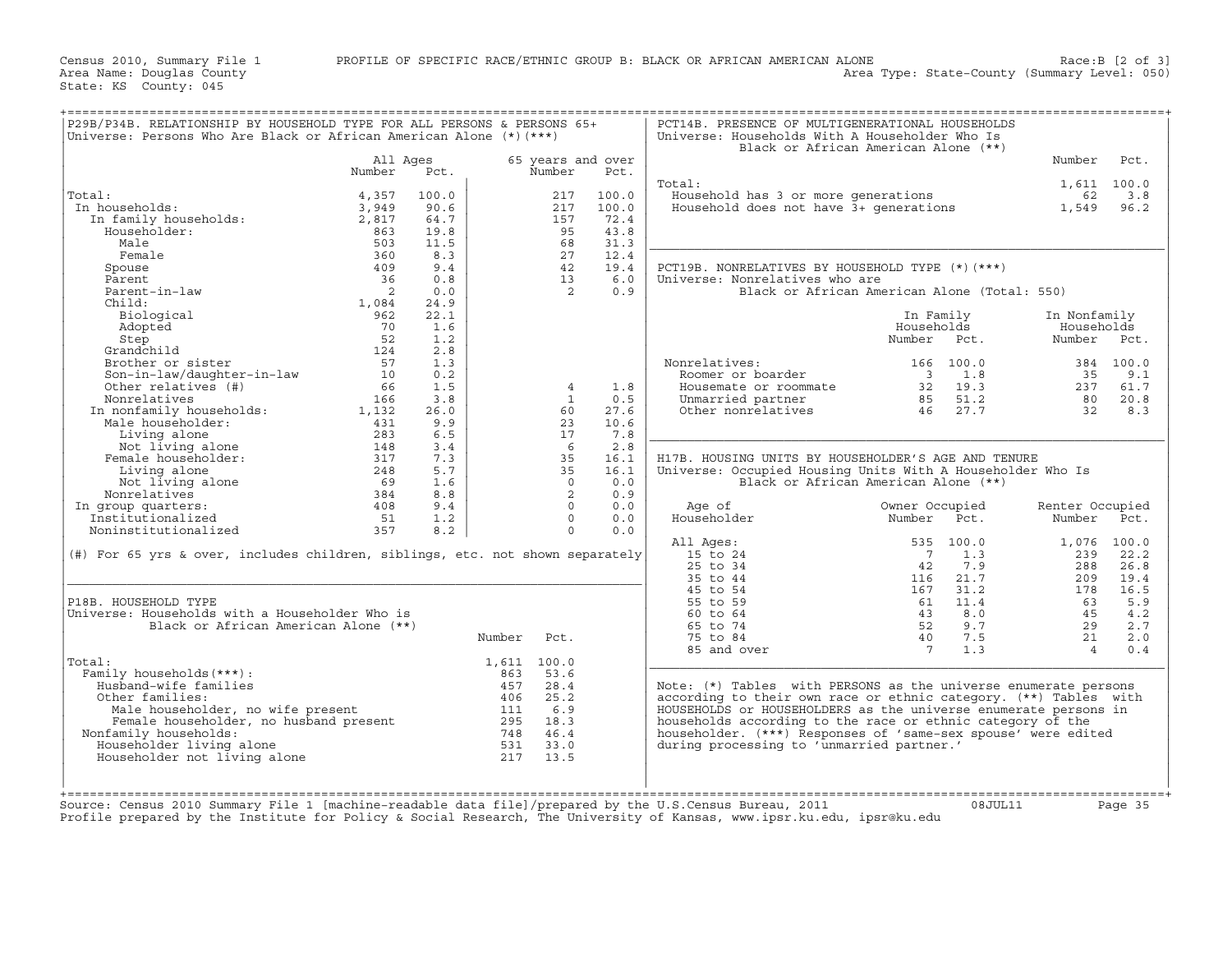Area Name: Douglas County Area Type: State−County (Summary Level: 050) State: KS County: 045

| P29B/P34B. RELATIONSHIP BY HOUSEHOLD TYPE FOR ALL PERSONS & PERSONS 65+<br>Universe: Persons Who Are Black or African American Alone (*) (***)                                                                                                                                                                                                                                                                                                                                                                                        |                |            |             |                            |       | PCT14B. PRESENCE OF MULTIGENERATIONAL HOUSEHOLDS<br>Universe: Households With A Householder Who Is                                     | Black or African American Alone (**)                                                                                                         | ======================== |                 |
|---------------------------------------------------------------------------------------------------------------------------------------------------------------------------------------------------------------------------------------------------------------------------------------------------------------------------------------------------------------------------------------------------------------------------------------------------------------------------------------------------------------------------------------|----------------|------------|-------------|----------------------------|-------|----------------------------------------------------------------------------------------------------------------------------------------|----------------------------------------------------------------------------------------------------------------------------------------------|--------------------------|-----------------|
|                                                                                                                                                                                                                                                                                                                                                                                                                                                                                                                                       | All Aqes       |            |             | 65 years and over          |       |                                                                                                                                        |                                                                                                                                              | Number                   | Pct.            |
|                                                                                                                                                                                                                                                                                                                                                                                                                                                                                                                                       | Number         | Pct.       |             | Number                     | Pct.  |                                                                                                                                        |                                                                                                                                              |                          |                 |
|                                                                                                                                                                                                                                                                                                                                                                                                                                                                                                                                       |                |            |             |                            |       | Total:                                                                                                                                 |                                                                                                                                              | 1,611 100.0              |                 |
| Total:<br>al:<br>1 households:<br>In family households:<br>-- sabelder:                                                                                                                                                                                                                                                                                                                                                                                                                                                               | 4,357          | 100.0      |             | 217                        | 100.0 | Household has 3 or more generations<br>Rousehold has 3 or more generations 62 5.8<br>Household does not have 3+ generations 1,549 96.2 |                                                                                                                                              | 62                       | 3.8             |
| In households:                                                                                                                                                                                                                                                                                                                                                                                                                                                                                                                        | 3,949          | 90.6       |             | 217                        | 100.0 |                                                                                                                                        |                                                                                                                                              |                          |                 |
|                                                                                                                                                                                                                                                                                                                                                                                                                                                                                                                                       | 2,817          | 64.7       |             | 157                        | 72.4  |                                                                                                                                        |                                                                                                                                              |                          |                 |
|                                                                                                                                                                                                                                                                                                                                                                                                                                                                                                                                       | 863            | 19.8       |             | 95                         | 43.8  |                                                                                                                                        |                                                                                                                                              |                          |                 |
| Male                                                                                                                                                                                                                                                                                                                                                                                                                                                                                                                                  | 503            | 11.5       |             | 68                         | 31.3  |                                                                                                                                        |                                                                                                                                              |                          |                 |
| Female                                                                                                                                                                                                                                                                                                                                                                                                                                                                                                                                | 360            | 8.3        |             | 27                         | 12.4  |                                                                                                                                        |                                                                                                                                              |                          |                 |
| Spouse                                                                                                                                                                                                                                                                                                                                                                                                                                                                                                                                | 409            | 9.4        |             | 42                         | 19.4  | PCT19B. NONRELATIVES BY HOUSEHOLD TYPE $(*)$ (***)                                                                                     |                                                                                                                                              |                          |                 |
| Parent                                                                                                                                                                                                                                                                                                                                                                                                                                                                                                                                | 36             | 0.8        |             | 13                         | 6.0   | Universe: Nonrelatives who are                                                                                                         |                                                                                                                                              |                          |                 |
| Parent-in-law                                                                                                                                                                                                                                                                                                                                                                                                                                                                                                                         | $\overline{2}$ | 0.0        |             | $\overline{2}$             | 0.9   |                                                                                                                                        | Black or African American Alone (Total: 550)                                                                                                 |                          |                 |
| Child:                                                                                                                                                                                                                                                                                                                                                                                                                                                                                                                                | 1,084          | 24.9       |             |                            |       |                                                                                                                                        |                                                                                                                                              |                          |                 |
| Biological                                                                                                                                                                                                                                                                                                                                                                                                                                                                                                                            | 962            | 22.1       |             |                            |       |                                                                                                                                        | In Family                                                                                                                                    | In Nonfamily             |                 |
| Adopted                                                                                                                                                                                                                                                                                                                                                                                                                                                                                                                               | 70             | 1.6        |             |                            |       |                                                                                                                                        | Households                                                                                                                                   | Households               |                 |
|                                                                                                                                                                                                                                                                                                                                                                                                                                                                                                                                       |                | 1.2        |             |                            |       |                                                                                                                                        | Number Pct.                                                                                                                                  | Number Pct.              |                 |
|                                                                                                                                                                                                                                                                                                                                                                                                                                                                                                                                       |                | 2.8<br>1.3 |             |                            |       | Nonrelatives:                                                                                                                          |                                                                                                                                              |                          |                 |
|                                                                                                                                                                                                                                                                                                                                                                                                                                                                                                                                       |                | 0.2        |             |                            |       | pnrelatives:<br>Roomer or boarder                                                                                                      | 166 100.0                                                                                                                                    | 35                       | 384 100.0       |
|                                                                                                                                                                                                                                                                                                                                                                                                                                                                                                                                       |                | 1.5        |             | $\overline{4}$             | 1.8   |                                                                                                                                        |                                                                                                                                              |                          | 9.1<br>237 61.7 |
|                                                                                                                                                                                                                                                                                                                                                                                                                                                                                                                                       |                | 3.8        |             | $\mathbf{1}$               | 0.5   |                                                                                                                                        |                                                                                                                                              |                          | 80 20.8         |
|                                                                                                                                                                                                                                                                                                                                                                                                                                                                                                                                       |                | 26.0       |             | 60                         | 27.6  |                                                                                                                                        | Roomer or boarder<br>Housemate or roommate<br>32 19.3<br>Unmarried partner<br>35 51.2<br>Other nonrelatives<br>46 27.7                       | $\overline{32}$          | 8.3             |
| Step<br>Step<br>Step<br>Grandchild<br>Brother or sister<br>Son-in-law<br>Other relatives (#)<br>Other relatives (#)<br>Monrelatives (#)<br>Fig. 166<br>In nonfamily households:<br>1,132<br>Male households:<br>1,132<br>Male households:<br>1,132<br>Male hou                                                                                                                                                                                                                                                                        |                | 9.9        |             | 23                         | 10.6  |                                                                                                                                        |                                                                                                                                              |                          |                 |
|                                                                                                                                                                                                                                                                                                                                                                                                                                                                                                                                       |                | 6.5        |             | 17                         | 7.8   |                                                                                                                                        |                                                                                                                                              |                          |                 |
|                                                                                                                                                                                                                                                                                                                                                                                                                                                                                                                                       |                | 3.4        |             | 6                          | 2.8   |                                                                                                                                        |                                                                                                                                              |                          |                 |
| 1, 132<br>Living alone 131<br>Not living alone 148<br>Female householder: 317<br>Living alone 148<br>Mot living alone 17                                                                                                                                                                                                                                                                                                                                                                                                              |                | 7.3        |             | 35                         | 16.1  | H17B. HOUSING UNITS BY HOUSEHOLDER'S AGE AND TENURE                                                                                    |                                                                                                                                              |                          |                 |
|                                                                                                                                                                                                                                                                                                                                                                                                                                                                                                                                       |                | 5.7        |             | 35                         | 16.1  | Universe: Occupied Housing Units With A Householder Who Is                                                                             |                                                                                                                                              |                          |                 |
| Not living alone<br>Not living alone<br>onrelatives<br>one of the state of the state of the state of the state of the state of the state of the state of the state of the state of the state of the state of the state of the state                                                                                                                                                                                                                                                                                                   |                | 1.6        |             | $\overline{0}$             | 0.0   |                                                                                                                                        | Black or African American Alone (**)                                                                                                         |                          |                 |
| Nonrelatives                                                                                                                                                                                                                                                                                                                                                                                                                                                                                                                          |                | 8.8        |             | $\overline{\phantom{0}}^2$ | 0.9   |                                                                                                                                        |                                                                                                                                              |                          |                 |
| In group quarters:                                                                                                                                                                                                                                                                                                                                                                                                                                                                                                                    |                | 9.4        |             | $\Omega$                   | 0.0   | Age of                                                                                                                                 | Owner Occupied                                                                                                                               | Renter Occupied          |                 |
| Institutionalized                                                                                                                                                                                                                                                                                                                                                                                                                                                                                                                     | 51             | 1.2        |             | $\Omega$                   | 0.0   | Householder                                                                                                                            | Number Pct.                                                                                                                                  | Number Pct.              |                 |
| Noninstitutionalized                                                                                                                                                                                                                                                                                                                                                                                                                                                                                                                  | 357            | 8.2        |             | $\Omega$                   | 0.0   |                                                                                                                                        |                                                                                                                                              |                          |                 |
|                                                                                                                                                                                                                                                                                                                                                                                                                                                                                                                                       |                |            |             |                            |       | All Ages:                                                                                                                              | 535 100.0                                                                                                                                    | 1,076 100.0              |                 |
| (#) For 65 yrs & over, includes children, siblings, etc. not shown separately                                                                                                                                                                                                                                                                                                                                                                                                                                                         |                |            |             |                            |       | 15 to 24                                                                                                                               |                                                                                                                                              |                          | 239 22.2        |
|                                                                                                                                                                                                                                                                                                                                                                                                                                                                                                                                       |                |            |             |                            |       |                                                                                                                                        |                                                                                                                                              |                          | 288 26.8        |
|                                                                                                                                                                                                                                                                                                                                                                                                                                                                                                                                       |                |            |             |                            |       |                                                                                                                                        |                                                                                                                                              | 209                      | 19.4            |
|                                                                                                                                                                                                                                                                                                                                                                                                                                                                                                                                       |                |            |             |                            |       |                                                                                                                                        |                                                                                                                                              | 178                      | 16.5            |
| P18B. HOUSEHOLD TYPE                                                                                                                                                                                                                                                                                                                                                                                                                                                                                                                  |                |            |             |                            |       | 15 to 24<br>25 to 34<br>35 to 44<br>45 to 54<br>55 to 59<br>60 to 64                                                                   | $\begin{array}{r} 7 & 1.3 \\ 7 & 1.3 \\ 42 & 7.9 \\ 116 & 21.7 \\ 167 & 31.2 \\ 61 & 1.4 \\ 43 & 8.0 \\ 52 & 9.7 \\ 40 & 7.5 \\ \end{array}$ | 63                       | 5.9             |
| Universe: Households with a Householder Who is                                                                                                                                                                                                                                                                                                                                                                                                                                                                                        |                |            |             |                            |       | 60 to 64                                                                                                                               |                                                                                                                                              | 45                       | 4.2             |
| Black or African American Alone (**)                                                                                                                                                                                                                                                                                                                                                                                                                                                                                                  |                |            |             |                            |       | 65 to 74                                                                                                                               |                                                                                                                                              | 29                       | 2.7             |
|                                                                                                                                                                                                                                                                                                                                                                                                                                                                                                                                       |                |            | Number      | Pct.                       |       | 75 to 84                                                                                                                               |                                                                                                                                              | 21                       | 2.0             |
|                                                                                                                                                                                                                                                                                                                                                                                                                                                                                                                                       |                |            |             |                            |       | 85 and over                                                                                                                            | 1.3<br>$\overline{7}$                                                                                                                        | $\overline{4}$           | 0.4             |
| Total:                                                                                                                                                                                                                                                                                                                                                                                                                                                                                                                                |                |            | 1,611 100.0 |                            |       |                                                                                                                                        |                                                                                                                                              |                          |                 |
| Family households (***):<br>Husband-wife families                                                                                                                                                                                                                                                                                                                                                                                                                                                                                     |                |            |             |                            |       | Note: $(*)$ Tables with PERSONS as the universe enumerate persons                                                                      |                                                                                                                                              |                          |                 |
| Other families:                                                                                                                                                                                                                                                                                                                                                                                                                                                                                                                       |                |            |             |                            |       | according to their own race or ethnic category. (**) Tables with                                                                       |                                                                                                                                              |                          |                 |
|                                                                                                                                                                                                                                                                                                                                                                                                                                                                                                                                       |                |            |             |                            |       | HOUSEHOLDS or HOUSEHOLDERS as the universe enumerate persons in                                                                        |                                                                                                                                              |                          |                 |
|                                                                                                                                                                                                                                                                                                                                                                                                                                                                                                                                       |                |            |             |                            |       | households according to the race or ethnic category of the                                                                             |                                                                                                                                              |                          |                 |
| Nonfamily households:                                                                                                                                                                                                                                                                                                                                                                                                                                                                                                                 |                |            |             |                            |       | householder. (***) Responses of 'same-sex spouse' were edited                                                                          |                                                                                                                                              |                          |                 |
| Householder living alone                                                                                                                                                                                                                                                                                                                                                                                                                                                                                                              |                |            |             |                            |       | during processing to 'unmarried partner.'                                                                                              |                                                                                                                                              |                          |                 |
| Householder not living alone                                                                                                                                                                                                                                                                                                                                                                                                                                                                                                          |                |            |             |                            |       |                                                                                                                                        |                                                                                                                                              |                          |                 |
| $\begin{tabular}{ll} i. & i. & i. & i. & i. \\ \hline \texttt{ubband-wide families} & \texttt{457} & \texttt{28.4} \\ \texttt{when families:} & \texttt{458} & \texttt{28.2} \\ \texttt{Male householder, no wife present} & \texttt{406} & \texttt{25.2} \\ \texttt{Female householder, no husband present} & \texttt{111} & \texttt{6.9} \\ \texttt{Female householder, no husband present} & \texttt{295} & \texttt{18.3} \\ \texttt{ifamily households:} & \texttt{748} & \texttt{46.4} \\ \texttt{Householder living alone} & \$ |                |            |             |                            |       |                                                                                                                                        |                                                                                                                                              |                          |                 |
|                                                                                                                                                                                                                                                                                                                                                                                                                                                                                                                                       |                |            |             |                            |       |                                                                                                                                        |                                                                                                                                              |                          |                 |
|                                                                                                                                                                                                                                                                                                                                                                                                                                                                                                                                       |                |            |             |                            |       |                                                                                                                                        |                                                                                                                                              |                          |                 |
| Source: Census 2010 Summary File 1 [machine-readable data file]/prepared by the U.S.Census Bureau, 2011                                                                                                                                                                                                                                                                                                                                                                                                                               |                |            |             |                            |       |                                                                                                                                        | $0.8$ . TUT. $1.1$                                                                                                                           |                          | Page 35         |

Source: Census 2010 Summary File 1 [machine−readable data file]/prepared by the U.S.Census Bureau, 2011 08JUL11 Page 35 Profile prepared by the Institute for Policy & Social Research, The University of Kansas, www.ipsr.ku.edu, ipsr@ku.edu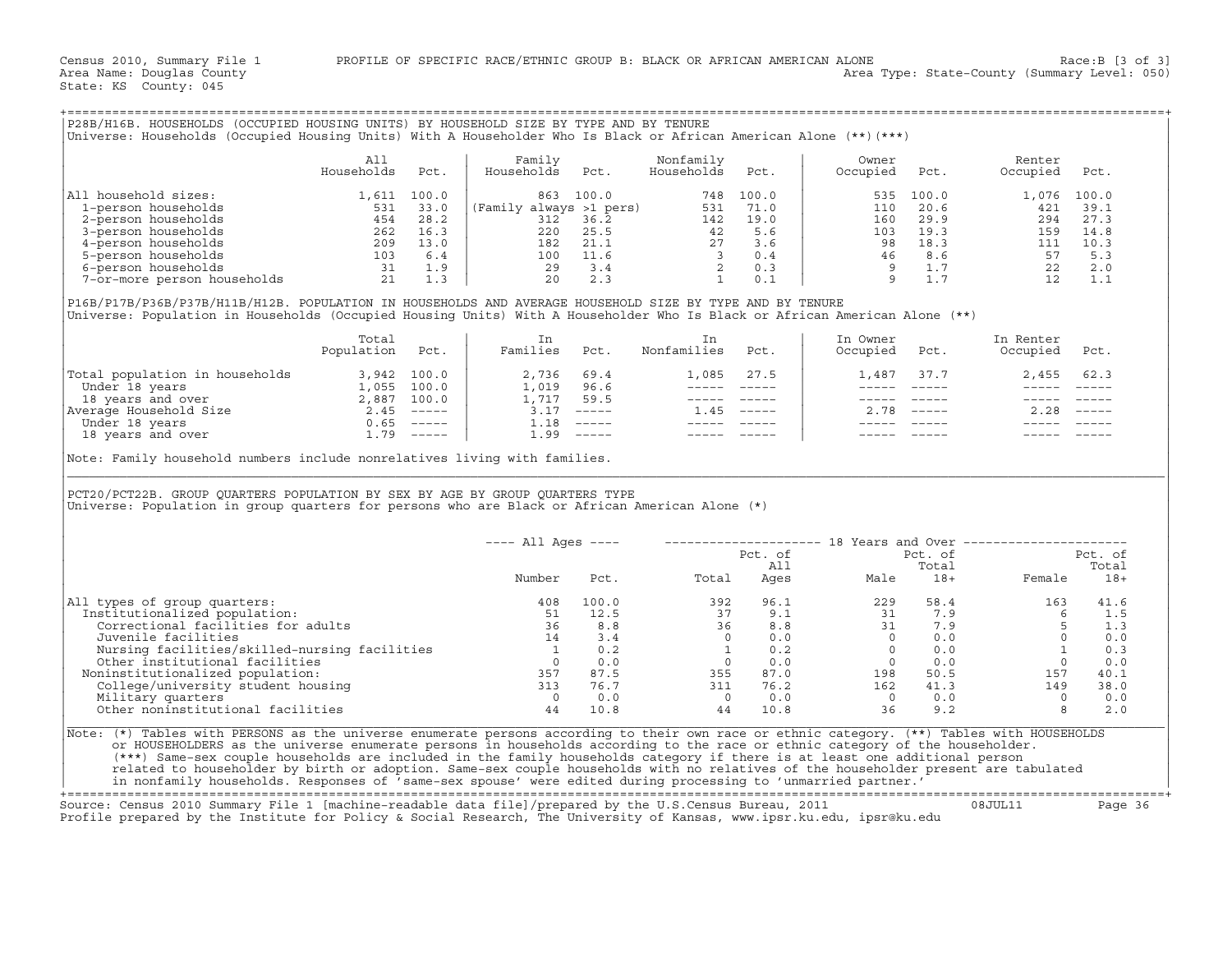| P28B/H16B. HOUSEHOLDS (OCCUPIED HOUSING UNITS) BY HOUSEHOLD SIZE BY TYPE AND BY TENURE<br>Universe: Households (Occupied Housing Units) With A Householder Who Is Black or African American Alone (**)(***) |                                                |                                                     |                                                                  |                                              |                               |                                                   |                                      |                                              |                                               |                                                     |  |
|-------------------------------------------------------------------------------------------------------------------------------------------------------------------------------------------------------------|------------------------------------------------|-----------------------------------------------------|------------------------------------------------------------------|----------------------------------------------|-------------------------------|---------------------------------------------------|--------------------------------------|----------------------------------------------|-----------------------------------------------|-----------------------------------------------------|--|
|                                                                                                                                                                                                             | All<br>Households                              | Pct.                                                | Family<br>Households                                             | Pct.                                         | Nonfamily<br>Households       | Pct.                                              | Owner<br>Occupied                    | Pct.                                         | Renter<br>Occupied                            | Pct.                                                |  |
| All household sizes:<br>1-person households<br>2-person households<br>3-person households<br>4-person households<br>5-person households<br>6-person households                                              | 1,611<br>531<br>454<br>262<br>209<br>103<br>31 | 100.0<br>33.0<br>28.2<br>16.3<br>13.0<br>6.4<br>1.9 | 863<br>(Family always >1 pers)<br>312<br>220<br>182<br>100<br>29 | 100.0<br>36.2<br>25.5<br>21.1<br>11.6<br>3.4 | 748<br>531<br>142<br>42<br>27 | 100.0<br>71.0<br>19.0<br>5.6<br>3.6<br>0.4<br>0.3 | 535<br>110<br>160<br>103<br>98<br>46 | 100.0<br>20.6<br>29.9<br>19.3<br>18.3<br>8.6 | 1,076<br>421<br>294<br>159<br>111<br>57<br>22 | 100.0<br>39.1<br>27.3<br>14.8<br>10.3<br>5.3<br>2.0 |  |
| 7-or-more person households                                                                                                                                                                                 | 21                                             | 1.3                                                 | 20                                                               | 2.3                                          |                               | 0.1                                               |                                      | 1.7                                          | 12                                            | 1.1                                                 |  |

|                                                  | Total<br>Population | Pct.                      | Families              | Pct.               | Nonfamilies | Pct.          | In Owner<br>Occupied | Pct.          | In Renter<br>Occupied | Pct.                      |
|--------------------------------------------------|---------------------|---------------------------|-----------------------|--------------------|-------------|---------------|----------------------|---------------|-----------------------|---------------------------|
| Total population in households<br>Under 18 years | 3,942<br>1,055      | 100.0<br>100.0            | 2,736<br>$\perp$ ,019 | 69.4<br>96.6       | 1,085       | 27.5          | 1,487                | 37.7          | 2,455                 | 62.3                      |
| 18 years and over                                | 2,887               | 100.0                     | $\perp$ , 717         | 59.5               |             |               |                      |               |                       |                           |
| Average Household Size<br>Under 18 years         | 2.45<br>0.65        | $------$<br>$- - - - - -$ | 3.17<br>1.18          | $------$<br>______ | .45         | $\frac{1}{2}$ | 2.78                 | $\frac{1}{2}$ | 2.28                  | $\qquad \qquad - - - - -$ |
| 18 years and over                                | 1.79                | $\frac{1}{2}$             | 1.99                  | ______             |             |               |                      |               |                       |                           |

|                                                                                                                                                                                                                                                                                                                                                                                                                                                  | All             |      | Family                |        | Nonfamily                      |                                                                                                                                                                                                                                                                                                                                                                                                                                     | Owner                                                                                                                                                                                                                                                                                                                                                                                                                                                                      |                                                                                                                                                                                                                                                                                                                                                                                              | Renter                                                                                                                                                                                                                                                                                           |            |
|--------------------------------------------------------------------------------------------------------------------------------------------------------------------------------------------------------------------------------------------------------------------------------------------------------------------------------------------------------------------------------------------------------------------------------------------------|-----------------|------|-----------------------|--------|--------------------------------|-------------------------------------------------------------------------------------------------------------------------------------------------------------------------------------------------------------------------------------------------------------------------------------------------------------------------------------------------------------------------------------------------------------------------------------|----------------------------------------------------------------------------------------------------------------------------------------------------------------------------------------------------------------------------------------------------------------------------------------------------------------------------------------------------------------------------------------------------------------------------------------------------------------------------|----------------------------------------------------------------------------------------------------------------------------------------------------------------------------------------------------------------------------------------------------------------------------------------------------------------------------------------------------------------------------------------------|--------------------------------------------------------------------------------------------------------------------------------------------------------------------------------------------------------------------------------------------------------------------------------------------------|------------|
|                                                                                                                                                                                                                                                                                                                                                                                                                                                  | Households      | Pct. | Households            | Pct.   | Households                     | Pct.                                                                                                                                                                                                                                                                                                                                                                                                                                | Occupied                                                                                                                                                                                                                                                                                                                                                                                                                                                                   | Pct.                                                                                                                                                                                                                                                                                                                                                                                         | Occupied Pct.                                                                                                                                                                                                                                                                                    |            |
| All household sizes:                                                                                                                                                                                                                                                                                                                                                                                                                             |                 |      |                       |        |                                |                                                                                                                                                                                                                                                                                                                                                                                                                                     |                                                                                                                                                                                                                                                                                                                                                                                                                                                                            |                                                                                                                                                                                                                                                                                                                                                                                              |                                                                                                                                                                                                                                                                                                  |            |
|                                                                                                                                                                                                                                                                                                                                                                                                                                                  |                 |      |                       |        |                                |                                                                                                                                                                                                                                                                                                                                                                                                                                     |                                                                                                                                                                                                                                                                                                                                                                                                                                                                            |                                                                                                                                                                                                                                                                                                                                                                                              |                                                                                                                                                                                                                                                                                                  |            |
|                                                                                                                                                                                                                                                                                                                                                                                                                                                  |                 |      |                       |        |                                |                                                                                                                                                                                                                                                                                                                                                                                                                                     |                                                                                                                                                                                                                                                                                                                                                                                                                                                                            |                                                                                                                                                                                                                                                                                                                                                                                              |                                                                                                                                                                                                                                                                                                  |            |
|                                                                                                                                                                                                                                                                                                                                                                                                                                                  |                 |      |                       |        |                                |                                                                                                                                                                                                                                                                                                                                                                                                                                     |                                                                                                                                                                                                                                                                                                                                                                                                                                                                            |                                                                                                                                                                                                                                                                                                                                                                                              |                                                                                                                                                                                                                                                                                                  |            |
|                                                                                                                                                                                                                                                                                                                                                                                                                                                  |                 |      |                       |        |                                |                                                                                                                                                                                                                                                                                                                                                                                                                                     |                                                                                                                                                                                                                                                                                                                                                                                                                                                                            |                                                                                                                                                                                                                                                                                                                                                                                              |                                                                                                                                                                                                                                                                                                  |            |
|                                                                                                                                                                                                                                                                                                                                                                                                                                                  |                 |      |                       |        |                                |                                                                                                                                                                                                                                                                                                                                                                                                                                     |                                                                                                                                                                                                                                                                                                                                                                                                                                                                            |                                                                                                                                                                                                                                                                                                                                                                                              |                                                                                                                                                                                                                                                                                                  |            |
|                                                                                                                                                                                                                                                                                                                                                                                                                                                  |                 |      |                       |        |                                |                                                                                                                                                                                                                                                                                                                                                                                                                                     |                                                                                                                                                                                                                                                                                                                                                                                                                                                                            |                                                                                                                                                                                                                                                                                                                                                                                              |                                                                                                                                                                                                                                                                                                  |            |
|                                                                                                                                                                                                                                                                                                                                                                                                                                                  |                 |      |                       |        |                                |                                                                                                                                                                                                                                                                                                                                                                                                                                     |                                                                                                                                                                                                                                                                                                                                                                                                                                                                            |                                                                                                                                                                                                                                                                                                                                                                                              |                                                                                                                                                                                                                                                                                                  |            |
| P16B/P17B/P36B/P37B/H11B/H12B. POPULATION IN HOUSEHOLDS AND AVERAGE HOUSEHOLD SIZE BY TYPE AND BY TENURE<br>Universe: Population in Households (Occupied Housing Units) With A Householder Who Is Black or African American Alone (**)                                                                                                                                                                                                           |                 |      |                       |        |                                |                                                                                                                                                                                                                                                                                                                                                                                                                                     |                                                                                                                                                                                                                                                                                                                                                                                                                                                                            |                                                                                                                                                                                                                                                                                                                                                                                              |                                                                                                                                                                                                                                                                                                  |            |
|                                                                                                                                                                                                                                                                                                                                                                                                                                                  | Total           |      | In                    |        | In                             |                                                                                                                                                                                                                                                                                                                                                                                                                                     | In Owner                                                                                                                                                                                                                                                                                                                                                                                                                                                                   |                                                                                                                                                                                                                                                                                                                                                                                              | In Renter                                                                                                                                                                                                                                                                                        |            |
|                                                                                                                                                                                                                                                                                                                                                                                                                                                  | Population Pct. |      |                       |        | Families Pct. Nonfamilies Pct. |                                                                                                                                                                                                                                                                                                                                                                                                                                     | Occupied Pct.                                                                                                                                                                                                                                                                                                                                                                                                                                                              |                                                                                                                                                                                                                                                                                                                                                                                              | Occupied Pct.                                                                                                                                                                                                                                                                                    |            |
| Total population in households<br>Under 18 years<br>18 years and over<br>2,887 100.0<br>2,887 100.0<br>2,887 100.0<br>2,887 100.0<br>1,717 59.5<br>2.45 -----<br>2.45 -----<br>2.45 -----<br>1.18 -----<br>1.18 -----<br>1.99 -----<br>1.99 -----<br>1.99                                                                                                                                                                                        |                 |      |                       |        |                                | 1,085 27.5                                                                                                                                                                                                                                                                                                                                                                                                                          |                                                                                                                                                                                                                                                                                                                                                                                                                                                                            | 1,487 37.7                                                                                                                                                                                                                                                                                                                                                                                   | 2,455 62.3                                                                                                                                                                                                                                                                                       |            |
|                                                                                                                                                                                                                                                                                                                                                                                                                                                  |                 |      |                       |        |                                |                                                                                                                                                                                                                                                                                                                                                                                                                                     | $\frac{1}{2} \left( \frac{1}{2} \right) \left( \frac{1}{2} \right) \left( \frac{1}{2} \right) \left( \frac{1}{2} \right) \left( \frac{1}{2} \right) \left( \frac{1}{2} \right) \left( \frac{1}{2} \right) \left( \frac{1}{2} \right) \left( \frac{1}{2} \right) \left( \frac{1}{2} \right) \left( \frac{1}{2} \right) \left( \frac{1}{2} \right) \left( \frac{1}{2} \right) \left( \frac{1}{2} \right) \left( \frac{1}{2} \right) \left( \frac{1}{2} \right) \left( \frac$ | $\frac{1}{2} \frac{1}{2} \frac{1}{2} \frac{1}{2} \frac{1}{2} \frac{1}{2} \frac{1}{2} \frac{1}{2} \frac{1}{2} \frac{1}{2} \frac{1}{2} \frac{1}{2} \frac{1}{2} \frac{1}{2} \frac{1}{2} \frac{1}{2} \frac{1}{2} \frac{1}{2} \frac{1}{2} \frac{1}{2} \frac{1}{2} \frac{1}{2} \frac{1}{2} \frac{1}{2} \frac{1}{2} \frac{1}{2} \frac{1}{2} \frac{1}{2} \frac{1}{2} \frac{1}{2} \frac{1}{2} \frac{$ | $\begin{array}{ccccccccc} - & - & - & - & - & - & - \\ & - & - & - & - & - \\ \end{array}$                                                                                                                                                                                                       |            |
|                                                                                                                                                                                                                                                                                                                                                                                                                                                  |                 |      |                       |        | ________________               |                                                                                                                                                                                                                                                                                                                                                                                                                                     |                                                                                                                                                                                                                                                                                                                                                                                                                                                                            | ----- ----- -                                                                                                                                                                                                                                                                                                                                                                                |                                                                                                                                                                                                                                                                                                  |            |
|                                                                                                                                                                                                                                                                                                                                                                                                                                                  |                 |      |                       |        | $1.45$ -----                   |                                                                                                                                                                                                                                                                                                                                                                                                                                     |                                                                                                                                                                                                                                                                                                                                                                                                                                                                            | $2.78$ -----                                                                                                                                                                                                                                                                                                                                                                                 | $2.28$ -----                                                                                                                                                                                                                                                                                     |            |
|                                                                                                                                                                                                                                                                                                                                                                                                                                                  |                 |      |                       |        |                                |                                                                                                                                                                                                                                                                                                                                                                                                                                     |                                                                                                                                                                                                                                                                                                                                                                                                                                                                            |                                                                                                                                                                                                                                                                                                                                                                                              |                                                                                                                                                                                                                                                                                                  |            |
|                                                                                                                                                                                                                                                                                                                                                                                                                                                  |                 |      |                       |        |                                |                                                                                                                                                                                                                                                                                                                                                                                                                                     |                                                                                                                                                                                                                                                                                                                                                                                                                                                                            |                                                                                                                                                                                                                                                                                                                                                                                              |                                                                                                                                                                                                                                                                                                  |            |
| Note: Family household numbers include nonrelatives living with families.                                                                                                                                                                                                                                                                                                                                                                        |                 |      |                       |        |                                | $\begin{tabular}{lllllllllll} \multicolumn{2}{c}{\multicolumn{2}{c}{\hspace{-2.2cm}=\hspace{-2.2cm}-\hspace{-2.2cm}-\hspace{-2.2cm}\hspace{-2.2cm}-\hspace{-2.2cm}\hspace{-2.2cm}\hspace{-2.2cm}\hspace{-2.2cm}\hspace{-2.2cm}\hspace{-2.2cm}\hspace{-2.2cm}\hspace{-2.2cm}\hspace{-2.2cm}\hspace{-2.2cm}\hspace{-2.2cm}\hspace{-2.2cm}\hspace{-2.2cm}\hspace{-2.2cm}\hspace{-2.2cm}\hspace{-2.2cm}\hspace{-2.2cm}\hspace{-2.2cm}\$ | $\begin{array}{cccccc} - & - & - & - & - & - & - \\ & - & - & - & - & - \\ & & - & - & - & - \\ \end{array}$                                                                                                                                                                                                                                                                                                                                                               |                                                                                                                                                                                                                                                                                                                                                                                              |                                                                                                                                                                                                                                                                                                  |            |
|                                                                                                                                                                                                                                                                                                                                                                                                                                                  |                 |      |                       |        |                                |                                                                                                                                                                                                                                                                                                                                                                                                                                     |                                                                                                                                                                                                                                                                                                                                                                                                                                                                            |                                                                                                                                                                                                                                                                                                                                                                                              |                                                                                                                                                                                                                                                                                                  |            |
|                                                                                                                                                                                                                                                                                                                                                                                                                                                  |                 |      |                       |        |                                |                                                                                                                                                                                                                                                                                                                                                                                                                                     |                                                                                                                                                                                                                                                                                                                                                                                                                                                                            |                                                                                                                                                                                                                                                                                                                                                                                              | ---- All Ages ----    --------------------    18 Years and Over ---------------------                                                                                                                                                                                                            |            |
|                                                                                                                                                                                                                                                                                                                                                                                                                                                  |                 |      |                       |        |                                |                                                                                                                                                                                                                                                                                                                                                                                                                                     |                                                                                                                                                                                                                                                                                                                                                                                                                                                                            |                                                                                                                                                                                                                                                                                                                                                                                              |                                                                                                                                                                                                                                                                                                  |            |
|                                                                                                                                                                                                                                                                                                                                                                                                                                                  |                 |      |                       |        |                                |                                                                                                                                                                                                                                                                                                                                                                                                                                     |                                                                                                                                                                                                                                                                                                                                                                                                                                                                            |                                                                                                                                                                                                                                                                                                                                                                                              |                                                                                                                                                                                                                                                                                                  |            |
|                                                                                                                                                                                                                                                                                                                                                                                                                                                  |                 |      | Number                |        |                                |                                                                                                                                                                                                                                                                                                                                                                                                                                     |                                                                                                                                                                                                                                                                                                                                                                                                                                                                            |                                                                                                                                                                                                                                                                                                                                                                                              | Pct. of Pct. of Pct. of Pct. of Pct. of Pct. of Pct. of All Total Total Total Pct. $\frac{1}{2}$                                                                                                                                                                                                 |            |
|                                                                                                                                                                                                                                                                                                                                                                                                                                                  |                 |      | 408                   | 100.0  |                                |                                                                                                                                                                                                                                                                                                                                                                                                                                     |                                                                                                                                                                                                                                                                                                                                                                                                                                                                            |                                                                                                                                                                                                                                                                                                                                                                                              |                                                                                                                                                                                                                                                                                                  |            |
| Institutionalized population:                                                                                                                                                                                                                                                                                                                                                                                                                    |                 |      |                       |        |                                |                                                                                                                                                                                                                                                                                                                                                                                                                                     |                                                                                                                                                                                                                                                                                                                                                                                                                                                                            |                                                                                                                                                                                                                                                                                                                                                                                              |                                                                                                                                                                                                                                                                                                  |            |
| Correctional facilities for adults                                                                                                                                                                                                                                                                                                                                                                                                               |                 |      | $51$ $12.5$<br>36 8.8 |        |                                |                                                                                                                                                                                                                                                                                                                                                                                                                                     |                                                                                                                                                                                                                                                                                                                                                                                                                                                                            |                                                                                                                                                                                                                                                                                                                                                                                              |                                                                                                                                                                                                                                                                                                  |            |
| Juvenile facilities                                                                                                                                                                                                                                                                                                                                                                                                                              |                 |      |                       | 14 3.4 |                                |                                                                                                                                                                                                                                                                                                                                                                                                                                     |                                                                                                                                                                                                                                                                                                                                                                                                                                                                            |                                                                                                                                                                                                                                                                                                                                                                                              |                                                                                                                                                                                                                                                                                                  |            |
|                                                                                                                                                                                                                                                                                                                                                                                                                                                  |                 |      |                       |        |                                |                                                                                                                                                                                                                                                                                                                                                                                                                                     |                                                                                                                                                                                                                                                                                                                                                                                                                                                                            |                                                                                                                                                                                                                                                                                                                                                                                              |                                                                                                                                                                                                                                                                                                  |            |
|                                                                                                                                                                                                                                                                                                                                                                                                                                                  |                 |      |                       |        |                                |                                                                                                                                                                                                                                                                                                                                                                                                                                     |                                                                                                                                                                                                                                                                                                                                                                                                                                                                            |                                                                                                                                                                                                                                                                                                                                                                                              |                                                                                                                                                                                                                                                                                                  |            |
|                                                                                                                                                                                                                                                                                                                                                                                                                                                  |                 |      |                       |        |                                |                                                                                                                                                                                                                                                                                                                                                                                                                                     |                                                                                                                                                                                                                                                                                                                                                                                                                                                                            |                                                                                                                                                                                                                                                                                                                                                                                              |                                                                                                                                                                                                                                                                                                  |            |
| Noninstitutionalized population:                                                                                                                                                                                                                                                                                                                                                                                                                 |                 |      |                       |        |                                |                                                                                                                                                                                                                                                                                                                                                                                                                                     |                                                                                                                                                                                                                                                                                                                                                                                                                                                                            |                                                                                                                                                                                                                                                                                                                                                                                              |                                                                                                                                                                                                                                                                                                  |            |
|                                                                                                                                                                                                                                                                                                                                                                                                                                                  |                 |      |                       |        |                                | $0 \qquad 0.0$                                                                                                                                                                                                                                                                                                                                                                                                                      |                                                                                                                                                                                                                                                                                                                                                                                                                                                                            |                                                                                                                                                                                                                                                                                                                                                                                              | $\begin{array}{cccccc} 392 & 96.1 & 229 & 58.4 & 163 & 41.6 \\ 37 & 9.1 & 31 & 7.9 & 6 & 1.5 \\ 36 & 8.8 & 31 & 7.9 & 5 & 1.3 \\ 0 & 0.0 & 0 & 0.0 & 0 & 0 & 0.0 \\ 1 & 0.2 & 0 & 0.0 & 1 & 0.3 \\ 0 & 0.0 & 0 & 0.0 & 0 & 0.0 \\ 355 & 87.0 & 198 & 50.5 & 157 & 40.1 \\ 311 & 76.2 & 162 & 41$ |            |
|                                                                                                                                                                                                                                                                                                                                                                                                                                                  |                 |      |                       |        | 44                             | 10.8                                                                                                                                                                                                                                                                                                                                                                                                                                |                                                                                                                                                                                                                                                                                                                                                                                                                                                                            |                                                                                                                                                                                                                                                                                                                                                                                              |                                                                                                                                                                                                                                                                                                  | 0.0<br>2.0 |
| PCT20/PCT22B. GROUP QUARTERS POPULATION BY SEX BY AGE BY GROUP QUARTERS TYPE<br>Universe: Population in group quarters for persons who are Black or African American Alone (*)<br>All types of group quarters:<br>Nursing facilities and the Mursing facilities of the minimism of the institutional facilities and the other institutional facilities and the other institutionalized population: a set of the other monimitiative due of the M |                 |      |                       |        |                                |                                                                                                                                                                                                                                                                                                                                                                                                                                     | $\begin{array}{ccc} -0 & 0.0 \\ 0 & 0.0 \\ 36 & 9.2 \end{array}$                                                                                                                                                                                                                                                                                                                                                                                                           |                                                                                                                                                                                                                                                                                                                                                                                              | $\frac{0}{8}$                                                                                                                                                                                                                                                                                    |            |
|                                                                                                                                                                                                                                                                                                                                                                                                                                                  |                 |      |                       |        |                                |                                                                                                                                                                                                                                                                                                                                                                                                                                     |                                                                                                                                                                                                                                                                                                                                                                                                                                                                            |                                                                                                                                                                                                                                                                                                                                                                                              |                                                                                                                                                                                                                                                                                                  |            |
| Note: (*) Tables with PERSONS as the universe enumerate persons according to their own race or ethnic category. (**) Tables with HOUSEHOLDS                                                                                                                                                                                                                                                                                                      |                 |      |                       |        |                                |                                                                                                                                                                                                                                                                                                                                                                                                                                     |                                                                                                                                                                                                                                                                                                                                                                                                                                                                            |                                                                                                                                                                                                                                                                                                                                                                                              |                                                                                                                                                                                                                                                                                                  |            |
| or HOUSEHOLDERS as the universe enumerate persons in households according to the race or ethnic category of the householder.<br>(***) Same-sex couple households are included in the family households category if there is at least one additional person                                                                                                                                                                                       |                 |      |                       |        |                                |                                                                                                                                                                                                                                                                                                                                                                                                                                     |                                                                                                                                                                                                                                                                                                                                                                                                                                                                            |                                                                                                                                                                                                                                                                                                                                                                                              |                                                                                                                                                                                                                                                                                                  |            |

+===================================================================================================================================================+

Source: Census 2010 Summary File 1 [machine−readable data file]/prepared by the U.S.Census Bureau, 2011 08JUL11 Page 36 Profile prepared by the Institute for Policy & Social Research, The University of Kansas, www.ipsr.ku.edu, ipsr@ku.edu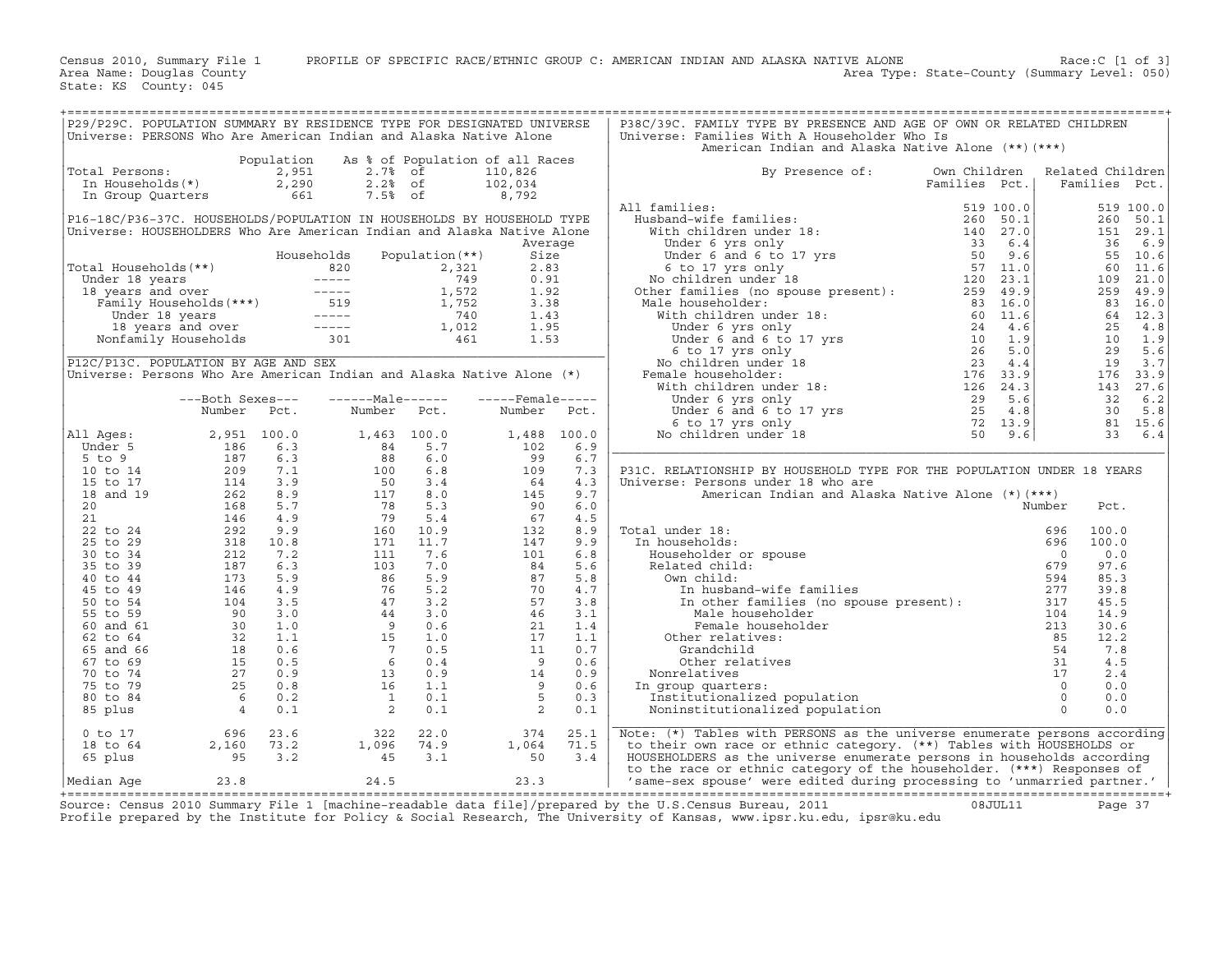Census 2010, Summary File 1 PROFILE OF SPECIFIC RACE/ETHNIC GROUP C: AMERICAN INDIAN AND ALASKA NATIVE ALONE Race:C [1 of 3]<br>Area Name: Douglas County (summary Level: 050) Area Type: State-County (Summary Level: 050)

State: KS County: 045

| P29/P29C. POPULATION SUMMARY BY RESIDENCE TYPE FOR DESIGNATED UNIVERSE<br>Universe: PERSONS Who Are American Indian and Alaska Native Alone                                                                                                                              |                                                                                                                                                                                                                                                                                          |                                                                                                                                                                                                                                                  |                  |      | P38C/39C. FAMILY TYPE BY PRESENCE AND AGE OF OWN OR RELATED CHILDREN<br>Universe: Families With A Householder Who Is<br>American Indian and Alaska Native Alone (**) (***)                                                                               |              |        |                                                                                                                                                          |           |
|--------------------------------------------------------------------------------------------------------------------------------------------------------------------------------------------------------------------------------------------------------------------------|------------------------------------------------------------------------------------------------------------------------------------------------------------------------------------------------------------------------------------------------------------------------------------------|--------------------------------------------------------------------------------------------------------------------------------------------------------------------------------------------------------------------------------------------------|------------------|------|----------------------------------------------------------------------------------------------------------------------------------------------------------------------------------------------------------------------------------------------------------|--------------|--------|----------------------------------------------------------------------------------------------------------------------------------------------------------|-----------|
|                                                                                                                                                                                                                                                                          |                                                                                                                                                                                                                                                                                          | Population As % of Population of all Races                                                                                                                                                                                                       |                  |      |                                                                                                                                                                                                                                                          |              |        |                                                                                                                                                          |           |
|                                                                                                                                                                                                                                                                          |                                                                                                                                                                                                                                                                                          |                                                                                                                                                                                                                                                  |                  |      | By Presence of:                                                                                                                                                                                                                                          | Own Children |        | Related Children                                                                                                                                         |           |
| Total Persons: 2,951 2.7% of 110,826<br>In Households(*) 2,290 2.2% of 102,034<br>In Group Quarters 661 7.5% of 8,792                                                                                                                                                    |                                                                                                                                                                                                                                                                                          |                                                                                                                                                                                                                                                  |                  |      | Families Pct.<br>11 families :<br>Husband-wife families :<br>With children under 18:<br>Under 6 yrs only<br>Under 6 and 6 to 17 yrs<br>40 continues in the boundary of the control of the state of the state<br>No children under 18<br>Other            |              |        | Families Pct.                                                                                                                                            |           |
|                                                                                                                                                                                                                                                                          |                                                                                                                                                                                                                                                                                          |                                                                                                                                                                                                                                                  |                  |      |                                                                                                                                                                                                                                                          |              |        |                                                                                                                                                          |           |
|                                                                                                                                                                                                                                                                          |                                                                                                                                                                                                                                                                                          |                                                                                                                                                                                                                                                  |                  |      | All families:                                                                                                                                                                                                                                            |              |        |                                                                                                                                                          | 519 100.0 |
|                                                                                                                                                                                                                                                                          |                                                                                                                                                                                                                                                                                          | P16-18C/P36-37C. HOUSEHOLDS/POPULATION IN HOUSEHOLDS BY HOUSEHOLD TYPE                                                                                                                                                                           |                  |      |                                                                                                                                                                                                                                                          |              |        |                                                                                                                                                          | 260 50.1  |
|                                                                                                                                                                                                                                                                          |                                                                                                                                                                                                                                                                                          | Universe: HOUSEHOLDERS Who Are American Indian and Alaska Native Alone                                                                                                                                                                           |                  |      |                                                                                                                                                                                                                                                          |              |        |                                                                                                                                                          | 151 29.1  |
|                                                                                                                                                                                                                                                                          |                                                                                                                                                                                                                                                                                          |                                                                                                                                                                                                                                                  | Average          |      |                                                                                                                                                                                                                                                          |              |        |                                                                                                                                                          |           |
| Total Households (**)<br>Total Households (**)<br>Under 18 years<br>18 years<br>18 years<br>18 years<br>Tamily Households (***)<br>Under 18 years<br>1,572<br>1,572<br>1,572<br>1,572<br>1,572<br>1,572<br>1,95<br>1,572<br>1,95<br>1,95<br>1,012<br>1,95<br>1,012<br>1, |                                                                                                                                                                                                                                                                                          |                                                                                                                                                                                                                                                  |                  |      |                                                                                                                                                                                                                                                          |              |        | $\begin{array}{rrrr} 151 & 29.1 \\ 36 & 6.9 \\ 55 & 10.6 \\ 60 & 11.6 \\ 109 & 21.0 \\ 259 & 49.9 \\ 83 & 16.0 \\ 84 & 12.3 \end{array}$                 |           |
|                                                                                                                                                                                                                                                                          |                                                                                                                                                                                                                                                                                          |                                                                                                                                                                                                                                                  |                  |      |                                                                                                                                                                                                                                                          |              |        |                                                                                                                                                          |           |
|                                                                                                                                                                                                                                                                          |                                                                                                                                                                                                                                                                                          |                                                                                                                                                                                                                                                  |                  |      |                                                                                                                                                                                                                                                          |              |        |                                                                                                                                                          |           |
|                                                                                                                                                                                                                                                                          |                                                                                                                                                                                                                                                                                          |                                                                                                                                                                                                                                                  |                  |      |                                                                                                                                                                                                                                                          |              |        |                                                                                                                                                          |           |
|                                                                                                                                                                                                                                                                          |                                                                                                                                                                                                                                                                                          |                                                                                                                                                                                                                                                  |                  |      | All the families (no spouse present): $259$ 49.9<br>iale householder: 83 16.0<br>With children under 18: $104$<br>Under 6 yrs only $24$ 4.6<br>Under 6 and 6 to 17 yrs $10$ 1.9<br>6 to 17 yrs $10$ 1.9<br>6 to 17 yrs $10$ 1.9<br>No childr             |              |        |                                                                                                                                                          |           |
|                                                                                                                                                                                                                                                                          |                                                                                                                                                                                                                                                                                          |                                                                                                                                                                                                                                                  |                  |      | Male householder:                                                                                                                                                                                                                                        |              |        | $83 \t 16.0$<br>$25 \t 4.8$<br>$25 \t 4.8$<br>$10 \t 1.9$<br>$29 \t 5.6$<br>$176 \t 33.7$<br>$143 \t 27.6$<br>$32 \t 6.2$<br>$31 \t 15.6$<br>$33 \t 6.4$ |           |
|                                                                                                                                                                                                                                                                          |                                                                                                                                                                                                                                                                                          |                                                                                                                                                                                                                                                  |                  |      |                                                                                                                                                                                                                                                          |              |        |                                                                                                                                                          |           |
|                                                                                                                                                                                                                                                                          |                                                                                                                                                                                                                                                                                          |                                                                                                                                                                                                                                                  |                  |      |                                                                                                                                                                                                                                                          |              |        |                                                                                                                                                          |           |
|                                                                                                                                                                                                                                                                          |                                                                                                                                                                                                                                                                                          |                                                                                                                                                                                                                                                  |                  |      |                                                                                                                                                                                                                                                          |              |        |                                                                                                                                                          |           |
|                                                                                                                                                                                                                                                                          |                                                                                                                                                                                                                                                                                          |                                                                                                                                                                                                                                                  |                  |      |                                                                                                                                                                                                                                                          |              |        |                                                                                                                                                          |           |
| P12C/P13C. POPULATION BY AGE AND SEX                                                                                                                                                                                                                                     |                                                                                                                                                                                                                                                                                          |                                                                                                                                                                                                                                                  |                  |      |                                                                                                                                                                                                                                                          |              |        |                                                                                                                                                          |           |
|                                                                                                                                                                                                                                                                          |                                                                                                                                                                                                                                                                                          | Universe: Persons Who Are American Indian and Alaska Native Alone (*)                                                                                                                                                                            |                  |      | Female householder:                                                                                                                                                                                                                                      |              |        |                                                                                                                                                          |           |
|                                                                                                                                                                                                                                                                          |                                                                                                                                                                                                                                                                                          |                                                                                                                                                                                                                                                  |                  |      |                                                                                                                                                                                                                                                          |              |        |                                                                                                                                                          |           |
|                                                                                                                                                                                                                                                                          | ---Both Sexes---                                                                                                                                                                                                                                                                         | ------Male------                                                                                                                                                                                                                                 | -----Female----- |      |                                                                                                                                                                                                                                                          |              |        |                                                                                                                                                          |           |
|                                                                                                                                                                                                                                                                          | Number Pct.                                                                                                                                                                                                                                                                              | Number Pct.                                                                                                                                                                                                                                      | Number Pct.      |      |                                                                                                                                                                                                                                                          |              |        |                                                                                                                                                          |           |
|                                                                                                                                                                                                                                                                          |                                                                                                                                                                                                                                                                                          |                                                                                                                                                                                                                                                  |                  |      |                                                                                                                                                                                                                                                          |              |        |                                                                                                                                                          |           |
| All Ages:                                                                                                                                                                                                                                                                |                                                                                                                                                                                                                                                                                          |                                                                                                                                                                                                                                                  | 1,488 100.0      |      |                                                                                                                                                                                                                                                          |              |        |                                                                                                                                                          |           |
|                                                                                                                                                                                                                                                                          |                                                                                                                                                                                                                                                                                          |                                                                                                                                                                                                                                                  |                  | 6.9  |                                                                                                                                                                                                                                                          |              |        |                                                                                                                                                          |           |
|                                                                                                                                                                                                                                                                          |                                                                                                                                                                                                                                                                                          |                                                                                                                                                                                                                                                  |                  | 6.7  |                                                                                                                                                                                                                                                          |              |        |                                                                                                                                                          |           |
|                                                                                                                                                                                                                                                                          |                                                                                                                                                                                                                                                                                          |                                                                                                                                                                                                                                                  |                  | 7.3  | P31C. RELATIONSHIP BY HOUSEHOLD TYPE FOR THE POPULATION UNDER 18 YEARS                                                                                                                                                                                   |              |        |                                                                                                                                                          |           |
|                                                                                                                                                                                                                                                                          |                                                                                                                                                                                                                                                                                          |                                                                                                                                                                                                                                                  |                  | 4.3  | Universe: Persons under 18 who are                                                                                                                                                                                                                       |              |        |                                                                                                                                                          |           |
|                                                                                                                                                                                                                                                                          |                                                                                                                                                                                                                                                                                          |                                                                                                                                                                                                                                                  |                  | 9.7  | American Indian and Alaska Native Alone (*) (***)                                                                                                                                                                                                        |              |        |                                                                                                                                                          |           |
|                                                                                                                                                                                                                                                                          |                                                                                                                                                                                                                                                                                          |                                                                                                                                                                                                                                                  |                  | 6.0  |                                                                                                                                                                                                                                                          |              | Number | Pct.                                                                                                                                                     |           |
|                                                                                                                                                                                                                                                                          |                                                                                                                                                                                                                                                                                          |                                                                                                                                                                                                                                                  |                  | 4.5  |                                                                                                                                                                                                                                                          |              |        |                                                                                                                                                          |           |
|                                                                                                                                                                                                                                                                          |                                                                                                                                                                                                                                                                                          |                                                                                                                                                                                                                                                  |                  | 8.9  | Total under 18:                                                                                                                                                                                                                                          |              |        | 100.0                                                                                                                                                    |           |
|                                                                                                                                                                                                                                                                          |                                                                                                                                                                                                                                                                                          |                                                                                                                                                                                                                                                  |                  | 9.9  | In households:                                                                                                                                                                                                                                           |              |        | 100.0                                                                                                                                                    |           |
|                                                                                                                                                                                                                                                                          |                                                                                                                                                                                                                                                                                          |                                                                                                                                                                                                                                                  |                  | 6.8  |                                                                                                                                                                                                                                                          |              |        | 0.0                                                                                                                                                      |           |
|                                                                                                                                                                                                                                                                          |                                                                                                                                                                                                                                                                                          |                                                                                                                                                                                                                                                  |                  | 5.6  |                                                                                                                                                                                                                                                          |              |        | 97.6                                                                                                                                                     |           |
|                                                                                                                                                                                                                                                                          |                                                                                                                                                                                                                                                                                          |                                                                                                                                                                                                                                                  |                  | 5.8  |                                                                                                                                                                                                                                                          |              |        | 85.3                                                                                                                                                     |           |
|                                                                                                                                                                                                                                                                          |                                                                                                                                                                                                                                                                                          |                                                                                                                                                                                                                                                  |                  | 4.7  |                                                                                                                                                                                                                                                          |              |        | 39.8                                                                                                                                                     |           |
|                                                                                                                                                                                                                                                                          |                                                                                                                                                                                                                                                                                          |                                                                                                                                                                                                                                                  |                  | 3.8  |                                                                                                                                                                                                                                                          |              |        | 45.5                                                                                                                                                     |           |
|                                                                                                                                                                                                                                                                          |                                                                                                                                                                                                                                                                                          |                                                                                                                                                                                                                                                  |                  | 3.1  |                                                                                                                                                                                                                                                          |              |        | 14.9                                                                                                                                                     |           |
|                                                                                                                                                                                                                                                                          |                                                                                                                                                                                                                                                                                          |                                                                                                                                                                                                                                                  |                  | 1.4  |                                                                                                                                                                                                                                                          |              |        | 30.6                                                                                                                                                     |           |
|                                                                                                                                                                                                                                                                          |                                                                                                                                                                                                                                                                                          |                                                                                                                                                                                                                                                  |                  | 1.1  |                                                                                                                                                                                                                                                          |              |        | 12.2                                                                                                                                                     |           |
|                                                                                                                                                                                                                                                                          |                                                                                                                                                                                                                                                                                          |                                                                                                                                                                                                                                                  |                  | 0.7  |                                                                                                                                                                                                                                                          |              |        | 7.8                                                                                                                                                      |           |
|                                                                                                                                                                                                                                                                          |                                                                                                                                                                                                                                                                                          |                                                                                                                                                                                                                                                  |                  | 0.6  |                                                                                                                                                                                                                                                          |              |        | 4.5                                                                                                                                                      |           |
|                                                                                                                                                                                                                                                                          |                                                                                                                                                                                                                                                                                          |                                                                                                                                                                                                                                                  |                  | 0.9  |                                                                                                                                                                                                                                                          |              | 17     | 2.4                                                                                                                                                      |           |
|                                                                                                                                                                                                                                                                          |                                                                                                                                                                                                                                                                                          |                                                                                                                                                                                                                                                  |                  | 0.6  |                                                                                                                                                                                                                                                          |              |        | 0.0                                                                                                                                                      |           |
|                                                                                                                                                                                                                                                                          |                                                                                                                                                                                                                                                                                          |                                                                                                                                                                                                                                                  |                  | 0.3  | In group quarters:                                                                                                                                                                                                                                       |              |        | 0.0                                                                                                                                                      |           |
|                                                                                                                                                                                                                                                                          |                                                                                                                                                                                                                                                                                          |                                                                                                                                                                                                                                                  |                  | 0.1  |                                                                                                                                                                                                                                                          |              |        | 0.0                                                                                                                                                      |           |
|                                                                                                                                                                                                                                                                          |                                                                                                                                                                                                                                                                                          |                                                                                                                                                                                                                                                  |                  |      | Number<br>in households:<br>Fouseholds:<br>Householder or spouse<br>Related child:<br>Own child:<br>Own child:<br>Own child:<br>Own child:<br>Own child:<br>In husband-wife families<br>Sead of the mail of the spouse present):<br>Mate householder<br> |              |        |                                                                                                                                                          |           |
|                                                                                                                                                                                                                                                                          | 11 Ages: 2, 951 100.0<br>5 to 9<br>5 to 9<br>10 to 14<br>15 to 17<br>18 and 19<br>262 8.9<br>21<br>22 to 24<br>25 to 29<br>25 to 29<br>318<br>25 to 29<br>318<br>262 9.9<br>25 to 29<br>318<br>262 9.9<br>25<br>262 9.9<br>26<br>27<br>262 9.9<br>27<br>26<br>27<br>27<br>27<br>27<br>25 | Number Pct. Number Pct. Number<br>2, 951 100.0 1, 463 100.0 1, 488<br>186 6.3 88 6.0 102<br>187 6.3 88 6.0 99<br>209 7.1 100 6.8 109<br>262 8.9 117 8.0 644<br>146 5.7 78 5.3 96 644<br>146 5.7 78 5.3 96 644<br>146 4.9 79 5.4 67<br>1212 7.2 1 |                  |      |                                                                                                                                                                                                                                                          |              |        |                                                                                                                                                          |           |
| 0 to 17                                                                                                                                                                                                                                                                  |                                                                                                                                                                                                                                                                                          | $2,160$ $73.2$ $1,096$ $74.9$ $1,064$<br>$95$ $3.2$ $1,096$ $74.9$ $1,064$<br>$95$ $3.2$ $45$ $3.1$ $50$                                                                                                                                         | 374              | 25.1 | Note: $(*)$ Tables with PERSONS as the universe enumerate persons according                                                                                                                                                                              |              |        |                                                                                                                                                          |           |
| 18 to 64                                                                                                                                                                                                                                                                 |                                                                                                                                                                                                                                                                                          |                                                                                                                                                                                                                                                  | 1,064            | 71.5 | to their own race or ethnic category. (**) Tables with HOUSEHOLDS or                                                                                                                                                                                     |              |        |                                                                                                                                                          |           |
| 65 plus                                                                                                                                                                                                                                                                  |                                                                                                                                                                                                                                                                                          |                                                                                                                                                                                                                                                  |                  | 3.4  | HOUSEHOLDERS as the universe enumerate persons in households according                                                                                                                                                                                   |              |        |                                                                                                                                                          |           |
|                                                                                                                                                                                                                                                                          |                                                                                                                                                                                                                                                                                          |                                                                                                                                                                                                                                                  |                  |      | to the race or ethnic category of the householder. (***) Responses of                                                                                                                                                                                    |              |        |                                                                                                                                                          |           |
|                                                                                                                                                                                                                                                                          |                                                                                                                                                                                                                                                                                          |                                                                                                                                                                                                                                                  |                  |      | to the race or ethnic category of the householder. (***) Responses of  <br>  ^ same-sex spouse' were edited during processing to 'unmarried partner.'   ^ same-sex spouse' were edited during processing to 'unmarried partner.                          |              |        |                                                                                                                                                          |           |

+===================================================================================================================================================+Source: Census 2010 Summary File 1 [machine−readable data file]/prepared by the U.S.Census Bureau, 2011 08JUL11 Page 37 Profile prepared by the Institute for Policy & Social Research, The University of Kansas, www.ipsr.ku.edu, ipsr@ku.edu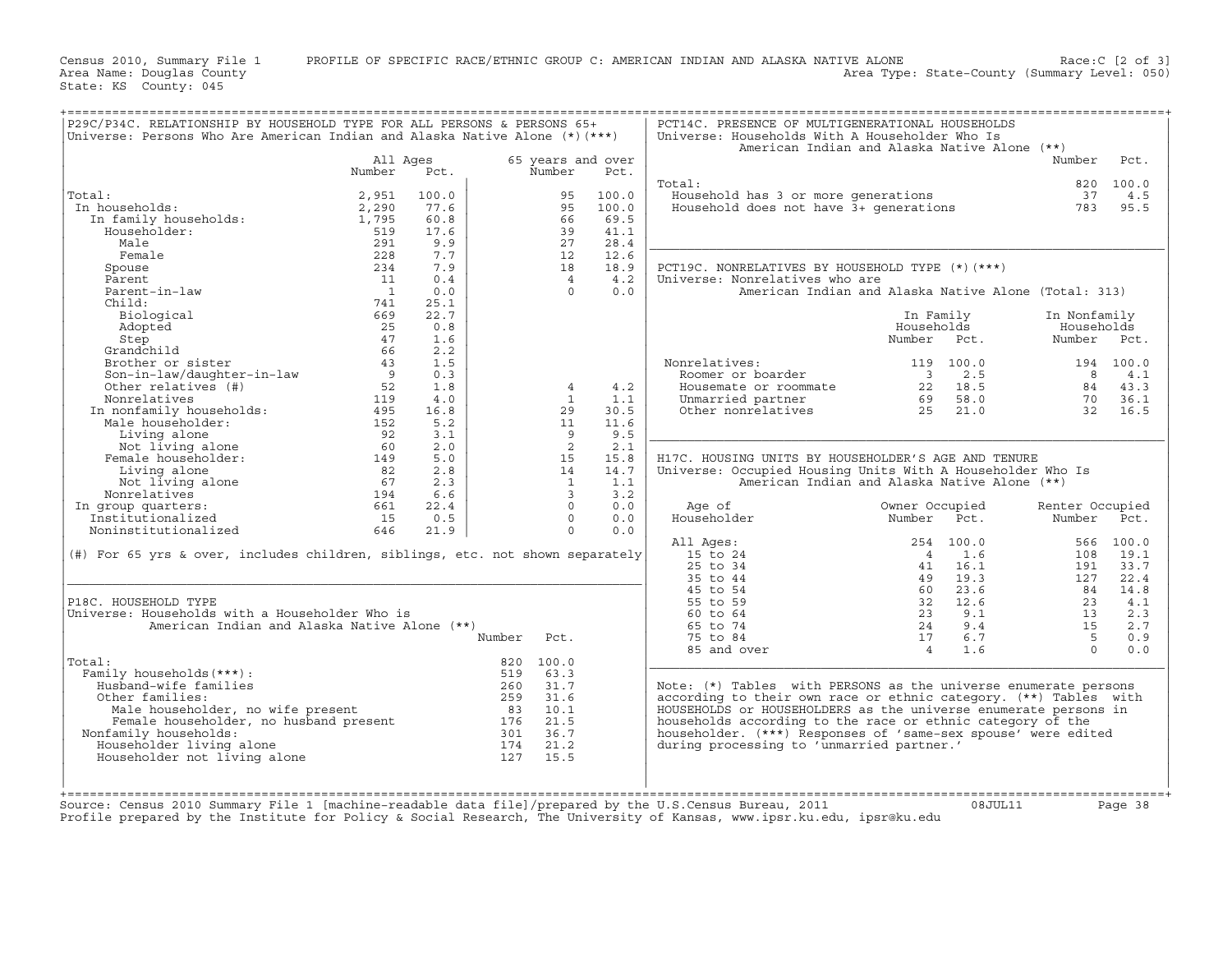Census 2010, Summary File 1 PROFILE OF SPECIFIC RACE/ETHNIC GROUP C: AMERICAN INDIAN AND ALASKA NATIVE ALONE Race:C [2 of 3]<br>Area Name: Douglas County Level: 050) Area Type: State-County (Summary Level: 050) Area Type: State-County (Summary Level: 050)

State: KS County: 045

| P29C/P34C. RELATIONSHIP BY HOUSEHOLD TYPE FOR ALL PERSONS & PERSONS 65+         |                |       |        |                |                   | PCT14C. PRESENCE OF MULTIGENERATIONAL HOUSEHOLDS                 |                         |           |                 |           |
|---------------------------------------------------------------------------------|----------------|-------|--------|----------------|-------------------|------------------------------------------------------------------|-------------------------|-----------|-----------------|-----------|
| Universe: Persons Who Are American Indian and Alaska Native Alone $(*)$ $(***)$ |                |       |        |                |                   | Universe: Households With A Householder Who Is                   |                         |           |                 |           |
|                                                                                 |                |       |        |                |                   | American Indian and Alaska Native Alone $(**)$                   |                         |           |                 |           |
|                                                                                 | All Ages       |       |        |                | 65 years and over |                                                                  |                         |           | Number          | Pct.      |
|                                                                                 | Number         | Pct.  |        | Number         | Pct.              |                                                                  |                         |           |                 |           |
|                                                                                 |                |       |        |                |                   | Total:                                                           |                         |           | 820             | 100.0     |
| Total:                                                                          | 2,951          | 100.0 |        | 95             | 100.0             | Household has 3 or more generations                              |                         |           | 37              | 4.5       |
| In households:                                                                  | 2,290          | 77.6  |        | 95             | 100.0             | Household does not have $\bar{3}$ + qenerations                  |                         |           | 783             | 95.5      |
| In family households:                                                           | 1,795          | 60.8  |        | 66             | 69.5              |                                                                  |                         |           |                 |           |
| Householder:                                                                    | 519            | 17.6  |        | 39             | 41.1              |                                                                  |                         |           |                 |           |
| Male                                                                            | 291            | 9.9   |        | 27             | 28.4              |                                                                  |                         |           |                 |           |
| Female                                                                          | 228            | 7.7   |        | 12             | 12.6              |                                                                  |                         |           |                 |           |
| Spouse                                                                          | 234            | 7.9   |        | 18             | 18.9              | PCT19C. NONRELATIVES BY HOUSEHOLD TYPE (*) (***)                 |                         |           |                 |           |
| Parent                                                                          | 11             | 0.4   |        | $\overline{4}$ | 4.2               | Universe: Nonrelatives who are                                   |                         |           |                 |           |
| Parent-in-law                                                                   | $\overline{1}$ | 0.0   |        | $\Omega$       | 0.0               | American Indian and Alaska Native Alone (Total: 313)             |                         |           |                 |           |
| Child:                                                                          | 741            | 25.1  |        |                |                   |                                                                  |                         |           |                 |           |
| Biological                                                                      | 669            | 22.7  |        |                |                   |                                                                  | In Family               |           | In Nonfamily    |           |
| Adopted                                                                         | 25             | 0.8   |        |                |                   |                                                                  | Households              |           | Households      |           |
| Step                                                                            | 47             | 1.6   |        |                |                   |                                                                  | Number Pct.             |           | Number Pct.     |           |
| Grandchild                                                                      | 66             | 2.2   |        |                |                   |                                                                  |                         |           |                 |           |
| Brother or sister                                                               | 43             | 1.5   |        |                |                   | Nonrelatives:                                                    |                         | 119 100.0 |                 | 194 100.0 |
| Son-in-law/daughter-in-law                                                      | $\overline{9}$ | 0.3   |        |                |                   | Roomer or boarder                                                | $\overline{\mathbf{3}}$ | 2.5       | 8               | 4.1       |
| Other relatives (#)                                                             | 52             | 1.8   |        | $\overline{4}$ | 4.2               | Housemate or roommate                                            |                         | 22 18.5   | 84              | 43.3      |
| Nonrelatives                                                                    | 119            | 4.0   |        | $\overline{1}$ | 1.1               |                                                                  | 69                      | 58.0      | 70              | 36.1      |
| In nonfamily households:                                                        |                |       |        |                |                   | Unmarried partner                                                |                         |           |                 |           |
|                                                                                 | 495            | 16.8  |        | 29             | 30.5              | Other nonrelatives                                               | 25                      | 21.0      | 32              | 16.5      |
| Male householder:                                                               | 152            | 5.2   |        | 11             | 11.6              |                                                                  |                         |           |                 |           |
| Living alone                                                                    | 92             | 3.1   |        | 9              | 9.5               |                                                                  |                         |           |                 |           |
| Not living alone                                                                | 60             | 2.0   |        | 2              | 2.1               |                                                                  |                         |           |                 |           |
| Female householder:                                                             | 149            | 5.0   |        | 15             | 15.8              | H17C. HOUSING UNITS BY HOUSEHOLDER'S AGE AND TENURE              |                         |           |                 |           |
| Living alone                                                                    | 82             | 2.8   |        | 14             | 14.7              | Universe: Occupied Housing Units With A Householder Who Is       |                         |           |                 |           |
| Not living alone                                                                | 67             | 2.3   |        | 1              | 1.1               | American Indian and Alaska Native Alone (**)                     |                         |           |                 |           |
| Nonrelatives                                                                    | 194            | 6.6   |        | $\overline{3}$ | 3.2               |                                                                  |                         |           |                 |           |
| In group quarters:                                                              | 661            | 22.4  |        | $\Omega$       | 0.0               | Age of                                                           | Owner Occupied          |           | Renter Occupied |           |
| Institutionalized                                                               | 15             | 0.5   |        | $\Omega$       | 0.0               | Householder                                                      | Number                  | Pct.      | Number Pct.     |           |
| Noninstitutionalized                                                            | 646            | 21.9  |        | $\Omega$       | 0.0               |                                                                  |                         |           |                 |           |
|                                                                                 |                |       |        |                |                   | All Ages:                                                        |                         | 254 100.0 |                 | 566 100.0 |
| (#) For 65 yrs & over, includes children, siblings, etc. not shown separately   |                |       |        |                |                   | 15 to 24                                                         | $\overline{4}$          | 1.6       | 108             | 19.1      |
|                                                                                 |                |       |        |                |                   | $25$ to $34$                                                     | 41                      | 16.1      | 191             | 33.7      |
|                                                                                 |                |       |        |                |                   | 35 to 44                                                         |                         | 49 19.3   | 127             | 22.4      |
|                                                                                 |                |       |        |                |                   | 45 to 54                                                         | 60                      | 23.6      | 84              | 14.8      |
| P18C. HOUSEHOLD TYPE                                                            |                |       |        |                |                   | 55 to 59                                                         |                         | 32 12.6   | 23              | 4.1       |
| Universe: Households with a Householder Who is                                  |                |       |        |                |                   | 60 to 64                                                         | 23                      | 9.1       | 13              | 2.3       |
| American Indian and Alaska Native Alone (**)                                    |                |       |        |                |                   | 65 to 74                                                         | 24                      | 9.4       | 15              | 2.7       |
|                                                                                 |                |       | Number | Pct.           |                   | 75 to 84                                                         | 17                      | 6.7       | 5               | 0.9       |
|                                                                                 |                |       |        |                |                   | 85 and over                                                      | $\overline{4}$          | 1.6       | $\Omega$        | 0.0       |
| Total:                                                                          |                |       |        | 820 100.0      |                   |                                                                  |                         |           |                 |           |
|                                                                                 |                |       |        |                |                   |                                                                  |                         |           |                 |           |
| Family households (***) :                                                       |                |       | 519    | 63.3<br>31.7   |                   |                                                                  |                         |           |                 |           |
| Husband-wife families                                                           |                |       | 260    |                |                   | Note: (*) Tables with PERSONS as the universe enumerate persons  |                         |           |                 |           |
| Other families:                                                                 |                |       | 259    | 31.6           |                   | according to their own race or ethnic category. (**) Tables with |                         |           |                 |           |
| Male householder, no wife present                                               |                |       | 83     | 10.1           |                   | HOUSEHOLDS or HOUSEHOLDERS as the universe enumerate persons in  |                         |           |                 |           |
| Female householder, no husband present                                          |                |       | 176    | 21.5           |                   | households according to the race or ethnic category of the       |                         |           |                 |           |
| Nonfamily households:                                                           |                |       | 301    | 36.7           |                   | householder. (***) Responses of 'same-sex spouse' were edited    |                         |           |                 |           |
| Householder living alone                                                        |                |       | 174    | 21.2           |                   | during processing to 'unmarried partner.'                        |                         |           |                 |           |
| Householder not living alone                                                    |                |       | 127    | 15.5           |                   |                                                                  |                         |           |                 |           |
|                                                                                 |                |       |        |                |                   |                                                                  |                         |           |                 |           |
|                                                                                 |                |       |        |                |                   |                                                                  |                         |           |                 |           |

+===================================================================================================================================================+

+===================================================================================================================================================+ Source: Census 2010 Summary File 1 [machine−readable data file]/prepared by the U.S.Census Bureau, 2011 08JUL11 Page 38 Profile prepared by the Institute for Policy & Social Research, The University of Kansas, www.ipsr.ku.edu, ipsr@ku.edu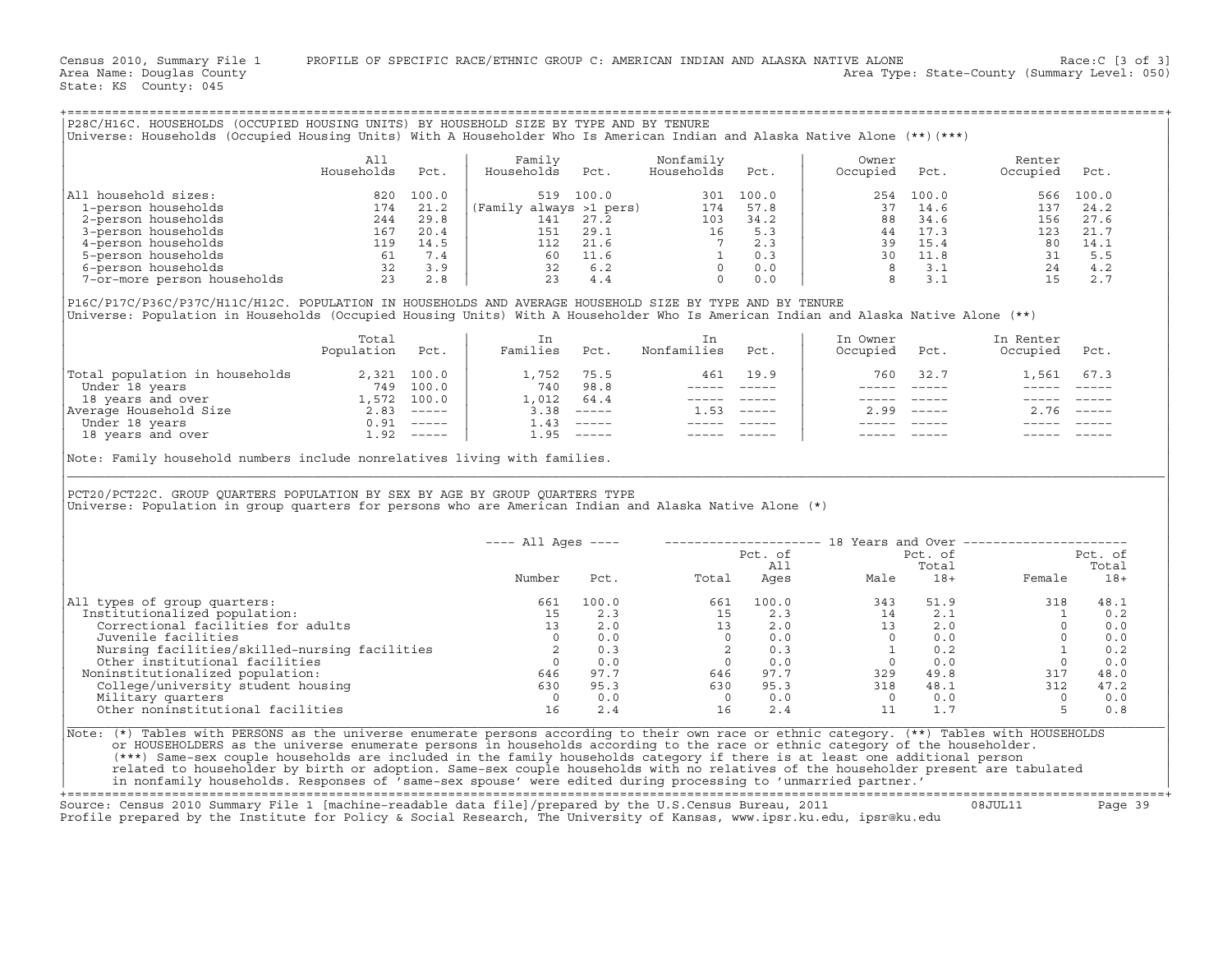Census 2010, Summary File 1 PROFILE OF SPECIFIC RACE/ETHNIC GROUP C: AMERICAN INDIAN AND ALASKA NATIVE ALONE Race:C [3 of 3]<br>Area Name: Douqlas County Level: 050) Area Type: State-County (Summary Level: 050) Area Type: State-County (Summary Level: 050)

State: KS County: 045

| All<br>Households | Pct.  | Family<br>Households | Pct.  | Nonfamily<br>Households | Pct.                    | Owner<br>Occupied | Pct. | Renter<br>Occupied                                                                                                                        |
|-------------------|-------|----------------------|-------|-------------------------|-------------------------|-------------------|------|-------------------------------------------------------------------------------------------------------------------------------------------|
| 820               | 100.0 | 519                  | 100.0 | 301                     | 100.0                   |                   |      | 566                                                                                                                                       |
| 174               | 21.2  |                      |       | 174                     | 57.8                    | 37                | 14.6 | 137                                                                                                                                       |
| 244               | 29.8  | 141                  | 27.2  | 103                     | 34.2                    | 88                | 34.6 | 156                                                                                                                                       |
| 167               | 20.4  | 151                  | 29.1  | 16                      | 5.3                     | 44                | 17.3 | 123                                                                                                                                       |
| 119               | 14.5  | 112                  | 21.6  |                         | 2.3                     | 39                | 15.4 | 80                                                                                                                                        |
| 61                | 7.4   | 60.                  | 11.6  |                         | 0.3                     | 30                | 11.8 | 31                                                                                                                                        |
|                   |       |                      |       |                         | (Family always >1 pers) |                   |      | Universe: Households (Occupied Housing Units) With A Householder Who Is American Indian and Alaska Native Alone (**)(***)<br>100.0<br>254 |

|                                | Total<br>Population | Pct.        | Families | Pct.                      | Nonfamilies | Pct.                      | In Owner<br>Occupied | Pct.                      | In Renter<br>Occupied | Pct.   |
|--------------------------------|---------------------|-------------|----------|---------------------------|-------------|---------------------------|----------------------|---------------------------|-----------------------|--------|
| Total population in households |                     | 2,321 100.0 | 1,752    | 75.5                      | 461         | 19.9                      | 760                  | 32.7                      | 1,561                 | 67.3   |
| Under 18 years                 | 749                 | 100.0       | 740      | 98.8                      |             |                           |                      |                           |                       |        |
| 18 years and over              | 1,572               | 100.0       | 1,012    | 64.4                      |             |                           |                      |                           |                       |        |
| Average Household Size         | 2.83                | $------$    | 3.38     | $------$                  | . . 53      | $\qquad \qquad - - - - -$ | 2.99                 | $\qquad \qquad - - - - -$ | 2.76                  | ______ |
| Under 18 years                 | 0.91                | $------$    | 1.43     | $\qquad \qquad - - - - -$ |             |                           |                      |                           |                       |        |
| 18 years and over              | 1.92                | $------$    | . . 95   | $- - - - - -$             |             |                           |                      |                           |                       |        |

+===================================================================================================================================================+

| P28C/H16C. HOUSEHOLDS (OCCUPIED HOUSING UNITS) BY HOUSEHOLD SIZE BY TYPE AND BY TENURE<br>Universe: Households (Occupied Housing Units) With A Householder Who Is American Indian and Alaska Native Alone (**)(***)                                                         |                          |      |                      |                                             |                                                                                                                                                                                                                                                                                                                                                                                                                                                                                                                              |          |                                                                                                                                                                                                                                                                                                                                                                                              |              |                                                                                                                                                                                                                                                                                                                                        |            |
|-----------------------------------------------------------------------------------------------------------------------------------------------------------------------------------------------------------------------------------------------------------------------------|--------------------------|------|----------------------|---------------------------------------------|------------------------------------------------------------------------------------------------------------------------------------------------------------------------------------------------------------------------------------------------------------------------------------------------------------------------------------------------------------------------------------------------------------------------------------------------------------------------------------------------------------------------------|----------|----------------------------------------------------------------------------------------------------------------------------------------------------------------------------------------------------------------------------------------------------------------------------------------------------------------------------------------------------------------------------------------------|--------------|----------------------------------------------------------------------------------------------------------------------------------------------------------------------------------------------------------------------------------------------------------------------------------------------------------------------------------------|------------|
|                                                                                                                                                                                                                                                                             | All<br>Households        | Pct. | Family<br>Households | Pct.                                        | Nonfamily<br>Households                                                                                                                                                                                                                                                                                                                                                                                                                                                                                                      | Pct.     | Owner<br>Occupied                                                                                                                                                                                                                                                                                                                                                                            | Pct.         | Renter<br>Occupied                                                                                                                                                                                                                                                                                                                     | Pct.       |
| All household sizes:                                                                                                                                                                                                                                                        |                          |      |                      |                                             |                                                                                                                                                                                                                                                                                                                                                                                                                                                                                                                              |          |                                                                                                                                                                                                                                                                                                                                                                                              |              |                                                                                                                                                                                                                                                                                                                                        |            |
|                                                                                                                                                                                                                                                                             |                          |      |                      |                                             |                                                                                                                                                                                                                                                                                                                                                                                                                                                                                                                              |          |                                                                                                                                                                                                                                                                                                                                                                                              |              |                                                                                                                                                                                                                                                                                                                                        |            |
|                                                                                                                                                                                                                                                                             |                          |      |                      |                                             |                                                                                                                                                                                                                                                                                                                                                                                                                                                                                                                              |          |                                                                                                                                                                                                                                                                                                                                                                                              |              |                                                                                                                                                                                                                                                                                                                                        |            |
|                                                                                                                                                                                                                                                                             |                          |      |                      |                                             |                                                                                                                                                                                                                                                                                                                                                                                                                                                                                                                              |          |                                                                                                                                                                                                                                                                                                                                                                                              |              |                                                                                                                                                                                                                                                                                                                                        |            |
|                                                                                                                                                                                                                                                                             |                          |      |                      |                                             |                                                                                                                                                                                                                                                                                                                                                                                                                                                                                                                              |          |                                                                                                                                                                                                                                                                                                                                                                                              |              |                                                                                                                                                                                                                                                                                                                                        |            |
|                                                                                                                                                                                                                                                                             |                          |      |                      |                                             |                                                                                                                                                                                                                                                                                                                                                                                                                                                                                                                              |          |                                                                                                                                                                                                                                                                                                                                                                                              |              |                                                                                                                                                                                                                                                                                                                                        |            |
|                                                                                                                                                                                                                                                                             |                          |      |                      |                                             |                                                                                                                                                                                                                                                                                                                                                                                                                                                                                                                              |          |                                                                                                                                                                                                                                                                                                                                                                                              |              |                                                                                                                                                                                                                                                                                                                                        |            |
|                                                                                                                                                                                                                                                                             |                          |      |                      |                                             |                                                                                                                                                                                                                                                                                                                                                                                                                                                                                                                              |          |                                                                                                                                                                                                                                                                                                                                                                                              |              |                                                                                                                                                                                                                                                                                                                                        |            |
| P16C/P17C/P36C/P37C/H11C/H12C. POPULATION IN HOUSEHOLDS AND AVERAGE HOUSEHOLD SIZE BY TYPE AND BY TENURE<br>Universe: Population in Households (Occupied Housing Units) With A Householder Who Is American Indian and Alaska Native Alone (**)                              |                          |      |                      |                                             |                                                                                                                                                                                                                                                                                                                                                                                                                                                                                                                              |          |                                                                                                                                                                                                                                                                                                                                                                                              |              |                                                                                                                                                                                                                                                                                                                                        |            |
|                                                                                                                                                                                                                                                                             | Total<br>Population Pct. |      | In<br>Families Pct.  |                                             | In<br>Nonfamilies Pct.                                                                                                                                                                                                                                                                                                                                                                                                                                                                                                       |          | In Owner<br>Occupied Pct.                                                                                                                                                                                                                                                                                                                                                                    |              | In Renter<br>Occupied Pct.                                                                                                                                                                                                                                                                                                             |            |
| Total population in households<br>Under 18 years<br>18 years and over 18 years<br>2,321 100.0<br>2,321 100.0<br>2,321 100.0<br>2,93 100.0<br>2,93 100.0<br>2.83 -----<br>2.83 -----<br>3.38 -----<br>3.38 -----<br>1.43 -----<br>1.95 -----<br>1.95 ---                     |                          |      |                      |                                             |                                                                                                                                                                                                                                                                                                                                                                                                                                                                                                                              | 461 19.9 |                                                                                                                                                                                                                                                                                                                                                                                              | 760 32.7     | 1,561 67.3                                                                                                                                                                                                                                                                                                                             |            |
|                                                                                                                                                                                                                                                                             |                          |      |                      |                                             |                                                                                                                                                                                                                                                                                                                                                                                                                                                                                                                              |          |                                                                                                                                                                                                                                                                                                                                                                                              |              | $\begin{array}{ccccccccc} - & - & - & - & - & - & - \\ & - & - & - & - & - \\ \end{array}$                                                                                                                                                                                                                                             |            |
|                                                                                                                                                                                                                                                                             |                          |      |                      |                                             | $\begin{tabular}{ll} \multicolumn{2}{c} {\textbf{---}} & \multicolumn{2}{c} {\textbf{---}} \\ \multicolumn{2}{c} {\textbf{---}} & \multicolumn{2}{c} {\textbf{---}} \\ \multicolumn{2}{c} {\textbf{---}} & \multicolumn{2}{c} {\textbf{---}} \\ \multicolumn{2}{c} {\textbf{---}} & \multicolumn{2}{c} {\textbf{---}} \\ \multicolumn{2}{c} {\textbf{---}} & \multicolumn{2}{c} {\textbf{---}} \\ \multicolumn{2}{c} {\textbf{---}} & \multicolumn{2}{c} {\textbf{---}} \\ \multicolumn{2}{c} {\textbf{---}} & \multicolumn$ |          |                                                                                                                                                                                                                                                                                                                                                                                              |              |                                                                                                                                                                                                                                                                                                                                        |            |
|                                                                                                                                                                                                                                                                             |                          |      |                      |                                             | $1.53$ -----                                                                                                                                                                                                                                                                                                                                                                                                                                                                                                                 |          |                                                                                                                                                                                                                                                                                                                                                                                              | $2.99$ ----- | $2.76$ -----                                                                                                                                                                                                                                                                                                                           |            |
|                                                                                                                                                                                                                                                                             |                          |      |                      |                                             | $\begin{array}{cccccc} - & - & - & - & - & - & - \\ & - & - & - & - & - \\ & & - & - & - & - \end{array}$                                                                                                                                                                                                                                                                                                                                                                                                                    |          | $\frac{1}{2} \frac{1}{2} \frac{1}{2} \frac{1}{2} \frac{1}{2} \frac{1}{2} \frac{1}{2} \frac{1}{2} \frac{1}{2} \frac{1}{2} \frac{1}{2} \frac{1}{2} \frac{1}{2} \frac{1}{2} \frac{1}{2} \frac{1}{2} \frac{1}{2} \frac{1}{2} \frac{1}{2} \frac{1}{2} \frac{1}{2} \frac{1}{2} \frac{1}{2} \frac{1}{2} \frac{1}{2} \frac{1}{2} \frac{1}{2} \frac{1}{2} \frac{1}{2} \frac{1}{2} \frac{1}{2} \frac{$ |              |                                                                                                                                                                                                                                                                                                                                        |            |
|                                                                                                                                                                                                                                                                             |                          |      |                      |                                             |                                                                                                                                                                                                                                                                                                                                                                                                                                                                                                                              |          |                                                                                                                                                                                                                                                                                                                                                                                              |              |                                                                                                                                                                                                                                                                                                                                        |            |
| PCT20/PCT22C. GROUP QUARTERS POPULATION BY SEX BY AGE BY GROUP QUARTERS TYPE<br>Universe: Population in group quarters for persons who are American Indian and Alaska Native Alone (*)                                                                                      |                          |      |                      |                                             |                                                                                                                                                                                                                                                                                                                                                                                                                                                                                                                              |          |                                                                                                                                                                                                                                                                                                                                                                                              |              |                                                                                                                                                                                                                                                                                                                                        |            |
|                                                                                                                                                                                                                                                                             |                          |      | ---- All Ages ----   |                                             |                                                                                                                                                                                                                                                                                                                                                                                                                                                                                                                              |          |                                                                                                                                                                                                                                                                                                                                                                                              |              | -------------------- 18 Years and Over ----------------------                                                                                                                                                                                                                                                                          |            |
|                                                                                                                                                                                                                                                                             |                          |      |                      |                                             |                                                                                                                                                                                                                                                                                                                                                                                                                                                                                                                              |          |                                                                                                                                                                                                                                                                                                                                                                                              |              |                                                                                                                                                                                                                                                                                                                                        | Pct. of    |
|                                                                                                                                                                                                                                                                             |                          |      |                      |                                             |                                                                                                                                                                                                                                                                                                                                                                                                                                                                                                                              |          |                                                                                                                                                                                                                                                                                                                                                                                              |              |                                                                                                                                                                                                                                                                                                                                        | Total      |
|                                                                                                                                                                                                                                                                             |                          |      | Number               |                                             |                                                                                                                                                                                                                                                                                                                                                                                                                                                                                                                              |          | Pct. of Pct. of Pct. of Pct. of All Total Rges Male 18+ Fermi                                                                                                                                                                                                                                                                                                                                |              |                                                                                                                                                                                                                                                                                                                                        | Female 18+ |
| All types of group quarters:                                                                                                                                                                                                                                                |                          |      | 661                  | $\begin{array}{c} 100.0 \\ 2.3 \end{array}$ |                                                                                                                                                                                                                                                                                                                                                                                                                                                                                                                              |          |                                                                                                                                                                                                                                                                                                                                                                                              |              | $\begin{array}{cccccccc} 100.0 & & & & & & 661 & & 100.0 & & & & 343 & & 51.9 & & & & 318 & & 48.1 \\ 2.3 & & & & 15 & & 2.3 & & & 14 & & 2.1 & & & 1 & & 0.2 \\ 2.0 & & & & 13 & & 2.0 & & & 13 & & 2.0 & & & 0 & 0.0 \\ 0.0 & & & & & 0 & & 0.0 & & & 0 & & 0 & 0 & 0 & 0 \\ 0.3 & & & 2 & & 0.3 & & & 1 & 0.2 & & & 1 & 0.2 \\ 0.0$ |            |
| Institutionalized population:                                                                                                                                                                                                                                               |                          |      | $\frac{15}{13}$      |                                             |                                                                                                                                                                                                                                                                                                                                                                                                                                                                                                                              |          |                                                                                                                                                                                                                                                                                                                                                                                              |              |                                                                                                                                                                                                                                                                                                                                        |            |
| Correctional facilities for adults                                                                                                                                                                                                                                          |                          |      |                      |                                             |                                                                                                                                                                                                                                                                                                                                                                                                                                                                                                                              |          |                                                                                                                                                                                                                                                                                                                                                                                              |              |                                                                                                                                                                                                                                                                                                                                        |            |
| Juvenile facilities                                                                                                                                                                                                                                                         |                          |      | $\overline{0}$       |                                             |                                                                                                                                                                                                                                                                                                                                                                                                                                                                                                                              |          |                                                                                                                                                                                                                                                                                                                                                                                              |              |                                                                                                                                                                                                                                                                                                                                        |            |
|                                                                                                                                                                                                                                                                             |                          |      |                      |                                             |                                                                                                                                                                                                                                                                                                                                                                                                                                                                                                                              |          |                                                                                                                                                                                                                                                                                                                                                                                              |              |                                                                                                                                                                                                                                                                                                                                        |            |
|                                                                                                                                                                                                                                                                             |                          |      |                      |                                             |                                                                                                                                                                                                                                                                                                                                                                                                                                                                                                                              |          |                                                                                                                                                                                                                                                                                                                                                                                              |              |                                                                                                                                                                                                                                                                                                                                        |            |
| Noninstitutionalized population:                                                                                                                                                                                                                                            |                          |      |                      |                                             |                                                                                                                                                                                                                                                                                                                                                                                                                                                                                                                              |          |                                                                                                                                                                                                                                                                                                                                                                                              |              |                                                                                                                                                                                                                                                                                                                                        |            |
| Nursing facilities and the matrices of the matrices of the institutional facilities and other institutionalized population: and the of the of the of the of the of the of the of the of the of the of the of the of the of the                                              |                          |      |                      |                                             |                                                                                                                                                                                                                                                                                                                                                                                                                                                                                                                              |          |                                                                                                                                                                                                                                                                                                                                                                                              |              |                                                                                                                                                                                                                                                                                                                                        |            |
| Military quarters                                                                                                                                                                                                                                                           |                          |      | $\overline{0}$       | 0.0                                         | $\overline{0}$                                                                                                                                                                                                                                                                                                                                                                                                                                                                                                               | 0.0      |                                                                                                                                                                                                                                                                                                                                                                                              |              | $\overline{0}$                                                                                                                                                                                                                                                                                                                         | 0.0        |
| Other noninstitutional facilities                                                                                                                                                                                                                                           |                          |      | 16                   | 2.4                                         | 16                                                                                                                                                                                                                                                                                                                                                                                                                                                                                                                           | 2.4      | $\begin{array}{cccc} 0 & 0.0 \\ 11 & 1.7 \end{array}$                                                                                                                                                                                                                                                                                                                                        |              | $5^{\circ}$                                                                                                                                                                                                                                                                                                                            | 0.8        |
| Note: (*) Tables with PERSONS as the universe enumerate persons according to their own race or ethnic category. (**) Tables with HOUSEHOLDS<br>or HOUSEHOLDERS as the universe enumerate persons in households according to the race or ethnic category of the householder. |                          |      |                      |                                             |                                                                                                                                                                                                                                                                                                                                                                                                                                                                                                                              |          |                                                                                                                                                                                                                                                                                                                                                                                              |              |                                                                                                                                                                                                                                                                                                                                        |            |

+===================================================================================================================================================+

Source: Census 2010 Summary File 1 [machine−readable data file]/prepared by the U.S.Census Bureau, 2011 08JUL11 Page 39 Profile prepared by the Institute for Policy & Social Research, The University of Kansas, www.ipsr.ku.edu, ipsr@ku.edu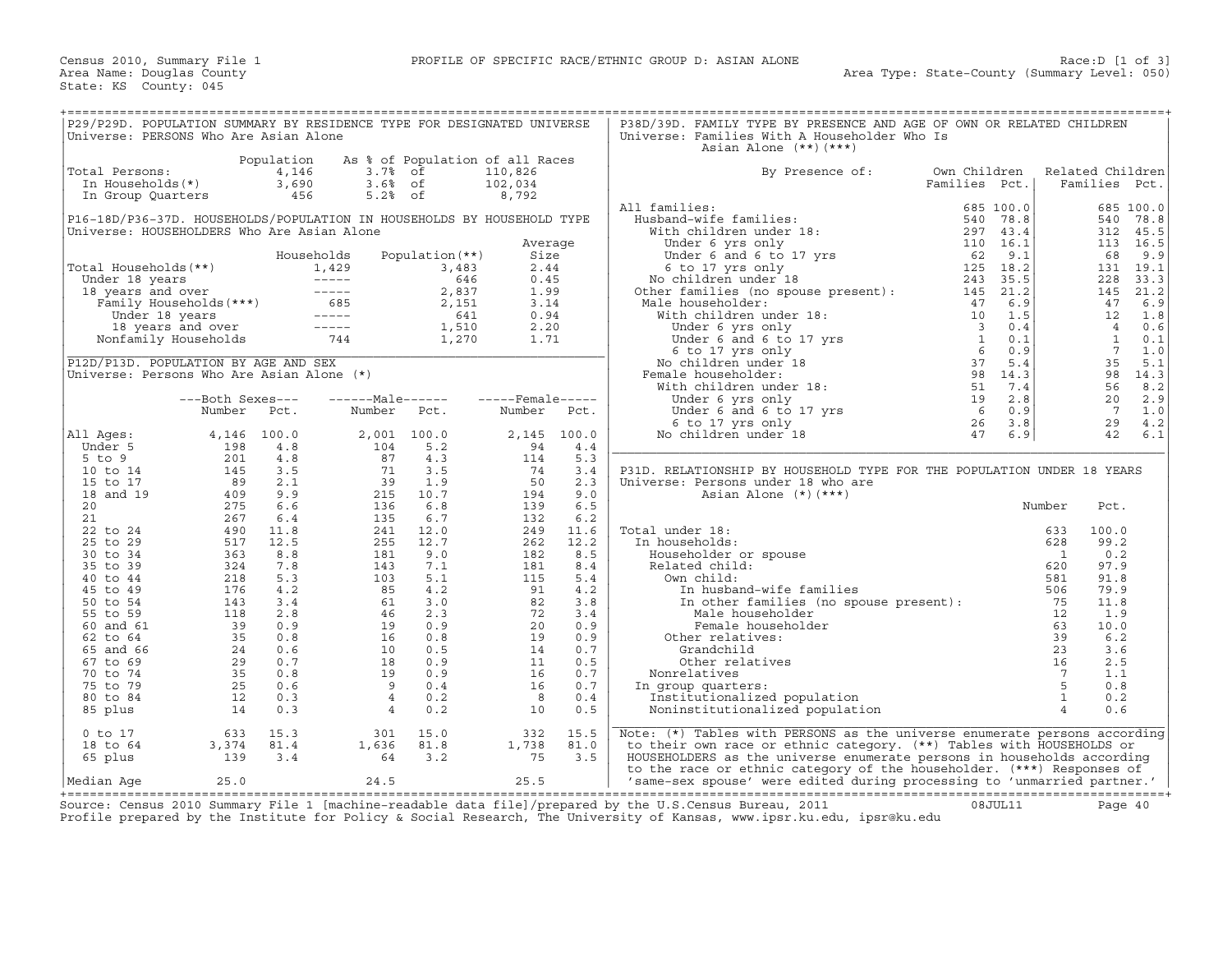| P29/P29D. POPULATION SUMMARY BY RESIDENCE TYPE FOR DESIGNATED UNIVERSE                                               |                            |                              |                                                                                                                                                           |                                 |                             |                   | P38D/39D. FAMILY TYPE BY PRESENCE AND AGE OF OWN OR RELATED CHILDREN                                                                             |                               |                      |                                   |                                   |                   |
|----------------------------------------------------------------------------------------------------------------------|----------------------------|------------------------------|-----------------------------------------------------------------------------------------------------------------------------------------------------------|---------------------------------|-----------------------------|-------------------|--------------------------------------------------------------------------------------------------------------------------------------------------|-------------------------------|----------------------|-----------------------------------|-----------------------------------|-------------------|
| Universe: PERSONS Who Are Asian Alone                                                                                |                            |                              |                                                                                                                                                           |                                 |                             |                   | Universe: Families With A Householder Who Is<br>Asian Alone (**) (***)                                                                           |                               |                      |                                   |                                   |                   |
| Total Persons:<br>In Households(*)                                                                                   |                            | Population<br>4,146<br>3,690 | 3.7% of<br>$3.6%$ of                                                                                                                                      | As % of Population of all Races | 110,826<br>102,034          |                   | By Presence of:                                                                                                                                  | Own Children<br>Families Pct. |                      | Related Children<br>Families Pct. |                                   |                   |
| In Group Quarters                                                                                                    |                            | 456                          | $5.2%$ of                                                                                                                                                 |                                 | 8,792                       |                   | All families:                                                                                                                                    |                               | 685 100.0            |                                   |                                   | 685 100.0         |
| P16-18D/P36-37D. HOUSEHOLDS/POPULATION IN HOUSEHOLDS BY HOUSEHOLD TYPE<br>Universe: HOUSEHOLDERS Who Are Asian Alone |                            |                              |                                                                                                                                                           |                                 |                             |                   | Husband-wife families:<br>With children under 18:                                                                                                |                               | 540 78.8<br>297 43.4 |                                   | 540<br>312                        | 78.8<br>45.5      |
|                                                                                                                      |                            |                              | Households                                                                                                                                                | Population $(**)$               | Average<br>Size             |                   |                                                                                                                                                  | 110 16.1<br>62                | 9.1                  |                                   | 68                                | 113 16.5<br>9.9   |
| Total Households(**)                                                                                                 |                            |                              | 1,429                                                                                                                                                     | 3,483<br>646                    | 2.44<br>0.45                |                   | th children under 10:<br>Under 6 yrs only<br>Under 6 and 6 to 17 yrs<br>6 to 17 yrs only<br>11:11:00 under 18<br>No children under 18            | 125 18.2<br>243 35.5          |                      |                                   | 131<br>228                        | 19.1<br>33.3      |
|                                                                                                                      |                            |                              |                                                                                                                                                           | 2,837<br>2,151                  | 1.99<br>3.14                |                   | No children under 10<br>Other families (no spouse present): 145 21.2<br>Male householder:                                                        |                               |                      |                                   | 145<br>47                         | 21.2<br>6.9       |
|                                                                                                                      |                            |                              | Under 18 years<br>18 years and over<br>Family Households (***)<br>Under 18 years<br>18 years and over<br>18 years and over<br>Nonfamily Households<br>244 | 641<br>1,510                    | 0.94<br>2.20                |                   |                                                                                                                                                  |                               |                      |                                   | 12<br>$\overline{4}$              | 1.8<br>0.6        |
| P12D/P13D. POPULATION BY AGE AND SEX                                                                                 |                            |                              |                                                                                                                                                           | 1,270                           | 1.71                        |                   |                                                                                                                                                  |                               |                      |                                   | <sup>1</sup><br>$7^{\circ}$<br>35 | 0.1<br>1.0<br>5.1 |
| Universe: Persons Who Are Asian Alone (*)                                                                            |                            |                              |                                                                                                                                                           |                                 |                             |                   | Female householder:                                                                                                                              |                               |                      |                                   | 98<br>56                          | 14.3<br>8.2       |
|                                                                                                                      | ---Both Sexes---<br>Number | Pct.                         | ------Male------<br>Number                                                                                                                                | Pct.                            | $---$ Female-----<br>Number | Pct.              |                                                                                                                                                  |                               |                      |                                   | 20<br>7                           | 2.9<br>1.0        |
| All Ages:                                                                                                            | 4,146                      | 100.0                        | 2,001 100.0                                                                                                                                               |                                 | 2,145                       | 100.0             |                                                                                                                                                  |                               |                      |                                   | 29<br>42                          | 4.2<br>6.1        |
| Under 5<br>$5$ to $9$                                                                                                | 198<br>201                 | 4.8<br>4.8                   | 104<br>87                                                                                                                                                 | 5.2<br>4.3                      | 94<br>114                   | 4.4<br>5.3        |                                                                                                                                                  |                               |                      |                                   |                                   |                   |
| 10 to 14<br>15 to 17                                                                                                 | 145<br>89                  | 3.5<br>2.1                   | 71<br>39                                                                                                                                                  | 3.5<br>1.9                      | 74<br>50                    | 3.4<br>2.3        | P31D. RELATIONSHIP BY HOUSEHOLD TYPE FOR THE POPULATION UNDER 18 YEARS<br>Universe: Persons under 18 who are                                     |                               |                      |                                   |                                   |                   |
| 18 and 19<br>20                                                                                                      | 409<br>275                 | 9.9<br>6.6                   | 215<br>136                                                                                                                                                | 10.7<br>6.8                     | 194<br>139                  | 9.0<br>6.5        | Asian Alone (*) (***)                                                                                                                            |                               |                      | Number                            | Pct.                              |                   |
| 21<br>22 to 24                                                                                                       | 267<br>490                 | 6.4<br>11.8                  | 135<br>241                                                                                                                                                | 6.7<br>12.0                     | 132<br>249                  | 6.2<br>11.6       | Total under 18:                                                                                                                                  |                               |                      | 633                               | 100.0                             |                   |
| 25 to 29<br>30 to 34                                                                                                 | 517<br>363                 | 12.5<br>8.8                  | 255<br>181                                                                                                                                                | 12.7<br>9.0                     | 262<br>182                  | 12.2<br>8.5       | In households:<br>Householder or spouse                                                                                                          |                               |                      | 628<br>$\sim$ 1                   | 99.2<br>0.2                       |                   |
| 35 to 39<br>40 to 44                                                                                                 | 324<br>218                 | 7.8<br>5.3                   | 143<br>103                                                                                                                                                | 7.1<br>5.1                      | 181<br>115                  | 8.4<br>5.4        | Related child:<br>Own child:                                                                                                                     |                               |                      | 620<br>581                        | 97.9<br>91.8                      |                   |
| 45 to 49<br>50 to 54                                                                                                 | 176<br>143                 | 4.2<br>3.4                   | 85<br>61                                                                                                                                                  | 4.2<br>3.0                      | 91<br>82                    | 4.2<br>3.8        | In husband-wife families<br>In other families (no spouse present):                                                                               |                               |                      | 506<br>75                         | 79.9<br>11.8                      |                   |
| 55 to 59<br>60 and 61                                                                                                | 118<br>39                  | 2.8<br>0.9                   | 46<br>19                                                                                                                                                  | 2.3<br>0.9                      | 72<br>20                    | 3.4<br>0.9        | Male householder<br>Female householder                                                                                                           |                               |                      | 12<br>63                          | 1.9<br>10.0                       |                   |
| 62 to 64<br>65 and 66                                                                                                | 35<br>24                   | 0.8<br>0.6                   | 16<br>10                                                                                                                                                  | 0.8<br>0.5                      | 19<br>14                    | 0.9<br>0.7        | Other relatives:<br>Grandchild                                                                                                                   |                               |                      | 39<br>23<br>16                    | 6.2<br>3.6<br>2.5                 |                   |
| 67 to 69<br>70 to 74<br>75 to 79                                                                                     | 29<br>35<br>25             | 0.7<br>0.8<br>0.6            | 18<br>19<br>- 9                                                                                                                                           | 0.9<br>0.9<br>0.4               | 11<br>16<br>16              | 0.5<br>0.7<br>0.7 | Other relatives<br>Nonrelatives                                                                                                                  |                               |                      | $\overline{7}$<br>5               | 1.1<br>0.8                        |                   |
| 80 to 84<br>85 plus                                                                                                  | 12<br>14                   | 0.3<br>0.3                   | $\overline{4}$<br>$\overline{4}$                                                                                                                          | 0.2<br>0.2                      | - 8<br>10                   | 0.4<br>0.5        | In group quarters:<br>Institutionalized population<br>Noninstitutionalized population                                                            |                               |                      | $\overline{1}$<br>$\overline{4}$  | 0.2<br>0.6                        |                   |
| $0$ to $17$                                                                                                          | 633                        | 15.3                         | 301                                                                                                                                                       | 15.0                            | 332                         | 15.5              | Note: $(*)$ Tables with PERSONS as the universe enumerate persons according                                                                      |                               |                      |                                   |                                   |                   |
| 18 to 64<br>65 plus                                                                                                  | 3,374<br>139               | 81.4<br>3.4                  | 1,636<br>64                                                                                                                                               | 81.8<br>3.2                     | 1,738<br>75                 | 81.0<br>3.5       | to their own race or ethnic category. (**) Tables with HOUSEHOLDS or<br>HOUSEHOLDERS as the universe enumerate persons in households according   |                               |                      |                                   |                                   |                   |
| Median Aqe                                                                                                           | 25.0                       |                              | 24.5                                                                                                                                                      |                                 | 25.5                        |                   | to the race or ethnic category of the householder. (***) Responses of<br>'same-sex spouse' were edited during processing to 'unmarried partner.' |                               |                      |                                   |                                   |                   |

+===================================================================================================================================================+Source: Census 2010 Summary File 1 [machine−readable data file]/prepared by the U.S.Census Bureau, 2011 08JUL11 Page 40 Profile prepared by the Institute for Policy & Social Research, The University of Kansas, www.ipsr.ku.edu, ipsr@ku.edu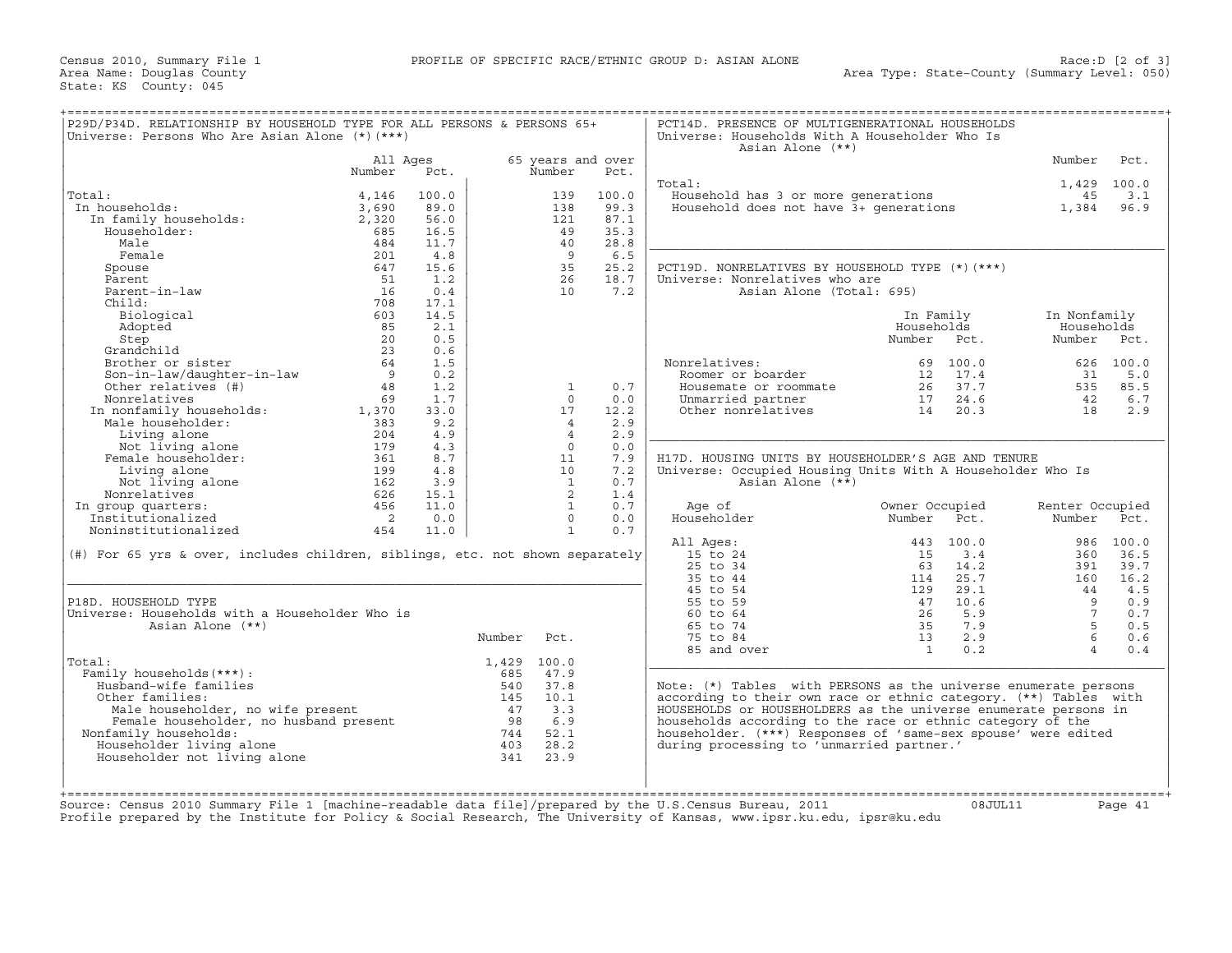Census 2010, Summary File 1<br>Area Name: Douglas County<br>State: KS County: 045

| P29D/P34D. RELATIONSHIP BY HOUSEHOLD TYPE FOR ALL PERSONS & PERSONS 65+<br>Universe: Persons Who Are Asian Alone (*) (***)                                                                                                       |                            |       |             |                   |       | PCT14D. PRESENCE OF MULTIGENERATIONAL HOUSEHOLDS<br>Universe: Households With A Householder Who Is<br>Asian Alone (**) |                |           |                 |             |
|----------------------------------------------------------------------------------------------------------------------------------------------------------------------------------------------------------------------------------|----------------------------|-------|-------------|-------------------|-------|------------------------------------------------------------------------------------------------------------------------|----------------|-----------|-----------------|-------------|
|                                                                                                                                                                                                                                  | All Ages                   |       |             | 65 years and over |       |                                                                                                                        |                |           | Number          | Pct.        |
|                                                                                                                                                                                                                                  | Number                     | Pct.  |             | Number            | Pct.  |                                                                                                                        |                |           |                 |             |
|                                                                                                                                                                                                                                  |                            |       |             |                   |       | Total:                                                                                                                 |                |           |                 | 1,429 100.0 |
| Total:                                                                                                                                                                                                                           | 4,146                      | 100.0 |             | 139               | 100.0 | Household has 3 or more generations                                                                                    |                |           | 45              | 3.1         |
| In households:                                                                                                                                                                                                                   | 3,690                      | 89.0  |             | 138               | 99.3  | Household does not have $3+$ generations                                                                               |                |           | 1,384           | 96.9        |
| In family households:                                                                                                                                                                                                            | 2,320                      | 56.0  |             | 121               | 87.1  |                                                                                                                        |                |           |                 |             |
| Householder:                                                                                                                                                                                                                     | 685                        | 16.5  |             | 49                | 35.3  |                                                                                                                        |                |           |                 |             |
| Male                                                                                                                                                                                                                             | 484                        | 11.7  |             | 4.0               | 28.8  |                                                                                                                        |                |           |                 |             |
| Female                                                                                                                                                                                                                           | 201                        | 4.8   |             | $\overline{9}$    | 6.5   |                                                                                                                        |                |           |                 |             |
| Spouse                                                                                                                                                                                                                           | 647                        | 15.6  |             | 35                | 25.2  | PCT19D. NONRELATIVES BY HOUSEHOLD TYPE (*)(***)                                                                        |                |           |                 |             |
| Parent                                                                                                                                                                                                                           | 51                         | 1.2   |             | 26                | 18.7  | Universe: Nonrelatives who are                                                                                         |                |           |                 |             |
| Parent-in-law                                                                                                                                                                                                                    | 16                         | 0.4   |             | 10                | 7.2   | Asian Alone (Total: 695)                                                                                               |                |           |                 |             |
| Child:                                                                                                                                                                                                                           | 708                        | 17.1  |             |                   |       |                                                                                                                        |                |           |                 |             |
| Biological                                                                                                                                                                                                                       | 603                        | 14.5  |             |                   |       |                                                                                                                        | In Family      |           | In Nonfamily    |             |
| Adopted                                                                                                                                                                                                                          | 85                         | 2.1   |             |                   |       |                                                                                                                        | Households     |           | Households      |             |
| Step                                                                                                                                                                                                                             | 20                         | 0.5   |             |                   |       |                                                                                                                        | Number Pct.    |           | Number          | Pet.        |
| Grandchild                                                                                                                                                                                                                       | 23                         | 0.6   |             |                   |       |                                                                                                                        |                |           |                 |             |
| Brother or sister                                                                                                                                                                                                                | 64                         | 1.5   |             |                   |       | Nonrelatives:                                                                                                          | 69             | 100.0     |                 | 626 100.0   |
|                                                                                                                                                                                                                                  |                            |       |             |                   |       |                                                                                                                        |                |           |                 |             |
| Son-in-law/daughter-in-law                                                                                                                                                                                                       | 9                          | 0.2   |             |                   |       | Roomer or boarder                                                                                                      | 12             | 17.4      | 31              | 5.0         |
| Other relatives (#)                                                                                                                                                                                                              | 48                         | 1.2   |             | 1                 | 0.7   | Housemate or roommate                                                                                                  | 26             | 37.7      | 535             | 85.5        |
| Nonrelatives                                                                                                                                                                                                                     | 69                         | 1.7   |             | $\Omega$          | 0.0   | Unmarried partner                                                                                                      | 17             | 24.6      | 42              | 6.7         |
| In nonfamily households:<br>We have about the contract of the set of the set of the set of the set of the set of the set of the set of the set of the set of the set of the set of the set of the set of the set of the set of t | 1,370                      | 33.0  |             | 17                | 12.2  | Other nonrelatives                                                                                                     | 14             | 20.3      | 18              | 2.9         |
| Male householder:                                                                                                                                                                                                                | 383                        | 9.2   |             | $\overline{4}$    | 2.9   |                                                                                                                        |                |           |                 |             |
| Living alone                                                                                                                                                                                                                     | 204                        | 4.9   |             | $\overline{4}$    | 2.9   |                                                                                                                        |                |           |                 |             |
| Not living alone                                                                                                                                                                                                                 | 179                        | 4.3   |             | $\Omega$          | 0.0   |                                                                                                                        |                |           |                 |             |
| Female householder:                                                                                                                                                                                                              | 361                        | 8.7   |             | 11                | 7.9   | H17D. HOUSING UNITS BY HOUSEHOLDER'S AGE AND TENURE                                                                    |                |           |                 |             |
| Living alone                                                                                                                                                                                                                     | 199                        | 4.8   |             | 10                | 7.2   | Universe: Occupied Housing Units With A Householder Who Is                                                             |                |           |                 |             |
| Not living alone                                                                                                                                                                                                                 | 162                        | 3.9   |             | $\mathbf{1}$      | 0.7   | Asian Alone (**)                                                                                                       |                |           |                 |             |
| Nonrelatives                                                                                                                                                                                                                     | 626                        | 15.1  |             | $\overline{2}$    | 1.4   |                                                                                                                        |                |           |                 |             |
| In group quarters:                                                                                                                                                                                                               | 456                        | 11.0  |             | 1                 | 0.7   | Age of                                                                                                                 | Owner Occupied |           | Renter Occupied |             |
| Institutionalized                                                                                                                                                                                                                | $\overline{\phantom{0}}$ 2 | 0.0   |             | $\Omega$          | 0.0   | Householder                                                                                                            | Number         | Pct.      | Number          | Pct.        |
| Noninstitutionalized                                                                                                                                                                                                             | 454                        | 11.0  |             | $\mathbf{1}$      | 0.7   |                                                                                                                        |                |           |                 |             |
|                                                                                                                                                                                                                                  |                            |       |             |                   |       | All Ages:                                                                                                              |                | 443 100.0 |                 | 986 100.0   |
| (#) For 65 yrs & over, includes children, siblings, etc. not shown separately                                                                                                                                                    |                            |       |             |                   |       | 15 to 24                                                                                                               | 15             | 3.4       | 360             | 36.5        |
|                                                                                                                                                                                                                                  |                            |       |             |                   |       | 25 to 34                                                                                                               | 63             | 14.2      | 391             | 39.7        |
|                                                                                                                                                                                                                                  |                            |       |             |                   |       | 35 to 44                                                                                                               | 114            | 25.7      | 160             | 16.2        |
|                                                                                                                                                                                                                                  |                            |       |             |                   |       | 45 to 54                                                                                                               | 129            | 29.1      | 44              | 4.5         |
| P18D. HOUSEHOLD TYPE                                                                                                                                                                                                             |                            |       |             |                   |       | 55 to 59                                                                                                               | 47             | 10.6      | - 9             | 0.9         |
| Universe: Households with a Householder Who is                                                                                                                                                                                   |                            |       |             |                   |       | 60 to 64                                                                                                               | 26             | 5.9       | $7^{\circ}$     | 0.7         |
|                                                                                                                                                                                                                                  |                            |       |             |                   |       |                                                                                                                        |                |           | $5 -$           |             |
| Asian Alone (**)                                                                                                                                                                                                                 |                            |       |             |                   |       | 65 to 74                                                                                                               | 35             | 7.9       |                 | 0.5         |
|                                                                                                                                                                                                                                  |                            |       | Number      | Pct.              |       | 75 to 84                                                                                                               | 13             | 2.9       | 6               | 0.6         |
|                                                                                                                                                                                                                                  |                            |       |             |                   |       | 85 and over                                                                                                            | $\overline{1}$ | 0.2       | $\overline{4}$  | 0.4         |
| Total:                                                                                                                                                                                                                           |                            |       | 1,429 100.0 |                   |       |                                                                                                                        |                |           |                 |             |
| Family households (***) :                                                                                                                                                                                                        |                            |       | 685         | 47.9              |       |                                                                                                                        |                |           |                 |             |
| Husband-wife families                                                                                                                                                                                                            |                            |       | 540         | 37.8              |       | Note: (*) Tables with PERSONS as the universe enumerate persons                                                        |                |           |                 |             |
| Other families:                                                                                                                                                                                                                  |                            |       | 145         | 10.1              |       | according to their own race or ethnic category. (**) Tables with                                                       |                |           |                 |             |
| ner Lamilles:<br>Male householder, no wife present<br>Female householder, no husband present<br>Eamily households:                                                                                                               |                            |       | 47          | 3.3               |       | HOUSEHOLDS or HOUSEHOLDERS as the universe enumerate persons in                                                        |                |           |                 |             |
|                                                                                                                                                                                                                                  |                            |       | 98          | 6.9               |       | households according to the race or ethnic category of the                                                             |                |           |                 |             |
| Nonfamily households:                                                                                                                                                                                                            |                            |       |             | 744 52.1          |       | householder. (***) Responses of 'same-sex spouse' were edited                                                          |                |           |                 |             |
|                                                                                                                                                                                                                                  |                            |       | 403         | 28.2              |       | during processing to 'unmarried partner.'                                                                              |                |           |                 |             |
| Householder living alone                                                                                                                                                                                                         |                            |       | 341         | 23.9              |       |                                                                                                                        |                |           |                 |             |
| Householder not living alone                                                                                                                                                                                                     |                            |       |             |                   |       |                                                                                                                        |                |           |                 |             |
|                                                                                                                                                                                                                                  |                            |       |             |                   |       |                                                                                                                        |                |           |                 |             |
|                                                                                                                                                                                                                                  |                            |       |             |                   |       |                                                                                                                        |                |           |                 |             |
|                                                                                                                                                                                                                                  |                            |       |             |                   |       |                                                                                                                        |                |           |                 |             |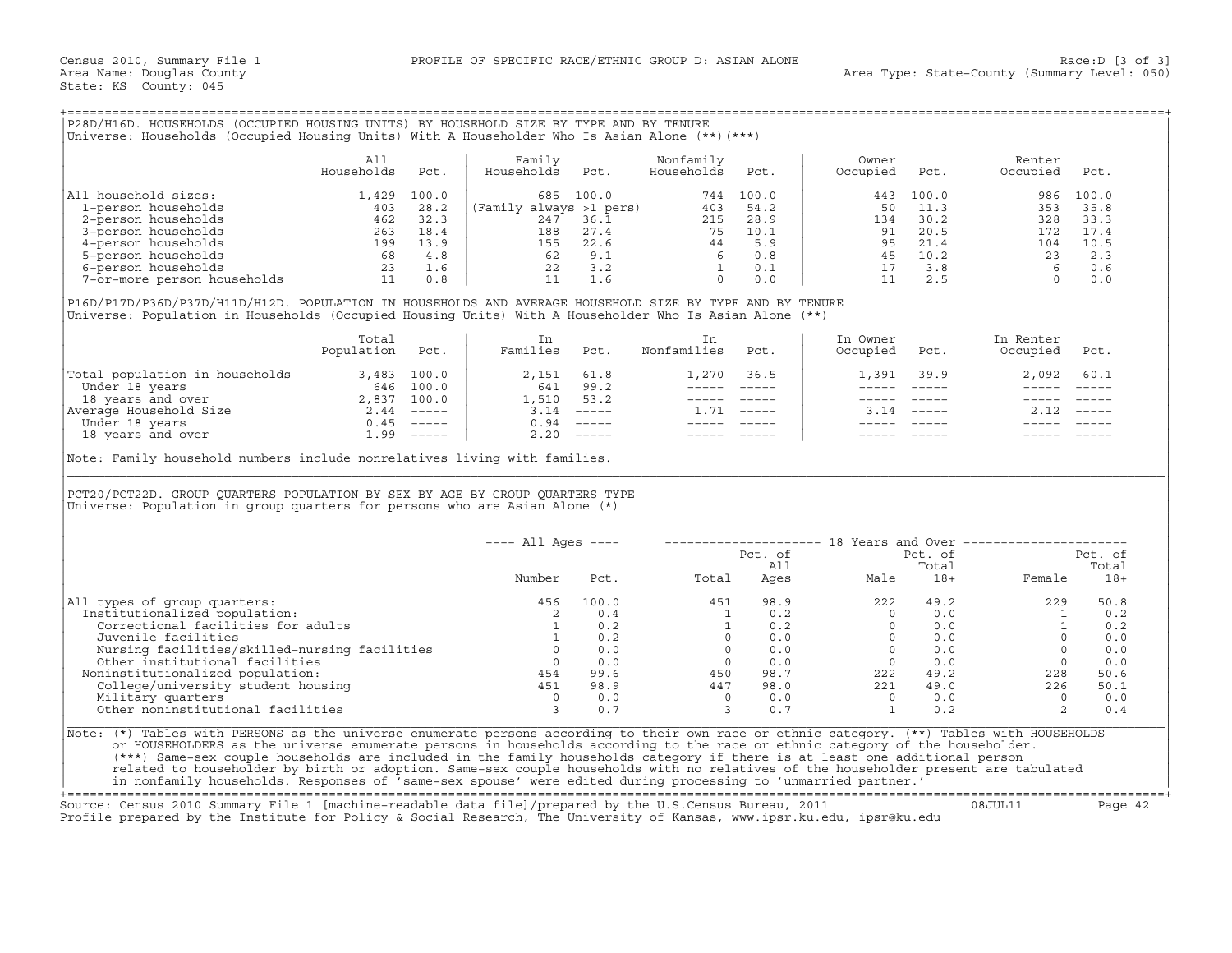## +===================================================================================================================================================+

|                             | All<br>Households | Pct.           | Family<br>Households    | Pct.  | Nonfamily<br>Households | Pct.  | Owner<br>Occupied | Pct.  | Renter<br>Occupied | Pct.  |
|-----------------------------|-------------------|----------------|-------------------------|-------|-------------------------|-------|-------------------|-------|--------------------|-------|
| household sizes:<br>All     | 1,429             | 100.0          | 685                     | 100.0 | 744                     | 100.0 | 443               | 100.0 | 986                | 100.0 |
| 1-person households         | 403               | 28.2           | (Family always >1 pers) |       | 403                     | 54.2  | 50                | 11.3  | 353                | 35.8  |
| 2-person households         | 462               | 32.3           | 247                     | 36.1  | 215                     | 28.9  | 134               | 30.2  | 328                | 33.3  |
| 3-person households         | 263               | $\bot 8$ . $4$ | 188                     | 27.4  | 75                      | 10.1  | 91                | 20.5  | 172                | 17.4  |
| 4-person households         | 199               | 13.9           | 155                     | 22.6  | 44                      | 5.9   | 95                | 21.4  | 104                | 10.5  |
| 5-person households         | 68                | 4.8            | 62                      | 9.1   |                         | 0.8   | 45                | 10.2  | 23                 | 2.3   |
| 6-person households         | 23                | 1.6            | 22                      | 3.2   |                         | 0.1   |                   | 3.8   |                    | 0.6   |
| 7-or-more person households |                   | 0.8            |                         | 1.6   |                         | 0.0   |                   | 2.5   |                    | 0.0   |

|                                | Total<br>Population | Pct.                      | Families           | Pct.                      | Nonfamilies | Pct.          | In Owner<br>Occupied | Pct.          | In Renter<br>Occupied | Pct.                      |
|--------------------------------|---------------------|---------------------------|--------------------|---------------------------|-------------|---------------|----------------------|---------------|-----------------------|---------------------------|
| Total population in households | 3,483               | 100.0                     | 2,151              | 61.8                      | l.270       | 36.5          | 1,391                | 39.9          | 2,092                 | 60.1                      |
| Under 18 years                 | 646                 | 100.0                     | 641                | 99.2                      |             |               |                      |               |                       |                           |
| 18 years and over              | 2,837               | 100.0                     | $\overline{1,510}$ | 53.2                      |             |               |                      |               |                       |                           |
| Average Household Size         | 2.44                | $------$                  | 3.14               | $\qquad \qquad - - - - -$ |             | $\frac{1}{2}$ | 3.14                 | $\frac{1}{2}$ |                       | $\qquad \qquad - - - - -$ |
| Under 18 years                 | 0.45                | $\qquad \qquad - - - - -$ | 0.94               |                           |             |               |                      |               |                       |                           |
| 18 years and over              | 1.99                | $------$                  | 2.20               | $------$                  |             |               |                      |               |                       |                           |

|                                                                                                                                                                                                                                                                           |                   |      | Universe: Households (Occupied Housing Units) With A Householder Who Is Asian Alone (**) (***) |                       |                                       |            |                                                                                                                                                                                                                                                                                                                                                                                                                                                                            |               |                                                                                                                                                                                                                                                                                                                                 |                     |
|---------------------------------------------------------------------------------------------------------------------------------------------------------------------------------------------------------------------------------------------------------------------------|-------------------|------|------------------------------------------------------------------------------------------------|-----------------------|---------------------------------------|------------|----------------------------------------------------------------------------------------------------------------------------------------------------------------------------------------------------------------------------------------------------------------------------------------------------------------------------------------------------------------------------------------------------------------------------------------------------------------------------|---------------|---------------------------------------------------------------------------------------------------------------------------------------------------------------------------------------------------------------------------------------------------------------------------------------------------------------------------------|---------------------|
|                                                                                                                                                                                                                                                                           | All<br>Households | Pct. | Family<br>Households                                                                           | Pct.                  | Nonfamily<br>Households               | Pct.       | Owner<br>Occupied                                                                                                                                                                                                                                                                                                                                                                                                                                                          | Pct.          | Renter<br>Occupied                                                                                                                                                                                                                                                                                                              | Pct.                |
| All household sizes:                                                                                                                                                                                                                                                      |                   |      |                                                                                                |                       |                                       |            | 443                                                                                                                                                                                                                                                                                                                                                                                                                                                                        | 100.0         |                                                                                                                                                                                                                                                                                                                                 | 986 100.0           |
|                                                                                                                                                                                                                                                                           |                   |      |                                                                                                |                       |                                       |            | 50                                                                                                                                                                                                                                                                                                                                                                                                                                                                         | 11.3          |                                                                                                                                                                                                                                                                                                                                 | 353 35.8            |
|                                                                                                                                                                                                                                                                           |                   |      |                                                                                                |                       |                                       |            | 134                                                                                                                                                                                                                                                                                                                                                                                                                                                                        | 30.2          |                                                                                                                                                                                                                                                                                                                                 | 328 33.3            |
|                                                                                                                                                                                                                                                                           |                   |      |                                                                                                |                       |                                       |            | 91                                                                                                                                                                                                                                                                                                                                                                                                                                                                         | 20.5          | 172 17.4                                                                                                                                                                                                                                                                                                                        |                     |
|                                                                                                                                                                                                                                                                           |                   |      |                                                                                                |                       |                                       |            |                                                                                                                                                                                                                                                                                                                                                                                                                                                                            |               | 104 10.5                                                                                                                                                                                                                                                                                                                        |                     |
|                                                                                                                                                                                                                                                                           |                   |      |                                                                                                |                       |                                       |            |                                                                                                                                                                                                                                                                                                                                                                                                                                                                            |               |                                                                                                                                                                                                                                                                                                                                 | 2.3                 |
|                                                                                                                                                                                                                                                                           |                   |      |                                                                                                |                       |                                       |            |                                                                                                                                                                                                                                                                                                                                                                                                                                                                            |               |                                                                                                                                                                                                                                                                                                                                 | 0.6                 |
|                                                                                                                                                                                                                                                                           |                   |      |                                                                                                |                       |                                       |            |                                                                                                                                                                                                                                                                                                                                                                                                                                                                            |               | $\begin{array}{cccc} 21.4 & & & & 104 \ 95 & 21.4 & & & 104 \ 45 & 10.2 & & & 23 \ 17 & 3.8 & & & 6 \ 11 & 2.5 & & & 0 \end{array}$                                                                                                                                                                                             | 0.0                 |
| P16D/P17D/P36D/P37D/H11D/H12D. POPULATION IN HOUSEHOLDS AND AVERAGE HOUSEHOLD SIZE BY TYPE AND BY TENURE<br>Universe: Population in Households (Occupied Housing Units) With A Householder Who Is Asian Alone (**)                                                        |                   |      |                                                                                                |                       |                                       |            |                                                                                                                                                                                                                                                                                                                                                                                                                                                                            |               |                                                                                                                                                                                                                                                                                                                                 |                     |
|                                                                                                                                                                                                                                                                           | Total             |      | In                                                                                             |                       | In                                    |            | In Owner                                                                                                                                                                                                                                                                                                                                                                                                                                                                   |               | In Renter                                                                                                                                                                                                                                                                                                                       |                     |
|                                                                                                                                                                                                                                                                           | Population Pct.   |      | Families Pct.                                                                                  |                       | Nonfamilies Pct.                      |            | Occupied Pct.                                                                                                                                                                                                                                                                                                                                                                                                                                                              |               | Occupied Pct.                                                                                                                                                                                                                                                                                                                   |                     |
|                                                                                                                                                                                                                                                                           |                   |      | 2,151 61.8                                                                                     |                       |                                       | 1,270 36.5 |                                                                                                                                                                                                                                                                                                                                                                                                                                                                            | 1,391 39.9    | 2,092 60.1                                                                                                                                                                                                                                                                                                                      |                     |
|                                                                                                                                                                                                                                                                           |                   |      |                                                                                                |                       |                                       |            | $\frac{1}{2} \left( \frac{1}{2} \right) \left( \frac{1}{2} \right) \left( \frac{1}{2} \right) \left( \frac{1}{2} \right) \left( \frac{1}{2} \right) \left( \frac{1}{2} \right) \left( \frac{1}{2} \right) \left( \frac{1}{2} \right) \left( \frac{1}{2} \right) \left( \frac{1}{2} \right) \left( \frac{1}{2} \right) \left( \frac{1}{2} \right) \left( \frac{1}{2} \right) \left( \frac{1}{2} \right) \left( \frac{1}{2} \right) \left( \frac{1}{2} \right) \left( \frac$ | $\frac{1}{2}$ | $\frac{1}{2}$                                                                                                                                                                                                                                                                                                                   |                     |
|                                                                                                                                                                                                                                                                           |                   |      |                                                                                                | $1,510$ $53.2$        | ----- -----                           |            |                                                                                                                                                                                                                                                                                                                                                                                                                                                                            | ----- ----- - |                                                                                                                                                                                                                                                                                                                                 |                     |
|                                                                                                                                                                                                                                                                           |                   |      |                                                                                                |                       | $1.71$ -----                          |            |                                                                                                                                                                                                                                                                                                                                                                                                                                                                            | $3.14$ -----  | $2.12$ -----                                                                                                                                                                                                                                                                                                                    |                     |
|                                                                                                                                                                                                                                                                           |                   |      |                                                                                                |                       |                                       |            |                                                                                                                                                                                                                                                                                                                                                                                                                                                                            |               |                                                                                                                                                                                                                                                                                                                                 |                     |
|                                                                                                                                                                                                                                                                           |                   |      |                                                                                                |                       | ----- -----                           |            |                                                                                                                                                                                                                                                                                                                                                                                                                                                                            |               |                                                                                                                                                                                                                                                                                                                                 |                     |
|                                                                                                                                                                                                                                                                           |                   |      |                                                                                                |                       |                                       |            |                                                                                                                                                                                                                                                                                                                                                                                                                                                                            |               |                                                                                                                                                                                                                                                                                                                                 |                     |
|                                                                                                                                                                                                                                                                           |                   |      |                                                                                                |                       |                                       |            |                                                                                                                                                                                                                                                                                                                                                                                                                                                                            |               |                                                                                                                                                                                                                                                                                                                                 |                     |
|                                                                                                                                                                                                                                                                           |                   |      | ---- All Ages ----                                                                             |                       |                                       |            |                                                                                                                                                                                                                                                                                                                                                                                                                                                                            |               | --------------------    18 Years and Over ----------------------                                                                                                                                                                                                                                                                |                     |
|                                                                                                                                                                                                                                                                           |                   |      |                                                                                                |                       |                                       | Pct. of    |                                                                                                                                                                                                                                                                                                                                                                                                                                                                            | Pct. of       |                                                                                                                                                                                                                                                                                                                                 | Pct. of             |
|                                                                                                                                                                                                                                                                           |                   |      | Number                                                                                         |                       | Pct. Total                            |            | All Total<br>Ages Male 18+ Female                                                                                                                                                                                                                                                                                                                                                                                                                                          |               |                                                                                                                                                                                                                                                                                                                                 | Total<br>Female 18+ |
|                                                                                                                                                                                                                                                                           |                   |      | 456                                                                                            |                       |                                       |            |                                                                                                                                                                                                                                                                                                                                                                                                                                                                            |               |                                                                                                                                                                                                                                                                                                                                 |                     |
| Institutionalized population:                                                                                                                                                                                                                                             |                   |      |                                                                                                |                       |                                       |            |                                                                                                                                                                                                                                                                                                                                                                                                                                                                            |               |                                                                                                                                                                                                                                                                                                                                 |                     |
| Correctional facilities for adults                                                                                                                                                                                                                                        |                   |      | $\begin{array}{c} 2 \\ 1 \end{array}$                                                          | $100.0$<br>0.4<br>0.2 |                                       |            |                                                                                                                                                                                                                                                                                                                                                                                                                                                                            |               |                                                                                                                                                                                                                                                                                                                                 |                     |
| Juvenile facilities                                                                                                                                                                                                                                                       |                   |      |                                                                                                | 1 0.2                 |                                       |            |                                                                                                                                                                                                                                                                                                                                                                                                                                                                            |               |                                                                                                                                                                                                                                                                                                                                 |                     |
|                                                                                                                                                                                                                                                                           |                   |      |                                                                                                |                       |                                       |            |                                                                                                                                                                                                                                                                                                                                                                                                                                                                            |               |                                                                                                                                                                                                                                                                                                                                 |                     |
|                                                                                                                                                                                                                                                                           |                   |      |                                                                                                |                       |                                       |            |                                                                                                                                                                                                                                                                                                                                                                                                                                                                            |               |                                                                                                                                                                                                                                                                                                                                 |                     |
| Noninstitutionalized population:                                                                                                                                                                                                                                          |                   |      |                                                                                                |                       |                                       |            |                                                                                                                                                                                                                                                                                                                                                                                                                                                                            |               |                                                                                                                                                                                                                                                                                                                                 |                     |
|                                                                                                                                                                                                                                                                           |                   |      |                                                                                                |                       |                                       |            |                                                                                                                                                                                                                                                                                                                                                                                                                                                                            |               |                                                                                                                                                                                                                                                                                                                                 |                     |
| Nursing facilities/skilled-nursing facilities<br>Other institutional facilities<br>oninstitutionalized population:<br>$454$<br>$99.6$<br>College/university student housing<br>Military quarters<br>$198.9$<br>Military quarters<br>Military quarters                     |                   |      |                                                                                                | 0.0                   | $0.0$<br>99.6 450<br>98.9 447         | 0.0        |                                                                                                                                                                                                                                                                                                                                                                                                                                                                            |               | $\begin{array}{cccccc} 451 & 98.9 & & 222 & 49.2 & & 229 & 50.8 \\ 1 & 0.2 & & 0 & 0.0 & & 1 & 0.2 \\ 1 & 0.2 & & 0 & 0.0 & & 1 & 0.2 \\ 0 & 0.0 & & 0 & 0.0 & & 0 & 0.0 \\ 0 & 0.0 & & 0 & 0.0 & & 0 & 0.0 \\ 0 & 0.0 & & 0 & 0.0 & & 0 & 0.0 \\ 450 & 98.7 & & 222 & 49.2 & & 228 & 50.6 \\ 447 & 98.0 & &$<br>$\overline{0}$ | 0.0                 |
| Note: Family household numbers include nonrelatives living with families.<br>PCT20/PCT22D. GROUP QUARTERS POPULATION BY SEX BY AGE BY GROUP QUARTERS TYPE<br>Universe: Population in group quarters for persons who are Asian Alone $(*)$<br>All types of group quarters: |                   |      |                                                                                                |                       |                                       |            |                                                                                                                                                                                                                                                                                                                                                                                                                                                                            |               |                                                                                                                                                                                                                                                                                                                                 |                     |
| Other noninstitutional facilities<br>Note: (*) Tables with PERSONS as the universe enumerate persons according to their own race or ethnic category. (**) Tables with HOUSEHOLDS                                                                                          |                   |      | $\frac{0}{3}$<br>$\overline{\mathbf{3}}$                                                       | 0.7                   | $\begin{array}{c} 0 \\ 3 \end{array}$ | 0.7        | $\begin{matrix} 0 && 0 & 0 \\ 1 && 0 & 2 \end{matrix}$                                                                                                                                                                                                                                                                                                                                                                                                                     |               | 2                                                                                                                                                                                                                                                                                                                               | 0.4                 |
| or HOUSEHOLDERS as the universe enumerate persons in households according to the race or ethnic category of the householder.                                                                                                                                              |                   |      |                                                                                                |                       |                                       |            |                                                                                                                                                                                                                                                                                                                                                                                                                                                                            |               |                                                                                                                                                                                                                                                                                                                                 |                     |
| (***) Same-sex couple households are included in the family households category if there is at least one additional person<br>related to householder by birth or adoption. Same-sex couple households with no relatives of the householder present are tabulated          |                   |      |                                                                                                |                       |                                       |            |                                                                                                                                                                                                                                                                                                                                                                                                                                                                            |               |                                                                                                                                                                                                                                                                                                                                 |                     |

+===================================================================================================================================================+

Source: Census 2010 Summary File 1 [machine−readable data file]/prepared by the U.S.Census Bureau, 2011 08JUL11 Page 42 Profile prepared by the Institute for Policy & Social Research, The University of Kansas, www.ipsr.ku.edu, ipsr@ku.edu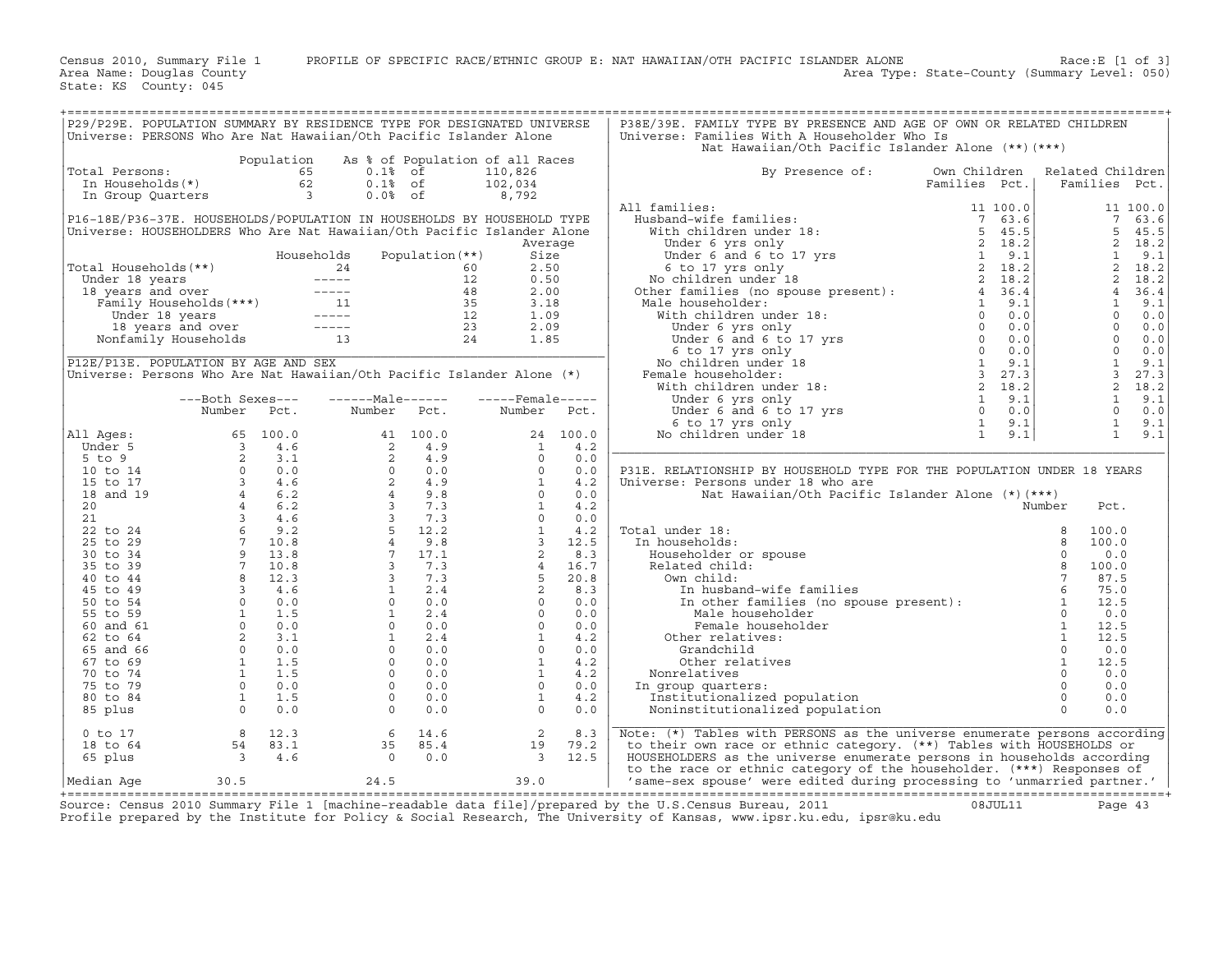Census 2010, Summary File 1 PROFILE OF SPECIFIC RACE/ETHNIC GROUP E: NAT HAWAIIAN/OTH PACIFIC ISLANDER ALONE Race:E [1 of 3]<br>Area Name: Douglas County (summary Level: 050) Area Type: State-County (Summary Level: 050)

State: KS County: 045

| P29/P29E. POPULATION SUMMARY BY RESIDENCE TYPE FOR DESIGNATED UNIVERSE                                                                                                                                                         |                  |        |                                                                                                                                                                                                                                                                                         |                   |                         |      | P38E/39E. FAMILY TYPE BY PRESENCE AND AGE OF OWN OR RELATED CHILDREN                                                                                                                                                                                                                                                                                                                                                                                                                   |               |                         |                        |
|--------------------------------------------------------------------------------------------------------------------------------------------------------------------------------------------------------------------------------|------------------|--------|-----------------------------------------------------------------------------------------------------------------------------------------------------------------------------------------------------------------------------------------------------------------------------------------|-------------------|-------------------------|------|----------------------------------------------------------------------------------------------------------------------------------------------------------------------------------------------------------------------------------------------------------------------------------------------------------------------------------------------------------------------------------------------------------------------------------------------------------------------------------------|---------------|-------------------------|------------------------|
| Universe: PERSONS Who Are Nat Hawaiian/Oth Pacific Islander Alone                                                                                                                                                              |                  |        |                                                                                                                                                                                                                                                                                         |                   |                         |      | Universe: Families With A Householder Who Is                                                                                                                                                                                                                                                                                                                                                                                                                                           |               |                         |                        |
|                                                                                                                                                                                                                                |                  |        |                                                                                                                                                                                                                                                                                         |                   |                         |      | Nat Hawaiian/Oth Pacific Islander Alone (**) (***)                                                                                                                                                                                                                                                                                                                                                                                                                                     |               |                         |                        |
|                                                                                                                                                                                                                                |                  |        | Population As % of Population of all Races                                                                                                                                                                                                                                              |                   |                         |      |                                                                                                                                                                                                                                                                                                                                                                                                                                                                                        |               |                         |                        |
| Total Persons:<br>otal Persons: 65<br>In Households(*) 62<br>In Group Quarters 3                                                                                                                                               |                  |        | 65 0.1% of                                                                                                                                                                                                                                                                              |                   | 110,826                 |      | By Presence of:                                                                                                                                                                                                                                                                                                                                                                                                                                                                        | Own Children  | Related Children        |                        |
|                                                                                                                                                                                                                                |                  |        | $0.1%$ of                                                                                                                                                                                                                                                                               |                   | 102,034                 |      |                                                                                                                                                                                                                                                                                                                                                                                                                                                                                        | Families Pct. | Families Pct.           |                        |
|                                                                                                                                                                                                                                |                  |        | $0.0%$ of                                                                                                                                                                                                                                                                               |                   | 8,792                   |      |                                                                                                                                                                                                                                                                                                                                                                                                                                                                                        |               |                         |                        |
|                                                                                                                                                                                                                                |                  |        |                                                                                                                                                                                                                                                                                         |                   |                         |      | All families:                                                                                                                                                                                                                                                                                                                                                                                                                                                                          |               |                         | 11 100.0               |
| P16-18E/P36-37E. HOUSEHOLDS/POPULATION IN HOUSEHOLDS BY HOUSEHOLD TYPE                                                                                                                                                         |                  |        |                                                                                                                                                                                                                                                                                         |                   |                         |      |                                                                                                                                                                                                                                                                                                                                                                                                                                                                                        |               |                         | 7 <sup>7</sup><br>63.6 |
| Universe: HOUSEHOLDERS Who Are Nat Hawaiian/Oth Pacific Islander Alone                                                                                                                                                         |                  |        |                                                                                                                                                                                                                                                                                         |                   |                         |      |                                                                                                                                                                                                                                                                                                                                                                                                                                                                                        |               | 5                       | 45.5                   |
|                                                                                                                                                                                                                                |                  |        |                                                                                                                                                                                                                                                                                         |                   |                         |      |                                                                                                                                                                                                                                                                                                                                                                                                                                                                                        |               |                         | $\overline{2}$<br>18.2 |
|                                                                                                                                                                                                                                |                  |        |                                                                                                                                                                                                                                                                                         |                   | Average                 |      |                                                                                                                                                                                                                                                                                                                                                                                                                                                                                        |               |                         | 1                      |
|                                                                                                                                                                                                                                |                  |        | Households                                                                                                                                                                                                                                                                              | Population $(**)$ | Size                    |      |                                                                                                                                                                                                                                                                                                                                                                                                                                                                                        |               |                         | 9.1                    |
|                                                                                                                                                                                                                                |                  |        |                                                                                                                                                                                                                                                                                         |                   | 2.50                    |      |                                                                                                                                                                                                                                                                                                                                                                                                                                                                                        |               | 2                       | 18.2                   |
|                                                                                                                                                                                                                                |                  |        |                                                                                                                                                                                                                                                                                         |                   | 0.50                    |      |                                                                                                                                                                                                                                                                                                                                                                                                                                                                                        |               |                         | 2, 18.2                |
|                                                                                                                                                                                                                                |                  |        |                                                                                                                                                                                                                                                                                         |                   | 2.00                    |      |                                                                                                                                                                                                                                                                                                                                                                                                                                                                                        |               |                         | 4<br>36.4              |
|                                                                                                                                                                                                                                |                  |        |                                                                                                                                                                                                                                                                                         |                   | 3.18                    |      | Male householder:                                                                                                                                                                                                                                                                                                                                                                                                                                                                      |               |                         | $\mathbf{1}$<br>9.1    |
|                                                                                                                                                                                                                                |                  |        |                                                                                                                                                                                                                                                                                         |                   | 1.09                    |      |                                                                                                                                                                                                                                                                                                                                                                                                                                                                                        |               |                         | $\Omega$<br>0.0        |
|                                                                                                                                                                                                                                |                  |        |                                                                                                                                                                                                                                                                                         |                   | 2.09                    |      |                                                                                                                                                                                                                                                                                                                                                                                                                                                                                        |               | $\overline{0}$          | 0.0                    |
| Total Households (**)<br>Under 18 years<br>18 years and over<br>Family Households (***)<br>Under 18 years and over<br>Family Households (***)<br>11 35<br>18 years and over<br>12 12<br>13 years and over<br>12<br>12<br>13 24 |                  |        |                                                                                                                                                                                                                                                                                         |                   | 1.85                    |      |                                                                                                                                                                                                                                                                                                                                                                                                                                                                                        |               | $\overline{0}$          | 0.0                    |
|                                                                                                                                                                                                                                |                  |        |                                                                                                                                                                                                                                                                                         |                   |                         |      |                                                                                                                                                                                                                                                                                                                                                                                                                                                                                        |               | $\overline{0}$          | 0.0                    |
| P12E/P13E. POPULATION BY AGE AND SEX                                                                                                                                                                                           |                  |        |                                                                                                                                                                                                                                                                                         |                   |                         |      | Allahouseholder:<br>Methouseholder: $\begin{array}{cccccc} 4 & 36.4 \ \text{MeV} & 1 & 9.1 \ \text{MeV} & 1 & 9.1 \ \text{MeV} & 0 & 0.0 \ \text{Under 6 and 6 to 17 yrs} & 0 & 0.0 \ \text{Under 6 and 6 to 17 yrs} & 0 & 0.0 \ \text{No children under 18} & 0 & 0.0 \ \text{No children under 18} & 1 & 9.1 \ \text{Yerale householder:} & 3 & 27.3 \ \text{Under 6 yrs only} & 2 & 18.2 \$                                                                                         |               | $\overline{1}$          | 9.1                    |
| Universe: Persons Who Are Nat Hawaiian/Oth Pacific Islander Alone (*)                                                                                                                                                          |                  |        |                                                                                                                                                                                                                                                                                         |                   |                         |      | Female householder:                                                                                                                                                                                                                                                                                                                                                                                                                                                                    |               | $\overline{\mathbf{3}}$ | 27.3                   |
|                                                                                                                                                                                                                                |                  |        |                                                                                                                                                                                                                                                                                         |                   |                         |      |                                                                                                                                                                                                                                                                                                                                                                                                                                                                                        |               |                         | 2 18.2                 |
|                                                                                                                                                                                                                                | ---Both Sexes--- |        | $---Male----$                                                                                                                                                                                                                                                                           |                   | $---$ Female-----       |      |                                                                                                                                                                                                                                                                                                                                                                                                                                                                                        |               | $\overline{1}$          | 9.1                    |
|                                                                                                                                                                                                                                | Number Pct.      |        | Number Pct.                                                                                                                                                                                                                                                                             |                   | Number                  | Pct. |                                                                                                                                                                                                                                                                                                                                                                                                                                                                                        |               | $\overline{0}$          | 0.0                    |
|                                                                                                                                                                                                                                |                  |        |                                                                                                                                                                                                                                                                                         |                   |                         |      |                                                                                                                                                                                                                                                                                                                                                                                                                                                                                        |               |                         | $\mathbf{1}$<br>9.1    |
| All Ages:                                                                                                                                                                                                                      |                  |        |                                                                                                                                                                                                                                                                                         |                   |                         |      |                                                                                                                                                                                                                                                                                                                                                                                                                                                                                        |               |                         | $\mathbf{1}$<br>9.1    |
| Under 5                                                                                                                                                                                                                        |                  |        |                                                                                                                                                                                                                                                                                         |                   |                         |      |                                                                                                                                                                                                                                                                                                                                                                                                                                                                                        |               |                         |                        |
| $5$ to $9$                                                                                                                                                                                                                     |                  |        |                                                                                                                                                                                                                                                                                         |                   |                         |      |                                                                                                                                                                                                                                                                                                                                                                                                                                                                                        |               |                         |                        |
| 10 to 14                                                                                                                                                                                                                       |                  |        |                                                                                                                                                                                                                                                                                         |                   |                         |      | P31E. RELATIONSHIP BY HOUSEHOLD TYPE FOR THE POPULATION UNDER 18 YEARS                                                                                                                                                                                                                                                                                                                                                                                                                 |               |                         |                        |
| 15 to 17                                                                                                                                                                                                                       |                  |        |                                                                                                                                                                                                                                                                                         |                   |                         |      | Universe: Persons under 18 who are                                                                                                                                                                                                                                                                                                                                                                                                                                                     |               |                         |                        |
| 18 and 19                                                                                                                                                                                                                      |                  |        |                                                                                                                                                                                                                                                                                         |                   |                         |      |                                                                                                                                                                                                                                                                                                                                                                                                                                                                                        |               |                         |                        |
| 20 <sub>o</sub>                                                                                                                                                                                                                |                  |        |                                                                                                                                                                                                                                                                                         |                   |                         |      |                                                                                                                                                                                                                                                                                                                                                                                                                                                                                        |               |                         |                        |
| 21                                                                                                                                                                                                                             |                  |        |                                                                                                                                                                                                                                                                                         |                   |                         |      |                                                                                                                                                                                                                                                                                                                                                                                                                                                                                        |               |                         |                        |
| 22 to 24                                                                                                                                                                                                                       |                  |        |                                                                                                                                                                                                                                                                                         |                   |                         |      | Total under 18:                                                                                                                                                                                                                                                                                                                                                                                                                                                                        |               |                         |                        |
| 25 to 29                                                                                                                                                                                                                       |                  |        |                                                                                                                                                                                                                                                                                         |                   |                         |      | In households:                                                                                                                                                                                                                                                                                                                                                                                                                                                                         |               |                         |                        |
|                                                                                                                                                                                                                                |                  |        |                                                                                                                                                                                                                                                                                         |                   |                         |      |                                                                                                                                                                                                                                                                                                                                                                                                                                                                                        |               |                         |                        |
| 30 to 34                                                                                                                                                                                                                       |                  |        |                                                                                                                                                                                                                                                                                         |                   |                         |      | Householder or spouse                                                                                                                                                                                                                                                                                                                                                                                                                                                                  |               |                         |                        |
| 35 to 39                                                                                                                                                                                                                       |                  |        |                                                                                                                                                                                                                                                                                         |                   |                         |      | Related child:                                                                                                                                                                                                                                                                                                                                                                                                                                                                         |               |                         |                        |
| 40 to 44                                                                                                                                                                                                                       |                  |        |                                                                                                                                                                                                                                                                                         |                   |                         |      | Own child:                                                                                                                                                                                                                                                                                                                                                                                                                                                                             |               |                         |                        |
| 45 to 49                                                                                                                                                                                                                       |                  |        |                                                                                                                                                                                                                                                                                         |                   |                         |      |                                                                                                                                                                                                                                                                                                                                                                                                                                                                                        |               |                         |                        |
| 50 to 54                                                                                                                                                                                                                       |                  |        |                                                                                                                                                                                                                                                                                         |                   |                         |      |                                                                                                                                                                                                                                                                                                                                                                                                                                                                                        |               |                         |                        |
| 55 to 59                                                                                                                                                                                                                       |                  |        |                                                                                                                                                                                                                                                                                         |                   |                         |      |                                                                                                                                                                                                                                                                                                                                                                                                                                                                                        |               |                         |                        |
| 60 and 61                                                                                                                                                                                                                      |                  |        |                                                                                                                                                                                                                                                                                         |                   |                         |      |                                                                                                                                                                                                                                                                                                                                                                                                                                                                                        |               |                         |                        |
| 62 to 64                                                                                                                                                                                                                       |                  |        |                                                                                                                                                                                                                                                                                         |                   |                         |      | Other relatives:                                                                                                                                                                                                                                                                                                                                                                                                                                                                       |               |                         |                        |
| 65 and 66                                                                                                                                                                                                                      |                  |        |                                                                                                                                                                                                                                                                                         |                   |                         |      |                                                                                                                                                                                                                                                                                                                                                                                                                                                                                        |               |                         |                        |
| 67 to 69                                                                                                                                                                                                                       |                  |        |                                                                                                                                                                                                                                                                                         |                   |                         |      |                                                                                                                                                                                                                                                                                                                                                                                                                                                                                        |               |                         |                        |
| 70 to 74                                                                                                                                                                                                                       |                  |        |                                                                                                                                                                                                                                                                                         |                   |                         |      | Nonrelatives                                                                                                                                                                                                                                                                                                                                                                                                                                                                           |               |                         |                        |
| 75 to 79                                                                                                                                                                                                                       |                  |        |                                                                                                                                                                                                                                                                                         |                   |                         |      | In group quarters:                                                                                                                                                                                                                                                                                                                                                                                                                                                                     |               |                         |                        |
| 80 to 84                                                                                                                                                                                                                       |                  |        |                                                                                                                                                                                                                                                                                         |                   |                         |      | Institutionalized population                                                                                                                                                                                                                                                                                                                                                                                                                                                           |               |                         |                        |
| 85 plus                                                                                                                                                                                                                        |                  |        |                                                                                                                                                                                                                                                                                         |                   |                         |      | Noninstitutionalized population                                                                                                                                                                                                                                                                                                                                                                                                                                                        |               |                         |                        |
|                                                                                                                                                                                                                                |                  |        | Number Pct.<br>65 100.0<br>3 4.6<br>2 3.1<br>2 4.9<br>0 0.0<br>3 4.6<br>2 4.9<br>0 0.0<br>7 3 4.6<br>2 4.9<br>0 0.0<br>1 4.2<br>4 6.2<br>4 6.2<br>3 7.3<br>4 9 13.8<br>4 9.8<br>7 10.8<br>4 9.8<br>4 9.7<br>2 1 4.2<br>1 4.2<br>1 4.2<br>1 4.2<br>1 4.2<br>1 4.2<br>1 4.2<br>1 4.2<br>1 |                   |                         |      | $\begin{tabular}{c} \end{tabular} \begin{tabular}{c} \multicolumn{1}{c}{\textbf{.3.5}} \end{tabular} \begin{tabular}{c} \multicolumn{1}{c}{\textbf{.4.5}} \end{tabular} \begin{tabular}{c} \multicolumn{1}{c}{\textbf{.5.5}} \end{tabular} \begin{tabular}{c} \multicolumn{1}{c}{\textbf{.5.5}} \end{tabular} \begin{tabular}{c} \multicolumn{1}{c}{\textbf{.5.5}} \end{tabular} \begin{tabular}{c} \multicolumn{1}{c}{\textbf{.5.5}} \end{tabular} \begin{tabular}{c} \multicolumn{1$ |               |                         |                        |
| $0$ to $17$                                                                                                                                                                                                                    |                  | 8 12.3 | 6                                                                                                                                                                                                                                                                                       | 14.6              | 2                       | 8.3  | Note: (*) Tables with PERSONS as the universe enumerate persons according                                                                                                                                                                                                                                                                                                                                                                                                              |               |                         |                        |
| 18 to 64                                                                                                                                                                                                                       |                  |        | 35                                                                                                                                                                                                                                                                                      | 85.4              | 19                      | 79.2 | to their own race or ethnic category. (**) Tables with HOUSEHOLDS or                                                                                                                                                                                                                                                                                                                                                                                                                   |               |                         |                        |
| 65 plus                                                                                                                                                                                                                        |                  |        | $\overline{0}$                                                                                                                                                                                                                                                                          | 0.0               | $\overline{\mathbf{3}}$ | 12.5 | HOUSEHOLDERS as the universe enumerate persons in households according                                                                                                                                                                                                                                                                                                                                                                                                                 |               |                         |                        |
|                                                                                                                                                                                                                                |                  |        |                                                                                                                                                                                                                                                                                         |                   |                         |      | to the race or ethnic category of the householder. (***) Responses of                                                                                                                                                                                                                                                                                                                                                                                                                  |               |                         |                        |
| Median Aqe                                                                                                                                                                                                                     | 30.5             |        | 24.5                                                                                                                                                                                                                                                                                    |                   | 39.0                    |      | 'same-sex spouse' were edited during processing to 'unmarried partner.'                                                                                                                                                                                                                                                                                                                                                                                                                |               |                         |                        |
|                                                                                                                                                                                                                                |                  |        |                                                                                                                                                                                                                                                                                         |                   |                         |      |                                                                                                                                                                                                                                                                                                                                                                                                                                                                                        |               |                         |                        |

+===================================================================================================================================================+Source: Census 2010 Summary File 1 [machine−readable data file]/prepared by the U.S.Census Bureau, 2011 08JUL11 Page 43 Profile prepared by the Institute for Policy & Social Research, The University of Kansas, www.ipsr.ku.edu, ipsr@ku.edu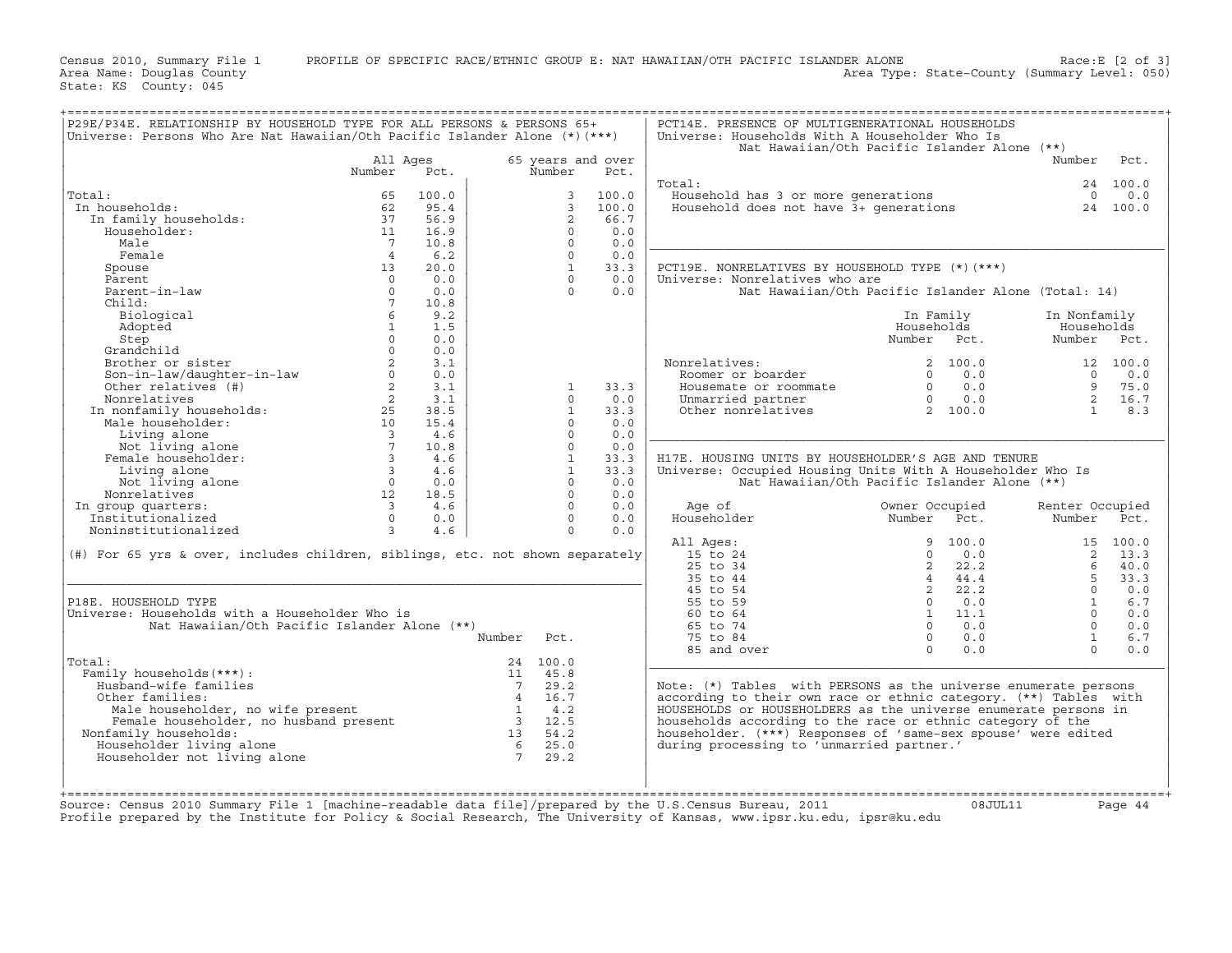Census 2010, Summary File 1 PROFILE OF SPECIFIC RACE/ETHNIC GROUP E: NAT HAWAIIAN/OTH PACIFIC ISLANDER ALONE Race:E [2 of 3]<br>Area Name: Douqlas County Level: 050) Area Type: State-County (Summary Level: 050) Area Type: State-County (Summary Level: 050)

State: KS County: 045

| P29E/P34E. RELATIONSHIP BY HOUSEHOLD TYPE FOR ALL PERSONS & PERSONS 65+<br>Universe: Persons Who Are Nat Hawaiian/Oth Pacific Islander Alone (*) (***)                                                                                                                                                                                                                                                                                                     |                 |       |        |              |                   | PCT14E. PRESENCE OF MULTIGENERATIONAL HOUSEHOLDS<br>Universe: Households With A Householder Who Is                                                                                                                                                                                                          |                                                                                                                                                       |                 |           |
|------------------------------------------------------------------------------------------------------------------------------------------------------------------------------------------------------------------------------------------------------------------------------------------------------------------------------------------------------------------------------------------------------------------------------------------------------------|-----------------|-------|--------|--------------|-------------------|-------------------------------------------------------------------------------------------------------------------------------------------------------------------------------------------------------------------------------------------------------------------------------------------------------------|-------------------------------------------------------------------------------------------------------------------------------------------------------|-----------------|-----------|
|                                                                                                                                                                                                                                                                                                                                                                                                                                                            |                 |       |        |              |                   |                                                                                                                                                                                                                                                                                                             | Nat Hawaiian/Oth Pacific Islander Alone (**)                                                                                                          |                 |           |
|                                                                                                                                                                                                                                                                                                                                                                                                                                                            | All Ages        |       |        |              | 65 years and over |                                                                                                                                                                                                                                                                                                             |                                                                                                                                                       | Number          | Pct.      |
|                                                                                                                                                                                                                                                                                                                                                                                                                                                            | Number          | Pct.  |        | Number       | Pct.              |                                                                                                                                                                                                                                                                                                             |                                                                                                                                                       |                 |           |
| al:<br>1 households: 62<br>In family households: 62<br>"anaholder: 11<br>17<br>14                                                                                                                                                                                                                                                                                                                                                                          |                 |       |        |              |                   | Total:                                                                                                                                                                                                                                                                                                      |                                                                                                                                                       |                 | 24 100.0  |
| Total:                                                                                                                                                                                                                                                                                                                                                                                                                                                     |                 | 100.0 |        | 3            | 100.0             | Household has 3 or more generations<br>Household does not have 3+ generations                                                                                                                                                                                                                               |                                                                                                                                                       | $\overline{0}$  | 0.0       |
| In households:                                                                                                                                                                                                                                                                                                                                                                                                                                             |                 | 95.4  |        | 3            | 100.0             |                                                                                                                                                                                                                                                                                                             |                                                                                                                                                       |                 | 24 100.0  |
|                                                                                                                                                                                                                                                                                                                                                                                                                                                            |                 | 56.9  |        | 2            | 66.7              |                                                                                                                                                                                                                                                                                                             |                                                                                                                                                       |                 |           |
|                                                                                                                                                                                                                                                                                                                                                                                                                                                            |                 | 16.9  |        | $\Omega$     | 0.0               |                                                                                                                                                                                                                                                                                                             |                                                                                                                                                       |                 |           |
|                                                                                                                                                                                                                                                                                                                                                                                                                                                            |                 | 10.8  |        | $\Omega$     | 0.0               |                                                                                                                                                                                                                                                                                                             |                                                                                                                                                       |                 |           |
| Female                                                                                                                                                                                                                                                                                                                                                                                                                                                     | 4 <sup>1</sup>  | 6.2   |        | $\Omega$     | 0.0               |                                                                                                                                                                                                                                                                                                             |                                                                                                                                                       |                 |           |
| Spouse                                                                                                                                                                                                                                                                                                                                                                                                                                                     | 13              | 20.0  |        | $\mathbf{1}$ | 33.3              | PCT19E. NONRELATIVES BY HOUSEHOLD TYPE (*) (***)                                                                                                                                                                                                                                                            |                                                                                                                                                       |                 |           |
| Parent                                                                                                                                                                                                                                                                                                                                                                                                                                                     | $\overline{0}$  | 0.0   |        | $\Omega$     | 0.0               | Universe: Nonrelatives who are                                                                                                                                                                                                                                                                              |                                                                                                                                                       |                 |           |
| Parent-in-law                                                                                                                                                                                                                                                                                                                                                                                                                                              | $\Omega$        | 0.0   |        | $\Omega$     | 0.0               |                                                                                                                                                                                                                                                                                                             | Nat Hawaiian/Oth Pacific Islander Alone (Total: 14)                                                                                                   |                 |           |
| Child:                                                                                                                                                                                                                                                                                                                                                                                                                                                     | $7\overline{ }$ | 10.8  |        |              |                   |                                                                                                                                                                                                                                                                                                             |                                                                                                                                                       |                 |           |
| Biological                                                                                                                                                                                                                                                                                                                                                                                                                                                 | 6               | 9.2   |        |              |                   |                                                                                                                                                                                                                                                                                                             | In Family                                                                                                                                             | In Nonfamily    |           |
| Adopted                                                                                                                                                                                                                                                                                                                                                                                                                                                    | 1               | 1.5   |        |              |                   |                                                                                                                                                                                                                                                                                                             | Households                                                                                                                                            | Households      |           |
| Step                                                                                                                                                                                                                                                                                                                                                                                                                                                       | $\Omega$        | 0.0   |        |              |                   |                                                                                                                                                                                                                                                                                                             | Number Pct.                                                                                                                                           | Number Pct.     |           |
|                                                                                                                                                                                                                                                                                                                                                                                                                                                            |                 |       |        |              |                   |                                                                                                                                                                                                                                                                                                             |                                                                                                                                                       |                 |           |
|                                                                                                                                                                                                                                                                                                                                                                                                                                                            |                 |       |        |              |                   | Nonrelatives:                                                                                                                                                                                                                                                                                               | 2 100.0                                                                                                                                               |                 | 12 100.0  |
|                                                                                                                                                                                                                                                                                                                                                                                                                                                            |                 |       |        |              |                   | onrelatives:<br>Roomer or boarder                                                                                                                                                                                                                                                                           | $0 \t 0.0$                                                                                                                                            | $\Omega$        | 0.0       |
|                                                                                                                                                                                                                                                                                                                                                                                                                                                            |                 |       |        | $\mathbf{1}$ | 33.3              |                                                                                                                                                                                                                                                                                                             |                                                                                                                                                       | $\mathsf{q}$    | 75.0      |
|                                                                                                                                                                                                                                                                                                                                                                                                                                                            |                 |       |        | $\Omega$     | 0.0               |                                                                                                                                                                                                                                                                                                             |                                                                                                                                                       |                 | 2 16.7    |
|                                                                                                                                                                                                                                                                                                                                                                                                                                                            |                 |       |        | $\mathbf{1}$ | 33.3              | Exercise commate the commate of roommate $\begin{array}{cccc} 0 & 0.0 \\ 0 & 0.0 \\ 0 & 0.0 \\ 0 & 0.0 \\ 0 & 0.0 \\ 0 & 0.0 \\ 0 & 0.0 \\ 0 & 0.0 \\ 0 & 0.0 \\ 0 & 0.0 \\ 0 & 0.0 \\ 0 & 0.0 \\ 0 & 0.0 \\ 0 & 0.0 \\ 0 & 0.0 \\ 0 & 0.0 \\ 0 & 0.0 \\ 0 & 0.0 \\ 0 & 0.0 \\ 0 & 0.0 \\ 0 & 0.0 \\ 0 & 0$ |                                                                                                                                                       | $\sim$ 1        | 8.3       |
|                                                                                                                                                                                                                                                                                                                                                                                                                                                            |                 |       |        | $\Omega$     | 0.0               |                                                                                                                                                                                                                                                                                                             |                                                                                                                                                       |                 |           |
|                                                                                                                                                                                                                                                                                                                                                                                                                                                            |                 |       |        | $\circ$      | 0.0               |                                                                                                                                                                                                                                                                                                             |                                                                                                                                                       |                 |           |
|                                                                                                                                                                                                                                                                                                                                                                                                                                                            |                 |       |        | $\Omega$     | 0.0               |                                                                                                                                                                                                                                                                                                             |                                                                                                                                                       |                 |           |
|                                                                                                                                                                                                                                                                                                                                                                                                                                                            |                 |       |        | 1            | 33.3              | H17E. HOUSING UNITS BY HOUSEHOLDER'S AGE AND TENURE                                                                                                                                                                                                                                                         |                                                                                                                                                       |                 |           |
|                                                                                                                                                                                                                                                                                                                                                                                                                                                            |                 |       |        | $\mathbf{1}$ | 33.3              | Universe: Occupied Housing Units With A Householder Who Is                                                                                                                                                                                                                                                  |                                                                                                                                                       |                 |           |
|                                                                                                                                                                                                                                                                                                                                                                                                                                                            |                 |       |        | $\Omega$     | 0.0               |                                                                                                                                                                                                                                                                                                             | Nat Hawaiian/Oth Pacific Islander Alone (**)                                                                                                          |                 |           |
|                                                                                                                                                                                                                                                                                                                                                                                                                                                            |                 |       |        | $\Omega$     | 0.0               |                                                                                                                                                                                                                                                                                                             |                                                                                                                                                       |                 |           |
|                                                                                                                                                                                                                                                                                                                                                                                                                                                            |                 |       |        | $\Omega$     | 0.0               | Age of                                                                                                                                                                                                                                                                                                      | Owner Occupied                                                                                                                                        |                 |           |
|                                                                                                                                                                                                                                                                                                                                                                                                                                                            |                 |       |        | $\Omega$     | 0.0               | Householder                                                                                                                                                                                                                                                                                                 | Number Pct.                                                                                                                                           | Renter Occupied |           |
|                                                                                                                                                                                                                                                                                                                                                                                                                                                            |                 |       |        | $\Omega$     | 0.0               |                                                                                                                                                                                                                                                                                                             |                                                                                                                                                       | Number Pct.     |           |
| $\begin{tabular}{l c c} \multicolumn{1}{c }{\multicolumn{1}{c }{\multicolumn{1}{c }{\multicolumn{1}{c }{\multicolumn{1}{c }{\multicolumn{1}{c }{\multicolumn{1}{c }{\multicolumn{1}{c }{\multicolumn{1}{c }{\multicolumn{1}{c }{\multicolumn{1}{c }{\multicolumn{1}{c }{\multicolumn{1}{c }{\multicolumn{1}{c }{\multicolumn{1}{c }{\multicolumn{1}{c }{\multicolumn{1}{c }{\multicolumn{1}{c }{\multicolumn{1}{c }{\multicolumn{1}{c }{\multicolumn{1}{c$ |                 |       |        |              |                   |                                                                                                                                                                                                                                                                                                             |                                                                                                                                                       |                 | 15, 100.0 |
|                                                                                                                                                                                                                                                                                                                                                                                                                                                            |                 |       |        |              |                   | All Ages:                                                                                                                                                                                                                                                                                                   |                                                                                                                                                       |                 | 2, 13.3   |
| (#) For 65 yrs & over, includes children, siblings, etc. not shown separately                                                                                                                                                                                                                                                                                                                                                                              |                 |       |        |              |                   | 15 to 24<br>25 to 34                                                                                                                                                                                                                                                                                        |                                                                                                                                                       |                 |           |
|                                                                                                                                                                                                                                                                                                                                                                                                                                                            |                 |       |        |              |                   |                                                                                                                                                                                                                                                                                                             |                                                                                                                                                       | $6^{\circ}$     | 40.0      |
|                                                                                                                                                                                                                                                                                                                                                                                                                                                            |                 |       |        |              |                   | 35 to 44                                                                                                                                                                                                                                                                                                    |                                                                                                                                                       | $5^{\circ}$     | 33.3      |
|                                                                                                                                                                                                                                                                                                                                                                                                                                                            |                 |       |        |              |                   | 45 to 54                                                                                                                                                                                                                                                                                                    | $\begin{array}{cccc} 9 & 100.0 \\ 0 & 0.0 \\ 2 & 22.2 \\ 4 & 44.4 \\ 2 & 22.2 \\ 0 & 0.0 \\ 1 & 11.1 \\ 0 & 0.0 \\ 0 & 0.0 \\ 0 & 0.0 \\ \end{array}$ | $\Omega$        | 0.0       |
| P18E. HOUSEHOLD TYPE                                                                                                                                                                                                                                                                                                                                                                                                                                       |                 |       |        |              |                   | 55 to 59                                                                                                                                                                                                                                                                                                    |                                                                                                                                                       | $\mathbf{1}$    | 6.7       |
| Universe: Households with a Householder Who is                                                                                                                                                                                                                                                                                                                                                                                                             |                 |       |        |              |                   | 60 to 64                                                                                                                                                                                                                                                                                                    |                                                                                                                                                       | $\Omega$        | 0.0       |
| Nat Hawaiian/Oth Pacific Islander Alone (**)                                                                                                                                                                                                                                                                                                                                                                                                               |                 |       |        |              |                   | 65 to 74                                                                                                                                                                                                                                                                                                    |                                                                                                                                                       | $\Omega$        | 0.0       |
|                                                                                                                                                                                                                                                                                                                                                                                                                                                            |                 |       | Number | Pct.         |                   | 75 to 84                                                                                                                                                                                                                                                                                                    |                                                                                                                                                       | $\mathbf{1}$    | 6.7       |
|                                                                                                                                                                                                                                                                                                                                                                                                                                                            |                 |       |        |              |                   | 85 and over                                                                                                                                                                                                                                                                                                 | $\Omega$<br>0.0                                                                                                                                       | $\Omega$        | 0.0       |
| Total:                                                                                                                                                                                                                                                                                                                                                                                                                                                     |                 |       |        |              |                   |                                                                                                                                                                                                                                                                                                             |                                                                                                                                                       |                 |           |
| Family households (***) :                                                                                                                                                                                                                                                                                                                                                                                                                                  |                 |       |        |              |                   |                                                                                                                                                                                                                                                                                                             |                                                                                                                                                       |                 |           |
|                                                                                                                                                                                                                                                                                                                                                                                                                                                            |                 |       |        |              |                   | Note: (*) Tables with PERSONS as the universe enumerate persons                                                                                                                                                                                                                                             |                                                                                                                                                       |                 |           |
|                                                                                                                                                                                                                                                                                                                                                                                                                                                            |                 |       |        |              |                   | according to their own race or ethnic category. (**) Tables with                                                                                                                                                                                                                                            |                                                                                                                                                       |                 |           |
|                                                                                                                                                                                                                                                                                                                                                                                                                                                            |                 |       |        |              |                   | HOUSEHOLDS or HOUSEHOLDERS as the universe enumerate persons in                                                                                                                                                                                                                                             |                                                                                                                                                       |                 |           |
|                                                                                                                                                                                                                                                                                                                                                                                                                                                            |                 |       |        |              |                   | households according to the race or ethnic category of the                                                                                                                                                                                                                                                  |                                                                                                                                                       |                 |           |
| Nonfamily households:                                                                                                                                                                                                                                                                                                                                                                                                                                      |                 |       |        |              |                   | householder. (***) Responses of 'same-sex spouse' were edited                                                                                                                                                                                                                                               |                                                                                                                                                       |                 |           |
| 1y households (***) :<br>usband-wife families<br>ther families :<br>Male householder, no wife present<br>Male householder, no husband present<br>1 1 4.2<br>Female householder, no husband present<br>1 1 4.2<br>1 4 16.7<br>1 4 16.7<br>1 4 16.7<br>                                                                                                                                                                                                      |                 |       |        |              |                   | during processing to 'unmarried partner.'                                                                                                                                                                                                                                                                   |                                                                                                                                                       |                 |           |
|                                                                                                                                                                                                                                                                                                                                                                                                                                                            |                 |       |        |              |                   |                                                                                                                                                                                                                                                                                                             |                                                                                                                                                       |                 |           |
|                                                                                                                                                                                                                                                                                                                                                                                                                                                            |                 |       |        |              |                   |                                                                                                                                                                                                                                                                                                             |                                                                                                                                                       |                 |           |
|                                                                                                                                                                                                                                                                                                                                                                                                                                                            |                 |       |        |              |                   |                                                                                                                                                                                                                                                                                                             |                                                                                                                                                       |                 |           |
|                                                                                                                                                                                                                                                                                                                                                                                                                                                            |                 |       |        |              |                   |                                                                                                                                                                                                                                                                                                             |                                                                                                                                                       |                 |           |

+===================================================================================================================================================+

+===================================================================================================================================================+ Source: Census 2010 Summary File 1 [machine−readable data file]/prepared by the U.S.Census Bureau, 2011 08JUL11 Page 44 Profile prepared by the Institute for Policy & Social Research, The University of Kansas, www.ipsr.ku.edu, ipsr@ku.edu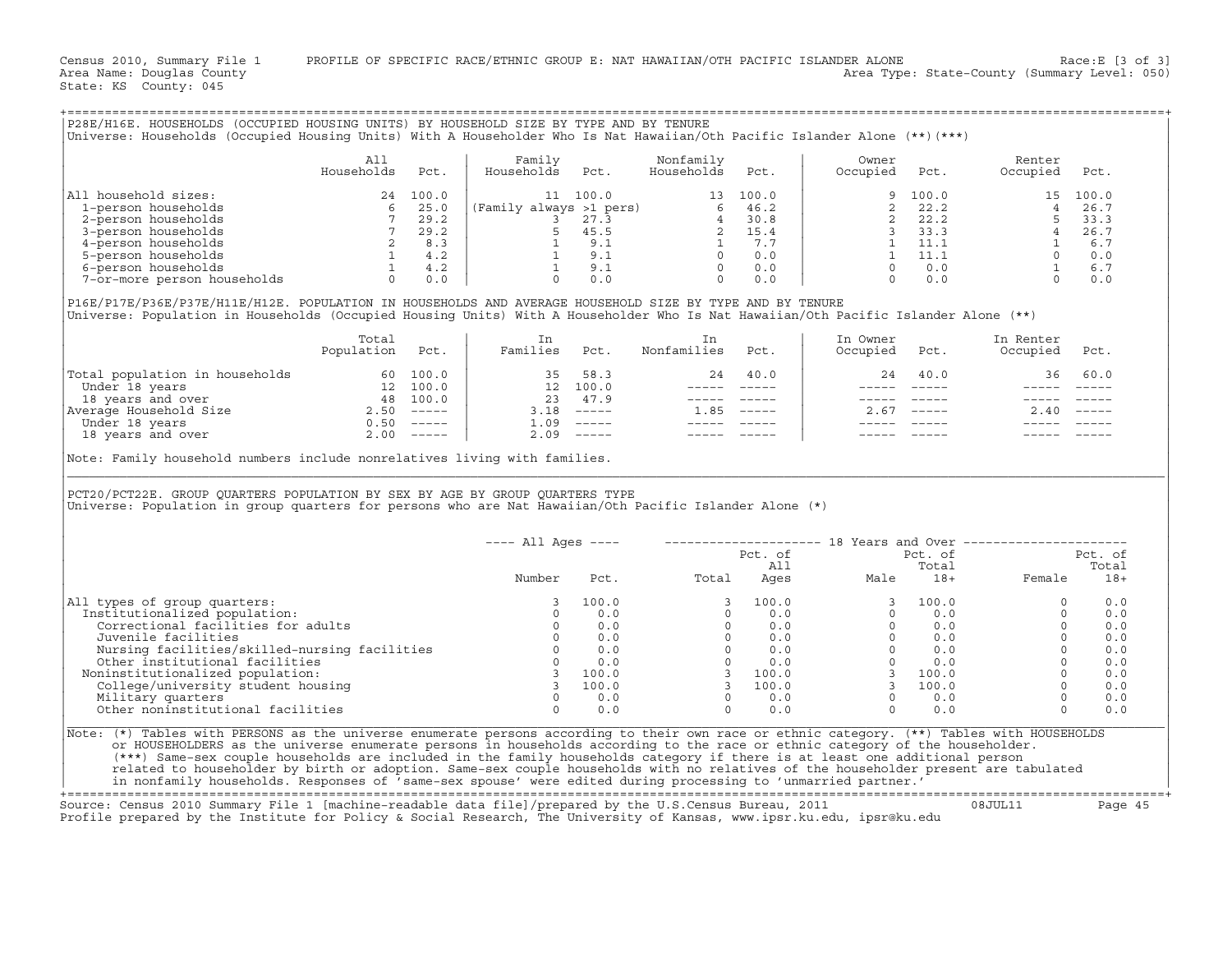Census 2010, Summary File 1 PROFILE OF SPECIFIC RACE/ETHNIC GROUP E: NAT HAWAIIAN/OTH PACIFIC ISLANDER ALONE Race:E [3 of 3]<br>Area Name: Douqlas County Level: 050) Area Type: State-County (Summary Level: 050) Area Type: State-County (Summary Level: 050)

State: KS County: 045

|                                                                                                                                                                                                                                                                                                                                                                                                                                                                                                                                                                                                                                                                                                    | All<br>Households | Pct. | Family<br>Households Pct.  |                                              | Nonfamily<br>Households Pct.                                                                  |           | Owner<br>Occupied                                                                                                                                                                                                                                                                                                                      | Pct.             | Renter<br>Occupied Pct.                                                                                                                                                                                                                                                                                                |                  |
|----------------------------------------------------------------------------------------------------------------------------------------------------------------------------------------------------------------------------------------------------------------------------------------------------------------------------------------------------------------------------------------------------------------------------------------------------------------------------------------------------------------------------------------------------------------------------------------------------------------------------------------------------------------------------------------------------|-------------------|------|----------------------------|----------------------------------------------|-----------------------------------------------------------------------------------------------|-----------|----------------------------------------------------------------------------------------------------------------------------------------------------------------------------------------------------------------------------------------------------------------------------------------------------------------------------------------|------------------|------------------------------------------------------------------------------------------------------------------------------------------------------------------------------------------------------------------------------------------------------------------------------------------------------------------------|------------------|
| All household sizes:                                                                                                                                                                                                                                                                                                                                                                                                                                                                                                                                                                                                                                                                               |                   |      |                            |                                              |                                                                                               |           |                                                                                                                                                                                                                                                                                                                                        |                  |                                                                                                                                                                                                                                                                                                                        |                  |
| 1-person households                                                                                                                                                                                                                                                                                                                                                                                                                                                                                                                                                                                                                                                                                |                   |      |                            |                                              |                                                                                               |           |                                                                                                                                                                                                                                                                                                                                        |                  |                                                                                                                                                                                                                                                                                                                        |                  |
| 2-person households                                                                                                                                                                                                                                                                                                                                                                                                                                                                                                                                                                                                                                                                                |                   |      |                            |                                              |                                                                                               |           |                                                                                                                                                                                                                                                                                                                                        |                  |                                                                                                                                                                                                                                                                                                                        |                  |
| 3-person households                                                                                                                                                                                                                                                                                                                                                                                                                                                                                                                                                                                                                                                                                |                   |      |                            |                                              |                                                                                               |           |                                                                                                                                                                                                                                                                                                                                        |                  |                                                                                                                                                                                                                                                                                                                        |                  |
| 4-person households<br>5-person households                                                                                                                                                                                                                                                                                                                                                                                                                                                                                                                                                                                                                                                         |                   |      |                            |                                              |                                                                                               |           |                                                                                                                                                                                                                                                                                                                                        |                  |                                                                                                                                                                                                                                                                                                                        |                  |
| 6-person households                                                                                                                                                                                                                                                                                                                                                                                                                                                                                                                                                                                                                                                                                |                   |      |                            |                                              |                                                                                               |           |                                                                                                                                                                                                                                                                                                                                        |                  |                                                                                                                                                                                                                                                                                                                        |                  |
| 7-or-more person households                                                                                                                                                                                                                                                                                                                                                                                                                                                                                                                                                                                                                                                                        |                   |      |                            |                                              |                                                                                               |           |                                                                                                                                                                                                                                                                                                                                        |                  | $\begin{array}{cccc} 9 & 100.0 \\ 2 & 22.2 \\ 2 & 22.2 \\ 3 & 33.3 \\ 1 & 11.1 \\ 0 & 0.0 \\ 0 & 0.0 \\ 0 & 0.0 \\ 0 & 0.0 \\ 0 & 0.0 \\ 0 & 0.0 \\ 0 & 0.0 \\ 0 & 0.0 \\ 0 & 0.0 \\ 0 & 0.0 \\ 0 & 0.0 \\ 0 & 0.0 \\ 0 & 0.0 \\ 0 & 0.0 \\ 0 & 0.0 \\ 0 & 0.0 \\ 0 & 0.0 \\ 0 & 0.0 \\ 0 & 0.0 \\ 0 & 0.0 \\ 0 & 0.0$ |                  |
|                                                                                                                                                                                                                                                                                                                                                                                                                                                                                                                                                                                                                                                                                                    |                   |      | 35 58.3                    | 12    100.0<br>23       47.9                 | 24<br>$\begin{array}{cccccc} - & - & - & - & - & - & - \\ & - & - & - & - & - \\ \end{array}$ | 40.0      | 24                                                                                                                                                                                                                                                                                                                                     | 40.0<br>$------$ | 36                                                                                                                                                                                                                                                                                                                     | 60.0             |
|                                                                                                                                                                                                                                                                                                                                                                                                                                                                                                                                                                                                                                                                                                    |                   |      |                            | $3.18$ -----<br>$1.09$ -----<br>$2.09$ ----- | $1.85$ -----                                                                                  |           | $- - - - -$                                                                                                                                                                                                                                                                                                                            | $2.67$ -----     | $\frac{1}{2}$<br>2.40                                                                                                                                                                                                                                                                                                  |                  |
|                                                                                                                                                                                                                                                                                                                                                                                                                                                                                                                                                                                                                                                                                                    |                   |      |                            |                                              |                                                                                               |           |                                                                                                                                                                                                                                                                                                                                        |                  |                                                                                                                                                                                                                                                                                                                        |                  |
| $\begin{tabular}{ l l } \hline \texttt{Total population in households} & \texttt{60 100.0} \\ \hline \texttt{Under 18 years} & \texttt{12 100.0} \\ \texttt{18 years and over} & \texttt{48 100.0} \\ \texttt{Average Household Size} & \texttt{2.50} & \texttt{---} \\ \hline \texttt{Under 18 years} & \texttt{0.50} & \texttt{---} \\ \texttt{18 years and over} & \texttt{2.00} & \texttt{---} \\ \hline \end{tabular}$<br>Note: Family household numbers include nonrelatives living with families.<br>PCT20/PCT22E. GROUP QUARTERS POPULATION BY SEX BY AGE BY GROUP QUARTERS TYPE<br>Universe: Population in group quarters for persons who are Nat Hawaiian/Oth Pacific Islander Alone (*) |                   |      |                            |                                              |                                                                                               |           |                                                                                                                                                                                                                                                                                                                                        |                  |                                                                                                                                                                                                                                                                                                                        |                  |
|                                                                                                                                                                                                                                                                                                                                                                                                                                                                                                                                                                                                                                                                                                    |                   |      |                            |                                              |                                                                                               |           | ---- All Ages ----    --------------------    18 Years and Over ---------------------                                                                                                                                                                                                                                                  |                  |                                                                                                                                                                                                                                                                                                                        |                  |
|                                                                                                                                                                                                                                                                                                                                                                                                                                                                                                                                                                                                                                                                                                    |                   |      |                            |                                              |                                                                                               | $Pct.$ of |                                                                                                                                                                                                                                                                                                                                        | Pct. of          |                                                                                                                                                                                                                                                                                                                        | Pct. of<br>Total |
|                                                                                                                                                                                                                                                                                                                                                                                                                                                                                                                                                                                                                                                                                                    |                   |      | Number                     |                                              | Pct. 11<br>Potal Ages                                                                         |           | Male                                                                                                                                                                                                                                                                                                                                   | Total            |                                                                                                                                                                                                                                                                                                                        | $18+$            |
|                                                                                                                                                                                                                                                                                                                                                                                                                                                                                                                                                                                                                                                                                                    |                   |      |                            |                                              |                                                                                               |           |                                                                                                                                                                                                                                                                                                                                        |                  |                                                                                                                                                                                                                                                                                                                        |                  |
|                                                                                                                                                                                                                                                                                                                                                                                                                                                                                                                                                                                                                                                                                                    |                   |      | $\Omega$                   | 100.0                                        |                                                                                               |           |                                                                                                                                                                                                                                                                                                                                        |                  | $\Omega$<br>$\Omega$                                                                                                                                                                                                                                                                                                   | 0.0              |
|                                                                                                                                                                                                                                                                                                                                                                                                                                                                                                                                                                                                                                                                                                    |                   |      |                            | 0.0<br>0.0                                   |                                                                                               |           |                                                                                                                                                                                                                                                                                                                                        |                  | $\Omega$                                                                                                                                                                                                                                                                                                               | 0.0<br>0.0       |
| Correctional facilities for adults<br>Juvenile facilities                                                                                                                                                                                                                                                                                                                                                                                                                                                                                                                                                                                                                                          |                   |      | $\overline{0}$<br>$\Omega$ | 0.0                                          |                                                                                               |           |                                                                                                                                                                                                                                                                                                                                        |                  | $\Omega$                                                                                                                                                                                                                                                                                                               | 0.0              |
|                                                                                                                                                                                                                                                                                                                                                                                                                                                                                                                                                                                                                                                                                                    |                   |      |                            | 0.0                                          |                                                                                               |           |                                                                                                                                                                                                                                                                                                                                        |                  | $\circ$                                                                                                                                                                                                                                                                                                                | 0.0              |
|                                                                                                                                                                                                                                                                                                                                                                                                                                                                                                                                                                                                                                                                                                    |                   |      | $\Omega$                   | 0.0                                          |                                                                                               |           |                                                                                                                                                                                                                                                                                                                                        |                  | $\Omega$                                                                                                                                                                                                                                                                                                               | 0.0              |
| Nursing facilities/skilled-nursing facilities 0<br>Other institutional facilities 0<br>0                                                                                                                                                                                                                                                                                                                                                                                                                                                                                                                                                                                                           |                   |      |                            | 3 100.0                                      |                                                                                               |           |                                                                                                                                                                                                                                                                                                                                        |                  | $\Omega$                                                                                                                                                                                                                                                                                                               | 0.0              |
|                                                                                                                                                                                                                                                                                                                                                                                                                                                                                                                                                                                                                                                                                                    |                   |      |                            | 3 100.0                                      |                                                                                               |           |                                                                                                                                                                                                                                                                                                                                        |                  | $\circ$                                                                                                                                                                                                                                                                                                                | 0.0              |
| All types of group quarters:<br>Institutionalized population:<br>oninstitutionalized population:<br>College/university student housing<br>Military quarters<br>Noninstitutionalized population:<br>Military quarters<br>Other noninstitutional facilities                                                                                                                                                                                                                                                                                                                                                                                                                                          |                   |      | $\Omega$<br>$\Omega$       | 0.0<br>0.0                                   | $\Omega$                                                                                      | 0.0       | $\begin{array}{cccccc} 3 & 100.0 & & & & & 3 & 100.0 \\ 0 & & 0.0 & & & 0 & & 0.0 \\ 0 & & 0.0 & & & 0 & & 0.0 \\ 0 & & 0.0 & & & 0 & & 0.0 \\ 0 & & 0.0 & & & 0 & & 0.0 \\ 0 & & 0.0 & & & 0 & & 0.0 \\ 3 & 100.0 & & & 3 & & 100.0 \\ 3 & 100.0 & & & 3 & & 100.0 \\ 0 & & 0.0 & & & 0 & & 0.0 \\ 0 & & 0.0 & & & 0 & & 0.0 \\ \end$ | $\Omega$<br>0.0  | $\circ$<br>$\Omega$                                                                                                                                                                                                                                                                                                    | 0.0<br>0.0       |

|        |       |       |         |      | 18 Years and Over | --------------- |         |
|--------|-------|-------|---------|------|-------------------|-----------------|---------|
|        |       |       | Pct. of |      | Pct. of           |                 | Pct. of |
|        |       |       | All     |      | Total             |                 | Total   |
| Number | Pct.  | Total | Ages    | Male | $18+$             | Female          | $18+$   |
|        | 100.0 |       | 100.0   |      | 100.0             |                 | 0.0     |
|        | 0.0   |       | 0.0     |      | 0.0               |                 | 0.0     |
|        | 0.0   |       | 0.0     |      | 0.0               |                 | 0.0     |
|        | 0.0   |       | 0.0     |      | 0.0               |                 | 0.0     |
|        | 0.0   |       | 0.0     |      | 0.0               |                 | 0.0     |
|        | 0.0   |       | 0.0     |      | 0.0               |                 | 0.0     |
|        | 100.0 |       | 100.0   |      | 100.0             |                 | 0.0     |
|        | 100.0 |       | 100.0   |      | 100.0             |                 | 0.0     |
|        | 0.0   |       | 0.0     |      | 0.0               |                 | 0.0     |
|        | 0.0   |       | 0.0     |      | 0.0               |                 | 0.0     |
|        |       |       |         |      |                   |                 |         |

+===================================================================================================================================================+ Source: Census 2010 Summary File 1 [machine−readable data file]/prepared by the U.S.Census Bureau, 2011 08JUL11 Page 45

Profile prepared by the Institute for Policy & Social Research, The University of Kansas, www.ipsr.ku.edu, ipsr@ku.edu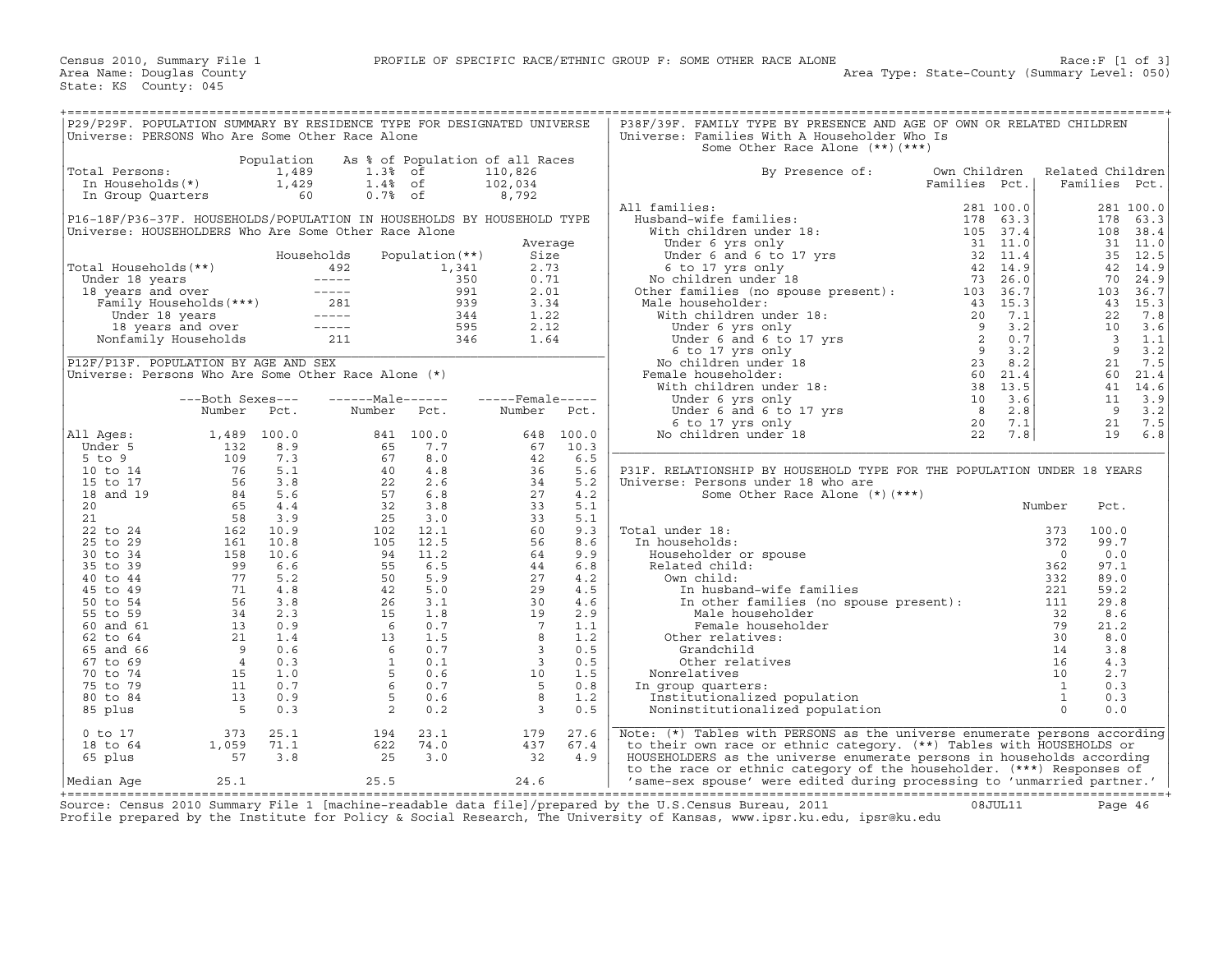| P29/P29F. POPULATION SUMMARY BY RESIDENCE TYPE FOR DESIGNATED UNIVERSE                                                                                                                                                                                       |                                                   |            |                                                                                                                                                                                                                                                        |      |                                                                                                                                                                                                                                                                                                                       |                      | P38F/39F. FAMILY TYPE BY PRESENCE AND AGE OF OWN OR RELATED CHILDREN                                                                                                                                                                                                    |               |                         |                  |
|--------------------------------------------------------------------------------------------------------------------------------------------------------------------------------------------------------------------------------------------------------------|---------------------------------------------------|------------|--------------------------------------------------------------------------------------------------------------------------------------------------------------------------------------------------------------------------------------------------------|------|-----------------------------------------------------------------------------------------------------------------------------------------------------------------------------------------------------------------------------------------------------------------------------------------------------------------------|----------------------|-------------------------------------------------------------------------------------------------------------------------------------------------------------------------------------------------------------------------------------------------------------------------|---------------|-------------------------|------------------|
| Universe: PERSONS Who Are Some Other Race Alone                                                                                                                                                                                                              |                                                   |            |                                                                                                                                                                                                                                                        |      |                                                                                                                                                                                                                                                                                                                       |                      | Universe: Families With A Householder Who Is<br>Some Other Race Alone (**) (***)                                                                                                                                                                                        |               |                         |                  |
|                                                                                                                                                                                                                                                              |                                                   | Population | As % of Population of all Races                                                                                                                                                                                                                        |      |                                                                                                                                                                                                                                                                                                                       |                      |                                                                                                                                                                                                                                                                         |               |                         |                  |
| Total Persons:                                                                                                                                                                                                                                               |                                                   |            | otal Persons:<br>In Households (*)<br>In Group Quarters<br>In Group Quarters<br>So the Community of the Community of the Community of the Community of the Community of the Community of the Community of the Community of the Communi                 |      | 110,826                                                                                                                                                                                                                                                                                                               |                      | By Presence of:                                                                                                                                                                                                                                                         | Own Children  |                         | Related Children |
|                                                                                                                                                                                                                                                              |                                                   |            |                                                                                                                                                                                                                                                        |      | 102,034                                                                                                                                                                                                                                                                                                               |                      |                                                                                                                                                                                                                                                                         | Families Pct. | Families Pct.           |                  |
|                                                                                                                                                                                                                                                              |                                                   |            |                                                                                                                                                                                                                                                        |      | 8,792                                                                                                                                                                                                                                                                                                                 |                      |                                                                                                                                                                                                                                                                         |               |                         |                  |
|                                                                                                                                                                                                                                                              |                                                   |            |                                                                                                                                                                                                                                                        |      |                                                                                                                                                                                                                                                                                                                       |                      | All families:                                                                                                                                                                                                                                                           |               |                         | 281 100.0        |
| P16-18F/P36-37F. HOUSEHOLDS/POPULATION IN HOUSEHOLDS BY HOUSEHOLD TYPE<br>Universe: HOUSEHOLDERS Who Are Some Other Race Alone                                                                                                                               |                                                   |            |                                                                                                                                                                                                                                                        |      |                                                                                                                                                                                                                                                                                                                       |                      |                                                                                                                                                                                                                                                                         |               | 178<br>108              | 63.3<br>38.4     |
|                                                                                                                                                                                                                                                              |                                                   |            |                                                                                                                                                                                                                                                        |      | Average                                                                                                                                                                                                                                                                                                               |                      |                                                                                                                                                                                                                                                                         |               |                         | 31 11.0          |
|                                                                                                                                                                                                                                                              |                                                   |            |                                                                                                                                                                                                                                                        |      | Size                                                                                                                                                                                                                                                                                                                  |                      |                                                                                                                                                                                                                                                                         |               |                         | 35 12.5          |
|                                                                                                                                                                                                                                                              |                                                   |            |                                                                                                                                                                                                                                                        |      | 2.73                                                                                                                                                                                                                                                                                                                  |                      |                                                                                                                                                                                                                                                                         |               |                         | 42 14.9          |
|                                                                                                                                                                                                                                                              |                                                   |            |                                                                                                                                                                                                                                                        |      | 0.71                                                                                                                                                                                                                                                                                                                  |                      |                                                                                                                                                                                                                                                                         |               | 70                      | 24.9             |
| Fotal Households (**)<br>Total Households (**)<br>Under 18 years<br>18 years and over<br>Family Households (***)<br>18 years and over<br>18 years<br>18 years<br>18 years<br>18 years<br>18 years<br>18 years<br>18 years<br>18 years<br>18 years<br>18 year |                                                   |            |                                                                                                                                                                                                                                                        |      | 2.01                                                                                                                                                                                                                                                                                                                  |                      |                                                                                                                                                                                                                                                                         |               |                         | 103 36.7         |
|                                                                                                                                                                                                                                                              |                                                   |            |                                                                                                                                                                                                                                                        |      | 3.34                                                                                                                                                                                                                                                                                                                  |                      |                                                                                                                                                                                                                                                                         |               |                         | 43 15.3          |
|                                                                                                                                                                                                                                                              |                                                   |            |                                                                                                                                                                                                                                                        |      | 1.22                                                                                                                                                                                                                                                                                                                  | 1.22<br>2.12<br>1.64 |                                                                                                                                                                                                                                                                         |               | 22                      | 7.8<br>10 3.6    |
|                                                                                                                                                                                                                                                              |                                                   |            |                                                                                                                                                                                                                                                        |      |                                                                                                                                                                                                                                                                                                                       |                      |                                                                                                                                                                                                                                                                         |               | $\overline{\mathbf{3}}$ | 1.1              |
|                                                                                                                                                                                                                                                              |                                                   |            |                                                                                                                                                                                                                                                        |      |                                                                                                                                                                                                                                                                                                                       |                      |                                                                                                                                                                                                                                                                         |               |                         | $9 \t3.2$        |
| P12F/P13F. POPULATION BY AGE AND SEX                                                                                                                                                                                                                         |                                                   |            |                                                                                                                                                                                                                                                        |      |                                                                                                                                                                                                                                                                                                                       |                      |                                                                                                                                                                                                                                                                         |               |                         | 21 7.5           |
| Universe: Persons Who Are Some Other Race Alone $(*)$                                                                                                                                                                                                        |                                                   |            |                                                                                                                                                                                                                                                        |      |                                                                                                                                                                                                                                                                                                                       |                      |                                                                                                                                                                                                                                                                         |               |                         | 60 21.4          |
|                                                                                                                                                                                                                                                              |                                                   |            |                                                                                                                                                                                                                                                        |      |                                                                                                                                                                                                                                                                                                                       |                      |                                                                                                                                                                                                                                                                         |               |                         | 41 14.6          |
|                                                                                                                                                                                                                                                              | ---Both Sexes---                                  |            | ------Male------                                                                                                                                                                                                                                       |      | -----Female-----                                                                                                                                                                                                                                                                                                      |                      |                                                                                                                                                                                                                                                                         |               | 11                      | 3.9              |
|                                                                                                                                                                                                                                                              | Number Pct.                                       |            | Number Pct.                                                                                                                                                                                                                                            |      | Number Pct.                                                                                                                                                                                                                                                                                                           |                      |                                                                                                                                                                                                                                                                         |               |                         | $9 \t3.2$        |
| All Ages:                                                                                                                                                                                                                                                    |                                                   |            |                                                                                                                                                                                                                                                        |      |                                                                                                                                                                                                                                                                                                                       | 648 100.0            |                                                                                                                                                                                                                                                                         |               |                         | 21 7.5<br>19 6.8 |
| Under 5                                                                                                                                                                                                                                                      |                                                   |            |                                                                                                                                                                                                                                                        |      |                                                                                                                                                                                                                                                                                                                       |                      |                                                                                                                                                                                                                                                                         |               |                         |                  |
| $5$ to $9$                                                                                                                                                                                                                                                   |                                                   |            |                                                                                                                                                                                                                                                        |      |                                                                                                                                                                                                                                                                                                                       |                      |                                                                                                                                                                                                                                                                         |               |                         |                  |
| 10 to 14                                                                                                                                                                                                                                                     |                                                   |            |                                                                                                                                                                                                                                                        |      |                                                                                                                                                                                                                                                                                                                       |                      | P31F. RELATIONSHIP BY HOUSEHOLD TYPE FOR THE POPULATION UNDER 18 YEARS                                                                                                                                                                                                  |               |                         |                  |
| 15 to 17                                                                                                                                                                                                                                                     |                                                   |            |                                                                                                                                                                                                                                                        |      |                                                                                                                                                                                                                                                                                                                       |                      | Universe: Persons under 18 who are                                                                                                                                                                                                                                      |               |                         |                  |
| 18 and 19                                                                                                                                                                                                                                                    |                                                   |            |                                                                                                                                                                                                                                                        |      |                                                                                                                                                                                                                                                                                                                       |                      | Some Other Race Alone $(*)$ $(***)$                                                                                                                                                                                                                                     | Number        |                         |                  |
| 20                                                                                                                                                                                                                                                           |                                                   |            |                                                                                                                                                                                                                                                        |      |                                                                                                                                                                                                                                                                                                                       |                      |                                                                                                                                                                                                                                                                         |               | Pct.                    |                  |
| 21<br>22 to 24                                                                                                                                                                                                                                               |                                                   |            |                                                                                                                                                                                                                                                        |      |                                                                                                                                                                                                                                                                                                                       |                      | Total under 18:<br>al under 18:<br>n households:<br>Householder or spouse<br>Related child:<br>Own child:<br>Own child:<br>In husband-wife families<br>In other families (no spouse present):<br>$221$<br>In other families (no spouse present):<br>$111$<br>Male bouse |               | 100.0                   |                  |
| 25 to 29                                                                                                                                                                                                                                                     |                                                   |            |                                                                                                                                                                                                                                                        |      |                                                                                                                                                                                                                                                                                                                       |                      | In households:                                                                                                                                                                                                                                                          |               | 99.7                    |                  |
| 30 to 34                                                                                                                                                                                                                                                     |                                                   |            |                                                                                                                                                                                                                                                        |      |                                                                                                                                                                                                                                                                                                                       |                      |                                                                                                                                                                                                                                                                         |               | 0.0                     |                  |
| 35 to 39                                                                                                                                                                                                                                                     |                                                   |            |                                                                                                                                                                                                                                                        |      |                                                                                                                                                                                                                                                                                                                       |                      |                                                                                                                                                                                                                                                                         |               | 97.1                    |                  |
| 40 to 44                                                                                                                                                                                                                                                     |                                                   |            |                                                                                                                                                                                                                                                        |      |                                                                                                                                                                                                                                                                                                                       |                      | Own child:                                                                                                                                                                                                                                                              |               | 89.0                    |                  |
| 45 to 49                                                                                                                                                                                                                                                     |                                                   |            |                                                                                                                                                                                                                                                        |      |                                                                                                                                                                                                                                                                                                                       |                      |                                                                                                                                                                                                                                                                         |               | 59.2                    |                  |
| 50 to 54                                                                                                                                                                                                                                                     |                                                   |            |                                                                                                                                                                                                                                                        |      |                                                                                                                                                                                                                                                                                                                       | 4.6                  |                                                                                                                                                                                                                                                                         |               | 29.8                    |                  |
| 55 to 59<br>60 and 61                                                                                                                                                                                                                                        |                                                   |            |                                                                                                                                                                                                                                                        |      |                                                                                                                                                                                                                                                                                                                       | 2.9                  | Male householder<br>Female householder                                                                                                                                                                                                                                  |               | 8.6<br>21.2             |                  |
| 62 to 64                                                                                                                                                                                                                                                     |                                                   |            |                                                                                                                                                                                                                                                        |      |                                                                                                                                                                                                                                                                                                                       |                      | Other relatives:                                                                                                                                                                                                                                                        |               | 8.0                     |                  |
| 65 and 66                                                                                                                                                                                                                                                    |                                                   |            |                                                                                                                                                                                                                                                        |      |                                                                                                                                                                                                                                                                                                                       |                      | Grandchild                                                                                                                                                                                                                                                              |               | 3.8                     |                  |
| 67 to 69                                                                                                                                                                                                                                                     |                                                   |            | Number Pct. Number Pct.<br>1,489 100.0 841 100.0<br>132 8.9 65 7.7<br>16 5.1 40 4.8<br>56 3.8 22 2.6<br>65 4.4 32 3.8<br>58 3.9 25 3.0<br>162 10.8 105 12.5<br>15 10.6 94 11.2<br>9 6.6 5 5 6.5<br>71 4.8 50 25 50 5.9<br>71 4.8 50 25 50 5.9<br>71 4. |      | $\begin{array}{cccc} 648 & 100.0 \\ 67 & 10.3 \\ 42 & 6.5 \\ 34 & 5.6 \\ 27 & 4.2 \\ 33 & 5.1 \\ 33 & 5.1 \\ 42 & 74.2 \\ 33 & 5.1 \\ 60 & 9.3 \\ 56 & 8.6 \\ 9 & 9.3 \\ 56 & 8.6 \\ 44 & 6.8 \\ 27 & 4.2 \\ 29 & 4.5 \\ 64 & 2.9 \\ 42 & 9 \\ 1.2 \\ 9 & 2.9 \\ 1.1 \\ 2 & 9 \\ 1.2 \\ 5 \\ 10 & 1.5 \\ 5 \\ 0.1 \\$ |                      | examples of the spoke present):<br>and the contract of the spoke present of the spoke of the spoke space of the space of the space of the space of the space of the space of the space of the space of the space of the space of<br>Other relatives                     |               | 4.3                     |                  |
| 70 to 74                                                                                                                                                                                                                                                     |                                                   |            |                                                                                                                                                                                                                                                        |      |                                                                                                                                                                                                                                                                                                                       |                      | Nonrelatives                                                                                                                                                                                                                                                            |               | 2.7                     |                  |
| 75 to 79                                                                                                                                                                                                                                                     |                                                   |            |                                                                                                                                                                                                                                                        |      |                                                                                                                                                                                                                                                                                                                       |                      | In group quarters:                                                                                                                                                                                                                                                      |               | 0.3                     |                  |
| 80 to 84                                                                                                                                                                                                                                                     |                                                   |            |                                                                                                                                                                                                                                                        |      |                                                                                                                                                                                                                                                                                                                       |                      | Institutionalized population                                                                                                                                                                                                                                            |               | 0.3                     |                  |
| 85 plus                                                                                                                                                                                                                                                      |                                                   |            |                                                                                                                                                                                                                                                        |      | $\overline{\phantom{a}}$                                                                                                                                                                                                                                                                                              | 0.5                  | Noninstitutionalized population                                                                                                                                                                                                                                         |               | 0.0                     |                  |
| $0$ to $17$                                                                                                                                                                                                                                                  |                                                   | 25.1       | 194                                                                                                                                                                                                                                                    | 23.1 | 179                                                                                                                                                                                                                                                                                                                   | 27.6                 | Note: (*) Tables with PERSONS as the universe enumerate persons according                                                                                                                                                                                               |               |                         |                  |
| 18 to 64                                                                                                                                                                                                                                                     | $\begin{array}{c} 373 \\ 1,059 \\ 57 \end{array}$ | 71.1       | 622                                                                                                                                                                                                                                                    | 74.0 | 437                                                                                                                                                                                                                                                                                                                   | 67.4                 | to their own race or ethnic category. (**) Tables with HOUSEHOLDS or                                                                                                                                                                                                    |               |                         |                  |
| 65 plus                                                                                                                                                                                                                                                      |                                                   | 3.8        | 25                                                                                                                                                                                                                                                     | 3.0  | 32                                                                                                                                                                                                                                                                                                                    | 4.9                  | HOUSEHOLDERS as the universe enumerate persons in households according                                                                                                                                                                                                  |               |                         |                  |
|                                                                                                                                                                                                                                                              |                                                   |            |                                                                                                                                                                                                                                                        |      |                                                                                                                                                                                                                                                                                                                       |                      | to the race or ethnic category of the householder. (***) Responses of                                                                                                                                                                                                   |               |                         |                  |
| Median Age                                                                                                                                                                                                                                                   | 25.1                                              |            | 25.5                                                                                                                                                                                                                                                   |      | 24.6                                                                                                                                                                                                                                                                                                                  |                      | 'same-sex spouse' were edited during processing to 'unmarried partner.'                                                                                                                                                                                                 |               |                         |                  |

+===================================================================================================================================================+ Source: Census 2010 Summary File 1 [machine−readable data file]/prepared by the U.S.Census Bureau, 2011 08JUL11 Page 46 Profile prepared by the Institute for Policy & Social Research, The University of Kansas, www.ipsr.ku.edu, ipsr@ku.edu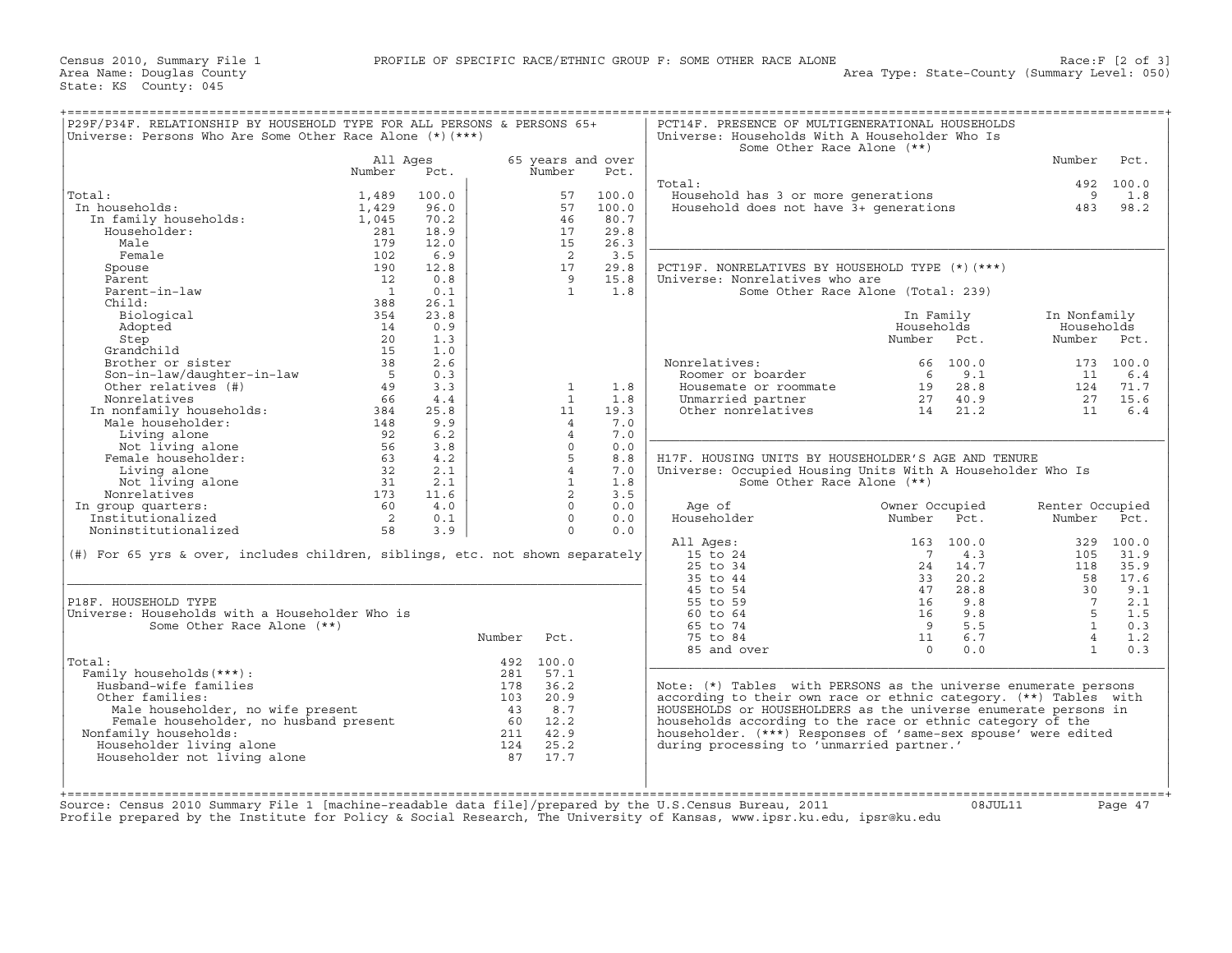Census 2010, Summary File 1<br>Area Name: Douglas County<br>State: KS County: 045

| Universe: Persons Who Are Some Other Race Alone $(*)$ (***)                   |                |       |        |                   |       | Universe: Households With A Householder Who Is<br>Some Other Race Alone (**) |                |           |                 |           |
|-------------------------------------------------------------------------------|----------------|-------|--------|-------------------|-------|------------------------------------------------------------------------------|----------------|-----------|-----------------|-----------|
|                                                                               | All Ages       |       |        | 65 years and over |       |                                                                              |                |           | Number          | Pct.      |
|                                                                               | Number         | Pct.  |        | Number            | Pct.  |                                                                              |                |           |                 |           |
|                                                                               |                |       |        |                   |       | Total:                                                                       |                |           |                 | 492 100.0 |
| Total:                                                                        | 1,489          | 100.0 |        | 57                | 100.0 | Household has 3 or more generations                                          |                |           | 9               | 1.8       |
| In households:                                                                | 1,429          | 96.0  |        | 57                | 100.0 | Household does not have 3+ generations                                       |                |           | 483             | 98.2      |
| In family households:                                                         | 1,045          | 70.2  |        | 46                | 80.7  |                                                                              |                |           |                 |           |
| Householder:                                                                  | 281            | 18.9  |        | 17                | 29.8  |                                                                              |                |           |                 |           |
| Male                                                                          | 179            | 12.0  |        | 15                | 26.3  |                                                                              |                |           |                 |           |
| Female                                                                        | 102            | 6.9   |        | $\overline{2}$    | 3.5   |                                                                              |                |           |                 |           |
| Spouse                                                                        | 190            | 12.8  |        | 17                | 29.8  | PCT19F. NONRELATIVES BY HOUSEHOLD TYPE (*)(***)                              |                |           |                 |           |
| Parent                                                                        | 12             | 0.8   |        | 9                 | 15.8  | Universe: Nonrelatives who are                                               |                |           |                 |           |
| Parent-in-law                                                                 | $\overline{1}$ | 0.1   |        | <sup>1</sup>      | 1.8   | Some Other Race Alone (Total: 239)                                           |                |           |                 |           |
| Child:                                                                        | 388            | 26.1  |        |                   |       |                                                                              |                |           |                 |           |
| Biological                                                                    | 354            | 23.8  |        |                   |       |                                                                              | In Family      |           | In Nonfamily    |           |
| Adopted                                                                       | 14             | 0.9   |        |                   |       |                                                                              | Households     |           | Households      |           |
| Step                                                                          | 20             | 1.3   |        |                   |       |                                                                              | Number         | Pct.      | Number Pct.     |           |
| Grandchild                                                                    | 15             | 1.0   |        |                   |       |                                                                              |                |           |                 |           |
|                                                                               | 38             |       |        |                   |       |                                                                              |                |           |                 |           |
| Brother or sister                                                             |                | 2.6   |        |                   |       | Nonrelatives:                                                                |                | 66 100.0  |                 | 173 100.0 |
| Son-in-law/daughter-in-law                                                    | 5              | 0.3   |        |                   |       | Roomer or boarder                                                            | 6              | 9.1       | 11              | 6.4       |
| Other relatives (#)                                                           | 49             | 3.3   |        | 1                 | 1.8   | Housemate or roommate                                                        | 19             | 28.8      |                 | 124 71.7  |
| Nonrelatives                                                                  | 66             | 4.4   |        | $\overline{1}$    | 1.8   | Unmarried partner                                                            | 27             | 40.9      | 27              | 15.6      |
| In nonfamily households:                                                      | 384            | 25.8  |        | 11                | 19.3  | Other nonrelatives                                                           | 14             | 21.2      | 11              | 6.4       |
| Male householder:                                                             | 148            | 9.9   |        | $\overline{4}$    | 7.0   |                                                                              |                |           |                 |           |
| Living alone                                                                  | 92             | 6.2   |        | $\overline{4}$    | 7.0   |                                                                              |                |           |                 |           |
| Not living alone                                                              | 56             | 3.8   |        | $\Omega$          | $0.0$ |                                                                              |                |           |                 |           |
| Female householder:                                                           | 63             | 4.2   |        | 5                 | 8.8   | H17F. HOUSING UNITS BY HOUSEHOLDER'S AGE AND TENURE                          |                |           |                 |           |
| Living alone                                                                  | 32             | 2.1   |        | $\overline{4}$    | 7.0   | Universe: Occupied Housing Units With A Householder Who Is                   |                |           |                 |           |
| Not living alone                                                              | 31             | 2.1   |        | $\mathbf{1}$      | 1.8   | Some Other Race Alone (**)                                                   |                |           |                 |           |
| Nonrelatives                                                                  | 173            | 11.6  |        | $\overline{2}$    | 3.5   |                                                                              |                |           |                 |           |
| In group quarters:                                                            | 60             | 4.0   |        | $\Omega$          | 0.0   | Age of                                                                       | Owner Occupied |           | Renter Occupied |           |
| Institutionalized                                                             | $\overline{2}$ | 0.1   |        | $\Omega$          | 0.0   | Householder                                                                  | Number         | Pct.      | Number          | Pct.      |
| Noninstitutionalized                                                          | 58             | 3.9   |        | $\circ$           | 0.0   |                                                                              |                |           |                 |           |
|                                                                               |                |       |        |                   |       | All Ages:                                                                    |                | 163 100.0 |                 | 329 100.0 |
| (#) For 65 yrs & over, includes children, siblings, etc. not shown separately |                |       |        |                   |       | 15 to 24                                                                     | 7              | 4.3       | 105             | 31.9      |
|                                                                               |                |       |        |                   |       |                                                                              |                |           |                 |           |
|                                                                               |                |       |        |                   |       | 25 to 34                                                                     | 24             | 14.7      | 118             | 35.9      |
|                                                                               |                |       |        |                   |       | 35 to 44                                                                     | 33             | 20.2      | 58              | 17.6      |
|                                                                               |                |       |        |                   |       | 45 to 54                                                                     | 47             | 28.8      | 30              | 9.1       |
| P18F. HOUSEHOLD TYPE                                                          |                |       |        |                   |       | 55 to 59                                                                     | 16             | 9.8       | $7\overline{ }$ | 2.1       |
| Universe: Households with a Householder Who is                                |                |       |        |                   |       | 60 to 64                                                                     | 16             | 9.8       | 5               | 1.5       |
| Some Other Race Alone (**)                                                    |                |       |        |                   |       | 65 to 74                                                                     | 9              | 5.5       | $\mathbf{1}$    | 0.3       |
|                                                                               |                |       | Number | Pct.              |       | 75 to 84                                                                     | 11             | 6.7       | $\overline{4}$  | 1.2       |
|                                                                               |                |       |        |                   |       | 85 and over                                                                  | $\Omega$       | 0.0       | $\mathbf{1}$    | 0.3       |
|                                                                               |                |       |        | 492 100.0         |       |                                                                              |                |           |                 |           |
|                                                                               |                |       | 281    | 57.1              |       |                                                                              |                |           |                 |           |
| Total:                                                                        |                |       |        | 36.2              |       | Note: (*) Tables with PERSONS as the universe enumerate persons              |                |           |                 |           |
| Family households (***) :                                                     |                |       |        |                   |       |                                                                              |                |           |                 |           |
| Husband-wife families                                                         |                |       | 178    |                   |       |                                                                              |                |           |                 |           |
| Other families:                                                               |                |       | 103    | 20.9              |       | according to their own race or ethnic category. (**) Tables with             |                |           |                 |           |
| Male householder, no wife present                                             |                |       | 43     | 8.7               |       | HOUSEHOLDS or HOUSEHOLDERS as the universe enumerate persons in              |                |           |                 |           |
| Female householder, no husband present                                        |                |       |        | 60 12.2           |       | households according to the race or ethnic category of the                   |                |           |                 |           |
| Nonfamily households:                                                         |                |       | 211    | 42.9              |       | householder. (***) Responses of 'same-sex spouse' were edited                |                |           |                 |           |
| Householder living alone                                                      |                |       | 124    | 25.2              |       | during processing to 'unmarried partner.'                                    |                |           |                 |           |
| Householder not living alone                                                  |                |       | 87     | 17.7              |       |                                                                              |                |           |                 |           |
|                                                                               |                |       |        |                   |       |                                                                              |                |           |                 |           |
|                                                                               |                |       |        |                   |       |                                                                              |                |           |                 |           |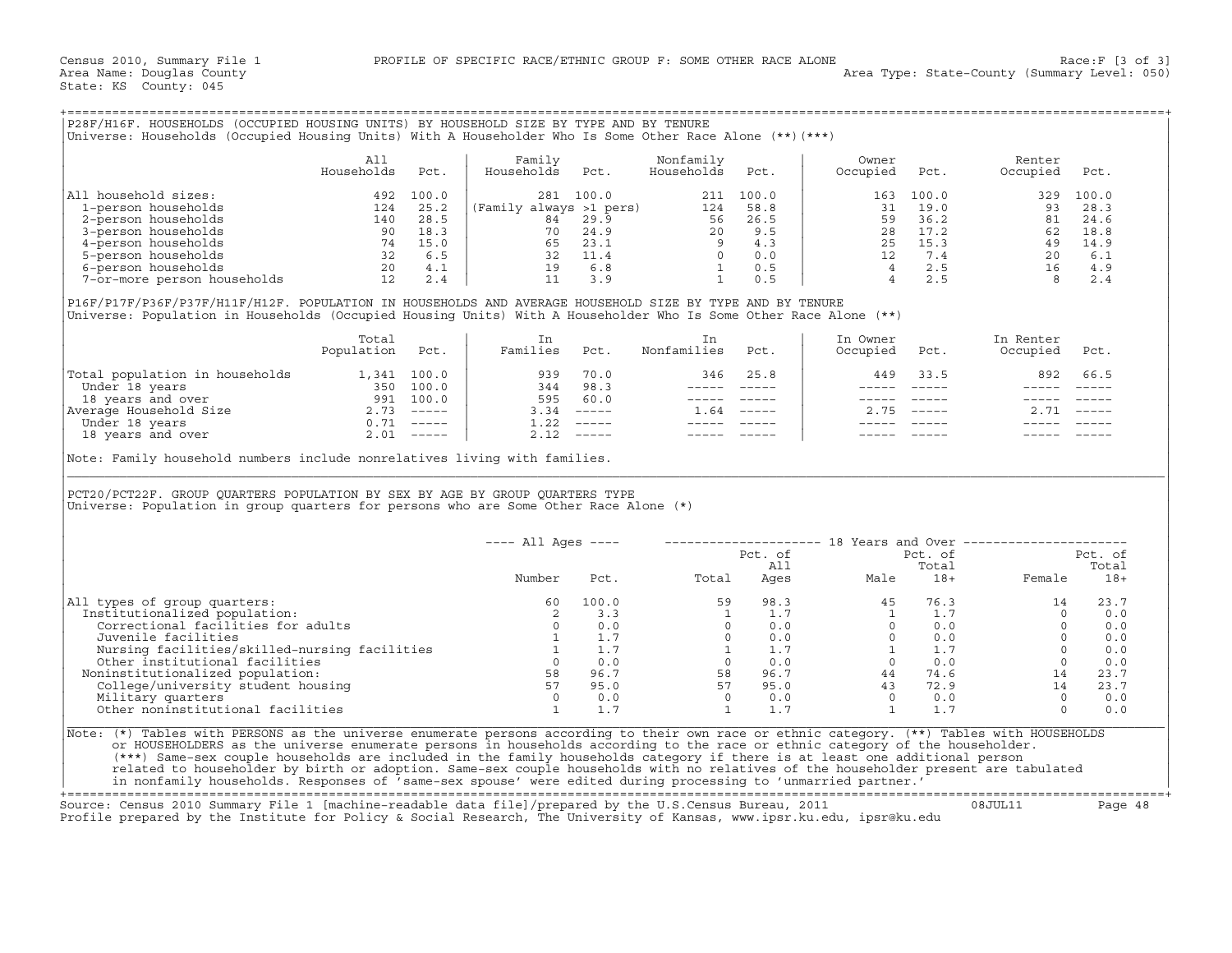| P28F/H16F. HOUSEHOLDS (OCCUPIED HOUSING UNITS) BY HOUSEHOLD SIZE BY TYPE AND BY TENURE                          |            |       |                         |       |            |       |          |       |          |       |  |
|-----------------------------------------------------------------------------------------------------------------|------------|-------|-------------------------|-------|------------|-------|----------|-------|----------|-------|--|
| (***) Viniverse: Households (Occupied Housing Units) With A Householder Who Is Some Other Race Alone (**) (***) |            |       |                         |       |            |       |          |       |          |       |  |
|                                                                                                                 |            |       |                         |       |            |       |          |       |          |       |  |
|                                                                                                                 | All        |       | Familv                  |       | Nonfamily  |       | Owner    |       | Renter   |       |  |
|                                                                                                                 | Households | Pct.  | Households              | Pct.  | Households | Pct.  | Occupied | Pct.  | Occupied | Pct.  |  |
|                                                                                                                 |            |       |                         |       |            |       |          |       |          |       |  |
| household sizes:<br>All                                                                                         | 492        | 100.0 | 281                     | 100.0 | 211        | 100.0 | 163      | 100.0 | 329      | 100.0 |  |
| 1-person households                                                                                             | 124        | 25.2  | (Family always >1 pers) |       | 124        | 58.8  |          | 19.0  | 93       | 28.3  |  |
| 2-person households                                                                                             | 140        | 28.5  | 84                      | 29.9  | 56         | 26.5  | 59       | 36.2  | 81       | 24.6  |  |
| 3-person households                                                                                             | 90         | 18.3  | 70                      | 24.9  | 2.0        | 9.5   | 28       | 17.2  | 62       | 18.8  |  |
| 4-person households                                                                                             | 74         | 15.0  | 65                      | 23.1  |            | 4.3   | 25       | 15.3  | 49       | 14.9  |  |
| 5-person households                                                                                             | 32         | 6.5   | 32                      | 11.4  |            | 0.0   |          | 7.4   | 20       | 6.1   |  |
| 6-person households                                                                                             | 20         | 4.1   | 19                      | 6.8   |            | 0.5   |          | 2.5   | 16       | 4.9   |  |
| 7-or-more person households                                                                                     | 12         | 2.4   |                         | 3.9   |            | 0.5   |          | 2.5   |          | 2.4   |  |

|                                | Total<br>Population | Pct.          | Families | Pct.                      | Nonfamilies | Pct.          | In Owner<br>Occupied | Pct.         | In Renter<br>Occupied | Pct.                      |
|--------------------------------|---------------------|---------------|----------|---------------------------|-------------|---------------|----------------------|--------------|-----------------------|---------------------------|
| Total population in households | 1,341               | 100.0         | 939      | 70.0                      | 346         | 25.8          | 449                  | 33.5         | 892                   | 66.5                      |
| Under 18 years                 | 350                 | 100.0         | 344      | 98.3                      |             |               |                      |              |                       |                           |
| 18 years and over              | 991                 | 100.0         | 595      | 60.0                      |             |               |                      |              |                       |                           |
| Average Household Size         | 2.73                | $------$      | 3.34     | $\qquad \qquad - - - - -$ | L.64        | $\frac{1}{2}$ |                      | $2.75$ $---$ | 2.71                  | $\qquad \qquad - - - - -$ |
| Under 18 years                 |                     | $- - - - - -$ |          | $1.22$ -----              |             |               |                      |              |                       |                           |
| 18 years and over              | 2.01                | $- - - - - -$ |          | $2.12$ -----              |             |               |                      |              |                       |                           |

| P28F/H16F. HOUSEHOLDS (OCCUPIED HOUSING UNITS) BY HOUSEHOLD SIZE BY TYPE AND BY TENURE<br>Universe: Households (Occupied Housing Units) With A Householder Who Is Some Other Race Alone (**) (***)                                             |                   |      |                                                                                                               |      |                                                                                                           |                 |                                                |               |                                                                                                                                                                                                                                                                                                                                                |         |
|------------------------------------------------------------------------------------------------------------------------------------------------------------------------------------------------------------------------------------------------|-------------------|------|---------------------------------------------------------------------------------------------------------------|------|-----------------------------------------------------------------------------------------------------------|-----------------|------------------------------------------------|---------------|------------------------------------------------------------------------------------------------------------------------------------------------------------------------------------------------------------------------------------------------------------------------------------------------------------------------------------------------|---------|
|                                                                                                                                                                                                                                                | All<br>Households | Pct. | Family<br>Households                                                                                          | Pct. | Nonfamily<br>Households                                                                                   | Pct.            | Owner<br>Occupied                              | Pct.          | Renter<br>Occupied                                                                                                                                                                                                                                                                                                                             | Pct.    |
| All household sizes:                                                                                                                                                                                                                           |                   |      |                                                                                                               |      |                                                                                                           |                 |                                                |               |                                                                                                                                                                                                                                                                                                                                                |         |
|                                                                                                                                                                                                                                                |                   |      |                                                                                                               |      |                                                                                                           |                 |                                                |               |                                                                                                                                                                                                                                                                                                                                                |         |
|                                                                                                                                                                                                                                                |                   |      |                                                                                                               |      |                                                                                                           |                 |                                                |               |                                                                                                                                                                                                                                                                                                                                                |         |
|                                                                                                                                                                                                                                                |                   |      |                                                                                                               |      |                                                                                                           |                 |                                                |               |                                                                                                                                                                                                                                                                                                                                                |         |
|                                                                                                                                                                                                                                                |                   |      |                                                                                                               |      |                                                                                                           |                 |                                                |               |                                                                                                                                                                                                                                                                                                                                                |         |
|                                                                                                                                                                                                                                                |                   |      |                                                                                                               |      |                                                                                                           |                 |                                                |               |                                                                                                                                                                                                                                                                                                                                                |         |
|                                                                                                                                                                                                                                                |                   |      |                                                                                                               |      |                                                                                                           |                 |                                                |               |                                                                                                                                                                                                                                                                                                                                                |         |
|                                                                                                                                                                                                                                                |                   |      |                                                                                                               |      |                                                                                                           |                 |                                                |               |                                                                                                                                                                                                                                                                                                                                                |         |
| P16F/P17F/P36F/P37F/H11F/H12F. POPULATION IN HOUSEHOLDS AND AVERAGE HOUSEHOLD SIZE BY TYPE AND BY TENURE<br>Universe: Population in Households (Occupied Housing Units) With A Householder Who Is Some Other Race Alone (**)                   |                   |      |                                                                                                               |      |                                                                                                           |                 |                                                |               |                                                                                                                                                                                                                                                                                                                                                |         |
|                                                                                                                                                                                                                                                | Total             |      | In                                                                                                            |      | In                                                                                                        |                 | In Owner                                       |               | In Renter                                                                                                                                                                                                                                                                                                                                      |         |
|                                                                                                                                                                                                                                                | Population Pct.   |      | Families Pct.                                                                                                 |      | Nonfamilies Pct.                                                                                          |                 | Occupied                                       | Pct.          | Occupied Pct.                                                                                                                                                                                                                                                                                                                                  |         |
|                                                                                                                                                                                                                                                |                   |      |                                                                                                               |      |                                                                                                           | 346 25.8        | 449                                            | 33.5          | 892                                                                                                                                                                                                                                                                                                                                            | 66.5    |
|                                                                                                                                                                                                                                                |                   |      |                                                                                                               |      |                                                                                                           | _______________ |                                                |               |                                                                                                                                                                                                                                                                                                                                                |         |
|                                                                                                                                                                                                                                                |                   |      |                                                                                                               |      |                                                                                                           | ----- -----     |                                                |               |                                                                                                                                                                                                                                                                                                                                                |         |
|                                                                                                                                                                                                                                                |                   |      |                                                                                                               |      | $1.64$ -----                                                                                              |                 |                                                | $2.75$ -----  | $2.71$ -----                                                                                                                                                                                                                                                                                                                                   |         |
|                                                                                                                                                                                                                                                |                   |      |                                                                                                               |      | $\begin{array}{cccccc} - & - & - & - & - & - & - \\ & - & - & - & - & - \\ & & - & - & - & - \end{array}$ |                 |                                                |               |                                                                                                                                                                                                                                                                                                                                                |         |
|                                                                                                                                                                                                                                                |                   |      |                                                                                                               |      | ----- -----                                                                                               |                 |                                                |               |                                                                                                                                                                                                                                                                                                                                                |         |
| PCT20/PCT22F. GROUP QUARTERS POPULATION BY SEX BY AGE BY GROUP QUARTERS TYPE<br>Universe: Population in group quarters for persons who are Some Other Race Alone (*)                                                                           |                   |      |                                                                                                               |      |                                                                                                           |                 |                                                |               |                                                                                                                                                                                                                                                                                                                                                |         |
|                                                                                                                                                                                                                                                |                   |      | $---$ All Ages $---$                                                                                          |      |                                                                                                           |                 |                                                |               |                                                                                                                                                                                                                                                                                                                                                |         |
|                                                                                                                                                                                                                                                |                   |      |                                                                                                               |      |                                                                                                           |                 |                                                |               |                                                                                                                                                                                                                                                                                                                                                | Pct. of |
|                                                                                                                                                                                                                                                |                   |      | Number                                                                                                        |      | Pct. Total                                                                                                |                 | Pct. of<br>All Pct. of<br>Ages Male 18+ Female |               | Female 18+                                                                                                                                                                                                                                                                                                                                     | Total   |
| All types of group quarters:                                                                                                                                                                                                                   |                   |      | 60                                                                                                            |      |                                                                                                           |                 |                                                | $76.3$<br>1.7 |                                                                                                                                                                                                                                                                                                                                                | 23.7    |
| Institutionalized population:                                                                                                                                                                                                                  |                   |      |                                                                                                               |      |                                                                                                           |                 |                                                |               |                                                                                                                                                                                                                                                                                                                                                | 0.0     |
| Correctional facilities for adults                                                                                                                                                                                                             |                   |      | $\begin{array}{c} 2 \\ 0 \end{array}$                                                                         | 0.0  |                                                                                                           |                 |                                                |               |                                                                                                                                                                                                                                                                                                                                                | 0.0     |
|                                                                                                                                                                                                                                                |                   |      |                                                                                                               |      |                                                                                                           |                 |                                                |               |                                                                                                                                                                                                                                                                                                                                                |         |
|                                                                                                                                                                                                                                                |                   |      |                                                                                                               |      |                                                                                                           |                 |                                                |               | $\begin{bmatrix} 0 & 0.0 \ 0 & 0.0 \ 0 & 0.0 \end{bmatrix}$                                                                                                                                                                                                                                                                                    |         |
|                                                                                                                                                                                                                                                |                   |      |                                                                                                               |      |                                                                                                           |                 |                                                |               |                                                                                                                                                                                                                                                                                                                                                |         |
| Noninstitutionalized population:                                                                                                                                                                                                               |                   |      |                                                                                                               |      |                                                                                                           |                 |                                                |               |                                                                                                                                                                                                                                                                                                                                                | 23.7    |
|                                                                                                                                                                                                                                                |                   |      |                                                                                                               |      |                                                                                                           |                 |                                                |               |                                                                                                                                                                                                                                                                                                                                                | 23.7    |
|                                                                                                                                                                                                                                                |                   |      |                                                                                                               |      |                                                                                                           |                 |                                                |               |                                                                                                                                                                                                                                                                                                                                                | 0.0     |
| ouvenile lacilities<br>Nursing facilities/skilled-nursing facilities<br>0 1 1.7<br>Other institutional facilities<br>oninstitutionalized population:<br>College/university student housing<br>Military quarters<br>0 0.0<br>Other noninstituti |                   |      |                                                                                                               |      |                                                                                                           |                 |                                                |               | $\begin{array}{cccccccc} 100.0 & & & & & & 59 & & 98.3 & & & 45 & & 76.3 & & & & 14 \\ 3.3 & & & 1 & & 1.7 & & & 1 & & 1.7 & & & 0 \\ 0.0 & & & & 0 & & 0.0 & & & 0 & & 0.0 & & & 0 \\ 1.7 & & & 0 & & 0.0 & & & 0 & & 0.0 & & & 0 \\ 1.7 & & & 1 & & 1.7 & & & 1 & 1.7 & & & 0 \\ 0.0 & & & 0 & & 0.0 & & & 0 & & 0.0 & & & 0 \\ 96.7 & & & $ | 0.0     |
| Note: (*) Tables with PERSONS as the universe enumerate persons according to their own race or ethnic category. (**) Tables with HOUSEHOLDS                                                                                                    |                   |      |                                                                                                               |      |                                                                                                           |                 |                                                |               |                                                                                                                                                                                                                                                                                                                                                |         |
| or HOUSEHOLDERS as the universe enumerate persons in households according to the race or ethnic category of the householder.                                                                                                                   |                   |      |                                                                                                               |      |                                                                                                           |                 |                                                |               |                                                                                                                                                                                                                                                                                                                                                |         |
| (***) Same-sex couple households are included in the family households category if there is at least one additional person                                                                                                                     |                   |      |                                                                                                               |      |                                                                                                           |                 |                                                |               |                                                                                                                                                                                                                                                                                                                                                |         |
| related to householder by birth or adoption. Same-sex couple households with no relatives of the householder present are tabulated                                                                                                             |                   |      |                                                                                                               |      |                                                                                                           |                 |                                                |               |                                                                                                                                                                                                                                                                                                                                                |         |
|                                                                                                                                                                                                                                                |                   |      | in nonfamily households. Responses of 'same-sex spouse' were edited during processing to 'unmarried partner.' |      |                                                                                                           |                 |                                                |               |                                                                                                                                                                                                                                                                                                                                                |         |

+===================================================================================================================================================+

Source: Census 2010 Summary File 1 [machine−readable data file]/prepared by the U.S.Census Bureau, 2011 08JUL11 Page 48 Profile prepared by the Institute for Policy & Social Research, The University of Kansas, www.ipsr.ku.edu, ipsr@ku.edu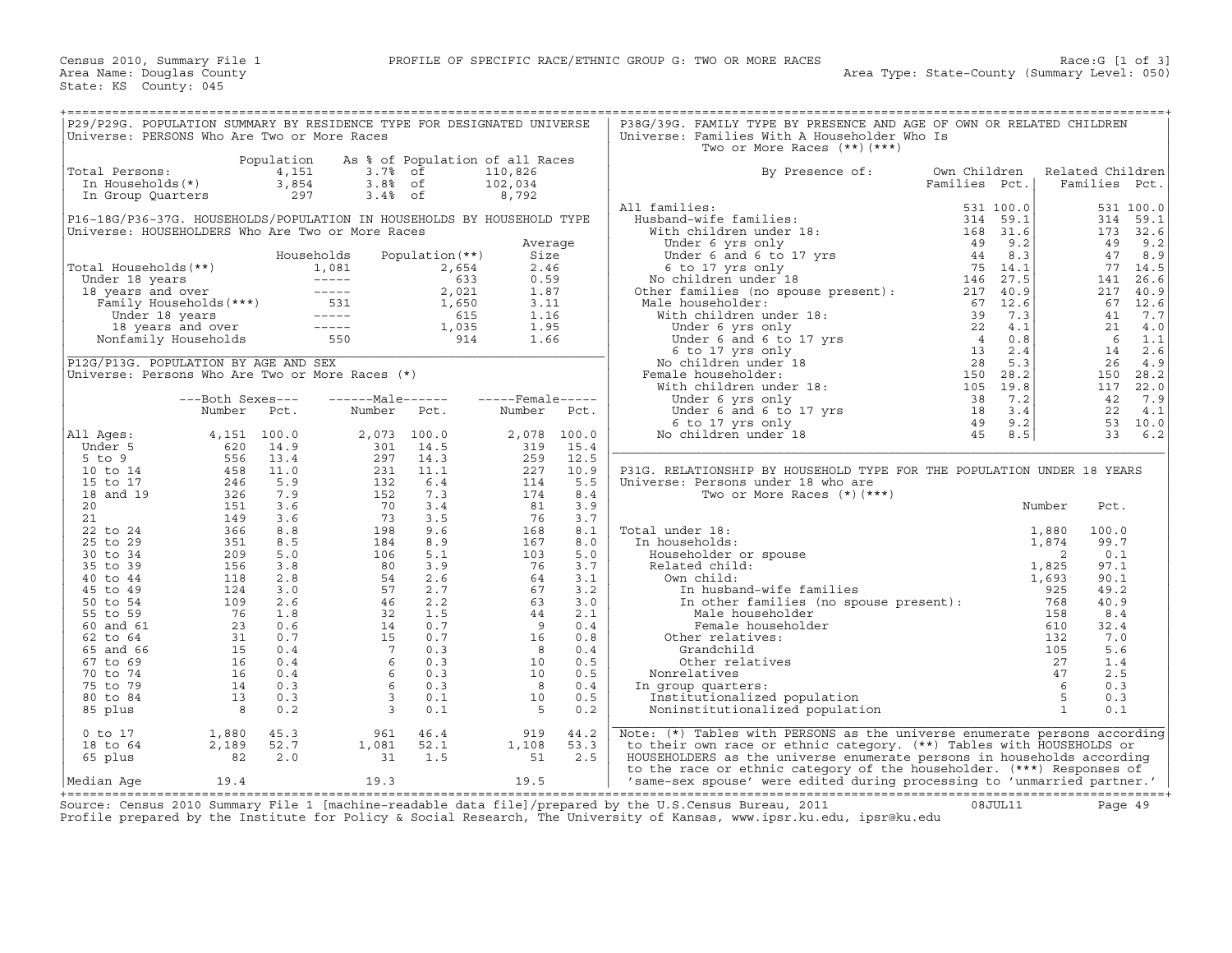| P29/P29G. POPULATION SUMMARY BY RESIDENCE TYPE FOR DESIGNATED UNIVERSE<br>P38G/39G. FAMILY TYPE BY PRESENCE AND AGE OF OWN OR RELATED CHILDREN<br>Universe: PERSONS Who Are Two or More Races<br>Universe: Families With A Householder Who Is<br>Two or More Races $(**)$ $(***)$<br>Population<br>As % of Population of all Races<br>4,151<br>$3.7%$ of<br>Total Persons:<br>110,826<br>By Presence of:                                                                                                               |    |              |                            |                  |           |
|------------------------------------------------------------------------------------------------------------------------------------------------------------------------------------------------------------------------------------------------------------------------------------------------------------------------------------------------------------------------------------------------------------------------------------------------------------------------------------------------------------------------|----|--------------|----------------------------|------------------|-----------|
|                                                                                                                                                                                                                                                                                                                                                                                                                                                                                                                        |    |              |                            |                  |           |
|                                                                                                                                                                                                                                                                                                                                                                                                                                                                                                                        |    |              |                            |                  |           |
|                                                                                                                                                                                                                                                                                                                                                                                                                                                                                                                        |    |              |                            |                  |           |
|                                                                                                                                                                                                                                                                                                                                                                                                                                                                                                                        |    |              |                            |                  |           |
|                                                                                                                                                                                                                                                                                                                                                                                                                                                                                                                        |    | Own Children |                            | Related Children |           |
| In Households(*)<br>3,854<br>$3.88$ of<br>102,034<br>Families Pct.                                                                                                                                                                                                                                                                                                                                                                                                                                                     |    |              |                            | Families Pct.    |           |
|                                                                                                                                                                                                                                                                                                                                                                                                                                                                                                                        |    |              |                            |                  |           |
| $3.4%$ of<br>297<br>8,792<br>In Group Quarters                                                                                                                                                                                                                                                                                                                                                                                                                                                                         |    |              |                            |                  |           |
| All families:<br>11 families:<br>Husband-wife families:<br>With children under 18:<br>Under 6 yrs only<br>Under 6 and 6 to 17 yrs<br>6 to 17 yrs and 168 31.6<br>6 to 17 yrs and 168 31.6<br>No children under 18<br>214 32.7<br>Other families (no spouse presen                                                                                                                                                                                                                                                      |    | 531 100.0    |                            |                  | 531 100.0 |
| P16-18G/P36-37G. HOUSEHOLDS/POPULATION IN HOUSEHOLDS BY HOUSEHOLD TYPE                                                                                                                                                                                                                                                                                                                                                                                                                                                 |    |              |                            | 314              | 59.1      |
| Universe: HOUSEHOLDERS Who Are Two or More Races                                                                                                                                                                                                                                                                                                                                                                                                                                                                       |    |              |                            |                  | 173 32.6  |
| Average                                                                                                                                                                                                                                                                                                                                                                                                                                                                                                                |    |              |                            | 49               | 9.2       |
| Population $(**)$<br>Households<br>Size                                                                                                                                                                                                                                                                                                                                                                                                                                                                                |    |              |                            | 47               | 8.9       |
| 2.46                                                                                                                                                                                                                                                                                                                                                                                                                                                                                                                   |    |              |                            | 77               | 14.5      |
| 0.59                                                                                                                                                                                                                                                                                                                                                                                                                                                                                                                   |    |              |                            | 141              | 26.6      |
| 1.87                                                                                                                                                                                                                                                                                                                                                                                                                                                                                                                   |    |              |                            | 217              | 40.9      |
| 3.11<br>Male householder:                                                                                                                                                                                                                                                                                                                                                                                                                                                                                              |    |              |                            | 67               | 12.6      |
| 1.16                                                                                                                                                                                                                                                                                                                                                                                                                                                                                                                   |    |              |                            | 41               | 7.7       |
| 1.95                                                                                                                                                                                                                                                                                                                                                                                                                                                                                                                   |    |              |                            | 21               | 4.0       |
|                                                                                                                                                                                                                                                                                                                                                                                                                                                                                                                        |    |              |                            |                  |           |
| Total Households (**)<br>Under 18 years<br>18 years and over<br>Tamily Households (***)<br>Under 18 years and over<br>Tamily Households (***)<br>1,681<br>1,081<br>2,654<br>2,654<br>2,654<br>2,654<br>2,654<br>2,654<br>2,654<br>2,021<br>2,021<br>2,021<br>2,021<br>Male householder:<br>With children under 18:<br>With children under 18:<br>Under 6 yrs only<br>Under 6 and 6 to 17 yrs<br>6 to 17 yrs and the control of the set of the set of the set of the set of the set of the set of the set of th<br>1.66 |    |              |                            | 6                | 1.1       |
|                                                                                                                                                                                                                                                                                                                                                                                                                                                                                                                        |    |              |                            | 14               | 2.6       |
| P12G/P13G. POPULATION BY AGE AND SEX                                                                                                                                                                                                                                                                                                                                                                                                                                                                                   |    |              |                            | 26               | 4.9       |
| Universe: Persons Who Are Two or More Races (*)<br>Female householder:                                                                                                                                                                                                                                                                                                                                                                                                                                                 |    |              |                            | 150              | 28.2      |
|                                                                                                                                                                                                                                                                                                                                                                                                                                                                                                                        |    |              |                            | 117              | 22.0      |
| ------Male------ -----Female-----<br>---Both Sexes---<br>$\begin{tabular}{lllllllllll} \text{Under 6 yrs only} & 38 \\ \text{Under 6 and 6 to 17 yrs} & 18 \\ \text{6 to 17 yrs only} & 49 \\ \text{b children under 18} & 45 \\ \end{tabular}$                                                                                                                                                                                                                                                                        | 38 | 7.2          |                            | 42               | 7.9       |
| Number Pct.<br>Number Pct.<br>Number Pct.                                                                                                                                                                                                                                                                                                                                                                                                                                                                              |    | 3.4          |                            | 22               | 4.1       |
|                                                                                                                                                                                                                                                                                                                                                                                                                                                                                                                        |    | 9.2          |                            |                  | 53 10.0   |
| No children under 18<br>All Ages:<br>2,073 100.0<br>2,078 100.0<br>4,151 100.0                                                                                                                                                                                                                                                                                                                                                                                                                                         |    | 8.5          |                            | 33               | 6.2       |
| 620<br>301<br>14.5<br>319<br>15.4<br>Under 5<br>14.9                                                                                                                                                                                                                                                                                                                                                                                                                                                                   |    |              |                            |                  |           |
| 13.4<br>259<br>12.5<br>$5$ to $9$<br>297<br>14.3                                                                                                                                                                                                                                                                                                                                                                                                                                                                       |    |              |                            |                  |           |
| 556<br>458<br>10 to 14<br>11.0<br>231<br>11.1<br>227<br>10.9<br>P31G. RELATIONSHIP BY HOUSEHOLD TYPE FOR THE POPULATION UNDER 18 YEARS                                                                                                                                                                                                                                                                                                                                                                                 |    |              |                            |                  |           |
| 5.9<br>132<br>6.4<br>114<br>5.5<br>Universe: Persons under 18 who are<br>15 to 17                                                                                                                                                                                                                                                                                                                                                                                                                                      |    |              |                            |                  |           |
| $\frac{246}{326}$<br>18 and 19<br>7.9<br>152<br>7.3<br>174<br>8.4                                                                                                                                                                                                                                                                                                                                                                                                                                                      |    |              |                            |                  |           |
| Two or More Races $(*)$ $(***)$                                                                                                                                                                                                                                                                                                                                                                                                                                                                                        |    |              |                            |                  |           |
| 151<br>3.6<br>70<br>3.4<br>81<br>3.9<br>20                                                                                                                                                                                                                                                                                                                                                                                                                                                                             |    |              | Number                     | Pct.             |           |
| 149<br>3.6<br>73<br>3.5<br>76<br>3.7<br>21                                                                                                                                                                                                                                                                                                                                                                                                                                                                             |    |              |                            |                  |           |
| 366<br>8.8<br>9.6<br>168<br>8.1<br>Total under 18:<br>22 to 24<br>198                                                                                                                                                                                                                                                                                                                                                                                                                                                  |    |              | 1,880                      | 100.0            |           |
| 8.9<br>25 to 29<br>351<br>8.5<br>184<br>167<br>8.0<br>In households:                                                                                                                                                                                                                                                                                                                                                                                                                                                   |    |              | 1,874                      | 99.7             |           |
| 209<br>5.0<br>103<br>30 to 34<br>106<br>5.1<br>5.0<br>Householder or spouse                                                                                                                                                                                                                                                                                                                                                                                                                                            |    |              | $\overline{\phantom{0}}^2$ | 0.1              |           |
| 156<br>3.8<br>3.9<br>76<br>3.7<br>Related child:<br>35 to 39<br>80                                                                                                                                                                                                                                                                                                                                                                                                                                                     |    |              | 1,825                      | 97.1             |           |
| 2.8<br>2.6<br>40 to 44<br>118<br>54<br>64<br>3.1<br>Own child:                                                                                                                                                                                                                                                                                                                                                                                                                                                         |    |              | 1,693                      | 90.1             |           |
| 3.0<br>2.7<br>3.2<br>45 to 49<br>124<br>57<br>67<br>In husband-wife families                                                                                                                                                                                                                                                                                                                                                                                                                                           |    |              | 925                        | 49.2             |           |
| In other families (no spouse present):<br>Male bousebolder<br>109<br>2.6<br>2.2<br>63<br>3.0<br>50 to 54                                                                                                                                                                                                                                                                                                                                                                                                               |    |              | 768                        | 40.9             |           |
| 55 to 59<br>1.8<br>1.5<br>44<br>2.1<br>Male householder                                                                                                                                                                                                                                                                                                                                                                                                                                                                |    |              | 158                        | 8.4              |           |
| $\frac{1}{46}$<br>32<br>14<br>15<br>7<br>$\frac{76}{23}$<br>31<br>0.7<br>60 and 61<br>0.6<br>$\overline{9}$<br>0.4<br>Female householder                                                                                                                                                                                                                                                                                                                                                                               |    |              | 610                        | 32.4             |           |
| 0.7<br>0.7<br>0.8<br>62 to 64<br>16<br>Other relatives:                                                                                                                                                                                                                                                                                                                                                                                                                                                                |    |              | 132                        | 7.0              |           |
| 0.4<br>0.3<br>$\overline{8}$<br>0.4<br>Grandchild<br>65 and 66                                                                                                                                                                                                                                                                                                                                                                                                                                                         |    |              | 105                        | 5.6              |           |
| $\begin{array}{c} 31 \\ 15 \\ 16 \\ 16 \\ 1 \end{array}$<br>0.4<br>6<br>0.3<br>10<br>0.5<br>67 to 69                                                                                                                                                                                                                                                                                                                                                                                                                   |    |              | 27                         | 1.4              |           |
| Other relatives                                                                                                                                                                                                                                                                                                                                                                                                                                                                                                        |    |              |                            |                  |           |
| 0.3<br>70 to 74<br>0.4<br>6<br>10<br>0.5<br>Nonrelatives                                                                                                                                                                                                                                                                                                                                                                                                                                                               |    |              | 47                         | 2.5              |           |
| 75 to 79<br>14<br>0.3<br>$6\degree$<br>0.3<br>8<br>0.4<br>In group quarters:                                                                                                                                                                                                                                                                                                                                                                                                                                           |    |              | 6                          | 0.3              |           |
| $\overline{3}$<br>Institutionalized population<br>80 to 84<br>13<br>0.3<br>0.1<br>10<br>0.5                                                                                                                                                                                                                                                                                                                                                                                                                            |    |              | $5^{\circ}$                | 0.3              |           |
| $\overline{\phantom{a}}$ 8<br>0.2<br>$\overline{3}$<br>0.1<br>0.2<br>Noninstitutionalized population<br>85 plus<br>5                                                                                                                                                                                                                                                                                                                                                                                                   |    |              | $\overline{1}$             | 0.1              |           |
| 45.3<br>46.4<br>44.2<br>Note: $(*)$ Tables with PERSONS as the universe enumerate persons according<br>$0$ to 17<br>1,880<br>961<br>919                                                                                                                                                                                                                                                                                                                                                                                |    |              |                            |                  |           |
| 18 to 64<br>2,189<br>52.7<br>52.1<br>1,108<br>53.3<br>to their own race or ethnic category. (**) Tables with HOUSEHOLDS or                                                                                                                                                                                                                                                                                                                                                                                             |    |              |                            |                  |           |
| 65 plus<br>82<br>2.0<br>1.5<br>2.5<br>HOUSEHOLDERS as the universe enumerate persons in households according<br>51                                                                                                                                                                                                                                                                                                                                                                                                     |    |              |                            |                  |           |
| $1, 0.2$ 31<br>to the race or ethnic category of the householder. (***) Responses of                                                                                                                                                                                                                                                                                                                                                                                                                                   |    |              |                            |                  |           |
| 19.3<br>19.4<br>19.5                                                                                                                                                                                                                                                                                                                                                                                                                                                                                                   |    |              |                            |                  |           |
| 'same-sex spouse' were edited during processing to 'unmarried partner.'<br>Median Aqe                                                                                                                                                                                                                                                                                                                                                                                                                                  |    |              |                            |                  |           |

+===================================================================================================================================================+Source: Census 2010 Summary File 1 [machine−readable data file]/prepared by the U.S.Census Bureau, 2011 08JUL11 Page 49 Profile prepared by the Institute for Policy & Social Research, The University of Kansas, www.ipsr.ku.edu, ipsr@ku.edu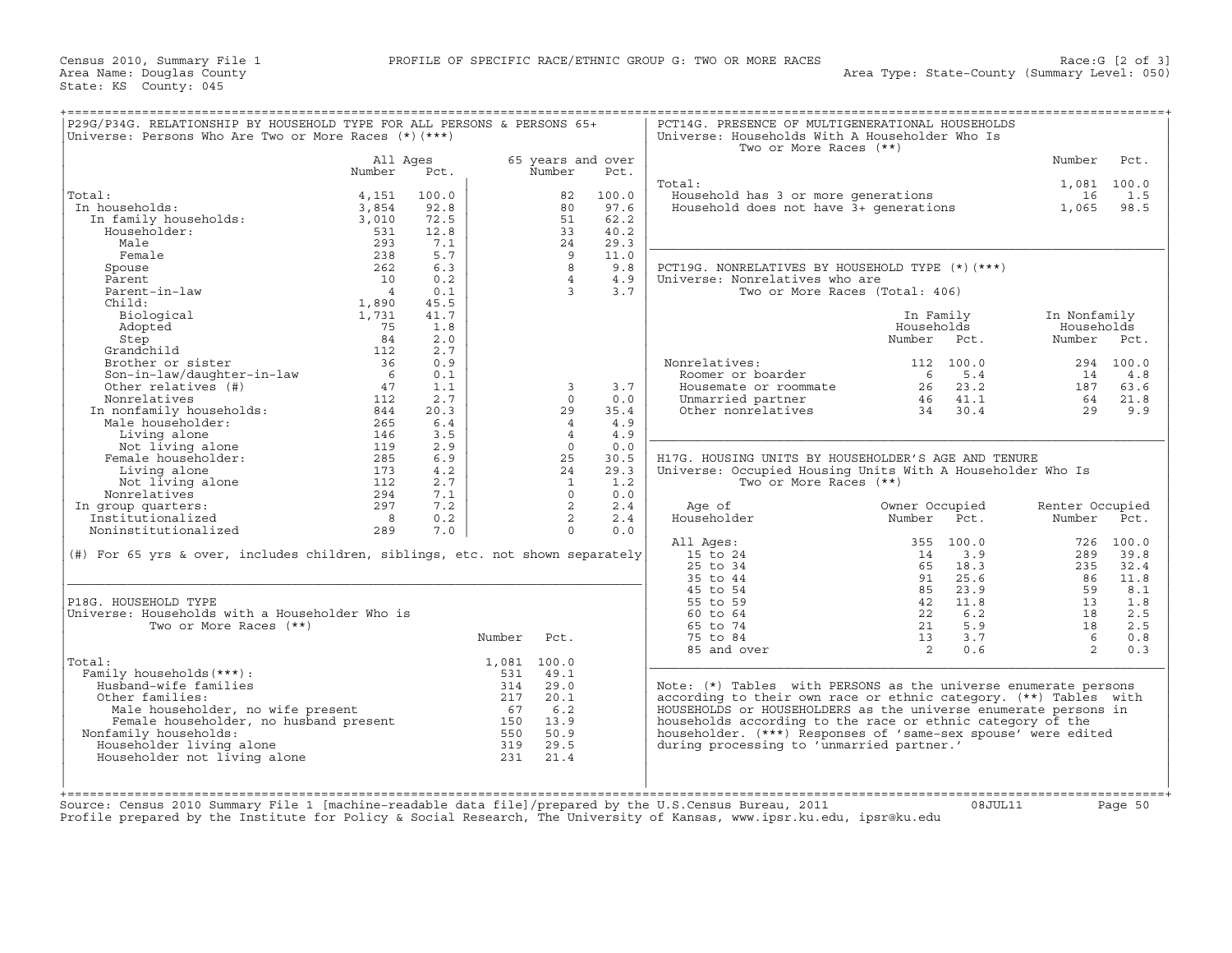| P29G/P34G. RELATIONSHIP BY HOUSEHOLD TYPE FOR ALL PERSONS & PERSONS 65+<br>Universe: Persons Who Are Two or More Races (*) (***)                                                                                                                                                                                                                                |                 |       |             |                   |       | PCT14G. PRESENCE OF MULTIGENERATIONAL HOUSEHOLDS<br>Universe: Households With A Householder Who Is<br>Two or More Races (**) |                            |           |                 |             |
|-----------------------------------------------------------------------------------------------------------------------------------------------------------------------------------------------------------------------------------------------------------------------------------------------------------------------------------------------------------------|-----------------|-------|-------------|-------------------|-------|------------------------------------------------------------------------------------------------------------------------------|----------------------------|-----------|-----------------|-------------|
|                                                                                                                                                                                                                                                                                                                                                                 | All Ages        |       |             | 65 years and over |       |                                                                                                                              |                            |           | Number          | Pct.        |
|                                                                                                                                                                                                                                                                                                                                                                 | Number          | Pct.  |             | Number            | Pct.  |                                                                                                                              |                            |           |                 |             |
|                                                                                                                                                                                                                                                                                                                                                                 |                 |       |             |                   |       | Total:                                                                                                                       |                            |           |                 | 1,081 100.0 |
| Total:                                                                                                                                                                                                                                                                                                                                                          | 4,151           | 100.0 |             | 82                | 100.0 | <br>Household has 3 or more generations<br>Household does not have 3+ generations                                            |                            |           | 16              | 1.5         |
| In households:                                                                                                                                                                                                                                                                                                                                                  | 3,854           | 92.8  |             | 80                | 97.6  |                                                                                                                              |                            |           | 1,065           | 98.5        |
| In family households:<br>Households:                                                                                                                                                                                                                                                                                                                            | 3,010           | 72.5  |             | 51                | 62.2  |                                                                                                                              |                            |           |                 |             |
| Householder:                                                                                                                                                                                                                                                                                                                                                    | 531             | 12.8  |             | 33                | 40.2  |                                                                                                                              |                            |           |                 |             |
| Male                                                                                                                                                                                                                                                                                                                                                            | 293             | 7.1   |             | 24                | 29.3  |                                                                                                                              |                            |           |                 |             |
| Female                                                                                                                                                                                                                                                                                                                                                          | 238             | 5.7   |             | 9                 | 11.0  |                                                                                                                              |                            |           |                 |             |
| Spouse                                                                                                                                                                                                                                                                                                                                                          | 262             | 6.3   |             | $\overline{8}$    | 9.8   | PCT19G. NONRELATIVES BY HOUSEHOLD TYPE (*) (***)                                                                             |                            |           |                 |             |
| Parent                                                                                                                                                                                                                                                                                                                                                          | 10              | 0.2   |             | $\overline{4}$    | 4.9   | Universe: Nonrelatives who are                                                                                               |                            |           |                 |             |
| Parent-in-law                                                                                                                                                                                                                                                                                                                                                   | $\overline{4}$  | 0.1   |             | $\overline{3}$    | 3.7   | Two or More Races (Total: 406)                                                                                               |                            |           |                 |             |
| Child:                                                                                                                                                                                                                                                                                                                                                          | 1,890           | 45.5  |             |                   |       |                                                                                                                              |                            |           |                 |             |
|                                                                                                                                                                                                                                                                                                                                                                 |                 |       |             |                   |       |                                                                                                                              |                            |           |                 |             |
| Biological                                                                                                                                                                                                                                                                                                                                                      | 1,731           | 41.7  |             |                   |       |                                                                                                                              | In Family                  |           | In Nonfamily    |             |
| Adopted                                                                                                                                                                                                                                                                                                                                                         | 75              | 1.8   |             |                   |       |                                                                                                                              | Households                 |           | Households      |             |
| Step                                                                                                                                                                                                                                                                                                                                                            | 84              | 2.0   |             |                   |       |                                                                                                                              | Number                     | Pct.      | Number          | Pct.        |
| Grandchild                                                                                                                                                                                                                                                                                                                                                      | 112             | 2.7   |             |                   |       |                                                                                                                              |                            |           |                 |             |
| Brother or sister                                                                                                                                                                                                                                                                                                                                               | 36              | 0.9   |             |                   |       | Nonrelatives:                                                                                                                |                            | 112 100.0 |                 | 294 100.0   |
| Son-in-law/daughter-in-law                                                                                                                                                                                                                                                                                                                                      | $6\overline{6}$ | 0.1   |             |                   |       | Roomer or boarder                                                                                                            |                            | 6 5.4     | 14              | 4.8         |
| Other relatives (#)                                                                                                                                                                                                                                                                                                                                             | 47              | 1.1   |             | $\overline{3}$    | 3.7   | Housemate or roommate                                                                                                        | $26$ $23.2$<br>$46$ $41.1$ |           | 187             | 63.6        |
|                                                                                                                                                                                                                                                                                                                                                                 |                 | 2.7   |             | $\Omega$          | 0.0   | Unmarried partner<br>Other nonrelatives                                                                                      |                            |           | 64              | 21.8        |
|                                                                                                                                                                                                                                                                                                                                                                 |                 | 20.3  |             | 29                | 35.4  |                                                                                                                              | 34 30.4                    |           | 29              | 9.9         |
|                                                                                                                                                                                                                                                                                                                                                                 |                 | 6.4   |             | $\overline{4}$    | 4.9   |                                                                                                                              |                            |           |                 |             |
|                                                                                                                                                                                                                                                                                                                                                                 |                 | 3.5   |             | $\overline{4}$    | 4.9   |                                                                                                                              |                            |           |                 |             |
|                                                                                                                                                                                                                                                                                                                                                                 |                 | 2.9   |             | $\Omega$          | 0.0   |                                                                                                                              |                            |           |                 |             |
|                                                                                                                                                                                                                                                                                                                                                                 |                 | 6.9   |             | 25                | 30.5  | H17G. HOUSING UNITS BY HOUSEHOLDER'S AGE AND TENURE                                                                          |                            |           |                 |             |
| Commentatives (#)<br>Nonrelatives 11<br>Nonrelatives 11<br>112<br>In nonfamily households: 844<br>Male householder: 265<br>Living alone 146<br>Not living alone 119<br>Female householder: 285<br>Living alone 173<br>Living alone 173<br>Not living                                                                                                            |                 | 4.2   |             | 24                | 29.3  | Universe: Occupied Housing Units With A Householder Who Is                                                                   |                            |           |                 |             |
|                                                                                                                                                                                                                                                                                                                                                                 |                 | 2.7   |             | $\mathbf{1}$      | 1.2   | Two or More Races (**)                                                                                                       |                            |           |                 |             |
| Nonrelatives                                                                                                                                                                                                                                                                                                                                                    | 294             | 7.1   |             | $\Omega$          | 0.0   |                                                                                                                              |                            |           |                 |             |
| In group quarters:                                                                                                                                                                                                                                                                                                                                              | 297             | 7.2   |             | 2                 | 2.4   | Age of                                                                                                                       | Owner Occupied             |           | Renter Occupied |             |
| Institutionalized                                                                                                                                                                                                                                                                                                                                               | 8               | 0.2   |             | $\overline{2}$    | 2.4   | Householder                                                                                                                  | Number                     | Pct.      | Number Pct.     |             |
| Noninstitutionalized                                                                                                                                                                                                                                                                                                                                            | 289             | 7.0   |             | $\Omega$          | 0.0   |                                                                                                                              |                            |           |                 |             |
|                                                                                                                                                                                                                                                                                                                                                                 |                 |       |             |                   |       | All Ages:                                                                                                                    |                            | 355 100.0 |                 | 726 100.0   |
| $(\#)$ For 65 yrs & over, includes children, siblings, etc. not shown separately                                                                                                                                                                                                                                                                                |                 |       |             |                   |       | 15 to 24                                                                                                                     | 14                         | 3.9       | 289             | 39.8        |
|                                                                                                                                                                                                                                                                                                                                                                 |                 |       |             |                   |       | 25 to 34                                                                                                                     | 65                         | 18.3      | 235             | 32.4        |
|                                                                                                                                                                                                                                                                                                                                                                 |                 |       |             |                   |       | 35 to 44                                                                                                                     | 91                         | 25.6      | 86              | 11.8        |
|                                                                                                                                                                                                                                                                                                                                                                 |                 |       |             |                   |       | 45 to 54                                                                                                                     |                            |           |                 | 8.1         |
|                                                                                                                                                                                                                                                                                                                                                                 |                 |       |             |                   |       |                                                                                                                              | 85                         | 23.9      | 59              |             |
| P18G. HOUSEHOLD TYPE                                                                                                                                                                                                                                                                                                                                            |                 |       |             |                   |       | 55 to 59                                                                                                                     | 42                         | 11.8      | 13              | 1.8         |
| Universe: Households with a Householder Who is                                                                                                                                                                                                                                                                                                                  |                 |       |             |                   |       | $60$ to $64$                                                                                                                 | 22                         | 6.2       | 18              | 2.5         |
| Two or More Races (**)                                                                                                                                                                                                                                                                                                                                          |                 |       |             |                   |       | 65 to 74                                                                                                                     |                            | 21 5.9    | 18              | 2.5         |
|                                                                                                                                                                                                                                                                                                                                                                 |                 |       | Number      | Pct.              |       | 75 to 84                                                                                                                     | 13 <sup>1</sup>            | 3.7       | $6\overline{6}$ | 0.8         |
|                                                                                                                                                                                                                                                                                                                                                                 |                 |       |             |                   |       | 85 and over                                                                                                                  | $\overline{2}$             | 0.6       | 2               | 0.3         |
| Total:                                                                                                                                                                                                                                                                                                                                                          |                 |       | 1,081 100.0 |                   |       |                                                                                                                              |                            |           |                 |             |
| Family households (***) :                                                                                                                                                                                                                                                                                                                                       |                 |       | 531         | 49.1              |       |                                                                                                                              |                            |           |                 |             |
| Husband-wife families                                                                                                                                                                                                                                                                                                                                           |                 |       | 314         | 29.0              |       | Note: (*) Tables with PERSONS as the universe enumerate persons                                                              |                            |           |                 |             |
| Other families:                                                                                                                                                                                                                                                                                                                                                 |                 |       |             |                   |       | according to their own race or ethnic category. (**) Tables with                                                             |                            |           |                 |             |
|                                                                                                                                                                                                                                                                                                                                                                 |                 |       |             |                   |       | HOUSEHOLDS or HOUSEHOLDERS as the universe enumerate persons in                                                              |                            |           |                 |             |
|                                                                                                                                                                                                                                                                                                                                                                 |                 |       |             |                   |       | households according to the race or ethnic category of the                                                                   |                            |           |                 |             |
| Nonfamily households:                                                                                                                                                                                                                                                                                                                                           |                 |       |             |                   |       | householder. (***) Responses of 'same-sex spouse' were edited                                                                |                            |           |                 |             |
| Householder living alone                                                                                                                                                                                                                                                                                                                                        |                 |       |             |                   |       | during processing to 'unmarried partner.'                                                                                    |                            |           |                 |             |
|                                                                                                                                                                                                                                                                                                                                                                 |                 |       |             |                   |       |                                                                                                                              |                            |           |                 |             |
|                                                                                                                                                                                                                                                                                                                                                                 |                 |       |             |                   |       |                                                                                                                              |                            |           |                 |             |
| Householder not living alone                                                                                                                                                                                                                                                                                                                                    |                 |       |             |                   |       |                                                                                                                              |                            |           |                 |             |
|                                                                                                                                                                                                                                                                                                                                                                 |                 |       |             |                   |       |                                                                                                                              |                            |           |                 |             |
| $\begin{tabular}{llllllll} \hline \texttt{name} & 314 & 29.0 \\ \texttt{name} & 217 & 20.1 \\ \texttt{Female} \texttt{householder}, \texttt{no} \texttt{husband} \texttt{present} & 67 & 6.2 \\ \texttt{family} \texttt{households:} & 150 & 13.9 \\ \texttt{useholder living} \texttt{alone} & 319 & 29.5 \\ \texttt{useholder} & 319 & 29.5 \\ \end{tabular}$ |                 |       |             |                   |       |                                                                                                                              |                            |           |                 |             |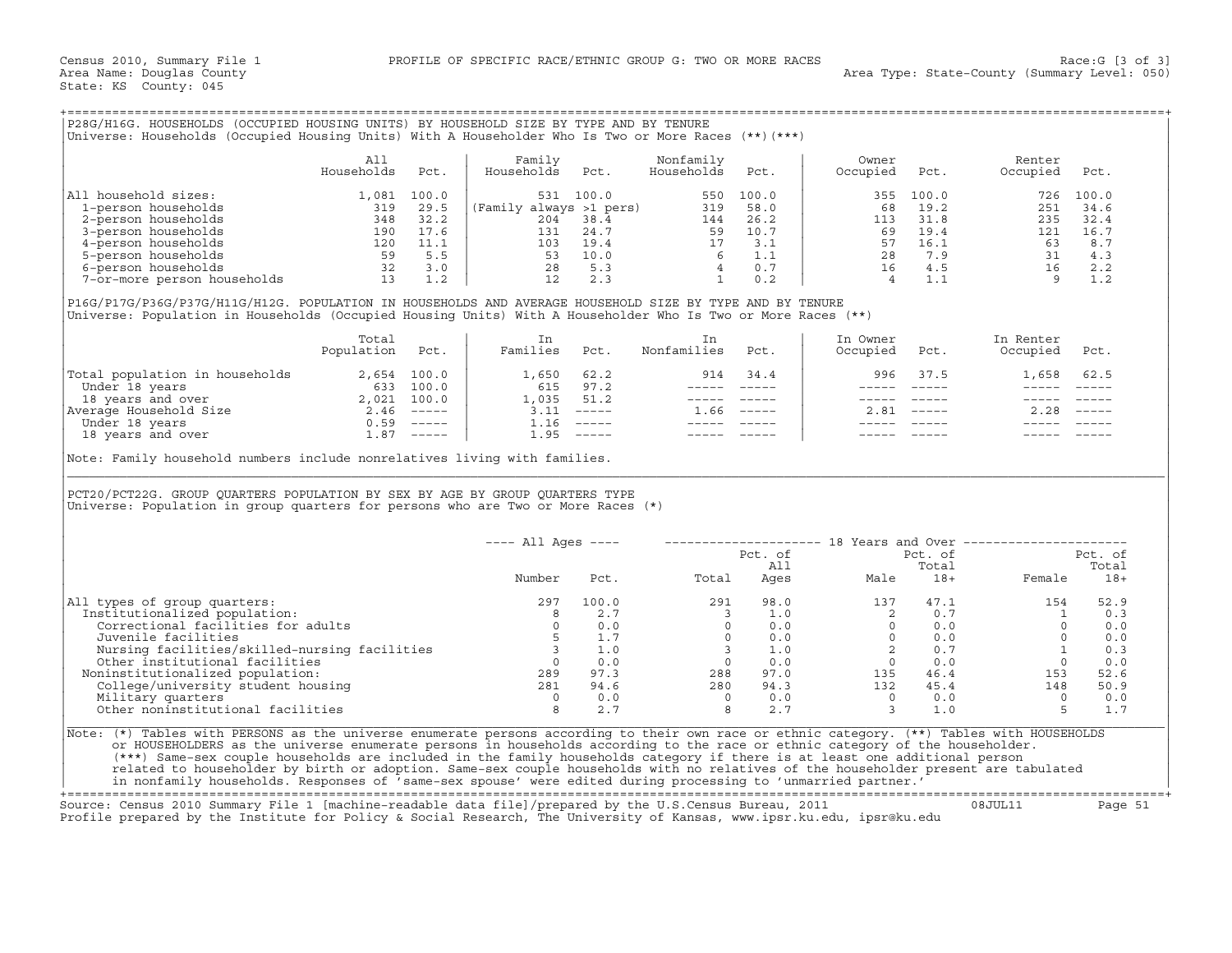| P28G/H16G. HOUSEHOLDS (OCCUPIED HOUSING UNITS) BY HOUSEHOLD SIZE BY TYPE AND BY TENURE<br> Universe: Households (Occupied Housing Units) With A Householder Who Is Two or More Races (**)(***) |                   |               |                                      |                         |               |                   |                |                     |               |  |
|------------------------------------------------------------------------------------------------------------------------------------------------------------------------------------------------|-------------------|---------------|--------------------------------------|-------------------------|---------------|-------------------|----------------|---------------------|---------------|--|
|                                                                                                                                                                                                | All<br>Households | Pct.          | Family<br>Households<br>Pct.         | Nonfamily<br>Households | Pct.          | Owner<br>Occupied | Pct.           | Renter<br>Occupied  | Pct.          |  |
| All household sizes:<br>1-person households                                                                                                                                                    | 1,081<br>319      | 100.0<br>29.5 | 531 100.0<br>(Family always >1 pers) | 550<br>319              | 100.0<br>58.0 | 355<br>68         | 100.0<br>19.2  | 726<br>251          | 100.0<br>34.6 |  |
| 2-person households<br>3-person households                                                                                                                                                     | 348<br>190        | 32.2<br>17.6  | 204<br>38.4<br>24.7<br>131           | 144<br>59               | 26.2<br>10.7  | 113<br>69         | 31.8<br>19.4   | 235<br>121          | 32.4<br>16.7  |  |
| 4-person households                                                                                                                                                                            | 120<br>$ \sim$    | 11.1<br>$ -$  | 19.4<br>103<br>$\sim$ $\sim$         |                         | 3.1           | 57                | 16.1<br>$\sim$ | 63<br>$\sim$ $\sim$ | 8.7           |  |

|                                | Total<br>Population | Pct.          | Families | Pct.          | Nonfamilies | Pct.                      | In Owner<br>Occupied | Pct.          | In Renter<br>Occupied | Pct.                      |
|--------------------------------|---------------------|---------------|----------|---------------|-------------|---------------------------|----------------------|---------------|-----------------------|---------------------------|
| Total population in households | 2,654               | 100.0         | 1,650    | 62.2          | 914         | 34.4                      | 996                  | 37.5          | L,658                 | 62.5                      |
| Under 18 years                 | 633                 | 100.0         | 615      | 97.2          |             |                           |                      |               |                       |                           |
| 18 years and over              | 2.021               | 100.0         | 1,035    | 51.2          |             |                           |                      |               |                       |                           |
| Average Household Size         | 2.46                | $- - - - - -$ | 3.11     | $\frac{1}{2}$ | . 66        | $\qquad \qquad - - - - -$ | 2.81                 | $- - - - - -$ | 2.28                  | $\qquad \qquad - - - - -$ |
| Under 18 years                 | 0.59                | $------$      | ⊥.16     | ------        |             |                           |                      |               |                       |                           |
| 18 years and over              | 87                  | $------$      | ⊥.95     |               |             |                           |                      |               |                       |                           |

| P28G/H16G. HOUSEHOLDS (OCCUPIED HOUSING UNITS) BY HOUSEHOLD SIZE BY TYPE AND BY TENURE<br>Universe: Households (Occupied Housing Units) With A Householder Who Is Two or More Races (**) (***)                                                                                                                                                                                                                                                                                                                                                                                                                                                                   |                   |      |                                       |            |                                       |             |                                                     |                                                                                                                                                                                                                                                                                                                                                                                              |                                                                                                                                                                                                                                                                                                                                                                                              |                                                             |
|------------------------------------------------------------------------------------------------------------------------------------------------------------------------------------------------------------------------------------------------------------------------------------------------------------------------------------------------------------------------------------------------------------------------------------------------------------------------------------------------------------------------------------------------------------------------------------------------------------------------------------------------------------------|-------------------|------|---------------------------------------|------------|---------------------------------------|-------------|-----------------------------------------------------|----------------------------------------------------------------------------------------------------------------------------------------------------------------------------------------------------------------------------------------------------------------------------------------------------------------------------------------------------------------------------------------------|----------------------------------------------------------------------------------------------------------------------------------------------------------------------------------------------------------------------------------------------------------------------------------------------------------------------------------------------------------------------------------------------|-------------------------------------------------------------|
|                                                                                                                                                                                                                                                                                                                                                                                                                                                                                                                                                                                                                                                                  | All<br>Households | Pct. | Family<br>Households                  | Pct.       | Nonfamily<br>Households               | Pct.        | Owner<br>Occupied                                   | Pct.                                                                                                                                                                                                                                                                                                                                                                                         | Renter<br>Occupied                                                                                                                                                                                                                                                                                                                                                                           | Pct.                                                        |
| All household sizes:                                                                                                                                                                                                                                                                                                                                                                                                                                                                                                                                                                                                                                             |                   |      |                                       |            |                                       |             | 355                                                 | 100.0                                                                                                                                                                                                                                                                                                                                                                                        |                                                                                                                                                                                                                                                                                                                                                                                              | 726 100.0                                                   |
|                                                                                                                                                                                                                                                                                                                                                                                                                                                                                                                                                                                                                                                                  |                   |      |                                       |            |                                       |             | 68                                                  | 19.2                                                                                                                                                                                                                                                                                                                                                                                         |                                                                                                                                                                                                                                                                                                                                                                                              | 251 34.6                                                    |
|                                                                                                                                                                                                                                                                                                                                                                                                                                                                                                                                                                                                                                                                  |                   |      |                                       |            |                                       |             | 113                                                 | 31.8                                                                                                                                                                                                                                                                                                                                                                                         | 235                                                                                                                                                                                                                                                                                                                                                                                          | 32.4                                                        |
|                                                                                                                                                                                                                                                                                                                                                                                                                                                                                                                                                                                                                                                                  |                   |      |                                       |            |                                       |             |                                                     | 69 19.4                                                                                                                                                                                                                                                                                                                                                                                      |                                                                                                                                                                                                                                                                                                                                                                                              | 121 16.7                                                    |
|                                                                                                                                                                                                                                                                                                                                                                                                                                                                                                                                                                                                                                                                  |                   |      |                                       |            |                                       |             |                                                     |                                                                                                                                                                                                                                                                                                                                                                                              |                                                                                                                                                                                                                                                                                                                                                                                              | 8.7                                                         |
|                                                                                                                                                                                                                                                                                                                                                                                                                                                                                                                                                                                                                                                                  |                   |      |                                       |            |                                       |             |                                                     |                                                                                                                                                                                                                                                                                                                                                                                              |                                                                                                                                                                                                                                                                                                                                                                                              | 4.3                                                         |
|                                                                                                                                                                                                                                                                                                                                                                                                                                                                                                                                                                                                                                                                  |                   |      |                                       |            |                                       |             |                                                     |                                                                                                                                                                                                                                                                                                                                                                                              | $\begin{array}{cccc} 63 & 15.1 & 63 \\ 57 & 16.1 & 63 \\ 28 & 7.9 & 31 \\ 16 & 4.5 & 16 \\ 4 & 1.1 & 9 \end{array}$                                                                                                                                                                                                                                                                          | 2.2                                                         |
|                                                                                                                                                                                                                                                                                                                                                                                                                                                                                                                                                                                                                                                                  |                   |      |                                       |            |                                       |             |                                                     |                                                                                                                                                                                                                                                                                                                                                                                              |                                                                                                                                                                                                                                                                                                                                                                                              | 1.2                                                         |
| P16G/P17G/P36G/P37G/H11G/H12G. POPULATION IN HOUSEHOLDS AND AVERAGE HOUSEHOLD SIZE BY TYPE AND BY TENURE<br>Universe: Population in Households (Occupied Housing Units) With A Householder Who Is Two or More Races (**)                                                                                                                                                                                                                                                                                                                                                                                                                                         |                   |      |                                       |            |                                       |             |                                                     |                                                                                                                                                                                                                                                                                                                                                                                              |                                                                                                                                                                                                                                                                                                                                                                                              |                                                             |
|                                                                                                                                                                                                                                                                                                                                                                                                                                                                                                                                                                                                                                                                  | Total             |      | In                                    |            | In                                    |             | In Owner                                            |                                                                                                                                                                                                                                                                                                                                                                                              | In Renter                                                                                                                                                                                                                                                                                                                                                                                    |                                                             |
|                                                                                                                                                                                                                                                                                                                                                                                                                                                                                                                                                                                                                                                                  | Population Pct.   |      | Families Pct.                         |            | Nonfamilies Pct.                      |             | Occupied                                            | Pct.                                                                                                                                                                                                                                                                                                                                                                                         | Occupied Pct.                                                                                                                                                                                                                                                                                                                                                                                |                                                             |
| $\begin{tabular}{ l l } \hline \texttt{Total population in households} & 2,654 & 100.0 \\ \hline \texttt{Under 18 years} & 633 & 100.0 \\ \texttt{18 years and over} & 2,021 & 100.0 \\ \texttt{Average Household Size} & 2.46 & ---- \\ \hline \texttt{Under 18 years and over} & 0.59 & ---- \\ \hline \end{tabular}$                                                                                                                                                                                                                                                                                                                                          |                   |      | 1,650 62.2                            |            |                                       | 914 34.4    |                                                     | 996 37.5                                                                                                                                                                                                                                                                                                                                                                                     | 1,658 62.5                                                                                                                                                                                                                                                                                                                                                                                   |                                                             |
|                                                                                                                                                                                                                                                                                                                                                                                                                                                                                                                                                                                                                                                                  |                   |      |                                       | 615 97.2   |                                       |             |                                                     | $\frac{1}{2} \frac{1}{2} \frac{1}{2} \frac{1}{2} \frac{1}{2} \frac{1}{2} \frac{1}{2} \frac{1}{2} \frac{1}{2} \frac{1}{2} \frac{1}{2} \frac{1}{2} \frac{1}{2} \frac{1}{2} \frac{1}{2} \frac{1}{2} \frac{1}{2} \frac{1}{2} \frac{1}{2} \frac{1}{2} \frac{1}{2} \frac{1}{2} \frac{1}{2} \frac{1}{2} \frac{1}{2} \frac{1}{2} \frac{1}{2} \frac{1}{2} \frac{1}{2} \frac{1}{2} \frac{1}{2} \frac{$ | $\frac{1}{2} \frac{1}{2} \frac{1}{2} \frac{1}{2} \frac{1}{2} \frac{1}{2} \frac{1}{2} \frac{1}{2} \frac{1}{2} \frac{1}{2} \frac{1}{2} \frac{1}{2} \frac{1}{2} \frac{1}{2} \frac{1}{2} \frac{1}{2} \frac{1}{2} \frac{1}{2} \frac{1}{2} \frac{1}{2} \frac{1}{2} \frac{1}{2} \frac{1}{2} \frac{1}{2} \frac{1}{2} \frac{1}{2} \frac{1}{2} \frac{1}{2} \frac{1}{2} \frac{1}{2} \frac{1}{2} \frac{$ |                                                             |
|                                                                                                                                                                                                                                                                                                                                                                                                                                                                                                                                                                                                                                                                  |                   |      |                                       | 1,035 51.2 |                                       | ----- ----- |                                                     |                                                                                                                                                                                                                                                                                                                                                                                              | $\begin{array}{cccccc} - & - & - & - & - & - & - \\ & - & - & - & - & - \\ & & - & - & - & - \\ \end{array}$                                                                                                                                                                                                                                                                                 |                                                             |
|                                                                                                                                                                                                                                                                                                                                                                                                                                                                                                                                                                                                                                                                  |                   |      |                                       |            | $1.66$ -----                          |             |                                                     | $2.81$ -----                                                                                                                                                                                                                                                                                                                                                                                 | $2.28$ -----                                                                                                                                                                                                                                                                                                                                                                                 |                                                             |
|                                                                                                                                                                                                                                                                                                                                                                                                                                                                                                                                                                                                                                                                  |                   |      |                                       |            | ______________                        |             |                                                     |                                                                                                                                                                                                                                                                                                                                                                                              |                                                                                                                                                                                                                                                                                                                                                                                              |                                                             |
|                                                                                                                                                                                                                                                                                                                                                                                                                                                                                                                                                                                                                                                                  |                   |      | $1.95$ -----                          |            |                                       |             |                                                     |                                                                                                                                                                                                                                                                                                                                                                                              |                                                                                                                                                                                                                                                                                                                                                                                              |                                                             |
| PCT20/PCT22G. GROUP QUARTERS POPULATION BY SEX BY AGE BY GROUP QUARTERS TYPE<br>Universe: Population in group quarters for persons who are Two or More Races (*)                                                                                                                                                                                                                                                                                                                                                                                                                                                                                                 |                   |      |                                       |            |                                       |             |                                                     |                                                                                                                                                                                                                                                                                                                                                                                              |                                                                                                                                                                                                                                                                                                                                                                                              |                                                             |
|                                                                                                                                                                                                                                                                                                                                                                                                                                                                                                                                                                                                                                                                  |                   |      | ---- All Ages ----                    |            |                                       |             |                                                     |                                                                                                                                                                                                                                                                                                                                                                                              | -------------------- 18 Years and Over ----------------------                                                                                                                                                                                                                                                                                                                                |                                                             |
|                                                                                                                                                                                                                                                                                                                                                                                                                                                                                                                                                                                                                                                                  |                   |      |                                       |            |                                       | Pct. of     |                                                     | Pct. of                                                                                                                                                                                                                                                                                                                                                                                      |                                                                                                                                                                                                                                                                                                                                                                                              | Pct. of                                                     |
|                                                                                                                                                                                                                                                                                                                                                                                                                                                                                                                                                                                                                                                                  |                   |      | Number                                |            | Pct.<br>Total                         | All         |                                                     | Total                                                                                                                                                                                                                                                                                                                                                                                        |                                                                                                                                                                                                                                                                                                                                                                                              | Total<br>Female 18+                                         |
| All types of group quarters:                                                                                                                                                                                                                                                                                                                                                                                                                                                                                                                                                                                                                                     |                   |      | 297                                   | 100.0      |                                       |             |                                                     |                                                                                                                                                                                                                                                                                                                                                                                              | $\begin{array}{cccccc} 291 & 98.0 & & & 137 & 47.1 & & & 154 \\ 3 & 1.0 & & 2 & 0.7 & & & 1 \\ 0 & 0.0 & & 0 & 0.0 & & & 0 \\ 0 & 0.0 & & 0 & 0.0 & & & 0 \\ 3 & 1.0 & & 2 & 0.7 & & & 1 \\ 0 & 0.0 & & 2 & 0.7 & & & 1 \\ 288 & 97.0 & & 135 & 46.4 & & 153 \\ 280 & 94.3 & & 132 & 45.4 & & 148 \\ 0 & 0.0 & & 0 & &$                                                                      | 52.9                                                        |
| Institutionalized population:                                                                                                                                                                                                                                                                                                                                                                                                                                                                                                                                                                                                                                    |                   |      |                                       | 2.7        |                                       |             |                                                     |                                                                                                                                                                                                                                                                                                                                                                                              |                                                                                                                                                                                                                                                                                                                                                                                              | 1 0.3                                                       |
| Correctional facilities for adults                                                                                                                                                                                                                                                                                                                                                                                                                                                                                                                                                                                                                               |                   |      | $\begin{array}{c} 8 \\ 0 \end{array}$ | 0.0        |                                       |             |                                                     |                                                                                                                                                                                                                                                                                                                                                                                              |                                                                                                                                                                                                                                                                                                                                                                                              | 0.0                                                         |
| Juvenile facilities                                                                                                                                                                                                                                                                                                                                                                                                                                                                                                                                                                                                                                              |                   |      |                                       | 5 1.7      |                                       |             |                                                     |                                                                                                                                                                                                                                                                                                                                                                                              |                                                                                                                                                                                                                                                                                                                                                                                              |                                                             |
|                                                                                                                                                                                                                                                                                                                                                                                                                                                                                                                                                                                                                                                                  |                   |      |                                       |            |                                       |             |                                                     |                                                                                                                                                                                                                                                                                                                                                                                              |                                                                                                                                                                                                                                                                                                                                                                                              |                                                             |
|                                                                                                                                                                                                                                                                                                                                                                                                                                                                                                                                                                                                                                                                  |                   |      |                                       |            |                                       |             |                                                     |                                                                                                                                                                                                                                                                                                                                                                                              |                                                                                                                                                                                                                                                                                                                                                                                              | $\begin{bmatrix} 0 & 0.0 \ 1 & 0.3 \ 0 & 0.0 \end{bmatrix}$ |
| Noninstitutionalized population:                                                                                                                                                                                                                                                                                                                                                                                                                                                                                                                                                                                                                                 |                   |      |                                       |            |                                       |             |                                                     |                                                                                                                                                                                                                                                                                                                                                                                              |                                                                                                                                                                                                                                                                                                                                                                                              | 52.6                                                        |
| Nursing facilities and the matrices of the matrices of the other institutional facilities and the other institutionalized population: and the other college/university student housing and the matrix of the military quarters                                                                                                                                                                                                                                                                                                                                                                                                                                   |                   |      |                                       |            | $94.6$<br>$0.0$<br>$0.0$              |             |                                                     |                                                                                                                                                                                                                                                                                                                                                                                              |                                                                                                                                                                                                                                                                                                                                                                                              | 50.9                                                        |
| Military quarters                                                                                                                                                                                                                                                                                                                                                                                                                                                                                                                                                                                                                                                |                   |      | $\frac{0}{8}$                         | 0.0        | $\begin{array}{c} 0 \\ 8 \end{array}$ | 0.0         | $\begin{array}{ccc} 0 & 0.0 \\ 3 & 1.0 \end{array}$ |                                                                                                                                                                                                                                                                                                                                                                                              | $\overline{0}$                                                                                                                                                                                                                                                                                                                                                                               | 0.0                                                         |
| Other noninstitutional facilities                                                                                                                                                                                                                                                                                                                                                                                                                                                                                                                                                                                                                                |                   |      | 8                                     | 2.7        |                                       | 2.7         |                                                     |                                                                                                                                                                                                                                                                                                                                                                                              | $5^{\circ}$                                                                                                                                                                                                                                                                                                                                                                                  | 1.7                                                         |
| Note: (*) Tables with PERSONS as the universe enumerate persons according to their own race or ethnic category. (**) Tables with HOUSEHOLDS<br>or HOUSEHOLDERS as the universe enumerate persons in households according to the race or ethnic category of the householder.<br>(***) Same-sex couple households are included in the family households category if there is at least one additional person<br>related to householder by birth or adoption. Same-sex couple households with no relatives of the householder present are tabulated<br>in nonfamily households. Responses of 'same-sex spouse' were edited during processing to 'unmarried partner.' |                   |      |                                       |            |                                       |             |                                                     |                                                                                                                                                                                                                                                                                                                                                                                              |                                                                                                                                                                                                                                                                                                                                                                                              |                                                             |

+===================================================================================================================================================+

Source: Census 2010 Summary File 1 [machine−readable data file]/prepared by the U.S.Census Bureau, 2011 08JUL11 Page 51 Profile prepared by the Institute for Policy & Social Research, The University of Kansas, www.ipsr.ku.edu, ipsr@ku.edu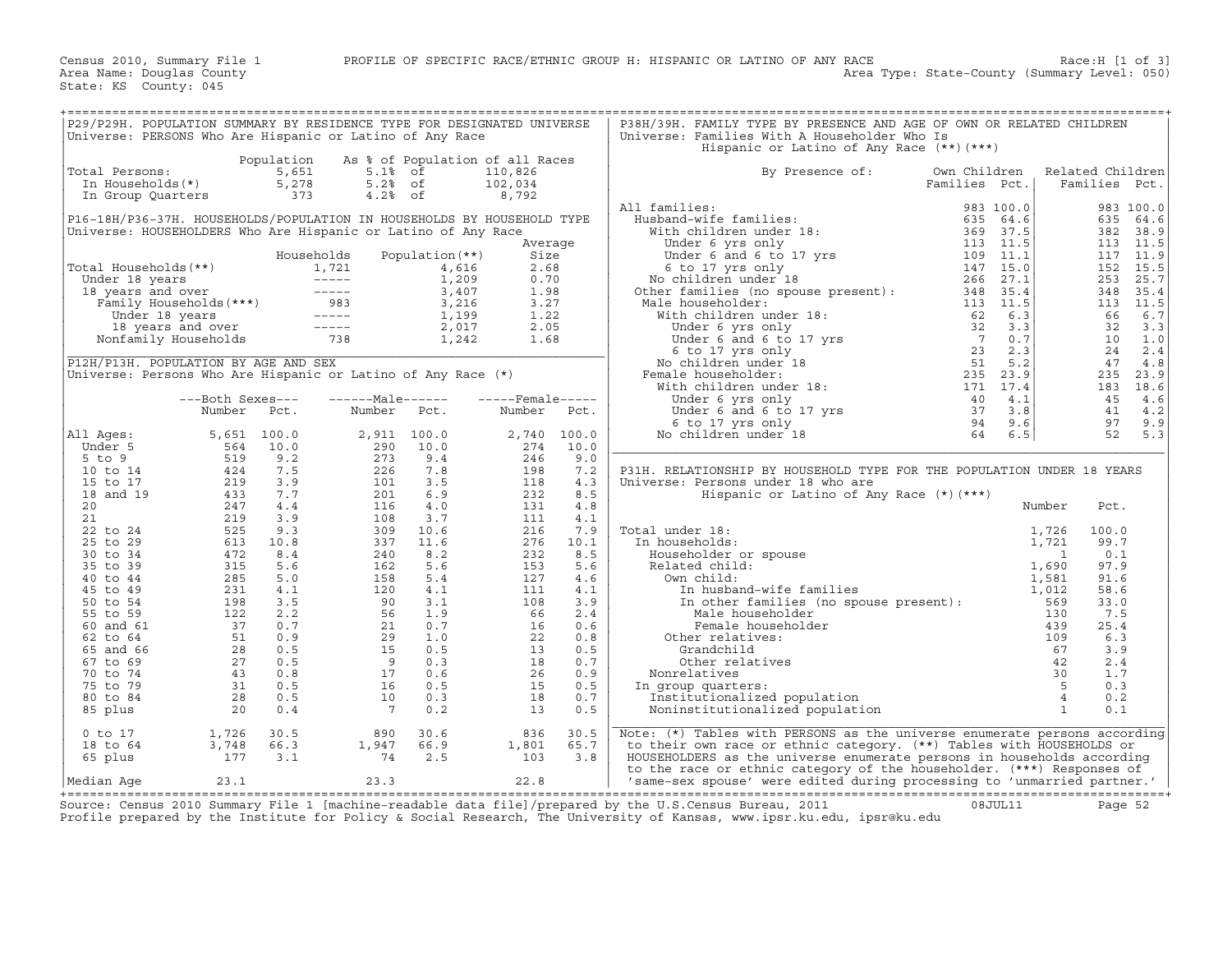| Hispanic or Latino of Any Race (**) (***)<br>Population As % of Population of all Races<br>Total Persons:<br>otal Persons: 5,651 5.1% of<br>In Households(*) 5,278 5.2% of<br>In Group Quarters 373 4.2% of<br>110,826<br>By Presence of:<br>Own Children<br>Related Children<br>102,034<br>Families Pct.<br>Families Pct.<br>8,792<br>All families:<br>983 100.0<br>P16-18H/P36-37H. HOUSEHOLDS/POPULATION IN HOUSEHOLDS BY HOUSEHOLD TYPE<br>635 64.6<br>382 38.9<br>Universe: HOUSEHOLDERS Who Are Hispanic or Latino of Any Race<br>113 11.5<br>Average<br>Population (**)<br>117 11.9<br>Households<br>Size<br>Total Households (**)<br>Under 18 years<br>1,721 4,616 2.68<br>Under 18 years<br>1,721 4,616 2.68<br>1,721 4,616 2.68<br>1,209 0.70<br>1,209 0.70<br>1,209 0.70<br>1,209 0.70<br>1,209 0.70<br>1,209 0.70<br>1,209 0.70<br>1,209 0.70<br>1,209 0.70<br>3,407<br>152 15.5<br>253<br>348<br>113 11.5<br>66<br>32<br>10 1.0<br>24<br>P12H/P13H. POPULATION BY AGE AND SEX<br>47<br>Universe: Persons Who Are Hispanic or Latino of Any Race (*)<br>235 23.9<br>183 18.6<br>$---Male----$<br>$---$ Female -----<br>45<br>---Both Sexes---<br>Number<br>41 4.2<br>Number Pct.<br>Pct.<br>Number<br>Pct.<br>97<br>5,651 100.0<br>2,740 100.0<br>52<br>All Ages:<br>2,911 100.0<br>$\begin{array}{r} 2\, ,\, 9\, 1\, 1\, \\ \, 2\, 9\, 0\, \\ \, 2\, 7\, 3\, \\ \, 2\, 2\, 6\, \\ \, 1\, 0\, 1\, \\ \, 1\, 1\, 6\, \\ \, 3\, 0\, 9\, \\ \, 3\, 3\, 7\, \\ \, 2\, 4\, 6\, 2\, \\ \, 1\, 6\, 2\, \\ \, 3\, 3\, 7\, \\ \, 1\, 6\, 2\, \\ \, 1\, 6\, 2\, \\ \, 1\, 6\$<br>10.0<br>274<br>Under 5<br>10.0<br>$5$ to $9$<br>9.4<br>246<br>9.0<br>7.8<br>198<br>7.2<br>P31H. RELATIONSHIP BY HOUSEHOLD TYPE FOR THE POPULATION UNDER 18 YEARS<br>10 to 14<br>3.5<br>118<br>15 to 17<br>4.3<br>Universe: Persons under 18 who are<br>18 and 19<br>6.9<br>232<br>8.5<br>Hispanic or Latino of Any Race $(*)$ $(***)$<br>4.0<br>20<br>131<br>4.8<br>Number<br>Pct.<br>3.7<br>111<br>21<br>4.1<br>al under 18:<br>in households:<br>Householder or spouse<br>Related child:<br>Own child:<br>In husband-wife families<br>In finite families<br>In other families (no spouse present):<br>Male householder<br>Male householder<br>Female householder<br><br>22 to 24<br>10.6<br>216<br>7.9<br>Total under 18:<br>100.0<br>11.6<br>276<br>99.7<br>25 to 29<br>10.1<br>In households:<br>8.2<br>232<br>8.5<br>0.1<br>30 to 34<br>5.6<br>153<br>5.6<br>97.9<br>35 to 39<br>$\begin{array}{r} 240 \\ 162 \\ 158 \\ 120 \\ 90 \\ 56 \\ 21 \\ 29 \\ 15 \\ 9 \\ 16 \\ 10 \\ 7 \end{array}$<br>127<br>40 to 44<br>5.4<br>4.6<br>91.6<br>4.1<br>111<br>45 to 49<br>4.1<br>58.6<br>50 to 54<br>3.1<br>108<br>3.9<br>33.0<br>1.9<br>2.4<br>7.5<br>55 to 59<br>$\begin{array}{r} 66 \\ 16 \\ 22 \\ 13 \\ 18 \\ 26 \\ 15 \\ \end{array}$<br>0.7<br>60 and 61<br>0.6<br>25.4<br>1.0<br>62 to 64<br>0.8<br>6.3<br>0.5<br>65 and 66<br>0.5<br>3.9<br>0.3<br>0.7<br>67 to 69<br>2.4<br>70 to 74<br>0.6<br>0.9<br>1.7<br>0.5<br>75 to 79<br>0.5<br>0.3<br>In group quarters:<br>0.3<br>80 to 84<br>18<br>0.7<br>0.2<br>0.2<br>13<br>0.5<br>0.1<br>85 plus<br>1,726<br>3,748<br>177<br>Note: (*) Tables with PERSONS as the universe enumerate persons according<br>$0$ to $17$<br>30.5<br>30.6<br>836<br>30.5<br>$\frac{1, 94}{74}$<br>$1,801$<br>$103$<br>66.3<br>66.9<br>65.7<br>to their own race or ethnic category. (**) Tables with HOUSEHOLDS or<br>18 to 64<br>65 plus<br>3.1<br>2.5<br>HOUSEHOLDERS as the universe enumerate persons in households according<br>3.8<br>to the race or ethnic category of the householder. (***) Responses of | P29/P29H. POPULATION SUMMARY BY RESIDENCE TYPE FOR DESIGNATED UNIVERSE<br>Universe: PERSONS Who Are Hispanic or Latino of Any Race |  |  |  | P38H/39H. FAMILY TYPE BY PRESENCE AND AGE OF OWN OR RELATED CHILDREN<br>Universe: Families With A Householder Who Is |  |      |
|---------------------------------------------------------------------------------------------------------------------------------------------------------------------------------------------------------------------------------------------------------------------------------------------------------------------------------------------------------------------------------------------------------------------------------------------------------------------------------------------------------------------------------------------------------------------------------------------------------------------------------------------------------------------------------------------------------------------------------------------------------------------------------------------------------------------------------------------------------------------------------------------------------------------------------------------------------------------------------------------------------------------------------------------------------------------------------------------------------------------------------------------------------------------------------------------------------------------------------------------------------------------------------------------------------------------------------------------------------------------------------------------------------------------------------------------------------------------------------------------------------------------------------------------------------------------------------------------------------------------------------------------------------------------------------------------------------------------------------------------------------------------------------------------------------------------------------------------------------------------------------------------------------------------------------------------------------------------------------------------------------------------------------------------------------------------------------------------------------------------------------------------------------------------------------------------------------------------------------------------------------------------------------------------------------------------------------------------------------------------------------------------------------------------------------------------------------------------------------------------------------------------------------------------------------------------------------------------------------------------------------------------------------------------------------------------------------------------------------------------------------------------------------------------------------------------------------------------------------------------------------------------------------------------------------------------------------------------------------------------------------------------------------------------------------------------------------------------------------------------------------------------------------------------------------------------------------------------------------------------------------------------------------------------------------------------------------------------------------------------------------------------------------------------------------------------------------------------------------------------------------------------------------------------------------------------------------------------------------------------------------------|------------------------------------------------------------------------------------------------------------------------------------|--|--|--|----------------------------------------------------------------------------------------------------------------------|--|------|
|                                                                                                                                                                                                                                                                                                                                                                                                                                                                                                                                                                                                                                                                                                                                                                                                                                                                                                                                                                                                                                                                                                                                                                                                                                                                                                                                                                                                                                                                                                                                                                                                                                                                                                                                                                                                                                                                                                                                                                                                                                                                                                                                                                                                                                                                                                                                                                                                                                                                                                                                                                                                                                                                                                                                                                                                                                                                                                                                                                                                                                                                                                                                                                                                                                                                                                                                                                                                                                                                                                                                                                                                                                       |                                                                                                                                    |  |  |  |                                                                                                                      |  |      |
|                                                                                                                                                                                                                                                                                                                                                                                                                                                                                                                                                                                                                                                                                                                                                                                                                                                                                                                                                                                                                                                                                                                                                                                                                                                                                                                                                                                                                                                                                                                                                                                                                                                                                                                                                                                                                                                                                                                                                                                                                                                                                                                                                                                                                                                                                                                                                                                                                                                                                                                                                                                                                                                                                                                                                                                                                                                                                                                                                                                                                                                                                                                                                                                                                                                                                                                                                                                                                                                                                                                                                                                                                                       |                                                                                                                                    |  |  |  |                                                                                                                      |  |      |
|                                                                                                                                                                                                                                                                                                                                                                                                                                                                                                                                                                                                                                                                                                                                                                                                                                                                                                                                                                                                                                                                                                                                                                                                                                                                                                                                                                                                                                                                                                                                                                                                                                                                                                                                                                                                                                                                                                                                                                                                                                                                                                                                                                                                                                                                                                                                                                                                                                                                                                                                                                                                                                                                                                                                                                                                                                                                                                                                                                                                                                                                                                                                                                                                                                                                                                                                                                                                                                                                                                                                                                                                                                       |                                                                                                                                    |  |  |  |                                                                                                                      |  |      |
|                                                                                                                                                                                                                                                                                                                                                                                                                                                                                                                                                                                                                                                                                                                                                                                                                                                                                                                                                                                                                                                                                                                                                                                                                                                                                                                                                                                                                                                                                                                                                                                                                                                                                                                                                                                                                                                                                                                                                                                                                                                                                                                                                                                                                                                                                                                                                                                                                                                                                                                                                                                                                                                                                                                                                                                                                                                                                                                                                                                                                                                                                                                                                                                                                                                                                                                                                                                                                                                                                                                                                                                                                                       |                                                                                                                                    |  |  |  |                                                                                                                      |  |      |
|                                                                                                                                                                                                                                                                                                                                                                                                                                                                                                                                                                                                                                                                                                                                                                                                                                                                                                                                                                                                                                                                                                                                                                                                                                                                                                                                                                                                                                                                                                                                                                                                                                                                                                                                                                                                                                                                                                                                                                                                                                                                                                                                                                                                                                                                                                                                                                                                                                                                                                                                                                                                                                                                                                                                                                                                                                                                                                                                                                                                                                                                                                                                                                                                                                                                                                                                                                                                                                                                                                                                                                                                                                       |                                                                                                                                    |  |  |  |                                                                                                                      |  |      |
|                                                                                                                                                                                                                                                                                                                                                                                                                                                                                                                                                                                                                                                                                                                                                                                                                                                                                                                                                                                                                                                                                                                                                                                                                                                                                                                                                                                                                                                                                                                                                                                                                                                                                                                                                                                                                                                                                                                                                                                                                                                                                                                                                                                                                                                                                                                                                                                                                                                                                                                                                                                                                                                                                                                                                                                                                                                                                                                                                                                                                                                                                                                                                                                                                                                                                                                                                                                                                                                                                                                                                                                                                                       |                                                                                                                                    |  |  |  |                                                                                                                      |  |      |
|                                                                                                                                                                                                                                                                                                                                                                                                                                                                                                                                                                                                                                                                                                                                                                                                                                                                                                                                                                                                                                                                                                                                                                                                                                                                                                                                                                                                                                                                                                                                                                                                                                                                                                                                                                                                                                                                                                                                                                                                                                                                                                                                                                                                                                                                                                                                                                                                                                                                                                                                                                                                                                                                                                                                                                                                                                                                                                                                                                                                                                                                                                                                                                                                                                                                                                                                                                                                                                                                                                                                                                                                                                       |                                                                                                                                    |  |  |  |                                                                                                                      |  |      |
|                                                                                                                                                                                                                                                                                                                                                                                                                                                                                                                                                                                                                                                                                                                                                                                                                                                                                                                                                                                                                                                                                                                                                                                                                                                                                                                                                                                                                                                                                                                                                                                                                                                                                                                                                                                                                                                                                                                                                                                                                                                                                                                                                                                                                                                                                                                                                                                                                                                                                                                                                                                                                                                                                                                                                                                                                                                                                                                                                                                                                                                                                                                                                                                                                                                                                                                                                                                                                                                                                                                                                                                                                                       |                                                                                                                                    |  |  |  |                                                                                                                      |  |      |
|                                                                                                                                                                                                                                                                                                                                                                                                                                                                                                                                                                                                                                                                                                                                                                                                                                                                                                                                                                                                                                                                                                                                                                                                                                                                                                                                                                                                                                                                                                                                                                                                                                                                                                                                                                                                                                                                                                                                                                                                                                                                                                                                                                                                                                                                                                                                                                                                                                                                                                                                                                                                                                                                                                                                                                                                                                                                                                                                                                                                                                                                                                                                                                                                                                                                                                                                                                                                                                                                                                                                                                                                                                       |                                                                                                                                    |  |  |  |                                                                                                                      |  |      |
|                                                                                                                                                                                                                                                                                                                                                                                                                                                                                                                                                                                                                                                                                                                                                                                                                                                                                                                                                                                                                                                                                                                                                                                                                                                                                                                                                                                                                                                                                                                                                                                                                                                                                                                                                                                                                                                                                                                                                                                                                                                                                                                                                                                                                                                                                                                                                                                                                                                                                                                                                                                                                                                                                                                                                                                                                                                                                                                                                                                                                                                                                                                                                                                                                                                                                                                                                                                                                                                                                                                                                                                                                                       |                                                                                                                                    |  |  |  |                                                                                                                      |  |      |
|                                                                                                                                                                                                                                                                                                                                                                                                                                                                                                                                                                                                                                                                                                                                                                                                                                                                                                                                                                                                                                                                                                                                                                                                                                                                                                                                                                                                                                                                                                                                                                                                                                                                                                                                                                                                                                                                                                                                                                                                                                                                                                                                                                                                                                                                                                                                                                                                                                                                                                                                                                                                                                                                                                                                                                                                                                                                                                                                                                                                                                                                                                                                                                                                                                                                                                                                                                                                                                                                                                                                                                                                                                       |                                                                                                                                    |  |  |  |                                                                                                                      |  | 25.7 |
|                                                                                                                                                                                                                                                                                                                                                                                                                                                                                                                                                                                                                                                                                                                                                                                                                                                                                                                                                                                                                                                                                                                                                                                                                                                                                                                                                                                                                                                                                                                                                                                                                                                                                                                                                                                                                                                                                                                                                                                                                                                                                                                                                                                                                                                                                                                                                                                                                                                                                                                                                                                                                                                                                                                                                                                                                                                                                                                                                                                                                                                                                                                                                                                                                                                                                                                                                                                                                                                                                                                                                                                                                                       |                                                                                                                                    |  |  |  |                                                                                                                      |  | 35.4 |
|                                                                                                                                                                                                                                                                                                                                                                                                                                                                                                                                                                                                                                                                                                                                                                                                                                                                                                                                                                                                                                                                                                                                                                                                                                                                                                                                                                                                                                                                                                                                                                                                                                                                                                                                                                                                                                                                                                                                                                                                                                                                                                                                                                                                                                                                                                                                                                                                                                                                                                                                                                                                                                                                                                                                                                                                                                                                                                                                                                                                                                                                                                                                                                                                                                                                                                                                                                                                                                                                                                                                                                                                                                       |                                                                                                                                    |  |  |  |                                                                                                                      |  |      |
|                                                                                                                                                                                                                                                                                                                                                                                                                                                                                                                                                                                                                                                                                                                                                                                                                                                                                                                                                                                                                                                                                                                                                                                                                                                                                                                                                                                                                                                                                                                                                                                                                                                                                                                                                                                                                                                                                                                                                                                                                                                                                                                                                                                                                                                                                                                                                                                                                                                                                                                                                                                                                                                                                                                                                                                                                                                                                                                                                                                                                                                                                                                                                                                                                                                                                                                                                                                                                                                                                                                                                                                                                                       |                                                                                                                                    |  |  |  |                                                                                                                      |  | 6.7  |
|                                                                                                                                                                                                                                                                                                                                                                                                                                                                                                                                                                                                                                                                                                                                                                                                                                                                                                                                                                                                                                                                                                                                                                                                                                                                                                                                                                                                                                                                                                                                                                                                                                                                                                                                                                                                                                                                                                                                                                                                                                                                                                                                                                                                                                                                                                                                                                                                                                                                                                                                                                                                                                                                                                                                                                                                                                                                                                                                                                                                                                                                                                                                                                                                                                                                                                                                                                                                                                                                                                                                                                                                                                       |                                                                                                                                    |  |  |  |                                                                                                                      |  | 3.3  |
|                                                                                                                                                                                                                                                                                                                                                                                                                                                                                                                                                                                                                                                                                                                                                                                                                                                                                                                                                                                                                                                                                                                                                                                                                                                                                                                                                                                                                                                                                                                                                                                                                                                                                                                                                                                                                                                                                                                                                                                                                                                                                                                                                                                                                                                                                                                                                                                                                                                                                                                                                                                                                                                                                                                                                                                                                                                                                                                                                                                                                                                                                                                                                                                                                                                                                                                                                                                                                                                                                                                                                                                                                                       |                                                                                                                                    |  |  |  |                                                                                                                      |  |      |
|                                                                                                                                                                                                                                                                                                                                                                                                                                                                                                                                                                                                                                                                                                                                                                                                                                                                                                                                                                                                                                                                                                                                                                                                                                                                                                                                                                                                                                                                                                                                                                                                                                                                                                                                                                                                                                                                                                                                                                                                                                                                                                                                                                                                                                                                                                                                                                                                                                                                                                                                                                                                                                                                                                                                                                                                                                                                                                                                                                                                                                                                                                                                                                                                                                                                                                                                                                                                                                                                                                                                                                                                                                       |                                                                                                                                    |  |  |  |                                                                                                                      |  | 2.4  |
|                                                                                                                                                                                                                                                                                                                                                                                                                                                                                                                                                                                                                                                                                                                                                                                                                                                                                                                                                                                                                                                                                                                                                                                                                                                                                                                                                                                                                                                                                                                                                                                                                                                                                                                                                                                                                                                                                                                                                                                                                                                                                                                                                                                                                                                                                                                                                                                                                                                                                                                                                                                                                                                                                                                                                                                                                                                                                                                                                                                                                                                                                                                                                                                                                                                                                                                                                                                                                                                                                                                                                                                                                                       |                                                                                                                                    |  |  |  |                                                                                                                      |  | 4.8  |
|                                                                                                                                                                                                                                                                                                                                                                                                                                                                                                                                                                                                                                                                                                                                                                                                                                                                                                                                                                                                                                                                                                                                                                                                                                                                                                                                                                                                                                                                                                                                                                                                                                                                                                                                                                                                                                                                                                                                                                                                                                                                                                                                                                                                                                                                                                                                                                                                                                                                                                                                                                                                                                                                                                                                                                                                                                                                                                                                                                                                                                                                                                                                                                                                                                                                                                                                                                                                                                                                                                                                                                                                                                       |                                                                                                                                    |  |  |  |                                                                                                                      |  |      |
|                                                                                                                                                                                                                                                                                                                                                                                                                                                                                                                                                                                                                                                                                                                                                                                                                                                                                                                                                                                                                                                                                                                                                                                                                                                                                                                                                                                                                                                                                                                                                                                                                                                                                                                                                                                                                                                                                                                                                                                                                                                                                                                                                                                                                                                                                                                                                                                                                                                                                                                                                                                                                                                                                                                                                                                                                                                                                                                                                                                                                                                                                                                                                                                                                                                                                                                                                                                                                                                                                                                                                                                                                                       |                                                                                                                                    |  |  |  |                                                                                                                      |  |      |
|                                                                                                                                                                                                                                                                                                                                                                                                                                                                                                                                                                                                                                                                                                                                                                                                                                                                                                                                                                                                                                                                                                                                                                                                                                                                                                                                                                                                                                                                                                                                                                                                                                                                                                                                                                                                                                                                                                                                                                                                                                                                                                                                                                                                                                                                                                                                                                                                                                                                                                                                                                                                                                                                                                                                                                                                                                                                                                                                                                                                                                                                                                                                                                                                                                                                                                                                                                                                                                                                                                                                                                                                                                       |                                                                                                                                    |  |  |  |                                                                                                                      |  | 4.6  |
|                                                                                                                                                                                                                                                                                                                                                                                                                                                                                                                                                                                                                                                                                                                                                                                                                                                                                                                                                                                                                                                                                                                                                                                                                                                                                                                                                                                                                                                                                                                                                                                                                                                                                                                                                                                                                                                                                                                                                                                                                                                                                                                                                                                                                                                                                                                                                                                                                                                                                                                                                                                                                                                                                                                                                                                                                                                                                                                                                                                                                                                                                                                                                                                                                                                                                                                                                                                                                                                                                                                                                                                                                                       |                                                                                                                                    |  |  |  |                                                                                                                      |  |      |
|                                                                                                                                                                                                                                                                                                                                                                                                                                                                                                                                                                                                                                                                                                                                                                                                                                                                                                                                                                                                                                                                                                                                                                                                                                                                                                                                                                                                                                                                                                                                                                                                                                                                                                                                                                                                                                                                                                                                                                                                                                                                                                                                                                                                                                                                                                                                                                                                                                                                                                                                                                                                                                                                                                                                                                                                                                                                                                                                                                                                                                                                                                                                                                                                                                                                                                                                                                                                                                                                                                                                                                                                                                       |                                                                                                                                    |  |  |  |                                                                                                                      |  | 9.9  |
|                                                                                                                                                                                                                                                                                                                                                                                                                                                                                                                                                                                                                                                                                                                                                                                                                                                                                                                                                                                                                                                                                                                                                                                                                                                                                                                                                                                                                                                                                                                                                                                                                                                                                                                                                                                                                                                                                                                                                                                                                                                                                                                                                                                                                                                                                                                                                                                                                                                                                                                                                                                                                                                                                                                                                                                                                                                                                                                                                                                                                                                                                                                                                                                                                                                                                                                                                                                                                                                                                                                                                                                                                                       |                                                                                                                                    |  |  |  |                                                                                                                      |  | 5.3  |
|                                                                                                                                                                                                                                                                                                                                                                                                                                                                                                                                                                                                                                                                                                                                                                                                                                                                                                                                                                                                                                                                                                                                                                                                                                                                                                                                                                                                                                                                                                                                                                                                                                                                                                                                                                                                                                                                                                                                                                                                                                                                                                                                                                                                                                                                                                                                                                                                                                                                                                                                                                                                                                                                                                                                                                                                                                                                                                                                                                                                                                                                                                                                                                                                                                                                                                                                                                                                                                                                                                                                                                                                                                       |                                                                                                                                    |  |  |  |                                                                                                                      |  |      |
|                                                                                                                                                                                                                                                                                                                                                                                                                                                                                                                                                                                                                                                                                                                                                                                                                                                                                                                                                                                                                                                                                                                                                                                                                                                                                                                                                                                                                                                                                                                                                                                                                                                                                                                                                                                                                                                                                                                                                                                                                                                                                                                                                                                                                                                                                                                                                                                                                                                                                                                                                                                                                                                                                                                                                                                                                                                                                                                                                                                                                                                                                                                                                                                                                                                                                                                                                                                                                                                                                                                                                                                                                                       |                                                                                                                                    |  |  |  |                                                                                                                      |  |      |
|                                                                                                                                                                                                                                                                                                                                                                                                                                                                                                                                                                                                                                                                                                                                                                                                                                                                                                                                                                                                                                                                                                                                                                                                                                                                                                                                                                                                                                                                                                                                                                                                                                                                                                                                                                                                                                                                                                                                                                                                                                                                                                                                                                                                                                                                                                                                                                                                                                                                                                                                                                                                                                                                                                                                                                                                                                                                                                                                                                                                                                                                                                                                                                                                                                                                                                                                                                                                                                                                                                                                                                                                                                       |                                                                                                                                    |  |  |  |                                                                                                                      |  |      |
|                                                                                                                                                                                                                                                                                                                                                                                                                                                                                                                                                                                                                                                                                                                                                                                                                                                                                                                                                                                                                                                                                                                                                                                                                                                                                                                                                                                                                                                                                                                                                                                                                                                                                                                                                                                                                                                                                                                                                                                                                                                                                                                                                                                                                                                                                                                                                                                                                                                                                                                                                                                                                                                                                                                                                                                                                                                                                                                                                                                                                                                                                                                                                                                                                                                                                                                                                                                                                                                                                                                                                                                                                                       |                                                                                                                                    |  |  |  |                                                                                                                      |  |      |
|                                                                                                                                                                                                                                                                                                                                                                                                                                                                                                                                                                                                                                                                                                                                                                                                                                                                                                                                                                                                                                                                                                                                                                                                                                                                                                                                                                                                                                                                                                                                                                                                                                                                                                                                                                                                                                                                                                                                                                                                                                                                                                                                                                                                                                                                                                                                                                                                                                                                                                                                                                                                                                                                                                                                                                                                                                                                                                                                                                                                                                                                                                                                                                                                                                                                                                                                                                                                                                                                                                                                                                                                                                       |                                                                                                                                    |  |  |  |                                                                                                                      |  |      |
|                                                                                                                                                                                                                                                                                                                                                                                                                                                                                                                                                                                                                                                                                                                                                                                                                                                                                                                                                                                                                                                                                                                                                                                                                                                                                                                                                                                                                                                                                                                                                                                                                                                                                                                                                                                                                                                                                                                                                                                                                                                                                                                                                                                                                                                                                                                                                                                                                                                                                                                                                                                                                                                                                                                                                                                                                                                                                                                                                                                                                                                                                                                                                                                                                                                                                                                                                                                                                                                                                                                                                                                                                                       |                                                                                                                                    |  |  |  |                                                                                                                      |  |      |
|                                                                                                                                                                                                                                                                                                                                                                                                                                                                                                                                                                                                                                                                                                                                                                                                                                                                                                                                                                                                                                                                                                                                                                                                                                                                                                                                                                                                                                                                                                                                                                                                                                                                                                                                                                                                                                                                                                                                                                                                                                                                                                                                                                                                                                                                                                                                                                                                                                                                                                                                                                                                                                                                                                                                                                                                                                                                                                                                                                                                                                                                                                                                                                                                                                                                                                                                                                                                                                                                                                                                                                                                                                       |                                                                                                                                    |  |  |  |                                                                                                                      |  |      |
|                                                                                                                                                                                                                                                                                                                                                                                                                                                                                                                                                                                                                                                                                                                                                                                                                                                                                                                                                                                                                                                                                                                                                                                                                                                                                                                                                                                                                                                                                                                                                                                                                                                                                                                                                                                                                                                                                                                                                                                                                                                                                                                                                                                                                                                                                                                                                                                                                                                                                                                                                                                                                                                                                                                                                                                                                                                                                                                                                                                                                                                                                                                                                                                                                                                                                                                                                                                                                                                                                                                                                                                                                                       |                                                                                                                                    |  |  |  |                                                                                                                      |  |      |
|                                                                                                                                                                                                                                                                                                                                                                                                                                                                                                                                                                                                                                                                                                                                                                                                                                                                                                                                                                                                                                                                                                                                                                                                                                                                                                                                                                                                                                                                                                                                                                                                                                                                                                                                                                                                                                                                                                                                                                                                                                                                                                                                                                                                                                                                                                                                                                                                                                                                                                                                                                                                                                                                                                                                                                                                                                                                                                                                                                                                                                                                                                                                                                                                                                                                                                                                                                                                                                                                                                                                                                                                                                       |                                                                                                                                    |  |  |  |                                                                                                                      |  |      |
|                                                                                                                                                                                                                                                                                                                                                                                                                                                                                                                                                                                                                                                                                                                                                                                                                                                                                                                                                                                                                                                                                                                                                                                                                                                                                                                                                                                                                                                                                                                                                                                                                                                                                                                                                                                                                                                                                                                                                                                                                                                                                                                                                                                                                                                                                                                                                                                                                                                                                                                                                                                                                                                                                                                                                                                                                                                                                                                                                                                                                                                                                                                                                                                                                                                                                                                                                                                                                                                                                                                                                                                                                                       |                                                                                                                                    |  |  |  |                                                                                                                      |  |      |
|                                                                                                                                                                                                                                                                                                                                                                                                                                                                                                                                                                                                                                                                                                                                                                                                                                                                                                                                                                                                                                                                                                                                                                                                                                                                                                                                                                                                                                                                                                                                                                                                                                                                                                                                                                                                                                                                                                                                                                                                                                                                                                                                                                                                                                                                                                                                                                                                                                                                                                                                                                                                                                                                                                                                                                                                                                                                                                                                                                                                                                                                                                                                                                                                                                                                                                                                                                                                                                                                                                                                                                                                                                       |                                                                                                                                    |  |  |  |                                                                                                                      |  |      |
|                                                                                                                                                                                                                                                                                                                                                                                                                                                                                                                                                                                                                                                                                                                                                                                                                                                                                                                                                                                                                                                                                                                                                                                                                                                                                                                                                                                                                                                                                                                                                                                                                                                                                                                                                                                                                                                                                                                                                                                                                                                                                                                                                                                                                                                                                                                                                                                                                                                                                                                                                                                                                                                                                                                                                                                                                                                                                                                                                                                                                                                                                                                                                                                                                                                                                                                                                                                                                                                                                                                                                                                                                                       |                                                                                                                                    |  |  |  |                                                                                                                      |  |      |
|                                                                                                                                                                                                                                                                                                                                                                                                                                                                                                                                                                                                                                                                                                                                                                                                                                                                                                                                                                                                                                                                                                                                                                                                                                                                                                                                                                                                                                                                                                                                                                                                                                                                                                                                                                                                                                                                                                                                                                                                                                                                                                                                                                                                                                                                                                                                                                                                                                                                                                                                                                                                                                                                                                                                                                                                                                                                                                                                                                                                                                                                                                                                                                                                                                                                                                                                                                                                                                                                                                                                                                                                                                       |                                                                                                                                    |  |  |  |                                                                                                                      |  |      |
|                                                                                                                                                                                                                                                                                                                                                                                                                                                                                                                                                                                                                                                                                                                                                                                                                                                                                                                                                                                                                                                                                                                                                                                                                                                                                                                                                                                                                                                                                                                                                                                                                                                                                                                                                                                                                                                                                                                                                                                                                                                                                                                                                                                                                                                                                                                                                                                                                                                                                                                                                                                                                                                                                                                                                                                                                                                                                                                                                                                                                                                                                                                                                                                                                                                                                                                                                                                                                                                                                                                                                                                                                                       |                                                                                                                                    |  |  |  |                                                                                                                      |  |      |
|                                                                                                                                                                                                                                                                                                                                                                                                                                                                                                                                                                                                                                                                                                                                                                                                                                                                                                                                                                                                                                                                                                                                                                                                                                                                                                                                                                                                                                                                                                                                                                                                                                                                                                                                                                                                                                                                                                                                                                                                                                                                                                                                                                                                                                                                                                                                                                                                                                                                                                                                                                                                                                                                                                                                                                                                                                                                                                                                                                                                                                                                                                                                                                                                                                                                                                                                                                                                                                                                                                                                                                                                                                       |                                                                                                                                    |  |  |  |                                                                                                                      |  |      |
|                                                                                                                                                                                                                                                                                                                                                                                                                                                                                                                                                                                                                                                                                                                                                                                                                                                                                                                                                                                                                                                                                                                                                                                                                                                                                                                                                                                                                                                                                                                                                                                                                                                                                                                                                                                                                                                                                                                                                                                                                                                                                                                                                                                                                                                                                                                                                                                                                                                                                                                                                                                                                                                                                                                                                                                                                                                                                                                                                                                                                                                                                                                                                                                                                                                                                                                                                                                                                                                                                                                                                                                                                                       |                                                                                                                                    |  |  |  |                                                                                                                      |  |      |
|                                                                                                                                                                                                                                                                                                                                                                                                                                                                                                                                                                                                                                                                                                                                                                                                                                                                                                                                                                                                                                                                                                                                                                                                                                                                                                                                                                                                                                                                                                                                                                                                                                                                                                                                                                                                                                                                                                                                                                                                                                                                                                                                                                                                                                                                                                                                                                                                                                                                                                                                                                                                                                                                                                                                                                                                                                                                                                                                                                                                                                                                                                                                                                                                                                                                                                                                                                                                                                                                                                                                                                                                                                       |                                                                                                                                    |  |  |  |                                                                                                                      |  |      |
|                                                                                                                                                                                                                                                                                                                                                                                                                                                                                                                                                                                                                                                                                                                                                                                                                                                                                                                                                                                                                                                                                                                                                                                                                                                                                                                                                                                                                                                                                                                                                                                                                                                                                                                                                                                                                                                                                                                                                                                                                                                                                                                                                                                                                                                                                                                                                                                                                                                                                                                                                                                                                                                                                                                                                                                                                                                                                                                                                                                                                                                                                                                                                                                                                                                                                                                                                                                                                                                                                                                                                                                                                                       |                                                                                                                                    |  |  |  |                                                                                                                      |  |      |
|                                                                                                                                                                                                                                                                                                                                                                                                                                                                                                                                                                                                                                                                                                                                                                                                                                                                                                                                                                                                                                                                                                                                                                                                                                                                                                                                                                                                                                                                                                                                                                                                                                                                                                                                                                                                                                                                                                                                                                                                                                                                                                                                                                                                                                                                                                                                                                                                                                                                                                                                                                                                                                                                                                                                                                                                                                                                                                                                                                                                                                                                                                                                                                                                                                                                                                                                                                                                                                                                                                                                                                                                                                       |                                                                                                                                    |  |  |  |                                                                                                                      |  |      |
|                                                                                                                                                                                                                                                                                                                                                                                                                                                                                                                                                                                                                                                                                                                                                                                                                                                                                                                                                                                                                                                                                                                                                                                                                                                                                                                                                                                                                                                                                                                                                                                                                                                                                                                                                                                                                                                                                                                                                                                                                                                                                                                                                                                                                                                                                                                                                                                                                                                                                                                                                                                                                                                                                                                                                                                                                                                                                                                                                                                                                                                                                                                                                                                                                                                                                                                                                                                                                                                                                                                                                                                                                                       |                                                                                                                                    |  |  |  |                                                                                                                      |  |      |
|                                                                                                                                                                                                                                                                                                                                                                                                                                                                                                                                                                                                                                                                                                                                                                                                                                                                                                                                                                                                                                                                                                                                                                                                                                                                                                                                                                                                                                                                                                                                                                                                                                                                                                                                                                                                                                                                                                                                                                                                                                                                                                                                                                                                                                                                                                                                                                                                                                                                                                                                                                                                                                                                                                                                                                                                                                                                                                                                                                                                                                                                                                                                                                                                                                                                                                                                                                                                                                                                                                                                                                                                                                       |                                                                                                                                    |  |  |  |                                                                                                                      |  |      |
|                                                                                                                                                                                                                                                                                                                                                                                                                                                                                                                                                                                                                                                                                                                                                                                                                                                                                                                                                                                                                                                                                                                                                                                                                                                                                                                                                                                                                                                                                                                                                                                                                                                                                                                                                                                                                                                                                                                                                                                                                                                                                                                                                                                                                                                                                                                                                                                                                                                                                                                                                                                                                                                                                                                                                                                                                                                                                                                                                                                                                                                                                                                                                                                                                                                                                                                                                                                                                                                                                                                                                                                                                                       |                                                                                                                                    |  |  |  |                                                                                                                      |  |      |
|                                                                                                                                                                                                                                                                                                                                                                                                                                                                                                                                                                                                                                                                                                                                                                                                                                                                                                                                                                                                                                                                                                                                                                                                                                                                                                                                                                                                                                                                                                                                                                                                                                                                                                                                                                                                                                                                                                                                                                                                                                                                                                                                                                                                                                                                                                                                                                                                                                                                                                                                                                                                                                                                                                                                                                                                                                                                                                                                                                                                                                                                                                                                                                                                                                                                                                                                                                                                                                                                                                                                                                                                                                       |                                                                                                                                    |  |  |  |                                                                                                                      |  |      |
|                                                                                                                                                                                                                                                                                                                                                                                                                                                                                                                                                                                                                                                                                                                                                                                                                                                                                                                                                                                                                                                                                                                                                                                                                                                                                                                                                                                                                                                                                                                                                                                                                                                                                                                                                                                                                                                                                                                                                                                                                                                                                                                                                                                                                                                                                                                                                                                                                                                                                                                                                                                                                                                                                                                                                                                                                                                                                                                                                                                                                                                                                                                                                                                                                                                                                                                                                                                                                                                                                                                                                                                                                                       |                                                                                                                                    |  |  |  |                                                                                                                      |  |      |
|                                                                                                                                                                                                                                                                                                                                                                                                                                                                                                                                                                                                                                                                                                                                                                                                                                                                                                                                                                                                                                                                                                                                                                                                                                                                                                                                                                                                                                                                                                                                                                                                                                                                                                                                                                                                                                                                                                                                                                                                                                                                                                                                                                                                                                                                                                                                                                                                                                                                                                                                                                                                                                                                                                                                                                                                                                                                                                                                                                                                                                                                                                                                                                                                                                                                                                                                                                                                                                                                                                                                                                                                                                       |                                                                                                                                    |  |  |  |                                                                                                                      |  |      |
|                                                                                                                                                                                                                                                                                                                                                                                                                                                                                                                                                                                                                                                                                                                                                                                                                                                                                                                                                                                                                                                                                                                                                                                                                                                                                                                                                                                                                                                                                                                                                                                                                                                                                                                                                                                                                                                                                                                                                                                                                                                                                                                                                                                                                                                                                                                                                                                                                                                                                                                                                                                                                                                                                                                                                                                                                                                                                                                                                                                                                                                                                                                                                                                                                                                                                                                                                                                                                                                                                                                                                                                                                                       |                                                                                                                                    |  |  |  |                                                                                                                      |  |      |
|                                                                                                                                                                                                                                                                                                                                                                                                                                                                                                                                                                                                                                                                                                                                                                                                                                                                                                                                                                                                                                                                                                                                                                                                                                                                                                                                                                                                                                                                                                                                                                                                                                                                                                                                                                                                                                                                                                                                                                                                                                                                                                                                                                                                                                                                                                                                                                                                                                                                                                                                                                                                                                                                                                                                                                                                                                                                                                                                                                                                                                                                                                                                                                                                                                                                                                                                                                                                                                                                                                                                                                                                                                       |                                                                                                                                    |  |  |  |                                                                                                                      |  |      |
| 23.3 22.8<br>Median Age 23.1<br>'same-sex spouse' were edited during processing to 'unmarried partner.'                                                                                                                                                                                                                                                                                                                                                                                                                                                                                                                                                                                                                                                                                                                                                                                                                                                                                                                                                                                                                                                                                                                                                                                                                                                                                                                                                                                                                                                                                                                                                                                                                                                                                                                                                                                                                                                                                                                                                                                                                                                                                                                                                                                                                                                                                                                                                                                                                                                                                                                                                                                                                                                                                                                                                                                                                                                                                                                                                                                                                                                                                                                                                                                                                                                                                                                                                                                                                                                                                                                               |                                                                                                                                    |  |  |  |                                                                                                                      |  |      |

+===================================================================================================================================================+Source: Census 2010 Summary File 1 [machine−readable data file]/prepared by the U.S.Census Bureau, 2011 08JUL11 Page 52 Profile prepared by the Institute for Policy & Social Research, The University of Kansas, www.ipsr.ku.edu, ipsr@ku.edu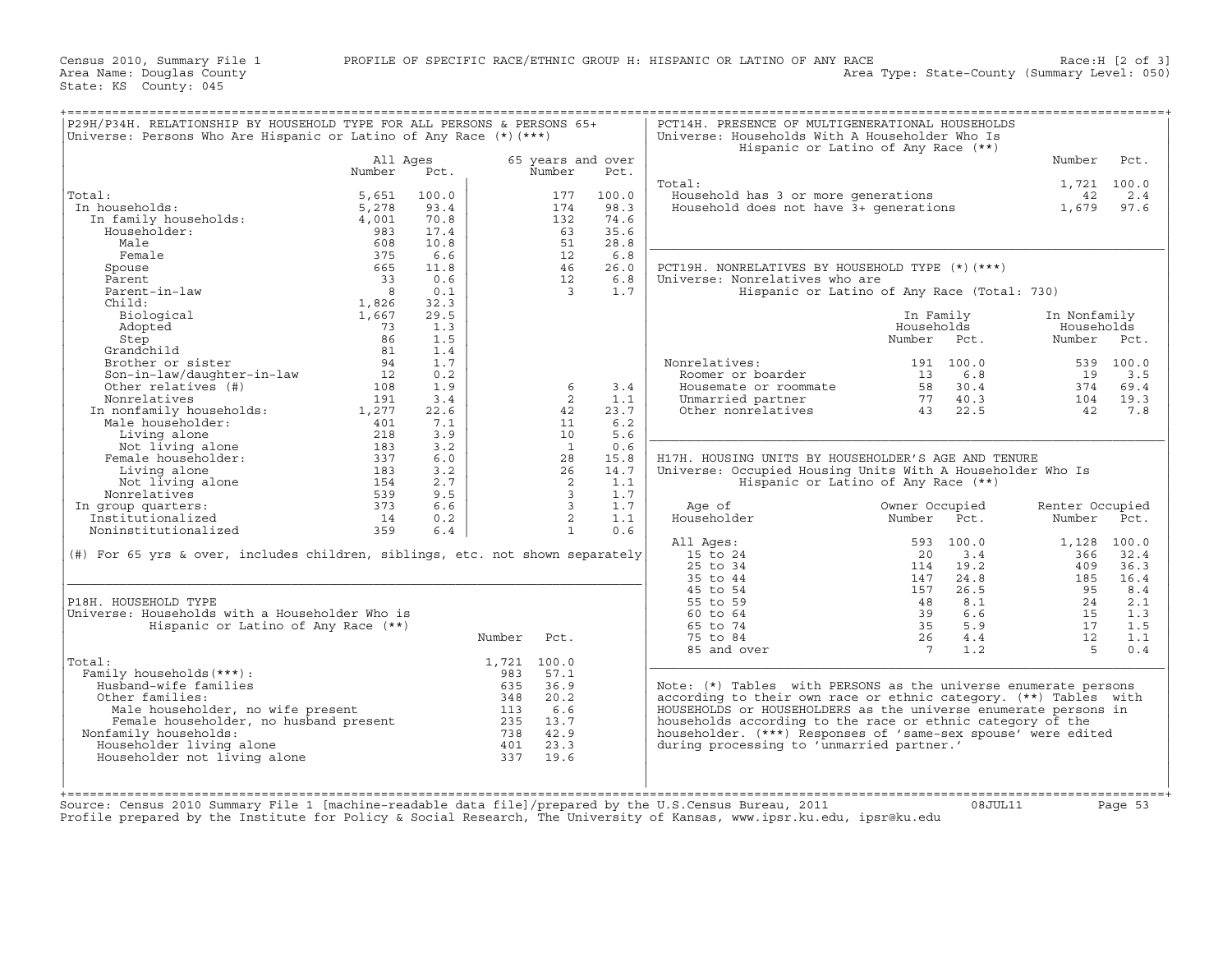| Number<br>All Ages<br>65 years and over<br>Pct.<br>Number<br>Pct.<br>Number<br>1,721 100.0<br>Total:<br>Total:<br>5,651<br>100.0<br>100.0<br>Household has 3 or more generations<br>177<br>42<br>In households:<br>5,278<br>93.4<br>174<br>98.3<br>Household does not have 3+ qenerations<br>1,679<br>97.6<br>In family households:<br>70.8<br>132<br>74.6<br>4,001<br>Householder:<br>983<br>17.4<br>35.6<br>63<br>Male<br>608<br>10.8<br>51<br>28.8<br>375<br>Female<br>6.6<br>12<br>6.8<br>665<br>26.0<br>PCT19H. NONRELATIVES BY HOUSEHOLD TYPE (*) (***)<br>Spouse<br>11.8<br>46<br>Parent<br>33<br>0.6<br>12<br>6.8<br>Universe: Nonrelatives who are<br>Parent-in-law<br>8<br>0.1<br>$\overline{3}$<br>1.7<br>Hispanic or Latino of Any Race (Total: 730)<br>Child:<br>1,826<br>32.3<br>Biological<br>1,667<br>29.5<br>In Nonfamily<br>In Family<br>Adopted<br>73<br>1.3<br>Households<br>Households<br>86<br>1.5<br>Number<br>Number<br>Step<br>Pct.<br>Grandchild<br>81<br>1.4<br>Brother or sister<br>Nonrelatives:<br>539 100.0<br>94<br>1.7<br>191 100.0<br>Son-in-law/daughter-in-law<br>12<br>0.2<br>Roomer or boarder<br>13<br>6.8<br>19<br>Other relatives (#)<br>1.9<br>3.4<br>30.4<br>108<br>6<br>Housemate or roommate<br>58<br>374<br>Nonrelatives<br>191<br>3.4<br>2<br>1.1<br>Unmarried partner<br>77<br>40.3<br>104<br>In nonfamily households:<br>23.7<br>Other nonrelatives<br>22.5<br>1,277<br>22.6<br>42<br>43<br>42<br>Male householder:<br>401<br>7.1<br>11<br>6.2<br>3.9<br>5.6<br>Living alone<br>218<br>10<br>Not living alone<br>0.6<br>183<br>3.2<br>$\mathbf{1}$<br>Female householder:<br>337<br>15.8<br>H17H. HOUSING UNITS BY HOUSEHOLDER'S AGE AND TENURE<br>6.0<br>28<br>14.7<br>Living alone<br>183<br>3.2<br>26<br>Universe: Occupied Housing Units With A Householder Who Is<br>Not living alone<br>2.7<br>Hispanic or Latino of Any Race (**)<br>154<br>2<br>1.1<br>Nonrelatives<br>1.7<br>539<br>9.5<br>$\overline{3}$<br>373<br>$\mathbf{3}$<br>1.7<br>In group quarters:<br>6.6<br>Age of<br>Owner Occupied<br>Renter Occupied<br>$\overline{2}$<br>Householder<br>Institutionalized<br>14<br>0.2<br>1.1<br>Number<br>Pct.<br>Number<br>Noninstitutionalized<br>$\mathbf{1}$<br>0.6<br>359<br>6.4<br>All Ages:<br>593<br>100.0<br>1,128 100.0<br>32.4<br>$(\#)$ For 65 yrs & over, includes children, siblings, etc. not shown separately<br>15 to 24<br>20<br>3.4<br>366<br>25 to 34<br>19.2<br>409<br>36.3<br>114<br>35 to 44<br>147<br>24.8<br>185<br>16.4<br>45 to 54<br>157<br>26.5<br>95<br>8.4<br>55 to 59<br>P18H. HOUSEHOLD TYPE<br>48<br>8.1<br>24<br>2.1<br>Universe: Households with a Householder Who is<br>60 to 64<br>39<br>6.6<br>15<br>1.3<br>65 to 74<br>35<br>5.9<br>Hispanic or Latino of Any Race (**)<br>17<br>1.5<br>Number<br>Pct.<br>75 to 84<br>26<br>4.4<br>12<br>1.1<br>85 and over<br>$7^{\circ}$<br>1.2<br>-5<br>0.4<br>1,721 100.0<br>Total:<br>Family households (***) :<br>57.1<br>983<br>Husband-wife families<br>635<br>36.9<br>Note: (*) Tables with PERSONS as the universe enumerate persons<br>according to their own race or ethnic category. (**) Tables with<br>Other families:<br>348<br>20.2<br>HOUSEHOLDS or HOUSEHOLDERS as the universe enumerate persons in<br>Male householder, no wife present<br>113<br>6.6<br>Female householder, no husband present<br>235<br>13.7<br>households according to the race or ethnic category of the<br>Nonfamily households:<br>738<br>42.9<br>householder. (***) Responses of 'same-sex spouse' were edited<br>Householder living alone<br>23.3<br>during processing to 'unmarried partner.'<br>401<br>Householder not living alone<br>337<br>19.6 | Universe: Persons Who Are Hispanic or Latino of Any Race $(*)$ (***) |  |  | Universe: Households With A Householder Who Is<br>Hispanic or Latino of Any Race (**) |  |      |
|--------------------------------------------------------------------------------------------------------------------------------------------------------------------------------------------------------------------------------------------------------------------------------------------------------------------------------------------------------------------------------------------------------------------------------------------------------------------------------------------------------------------------------------------------------------------------------------------------------------------------------------------------------------------------------------------------------------------------------------------------------------------------------------------------------------------------------------------------------------------------------------------------------------------------------------------------------------------------------------------------------------------------------------------------------------------------------------------------------------------------------------------------------------------------------------------------------------------------------------------------------------------------------------------------------------------------------------------------------------------------------------------------------------------------------------------------------------------------------------------------------------------------------------------------------------------------------------------------------------------------------------------------------------------------------------------------------------------------------------------------------------------------------------------------------------------------------------------------------------------------------------------------------------------------------------------------------------------------------------------------------------------------------------------------------------------------------------------------------------------------------------------------------------------------------------------------------------------------------------------------------------------------------------------------------------------------------------------------------------------------------------------------------------------------------------------------------------------------------------------------------------------------------------------------------------------------------------------------------------------------------------------------------------------------------------------------------------------------------------------------------------------------------------------------------------------------------------------------------------------------------------------------------------------------------------------------------------------------------------------------------------------------------------------------------------------------------------------------------------------------------------------------------------------------------------------------------------------------------------------------------------------------------------------------------------------------------------------------------------------------------------------------------------------------------------------------------------------------------------------------------------------------------------------------------------------------------------------------------------------------------------------------------------------------------------|----------------------------------------------------------------------|--|--|---------------------------------------------------------------------------------------|--|------|
|                                                                                                                                                                                                                                                                                                                                                                                                                                                                                                                                                                                                                                                                                                                                                                                                                                                                                                                                                                                                                                                                                                                                                                                                                                                                                                                                                                                                                                                                                                                                                                                                                                                                                                                                                                                                                                                                                                                                                                                                                                                                                                                                                                                                                                                                                                                                                                                                                                                                                                                                                                                                                                                                                                                                                                                                                                                                                                                                                                                                                                                                                                                                                                                                                                                                                                                                                                                                                                                                                                                                                                                                                                                                                      |                                                                      |  |  |                                                                                       |  | Pct. |
|                                                                                                                                                                                                                                                                                                                                                                                                                                                                                                                                                                                                                                                                                                                                                                                                                                                                                                                                                                                                                                                                                                                                                                                                                                                                                                                                                                                                                                                                                                                                                                                                                                                                                                                                                                                                                                                                                                                                                                                                                                                                                                                                                                                                                                                                                                                                                                                                                                                                                                                                                                                                                                                                                                                                                                                                                                                                                                                                                                                                                                                                                                                                                                                                                                                                                                                                                                                                                                                                                                                                                                                                                                                                                      |                                                                      |  |  |                                                                                       |  |      |
|                                                                                                                                                                                                                                                                                                                                                                                                                                                                                                                                                                                                                                                                                                                                                                                                                                                                                                                                                                                                                                                                                                                                                                                                                                                                                                                                                                                                                                                                                                                                                                                                                                                                                                                                                                                                                                                                                                                                                                                                                                                                                                                                                                                                                                                                                                                                                                                                                                                                                                                                                                                                                                                                                                                                                                                                                                                                                                                                                                                                                                                                                                                                                                                                                                                                                                                                                                                                                                                                                                                                                                                                                                                                                      |                                                                      |  |  |                                                                                       |  | 2.4  |
|                                                                                                                                                                                                                                                                                                                                                                                                                                                                                                                                                                                                                                                                                                                                                                                                                                                                                                                                                                                                                                                                                                                                                                                                                                                                                                                                                                                                                                                                                                                                                                                                                                                                                                                                                                                                                                                                                                                                                                                                                                                                                                                                                                                                                                                                                                                                                                                                                                                                                                                                                                                                                                                                                                                                                                                                                                                                                                                                                                                                                                                                                                                                                                                                                                                                                                                                                                                                                                                                                                                                                                                                                                                                                      |                                                                      |  |  |                                                                                       |  |      |
|                                                                                                                                                                                                                                                                                                                                                                                                                                                                                                                                                                                                                                                                                                                                                                                                                                                                                                                                                                                                                                                                                                                                                                                                                                                                                                                                                                                                                                                                                                                                                                                                                                                                                                                                                                                                                                                                                                                                                                                                                                                                                                                                                                                                                                                                                                                                                                                                                                                                                                                                                                                                                                                                                                                                                                                                                                                                                                                                                                                                                                                                                                                                                                                                                                                                                                                                                                                                                                                                                                                                                                                                                                                                                      |                                                                      |  |  |                                                                                       |  |      |
|                                                                                                                                                                                                                                                                                                                                                                                                                                                                                                                                                                                                                                                                                                                                                                                                                                                                                                                                                                                                                                                                                                                                                                                                                                                                                                                                                                                                                                                                                                                                                                                                                                                                                                                                                                                                                                                                                                                                                                                                                                                                                                                                                                                                                                                                                                                                                                                                                                                                                                                                                                                                                                                                                                                                                                                                                                                                                                                                                                                                                                                                                                                                                                                                                                                                                                                                                                                                                                                                                                                                                                                                                                                                                      |                                                                      |  |  |                                                                                       |  |      |
|                                                                                                                                                                                                                                                                                                                                                                                                                                                                                                                                                                                                                                                                                                                                                                                                                                                                                                                                                                                                                                                                                                                                                                                                                                                                                                                                                                                                                                                                                                                                                                                                                                                                                                                                                                                                                                                                                                                                                                                                                                                                                                                                                                                                                                                                                                                                                                                                                                                                                                                                                                                                                                                                                                                                                                                                                                                                                                                                                                                                                                                                                                                                                                                                                                                                                                                                                                                                                                                                                                                                                                                                                                                                                      |                                                                      |  |  |                                                                                       |  |      |
|                                                                                                                                                                                                                                                                                                                                                                                                                                                                                                                                                                                                                                                                                                                                                                                                                                                                                                                                                                                                                                                                                                                                                                                                                                                                                                                                                                                                                                                                                                                                                                                                                                                                                                                                                                                                                                                                                                                                                                                                                                                                                                                                                                                                                                                                                                                                                                                                                                                                                                                                                                                                                                                                                                                                                                                                                                                                                                                                                                                                                                                                                                                                                                                                                                                                                                                                                                                                                                                                                                                                                                                                                                                                                      |                                                                      |  |  |                                                                                       |  |      |
|                                                                                                                                                                                                                                                                                                                                                                                                                                                                                                                                                                                                                                                                                                                                                                                                                                                                                                                                                                                                                                                                                                                                                                                                                                                                                                                                                                                                                                                                                                                                                                                                                                                                                                                                                                                                                                                                                                                                                                                                                                                                                                                                                                                                                                                                                                                                                                                                                                                                                                                                                                                                                                                                                                                                                                                                                                                                                                                                                                                                                                                                                                                                                                                                                                                                                                                                                                                                                                                                                                                                                                                                                                                                                      |                                                                      |  |  |                                                                                       |  |      |
|                                                                                                                                                                                                                                                                                                                                                                                                                                                                                                                                                                                                                                                                                                                                                                                                                                                                                                                                                                                                                                                                                                                                                                                                                                                                                                                                                                                                                                                                                                                                                                                                                                                                                                                                                                                                                                                                                                                                                                                                                                                                                                                                                                                                                                                                                                                                                                                                                                                                                                                                                                                                                                                                                                                                                                                                                                                                                                                                                                                                                                                                                                                                                                                                                                                                                                                                                                                                                                                                                                                                                                                                                                                                                      |                                                                      |  |  |                                                                                       |  |      |
|                                                                                                                                                                                                                                                                                                                                                                                                                                                                                                                                                                                                                                                                                                                                                                                                                                                                                                                                                                                                                                                                                                                                                                                                                                                                                                                                                                                                                                                                                                                                                                                                                                                                                                                                                                                                                                                                                                                                                                                                                                                                                                                                                                                                                                                                                                                                                                                                                                                                                                                                                                                                                                                                                                                                                                                                                                                                                                                                                                                                                                                                                                                                                                                                                                                                                                                                                                                                                                                                                                                                                                                                                                                                                      |                                                                      |  |  |                                                                                       |  |      |
|                                                                                                                                                                                                                                                                                                                                                                                                                                                                                                                                                                                                                                                                                                                                                                                                                                                                                                                                                                                                                                                                                                                                                                                                                                                                                                                                                                                                                                                                                                                                                                                                                                                                                                                                                                                                                                                                                                                                                                                                                                                                                                                                                                                                                                                                                                                                                                                                                                                                                                                                                                                                                                                                                                                                                                                                                                                                                                                                                                                                                                                                                                                                                                                                                                                                                                                                                                                                                                                                                                                                                                                                                                                                                      |                                                                      |  |  |                                                                                       |  |      |
|                                                                                                                                                                                                                                                                                                                                                                                                                                                                                                                                                                                                                                                                                                                                                                                                                                                                                                                                                                                                                                                                                                                                                                                                                                                                                                                                                                                                                                                                                                                                                                                                                                                                                                                                                                                                                                                                                                                                                                                                                                                                                                                                                                                                                                                                                                                                                                                                                                                                                                                                                                                                                                                                                                                                                                                                                                                                                                                                                                                                                                                                                                                                                                                                                                                                                                                                                                                                                                                                                                                                                                                                                                                                                      |                                                                      |  |  |                                                                                       |  |      |
|                                                                                                                                                                                                                                                                                                                                                                                                                                                                                                                                                                                                                                                                                                                                                                                                                                                                                                                                                                                                                                                                                                                                                                                                                                                                                                                                                                                                                                                                                                                                                                                                                                                                                                                                                                                                                                                                                                                                                                                                                                                                                                                                                                                                                                                                                                                                                                                                                                                                                                                                                                                                                                                                                                                                                                                                                                                                                                                                                                                                                                                                                                                                                                                                                                                                                                                                                                                                                                                                                                                                                                                                                                                                                      |                                                                      |  |  |                                                                                       |  |      |
|                                                                                                                                                                                                                                                                                                                                                                                                                                                                                                                                                                                                                                                                                                                                                                                                                                                                                                                                                                                                                                                                                                                                                                                                                                                                                                                                                                                                                                                                                                                                                                                                                                                                                                                                                                                                                                                                                                                                                                                                                                                                                                                                                                                                                                                                                                                                                                                                                                                                                                                                                                                                                                                                                                                                                                                                                                                                                                                                                                                                                                                                                                                                                                                                                                                                                                                                                                                                                                                                                                                                                                                                                                                                                      |                                                                      |  |  |                                                                                       |  |      |
|                                                                                                                                                                                                                                                                                                                                                                                                                                                                                                                                                                                                                                                                                                                                                                                                                                                                                                                                                                                                                                                                                                                                                                                                                                                                                                                                                                                                                                                                                                                                                                                                                                                                                                                                                                                                                                                                                                                                                                                                                                                                                                                                                                                                                                                                                                                                                                                                                                                                                                                                                                                                                                                                                                                                                                                                                                                                                                                                                                                                                                                                                                                                                                                                                                                                                                                                                                                                                                                                                                                                                                                                                                                                                      |                                                                      |  |  |                                                                                       |  | Pct. |
|                                                                                                                                                                                                                                                                                                                                                                                                                                                                                                                                                                                                                                                                                                                                                                                                                                                                                                                                                                                                                                                                                                                                                                                                                                                                                                                                                                                                                                                                                                                                                                                                                                                                                                                                                                                                                                                                                                                                                                                                                                                                                                                                                                                                                                                                                                                                                                                                                                                                                                                                                                                                                                                                                                                                                                                                                                                                                                                                                                                                                                                                                                                                                                                                                                                                                                                                                                                                                                                                                                                                                                                                                                                                                      |                                                                      |  |  |                                                                                       |  |      |
|                                                                                                                                                                                                                                                                                                                                                                                                                                                                                                                                                                                                                                                                                                                                                                                                                                                                                                                                                                                                                                                                                                                                                                                                                                                                                                                                                                                                                                                                                                                                                                                                                                                                                                                                                                                                                                                                                                                                                                                                                                                                                                                                                                                                                                                                                                                                                                                                                                                                                                                                                                                                                                                                                                                                                                                                                                                                                                                                                                                                                                                                                                                                                                                                                                                                                                                                                                                                                                                                                                                                                                                                                                                                                      |                                                                      |  |  |                                                                                       |  |      |
|                                                                                                                                                                                                                                                                                                                                                                                                                                                                                                                                                                                                                                                                                                                                                                                                                                                                                                                                                                                                                                                                                                                                                                                                                                                                                                                                                                                                                                                                                                                                                                                                                                                                                                                                                                                                                                                                                                                                                                                                                                                                                                                                                                                                                                                                                                                                                                                                                                                                                                                                                                                                                                                                                                                                                                                                                                                                                                                                                                                                                                                                                                                                                                                                                                                                                                                                                                                                                                                                                                                                                                                                                                                                                      |                                                                      |  |  |                                                                                       |  | 3.5  |
|                                                                                                                                                                                                                                                                                                                                                                                                                                                                                                                                                                                                                                                                                                                                                                                                                                                                                                                                                                                                                                                                                                                                                                                                                                                                                                                                                                                                                                                                                                                                                                                                                                                                                                                                                                                                                                                                                                                                                                                                                                                                                                                                                                                                                                                                                                                                                                                                                                                                                                                                                                                                                                                                                                                                                                                                                                                                                                                                                                                                                                                                                                                                                                                                                                                                                                                                                                                                                                                                                                                                                                                                                                                                                      |                                                                      |  |  |                                                                                       |  | 69.4 |
|                                                                                                                                                                                                                                                                                                                                                                                                                                                                                                                                                                                                                                                                                                                                                                                                                                                                                                                                                                                                                                                                                                                                                                                                                                                                                                                                                                                                                                                                                                                                                                                                                                                                                                                                                                                                                                                                                                                                                                                                                                                                                                                                                                                                                                                                                                                                                                                                                                                                                                                                                                                                                                                                                                                                                                                                                                                                                                                                                                                                                                                                                                                                                                                                                                                                                                                                                                                                                                                                                                                                                                                                                                                                                      |                                                                      |  |  |                                                                                       |  | 19.3 |
|                                                                                                                                                                                                                                                                                                                                                                                                                                                                                                                                                                                                                                                                                                                                                                                                                                                                                                                                                                                                                                                                                                                                                                                                                                                                                                                                                                                                                                                                                                                                                                                                                                                                                                                                                                                                                                                                                                                                                                                                                                                                                                                                                                                                                                                                                                                                                                                                                                                                                                                                                                                                                                                                                                                                                                                                                                                                                                                                                                                                                                                                                                                                                                                                                                                                                                                                                                                                                                                                                                                                                                                                                                                                                      |                                                                      |  |  |                                                                                       |  | 7.8  |
|                                                                                                                                                                                                                                                                                                                                                                                                                                                                                                                                                                                                                                                                                                                                                                                                                                                                                                                                                                                                                                                                                                                                                                                                                                                                                                                                                                                                                                                                                                                                                                                                                                                                                                                                                                                                                                                                                                                                                                                                                                                                                                                                                                                                                                                                                                                                                                                                                                                                                                                                                                                                                                                                                                                                                                                                                                                                                                                                                                                                                                                                                                                                                                                                                                                                                                                                                                                                                                                                                                                                                                                                                                                                                      |                                                                      |  |  |                                                                                       |  |      |
|                                                                                                                                                                                                                                                                                                                                                                                                                                                                                                                                                                                                                                                                                                                                                                                                                                                                                                                                                                                                                                                                                                                                                                                                                                                                                                                                                                                                                                                                                                                                                                                                                                                                                                                                                                                                                                                                                                                                                                                                                                                                                                                                                                                                                                                                                                                                                                                                                                                                                                                                                                                                                                                                                                                                                                                                                                                                                                                                                                                                                                                                                                                                                                                                                                                                                                                                                                                                                                                                                                                                                                                                                                                                                      |                                                                      |  |  |                                                                                       |  |      |
|                                                                                                                                                                                                                                                                                                                                                                                                                                                                                                                                                                                                                                                                                                                                                                                                                                                                                                                                                                                                                                                                                                                                                                                                                                                                                                                                                                                                                                                                                                                                                                                                                                                                                                                                                                                                                                                                                                                                                                                                                                                                                                                                                                                                                                                                                                                                                                                                                                                                                                                                                                                                                                                                                                                                                                                                                                                                                                                                                                                                                                                                                                                                                                                                                                                                                                                                                                                                                                                                                                                                                                                                                                                                                      |                                                                      |  |  |                                                                                       |  |      |
|                                                                                                                                                                                                                                                                                                                                                                                                                                                                                                                                                                                                                                                                                                                                                                                                                                                                                                                                                                                                                                                                                                                                                                                                                                                                                                                                                                                                                                                                                                                                                                                                                                                                                                                                                                                                                                                                                                                                                                                                                                                                                                                                                                                                                                                                                                                                                                                                                                                                                                                                                                                                                                                                                                                                                                                                                                                                                                                                                                                                                                                                                                                                                                                                                                                                                                                                                                                                                                                                                                                                                                                                                                                                                      |                                                                      |  |  |                                                                                       |  |      |
|                                                                                                                                                                                                                                                                                                                                                                                                                                                                                                                                                                                                                                                                                                                                                                                                                                                                                                                                                                                                                                                                                                                                                                                                                                                                                                                                                                                                                                                                                                                                                                                                                                                                                                                                                                                                                                                                                                                                                                                                                                                                                                                                                                                                                                                                                                                                                                                                                                                                                                                                                                                                                                                                                                                                                                                                                                                                                                                                                                                                                                                                                                                                                                                                                                                                                                                                                                                                                                                                                                                                                                                                                                                                                      |                                                                      |  |  |                                                                                       |  |      |
|                                                                                                                                                                                                                                                                                                                                                                                                                                                                                                                                                                                                                                                                                                                                                                                                                                                                                                                                                                                                                                                                                                                                                                                                                                                                                                                                                                                                                                                                                                                                                                                                                                                                                                                                                                                                                                                                                                                                                                                                                                                                                                                                                                                                                                                                                                                                                                                                                                                                                                                                                                                                                                                                                                                                                                                                                                                                                                                                                                                                                                                                                                                                                                                                                                                                                                                                                                                                                                                                                                                                                                                                                                                                                      |                                                                      |  |  |                                                                                       |  |      |
|                                                                                                                                                                                                                                                                                                                                                                                                                                                                                                                                                                                                                                                                                                                                                                                                                                                                                                                                                                                                                                                                                                                                                                                                                                                                                                                                                                                                                                                                                                                                                                                                                                                                                                                                                                                                                                                                                                                                                                                                                                                                                                                                                                                                                                                                                                                                                                                                                                                                                                                                                                                                                                                                                                                                                                                                                                                                                                                                                                                                                                                                                                                                                                                                                                                                                                                                                                                                                                                                                                                                                                                                                                                                                      |                                                                      |  |  |                                                                                       |  |      |
|                                                                                                                                                                                                                                                                                                                                                                                                                                                                                                                                                                                                                                                                                                                                                                                                                                                                                                                                                                                                                                                                                                                                                                                                                                                                                                                                                                                                                                                                                                                                                                                                                                                                                                                                                                                                                                                                                                                                                                                                                                                                                                                                                                                                                                                                                                                                                                                                                                                                                                                                                                                                                                                                                                                                                                                                                                                                                                                                                                                                                                                                                                                                                                                                                                                                                                                                                                                                                                                                                                                                                                                                                                                                                      |                                                                      |  |  |                                                                                       |  |      |
|                                                                                                                                                                                                                                                                                                                                                                                                                                                                                                                                                                                                                                                                                                                                                                                                                                                                                                                                                                                                                                                                                                                                                                                                                                                                                                                                                                                                                                                                                                                                                                                                                                                                                                                                                                                                                                                                                                                                                                                                                                                                                                                                                                                                                                                                                                                                                                                                                                                                                                                                                                                                                                                                                                                                                                                                                                                                                                                                                                                                                                                                                                                                                                                                                                                                                                                                                                                                                                                                                                                                                                                                                                                                                      |                                                                      |  |  |                                                                                       |  | Pct. |
|                                                                                                                                                                                                                                                                                                                                                                                                                                                                                                                                                                                                                                                                                                                                                                                                                                                                                                                                                                                                                                                                                                                                                                                                                                                                                                                                                                                                                                                                                                                                                                                                                                                                                                                                                                                                                                                                                                                                                                                                                                                                                                                                                                                                                                                                                                                                                                                                                                                                                                                                                                                                                                                                                                                                                                                                                                                                                                                                                                                                                                                                                                                                                                                                                                                                                                                                                                                                                                                                                                                                                                                                                                                                                      |                                                                      |  |  |                                                                                       |  |      |
|                                                                                                                                                                                                                                                                                                                                                                                                                                                                                                                                                                                                                                                                                                                                                                                                                                                                                                                                                                                                                                                                                                                                                                                                                                                                                                                                                                                                                                                                                                                                                                                                                                                                                                                                                                                                                                                                                                                                                                                                                                                                                                                                                                                                                                                                                                                                                                                                                                                                                                                                                                                                                                                                                                                                                                                                                                                                                                                                                                                                                                                                                                                                                                                                                                                                                                                                                                                                                                                                                                                                                                                                                                                                                      |                                                                      |  |  |                                                                                       |  |      |
|                                                                                                                                                                                                                                                                                                                                                                                                                                                                                                                                                                                                                                                                                                                                                                                                                                                                                                                                                                                                                                                                                                                                                                                                                                                                                                                                                                                                                                                                                                                                                                                                                                                                                                                                                                                                                                                                                                                                                                                                                                                                                                                                                                                                                                                                                                                                                                                                                                                                                                                                                                                                                                                                                                                                                                                                                                                                                                                                                                                                                                                                                                                                                                                                                                                                                                                                                                                                                                                                                                                                                                                                                                                                                      |                                                                      |  |  |                                                                                       |  |      |
|                                                                                                                                                                                                                                                                                                                                                                                                                                                                                                                                                                                                                                                                                                                                                                                                                                                                                                                                                                                                                                                                                                                                                                                                                                                                                                                                                                                                                                                                                                                                                                                                                                                                                                                                                                                                                                                                                                                                                                                                                                                                                                                                                                                                                                                                                                                                                                                                                                                                                                                                                                                                                                                                                                                                                                                                                                                                                                                                                                                                                                                                                                                                                                                                                                                                                                                                                                                                                                                                                                                                                                                                                                                                                      |                                                                      |  |  |                                                                                       |  |      |
|                                                                                                                                                                                                                                                                                                                                                                                                                                                                                                                                                                                                                                                                                                                                                                                                                                                                                                                                                                                                                                                                                                                                                                                                                                                                                                                                                                                                                                                                                                                                                                                                                                                                                                                                                                                                                                                                                                                                                                                                                                                                                                                                                                                                                                                                                                                                                                                                                                                                                                                                                                                                                                                                                                                                                                                                                                                                                                                                                                                                                                                                                                                                                                                                                                                                                                                                                                                                                                                                                                                                                                                                                                                                                      |                                                                      |  |  |                                                                                       |  |      |
|                                                                                                                                                                                                                                                                                                                                                                                                                                                                                                                                                                                                                                                                                                                                                                                                                                                                                                                                                                                                                                                                                                                                                                                                                                                                                                                                                                                                                                                                                                                                                                                                                                                                                                                                                                                                                                                                                                                                                                                                                                                                                                                                                                                                                                                                                                                                                                                                                                                                                                                                                                                                                                                                                                                                                                                                                                                                                                                                                                                                                                                                                                                                                                                                                                                                                                                                                                                                                                                                                                                                                                                                                                                                                      |                                                                      |  |  |                                                                                       |  |      |
|                                                                                                                                                                                                                                                                                                                                                                                                                                                                                                                                                                                                                                                                                                                                                                                                                                                                                                                                                                                                                                                                                                                                                                                                                                                                                                                                                                                                                                                                                                                                                                                                                                                                                                                                                                                                                                                                                                                                                                                                                                                                                                                                                                                                                                                                                                                                                                                                                                                                                                                                                                                                                                                                                                                                                                                                                                                                                                                                                                                                                                                                                                                                                                                                                                                                                                                                                                                                                                                                                                                                                                                                                                                                                      |                                                                      |  |  |                                                                                       |  |      |
|                                                                                                                                                                                                                                                                                                                                                                                                                                                                                                                                                                                                                                                                                                                                                                                                                                                                                                                                                                                                                                                                                                                                                                                                                                                                                                                                                                                                                                                                                                                                                                                                                                                                                                                                                                                                                                                                                                                                                                                                                                                                                                                                                                                                                                                                                                                                                                                                                                                                                                                                                                                                                                                                                                                                                                                                                                                                                                                                                                                                                                                                                                                                                                                                                                                                                                                                                                                                                                                                                                                                                                                                                                                                                      |                                                                      |  |  |                                                                                       |  |      |
|                                                                                                                                                                                                                                                                                                                                                                                                                                                                                                                                                                                                                                                                                                                                                                                                                                                                                                                                                                                                                                                                                                                                                                                                                                                                                                                                                                                                                                                                                                                                                                                                                                                                                                                                                                                                                                                                                                                                                                                                                                                                                                                                                                                                                                                                                                                                                                                                                                                                                                                                                                                                                                                                                                                                                                                                                                                                                                                                                                                                                                                                                                                                                                                                                                                                                                                                                                                                                                                                                                                                                                                                                                                                                      |                                                                      |  |  |                                                                                       |  |      |
|                                                                                                                                                                                                                                                                                                                                                                                                                                                                                                                                                                                                                                                                                                                                                                                                                                                                                                                                                                                                                                                                                                                                                                                                                                                                                                                                                                                                                                                                                                                                                                                                                                                                                                                                                                                                                                                                                                                                                                                                                                                                                                                                                                                                                                                                                                                                                                                                                                                                                                                                                                                                                                                                                                                                                                                                                                                                                                                                                                                                                                                                                                                                                                                                                                                                                                                                                                                                                                                                                                                                                                                                                                                                                      |                                                                      |  |  |                                                                                       |  |      |
|                                                                                                                                                                                                                                                                                                                                                                                                                                                                                                                                                                                                                                                                                                                                                                                                                                                                                                                                                                                                                                                                                                                                                                                                                                                                                                                                                                                                                                                                                                                                                                                                                                                                                                                                                                                                                                                                                                                                                                                                                                                                                                                                                                                                                                                                                                                                                                                                                                                                                                                                                                                                                                                                                                                                                                                                                                                                                                                                                                                                                                                                                                                                                                                                                                                                                                                                                                                                                                                                                                                                                                                                                                                                                      |                                                                      |  |  |                                                                                       |  |      |
|                                                                                                                                                                                                                                                                                                                                                                                                                                                                                                                                                                                                                                                                                                                                                                                                                                                                                                                                                                                                                                                                                                                                                                                                                                                                                                                                                                                                                                                                                                                                                                                                                                                                                                                                                                                                                                                                                                                                                                                                                                                                                                                                                                                                                                                                                                                                                                                                                                                                                                                                                                                                                                                                                                                                                                                                                                                                                                                                                                                                                                                                                                                                                                                                                                                                                                                                                                                                                                                                                                                                                                                                                                                                                      |                                                                      |  |  |                                                                                       |  |      |
|                                                                                                                                                                                                                                                                                                                                                                                                                                                                                                                                                                                                                                                                                                                                                                                                                                                                                                                                                                                                                                                                                                                                                                                                                                                                                                                                                                                                                                                                                                                                                                                                                                                                                                                                                                                                                                                                                                                                                                                                                                                                                                                                                                                                                                                                                                                                                                                                                                                                                                                                                                                                                                                                                                                                                                                                                                                                                                                                                                                                                                                                                                                                                                                                                                                                                                                                                                                                                                                                                                                                                                                                                                                                                      |                                                                      |  |  |                                                                                       |  |      |
|                                                                                                                                                                                                                                                                                                                                                                                                                                                                                                                                                                                                                                                                                                                                                                                                                                                                                                                                                                                                                                                                                                                                                                                                                                                                                                                                                                                                                                                                                                                                                                                                                                                                                                                                                                                                                                                                                                                                                                                                                                                                                                                                                                                                                                                                                                                                                                                                                                                                                                                                                                                                                                                                                                                                                                                                                                                                                                                                                                                                                                                                                                                                                                                                                                                                                                                                                                                                                                                                                                                                                                                                                                                                                      |                                                                      |  |  |                                                                                       |  |      |
|                                                                                                                                                                                                                                                                                                                                                                                                                                                                                                                                                                                                                                                                                                                                                                                                                                                                                                                                                                                                                                                                                                                                                                                                                                                                                                                                                                                                                                                                                                                                                                                                                                                                                                                                                                                                                                                                                                                                                                                                                                                                                                                                                                                                                                                                                                                                                                                                                                                                                                                                                                                                                                                                                                                                                                                                                                                                                                                                                                                                                                                                                                                                                                                                                                                                                                                                                                                                                                                                                                                                                                                                                                                                                      |                                                                      |  |  |                                                                                       |  |      |
|                                                                                                                                                                                                                                                                                                                                                                                                                                                                                                                                                                                                                                                                                                                                                                                                                                                                                                                                                                                                                                                                                                                                                                                                                                                                                                                                                                                                                                                                                                                                                                                                                                                                                                                                                                                                                                                                                                                                                                                                                                                                                                                                                                                                                                                                                                                                                                                                                                                                                                                                                                                                                                                                                                                                                                                                                                                                                                                                                                                                                                                                                                                                                                                                                                                                                                                                                                                                                                                                                                                                                                                                                                                                                      |                                                                      |  |  |                                                                                       |  |      |
|                                                                                                                                                                                                                                                                                                                                                                                                                                                                                                                                                                                                                                                                                                                                                                                                                                                                                                                                                                                                                                                                                                                                                                                                                                                                                                                                                                                                                                                                                                                                                                                                                                                                                                                                                                                                                                                                                                                                                                                                                                                                                                                                                                                                                                                                                                                                                                                                                                                                                                                                                                                                                                                                                                                                                                                                                                                                                                                                                                                                                                                                                                                                                                                                                                                                                                                                                                                                                                                                                                                                                                                                                                                                                      |                                                                      |  |  |                                                                                       |  |      |
|                                                                                                                                                                                                                                                                                                                                                                                                                                                                                                                                                                                                                                                                                                                                                                                                                                                                                                                                                                                                                                                                                                                                                                                                                                                                                                                                                                                                                                                                                                                                                                                                                                                                                                                                                                                                                                                                                                                                                                                                                                                                                                                                                                                                                                                                                                                                                                                                                                                                                                                                                                                                                                                                                                                                                                                                                                                                                                                                                                                                                                                                                                                                                                                                                                                                                                                                                                                                                                                                                                                                                                                                                                                                                      |                                                                      |  |  |                                                                                       |  |      |
|                                                                                                                                                                                                                                                                                                                                                                                                                                                                                                                                                                                                                                                                                                                                                                                                                                                                                                                                                                                                                                                                                                                                                                                                                                                                                                                                                                                                                                                                                                                                                                                                                                                                                                                                                                                                                                                                                                                                                                                                                                                                                                                                                                                                                                                                                                                                                                                                                                                                                                                                                                                                                                                                                                                                                                                                                                                                                                                                                                                                                                                                                                                                                                                                                                                                                                                                                                                                                                                                                                                                                                                                                                                                                      |                                                                      |  |  |                                                                                       |  |      |
|                                                                                                                                                                                                                                                                                                                                                                                                                                                                                                                                                                                                                                                                                                                                                                                                                                                                                                                                                                                                                                                                                                                                                                                                                                                                                                                                                                                                                                                                                                                                                                                                                                                                                                                                                                                                                                                                                                                                                                                                                                                                                                                                                                                                                                                                                                                                                                                                                                                                                                                                                                                                                                                                                                                                                                                                                                                                                                                                                                                                                                                                                                                                                                                                                                                                                                                                                                                                                                                                                                                                                                                                                                                                                      |                                                                      |  |  |                                                                                       |  |      |
|                                                                                                                                                                                                                                                                                                                                                                                                                                                                                                                                                                                                                                                                                                                                                                                                                                                                                                                                                                                                                                                                                                                                                                                                                                                                                                                                                                                                                                                                                                                                                                                                                                                                                                                                                                                                                                                                                                                                                                                                                                                                                                                                                                                                                                                                                                                                                                                                                                                                                                                                                                                                                                                                                                                                                                                                                                                                                                                                                                                                                                                                                                                                                                                                                                                                                                                                                                                                                                                                                                                                                                                                                                                                                      |                                                                      |  |  |                                                                                       |  |      |
|                                                                                                                                                                                                                                                                                                                                                                                                                                                                                                                                                                                                                                                                                                                                                                                                                                                                                                                                                                                                                                                                                                                                                                                                                                                                                                                                                                                                                                                                                                                                                                                                                                                                                                                                                                                                                                                                                                                                                                                                                                                                                                                                                                                                                                                                                                                                                                                                                                                                                                                                                                                                                                                                                                                                                                                                                                                                                                                                                                                                                                                                                                                                                                                                                                                                                                                                                                                                                                                                                                                                                                                                                                                                                      |                                                                      |  |  |                                                                                       |  |      |
|                                                                                                                                                                                                                                                                                                                                                                                                                                                                                                                                                                                                                                                                                                                                                                                                                                                                                                                                                                                                                                                                                                                                                                                                                                                                                                                                                                                                                                                                                                                                                                                                                                                                                                                                                                                                                                                                                                                                                                                                                                                                                                                                                                                                                                                                                                                                                                                                                                                                                                                                                                                                                                                                                                                                                                                                                                                                                                                                                                                                                                                                                                                                                                                                                                                                                                                                                                                                                                                                                                                                                                                                                                                                                      |                                                                      |  |  |                                                                                       |  |      |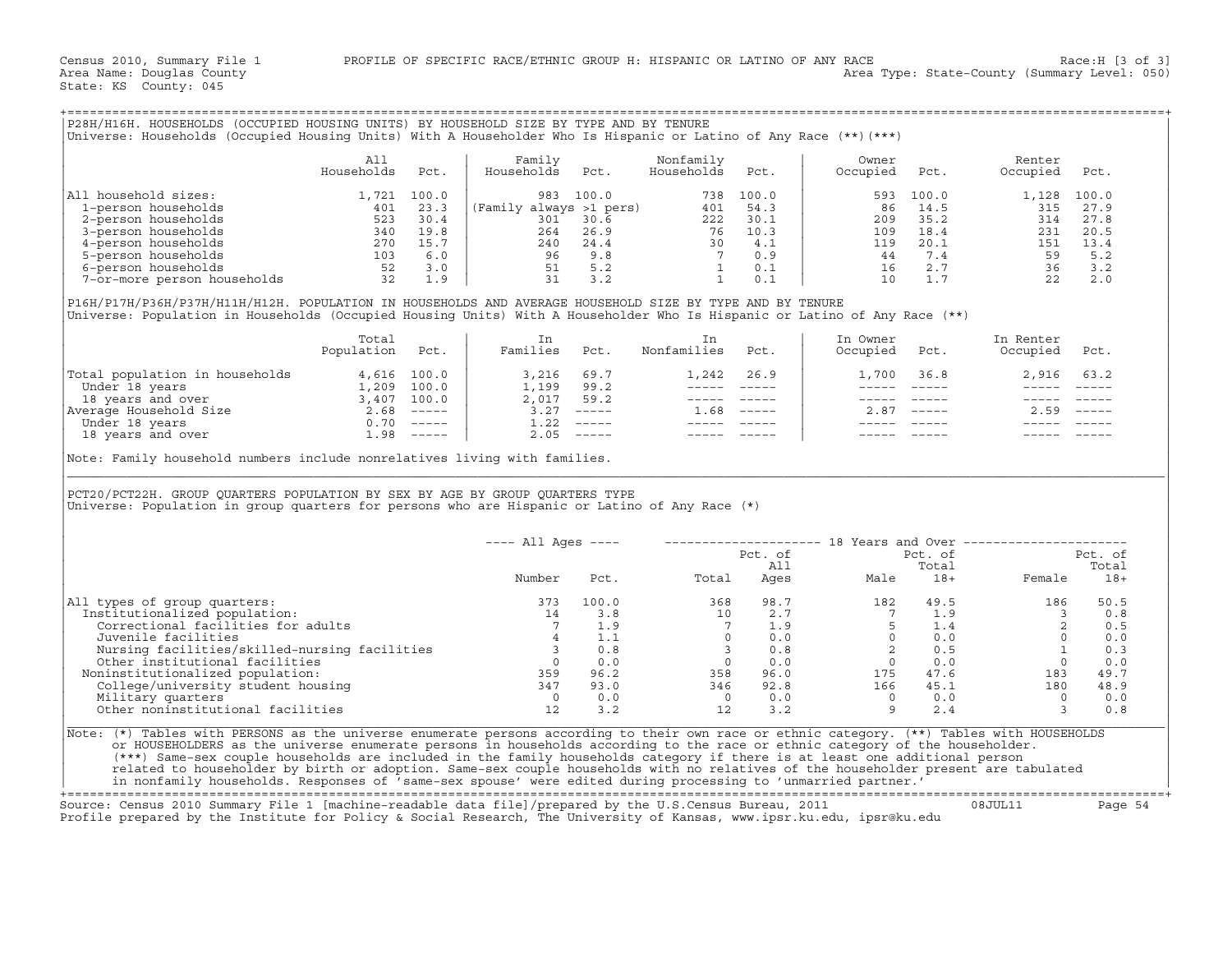| P28H/H16H. HOUSEHOLDS (OCCUPIED HOUSING UNITS) BY HOUSEHOLD SIZE BY TYPE AND BY TENURE<br>Universe: Households (Occupied Housing Units) With A Householder Who Is Hispanic or Latino of Any Race (**)(***) |            |       |                         |       |            |       |          |       |          |       |
|------------------------------------------------------------------------------------------------------------------------------------------------------------------------------------------------------------|------------|-------|-------------------------|-------|------------|-------|----------|-------|----------|-------|
|                                                                                                                                                                                                            | All        |       | Family                  |       | Nonfamily  |       | Owner    |       | Renter   |       |
|                                                                                                                                                                                                            | Households | Pct.  | Households              | Pct.  | Households | Pct.  | Occupied | Pct.  | Occupied | Pct.  |
| All household sizes:                                                                                                                                                                                       | 1,721      | 100.0 | 983                     | 100.0 | 738        | 100.0 | 593      | 100.0 | 1,128    | 100.0 |
| 1-person households                                                                                                                                                                                        | 401        | 23.3  | (Family always >1 pers) |       | 401        | 54.3  | 86       | 14.5  | 315      | 27.9  |
| 2-person households                                                                                                                                                                                        | 523        | 30.4  | 301                     | 30.6  | 222        | 30.1  | 209      | 35.2  | 314      | 27.8  |
| 3-person households                                                                                                                                                                                        | 340        | 19.8  | 264                     | 26.9  | 76         | 10.3  | 109      | 18.4  | 231      | 20.5  |
| 4-person households                                                                                                                                                                                        | 270        | 15.7  | 240                     | 24.4  | 30         | 4.1   | 119      | 20.1  | 151      | 13.4  |
| 5-person households                                                                                                                                                                                        | 103        | 6.0   | 96                      | 9.8   |            | 0.9   | 44       | 7.4   | 59       | 5.2   |
| 6-person households                                                                                                                                                                                        | 52         | 3.0   | 51                      | 5.2   |            | 0.1   | 16       | 2.7   | 36       | 3.2   |
| 7-or-more person households                                                                                                                                                                                | 32         | 1.9   | 31                      | 3.2   |            | 0.1   | 10       | 1.7   | 22       | 2.0   |

|                                | Total<br>Population | Pct.                      | Families | Pct.         | Nonfamilies | Pct.          | In Owner<br>Occupied | Pct.          | In Renter<br>Occupied | Pct.                      |
|--------------------------------|---------------------|---------------------------|----------|--------------|-------------|---------------|----------------------|---------------|-----------------------|---------------------------|
| Total population in households |                     | 4,616 100.0               | 3,216    | 69.7         |             | $1,242$ 26.9  | 1,700                | 36.8          | 2,916 63.2            |                           |
| Under 18 years                 | 1,209               | 100.0                     | 1,199    | 99.2         |             |               |                      |               |                       |                           |
| 18 years and over              | 3,407               | 100.0                     | 2,017    | 59.2         |             |               |                      |               |                       |                           |
| Average Household Size         | 2.68                | $------$                  | 3.27     | $------$     | . . 68      | $\frac{1}{2}$ | 2.87                 | $\frac{1}{2}$ | 2.59                  | $\qquad \qquad - - - - -$ |
| Under 18 years                 | 0.70                | $\qquad \qquad - - - - -$ |          | $1.22$ ----- |             |               |                      |               |                       |                           |
| 18 years and over              | l.98                | $- - - - - -$             |          | $2.05$ ----- |             |               |                      |               |                       |                           |

|                                                                                                                                                                                                                                                                                                                                                                                                                                                       | All             |      | Family                                                                                                                            |       | Nonfamily        |                                                                                                              | Owner                                                                                                                                                                                                                                                                                                                                                                                                                                                                      |                                                                                                                                                                                                                                                                                                                                                                                              | Renter                                                                                                                                                                                                                                                                                                                                                     |            |
|-------------------------------------------------------------------------------------------------------------------------------------------------------------------------------------------------------------------------------------------------------------------------------------------------------------------------------------------------------------------------------------------------------------------------------------------------------|-----------------|------|-----------------------------------------------------------------------------------------------------------------------------------|-------|------------------|--------------------------------------------------------------------------------------------------------------|----------------------------------------------------------------------------------------------------------------------------------------------------------------------------------------------------------------------------------------------------------------------------------------------------------------------------------------------------------------------------------------------------------------------------------------------------------------------------|----------------------------------------------------------------------------------------------------------------------------------------------------------------------------------------------------------------------------------------------------------------------------------------------------------------------------------------------------------------------------------------------|------------------------------------------------------------------------------------------------------------------------------------------------------------------------------------------------------------------------------------------------------------------------------------------------------------------------------------------------------------|------------|
|                                                                                                                                                                                                                                                                                                                                                                                                                                                       | Households      | Pct. | Households                                                                                                                        | Pct.  | Households       | Pct.                                                                                                         | Occupied                                                                                                                                                                                                                                                                                                                                                                                                                                                                   | Pct.                                                                                                                                                                                                                                                                                                                                                                                         | Occupied                                                                                                                                                                                                                                                                                                                                                   | Pct.       |
| All household sizes:                                                                                                                                                                                                                                                                                                                                                                                                                                  |                 |      |                                                                                                                                   |       |                  |                                                                                                              | 593                                                                                                                                                                                                                                                                                                                                                                                                                                                                        | 100.0                                                                                                                                                                                                                                                                                                                                                                                        | 1,128 100.0                                                                                                                                                                                                                                                                                                                                                |            |
|                                                                                                                                                                                                                                                                                                                                                                                                                                                       |                 |      |                                                                                                                                   |       |                  |                                                                                                              | 86                                                                                                                                                                                                                                                                                                                                                                                                                                                                         | 14.5                                                                                                                                                                                                                                                                                                                                                                                         | 315 27.9                                                                                                                                                                                                                                                                                                                                                   |            |
|                                                                                                                                                                                                                                                                                                                                                                                                                                                       |                 |      |                                                                                                                                   |       |                  |                                                                                                              | $\begin{array}{c} 209 \\ 109 \end{array}$                                                                                                                                                                                                                                                                                                                                                                                                                                  | 35.2                                                                                                                                                                                                                                                                                                                                                                                         | 314                                                                                                                                                                                                                                                                                                                                                        | 27.8       |
|                                                                                                                                                                                                                                                                                                                                                                                                                                                       |                 |      |                                                                                                                                   |       |                  |                                                                                                              |                                                                                                                                                                                                                                                                                                                                                                                                                                                                            |                                                                                                                                                                                                                                                                                                                                                                                              |                                                                                                                                                                                                                                                                                                                                                            | 20.5       |
|                                                                                                                                                                                                                                                                                                                                                                                                                                                       |                 |      |                                                                                                                                   |       |                  |                                                                                                              |                                                                                                                                                                                                                                                                                                                                                                                                                                                                            |                                                                                                                                                                                                                                                                                                                                                                                              |                                                                                                                                                                                                                                                                                                                                                            | 13.4       |
|                                                                                                                                                                                                                                                                                                                                                                                                                                                       |                 |      |                                                                                                                                   |       |                  |                                                                                                              |                                                                                                                                                                                                                                                                                                                                                                                                                                                                            |                                                                                                                                                                                                                                                                                                                                                                                              |                                                                                                                                                                                                                                                                                                                                                            | 5.2        |
|                                                                                                                                                                                                                                                                                                                                                                                                                                                       |                 |      |                                                                                                                                   |       |                  |                                                                                                              |                                                                                                                                                                                                                                                                                                                                                                                                                                                                            |                                                                                                                                                                                                                                                                                                                                                                                              |                                                                                                                                                                                                                                                                                                                                                            | 3.2        |
|                                                                                                                                                                                                                                                                                                                                                                                                                                                       |                 |      |                                                                                                                                   |       |                  |                                                                                                              |                                                                                                                                                                                                                                                                                                                                                                                                                                                                            |                                                                                                                                                                                                                                                                                                                                                                                              | $\begin{array}{cccc} 109 & 18.4 & & 231 & 2 \\ 119 & 20.1 & & 151 & 1 \\ 44 & 7.4 & & 59 & \\ 16 & 2.7 & & 36 & \\ 10 & 1.7 & & 22 & \end{array}$                                                                                                                                                                                                          | 2.0        |
| P16H/P17H/P36H/P37H/H11H/H12H. POPULATION IN HOUSEHOLDS AND AVERAGE HOUSEHOLD SIZE BY TYPE AND BY TENURE<br>Universe: Population in Households (Occupied Housing Units) With A Householder Who Is Hispanic or Latino of Any Race (**)                                                                                                                                                                                                                 |                 |      |                                                                                                                                   |       |                  |                                                                                                              |                                                                                                                                                                                                                                                                                                                                                                                                                                                                            |                                                                                                                                                                                                                                                                                                                                                                                              |                                                                                                                                                                                                                                                                                                                                                            |            |
|                                                                                                                                                                                                                                                                                                                                                                                                                                                       | Total           |      | In                                                                                                                                |       | In               |                                                                                                              | In Owner                                                                                                                                                                                                                                                                                                                                                                                                                                                                   |                                                                                                                                                                                                                                                                                                                                                                                              | In Renter                                                                                                                                                                                                                                                                                                                                                  |            |
|                                                                                                                                                                                                                                                                                                                                                                                                                                                       | Population Pct. |      | Families Pct.                                                                                                                     |       | Nonfamilies Pct. |                                                                                                              | Occupied Pct.                                                                                                                                                                                                                                                                                                                                                                                                                                                              |                                                                                                                                                                                                                                                                                                                                                                                              | Occupied Pct.                                                                                                                                                                                                                                                                                                                                              |            |
|                                                                                                                                                                                                                                                                                                                                                                                                                                                       |                 |      | $\begin{array}{ cccc } \hline 3,216 & 69.7 \\ 1,199 & 99.2 \\ 2,017 & 59.2 \\ 3.27 & - & & \\ 1.22 & - & & \\ \hline \end{array}$ |       |                  | 1,242 26.9                                                                                                   |                                                                                                                                                                                                                                                                                                                                                                                                                                                                            | 1,700 36.8                                                                                                                                                                                                                                                                                                                                                                                   | 2,916 63.2                                                                                                                                                                                                                                                                                                                                                 |            |
|                                                                                                                                                                                                                                                                                                                                                                                                                                                       |                 |      |                                                                                                                                   |       |                  |                                                                                                              | $\frac{1}{2} \left( \frac{1}{2} \right) \left( \frac{1}{2} \right) \left( \frac{1}{2} \right) \left( \frac{1}{2} \right) \left( \frac{1}{2} \right) \left( \frac{1}{2} \right) \left( \frac{1}{2} \right) \left( \frac{1}{2} \right) \left( \frac{1}{2} \right) \left( \frac{1}{2} \right) \left( \frac{1}{2} \right) \left( \frac{1}{2} \right) \left( \frac{1}{2} \right) \left( \frac{1}{2} \right) \left( \frac{1}{2} \right) \left( \frac{1}{2} \right) \left( \frac$ | $\frac{1}{2} \frac{1}{2} \frac{1}{2} \frac{1}{2} \frac{1}{2} \frac{1}{2} \frac{1}{2} \frac{1}{2} \frac{1}{2} \frac{1}{2} \frac{1}{2} \frac{1}{2} \frac{1}{2} \frac{1}{2} \frac{1}{2} \frac{1}{2} \frac{1}{2} \frac{1}{2} \frac{1}{2} \frac{1}{2} \frac{1}{2} \frac{1}{2} \frac{1}{2} \frac{1}{2} \frac{1}{2} \frac{1}{2} \frac{1}{2} \frac{1}{2} \frac{1}{2} \frac{1}{2} \frac{1}{2} \frac{$ |                                                                                                                                                                                                                                                                                                                                                            |            |
|                                                                                                                                                                                                                                                                                                                                                                                                                                                       |                 |      |                                                                                                                                   |       |                  | $\begin{array}{cccccc} - & - & - & - & - & - & - \\ & - & - & - & - & - \\ & & - & - & - & - \\ \end{array}$ |                                                                                                                                                                                                                                                                                                                                                                                                                                                                            | ----- ----- -                                                                                                                                                                                                                                                                                                                                                                                | $\begin{array}{cccccc} - & - & - & - & - & - & - \\ & - & - & - & - & - \\ \end{array}$                                                                                                                                                                                                                                                                    |            |
|                                                                                                                                                                                                                                                                                                                                                                                                                                                       |                 |      |                                                                                                                                   |       | $1.68$ -----     |                                                                                                              |                                                                                                                                                                                                                                                                                                                                                                                                                                                                            | $2.87$ -----                                                                                                                                                                                                                                                                                                                                                                                 | $2.59$ -----                                                                                                                                                                                                                                                                                                                                               |            |
|                                                                                                                                                                                                                                                                                                                                                                                                                                                       |                 |      |                                                                                                                                   |       |                  |                                                                                                              |                                                                                                                                                                                                                                                                                                                                                                                                                                                                            | _______________                                                                                                                                                                                                                                                                                                                                                                              |                                                                                                                                                                                                                                                                                                                                                            |            |
|                                                                                                                                                                                                                                                                                                                                                                                                                                                       |                 |      |                                                                                                                                   |       |                  |                                                                                                              |                                                                                                                                                                                                                                                                                                                                                                                                                                                                            |                                                                                                                                                                                                                                                                                                                                                                                              |                                                                                                                                                                                                                                                                                                                                                            |            |
| Note: Family household numbers include nonrelatives living with families.                                                                                                                                                                                                                                                                                                                                                                             |                 |      |                                                                                                                                   |       |                  |                                                                                                              |                                                                                                                                                                                                                                                                                                                                                                                                                                                                            |                                                                                                                                                                                                                                                                                                                                                                                              |                                                                                                                                                                                                                                                                                                                                                            |            |
|                                                                                                                                                                                                                                                                                                                                                                                                                                                       |                 |      |                                                                                                                                   |       |                  |                                                                                                              |                                                                                                                                                                                                                                                                                                                                                                                                                                                                            |                                                                                                                                                                                                                                                                                                                                                                                              |                                                                                                                                                                                                                                                                                                                                                            |            |
|                                                                                                                                                                                                                                                                                                                                                                                                                                                       |                 |      |                                                                                                                                   |       |                  |                                                                                                              |                                                                                                                                                                                                                                                                                                                                                                                                                                                                            |                                                                                                                                                                                                                                                                                                                                                                                              | ---- All Ages ----    --------------------    18 Years and Over ---------------------                                                                                                                                                                                                                                                                      |            |
|                                                                                                                                                                                                                                                                                                                                                                                                                                                       |                 |      |                                                                                                                                   |       |                  |                                                                                                              |                                                                                                                                                                                                                                                                                                                                                                                                                                                                            |                                                                                                                                                                                                                                                                                                                                                                                              |                                                                                                                                                                                                                                                                                                                                                            | Pct. of    |
|                                                                                                                                                                                                                                                                                                                                                                                                                                                       |                 |      |                                                                                                                                   |       |                  |                                                                                                              |                                                                                                                                                                                                                                                                                                                                                                                                                                                                            |                                                                                                                                                                                                                                                                                                                                                                                              |                                                                                                                                                                                                                                                                                                                                                            | Total      |
|                                                                                                                                                                                                                                                                                                                                                                                                                                                       |                 |      | Number                                                                                                                            |       | Pct. Total       |                                                                                                              |                                                                                                                                                                                                                                                                                                                                                                                                                                                                            |                                                                                                                                                                                                                                                                                                                                                                                              | Female 18+                                                                                                                                                                                                                                                                                                                                                 |            |
|                                                                                                                                                                                                                                                                                                                                                                                                                                                       |                 |      | 373                                                                                                                               | 100.0 |                  |                                                                                                              |                                                                                                                                                                                                                                                                                                                                                                                                                                                                            |                                                                                                                                                                                                                                                                                                                                                                                              |                                                                                                                                                                                                                                                                                                                                                            |            |
|                                                                                                                                                                                                                                                                                                                                                                                                                                                       |                 |      | 14                                                                                                                                |       |                  |                                                                                                              |                                                                                                                                                                                                                                                                                                                                                                                                                                                                            |                                                                                                                                                                                                                                                                                                                                                                                              |                                                                                                                                                                                                                                                                                                                                                            |            |
| Correctional facilities for adults                                                                                                                                                                                                                                                                                                                                                                                                                    |                 |      | 7                                                                                                                                 | 1.9   |                  |                                                                                                              |                                                                                                                                                                                                                                                                                                                                                                                                                                                                            |                                                                                                                                                                                                                                                                                                                                                                                              |                                                                                                                                                                                                                                                                                                                                                            |            |
| Juvenile facilities                                                                                                                                                                                                                                                                                                                                                                                                                                   |                 |      |                                                                                                                                   | 4 1.1 |                  |                                                                                                              |                                                                                                                                                                                                                                                                                                                                                                                                                                                                            |                                                                                                                                                                                                                                                                                                                                                                                              |                                                                                                                                                                                                                                                                                                                                                            |            |
|                                                                                                                                                                                                                                                                                                                                                                                                                                                       |                 |      |                                                                                                                                   |       |                  |                                                                                                              |                                                                                                                                                                                                                                                                                                                                                                                                                                                                            |                                                                                                                                                                                                                                                                                                                                                                                              |                                                                                                                                                                                                                                                                                                                                                            |            |
|                                                                                                                                                                                                                                                                                                                                                                                                                                                       |                 |      |                                                                                                                                   |       |                  |                                                                                                              |                                                                                                                                                                                                                                                                                                                                                                                                                                                                            |                                                                                                                                                                                                                                                                                                                                                                                              |                                                                                                                                                                                                                                                                                                                                                            |            |
|                                                                                                                                                                                                                                                                                                                                                                                                                                                       |                 |      |                                                                                                                                   |       |                  |                                                                                                              |                                                                                                                                                                                                                                                                                                                                                                                                                                                                            |                                                                                                                                                                                                                                                                                                                                                                                              |                                                                                                                                                                                                                                                                                                                                                            |            |
|                                                                                                                                                                                                                                                                                                                                                                                                                                                       |                 |      |                                                                                                                                   |       |                  |                                                                                                              |                                                                                                                                                                                                                                                                                                                                                                                                                                                                            |                                                                                                                                                                                                                                                                                                                                                                                              |                                                                                                                                                                                                                                                                                                                                                            |            |
| Noninstitutionalized population:                                                                                                                                                                                                                                                                                                                                                                                                                      |                 |      |                                                                                                                                   |       |                  |                                                                                                              |                                                                                                                                                                                                                                                                                                                                                                                                                                                                            |                                                                                                                                                                                                                                                                                                                                                                                              | $\begin{array}{cccccccc} 100.0 & & & & & & 368 & & 98.7 & & & 182 & & 49.5 & & & 186 & & 50.5 \\ 3.8 & & & & 10 & & 2.7 & & & 7 & & 1.9 & & & 3 & & 0.8 \\ 1.9 & & & 7 & & 1.9 & & & 5 & & 1.4 & & 2 & & 0.5 \\ 1.1 & & & & 0 & & 0.0 & & & 0 & & 0.0 & & 0 & & 0 \\ 0.8 & & & 3 & & 0.8 & & & 2 & 0.5 & & & 1 & 0.3 \\ 0.0 & & & 0 & &$<br>$\overline{0}$ |            |
| Institutionalized population:                                                                                                                                                                                                                                                                                                                                                                                                                         |                 |      |                                                                                                                                   |       |                  |                                                                                                              |                                                                                                                                                                                                                                                                                                                                                                                                                                                                            |                                                                                                                                                                                                                                                                                                                                                                                              | $\overline{\mathbf{3}}$                                                                                                                                                                                                                                                                                                                                    |            |
| PCT20/PCT22H. GROUP QUARTERS POPULATION BY SEX BY AGE BY GROUP QUARTERS TYPE<br>Universe: Population in group quarters for persons who are Hispanic or Latino of Any Race (*)<br>All types of group quarters:<br>University and the solutional facilities<br>Nursing facilities and the solutional facilities and the solutional facilities<br>Other institutionalized population: and the solutional facilities<br>College/university student housin |                 |      |                                                                                                                                   |       |                  |                                                                                                              | $\begin{array}{ccccccc}\n 0 & 0.0 & & & & 0 & 0.0 \\  12 & 3.2 & & & 9 & 2.4\n\end{array}$                                                                                                                                                                                                                                                                                                                                                                                 |                                                                                                                                                                                                                                                                                                                                                                                              |                                                                                                                                                                                                                                                                                                                                                            | 0.0<br>0.8 |
|                                                                                                                                                                                                                                                                                                                                                                                                                                                       |                 |      |                                                                                                                                   |       |                  |                                                                                                              |                                                                                                                                                                                                                                                                                                                                                                                                                                                                            |                                                                                                                                                                                                                                                                                                                                                                                              |                                                                                                                                                                                                                                                                                                                                                            |            |
|                                                                                                                                                                                                                                                                                                                                                                                                                                                       |                 |      |                                                                                                                                   |       |                  |                                                                                                              |                                                                                                                                                                                                                                                                                                                                                                                                                                                                            |                                                                                                                                                                                                                                                                                                                                                                                              |                                                                                                                                                                                                                                                                                                                                                            |            |
| or HOUSEHOLDERS as the universe enumerate persons in households according to the race or ethnic category of the householder.                                                                                                                                                                                                                                                                                                                          |                 |      |                                                                                                                                   |       |                  |                                                                                                              |                                                                                                                                                                                                                                                                                                                                                                                                                                                                            |                                                                                                                                                                                                                                                                                                                                                                                              |                                                                                                                                                                                                                                                                                                                                                            |            |
| Note: (*) Tables with PERSONS as the universe enumerate persons according to their own race or ethnic category. (**) Tables with HOUSEHOLDS<br>(***) Same-sex couple households are included in the family households category if there is at least one additional person<br>related to householder by birth or adoption. Same-sex couple households with no relatives of the householder present are tabulated                                       |                 |      |                                                                                                                                   |       |                  |                                                                                                              |                                                                                                                                                                                                                                                                                                                                                                                                                                                                            |                                                                                                                                                                                                                                                                                                                                                                                              |                                                                                                                                                                                                                                                                                                                                                            |            |

+===================================================================================================================================================+

Source: Census 2010 Summary File 1 [machine−readable data file]/prepared by the U.S.Census Bureau, 2011 08JUL11 Page 54 Profile prepared by the Institute for Policy & Social Research, The University of Kansas, www.ipsr.ku.edu, ipsr@ku.edu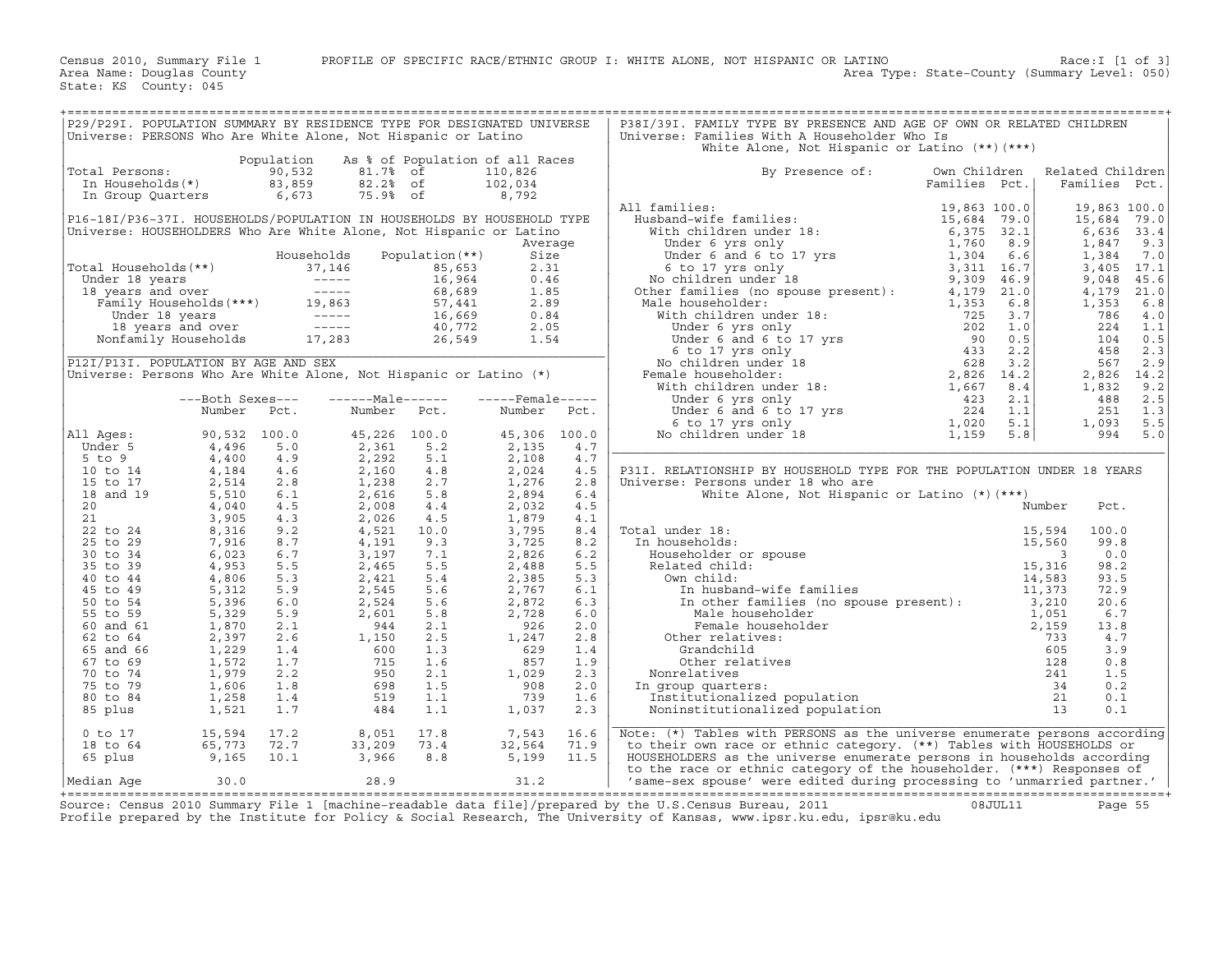| P29/P291. POPULATION SUMMARY BY RESIDENCE TYPE FOR DESIGNATED UNIVERSE<br>Universe: PERSONS Who Are White Alone, Not Hispanic or Latino                                                                                                          |                                                                            |              |                                                         |                 |                             |                | P38I/39I. FAMILY TYPE BY PRESENCE AND AGE OF OWN OR RELATED CHILDREN<br>Universe: Families With A Householder Who Is                                                                                                                                                                                                                                                                                             |                               |        |                                   |            |
|--------------------------------------------------------------------------------------------------------------------------------------------------------------------------------------------------------------------------------------------------|----------------------------------------------------------------------------|--------------|---------------------------------------------------------|-----------------|-----------------------------|----------------|------------------------------------------------------------------------------------------------------------------------------------------------------------------------------------------------------------------------------------------------------------------------------------------------------------------------------------------------------------------------------------------------------------------|-------------------------------|--------|-----------------------------------|------------|
|                                                                                                                                                                                                                                                  |                                                                            |              |                                                         |                 |                             |                | White Alone, Not Hispanic or Latino (**) (***)                                                                                                                                                                                                                                                                                                                                                                   |                               |        |                                   |            |
| Total Persons:                                                                                                                                                                                                                                   | Otal Persons: 50,532<br>In Households(*) 83,859<br>In Group Quarters 6,673 | Population   | As % of Population of all Races<br>81.7% of<br>82.2% of |                 | 110,826<br>102,034          |                | By Presence of:                                                                                                                                                                                                                                                                                                                                                                                                  | Own Children<br>Families Pct. |        | Related Children<br>Families Pct. |            |
|                                                                                                                                                                                                                                                  |                                                                            |              | 75.9% of                                                |                 | 8,792                       |                | All families:                                                                                                                                                                                                                                                                                                                                                                                                    |                               |        | 19,863 100.0                      |            |
| P16-18I/P36-37I. HOUSEHOLDS/POPULATION IN HOUSEHOLDS BY HOUSEHOLD TYPE                                                                                                                                                                           |                                                                            |              |                                                         |                 |                             |                |                                                                                                                                                                                                                                                                                                                                                                                                                  |                               |        | 15,684                            | 79.0       |
| Universe: HOUSEHOLDERS Who Are White Alone, Not Hispanic or Latino                                                                                                                                                                               |                                                                            |              |                                                         |                 |                             |                |                                                                                                                                                                                                                                                                                                                                                                                                                  |                               |        | 6,636                             | 33.4       |
|                                                                                                                                                                                                                                                  |                                                                            |              | Households                                              | Population (**) | Average<br>Size             |                |                                                                                                                                                                                                                                                                                                                                                                                                                  |                               |        | 1,847<br>1,384                    | 9.3<br>7.0 |
|                                                                                                                                                                                                                                                  |                                                                            |              |                                                         |                 |                             |                |                                                                                                                                                                                                                                                                                                                                                                                                                  |                               |        | 3,405 17.1                        |            |
|                                                                                                                                                                                                                                                  |                                                                            |              |                                                         |                 |                             |                |                                                                                                                                                                                                                                                                                                                                                                                                                  |                               |        | 9,048                             | 45.6       |
| Total Households (**)<br>Total Households (**)<br>16 a 5, 653 2.31<br>Under 18 years<br>16 years and over<br>Family Households (***)<br>19, 863 57, 441 2.89<br>Under 18 years and over<br>Family Households 19, 863 57, 441 2.89<br>Under 18 ye |                                                                            |              |                                                         |                 |                             |                |                                                                                                                                                                                                                                                                                                                                                                                                                  |                               |        | 4,179                             | 21.0       |
|                                                                                                                                                                                                                                                  |                                                                            |              |                                                         |                 |                             |                |                                                                                                                                                                                                                                                                                                                                                                                                                  |                               |        | 1,353<br>786                      | 6.8<br>4.0 |
|                                                                                                                                                                                                                                                  |                                                                            |              |                                                         |                 |                             | $\mathbb{R}^2$ |                                                                                                                                                                                                                                                                                                                                                                                                                  |                               |        | 224                               | 1.1        |
|                                                                                                                                                                                                                                                  |                                                                            |              |                                                         |                 |                             |                |                                                                                                                                                                                                                                                                                                                                                                                                                  |                               |        | 104                               | 0.5        |
|                                                                                                                                                                                                                                                  |                                                                            |              |                                                         |                 |                             |                |                                                                                                                                                                                                                                                                                                                                                                                                                  |                               |        | 458                               | 2.3        |
| Universe: Persons Who Are White Alone, Not Hispanic or Latino $(*)$                                                                                                                                                                              |                                                                            |              |                                                         |                 |                             |                |                                                                                                                                                                                                                                                                                                                                                                                                                  |                               |        | 567<br>2,826 14.2                 | 2.9        |
|                                                                                                                                                                                                                                                  |                                                                            |              |                                                         |                 |                             |                |                                                                                                                                                                                                                                                                                                                                                                                                                  |                               |        | 1,832                             | 9.2        |
|                                                                                                                                                                                                                                                  | ---Both Sexes---                                                           |              | ------Male------                                        |                 | $---$ Female $---$          |                |                                                                                                                                                                                                                                                                                                                                                                                                                  |                               |        | 488                               | 2.5        |
|                                                                                                                                                                                                                                                  | Number                                                                     | Pct.         |                                                         | Number Pct.     | Number                      | Pct.           |                                                                                                                                                                                                                                                                                                                                                                                                                  |                               |        | 251                               | 1.3        |
| All Ages:                                                                                                                                                                                                                                        | 90,532 100.0                                                               |              | 45,226 100.0                                            |                 | 45,306 100.0                |                |                                                                                                                                                                                                                                                                                                                                                                                                                  |                               |        | 1,093<br>994                      | 5.5<br>5.0 |
| Under 5                                                                                                                                                                                                                                          | 4,496                                                                      | 5.0          | 2,361                                                   | 5.2             | 2,135                       | 4.7            |                                                                                                                                                                                                                                                                                                                                                                                                                  |                               |        |                                   |            |
| 5 to 9                                                                                                                                                                                                                                           | 4,400                                                                      | 4.9          | 2,292                                                   | 5.1             | 2,108                       | 4.7            |                                                                                                                                                                                                                                                                                                                                                                                                                  |                               |        |                                   |            |
| 10 to 14                                                                                                                                                                                                                                         | 4,184                                                                      | 4.6          | 2,160                                                   | 4.8             | 2,024                       | 4.5            | P31I. RELATIONSHIP BY HOUSEHOLD TYPE FOR THE POPULATION UNDER 18 YEARS                                                                                                                                                                                                                                                                                                                                           |                               |        |                                   |            |
| 15 to 17                                                                                                                                                                                                                                         | 2,514                                                                      | 2.8          | 1,238                                                   | 2.7             | 1,276                       | 2.8            | Universe: Persons under 18 who are                                                                                                                                                                                                                                                                                                                                                                               |                               |        |                                   |            |
| 18 and 19<br>20                                                                                                                                                                                                                                  | 5,510<br>4,040                                                             | 6.1<br>4.5   | 2,616<br>2,008                                          | 5.8<br>4.4      | 2,894<br>2,032              | 6.4<br>4.5     | White Alone, Not Hispanic or Latino (*) (***)                                                                                                                                                                                                                                                                                                                                                                    |                               | Number | Pct.                              |            |
| 21                                                                                                                                                                                                                                               | 3,905                                                                      | 4.3          | 2,026                                                   | 4.5             | 1,879                       | 4.1            |                                                                                                                                                                                                                                                                                                                                                                                                                  |                               |        |                                   |            |
| 22 to 24                                                                                                                                                                                                                                         | 8,316                                                                      | 9.2          | 4,521                                                   | 10.0            | 3,795                       | 8.4            | $\begin{tabular}{lllllllllll} \texttt{al under 18:} & & & & 15,594 \\ \texttt{in households:} & & & 15,560 \\ \texttt{Householder or spouse} & & 3 \\ \texttt{Related child:} & & & 15,316 \\ \texttt{Own child:} & & 14,583 \\ \texttt{In husband-wife families} & & 11,373 \\ \texttt{In other families} & & 11,373 \\ \texttt{M=10} & & 3,210 \\ \texttt{M=10} & & 1,051 \\ \end{tabular}$<br>Total under 18: |                               |        | 100.0                             |            |
| 25 to 29                                                                                                                                                                                                                                         | 7,916                                                                      | 8.7<br>6.7   | 4,191                                                   | 9.3             | 3,725                       | 8.2<br>6.2     | In households:                                                                                                                                                                                                                                                                                                                                                                                                   |                               |        | 99.8<br>0.0                       |            |
| 30 to 34<br>35 to 39                                                                                                                                                                                                                             | 6,023<br>4,953                                                             | 5.5          | 3,197<br>2,465                                          | 7.1<br>5.5      | 2,826<br>2,488              | 5.5            |                                                                                                                                                                                                                                                                                                                                                                                                                  |                               |        | 98.2                              |            |
| 40 to 44                                                                                                                                                                                                                                         | 4,806                                                                      | 5.3          | 2,421                                                   | 5.4             | 2,385                       | 5.3            |                                                                                                                                                                                                                                                                                                                                                                                                                  |                               |        | 93.5                              |            |
| 45 to 49                                                                                                                                                                                                                                         | 5,312                                                                      | 5.9          | 2,545                                                   | 5.6             | 2,767                       | 6.1            |                                                                                                                                                                                                                                                                                                                                                                                                                  |                               |        | 72.9                              |            |
| 50 to 54                                                                                                                                                                                                                                         | 5,396                                                                      | 6.0          | 2,524                                                   | 5.6             | 2,872                       | 6.3            |                                                                                                                                                                                                                                                                                                                                                                                                                  |                               |        | 20.6                              |            |
| 55 to 59<br>60 and 61                                                                                                                                                                                                                            | 5,329<br>1,870                                                             | 5.9<br>2.1   | 2,601<br>944                                            | 5.8<br>2.1      | 2,728<br>926                | 6.0<br>2.0     | Male householder<br>Female householder                                                                                                                                                                                                                                                                                                                                                                           |                               |        | 6.7<br>13.8                       |            |
| 62 to 64                                                                                                                                                                                                                                         | 2,397                                                                      | 2.6          | 1,150                                                   | 2.5             | 1,247                       | 2.8            | Other relatives:                                                                                                                                                                                                                                                                                                                                                                                                 |                               |        | 4.7                               |            |
| 65 and 66                                                                                                                                                                                                                                        | 1,229                                                                      | 1.4          |                                                         | 1.3             | 629                         | 1.4            | Grandchild                                                                                                                                                                                                                                                                                                                                                                                                       |                               |        | 3.9                               |            |
| 67 to 69                                                                                                                                                                                                                                         | 1,572                                                                      | 1.7          |                                                         | 1.6             | 857                         | 1.9            | Other relatives                                                                                                                                                                                                                                                                                                                                                                                                  |                               |        | 0.8                               |            |
| 70 to 74                                                                                                                                                                                                                                         | 1,979                                                                      | 2.2          |                                                         | 2.1             | 1,029                       | 2.3            | Nonrelatives                                                                                                                                                                                                                                                                                                                                                                                                     |                               |        | 1.5                               |            |
| 75 to 79                                                                                                                                                                                                                                         | 1,606                                                                      | 1.8          |                                                         | 1.5             | 908<br>739                  | 2.0            | In group quarters:                                                                                                                                                                                                                                                                                                                                                                                               |                               |        | 0.2                               |            |
| 80 to 84<br>85 plus                                                                                                                                                                                                                              | 1,258<br>1,521                                                             | 1.4<br>1.7   | 4, 450<br>600<br>715<br>950<br>698<br>519<br>484        | 1.1<br>1.1      | 1,037                       | 1.6<br>2.3     | ex (no spouse present):<br>der $\begin{array}{ccc} 1,051\ 1,051\ 2,159\ \end{array}$<br>;<br>;<br>s, 733<br>605<br>128<br>241<br>241<br>241<br>34<br>21<br>33<br>34<br>31<br>Institutionalized population<br>Noninstitutionalized population                                                                                                                                                                     |                               |        | 0.1<br>0.1                        |            |
|                                                                                                                                                                                                                                                  |                                                                            |              |                                                         |                 |                             |                |                                                                                                                                                                                                                                                                                                                                                                                                                  |                               |        |                                   |            |
| $0$ to $17$                                                                                                                                                                                                                                      |                                                                            | 17.2         |                                                         | 17.8            |                             | 16.6           | Note: (*) Tables with PERSONS as the universe enumerate persons according                                                                                                                                                                                                                                                                                                                                        |                               |        |                                   |            |
| 18 to 64<br>65 plus                                                                                                                                                                                                                              | 15,594<br>65,773<br>9,165                                                  | 72.7<br>10.1 | 8,051<br>33,209<br>3,966                                | 73.4<br>8.8     | 7, 543<br>32, 564<br>5, 199 | 71.9<br>11.5   | to their own race or ethnic category. (**) Tables with HOUSEHOLDS or<br>HOUSEHOLDERS as the universe enumerate persons in households according                                                                                                                                                                                                                                                                   |                               |        |                                   |            |
|                                                                                                                                                                                                                                                  |                                                                            |              |                                                         |                 |                             |                | to the race or ethnic category of the householder. (***) Responses of                                                                                                                                                                                                                                                                                                                                            |                               |        |                                   |            |
| Median Age                                                                                                                                                                                                                                       | 30.0                                                                       |              | $28.9$ $31.2$                                           |                 |                             |                | 'same-sex spouse' were edited during processing to 'unmarried partner.'                                                                                                                                                                                                                                                                                                                                          |                               |        |                                   |            |

+===================================================================================================================================================+Source: Census 2010 Summary File 1 [machine−readable data file]/prepared by the U.S.Census Bureau, 2011 08JUL11 Page 55 Profile prepared by the Institute for Policy & Social Research, The University of Kansas, www.ipsr.ku.edu, ipsr@ku.edu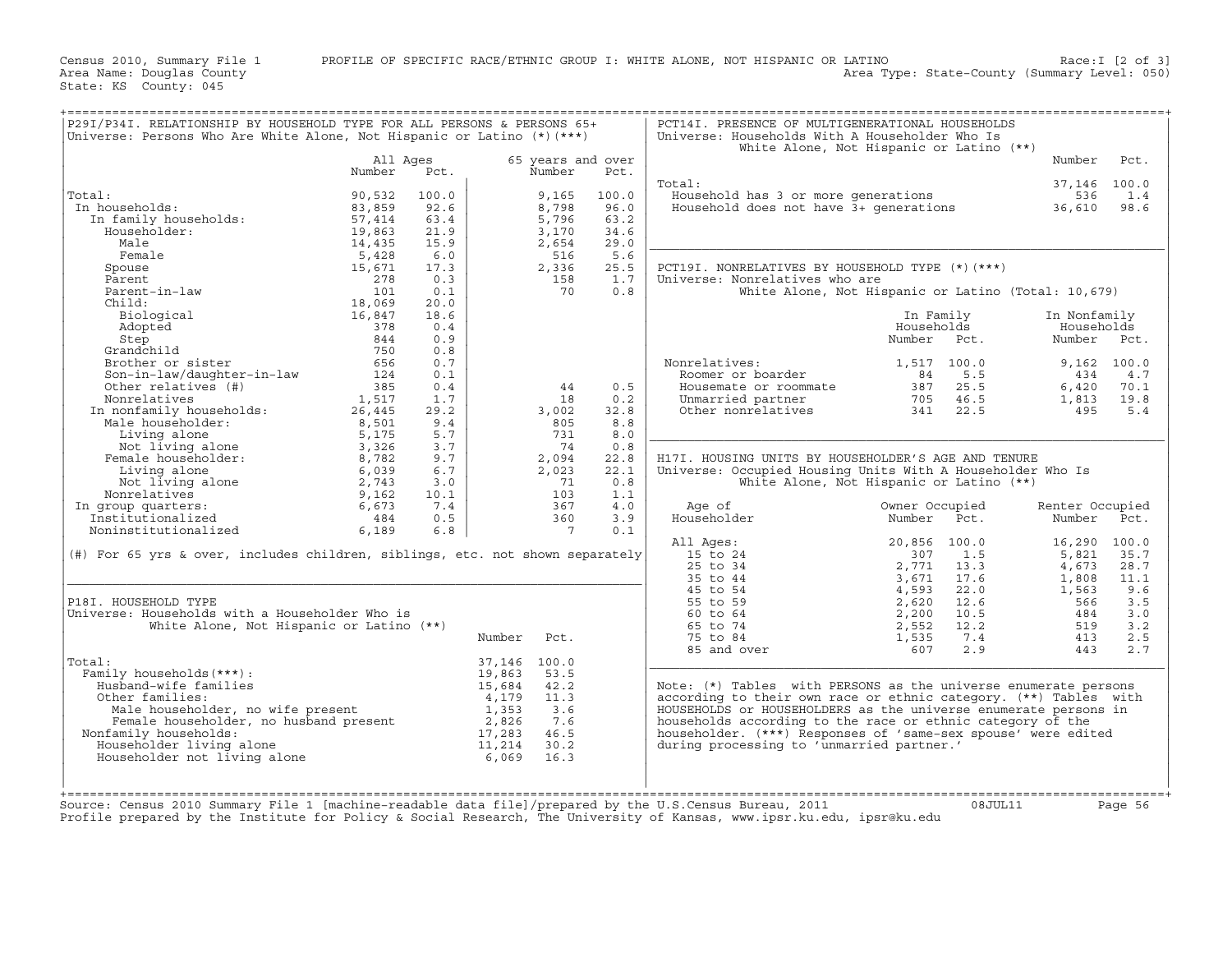Census 2010, Summary File 1 PROFILE OF SPECIFIC RACE/ETHNIC GROUP I: WHITE ALONE, NOT HISPANIC OR LATINO Race:I [2 of 3]<br>Area Name: Douglas County (summary Level: 050) Area Type: State-County (Summary Level: 050)

State: KS County: 045

| P29I/P34I. RELATIONSHIP BY HOUSEHOLD TYPE FOR ALL PERSONS & PERSONS 65+<br>Universe: Persons Who Are White Alone, Not Hispanic or Latino (*) (***)                                                                                |          |       |              |                   |       | PCT14I. PRESENCE OF MULTIGENERATIONAL HOUSEHOLDS<br>Universe: Households With A Householder Who Is                      |                                                     |                 |               |
|-----------------------------------------------------------------------------------------------------------------------------------------------------------------------------------------------------------------------------------|----------|-------|--------------|-------------------|-------|-------------------------------------------------------------------------------------------------------------------------|-----------------------------------------------------|-----------------|---------------|
|                                                                                                                                                                                                                                   |          |       |              |                   |       |                                                                                                                         | White Alone, Not Hispanic or Latino (**)            |                 |               |
|                                                                                                                                                                                                                                   | All Ages |       |              | 65 years and over |       |                                                                                                                         |                                                     | Number          | Pct.          |
|                                                                                                                                                                                                                                   | Number   | Pct.  |              | Number            | Pct.  |                                                                                                                         |                                                     |                 |               |
|                                                                                                                                                                                                                                   |          |       |              |                   |       | Total:                                                                                                                  |                                                     | 37,146 100.0    |               |
| Total:<br>al:<br>1 households:<br>In family households:<br>"weeholder:                                                                                                                                                            | 90,532   | 100.0 |              | 9,165             | 100.0 | Household has 3 or more generations                                                                                     |                                                     | 536             | 1.4           |
| In households:                                                                                                                                                                                                                    | 83,859   | 92.6  |              | 8,798             | 96.0  | Household does not have 3+ generations 36,610                                                                           |                                                     |                 | 98.6          |
|                                                                                                                                                                                                                                   | 57,414   | 63.4  |              | 5,796             | 63.2  |                                                                                                                         |                                                     |                 |               |
|                                                                                                                                                                                                                                   | 19,863   | 21.9  |              | 3,170             | 34.6  |                                                                                                                         |                                                     |                 |               |
| Male                                                                                                                                                                                                                              | 14,435   | 15.9  |              | 2,654             | 29.0  |                                                                                                                         |                                                     |                 |               |
| Female                                                                                                                                                                                                                            | 5,428    | 6.0   |              | 516               | 5.6   |                                                                                                                         |                                                     |                 |               |
|                                                                                                                                                                                                                                   |          |       |              |                   |       |                                                                                                                         |                                                     |                 |               |
| Spouse                                                                                                                                                                                                                            | 15,671   | 17.3  |              | 2,336             | 25.5  | PCT19I. NONRELATIVES BY HOUSEHOLD TYPE (*) (***)                                                                        |                                                     |                 |               |
| Parent                                                                                                                                                                                                                            | 278      | 0.3   |              | 158               | 1.7   | Universe: Nonrelatives who are                                                                                          |                                                     |                 |               |
| Parent-in-law                                                                                                                                                                                                                     | 101      | 0.1   |              | 70                | 0.8   |                                                                                                                         | White Alone, Not Hispanic or Latino (Total: 10,679) |                 |               |
| Child:                                                                                                                                                                                                                            | 18,069   | 20.0  |              |                   |       |                                                                                                                         |                                                     |                 |               |
|                                                                                                                                                                                                                                   |          | 18.6  |              |                   |       |                                                                                                                         | In Family                                           | In Nonfamily    |               |
|                                                                                                                                                                                                                                   |          | 0.4   |              |                   |       |                                                                                                                         | Households                                          | Households      |               |
|                                                                                                                                                                                                                                   |          | 0.9   |              |                   |       |                                                                                                                         | Number Pct.                                         | Number Pct.     |               |
|                                                                                                                                                                                                                                   |          | 0.8   |              |                   |       |                                                                                                                         |                                                     |                 |               |
| Child: 18,069<br>Biological 16,847<br>Adopted 16,847<br>Step 344<br>Grandchild 750<br>Brother or sister 656<br>Son-in-law/daughter-in-law 124                                                                                     |          | 0.7   |              |                   |       | Nonrelatives:                                                                                                           | 1,517 100.0                                         |                 | $9.162$ 100.0 |
|                                                                                                                                                                                                                                   |          | 0.1   |              |                   |       | Roomer or boarder<br>Housemate                                                                                          | 5.5                                                 | 434             | 4.7           |
| Other relatives (#)                                                                                                                                                                                                               | 385      | 0.4   |              | 44                | 0.5   | Housemate or roommate                                                                                                   | 25.5                                                | 6,420           | 70.1          |
|                                                                                                                                                                                                                                   | 1,517    | 1.7   |              | 18                | 0.2   |                                                                                                                         | $84$<br>$387$<br>$705$<br>46.5                      |                 | 19.8          |
|                                                                                                                                                                                                                                   |          |       |              |                   |       | Unmarried partner                                                                                                       |                                                     | 1,813           |               |
|                                                                                                                                                                                                                                   | 26,445   | 29.2  |              | 3,002             | 32.8  | Other nonrelatives                                                                                                      | 341<br>22.5                                         | 495             | $5.4$         |
|                                                                                                                                                                                                                                   | 8,501    | 9.4   |              | 805               | 8.8   |                                                                                                                         |                                                     |                 |               |
|                                                                                                                                                                                                                                   | 5,175    | 5.7   |              | 731               | 8.0   |                                                                                                                         |                                                     |                 |               |
| Other relatives (#)<br>Nonrelatives (#)<br>In nonfamily households:<br>Male householder:<br>Living alone<br>Pemale householder:<br>Female householder:<br>Living alone<br>Nonrelatives<br>In group quarters:<br>Institutionalized | 3,326    | 3.7   |              | 74                | 0.8   |                                                                                                                         |                                                     |                 |               |
|                                                                                                                                                                                                                                   | 8,782    | 9.7   |              | 2,094             | 22.8  | H17I. HOUSING UNITS BY HOUSEHOLDER'S AGE AND TENURE                                                                     |                                                     |                 |               |
|                                                                                                                                                                                                                                   | 6,039    | 6.7   |              | 2,023             | 22.1  | Universe: Occupied Housing Units With A Householder Who Is                                                              |                                                     |                 |               |
|                                                                                                                                                                                                                                   | 2,743    | 3.0   |              | 71                | 0.8   |                                                                                                                         | White Alone, Not Hispanic or Latino (**)            |                 |               |
|                                                                                                                                                                                                                                   | 9,162    | 10.1  |              | 103               | 1.1   |                                                                                                                         |                                                     |                 |               |
|                                                                                                                                                                                                                                   | 6,673    | 7.4   |              | 367               | 4.0   | Age of                                                                                                                  | Owner Occupied                                      | Renter Occupied |               |
|                                                                                                                                                                                                                                   | 484      | 0.5   |              | 360               | 3.9   | Householder                                                                                                             | Number Pct.                                         | Number Pct.     |               |
| Noninstitutionalized                                                                                                                                                                                                              | 6,189    | 6.8   |              | $7\phantom{0}$    | 0.1   |                                                                                                                         |                                                     |                 |               |
|                                                                                                                                                                                                                                   |          |       |              |                   |       |                                                                                                                         |                                                     |                 |               |
|                                                                                                                                                                                                                                   |          |       |              |                   |       | All Ages:                                                                                                               | 20,856 100.0                                        | 16,290 100.0    |               |
| (#) For 65 yrs & over, includes children, siblings, etc. not shown separately                                                                                                                                                     |          |       |              |                   |       |                                                                                                                         | 1.5<br>307                                          | 5,821           | 35.7          |
|                                                                                                                                                                                                                                   |          |       |              |                   |       |                                                                                                                         | 2,771<br>13.3                                       | 4,673           | 28.7          |
|                                                                                                                                                                                                                                   |          |       |              |                   |       |                                                                                                                         | 3,671<br>17.6                                       | 1,808           | 11.1          |
|                                                                                                                                                                                                                                   |          |       |              |                   |       | 11 Ages:<br>15 to 24<br>25 to 34<br>35 to 44<br>45 to 54<br>55 to 59<br>60 to 64<br>65 to 74<br>75 to 84<br>85 and over | 4,593<br>22.0                                       | 1,563           | 9.6           |
| P18I. HOUSEHOLD TYPE                                                                                                                                                                                                              |          |       |              |                   |       |                                                                                                                         | 2,620<br>12.6                                       | 566             | 3.5           |
| Universe: Households with a Householder Who is                                                                                                                                                                                    |          |       |              |                   |       |                                                                                                                         | 2,200<br>10.5                                       | 484             | 3.0           |
| White Alone, Not Hispanic or Latino (**)                                                                                                                                                                                          |          |       |              |                   |       |                                                                                                                         | 2,552<br>12.2                                       | 519             | 3.2           |
|                                                                                                                                                                                                                                   |          |       | Number       | Pct.              |       |                                                                                                                         | 1,535<br>7.4                                        | 413             | 2.5           |
|                                                                                                                                                                                                                                   |          |       |              |                   |       |                                                                                                                         | 2.9<br>607                                          | 443             | 2.7           |
| Total:                                                                                                                                                                                                                            |          |       | 37,146 100.0 |                   |       |                                                                                                                         |                                                     |                 |               |
| Family households (***) :                                                                                                                                                                                                         |          |       | 19,863       | 53.5              |       |                                                                                                                         |                                                     |                 |               |
| Husband-wife families                                                                                                                                                                                                             |          |       | 15,684       | 42.2              |       | Note: (*) Tables with PERSONS as the universe enumerate persons                                                         |                                                     |                 |               |
| Other families:                                                                                                                                                                                                                   |          |       | 4,179        | 11.3              |       | according to their own race or ethnic category. (**) Tables with                                                        |                                                     |                 |               |
| cher families:<br>Male householder, no wife present<br>Female householder, no husband present                                                                                                                                     |          |       |              |                   |       |                                                                                                                         |                                                     |                 |               |
|                                                                                                                                                                                                                                   |          |       | 1,353        | 3.6               |       | HOUSEHOLDS or HOUSEHOLDERS as the universe enumerate persons in                                                         |                                                     |                 |               |
|                                                                                                                                                                                                                                   |          |       | 2,826        | 7.6               |       | households according to the race or ethnic category of the                                                              |                                                     |                 |               |
| Nonfamily households:                                                                                                                                                                                                             |          |       | 17,283       | 46.5              |       | householder. (***) Responses of 'same-sex spouse' were edited                                                           |                                                     |                 |               |
| Householder living alone                                                                                                                                                                                                          |          |       | 11,214       | 30.2              |       | during processing to 'unmarried partner.'                                                                               |                                                     |                 |               |
| Householder not living alone                                                                                                                                                                                                      |          |       | 6,069        | 16.3              |       |                                                                                                                         |                                                     |                 |               |
|                                                                                                                                                                                                                                   |          |       |              |                   |       |                                                                                                                         |                                                     |                 |               |
|                                                                                                                                                                                                                                   |          |       |              |                   |       |                                                                                                                         |                                                     |                 |               |
|                                                                                                                                                                                                                                   |          |       |              |                   |       |                                                                                                                         |                                                     |                 |               |

Profile prepared by the Institute for Policy & Social Research, The University of Kansas, www.ipsr.ku.edu, ipsr@ku.edu